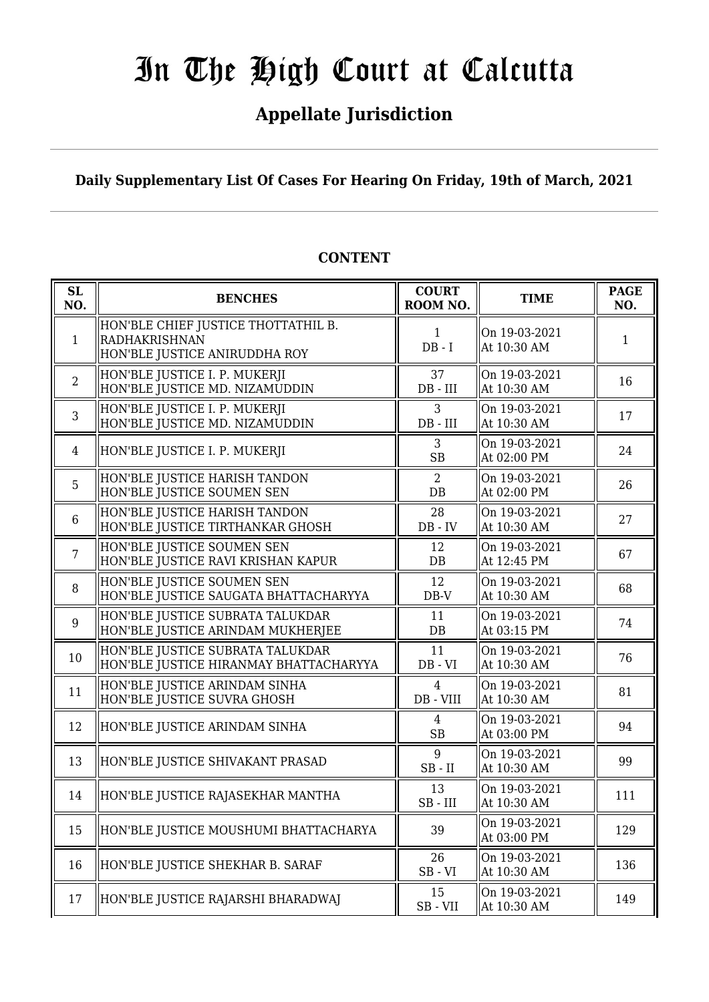## In The High Court at Calcutta

## **Appellate Jurisdiction**

**Daily Supplementary List Of Cases For Hearing On Friday, 19th of March, 2021**

| SL<br>NO.      | <b>BENCHES</b>                                                                               | <b>COURT</b><br>ROOM NO.    | <b>TIME</b>                  | <b>PAGE</b><br>NO. |
|----------------|----------------------------------------------------------------------------------------------|-----------------------------|------------------------------|--------------------|
| $\mathbf{1}$   | HON'BLE CHIEF JUSTICE THOTTATHIL B.<br><b>RADHAKRISHNAN</b><br>HON'BLE JUSTICE ANIRUDDHA ROY | 1<br>$DB - I$               | On 19-03-2021<br>At 10:30 AM | 1                  |
| $\overline{2}$ | HON'BLE JUSTICE I. P. MUKERJI<br>HON'BLE JUSTICE MD. NIZAMUDDIN                              | 37<br>$DB$ - $III$          | On 19-03-2021<br>At 10:30 AM | 16                 |
| 3              | HON'BLE JUSTICE I. P. MUKERJI<br>HON'BLE JUSTICE MD. NIZAMUDDIN                              | 3<br>$DB$ - $III$           | On 19-03-2021<br>At 10:30 AM | 17                 |
| 4              | HON'BLE JUSTICE I. P. MUKERJI                                                                | 3<br><b>SB</b>              | On 19-03-2021<br>At 02:00 PM | 24                 |
| 5              | HON'BLE JUSTICE HARISH TANDON<br>HON'BLE JUSTICE SOUMEN SEN                                  | 2<br>$DB$                   | On 19-03-2021<br>At 02:00 PM | 26                 |
| $6\phantom{1}$ | HON'BLE JUSTICE HARISH TANDON<br>HON'BLE JUSTICE TIRTHANKAR GHOSH                            | 28<br>$DB - IV$             | On 19-03-2021<br>At 10:30 AM | 27                 |
| $\overline{7}$ | HON'BLE JUSTICE SOUMEN SEN<br>HON'BLE JUSTICE RAVI KRISHAN KAPUR                             | 12<br>DB                    | On 19-03-2021<br>At 12:45 PM | 67                 |
| 8              | HON'BLE JUSTICE SOUMEN SEN<br>HON'BLE JUSTICE SAUGATA BHATTACHARYYA                          | 12<br>$DB-V$                | On 19-03-2021<br>At 10:30 AM | 68                 |
| 9              | HON'BLE JUSTICE SUBRATA TALUKDAR<br>HON'BLE JUSTICE ARINDAM MUKHERJEE                        | 11<br>$DB$                  | On 19-03-2021<br>At 03:15 PM | 74                 |
| 10             | HON'BLE JUSTICE SUBRATA TALUKDAR<br>HON'BLE JUSTICE HIRANMAY BHATTACHARYYA                   | 11<br>$DB - VI$             | On 19-03-2021<br>At 10:30 AM | 76                 |
| 11             | HON'BLE JUSTICE ARINDAM SINHA<br>HON'BLE JUSTICE SUVRA GHOSH                                 | $\overline{4}$<br>DB - VIII | On 19-03-2021<br>At 10:30 AM | 81                 |
| 12             | HON'BLE JUSTICE ARINDAM SINHA                                                                | 4<br><b>SB</b>              | On 19-03-2021<br>At 03:00 PM | 94                 |
| 13             | HON'BLE JUSTICE SHIVAKANT PRASAD                                                             | 9<br>$SB$ - $II$            | On 19-03-2021<br>At 10:30 AM | 99                 |
| 14             | HON'BLE JUSTICE RAJASEKHAR MANTHA                                                            | 13<br>$SB$ - $III$          | On 19-03-2021<br>At 10:30 AM | 111                |
| 15             | HON'BLE JUSTICE MOUSHUMI BHATTACHARYA                                                        | 39                          | On 19-03-2021<br>At 03:00 PM | 129                |
| 16             | HON'BLE JUSTICE SHEKHAR B. SARAF                                                             | 26<br>$SB - VI$             | On 19-03-2021<br>At 10:30 AM | 136                |
| 17             | HON'BLE JUSTICE RAJARSHI BHARADWAJ                                                           | 15<br>$SB - VII$            | On 19-03-2021<br>At 10:30 AM | 149                |

## **CONTENT**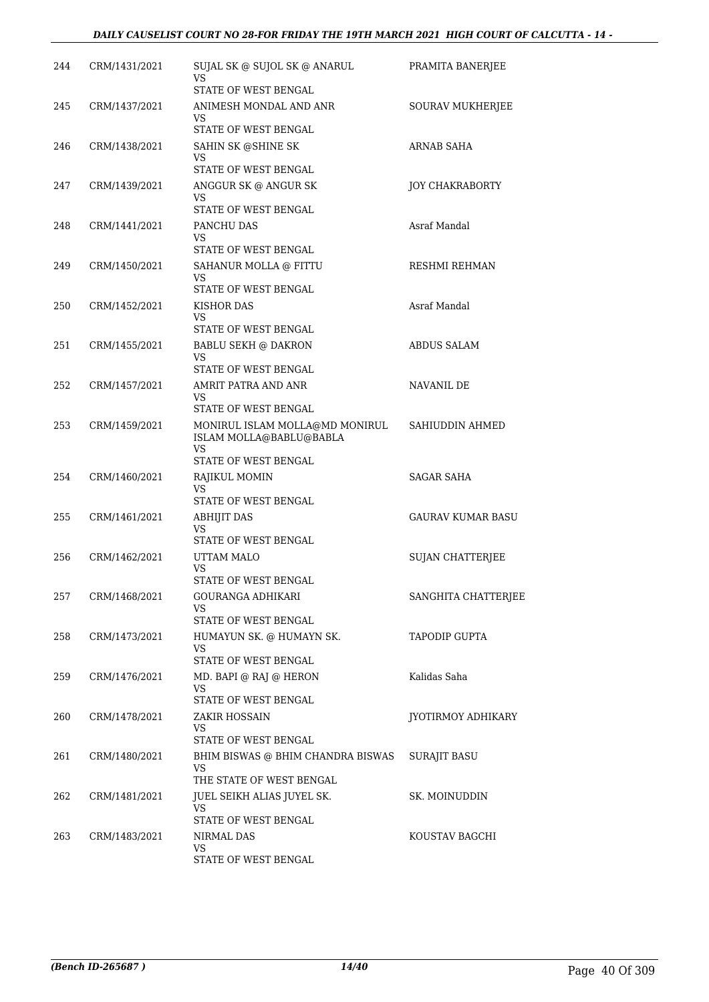| 244 | CRM/1431/2021 | SUJAL SK @ SUJOL SK @ ANARUL<br>VS                        | PRAMITA BANERJEE        |
|-----|---------------|-----------------------------------------------------------|-------------------------|
| 245 | CRM/1437/2021 | STATE OF WEST BENGAL<br>ANIMESH MONDAL AND ANR            | SOURAV MUKHERJEE        |
|     |               | VS<br>STATE OF WEST BENGAL                                |                         |
| 246 | CRM/1438/2021 | SAHIN SK @SHINE SK                                        | ARNAB SAHA              |
|     |               | VS<br>STATE OF WEST BENGAL                                |                         |
| 247 | CRM/1439/2021 | ANGGUR SK @ ANGUR SK                                      | <b>JOY CHAKRABORTY</b>  |
|     |               | VS                                                        |                         |
|     |               | STATE OF WEST BENGAL                                      |                         |
| 248 | CRM/1441/2021 | PANCHU DAS<br>VS                                          | Asraf Mandal            |
|     |               | STATE OF WEST BENGAL                                      |                         |
| 249 | CRM/1450/2021 | SAHANUR MOLLA @ FITTU<br>VS                               | RESHMI REHMAN           |
|     |               | STATE OF WEST BENGAL                                      |                         |
| 250 | CRM/1452/2021 | <b>KISHOR DAS</b><br>VS                                   | Asraf Mandal            |
|     |               | STATE OF WEST BENGAL                                      |                         |
| 251 | CRM/1455/2021 | <b>BABLU SEKH @ DAKRON</b>                                | ABDUS SALAM             |
|     |               | VS<br>STATE OF WEST BENGAL                                |                         |
| 252 | CRM/1457/2021 | AMRIT PATRA AND ANR                                       | NAVANIL DE              |
|     |               | VS<br>STATE OF WEST BENGAL                                |                         |
| 253 | CRM/1459/2021 | MONIRUL ISLAM MOLLA@MD MONIRUL<br>ISLAM MOLLA@BABLU@BABLA | SAHIUDDIN AHMED         |
|     |               | VS<br>STATE OF WEST BENGAL                                |                         |
| 254 | CRM/1460/2021 | RAJIKUL MOMIN<br>VS                                       | SAGAR SAHA              |
|     |               | STATE OF WEST BENGAL                                      |                         |
| 255 | CRM/1461/2021 | ABHIJIT DAS                                               | GAURAV KUMAR BASU       |
|     |               | VS<br>STATE OF WEST BENGAL                                |                         |
| 256 | CRM/1462/2021 | UTTAM MALO                                                | <b>SUJAN CHATTERJEE</b> |
|     |               | VS<br>STATE OF WEST BENGAL                                |                         |
| 257 | CRM/1468/2021 | <b>GOURANGA ADHIKARI</b>                                  | SANGHITA CHATTERJEE     |
|     |               | VS.<br>STATE OF WEST BENGAL                               |                         |
| 258 | CRM/1473/2021 | HUMAYUN SK. @ HUMAYN SK.                                  | TAPODIP GUPTA           |
|     |               | VS                                                        |                         |
|     |               | STATE OF WEST BENGAL<br>MD. BAPI @ RAJ @ HERON            | Kalidas Saha            |
| 259 | CRM/1476/2021 | VS.                                                       |                         |
|     |               | STATE OF WEST BENGAL                                      |                         |
| 260 | CRM/1478/2021 | ZAKIR HOSSAIN<br>VS                                       | JYOTIRMOY ADHIKARY      |
|     |               | STATE OF WEST BENGAL                                      |                         |
| 261 | CRM/1480/2021 | BHIM BISWAS @ BHIM CHANDRA BISWAS<br>VS                   | SURAJIT BASU            |
|     |               | THE STATE OF WEST BENGAL                                  |                         |
| 262 | CRM/1481/2021 | JUEL SEIKH ALIAS JUYEL SK.<br>VS.                         | SK. MOINUDDIN           |
|     |               | STATE OF WEST BENGAL                                      |                         |
| 263 | CRM/1483/2021 | NIRMAL DAS<br>VS                                          | KOUSTAV BAGCHI          |
|     |               | STATE OF WEST BENGAL                                      |                         |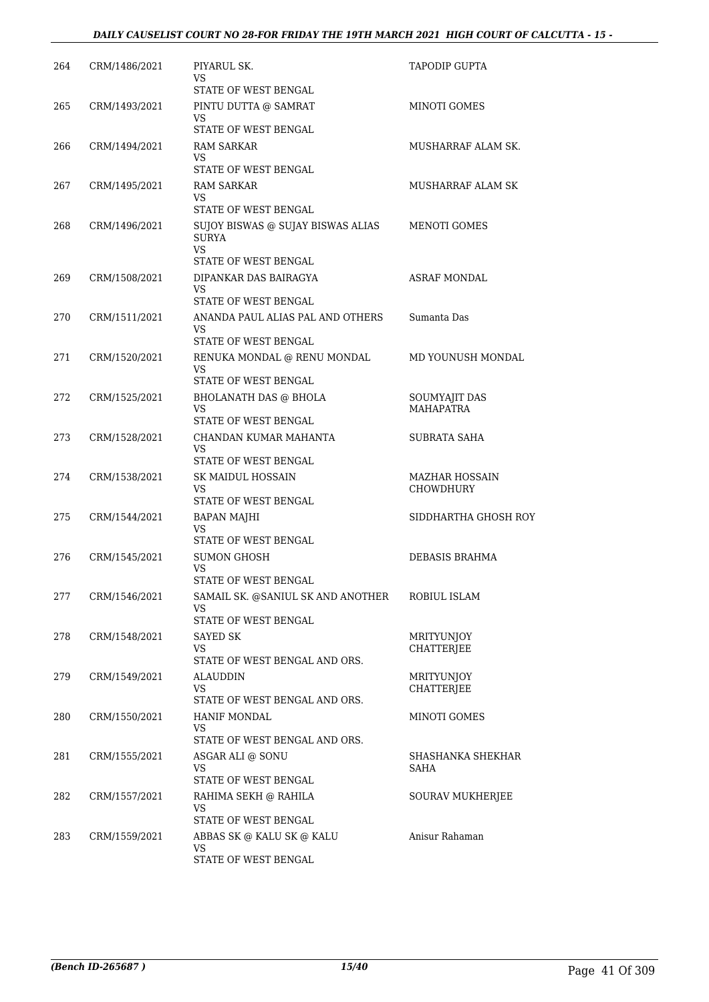| 264 | CRM/1486/2021 | PIYARUL SK.<br>VS                                       | TAPODIP GUPTA                     |
|-----|---------------|---------------------------------------------------------|-----------------------------------|
|     |               | STATE OF WEST BENGAL                                    |                                   |
| 265 | CRM/1493/2021 | PINTU DUTTA @ SAMRAT<br>VS                              | MINOTI GOMES                      |
|     |               | STATE OF WEST BENGAL                                    |                                   |
| 266 | CRM/1494/2021 | RAM SARKAR<br>VS.                                       | MUSHARRAF ALAM SK.                |
|     |               | STATE OF WEST BENGAL                                    |                                   |
| 267 | CRM/1495/2021 | <b>RAM SARKAR</b>                                       | MUSHARRAF ALAM SK                 |
|     |               | VS<br>STATE OF WEST BENGAL                              |                                   |
| 268 | CRM/1496/2021 | SUJOY BISWAS @ SUJAY BISWAS ALIAS<br>SURYA<br><b>VS</b> | <b>MENOTI GOMES</b>               |
|     |               | STATE OF WEST BENGAL                                    |                                   |
| 269 | CRM/1508/2021 | DIPANKAR DAS BAIRAGYA                                   | <b>ASRAF MONDAL</b>               |
|     |               | VS.<br>STATE OF WEST BENGAL                             |                                   |
| 270 | CRM/1511/2021 | ANANDA PAUL ALIAS PAL AND OTHERS                        | Sumanta Das                       |
|     |               | VS.<br>STATE OF WEST BENGAL                             |                                   |
| 271 | CRM/1520/2021 | RENUKA MONDAL @ RENU MONDAL                             | MD YOUNUSH MONDAL                 |
|     |               | VS.                                                     |                                   |
|     |               | STATE OF WEST BENGAL                                    |                                   |
| 272 | CRM/1525/2021 | <b>BHOLANATH DAS @ BHOLA</b><br>VS.                     | SOUMYAJIT DAS<br><b>MAHAPATRA</b> |
|     |               | STATE OF WEST BENGAL                                    |                                   |
| 273 | CRM/1528/2021 | CHANDAN KUMAR MAHANTA<br>VS                             | <b>SUBRATA SAHA</b>               |
|     |               | STATE OF WEST BENGAL                                    |                                   |
| 274 | CRM/1538/2021 | SK MAIDUL HOSSAIN                                       | <b>MAZHAR HOSSAIN</b>             |
|     |               | VS<br>STATE OF WEST BENGAL                              | <b>CHOWDHURY</b>                  |
| 275 | CRM/1544/2021 | BAPAN MAJHI                                             | SIDDHARTHA GHOSH ROY              |
|     |               | <b>VS</b><br>STATE OF WEST BENGAL                       |                                   |
| 276 | CRM/1545/2021 | SUMON GHOSH                                             | <b>DEBASIS BRAHMA</b>             |
|     |               | VS                                                      |                                   |
|     |               | STATE OF WEST BENGAL                                    |                                   |
| 277 | CRM/1546/2021 | SAMAIL SK. @SANIUL SK AND ANOTHER<br>VS.                | ROBIUL ISLAM                      |
|     |               | STATE OF WEST BENGAL                                    |                                   |
| 278 | CRM/1548/2021 | SAYED SK<br>VS                                          | MRITYUNJOY<br><b>CHATTERJEE</b>   |
|     |               | STATE OF WEST BENGAL AND ORS.                           |                                   |
| 279 | CRM/1549/2021 | <b>ALAUDDIN</b>                                         | <b>MRITYUNJOY</b>                 |
|     |               | VS.<br>STATE OF WEST BENGAL AND ORS.                    | <b>CHATTERJEE</b>                 |
| 280 | CRM/1550/2021 | HANIF MONDAL                                            | MINOTI GOMES                      |
|     |               | VS                                                      |                                   |
| 281 | CRM/1555/2021 | STATE OF WEST BENGAL AND ORS.<br>ASGAR ALI @ SONU       | SHASHANKA SHEKHAR                 |
|     |               | VS                                                      | SAHA                              |
|     |               | STATE OF WEST BENGAL                                    |                                   |
| 282 | CRM/1557/2021 | RAHIMA SEKH @ RAHILA<br>VS                              | SOURAV MUKHERJEE                  |
|     |               | STATE OF WEST BENGAL                                    |                                   |
| 283 | CRM/1559/2021 | ABBAS SK @ KALU SK @ KALU                               | Anisur Rahaman                    |
|     |               | <b>VS</b><br>STATE OF WEST BENGAL                       |                                   |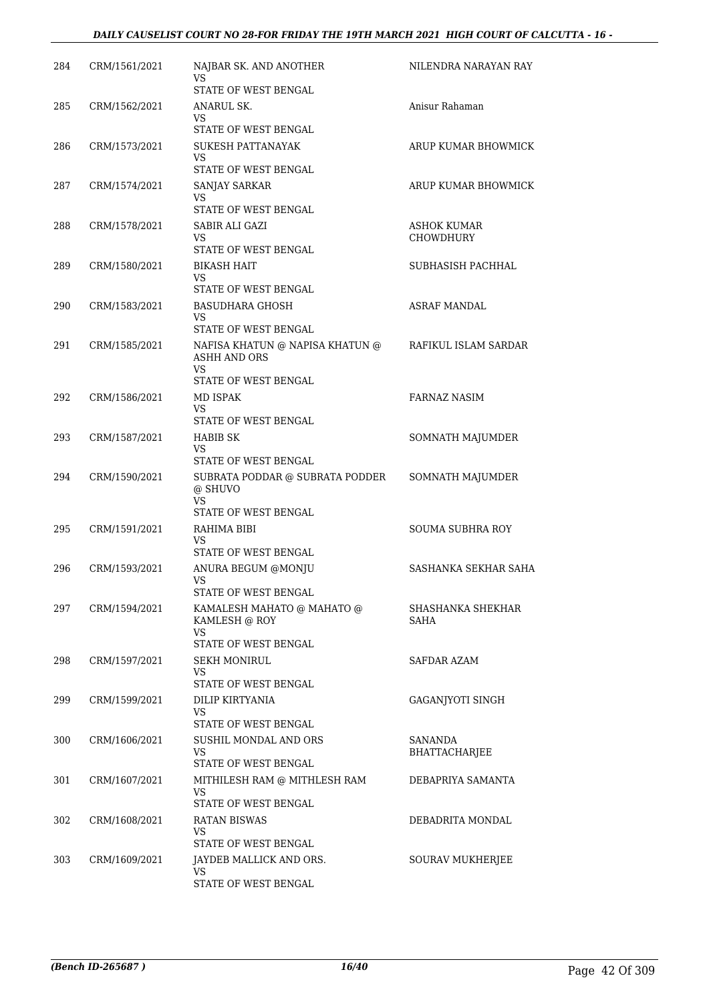#### *DAILY CAUSELIST COURT NO 28-FOR FRIDAY THE 19TH MARCH 2021 HIGH COURT OF CALCUTTA - 16 -*

| 284 | CRM/1561/2021 | NAJBAR SK. AND ANOTHER<br>VS                             | NILENDRA NARAYAN RAY      |
|-----|---------------|----------------------------------------------------------|---------------------------|
|     |               | STATE OF WEST BENGAL                                     |                           |
| 285 | CRM/1562/2021 | ANARUL SK.                                               | Anisur Rahaman            |
|     |               | VS.<br>STATE OF WEST BENGAL                              |                           |
| 286 | CRM/1573/2021 | SUKESH PATTANAYAK                                        | ARUP KUMAR BHOWMICK       |
|     |               | VS                                                       |                           |
|     |               | STATE OF WEST BENGAL                                     |                           |
| 287 | CRM/1574/2021 | SANJAY SARKAR<br>VS                                      | ARUP KUMAR BHOWMICK       |
|     |               | STATE OF WEST BENGAL                                     |                           |
| 288 | CRM/1578/2021 | SABIR ALI GAZI                                           | ASHOK KUMAR               |
|     |               | VS.<br>STATE OF WEST BENGAL                              | <b>CHOWDHURY</b>          |
| 289 | CRM/1580/2021 | <b>BIKASH HAIT</b>                                       | SUBHASISH PACHHAL         |
|     |               | VS                                                       |                           |
|     |               | STATE OF WEST BENGAL                                     |                           |
| 290 | CRM/1583/2021 | <b>BASUDHARA GHOSH</b><br>VS                             | <b>ASRAF MANDAL</b>       |
|     |               | STATE OF WEST BENGAL                                     |                           |
| 291 | CRM/1585/2021 | NAFISA KHATUN @ NAPISA KHATUN @                          | RAFIKUL ISLAM SARDAR      |
|     |               | <b>ASHH AND ORS</b><br>VS                                |                           |
|     |               | STATE OF WEST BENGAL                                     |                           |
| 292 | CRM/1586/2021 | MD ISPAK                                                 | <b>FARNAZ NASIM</b>       |
|     |               | VS.                                                      |                           |
| 293 | CRM/1587/2021 | STATE OF WEST BENGAL                                     |                           |
|     |               | HABIB SK<br>VS                                           | SOMNATH MAJUMDER          |
|     |               | STATE OF WEST BENGAL                                     |                           |
| 294 | CRM/1590/2021 | SUBRATA PODDAR @ SUBRATA PODDER<br>@ SHUVO<br><b>VS</b>  | SOMNATH MAJUMDER          |
|     |               | STATE OF WEST BENGAL                                     |                           |
| 295 | CRM/1591/2021 | RAHIMA BIBI                                              | <b>SOUMA SUBHRA ROY</b>   |
|     |               | VS<br>STATE OF WEST BENGAL                               |                           |
| 296 | CRM/1593/2021 | ANURA BEGUM @MONJU                                       | SASHANKA SEKHAR SAHA      |
|     |               | <b>VS</b>                                                |                           |
|     |               | STATE OF WEST BENGAL                                     |                           |
| 297 | CRM/1594/2021 | KAMALESH MAHATO @ MAHATO @<br>KAMLESH @ ROY<br><b>VS</b> | SHASHANKA SHEKHAR<br>SAHA |
|     |               | STATE OF WEST BENGAL                                     |                           |
| 298 | CRM/1597/2021 | <b>SEKH MONIRUL</b>                                      | SAFDAR AZAM               |
|     |               | VS<br>STATE OF WEST BENGAL                               |                           |
| 299 | CRM/1599/2021 | DILIP KIRTYANIA                                          | GAGANJYOTI SINGH          |
|     |               | VS                                                       |                           |
|     |               | STATE OF WEST BENGAL                                     |                           |
| 300 | CRM/1606/2021 | SUSHIL MONDAL AND ORS<br>VS.                             | SANANDA<br>BHATTACHARJEE  |
|     |               | STATE OF WEST BENGAL                                     |                           |
| 301 | CRM/1607/2021 | MITHILESH RAM @ MITHLESH RAM                             | DEBAPRIYA SAMANTA         |
|     |               | VS<br>STATE OF WEST BENGAL                               |                           |
| 302 | CRM/1608/2021 | <b>RATAN BISWAS</b>                                      | DEBADRITA MONDAL          |
|     |               | VS                                                       |                           |
|     |               | STATE OF WEST BENGAL                                     |                           |
| 303 | CRM/1609/2021 | JAYDEB MALLICK AND ORS.<br>VS.                           | SOURAV MUKHERJEE          |
|     |               | STATE OF WEST BENGAL                                     |                           |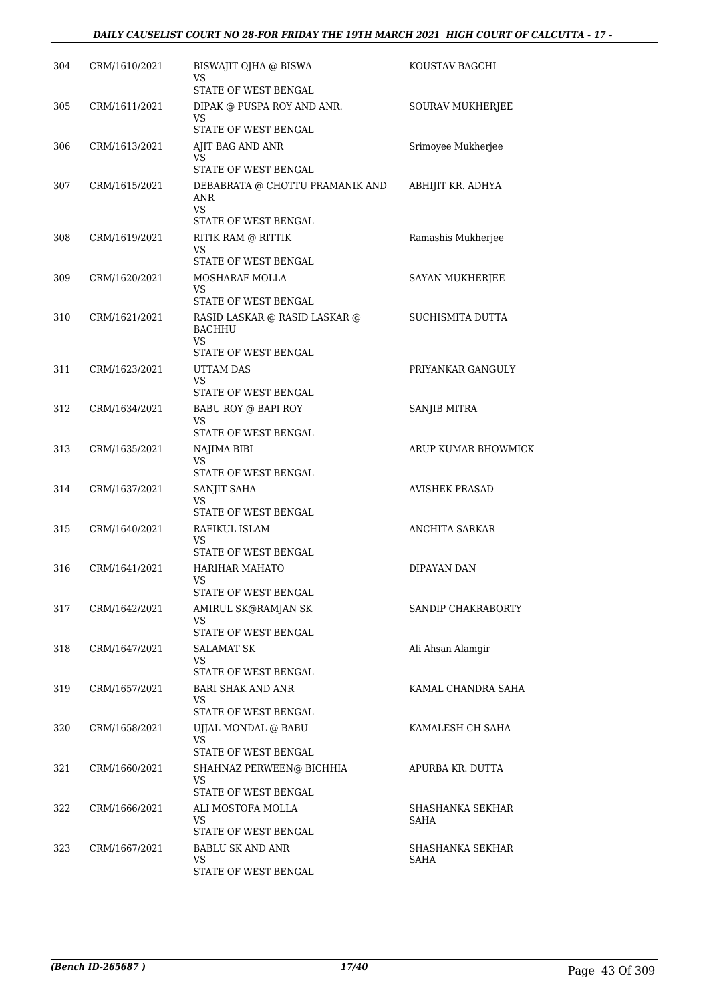| 304 | CRM/1610/2021 | BISWAJIT OJHA @ BISWA<br>VS<br>STATE OF WEST BENGAL                    | KOUSTAV BAGCHI        |
|-----|---------------|------------------------------------------------------------------------|-----------------------|
| 305 | CRM/1611/2021 | DIPAK @ PUSPA ROY AND ANR.<br>VS                                       | SOURAV MUKHERJEE      |
|     |               | STATE OF WEST BENGAL                                                   |                       |
| 306 | CRM/1613/2021 | AJIT BAG AND ANR<br>VS                                                 | Srimoyee Mukherjee    |
| 307 | CRM/1615/2021 | STATE OF WEST BENGAL<br>DEBABRATA @ CHOTTU PRAMANIK AND<br>ANR<br>VS.  | ABHIJIT KR. ADHYA     |
| 308 | CRM/1619/2021 | STATE OF WEST BENGAL<br>RITIK RAM @ RITTIK<br>VS                       | Ramashis Mukherjee    |
| 309 | CRM/1620/2021 | STATE OF WEST BENGAL<br>MOSHARAF MOLLA<br>VS                           | SAYAN MUKHERJEE       |
| 310 | CRM/1621/2021 | STATE OF WEST BENGAL<br>RASID LASKAR @ RASID LASKAR @<br><b>BACHHU</b> | SUCHISMITA DUTTA      |
|     |               | VS<br>STATE OF WEST BENGAL                                             |                       |
| 311 | CRM/1623/2021 | <b>UTTAM DAS</b><br>VS                                                 | PRIYANKAR GANGULY     |
|     |               | STATE OF WEST BENGAL                                                   |                       |
| 312 | CRM/1634/2021 | <b>BABU ROY @ BAPI ROY</b><br>VS<br>STATE OF WEST BENGAL               | SANJIB MITRA          |
| 313 | CRM/1635/2021 | NAJIMA BIBI<br>VS                                                      | ARUP KUMAR BHOWMICK   |
|     |               | STATE OF WEST BENGAL                                                   |                       |
| 314 | CRM/1637/2021 | SANJIT SAHA<br>VS                                                      | <b>AVISHEK PRASAD</b> |
| 315 | CRM/1640/2021 | STATE OF WEST BENGAL<br>RAFIKUL ISLAM<br>VS                            | <b>ANCHITA SARKAR</b> |
| 316 | CRM/1641/2021 | STATE OF WEST BENGAL<br><b>HARIHAR MAHATO</b><br>VS                    | DIPAYAN DAN           |
|     |               | STATE OF WEST BENGAL                                                   |                       |
| 317 | CRM/1642/2021 | AMIRUL SK@RAMJAN SK<br>VS<br>STATE OF WEST BENGAL                      | SANDIP CHAKRABORTY    |
| 318 | CRM/1647/2021 | <b>SALAMAT SK</b><br>VS<br>STATE OF WEST BENGAL                        | Ali Ahsan Alamgir     |
| 319 | CRM/1657/2021 | BARI SHAK AND ANR<br>VS<br>STATE OF WEST BENGAL                        | KAMAL CHANDRA SAHA    |
| 320 | CRM/1658/2021 | UJJAL MONDAL @ BABU<br>VS                                              | KAMALESH CH SAHA      |
|     |               | STATE OF WEST BENGAL                                                   |                       |
| 321 | CRM/1660/2021 | SHAHNAZ PERWEEN@ BICHHIA<br>VS                                         | APURBA KR. DUTTA      |
| 322 | CRM/1666/2021 | STATE OF WEST BENGAL<br>ALI MOSTOFA MOLLA                              | SHASHANKA SEKHAR      |
|     |               | VS<br>STATE OF WEST BENGAL                                             | SAHA                  |
| 323 | CRM/1667/2021 | <b>BABLU SK AND ANR</b>                                                | SHASHANKA SEKHAR      |
|     |               | VS.<br>STATE OF WEST BENGAL                                            | SAHA                  |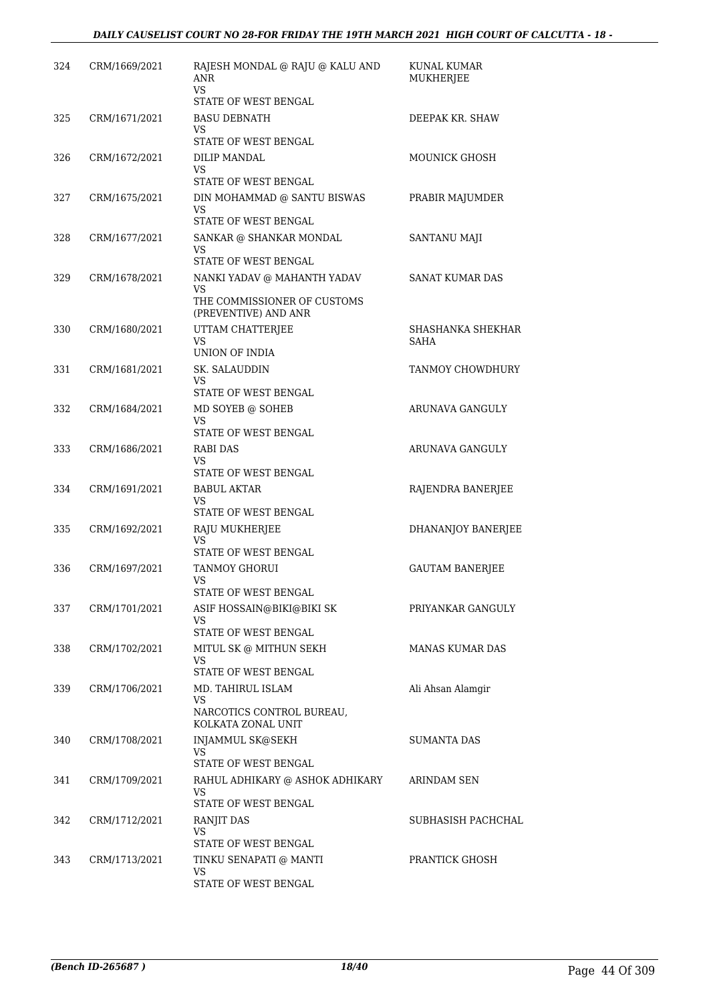| 324 | CRM/1669/2021 | RAJESH MONDAL @ RAJU @ KALU AND<br>ANR<br><b>VS</b>       | KUNAL KUMAR<br>MUKHERJEE |
|-----|---------------|-----------------------------------------------------------|--------------------------|
|     |               | STATE OF WEST BENGAL                                      |                          |
| 325 | CRM/1671/2021 | <b>BASU DEBNATH</b>                                       | DEEPAK KR. SHAW          |
|     |               | VS<br>STATE OF WEST BENGAL                                |                          |
| 326 | CRM/1672/2021 | DILIP MANDAL                                              | <b>MOUNICK GHOSH</b>     |
|     |               | VS<br>STATE OF WEST BENGAL                                |                          |
| 327 | CRM/1675/2021 | DIN MOHAMMAD @ SANTU BISWAS                               | PRABIR MAJUMDER          |
|     |               | VS<br>STATE OF WEST BENGAL                                |                          |
| 328 | CRM/1677/2021 | SANKAR @ SHANKAR MONDAL                                   | SANTANU MAJI             |
|     |               | VS<br>STATE OF WEST BENGAL                                |                          |
| 329 | CRM/1678/2021 | NANKI YADAV @ MAHANTH YADAV                               | SANAT KUMAR DAS          |
|     |               | VS<br>THE COMMISSIONER OF CUSTOMS<br>(PREVENTIVE) AND ANR |                          |
| 330 | CRM/1680/2021 | UTTAM CHATTERJEE                                          | SHASHANKA SHEKHAR        |
|     |               | VS<br>UNION OF INDIA                                      | SAHA                     |
| 331 | CRM/1681/2021 | SK. SALAUDDIN                                             | TANMOY CHOWDHURY         |
|     |               | VS                                                        |                          |
| 332 | CRM/1684/2021 | STATE OF WEST BENGAL<br>MD SOYEB @ SOHEB                  | ARUNAVA GANGULY          |
|     |               | <b>VS</b>                                                 |                          |
|     |               | STATE OF WEST BENGAL                                      |                          |
| 333 | CRM/1686/2021 | <b>RABI DAS</b><br>VS                                     | ARUNAVA GANGULY          |
|     |               | STATE OF WEST BENGAL                                      |                          |
| 334 | CRM/1691/2021 | <b>BABUL AKTAR</b><br>VS                                  | RAJENDRA BANERJEE        |
|     |               | STATE OF WEST BENGAL                                      |                          |
| 335 | CRM/1692/2021 | RAJU MUKHERJEE                                            | DHANANJOY BANERJEE       |
|     |               | VS<br>STATE OF WEST BENGAL                                |                          |
| 336 | CRM/1697/2021 | <b>TANMOY GHORUI</b>                                      | <b>GAUTAM BANERJEE</b>   |
|     |               | VS<br>STATE OF WEST BENGAL                                |                          |
| 337 | CRM/1701/2021 | ASIF HOSSAIN@BIKI@BIKI SK                                 | PRIYANKAR GANGULY        |
|     |               | VS.                                                       |                          |
| 338 | CRM/1702/2021 | STATE OF WEST BENGAL<br>MITUL SK @ MITHUN SEKH            | <b>MANAS KUMAR DAS</b>   |
|     |               | VS                                                        |                          |
|     |               | STATE OF WEST BENGAL                                      |                          |
| 339 | CRM/1706/2021 | MD. TAHIRUL ISLAM<br>VS.                                  | Ali Ahsan Alamgir        |
|     |               | NARCOTICS CONTROL BUREAU,<br>KOLKATA ZONAL UNIT           |                          |
| 340 | CRM/1708/2021 | INJAMMUL SK@SEKH<br>VS                                    | <b>SUMANTA DAS</b>       |
|     |               | STATE OF WEST BENGAL                                      |                          |
| 341 | CRM/1709/2021 | RAHUL ADHIKARY @ ASHOK ADHIKARY                           | ARINDAM SEN              |
|     |               | VS.<br>STATE OF WEST BENGAL                               |                          |
| 342 | CRM/1712/2021 | RANJIT DAS                                                | SUBHASISH PACHCHAL       |
|     |               | VS<br>STATE OF WEST BENGAL                                |                          |
| 343 | CRM/1713/2021 | TINKU SENAPATI @ MANTI                                    | PRANTICK GHOSH           |
|     |               | VS                                                        |                          |
|     |               | STATE OF WEST BENGAL                                      |                          |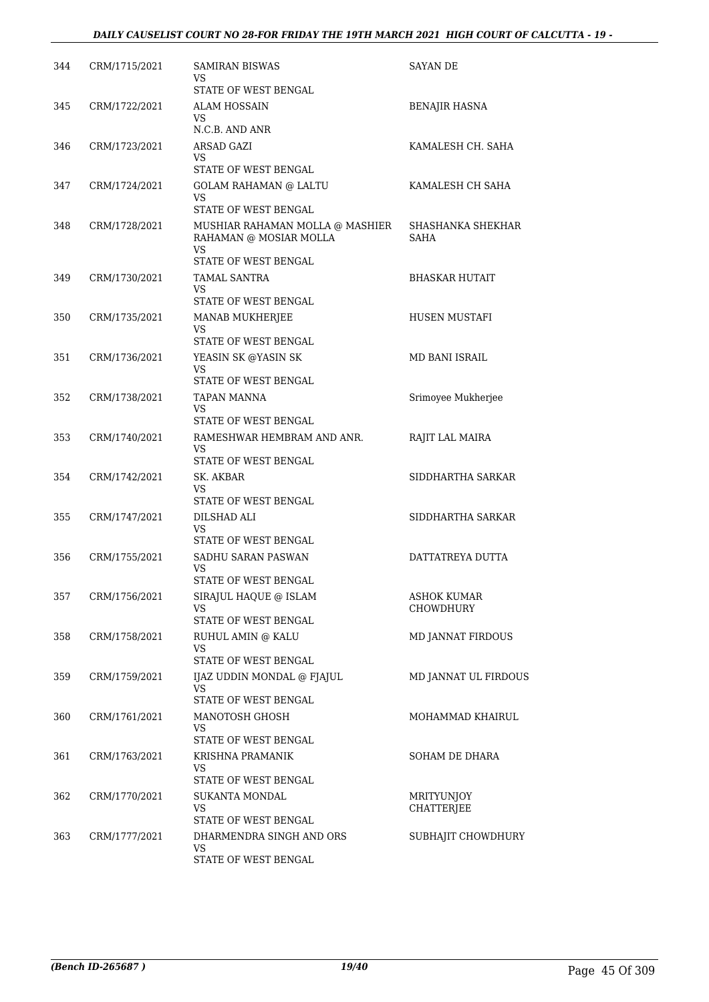| 344 | CRM/1715/2021 | SAMIRAN BISWAS<br>VS<br>STATE OF WEST BENGAL               | <b>SAYAN DE</b>           |
|-----|---------------|------------------------------------------------------------|---------------------------|
| 345 | CRM/1722/2021 | ALAM HOSSAIN                                               | <b>BENAJIR HASNA</b>      |
|     |               | VS<br>N.C.B. AND ANR                                       |                           |
| 346 | CRM/1723/2021 | ARSAD GAZI                                                 | KAMALESH CH. SAHA         |
|     |               | <b>VS</b>                                                  |                           |
|     |               | STATE OF WEST BENGAL                                       |                           |
| 347 | CRM/1724/2021 | <b>GOLAM RAHAMAN @ LALTU</b><br>VS<br>STATE OF WEST BENGAL | KAMALESH CH SAHA          |
| 348 | CRM/1728/2021 | MUSHIAR RAHAMAN MOLLA @ MASHIER<br>RAHAMAN @ MOSIAR MOLLA  | SHASHANKA SHEKHAR<br>SAHA |
|     |               | VS<br>STATE OF WEST BENGAL                                 |                           |
| 349 | CRM/1730/2021 | TAMAL SANTRA                                               | BHASKAR HUTAIT            |
|     |               | VS<br>STATE OF WEST BENGAL                                 |                           |
| 350 | CRM/1735/2021 | MANAB MUKHERJEE                                            | HUSEN MUSTAFI             |
|     |               | VS                                                         |                           |
|     |               | STATE OF WEST BENGAL                                       |                           |
| 351 | CRM/1736/2021 | YEASIN SK @YASIN SK<br>VS                                  | MD BANI ISRAIL            |
|     |               | STATE OF WEST BENGAL                                       |                           |
| 352 | CRM/1738/2021 | TAPAN MANNA                                                | Srimoyee Mukherjee        |
|     |               | VS.<br>STATE OF WEST BENGAL                                |                           |
| 353 | CRM/1740/2021 | RAMESHWAR HEMBRAM AND ANR.                                 | RAJIT LAL MAIRA           |
|     |               | VS<br>STATE OF WEST BENGAL                                 |                           |
| 354 | CRM/1742/2021 | SK. AKBAR<br>VS                                            | SIDDHARTHA SARKAR         |
|     |               | STATE OF WEST BENGAL                                       |                           |
| 355 | CRM/1747/2021 | DILSHAD ALI                                                | SIDDHARTHA SARKAR         |
|     |               | VS<br>STATE OF WEST BENGAL                                 |                           |
| 356 | CRM/1755/2021 | SADHU SARAN PASWAN                                         | DATTATREYA DUTTA          |
|     |               | VS                                                         |                           |
|     |               | STATE OF WEST BENGAL                                       |                           |
| 357 | CRM/1756/2021 | SIRAJUL HAQUE @ ISLAM<br>VS                                | ASHOK KUMAR<br>CHOWDHURY  |
|     |               | STATE OF WEST BENGAL                                       |                           |
| 358 | CRM/1758/2021 | RUHUL AMIN @ KALU<br>VS                                    | <b>MD JANNAT FIRDOUS</b>  |
|     |               | STATE OF WEST BENGAL                                       |                           |
| 359 | CRM/1759/2021 | IJAZ UDDIN MONDAL @ FJAJUL<br>VS                           | MD JANNAT UL FIRDOUS      |
|     |               | STATE OF WEST BENGAL                                       |                           |
| 360 | CRM/1761/2021 | MANOTOSH GHOSH<br>VS                                       | MOHAMMAD KHAIRUL          |
|     |               | STATE OF WEST BENGAL                                       |                           |
| 361 | CRM/1763/2021 | KRISHNA PRAMANIK                                           | SOHAM DE DHARA            |
|     |               | VS<br>STATE OF WEST BENGAL                                 |                           |
| 362 | CRM/1770/2021 | SUKANTA MONDAL                                             | MRITYUNJOY                |
|     |               | VS                                                         | CHATTERJEE                |
|     |               | STATE OF WEST BENGAL                                       |                           |
| 363 | CRM/1777/2021 | DHARMENDRA SINGH AND ORS<br>VS                             | SUBHAJIT CHOWDHURY        |
|     |               | STATE OF WEST BENGAL                                       |                           |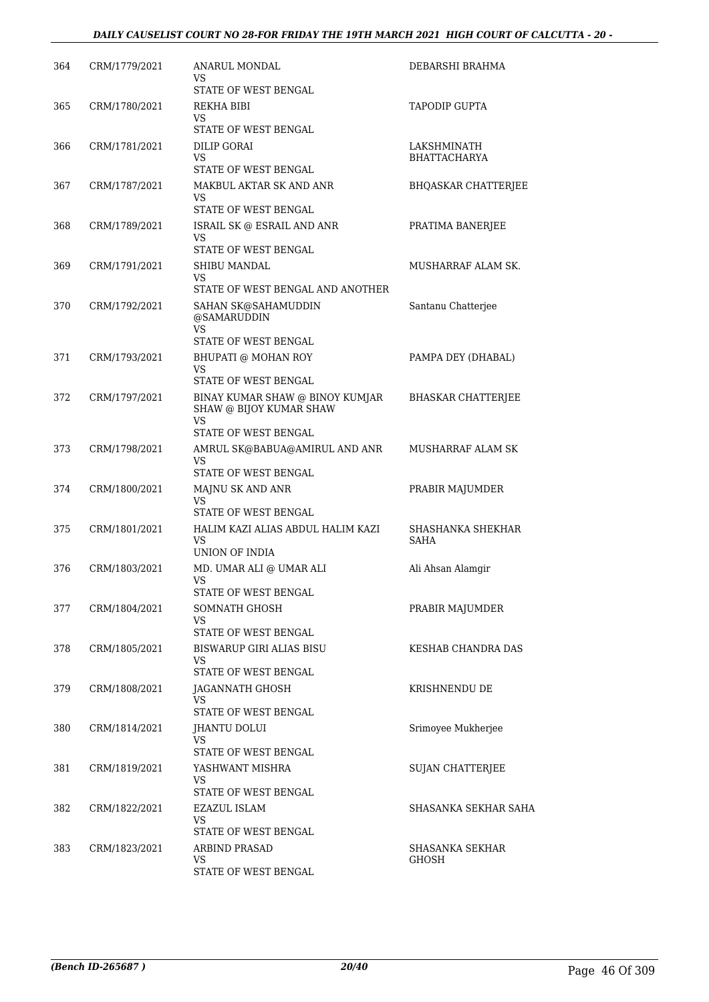| 364 | CRM/1779/2021 | ANARUL MONDAL<br>VS                                                     | DEBARSHI BRAHMA                  |
|-----|---------------|-------------------------------------------------------------------------|----------------------------------|
| 365 | CRM/1780/2021 | STATE OF WEST BENGAL<br>REKHA BIBI                                      | <b>TAPODIP GUPTA</b>             |
|     |               | VS<br>STATE OF WEST BENGAL                                              |                                  |
| 366 | CRM/1781/2021 | DILIP GORAI                                                             | LAKSHMINATH                      |
|     |               | VS<br>STATE OF WEST BENGAL                                              | <b>BHATTACHARYA</b>              |
| 367 | CRM/1787/2021 | MAKBUL AKTAR SK AND ANR                                                 | <b>BHQASKAR CHATTERJEE</b>       |
|     |               | VS                                                                      |                                  |
|     |               | STATE OF WEST BENGAL                                                    |                                  |
| 368 | CRM/1789/2021 | ISRAIL SK @ ESRAIL AND ANR<br>VS                                        | PRATIMA BANERJEE                 |
|     |               | STATE OF WEST BENGAL                                                    |                                  |
| 369 | CRM/1791/2021 | SHIBU MANDAL<br>VS                                                      | MUSHARRAF ALAM SK.               |
|     |               | STATE OF WEST BENGAL AND ANOTHER                                        |                                  |
| 370 | CRM/1792/2021 | SAHAN SK@SAHAMUDDIN<br>@SAMARUDDIN<br><b>VS</b>                         | Santanu Chatterjee               |
|     |               | STATE OF WEST BENGAL                                                    |                                  |
| 371 | CRM/1793/2021 | BHUPATI @ MOHAN ROY                                                     | PAMPA DEY (DHABAL)               |
|     |               | VS<br>STATE OF WEST BENGAL                                              |                                  |
| 372 | CRM/1797/2021 | BINAY KUMAR SHAW @ BINOY KUMJAR<br>SHAW @ BIJOY KUMAR SHAW<br><b>VS</b> | <b>BHASKAR CHATTERIEE</b>        |
|     |               | STATE OF WEST BENGAL                                                    |                                  |
| 373 | CRM/1798/2021 | AMRUL SK@BABUA@AMIRUL AND ANR<br>VS                                     | MUSHARRAF ALAM SK                |
|     |               | STATE OF WEST BENGAL                                                    |                                  |
| 374 | CRM/1800/2021 | MAJNU SK AND ANR<br><b>VS</b>                                           | PRABIR MAJUMDER                  |
|     |               | STATE OF WEST BENGAL                                                    |                                  |
| 375 | CRM/1801/2021 | HALIM KAZI ALIAS ABDUL HALIM KAZI<br>VS.<br>UNION OF INDIA              | SHASHANKA SHEKHAR<br><b>SAHA</b> |
| 376 | CRM/1803/2021 | MD. UMAR ALI @ UMAR ALI                                                 | Ali Ahsan Alamgir                |
|     |               | <b>VS</b><br>STATE OF WEST BENGAL                                       |                                  |
| 377 | CRM/1804/2021 | SOMNATH GHOSH                                                           | PRABIR MAJUMDER                  |
|     |               | VS                                                                      |                                  |
|     |               | STATE OF WEST BENGAL<br><b>BISWARUP GIRI ALIAS BISU</b>                 |                                  |
| 378 | CRM/1805/2021 | VS                                                                      | KESHAB CHANDRA DAS               |
|     |               | STATE OF WEST BENGAL                                                    |                                  |
| 379 | CRM/1808/2021 | JAGANNATH GHOSH<br>VS                                                   | KRISHNENDU DE                    |
|     |               | STATE OF WEST BENGAL                                                    |                                  |
| 380 | CRM/1814/2021 | JHANTU DOLUI<br>VS                                                      | Srimoyee Mukherjee               |
|     |               | STATE OF WEST BENGAL                                                    |                                  |
| 381 | CRM/1819/2021 | YASHWANT MISHRA                                                         | SUJAN CHATTERJEE                 |
|     |               | VS<br>STATE OF WEST BENGAL                                              |                                  |
| 382 | CRM/1822/2021 | EZAZUL ISLAM                                                            | SHASANKA SEKHAR SAHA             |
|     |               | VS                                                                      |                                  |
| 383 | CRM/1823/2021 | STATE OF WEST BENGAL<br>ARBIND PRASAD                                   | SHASANKA SEKHAR                  |
|     |               | VS                                                                      | GHOSH                            |
|     |               | STATE OF WEST BENGAL                                                    |                                  |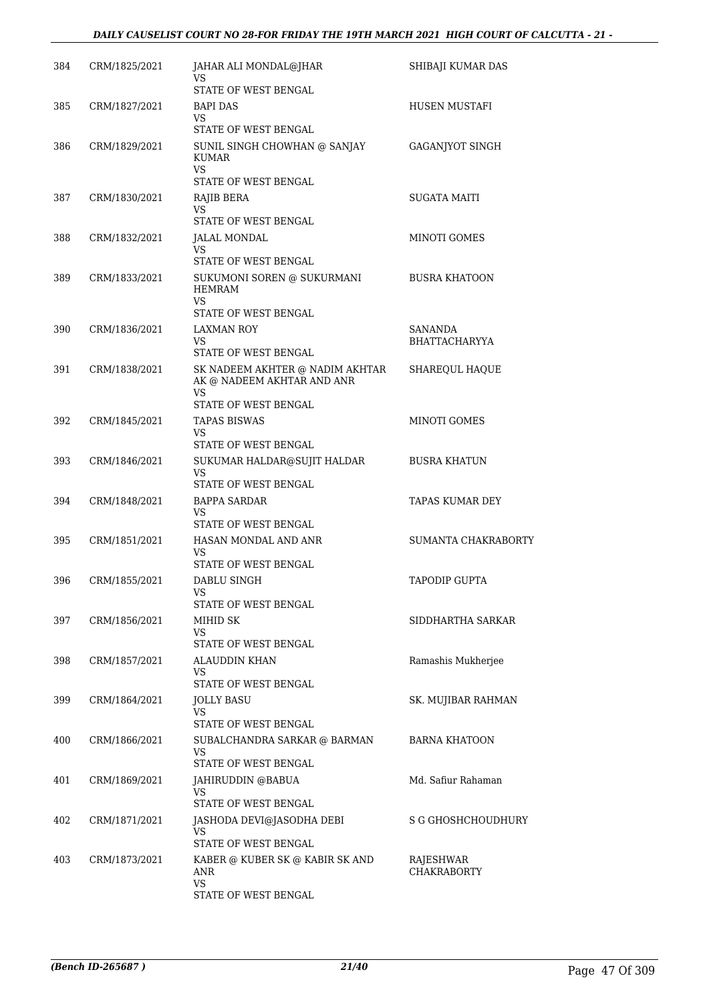| 384 | CRM/1825/2021 | JAHAR ALI MONDAL@JHAR<br>VS                                                | SHIBAJI KUMAR DAS                      |
|-----|---------------|----------------------------------------------------------------------------|----------------------------------------|
|     |               | STATE OF WEST BENGAL                                                       |                                        |
| 385 | CRM/1827/2021 | <b>BAPI DAS</b><br>VS.<br>STATE OF WEST BENGAL                             | HUSEN MUSTAFI                          |
| 386 | CRM/1829/2021 | SUNIL SINGH CHOWHAN @ SANJAY<br>KUMAR<br>VS.                               | GAGANJYOT SINGH                        |
|     |               | STATE OF WEST BENGAL                                                       |                                        |
| 387 | CRM/1830/2021 | RAJIB BERA<br>VS                                                           | SUGATA MAITI                           |
|     |               | STATE OF WEST BENGAL                                                       |                                        |
| 388 | CRM/1832/2021 | JALAL MONDAL<br>VS                                                         | MINOTI GOMES                           |
| 389 | CRM/1833/2021 | STATE OF WEST BENGAL<br>SUKUMONI SOREN @ SUKURMANI<br><b>HEMRAM</b><br>VS. | <b>BUSRA KHATOON</b>                   |
|     |               | STATE OF WEST BENGAL                                                       |                                        |
| 390 | CRM/1836/2021 | <b>LAXMAN ROY</b><br>VS                                                    | <b>SANANDA</b><br><b>BHATTACHARYYA</b> |
|     |               | STATE OF WEST BENGAL                                                       |                                        |
| 391 | CRM/1838/2021 | SK NADEEM AKHTER @ NADIM AKHTAR<br>AK @ NADEEM AKHTAR AND ANR<br>VS        | SHAREQUL HAQUE                         |
|     |               | STATE OF WEST BENGAL                                                       |                                        |
| 392 | CRM/1845/2021 | <b>TAPAS BISWAS</b><br>VS<br>STATE OF WEST BENGAL                          | <b>MINOTI GOMES</b>                    |
| 393 | CRM/1846/2021 | SUKUMAR HALDAR@SUJIT HALDAR<br><b>VS</b>                                   | <b>BUSRA KHATUN</b>                    |
| 394 | CRM/1848/2021 | STATE OF WEST BENGAL<br><b>BAPPA SARDAR</b>                                | TAPAS KUMAR DEY                        |
|     |               | VS                                                                         |                                        |
|     |               | STATE OF WEST BENGAL                                                       |                                        |
| 395 | CRM/1851/2021 | HASAN MONDAL AND ANR<br>VS<br>STATE OF WEST BENGAL                         | SUMANTA CHAKRABORTY                    |
| 396 | CRM/1855/2021 | DABLU SINGH                                                                | <b>TAPODIP GUPTA</b>                   |
|     |               |                                                                            |                                        |
| 397 | CRM/1856/2021 | STATE OF WEST BENGAL<br>MIHID SK                                           | SIDDHARTHA SARKAR                      |
|     |               | VS                                                                         |                                        |
|     |               | STATE OF WEST BENGAL                                                       |                                        |
| 398 | CRM/1857/2021 | ALAUDDIN KHAN<br>VS.                                                       | Ramashis Mukherjee                     |
|     |               | STATE OF WEST BENGAL                                                       |                                        |
| 399 | CRM/1864/2021 | <b>JOLLY BASU</b><br>VS                                                    | SK. MUJIBAR RAHMAN                     |
|     |               | STATE OF WEST BENGAL                                                       |                                        |
| 400 | CRM/1866/2021 | SUBALCHANDRA SARKAR @ BARMAN<br>VS<br>STATE OF WEST BENGAL                 | <b>BARNA KHATOON</b>                   |
| 401 | CRM/1869/2021 | JAHIRUDDIN @BABUA                                                          | Md. Safiur Rahaman                     |
|     |               | VS<br>STATE OF WEST BENGAL                                                 |                                        |
| 402 | CRM/1871/2021 | JASHODA DEVI@JASODHA DEBI                                                  | S G GHOSHCHOUDHURY                     |
|     |               | VS                                                                         |                                        |
|     |               | STATE OF WEST BENGAL                                                       |                                        |
| 403 | CRM/1873/2021 | KABER @ KUBER SK @ KABIR SK AND<br>ANR<br><b>VS</b>                        | RAJESHWAR<br><b>CHAKRABORTY</b>        |
|     |               | STATE OF WEST BENGAL                                                       |                                        |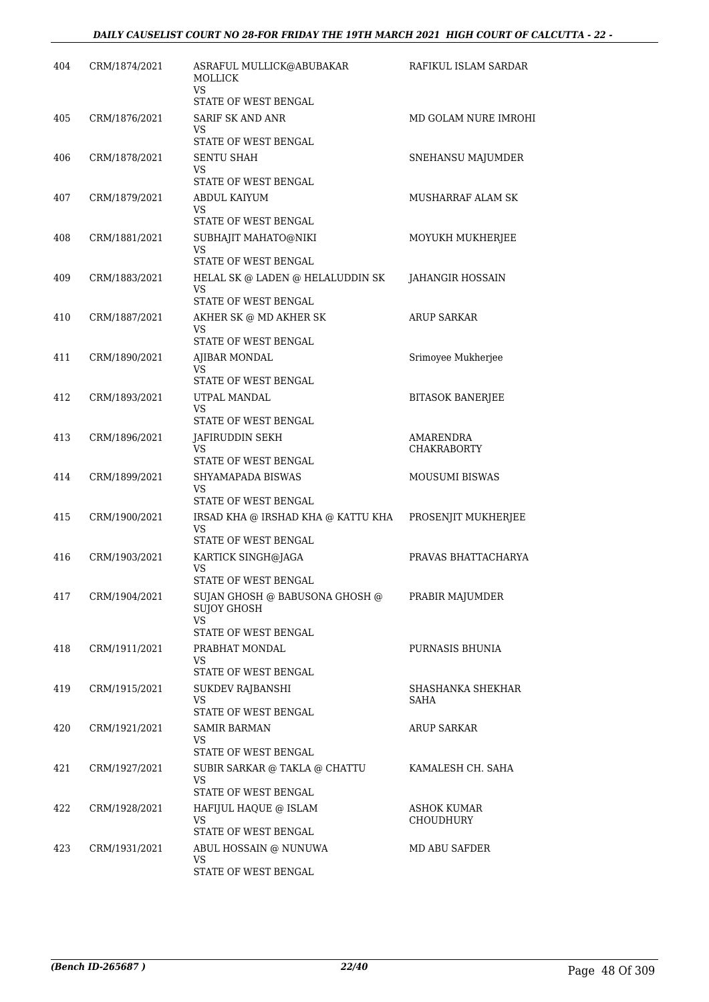| 404 | CRM/1874/2021 | ASRAFUL MULLICK@ABUBAKAR<br>MOLLICK<br>VS. | RAFIKUL ISLAM SARDAR            |
|-----|---------------|--------------------------------------------|---------------------------------|
|     |               | STATE OF WEST BENGAL                       |                                 |
| 405 | CRM/1876/2021 | SARIF SK AND ANR<br>VS                     | MD GOLAM NURE IMROHI            |
|     |               | STATE OF WEST BENGAL                       |                                 |
| 406 | CRM/1878/2021 | <b>SENTU SHAH</b>                          | SNEHANSU MAJUMDER               |
|     |               | VS<br>STATE OF WEST BENGAL                 |                                 |
| 407 | CRM/1879/2021 | ABDUL KAIYUM                               | MUSHARRAF ALAM SK               |
|     |               | VS<br>STATE OF WEST BENGAL                 |                                 |
| 408 | CRM/1881/2021 | SUBHAJIT MAHATO@NIKI                       | MOYUKH MUKHERJEE                |
|     |               | VS<br>STATE OF WEST BENGAL                 |                                 |
| 409 | CRM/1883/2021 | HELAL SK @ LADEN @ HELALUDDIN SK           | JAHANGIR HOSSAIN                |
|     |               | VS<br>STATE OF WEST BENGAL                 |                                 |
| 410 | CRM/1887/2021 | AKHER SK @ MD AKHER SK                     | <b>ARUP SARKAR</b>              |
|     |               | VS                                         |                                 |
| 411 | CRM/1890/2021 | STATE OF WEST BENGAL<br>AJIBAR MONDAL      | Srimoyee Mukherjee              |
|     |               | VS                                         |                                 |
|     |               | STATE OF WEST BENGAL                       |                                 |
| 412 | CRM/1893/2021 | UTPAL MANDAL<br>VS                         | <b>BITASOK BANERJEE</b>         |
|     |               | STATE OF WEST BENGAL                       |                                 |
| 413 | CRM/1896/2021 | JAFIRUDDIN SEKH<br>VS                      | AMARENDRA<br><b>CHAKRABORTY</b> |
|     |               | STATE OF WEST BENGAL                       |                                 |
| 414 | CRM/1899/2021 | SHYAMAPADA BISWAS<br>VS                    | <b>MOUSUMI BISWAS</b>           |
|     |               | STATE OF WEST BENGAL                       |                                 |
| 415 | CRM/1900/2021 | IRSAD KHA @ IRSHAD KHA @ KATTU KHA         | PROSENJIT MUKHERJEE             |
|     |               | VS<br>STATE OF WEST BENGAL                 |                                 |
| 416 | CRM/1903/2021 | KARTICK SINGH@JAGA                         | PRAVAS BHATTACHARYA             |
|     |               | VS<br>STATE OF WEST BENGAL                 |                                 |
| 417 | CRM/1904/2021 | SUJAN GHOSH @ BABUSONA GHOSH @             | PRABIR MAJUMDER                 |
|     |               | <b>SUJOY GHOSH</b><br>VS.                  |                                 |
|     |               | STATE OF WEST BENGAL                       |                                 |
| 418 | CRM/1911/2021 | PRABHAT MONDAL<br>VS                       | PURNASIS BHUNIA                 |
|     |               | STATE OF WEST BENGAL                       |                                 |
| 419 | CRM/1915/2021 | SUKDEV RAJBANSHI                           | SHASHANKA SHEKHAR               |
|     |               | VS<br>STATE OF WEST BENGAL                 | SAHA                            |
| 420 | CRM/1921/2021 | <b>SAMIR BARMAN</b>                        | ARUP SARKAR                     |
|     |               | VS.<br>STATE OF WEST BENGAL                |                                 |
| 421 | CRM/1927/2021 | SUBIR SARKAR @ TAKLA @ CHATTU              | KAMALESH CH. SAHA               |
|     |               | <b>VS</b><br>STATE OF WEST BENGAL          |                                 |
| 422 | CRM/1928/2021 | HAFIJUL HAQUE @ ISLAM                      | <b>ASHOK KUMAR</b>              |
|     |               | VS                                         | CHOUDHURY                       |
|     |               | STATE OF WEST BENGAL                       |                                 |
| 423 | CRM/1931/2021 | ABUL HOSSAIN @ NUNUWA<br><b>VS</b>         | MD ABU SAFDER                   |
|     |               | STATE OF WEST BENGAL                       |                                 |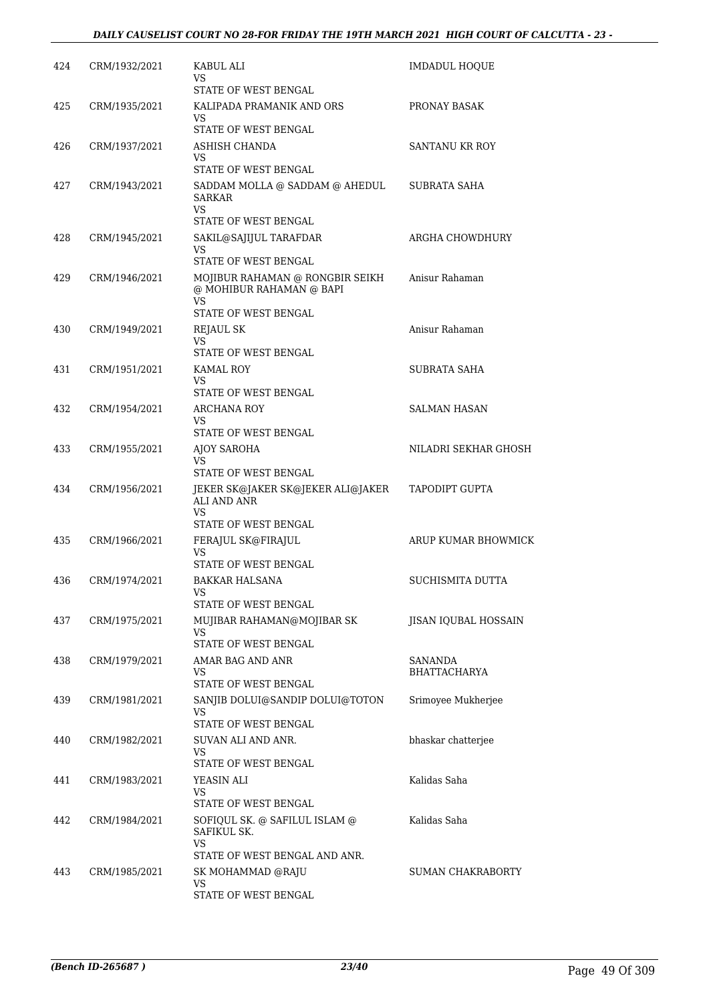| 424 | CRM/1932/2021 | KABUL ALI<br>VS                                                          | <b>IMDADUL HOOUE</b> |
|-----|---------------|--------------------------------------------------------------------------|----------------------|
| 425 | CRM/1935/2021 | STATE OF WEST BENGAL<br>KALIPADA PRAMANIK AND ORS                        | PRONAY BASAK         |
|     |               | VS<br>STATE OF WEST BENGAL                                               |                      |
| 426 | CRM/1937/2021 | ASHISH CHANDA                                                            | SANTANU KR ROY       |
|     |               | VS<br>STATE OF WEST BENGAL                                               |                      |
| 427 | CRM/1943/2021 | SADDAM MOLLA @ SADDAM @ AHEDUL<br><b>SARKAR</b><br>VS.                   | SUBRATA SAHA         |
|     |               | STATE OF WEST BENGAL                                                     |                      |
| 428 | CRM/1945/2021 | SAKIL@SAJIJUL TARAFDAR<br>VS                                             | ARGHA CHOWDHURY      |
|     |               | STATE OF WEST BENGAL                                                     |                      |
| 429 | CRM/1946/2021 | MOJIBUR RAHAMAN @ RONGBIR SEIKH<br>@ MOHIBUR RAHAMAN @ BAPI<br><b>VS</b> | Anisur Rahaman       |
|     |               | STATE OF WEST BENGAL                                                     |                      |
| 430 | CRM/1949/2021 | REJAUL SK                                                                | Anisur Rahaman       |
|     |               | VS<br>STATE OF WEST BENGAL                                               |                      |
| 431 | CRM/1951/2021 | <b>KAMAL ROY</b><br>VS                                                   | SUBRATA SAHA         |
|     |               | STATE OF WEST BENGAL                                                     |                      |
| 432 | CRM/1954/2021 | ARCHANA ROY<br>VS.                                                       | SALMAN HASAN         |
|     |               | STATE OF WEST BENGAL                                                     |                      |
| 433 | CRM/1955/2021 | AJOY SAROHA<br>VS<br>STATE OF WEST BENGAL                                | NILADRI SEKHAR GHOSH |
| 434 | CRM/1956/2021 | JEKER SK@JAKER SK@JEKER ALI@JAKER<br>ALI AND ANR                         | TAPODIPT GUPTA       |
|     |               | VS<br>STATE OF WEST BENGAL                                               |                      |
| 435 | CRM/1966/2021 | FERAJUL SK@FIRAJUL<br>VS.                                                | ARUP KUMAR BHOWMICK  |
|     |               | STATE OF WEST BENGAL                                                     |                      |
| 436 | CRM/1974/2021 | BAKKAR HALSANA<br>VS<br>STATE OF WEST BENGAL                             | SUCHISMITA DUTTA     |
| 437 | CRM/1975/2021 | MUJIBAR RAHAMAN@MOJIBAR SK                                               | JISAN IQUBAL HOSSAIN |
|     |               | VS                                                                       |                      |
|     |               | STATE OF WEST BENGAL                                                     | SANANDA              |
| 438 | CRM/1979/2021 | AMAR BAG AND ANR<br>VS                                                   | <b>BHATTACHARYA</b>  |
|     |               | STATE OF WEST BENGAL                                                     |                      |
| 439 | CRM/1981/2021 | SANJIB DOLUI@SANDIP DOLUI@TOTON<br>VS<br>STATE OF WEST BENGAL            | Srimoyee Mukherjee   |
| 440 | CRM/1982/2021 | SUVAN ALI AND ANR.                                                       | bhaskar chatterjee   |
|     |               | VS<br>STATE OF WEST BENGAL                                               |                      |
| 441 | CRM/1983/2021 | YEASIN ALI                                                               | Kalidas Saha         |
|     |               | VS<br>STATE OF WEST BENGAL                                               |                      |
| 442 | CRM/1984/2021 | SOFIQUL SK. @ SAFILUL ISLAM @<br>SAFIKUL SK.                             | Kalidas Saha         |
|     |               | VS<br>STATE OF WEST BENGAL AND ANR.                                      |                      |
| 443 | CRM/1985/2021 | SK MOHAMMAD @RAJU                                                        | SUMAN CHAKRABORTY    |
|     |               | VS<br>STATE OF WEST BENGAL                                               |                      |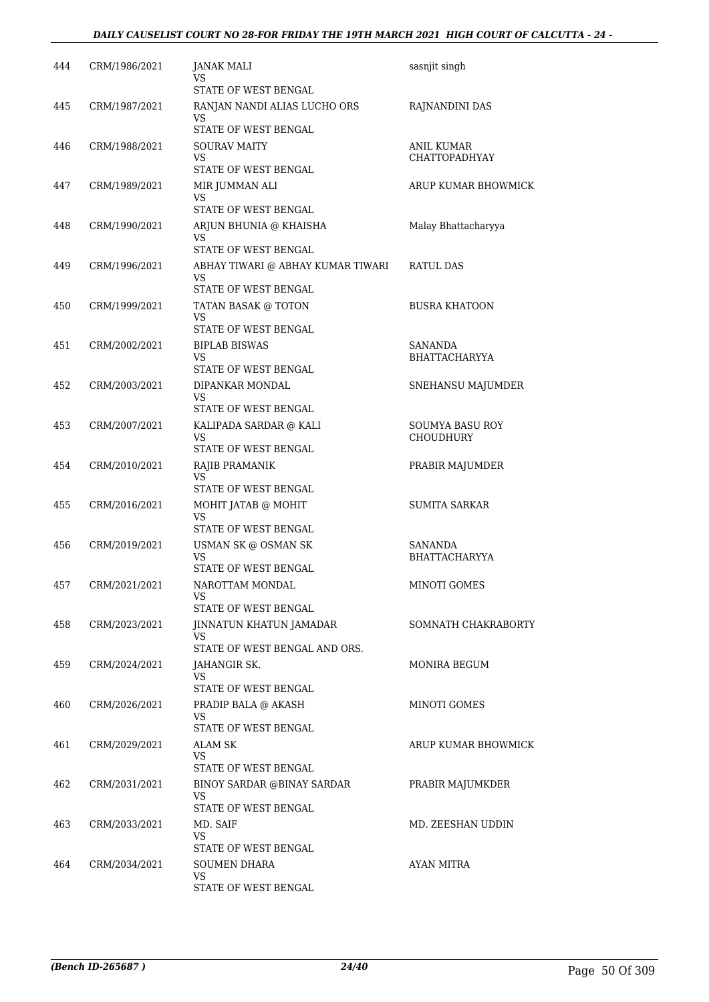#### *DAILY CAUSELIST COURT NO 28-FOR FRIDAY THE 19TH MARCH 2021 HIGH COURT OF CALCUTTA - 24 -*

| 444 | CRM/1986/2021 | JANAK MALI<br>VS                        | sasnjit singh                   |
|-----|---------------|-----------------------------------------|---------------------------------|
|     |               | STATE OF WEST BENGAL                    |                                 |
| 445 | CRM/1987/2021 | RANJAN NANDI ALIAS LUCHO ORS<br>VS      | RAJNANDINI DAS                  |
|     |               | STATE OF WEST BENGAL                    |                                 |
| 446 | CRM/1988/2021 | <b>SOURAV MAITY</b>                     | ANIL KUMAR                      |
|     |               | VS<br>STATE OF WEST BENGAL              | <b>CHATTOPADHYAY</b>            |
| 447 | CRM/1989/2021 | MIR JUMMAN ALI                          | ARUP KUMAR BHOWMICK             |
|     |               | VS<br>STATE OF WEST BENGAL              |                                 |
| 448 | CRM/1990/2021 | ARJUN BHUNIA @ KHAISHA                  | Malay Bhattacharyya             |
|     |               | VS                                      |                                 |
|     |               | STATE OF WEST BENGAL                    |                                 |
| 449 | CRM/1996/2021 | ABHAY TIWARI @ ABHAY KUMAR TIWARI<br>VS | RATUL DAS                       |
|     |               | STATE OF WEST BENGAL                    |                                 |
| 450 | CRM/1999/2021 | TATAN BASAK @ TOTON<br>VS.              | <b>BUSRA KHATOON</b>            |
|     |               | STATE OF WEST BENGAL                    |                                 |
| 451 | CRM/2002/2021 | <b>BIPLAB BISWAS</b><br>VS              | SANANDA<br><b>BHATTACHARYYA</b> |
|     |               | STATE OF WEST BENGAL                    |                                 |
| 452 | CRM/2003/2021 | DIPANKAR MONDAL<br>VS                   | SNEHANSU MAJUMDER               |
|     |               | STATE OF WEST BENGAL                    |                                 |
| 453 | CRM/2007/2021 | KALIPADA SARDAR @ KALI                  | <b>SOUMYA BASU ROY</b>          |
|     |               | VS<br>STATE OF WEST BENGAL              | CHOUDHURY                       |
| 454 | CRM/2010/2021 | RAJIB PRAMANIK                          | PRABIR MAJUMDER                 |
|     |               | VS                                      |                                 |
|     |               | STATE OF WEST BENGAL                    |                                 |
| 455 | CRM/2016/2021 | MOHIT JATAB @ MOHIT<br>VS               | <b>SUMITA SARKAR</b>            |
|     |               | STATE OF WEST BENGAL                    |                                 |
| 456 | CRM/2019/2021 | USMAN SK @ OSMAN SK<br>VS               | SANANDA<br><b>BHATTACHARYYA</b> |
|     |               | STATE OF WEST BENGAL                    |                                 |
| 457 | CRM/2021/2021 | NAROTTAM MONDAL                         | MINOTI GOMES                    |
|     |               | VS<br>STATE OF WEST BENGAL              |                                 |
| 458 | CRM/2023/2021 | JINNATUN KHATUN JAMADAR                 | SOMNATH CHAKRABORTY             |
|     |               | VS.                                     |                                 |
|     |               | STATE OF WEST BENGAL AND ORS.           | MONIRA BEGUM                    |
| 459 | CRM/2024/2021 | JAHANGIR SK.<br>VS                      |                                 |
|     |               | STATE OF WEST BENGAL                    |                                 |
| 460 | CRM/2026/2021 | PRADIP BALA @ AKASH<br>VS.              | MINOTI GOMES                    |
|     |               | STATE OF WEST BENGAL                    |                                 |
| 461 | CRM/2029/2021 | ALAM SK                                 | ARUP KUMAR BHOWMICK             |
|     |               | VS<br>STATE OF WEST BENGAL              |                                 |
| 462 | CRM/2031/2021 | BINOY SARDAR @BINAY SARDAR              | PRABIR MAJUMKDER                |
|     |               | VS.                                     |                                 |
| 463 | CRM/2033/2021 | STATE OF WEST BENGAL<br>MD. SAIF        | MD. ZEESHAN UDDIN               |
|     |               | VS.                                     |                                 |
|     |               | STATE OF WEST BENGAL                    |                                 |
| 464 | CRM/2034/2021 | <b>SOUMEN DHARA</b><br>VS               | AYAN MITRA                      |
|     |               | STATE OF WEST BENGAL                    |                                 |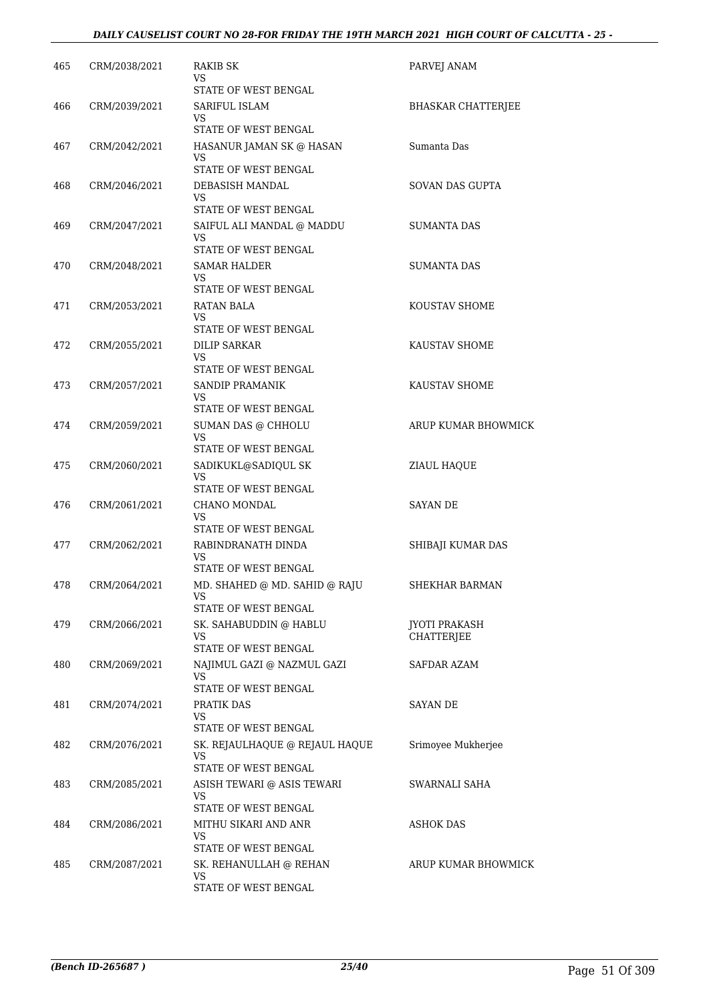#### *DAILY CAUSELIST COURT NO 28-FOR FRIDAY THE 19TH MARCH 2021 HIGH COURT OF CALCUTTA - 25 -*

| 465 | CRM/2038/2021 | RAKIB SK<br>VS                                   | PARVEJ ANAM               |
|-----|---------------|--------------------------------------------------|---------------------------|
| 466 | CRM/2039/2021 | STATE OF WEST BENGAL<br>SARIFUL ISLAM            | <b>BHASKAR CHATTERJEE</b> |
|     |               | VS                                               |                           |
| 467 | CRM/2042/2021 | STATE OF WEST BENGAL<br>HASANUR JAMAN SK @ HASAN | Sumanta Das               |
|     |               | VS                                               |                           |
|     |               | STATE OF WEST BENGAL                             |                           |
| 468 | CRM/2046/2021 | DEBASISH MANDAL<br>VS                            | SOVAN DAS GUPTA           |
|     |               | STATE OF WEST BENGAL                             |                           |
| 469 | CRM/2047/2021 | SAIFUL ALI MANDAL @ MADDU<br>VS.                 | SUMANTA DAS               |
|     |               | STATE OF WEST BENGAL                             |                           |
| 470 | CRM/2048/2021 | SAMAR HALDER                                     | SUMANTA DAS               |
|     |               | VS.<br>STATE OF WEST BENGAL                      |                           |
| 471 | CRM/2053/2021 | RATAN BALA                                       | <b>KOUSTAV SHOME</b>      |
|     |               | VS.                                              |                           |
| 472 | CRM/2055/2021 | STATE OF WEST BENGAL<br>DILIP SARKAR             | KAUSTAV SHOME             |
|     |               | VS                                               |                           |
|     |               | STATE OF WEST BENGAL                             |                           |
| 473 | CRM/2057/2021 | SANDIP PRAMANIK<br>VS                            | KAUSTAV SHOME             |
|     |               | STATE OF WEST BENGAL                             |                           |
| 474 | CRM/2059/2021 | SUMAN DAS @ CHHOLU                               | ARUP KUMAR BHOWMICK       |
|     |               | VS<br>STATE OF WEST BENGAL                       |                           |
| 475 | CRM/2060/2021 | SADIKUKL@SADIQUL SK                              | ZIAUL HAQUE               |
|     |               | VS<br>STATE OF WEST BENGAL                       |                           |
| 476 | CRM/2061/2021 | CHANO MONDAL                                     | SAYAN DE                  |
|     |               | VS                                               |                           |
|     |               | STATE OF WEST BENGAL                             |                           |
| 477 | CRM/2062/2021 | RABINDRANATH DINDA<br>VS.                        | SHIBAJI KUMAR DAS         |
|     |               | STATE OF WEST BENGAL                             |                           |
| 478 | CRM/2064/2021 | MD. SHAHED @ MD. SAHID @ RAJU<br>VS.             | SHEKHAR BARMAN            |
|     |               | STATE OF WEST BENGAL                             |                           |
| 479 | CRM/2066/2021 | SK. SAHABUDDIN @ HABLU                           | <b>JYOTI PRAKASH</b>      |
|     |               | VS.<br>STATE OF WEST BENGAL                      | <b>CHATTERJEE</b>         |
| 480 | CRM/2069/2021 | NAJIMUL GAZI @ NAZMUL GAZI                       | SAFDAR AZAM               |
|     |               | VS.<br>STATE OF WEST BENGAL                      |                           |
| 481 | CRM/2074/2021 | PRATIK DAS                                       | SAYAN DE                  |
|     |               | VS.                                              |                           |
|     |               | STATE OF WEST BENGAL                             |                           |
| 482 | CRM/2076/2021 | SK. REJAULHAQUE @ REJAUL HAQUE<br>VS.            | Srimoyee Mukherjee        |
|     |               | STATE OF WEST BENGAL                             |                           |
| 483 | CRM/2085/2021 | ASISH TEWARI @ ASIS TEWARI<br>VS                 | SWARNALI SAHA             |
|     |               | STATE OF WEST BENGAL                             |                           |
| 484 | CRM/2086/2021 | MITHU SIKARI AND ANR                             | ASHOK DAS                 |
|     |               | VS<br>STATE OF WEST BENGAL                       |                           |
| 485 | CRM/2087/2021 | SK. REHANULLAH @ REHAN                           | ARUP KUMAR BHOWMICK       |
|     |               | VS.                                              |                           |
|     |               | STATE OF WEST BENGAL                             |                           |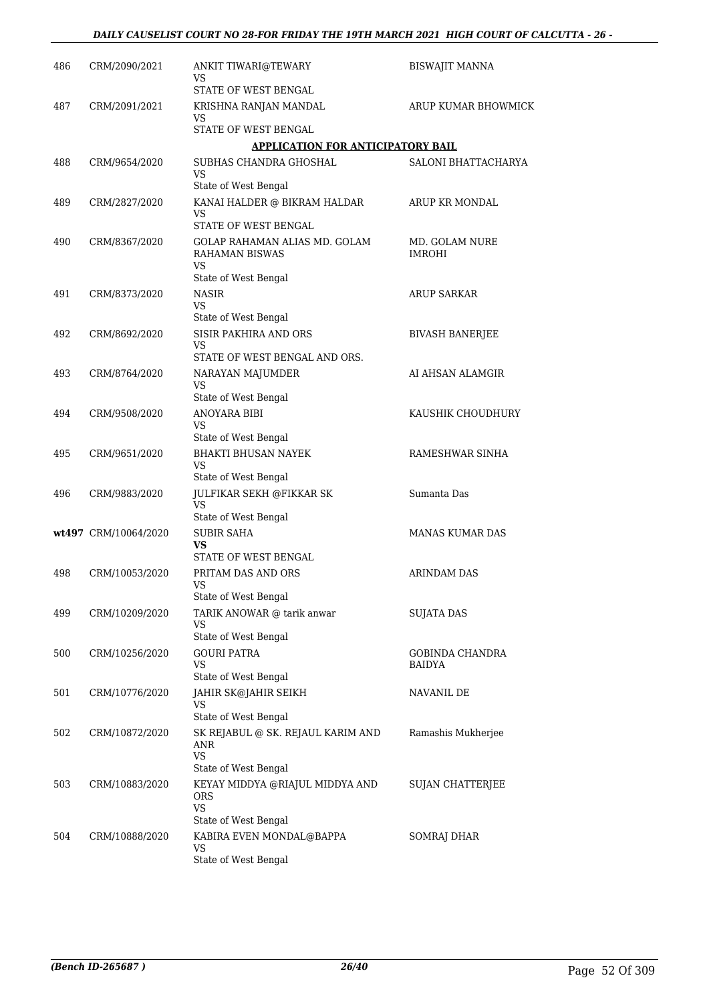| 486 | CRM/2090/2021        | ANKIT TIWARI@TEWARY<br>VS                                                          | <b>BISWAJIT MANNA</b>           |
|-----|----------------------|------------------------------------------------------------------------------------|---------------------------------|
| 487 | CRM/2091/2021        | STATE OF WEST BENGAL<br>KRISHNA RANJAN MANDAL                                      | ARUP KUMAR BHOWMICK             |
|     |                      | VS<br>STATE OF WEST BENGAL                                                         |                                 |
|     |                      | <b>APPLICATION FOR ANTICIPATORY BAIL</b>                                           |                                 |
| 488 | CRM/9654/2020        | SUBHAS CHANDRA GHOSHAL<br>VS                                                       | SALONI BHATTACHARYA             |
|     |                      | State of West Bengal                                                               |                                 |
| 489 | CRM/2827/2020        | KANAI HALDER @ BIKRAM HALDAR<br>VS<br>STATE OF WEST BENGAL                         | ARUP KR MONDAL                  |
| 490 | CRM/8367/2020        | GOLAP RAHAMAN ALIAS MD. GOLAM<br><b>RAHAMAN BISWAS</b><br>VS                       | MD. GOLAM NURE<br><b>IMROHI</b> |
|     |                      | State of West Bengal                                                               |                                 |
| 491 | CRM/8373/2020        | NASIR<br>VS.<br>State of West Bengal                                               | ARUP SARKAR                     |
| 492 | CRM/8692/2020        | SISIR PAKHIRA AND ORS                                                              | <b>BIVASH BANERJEE</b>          |
|     |                      | VS<br>STATE OF WEST BENGAL AND ORS.                                                |                                 |
| 493 | CRM/8764/2020        | NARAYAN MAJUMDER                                                                   | AI AHSAN ALAMGIR                |
|     |                      | VS<br>State of West Bengal                                                         |                                 |
| 494 | CRM/9508/2020        | ANOYARA BIBI                                                                       | KAUSHIK CHOUDHURY               |
|     |                      | VS                                                                                 |                                 |
| 495 | CRM/9651/2020        | State of West Bengal<br><b>BHAKTI BHUSAN NAYEK</b>                                 | RAMESHWAR SINHA                 |
|     |                      | VS                                                                                 |                                 |
|     |                      | State of West Bengal                                                               |                                 |
| 496 | CRM/9883/2020        | JULFIKAR SEKH @FIKKAR SK<br><b>VS</b>                                              | Sumanta Das                     |
|     |                      | State of West Bengal                                                               |                                 |
|     | wt497 CRM/10064/2020 | <b>SUBIR SAHA</b><br>VS<br>STATE OF WEST BENGAL                                    | <b>MANAS KUMAR DAS</b>          |
| 498 | CRM/10053/2020       | PRITAM DAS AND ORS                                                                 | <b>ARINDAM DAS</b>              |
|     |                      | VS.<br>State of West Bengal                                                        |                                 |
| 499 | CRM/10209/2020       | TARIK ANOWAR @ tarik anwar                                                         | <b>SUJATA DAS</b>               |
|     |                      | VS<br>State of West Bengal                                                         |                                 |
| 500 | CRM/10256/2020       | <b>GOURI PATRA</b>                                                                 | GOBINDA CHANDRA                 |
|     |                      | <b>VS</b><br>State of West Bengal                                                  | BAIDYA                          |
| 501 | CRM/10776/2020       | JAHIR SK@JAHIR SEIKH                                                               | NAVANIL DE                      |
|     |                      | VS<br>State of West Bengal                                                         |                                 |
| 502 | CRM/10872/2020       | SK REJABUL @ SK. REJAUL KARIM AND<br>ANR<br><b>VS</b>                              | Ramashis Mukherjee              |
|     |                      | State of West Bengal                                                               |                                 |
| 503 | CRM/10883/2020       | KEYAY MIDDYA @RIAJUL MIDDYA AND<br><b>ORS</b><br><b>VS</b><br>State of West Bengal | SUJAN CHATTERJEE                |
| 504 | CRM/10888/2020       | KABIRA EVEN MONDAL@BAPPA                                                           | SOMRAJ DHAR                     |
|     |                      | VS<br>State of West Bengal                                                         |                                 |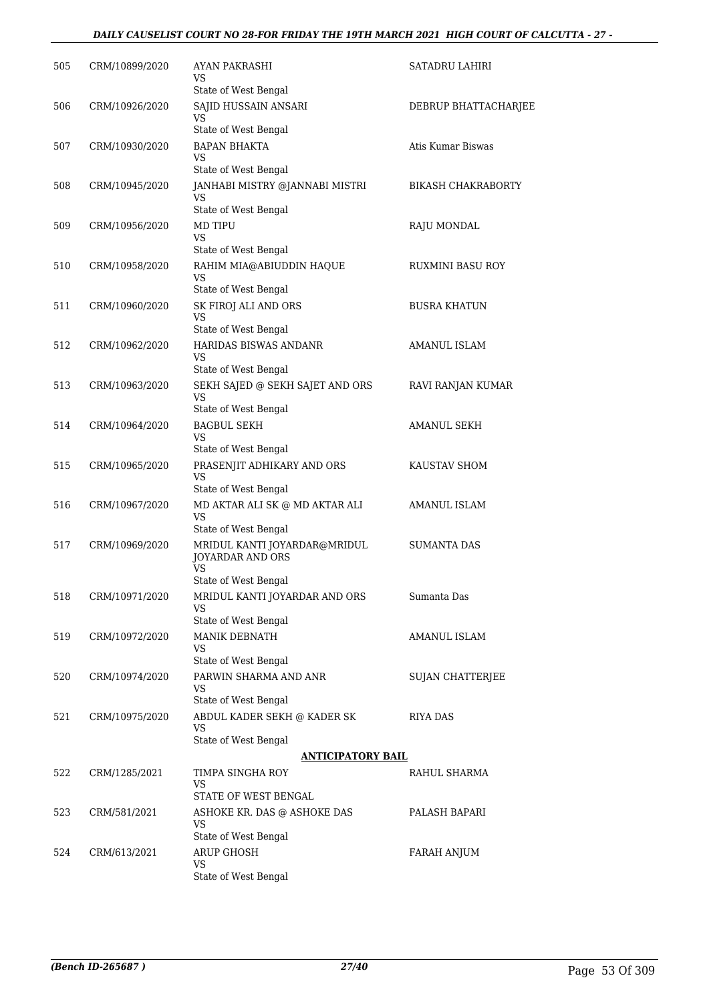#### *DAILY CAUSELIST COURT NO 28-FOR FRIDAY THE 19TH MARCH 2021 HIGH COURT OF CALCUTTA - 27 -*

| 505 | CRM/10899/2020 | AYAN PAKRASHI<br>VS                                                                   | SATADRU LAHIRI            |
|-----|----------------|---------------------------------------------------------------------------------------|---------------------------|
| 506 | CRM/10926/2020 | State of West Bengal<br>SAJID HUSSAIN ANSARI<br><b>VS</b>                             | DEBRUP BHATTACHARJEE      |
| 507 | CRM/10930/2020 | State of West Bengal<br><b>BAPAN BHAKTA</b><br>VS                                     | Atis Kumar Biswas         |
| 508 | CRM/10945/2020 | State of West Bengal<br>JANHABI MISTRY @JANNABI MISTRI<br>VS                          | <b>BIKASH CHAKRABORTY</b> |
| 509 | CRM/10956/2020 | State of West Bengal<br><b>MD TIPU</b><br><b>VS</b>                                   | RAJU MONDAL               |
| 510 | CRM/10958/2020 | State of West Bengal<br>RAHIM MIA@ABIUDDIN HAQUE<br>VS                                | RUXMINI BASU ROY          |
| 511 | CRM/10960/2020 | State of West Bengal<br>SK FIROJ ALI AND ORS<br><b>VS</b>                             | <b>BUSRA KHATUN</b>       |
| 512 | CRM/10962/2020 | State of West Bengal<br>HARIDAS BISWAS ANDANR<br>VS                                   | AMANUL ISLAM              |
| 513 | CRM/10963/2020 | State of West Bengal<br>SEKH SAJED @ SEKH SAJET AND ORS<br>VS                         | RAVI RANJAN KUMAR         |
| 514 | CRM/10964/2020 | State of West Bengal<br><b>BAGBUL SEKH</b><br>VS                                      | <b>AMANUL SEKH</b>        |
| 515 | CRM/10965/2020 | State of West Bengal<br>PRASENJIT ADHIKARY AND ORS<br>VS                              | KAUSTAV SHOM              |
| 516 | CRM/10967/2020 | State of West Bengal<br>MD AKTAR ALI SK @ MD AKTAR ALI<br>VS                          | AMANUL ISLAM              |
| 517 | CRM/10969/2020 | State of West Bengal<br>MRIDUL KANTI JOYARDAR@MRIDUL<br>JOYARDAR AND ORS<br><b>VS</b> | SUMANTA DAS               |
| 518 | CRM/10971/2020 | State of West Bengal<br>MRIDUL KANTI JOYARDAR AND ORS<br><b>VS</b>                    | Sumanta Das               |
| 519 | CRM/10972/2020 | State of West Bengal<br><b>MANIK DEBNATH</b><br>VS.<br>State of West Bengal           | AMANUL ISLAM              |
| 520 | CRM/10974/2020 | PARWIN SHARMA AND ANR<br>VS<br>State of West Bengal                                   | <b>SUJAN CHATTERJEE</b>   |
| 521 | CRM/10975/2020 | ABDUL KADER SEKH @ KADER SK<br>VS<br>State of West Bengal                             | RIYA DAS                  |
|     |                | <b>ANTICIPATORY BAIL</b>                                                              |                           |
| 522 | CRM/1285/2021  | TIMPA SINGHA ROY<br>VS<br>STATE OF WEST BENGAL                                        | RAHUL SHARMA              |
| 523 | CRM/581/2021   | ASHOKE KR. DAS @ ASHOKE DAS<br>VS<br>State of West Bengal                             | PALASH BAPARI             |
| 524 | CRM/613/2021   | ARUP GHOSH<br>VS<br>State of West Bengal                                              | FARAH ANJUM               |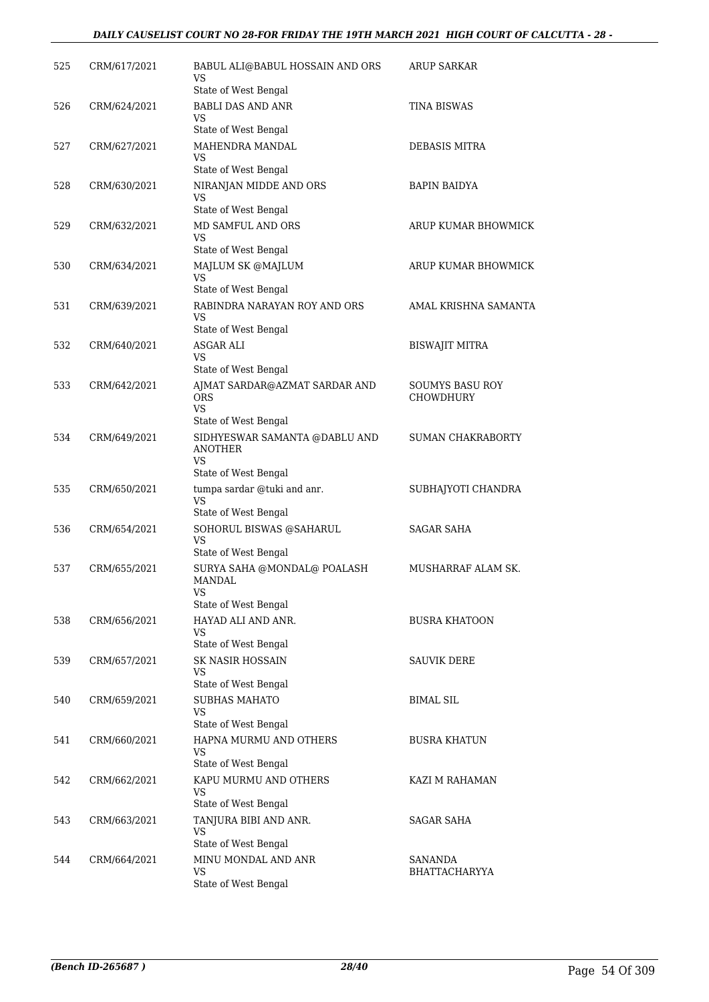#### *DAILY CAUSELIST COURT NO 28-FOR FRIDAY THE 19TH MARCH 2021 HIGH COURT OF CALCUTTA - 28 -*

| 525 | CRM/617/2021 | BABUL ALI@BABUL HOSSAIN AND ORS                                                      | <b>ARUP SARKAR</b>                         |
|-----|--------------|--------------------------------------------------------------------------------------|--------------------------------------------|
|     |              | VS<br>State of West Bengal                                                           |                                            |
| 526 | CRM/624/2021 | <b>BABLI DAS AND ANR</b>                                                             | <b>TINA BISWAS</b>                         |
|     |              | VS<br>State of West Bengal                                                           |                                            |
| 527 | CRM/627/2021 | MAHENDRA MANDAL                                                                      | DEBASIS MITRA                              |
|     |              | VS<br>State of West Bengal                                                           |                                            |
| 528 | CRM/630/2021 | NIRANJAN MIDDE AND ORS                                                               | <b>BAPIN BAIDYA</b>                        |
|     |              | VS                                                                                   |                                            |
| 529 | CRM/632/2021 | State of West Bengal<br>MD SAMFUL AND ORS                                            | ARUP KUMAR BHOWMICK                        |
|     |              | VS                                                                                   |                                            |
|     |              | State of West Bengal                                                                 |                                            |
| 530 | CRM/634/2021 | MAJLUM SK @MAJLUM<br>VS                                                              | ARUP KUMAR BHOWMICK                        |
|     |              | State of West Bengal                                                                 |                                            |
| 531 | CRM/639/2021 | RABINDRA NARAYAN ROY AND ORS<br>VS                                                   | AMAL KRISHNA SAMANTA                       |
|     |              | State of West Bengal                                                                 |                                            |
| 532 | CRM/640/2021 | <b>ASGAR ALI</b><br>VS                                                               | <b>BISWAJIT MITRA</b>                      |
|     |              | State of West Bengal                                                                 |                                            |
| 533 | CRM/642/2021 | AJMAT SARDAR@AZMAT SARDAR AND<br><b>ORS</b><br>VS                                    | <b>SOUMYS BASU ROY</b><br><b>CHOWDHURY</b> |
|     |              | State of West Bengal                                                                 |                                            |
| 534 | CRM/649/2021 | SIDHYESWAR SAMANTA @DABLU AND<br><b>ANOTHER</b><br><b>VS</b><br>State of West Bengal | <b>SUMAN CHAKRABORTY</b>                   |
| 535 | CRM/650/2021 | tumpa sardar @tuki and anr.                                                          | SUBHAJYOTI CHANDRA                         |
|     |              | VS<br>State of West Bengal                                                           |                                            |
| 536 | CRM/654/2021 | SOHORUL BISWAS @SAHARUL                                                              | <b>SAGAR SAHA</b>                          |
|     |              | <b>VS</b>                                                                            |                                            |
| 537 | CRM/655/2021 | State of West Bengal<br>SURYA SAHA @MONDAL@ POALASH                                  | MUSHARRAF ALAM SK.                         |
|     |              | MANDAL<br>VS                                                                         |                                            |
|     |              | State of West Bengal                                                                 |                                            |
| 538 | CRM/656/2021 | HAYAD ALI AND ANR.<br>VS                                                             | <b>BUSRA KHATOON</b>                       |
|     |              | State of West Bengal                                                                 |                                            |
| 539 | CRM/657/2021 | <b>SK NASIR HOSSAIN</b><br>VS                                                        | <b>SAUVIK DERE</b>                         |
|     |              | State of West Bengal                                                                 |                                            |
| 540 | CRM/659/2021 | SUBHAS MAHATO                                                                        | <b>BIMAL SIL</b>                           |
|     |              | VS<br>State of West Bengal                                                           |                                            |
| 541 | CRM/660/2021 | HAPNA MURMU AND OTHERS                                                               | <b>BUSRA KHATUN</b>                        |
|     |              | VS<br>State of West Bengal                                                           |                                            |
| 542 | CRM/662/2021 | KAPU MURMU AND OTHERS                                                                | KAZI M RAHAMAN                             |
|     |              | VS<br>State of West Bengal                                                           |                                            |
| 543 | CRM/663/2021 | TANJURA BIBI AND ANR.                                                                | <b>SAGAR SAHA</b>                          |
|     |              | VS                                                                                   |                                            |
|     |              | State of West Bengal                                                                 |                                            |
| 544 | CRM/664/2021 | MINU MONDAL AND ANR<br>VS                                                            | SANANDA<br><b>BHATTACHARYYA</b>            |
|     |              | State of West Bengal                                                                 |                                            |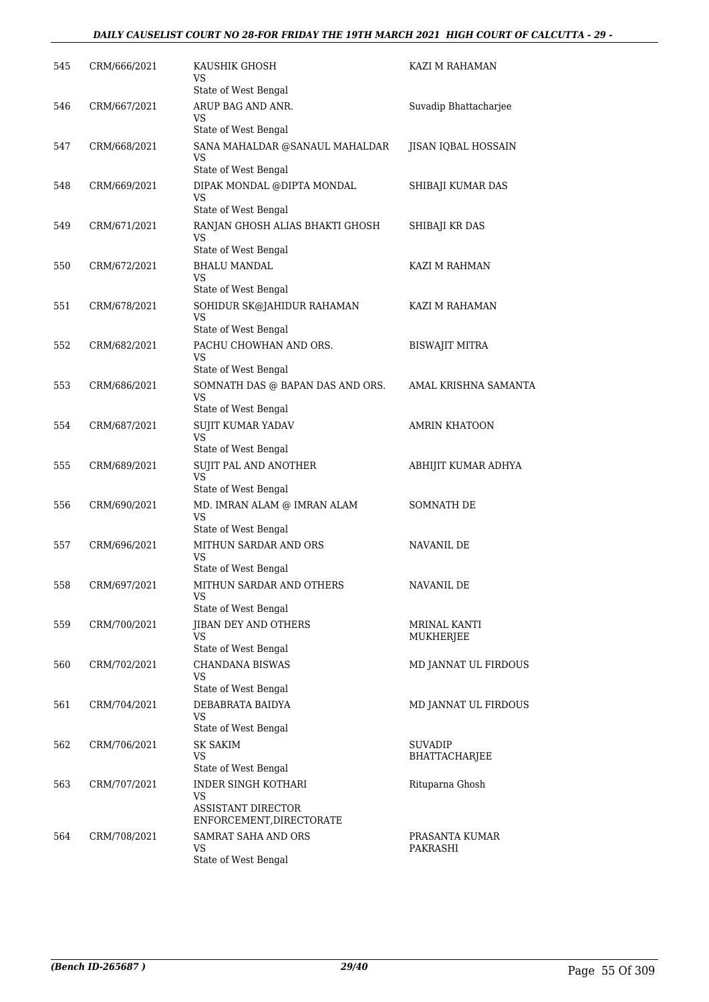#### *DAILY CAUSELIST COURT NO 28-FOR FRIDAY THE 19TH MARCH 2021 HIGH COURT OF CALCUTTA - 29 -*

| 545 | CRM/666/2021 | KAUSHIK GHOSH<br>VS                                           | KAZI M RAHAMAN                   |
|-----|--------------|---------------------------------------------------------------|----------------------------------|
| 546 | CRM/667/2021 | State of West Bengal<br>ARUP BAG AND ANR.                     | Suvadip Bhattacharjee            |
|     |              | VS<br>State of West Bengal                                    |                                  |
| 547 | CRM/668/2021 | SANA MAHALDAR @SANAUL MAHALDAR<br>VS                          | JISAN IQBAL HOSSAIN              |
|     |              | State of West Bengal                                          |                                  |
| 548 | CRM/669/2021 | DIPAK MONDAL @DIPTA MONDAL<br><b>VS</b>                       | SHIBAJI KUMAR DAS                |
|     |              | State of West Bengal                                          |                                  |
| 549 | CRM/671/2021 | RANJAN GHOSH ALIAS BHAKTI GHOSH<br>VS<br>State of West Bengal | SHIBAJI KR DAS                   |
| 550 | CRM/672/2021 | <b>BHALU MANDAL</b>                                           | KAZI M RAHMAN                    |
|     |              | VS<br>State of West Bengal                                    |                                  |
| 551 | CRM/678/2021 | SOHIDUR SK@JAHIDUR RAHAMAN                                    | KAZI M RAHAMAN                   |
|     |              | <b>VS</b><br>State of West Bengal                             |                                  |
| 552 | CRM/682/2021 | PACHU CHOWHAN AND ORS.<br>VS                                  | BISWAJIT MITRA                   |
|     |              | State of West Bengal                                          |                                  |
| 553 | CRM/686/2021 | SOMNATH DAS @ BAPAN DAS AND ORS.<br>VS                        | AMAL KRISHNA SAMANTA             |
|     |              | State of West Bengal                                          |                                  |
| 554 | CRM/687/2021 | SUJIT KUMAR YADAV<br><b>VS</b>                                | <b>AMRIN KHATOON</b>             |
|     |              | State of West Bengal                                          |                                  |
| 555 | CRM/689/2021 | SUJIT PAL AND ANOTHER<br>VS<br>State of West Bengal           | ABHIJIT KUMAR ADHYA              |
| 556 | CRM/690/2021 | MD. IMRAN ALAM @ IMRAN ALAM<br>VS                             | SOMNATH DE                       |
|     |              | State of West Bengal                                          |                                  |
| 557 | CRM/696/2021 | MITHUN SARDAR AND ORS<br>VS                                   | NAVANIL DE                       |
|     |              | State of West Bengal                                          |                                  |
| 558 | CRM/697/2021 | MITHUN SARDAR AND OTHERS<br>VS                                | NAVANIL DE                       |
|     |              | State of West Bengal                                          |                                  |
| 559 | CRM/700/2021 | JIBAN DEY AND OTHERS<br>VS                                    | <b>MRINAL KANTI</b><br>MUKHERJEE |
|     |              | State of West Bengal                                          |                                  |
| 560 | CRM/702/2021 | CHANDANA BISWAS<br>VS<br>State of West Bengal                 | MD JANNAT UL FIRDOUS             |
| 561 | CRM/704/2021 | DEBABRATA BAIDYA                                              | MD JANNAT UL FIRDOUS             |
|     |              | VS<br>State of West Bengal                                    |                                  |
| 562 | CRM/706/2021 | <b>SK SAKIM</b>                                               | <b>SUVADIP</b>                   |
|     |              | <b>VS</b><br>State of West Bengal                             | BHATTACHARJEE                    |
| 563 | CRM/707/2021 | <b>INDER SINGH KOTHARI</b><br>VS                              | Rituparna Ghosh                  |
|     |              | <b>ASSISTANT DIRECTOR</b><br>ENFORCEMENT, DIRECTORATE         |                                  |
| 564 | CRM/708/2021 | SAMRAT SAHA AND ORS                                           | PRASANTA KUMAR                   |
|     |              | VS<br>State of West Bengal                                    | PAKRASHI                         |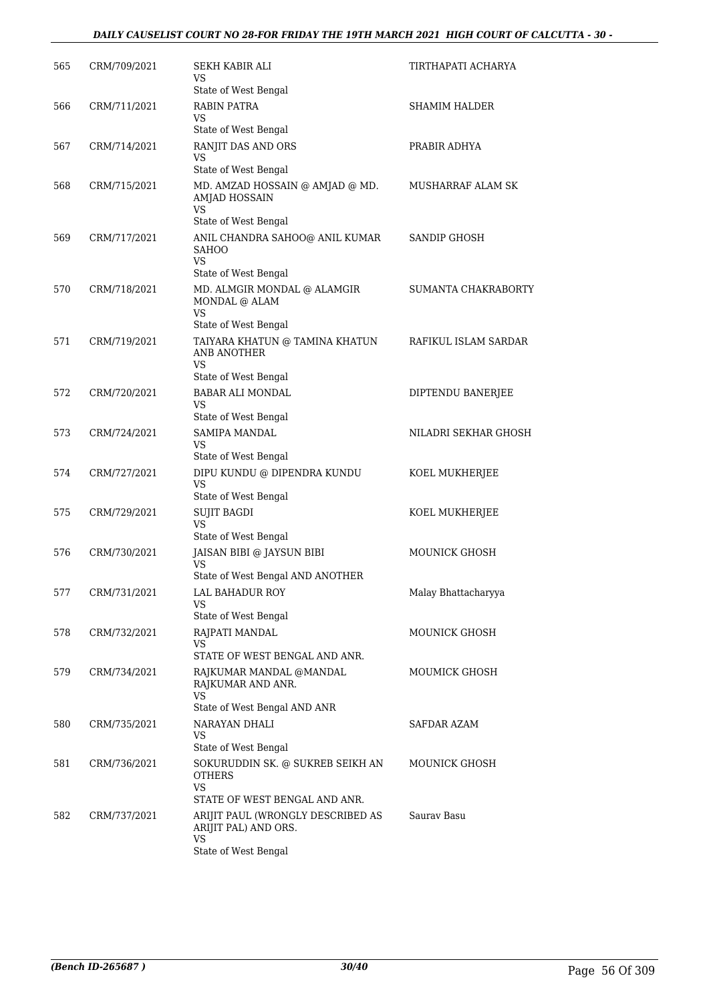#### *DAILY CAUSELIST COURT NO 28-FOR FRIDAY THE 19TH MARCH 2021 HIGH COURT OF CALCUTTA - 30 -*

| 565 | CRM/709/2021 | SEKH KABIR ALI<br>VS                                             | TIRTHAPATI ACHARYA   |
|-----|--------------|------------------------------------------------------------------|----------------------|
|     |              | State of West Bengal                                             |                      |
| 566 | CRM/711/2021 | RABIN PATRA<br>VS                                                | SHAMIM HALDER        |
|     |              | State of West Bengal                                             |                      |
| 567 | CRM/714/2021 | RANJIT DAS AND ORS<br>VS                                         | PRABIR ADHYA         |
|     |              | State of West Bengal                                             |                      |
| 568 | CRM/715/2021 | MD. AMZAD HOSSAIN @ AMJAD @ MD.<br><b>AMJAD HOSSAIN</b><br>VS    | MUSHARRAF ALAM SK    |
| 569 | CRM/717/2021 | State of West Bengal<br>ANIL CHANDRA SAHOO@ ANIL KUMAR           | SANDIP GHOSH         |
|     |              | SAHOO<br>VS<br>State of West Bengal                              |                      |
| 570 | CRM/718/2021 | MD. ALMGIR MONDAL @ ALAMGIR                                      | SUMANTA CHAKRABORTY  |
|     |              | MONDAL @ ALAM<br><b>VS</b><br>State of West Bengal               |                      |
| 571 | CRM/719/2021 | TAIYARA KHATUN @ TAMINA KHATUN                                   | RAFIKUL ISLAM SARDAR |
|     |              | ANB ANOTHER<br>VS                                                |                      |
|     |              | State of West Bengal                                             |                      |
| 572 | CRM/720/2021 | <b>BABAR ALI MONDAL</b><br>VS                                    | DIPTENDU BANERJEE    |
|     |              | State of West Bengal                                             |                      |
| 573 | CRM/724/2021 | SAMIPA MANDAL<br>VS<br>State of West Bengal                      | NILADRI SEKHAR GHOSH |
| 574 | CRM/727/2021 | DIPU KUNDU @ DIPENDRA KUNDU<br>VS                                | KOEL MUKHERJEE       |
|     |              | State of West Bengal                                             |                      |
| 575 | CRM/729/2021 | <b>SUJIT BAGDI</b><br><b>VS</b>                                  | KOEL MUKHERJEE       |
|     |              | State of West Bengal                                             |                      |
| 576 | CRM/730/2021 | JAISAN BIBI @ JAYSUN BIBI<br>VS                                  | MOUNICK GHOSH        |
|     |              | State of West Bengal AND ANOTHER                                 |                      |
| 577 | CRM/731/2021 | LAL BAHADUR ROY<br>VS                                            | Malay Bhattacharyya  |
|     |              | State of West Bengal                                             |                      |
| 578 | CRM/732/2021 | RAJPATI MANDAL<br>VS<br>STATE OF WEST BENGAL AND ANR.            | <b>MOUNICK GHOSH</b> |
|     |              |                                                                  |                      |
| 579 | CRM/734/2021 | RAJKUMAR MANDAL @MANDAL<br>RAJKUMAR AND ANR.<br><b>VS</b>        | MOUMICK GHOSH        |
|     |              | State of West Bengal AND ANR                                     |                      |
| 580 | CRM/735/2021 | NARAYAN DHALI<br>VS<br>State of West Bengal                      | SAFDAR AZAM          |
| 581 | CRM/736/2021 | SOKURUDDIN SK. @ SUKREB SEIKH AN                                 | MOUNICK GHOSH        |
|     |              | <b>OTHERS</b><br>VS                                              |                      |
|     |              | STATE OF WEST BENGAL AND ANR.                                    |                      |
| 582 | CRM/737/2021 | ARIJIT PAUL (WRONGLY DESCRIBED AS<br>ARIJIT PAL) AND ORS.<br>VS. | Saurav Basu          |
|     |              | State of West Bengal                                             |                      |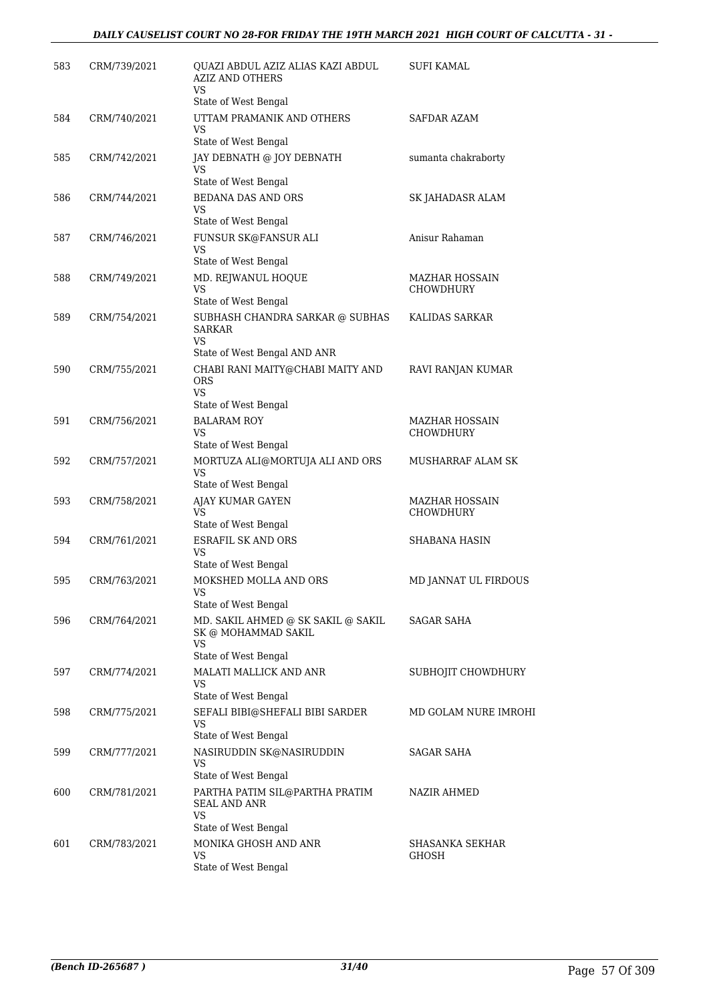| 583 | CRM/739/2021 | QUAZI ABDUL AZIZ ALIAS KAZI ABDUL<br><b>AZIZ AND OTHERS</b><br>VS    | SUFI KAMAL            |
|-----|--------------|----------------------------------------------------------------------|-----------------------|
|     |              | State of West Bengal                                                 |                       |
| 584 | CRM/740/2021 | UTTAM PRAMANIK AND OTHERS<br>VS<br>State of West Bengal              | SAFDAR AZAM           |
| 585 | CRM/742/2021 | JAY DEBNATH @ JOY DEBNATH                                            | sumanta chakraborty   |
|     |              | VS                                                                   |                       |
|     |              | State of West Bengal                                                 |                       |
| 586 | CRM/744/2021 | <b>BEDANA DAS AND ORS</b><br>VS<br>State of West Bengal              | SK JAHADASR ALAM      |
| 587 | CRM/746/2021 | FUNSUR SK@FANSUR ALI                                                 | Anisur Rahaman        |
|     |              | VS<br>State of West Bengal                                           |                       |
| 588 | CRM/749/2021 | MD. REJWANUL HOQUE                                                   | <b>MAZHAR HOSSAIN</b> |
|     |              | <b>VS</b>                                                            | <b>CHOWDHURY</b>      |
|     |              | State of West Bengal                                                 |                       |
| 589 | CRM/754/2021 | SUBHASH CHANDRA SARKAR @ SUBHAS<br><b>SARKAR</b><br>VS               | KALIDAS SARKAR        |
|     |              | State of West Bengal AND ANR                                         |                       |
| 590 | CRM/755/2021 | CHABI RANI MAITY@CHABI MAITY AND<br><b>ORS</b><br>VS.                | RAVI RANJAN KUMAR     |
|     |              | State of West Bengal                                                 |                       |
| 591 | CRM/756/2021 | <b>BALARAM ROY</b>                                                   | MAZHAR HOSSAIN        |
|     |              | VS                                                                   | CHOWDHURY             |
|     |              | State of West Bengal                                                 |                       |
| 592 | CRM/757/2021 | MORTUZA ALI@MORTUJA ALI AND ORS<br><b>VS</b><br>State of West Bengal | MUSHARRAF ALAM SK     |
| 593 | CRM/758/2021 | AJAY KUMAR GAYEN                                                     | MAZHAR HOSSAIN        |
|     |              | VS                                                                   | <b>CHOWDHURY</b>      |
|     |              | State of West Bengal                                                 |                       |
| 594 | CRM/761/2021 | <b>ESRAFIL SK AND ORS</b><br><b>VS</b><br>State of West Bengal       | SHABANA HASIN         |
| 595 | CRM/763/2021 | MOKSHED MOLLA AND ORS                                                | MD JANNAT UL FIRDOUS  |
|     |              | VS<br>State of West Bengal                                           |                       |
| 596 | CRM/764/2021 | MD. SAKIL AHMED @ SK SAKIL @ SAKIL<br>SK @ MOHAMMAD SAKIL<br>VS      | SAGAR SAHA            |
|     |              | State of West Bengal                                                 |                       |
| 597 | CRM/774/2021 | MALATI MALLICK AND ANR<br>VS<br>State of West Bengal                 | SUBHOJIT CHOWDHURY    |
| 598 | CRM/775/2021 | SEFALI BIBI@SHEFALI BIBI SARDER                                      | MD GOLAM NURE IMROHI  |
|     |              | <b>VS</b><br>State of West Bengal                                    |                       |
| 599 | CRM/777/2021 | NASIRUDDIN SK@NASIRUDDIN                                             | SAGAR SAHA            |
|     |              | VS<br>State of West Bengal                                           |                       |
| 600 | CRM/781/2021 | PARTHA PATIM SIL@PARTHA PRATIM<br>SEAL AND ANR<br>VS                 | NAZIR AHMED           |
|     |              | State of West Bengal                                                 |                       |
| 601 | CRM/783/2021 | MONIKA GHOSH AND ANR                                                 | SHASANKA SEKHAR       |
|     |              | VS<br>State of West Bengal                                           | <b>GHOSH</b>          |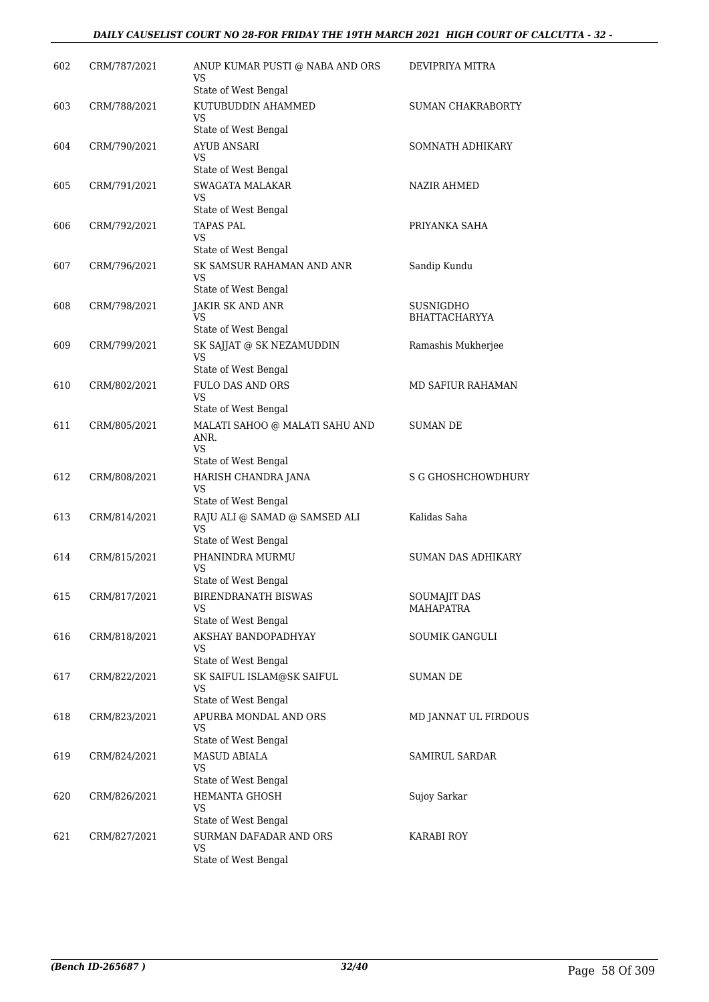#### *DAILY CAUSELIST COURT NO 28-FOR FRIDAY THE 19TH MARCH 2021 HIGH COURT OF CALCUTTA - 32 -*

| 602 | CRM/787/2021 | ANUP KUMAR PUSTI @ NABA AND ORS<br>VS                              | DEVIPRIYA MITRA                         |
|-----|--------------|--------------------------------------------------------------------|-----------------------------------------|
| 603 | CRM/788/2021 | State of West Bengal<br>KUTUBUDDIN AHAMMED                         | SUMAN CHAKRABORTY                       |
|     |              | VS<br>State of West Bengal                                         |                                         |
| 604 | CRM/790/2021 | AYUB ANSARI                                                        | SOMNATH ADHIKARY                        |
|     |              | VS                                                                 |                                         |
|     |              | State of West Bengal                                               |                                         |
| 605 | CRM/791/2021 | <b>SWAGATA MALAKAR</b><br>VS                                       | <b>NAZIR AHMED</b>                      |
|     |              | State of West Bengal                                               |                                         |
| 606 | CRM/792/2021 | TAPAS PAL                                                          | PRIYANKA SAHA                           |
|     |              | VS<br>State of West Bengal                                         |                                         |
| 607 | CRM/796/2021 | SK SAMSUR RAHAMAN AND ANR<br>VS                                    | Sandip Kundu                            |
|     |              | State of West Bengal                                               |                                         |
| 608 | CRM/798/2021 | <b>JAKIR SK AND ANR</b>                                            | SUSNIGDHO                               |
|     |              | VS<br>State of West Bengal                                         | <b>BHATTACHARYYA</b>                    |
| 609 | CRM/799/2021 | SK SAJJAT @ SK NEZAMUDDIN                                          | Ramashis Mukherjee                      |
|     |              | <b>VS</b>                                                          |                                         |
|     |              | State of West Bengal                                               |                                         |
| 610 | CRM/802/2021 | <b>FULO DAS AND ORS</b><br>VS                                      | <b>MD SAFIUR RAHAMAN</b>                |
|     |              | State of West Bengal                                               |                                         |
| 611 | CRM/805/2021 | MALATI SAHOO @ MALATI SAHU AND<br>ANR.<br>VS                       | SUMAN DE                                |
|     |              | State of West Bengal                                               |                                         |
| 612 | CRM/808/2021 | HARISH CHANDRA JANA<br>VS                                          | <b>S G GHOSHCHOWDHURY</b>               |
|     |              | State of West Bengal                                               |                                         |
| 613 | CRM/814/2021 | RAJU ALI @ SAMAD @ SAMSED ALI<br><b>VS</b><br>State of West Bengal | Kalidas Saha                            |
| 614 | CRM/815/2021 | PHANINDRA MURMU                                                    | <b>SUMAN DAS ADHIKARY</b>               |
|     |              | VS                                                                 |                                         |
|     |              | State of West Bengal                                               |                                         |
| 615 | CRM/817/2021 | BIRENDRANATH BISWAS<br>VS.                                         | <b>SOUMAJIT DAS</b><br><b>MAHAPATRA</b> |
|     |              | State of West Bengal                                               |                                         |
| 616 | CRM/818/2021 | AKSHAY BANDOPADHYAY                                                | SOUMIK GANGULI                          |
|     |              | VS<br>State of West Bengal                                         |                                         |
| 617 | CRM/822/2021 | SK SAIFUL ISLAM@SK SAIFUL                                          | <b>SUMAN DE</b>                         |
|     |              | VS                                                                 |                                         |
|     |              | State of West Bengal                                               |                                         |
| 618 | CRM/823/2021 | APURBA MONDAL AND ORS<br>VS                                        | MD JANNAT UL FIRDOUS                    |
|     |              | State of West Bengal                                               |                                         |
| 619 | CRM/824/2021 | <b>MASUD ABIALA</b>                                                | SAMIRUL SARDAR                          |
|     |              | VS                                                                 |                                         |
| 620 | CRM/826/2021 | State of West Bengal<br><b>HEMANTA GHOSH</b>                       | Sujoy Sarkar                            |
|     |              | VS                                                                 |                                         |
|     |              | State of West Bengal                                               |                                         |
| 621 | CRM/827/2021 | SURMAN DAFADAR AND ORS<br>VS                                       | KARABI ROY                              |
|     |              | State of West Bengal                                               |                                         |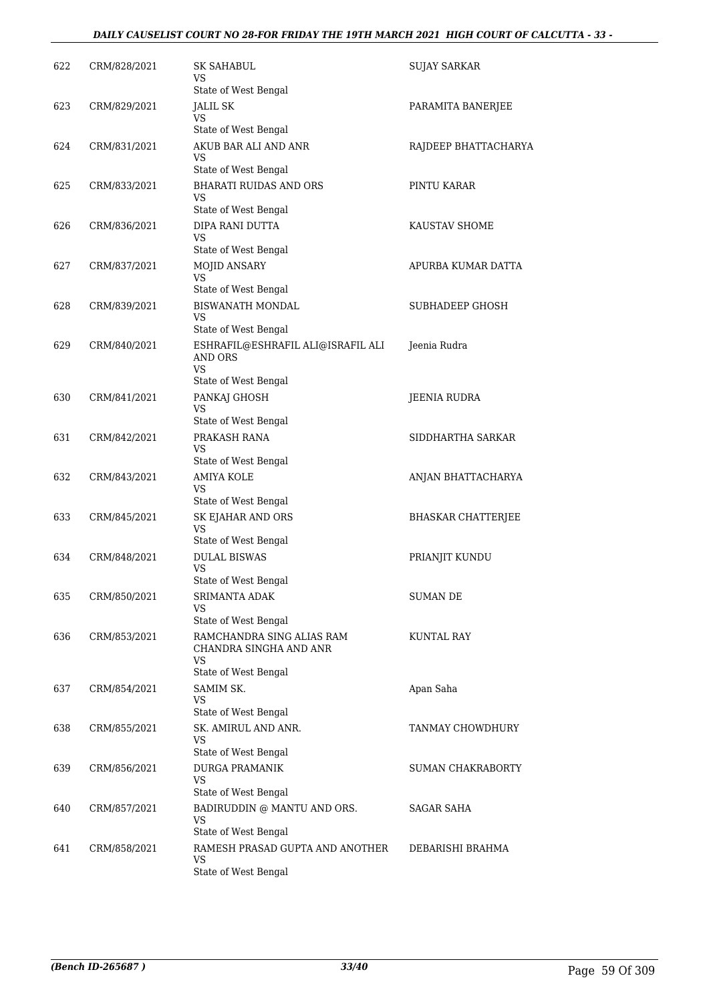#### *DAILY CAUSELIST COURT NO 28-FOR FRIDAY THE 19TH MARCH 2021 HIGH COURT OF CALCUTTA - 33 -*

| 622 | CRM/828/2021 | SK SAHABUL<br>VS                                                                             | SUJAY SARKAR         |
|-----|--------------|----------------------------------------------------------------------------------------------|----------------------|
| 623 | CRM/829/2021 | State of West Bengal<br><b>JALIL SK</b><br>VS.                                               | PARAMITA BANERJEE    |
| 624 | CRM/831/2021 | State of West Bengal<br>AKUB BAR ALI AND ANR<br>VS.                                          | RAJDEEP BHATTACHARYA |
| 625 | CRM/833/2021 | State of West Bengal<br><b>BHARATI RUIDAS AND ORS</b><br>VS                                  | PINTU KARAR          |
| 626 | CRM/836/2021 | State of West Bengal<br>DIPA RANI DUTTA<br>VS                                                | KAUSTAV SHOME        |
| 627 | CRM/837/2021 | State of West Bengal<br>MOJID ANSARY<br>VS                                                   | APURBA KUMAR DATTA   |
| 628 | CRM/839/2021 | State of West Bengal<br>BISWANATH MONDAL<br>VS                                               | SUBHADEEP GHOSH      |
| 629 | CRM/840/2021 | State of West Bengal<br>ESHRAFIL@ESHRAFIL ALI@ISRAFIL ALI<br>AND ORS<br><b>VS</b>            | Jeenia Rudra         |
| 630 | CRM/841/2021 | State of West Bengal<br>PANKAJ GHOSH<br>VS                                                   | JEENIA RUDRA         |
| 631 | CRM/842/2021 | State of West Bengal<br>PRAKASH RANA<br>VS                                                   | SIDDHARTHA SARKAR    |
| 632 | CRM/843/2021 | State of West Bengal<br>AMIYA KOLE<br>VS.                                                    | ANJAN BHATTACHARYA   |
| 633 | CRM/845/2021 | State of West Bengal<br>SK EJAHAR AND ORS<br>VS.<br>State of West Bengal                     | BHASKAR CHATTERJEE   |
| 634 | CRM/848/2021 | <b>DULAL BISWAS</b><br>VS.                                                                   | PRIANJIT KUNDU       |
| 635 | CRM/850/2021 | State of West Bengal<br>SRIMANTA ADAK<br>VS.                                                 | <b>SUMAN DE</b>      |
| 636 | CRM/853/2021 | State of West Bengal<br>RAMCHANDRA SING ALIAS RAM<br>CHANDRA SINGHA AND ANR<br><b>VS</b>     | KUNTAL RAY           |
| 637 | CRM/854/2021 | State of West Bengal<br>SAMIM SK.<br>VS.<br>State of West Bengal                             | Apan Saha            |
| 638 | CRM/855/2021 | SK. AMIRUL AND ANR.<br>VS.                                                                   | TANMAY CHOWDHURY     |
| 639 | CRM/856/2021 | State of West Bengal<br><b>DURGA PRAMANIK</b><br><b>VS</b><br>State of West Bengal           | SUMAN CHAKRABORTY    |
| 640 | CRM/857/2021 | BADIRUDDIN @ MANTU AND ORS.<br>VS.                                                           | SAGAR SAHA           |
| 641 | CRM/858/2021 | State of West Bengal<br>RAMESH PRASAD GUPTA AND ANOTHER<br><b>VS</b><br>State of West Bengal | DEBARISHI BRAHMA     |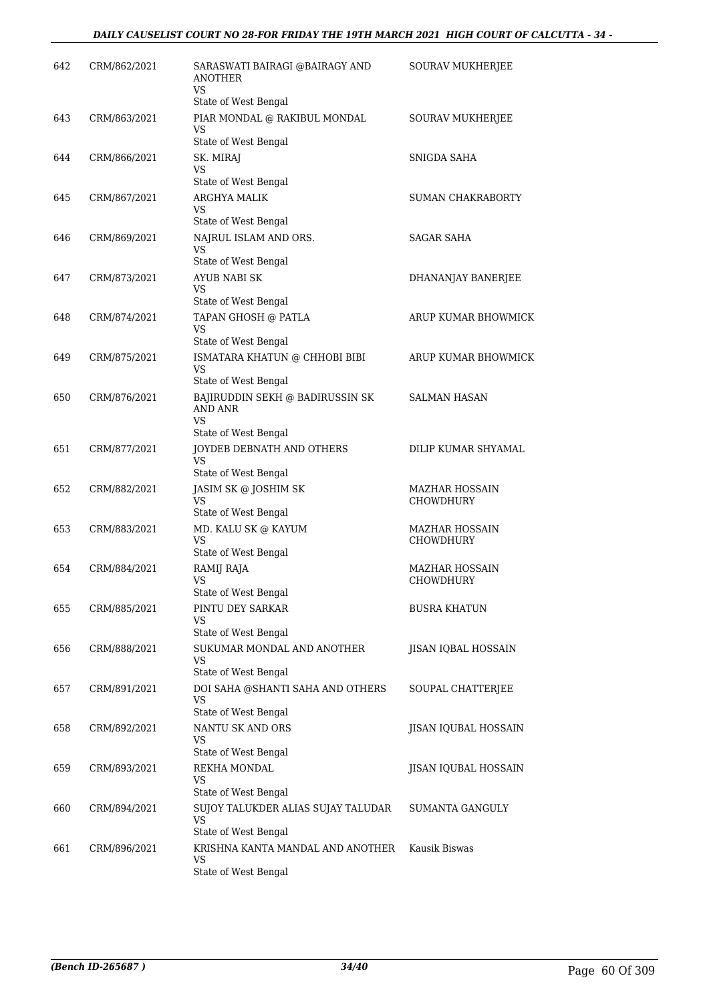| 642 | CRM/862/2021 | SARASWATI BAIRAGI @BAIRAGY AND<br><b>ANOTHER</b><br>VS                          | <b>SOURAV MUKHERJEE</b>            |
|-----|--------------|---------------------------------------------------------------------------------|------------------------------------|
|     |              | State of West Bengal                                                            |                                    |
| 643 | CRM/863/2021 | PIAR MONDAL @ RAKIBUL MONDAL<br>VS                                              | <b>SOURAV MUKHERJEE</b>            |
| 644 | CRM/866/2021 | State of West Bengal<br>SK. MIRAJ                                               | SNIGDA SAHA                        |
|     |              | VS                                                                              |                                    |
|     |              | State of West Bengal                                                            |                                    |
| 645 | CRM/867/2021 | ARGHYA MALIK<br>VS                                                              | SUMAN CHAKRABORTY                  |
|     |              | State of West Bengal                                                            |                                    |
| 646 | CRM/869/2021 | NAJRUL ISLAM AND ORS.<br><b>VS</b><br>State of West Bengal                      | SAGAR SAHA                         |
| 647 | CRM/873/2021 | <b>AYUB NABI SK</b>                                                             | DHANANJAY BANERJEE                 |
|     |              | VS                                                                              |                                    |
|     |              | State of West Bengal                                                            |                                    |
| 648 | CRM/874/2021 | TAPAN GHOSH @ PATLA<br>VS                                                       | ARUP KUMAR BHOWMICK                |
|     |              | State of West Bengal                                                            |                                    |
| 649 | CRM/875/2021 | ISMATARA KHATUN @ CHHOBI BIBI<br>VS                                             | ARUP KUMAR BHOWMICK                |
|     |              | State of West Bengal                                                            |                                    |
| 650 | CRM/876/2021 | BAJIRUDDIN SEKH @ BADIRUSSIN SK<br>AND ANR<br><b>VS</b><br>State of West Bengal | <b>SALMAN HASAN</b>                |
| 651 | CRM/877/2021 | JOYDEB DEBNATH AND OTHERS                                                       | DILIP KUMAR SHYAMAL                |
|     |              | VS                                                                              |                                    |
|     |              | State of West Bengal                                                            |                                    |
| 652 | CRM/882/2021 | JASIM SK @ JOSHIM SK<br>VS<br>State of West Bengal                              | MAZHAR HOSSAIN<br><b>CHOWDHURY</b> |
| 653 | CRM/883/2021 | MD. KALU SK @ KAYUM                                                             | <b>MAZHAR HOSSAIN</b>              |
|     |              | VS                                                                              | CHOWDHURY                          |
|     |              | State of West Bengal                                                            |                                    |
| 654 | CRM/884/2021 | RAMIJ RAJA<br>VS                                                                | MAZHAR HOSSAIN<br>CHOWDHURY        |
|     |              | State of West Bengal                                                            |                                    |
| 655 | CRM/885/2021 | PINTU DEY SARKAR                                                                | BUSRA KHATUN                       |
|     |              | VS                                                                              |                                    |
|     |              | State of West Bengal                                                            |                                    |
| 656 | CRM/888/2021 | SUKUMAR MONDAL AND ANOTHER<br>VS<br>State of West Bengal                        | JISAN IQBAL HOSSAIN                |
| 657 | CRM/891/2021 | DOI SAHA @SHANTI SAHA AND OTHERS                                                | SOUPAL CHATTERJEE                  |
|     |              | VS                                                                              |                                    |
|     |              | State of West Bengal                                                            |                                    |
| 658 | CRM/892/2021 | <b>NANTU SK AND ORS</b><br>VS                                                   | JISAN IQUBAL HOSSAIN               |
|     |              | State of West Bengal                                                            |                                    |
| 659 | CRM/893/2021 | REKHA MONDAL                                                                    | JISAN IQUBAL HOSSAIN               |
|     |              | VS                                                                              |                                    |
|     |              | State of West Bengal                                                            |                                    |
| 660 | CRM/894/2021 | SUJOY TALUKDER ALIAS SUJAY TALUDAR<br>VS                                        | SUMANTA GANGULY                    |
|     |              | State of West Bengal                                                            |                                    |
| 661 | CRM/896/2021 | KRISHNA KANTA MANDAL AND ANOTHER                                                | Kausik Biswas                      |
|     |              | VS<br>State of West Bengal                                                      |                                    |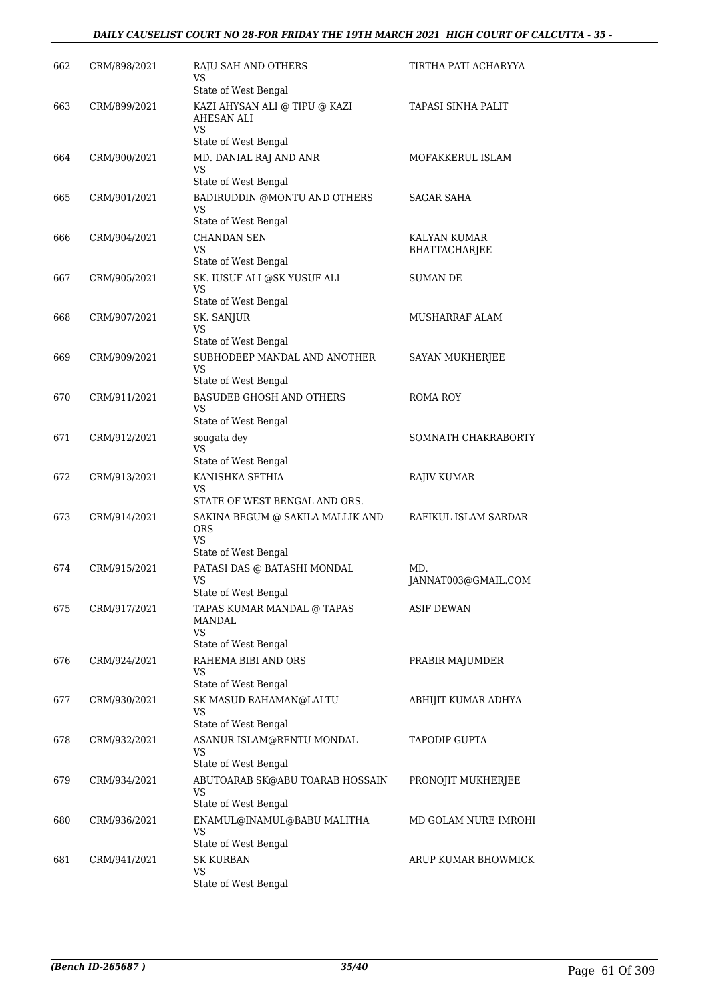#### *DAILY CAUSELIST COURT NO 28-FOR FRIDAY THE 19TH MARCH 2021 HIGH COURT OF CALCUTTA - 35 -*

| 662 | CRM/898/2021 | <b>RAJU SAH AND OTHERS</b><br>VS                                          | TIRTHA PATI ACHARYYA          |
|-----|--------------|---------------------------------------------------------------------------|-------------------------------|
| 663 | CRM/899/2021 | State of West Bengal<br>KAZI AHYSAN ALI @ TIPU @ KAZI<br>AHESAN ALI<br>VS | TAPASI SINHA PALIT            |
|     |              | State of West Bengal                                                      |                               |
| 664 | CRM/900/2021 | MD. DANIAL RAJ AND ANR<br>VS                                              | MOFAKKERUL ISLAM              |
|     |              | State of West Bengal                                                      |                               |
| 665 | CRM/901/2021 | BADIRUDDIN @MONTU AND OTHERS<br>VS<br>State of West Bengal                | SAGAR SAHA                    |
| 666 | CRM/904/2021 | <b>CHANDAN SEN</b><br>VS<br>State of West Bengal                          | KALYAN KUMAR<br>BHATTACHARJEE |
| 667 | CRM/905/2021 | SK. IUSUF ALI @SK YUSUF ALI<br>VS<br>State of West Bengal                 | <b>SUMAN DE</b>               |
| 668 | CRM/907/2021 | SK. SANJUR                                                                | MUSHARRAF ALAM                |
|     |              | VS                                                                        |                               |
|     |              | State of West Bengal                                                      |                               |
| 669 | CRM/909/2021 | SUBHODEEP MANDAL AND ANOTHER<br>VS<br>State of West Bengal                | SAYAN MUKHERJEE               |
| 670 | CRM/911/2021 | <b>BASUDEB GHOSH AND OTHERS</b>                                           | <b>ROMA ROY</b>               |
|     |              | VS<br>State of West Bengal                                                |                               |
| 671 | CRM/912/2021 | sougata dey                                                               | SOMNATH CHAKRABORTY           |
|     |              | <b>VS</b><br>State of West Bengal                                         |                               |
| 672 | CRM/913/2021 | KANISHKA SETHIA                                                           | RAJIV KUMAR                   |
|     |              | VS<br>STATE OF WEST BENGAL AND ORS.                                       |                               |
| 673 | CRM/914/2021 | SAKINA BEGUM @ SAKILA MALLIK AND<br><b>ORS</b><br><b>VS</b>               | RAFIKUL ISLAM SARDAR          |
|     |              | State of West Bengal                                                      |                               |
| 674 | CRM/915/2021 | PATASI DAS @ BATASHI MONDAL<br><b>VS</b><br>State of West Bengal          | MD.<br>JANNAT003@GMAIL.COM    |
| 675 | CRM/917/2021 | TAPAS KUMAR MANDAL @ TAPAS                                                | <b>ASIF DEWAN</b>             |
|     |              | MANDAL<br>VS                                                              |                               |
|     |              | State of West Bengal                                                      |                               |
| 676 | CRM/924/2021 | RAHEMA BIBI AND ORS<br>VS<br>State of West Bengal                         | PRABIR MAJUMDER               |
| 677 | CRM/930/2021 | SK MASUD RAHAMAN@LALTU<br>VS                                              | ABHIJIT KUMAR ADHYA           |
|     |              | State of West Bengal                                                      |                               |
| 678 | CRM/932/2021 | ASANUR ISLAM@RENTU MONDAL<br>VS<br>State of West Bengal                   | TAPODIP GUPTA                 |
| 679 |              | ABUTOARAB SK@ABU TOARAB HOSSAIN                                           |                               |
|     | CRM/934/2021 | VS<br>State of West Bengal                                                | PRONOJIT MUKHERJEE            |
| 680 | CRM/936/2021 | ENAMUL@INAMUL@BABU MALITHA                                                | MD GOLAM NURE IMROHI          |
|     |              | VS                                                                        |                               |
|     |              | State of West Bengal                                                      |                               |
| 681 | CRM/941/2021 | <b>SK KURBAN</b><br>VS<br>State of West Bengal                            | ARUP KUMAR BHOWMICK           |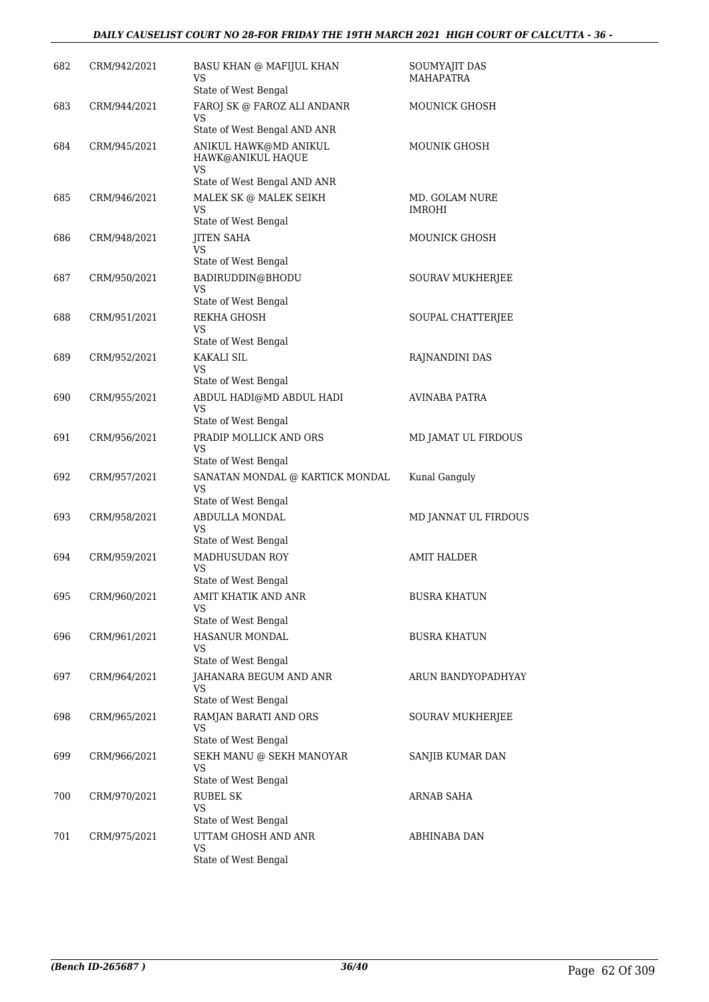#### *DAILY CAUSELIST COURT NO 28-FOR FRIDAY THE 19TH MARCH 2021 HIGH COURT OF CALCUTTA - 36 -*

| 682 | CRM/942/2021 | <b>BASU KHAN @ MAFIJUL KHAN</b><br>VS                | SOUMYAJIT DAS<br><b>MAHAPATRA</b> |
|-----|--------------|------------------------------------------------------|-----------------------------------|
| 683 | CRM/944/2021 | State of West Bengal<br>FAROJ SK @ FAROZ ALI ANDANR  | <b>MOUNICK GHOSH</b>              |
|     |              | VS<br>State of West Bengal AND ANR                   |                                   |
| 684 | CRM/945/2021 | ANIKUL HAWK@MD ANIKUL<br>HAWK@ANIKUL HAQUE           | MOUNIK GHOSH                      |
|     |              | VS<br>State of West Bengal AND ANR                   |                                   |
| 685 | CRM/946/2021 | MALEK SK @ MALEK SEIKH<br>VS                         | MD. GOLAM NURE<br>IMROHI          |
|     |              | State of West Bengal                                 |                                   |
| 686 | CRM/948/2021 | <b>JITEN SAHA</b><br>VS<br>State of West Bengal      | MOUNICK GHOSH                     |
| 687 | CRM/950/2021 | BADIRUDDIN@BHODU                                     | SOURAV MUKHERJEE                  |
|     |              | <b>VS</b>                                            |                                   |
|     |              | State of West Bengal                                 |                                   |
| 688 | CRM/951/2021 | REKHA GHOSH<br>VS                                    | SOUPAL CHATTERJEE                 |
| 689 | CRM/952/2021 | State of West Bengal<br>KAKALI SIL                   |                                   |
|     |              | VS                                                   | RAJNANDINI DAS                    |
|     |              | State of West Bengal                                 |                                   |
| 690 | CRM/955/2021 | ABDUL HADI@MD ABDUL HADI<br>VS                       | AVINABA PATRA                     |
|     |              | State of West Bengal                                 |                                   |
| 691 | CRM/956/2021 | PRADIP MOLLICK AND ORS<br>VS<br>State of West Bengal | MD JAMAT UL FIRDOUS               |
| 692 | CRM/957/2021 | SANATAN MONDAL @ KARTICK MONDAL<br>VS                | Kunal Ganguly                     |
|     |              | State of West Bengal                                 |                                   |
| 693 | CRM/958/2021 | ABDULLA MONDAL<br>VS                                 | MD JANNAT UL FIRDOUS              |
|     |              | State of West Bengal<br>MADHUSUDAN ROY               |                                   |
| 694 | CRM/959/2021 | VS<br>State of West Bengal                           | <b>AMIT HALDER</b>                |
| 695 | CRM/960/2021 | AMIT KHATIK AND ANR                                  | <b>BUSRA KHATUN</b>               |
|     |              | VS                                                   |                                   |
|     |              | State of West Bengal                                 |                                   |
| 696 | CRM/961/2021 | <b>HASANUR MONDAL</b><br>VS<br>State of West Bengal  | <b>BUSRA KHATUN</b>               |
| 697 | CRM/964/2021 | JAHANARA BEGUM AND ANR                               | ARUN BANDYOPADHYAY                |
|     |              | VS<br>State of West Bengal                           |                                   |
| 698 | CRM/965/2021 | RAMJAN BARATI AND ORS                                | SOURAV MUKHERJEE                  |
|     |              | VS<br>State of West Bengal                           |                                   |
| 699 | CRM/966/2021 | SEKH MANU @ SEKH MANOYAR                             | SANJIB KUMAR DAN                  |
|     |              | VS<br>State of West Bengal                           |                                   |
| 700 | CRM/970/2021 | <b>RUBEL SK</b>                                      | ARNAB SAHA                        |
|     |              | <b>VS</b>                                            |                                   |
|     |              | State of West Bengal                                 |                                   |
| 701 | CRM/975/2021 | UTTAM GHOSH AND ANR<br>VS<br>State of West Bengal    | ABHINABA DAN                      |
|     |              |                                                      |                                   |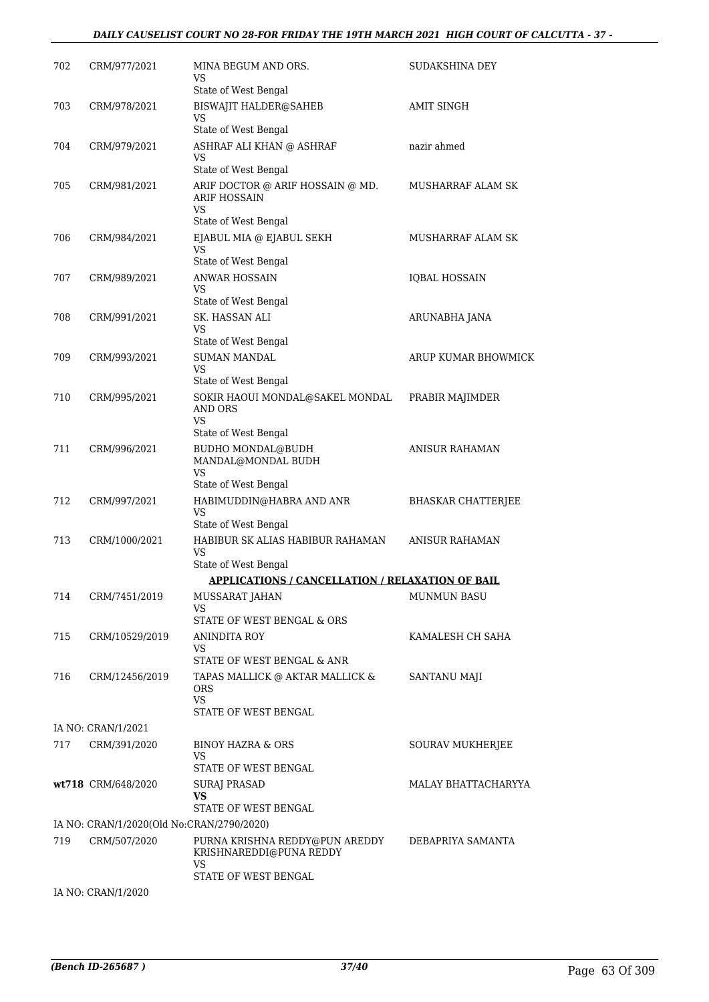#### *DAILY CAUSELIST COURT NO 28-FOR FRIDAY THE 19TH MARCH 2021 HIGH COURT OF CALCUTTA - 37 -*

| 702 | CRM/977/2021                              | MINA BEGUM AND ORS.<br>VS                                              | SUDAKSHINA DEY            |
|-----|-------------------------------------------|------------------------------------------------------------------------|---------------------------|
| 703 | CRM/978/2021                              | State of West Bengal<br><b>BISWAJIT HALDER@SAHEB</b>                   | <b>AMIT SINGH</b>         |
|     |                                           | VS                                                                     |                           |
|     |                                           | State of West Bengal                                                   |                           |
| 704 | CRM/979/2021                              | ASHRAF ALI KHAN @ ASHRAF<br>VS                                         | nazir ahmed               |
|     |                                           | State of West Bengal                                                   |                           |
| 705 | CRM/981/2021                              | ARIF DOCTOR @ ARIF HOSSAIN @ MD.<br><b>ARIF HOSSAIN</b><br>VS          | MUSHARRAF ALAM SK         |
|     |                                           | State of West Bengal                                                   |                           |
| 706 | CRM/984/2021                              | EJABUL MIA @ EJABUL SEKH<br>VS                                         | MUSHARRAF ALAM SK         |
|     |                                           | State of West Bengal                                                   |                           |
| 707 | CRM/989/2021                              | <b>ANWAR HOSSAIN</b><br>VS<br>State of West Bengal                     | <b>IQBAL HOSSAIN</b>      |
| 708 | CRM/991/2021                              | SK. HASSAN ALI                                                         | ARUNABHA JANA             |
|     |                                           | VS                                                                     |                           |
|     |                                           | State of West Bengal                                                   |                           |
| 709 | CRM/993/2021                              | <b>SUMAN MANDAL</b><br>VS                                              | ARUP KUMAR BHOWMICK       |
|     |                                           | State of West Bengal                                                   |                           |
| 710 | CRM/995/2021                              | SOKIR HAOUI MONDAL@SAKEL MONDAL<br>AND ORS<br><b>VS</b>                | PRABIR MAJIMDER           |
|     |                                           | State of West Bengal                                                   |                           |
| 711 | CRM/996/2021                              | <b>BUDHO MONDAL@BUDH</b><br>MANDAL@MONDAL BUDH<br>VS                   | <b>ANISUR RAHAMAN</b>     |
|     |                                           | State of West Bengal                                                   |                           |
| 712 | CRM/997/2021                              | HABIMUDDIN@HABRA AND ANR                                               | <b>BHASKAR CHATTERJEE</b> |
|     |                                           | <b>VS</b>                                                              |                           |
| 713 | CRM/1000/2021                             | State of West Bengal<br>HABIBUR SK ALIAS HABIBUR RAHAMAN               | <b>ANISUR RAHAMAN</b>     |
|     |                                           | VS                                                                     |                           |
|     |                                           | State of West Bengal                                                   |                           |
|     |                                           | <b>APPLICATIONS / CANCELLATION / RELAXATION OF BAIL</b>                |                           |
| 714 | CRM/7451/2019                             | MUSSARAT JAHAN<br><b>VS</b><br>STATE OF WEST BENGAL & ORS              | <b>MUNMUN BASU</b>        |
| 715 | CRM/10529/2019                            | <b>ANINDITA ROY</b>                                                    | KAMALESH CH SAHA          |
|     |                                           | VS                                                                     |                           |
|     |                                           | STATE OF WEST BENGAL & ANR                                             |                           |
| 716 | CRM/12456/2019                            | TAPAS MALLICK @ AKTAR MALLICK &<br>ORS<br><b>VS</b>                    | SANTANU MAJI              |
|     |                                           | STATE OF WEST BENGAL                                                   |                           |
|     | IA NO: CRAN/1/2021                        |                                                                        |                           |
| 717 | CRM/391/2020                              | BINOY HAZRA & ORS<br>VS                                                | SOURAV MUKHERJEE          |
|     |                                           | STATE OF WEST BENGAL                                                   |                           |
|     | wt718 CRM/648/2020                        | SURAJ PRASAD<br>VS                                                     | MALAY BHATTACHARYYA       |
|     |                                           | STATE OF WEST BENGAL                                                   |                           |
|     | IA NO: CRAN/1/2020(Old No:CRAN/2790/2020) |                                                                        |                           |
| 719 | CRM/507/2020                              | PURNA KRISHNA REDDY@PUN AREDDY<br>KRISHNAREDDI@PUNA REDDY<br><b>VS</b> | DEBAPRIYA SAMANTA         |
|     |                                           | STATE OF WEST BENGAL                                                   |                           |
|     | IA NO: CRAN/1/2020                        |                                                                        |                           |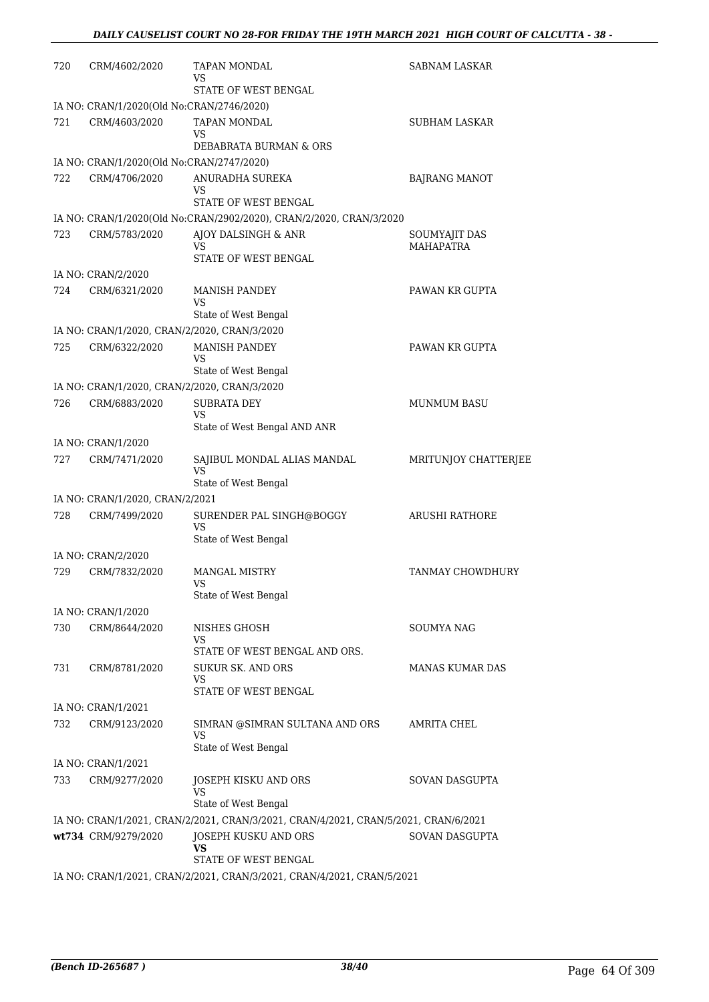| 720 | CRM/4602/2020                             | TAPAN MONDAL<br>VS                                                                  | SABNAM LASKAR                     |
|-----|-------------------------------------------|-------------------------------------------------------------------------------------|-----------------------------------|
|     |                                           | STATE OF WEST BENGAL                                                                |                                   |
| 721 | IA NO: CRAN/1/2020(Old No:CRAN/2746/2020) | TAPAN MONDAL                                                                        |                                   |
|     | CRM/4603/2020                             | VS                                                                                  | SUBHAM LASKAR                     |
|     |                                           | DEBABRATA BURMAN & ORS                                                              |                                   |
|     | IA NO: CRAN/1/2020(Old No:CRAN/2747/2020) |                                                                                     |                                   |
| 722 | CRM/4706/2020                             | ANURADHA SUREKA<br>VS<br>STATE OF WEST BENGAL                                       | <b>BAJRANG MANOT</b>              |
|     |                                           |                                                                                     |                                   |
|     |                                           | IA NO: CRAN/1/2020(Old No:CRAN/2902/2020), CRAN/2/2020, CRAN/3/2020                 |                                   |
| 723 | CRM/5783/2020                             | AJOY DALSINGH & ANR<br>VS<br>STATE OF WEST BENGAL                                   | SOUMYAJIT DAS<br><b>MAHAPATRA</b> |
|     | IA NO: CRAN/2/2020                        |                                                                                     |                                   |
| 724 | CRM/6321/2020                             | <b>MANISH PANDEY</b><br><b>VS</b>                                                   | PAWAN KR GUPTA                    |
|     |                                           | State of West Bengal                                                                |                                   |
|     |                                           | IA NO: CRAN/1/2020, CRAN/2/2020, CRAN/3/2020                                        |                                   |
| 725 | CRM/6322/2020                             | <b>MANISH PANDEY</b><br>VS                                                          | PAWAN KR GUPTA                    |
|     |                                           | State of West Bengal                                                                |                                   |
|     |                                           | IA NO: CRAN/1/2020, CRAN/2/2020, CRAN/3/2020                                        |                                   |
| 726 | CRM/6883/2020                             | <b>SUBRATA DEY</b><br><b>VS</b>                                                     | <b>MUNMUM BASU</b>                |
|     |                                           | State of West Bengal AND ANR                                                        |                                   |
|     | IA NO: CRAN/1/2020                        |                                                                                     |                                   |
| 727 | CRM/7471/2020                             | SAJIBUL MONDAL ALIAS MANDAL<br><b>VS</b><br>State of West Bengal                    | MRITUNJOY CHATTERJEE              |
|     | IA NO: CRAN/1/2020, CRAN/2/2021           |                                                                                     |                                   |
| 728 | CRM/7499/2020                             | SURENDER PAL SINGH@BOGGY<br><b>VS</b>                                               | <b>ARUSHI RATHORE</b>             |
|     |                                           | State of West Bengal                                                                |                                   |
|     | IA NO: CRAN/2/2020                        |                                                                                     |                                   |
| 729 | CRM/7832/2020                             | <b>MANGAL MISTRY</b><br>VS                                                          | TANMAY CHOWDHURY                  |
|     | IA NO: CRAN/1/2020                        | State of West Bengal                                                                |                                   |
| 730 | CRM/8644/2020                             | NISHES GHOSH                                                                        | SOUMYA NAG                        |
|     |                                           | VS                                                                                  |                                   |
|     |                                           | STATE OF WEST BENGAL AND ORS.                                                       |                                   |
| 731 | CRM/8781/2020                             | <b>SUKUR SK. AND ORS</b><br>VS<br>STATE OF WEST BENGAL                              | <b>MANAS KUMAR DAS</b>            |
|     | IA NO: CRAN/1/2021                        |                                                                                     |                                   |
| 732 | CRM/9123/2020                             | SIMRAN @SIMRAN SULTANA AND ORS                                                      | AMRITA CHEL                       |
|     |                                           | VS<br>State of West Bengal                                                          |                                   |
|     | IA NO: CRAN/1/2021                        |                                                                                     |                                   |
| 733 | CRM/9277/2020                             | JOSEPH KISKU AND ORS<br>VS                                                          | SOVAN DASGUPTA                    |
|     |                                           | State of West Bengal                                                                |                                   |
|     |                                           | IA NO: CRAN/1/2021, CRAN/2/2021, CRAN/3/2021, CRAN/4/2021, CRAN/5/2021, CRAN/6/2021 |                                   |
|     | wt734 CRM/9279/2020                       | JOSEPH KUSKU AND ORS<br>VS<br>STATE OF WEST BENGAL                                  | SOVAN DASGUPTA                    |
|     |                                           | IA NO: CRAN/1/2021, CRAN/2/2021, CRAN/3/2021, CRAN/4/2021, CRAN/5/2021              |                                   |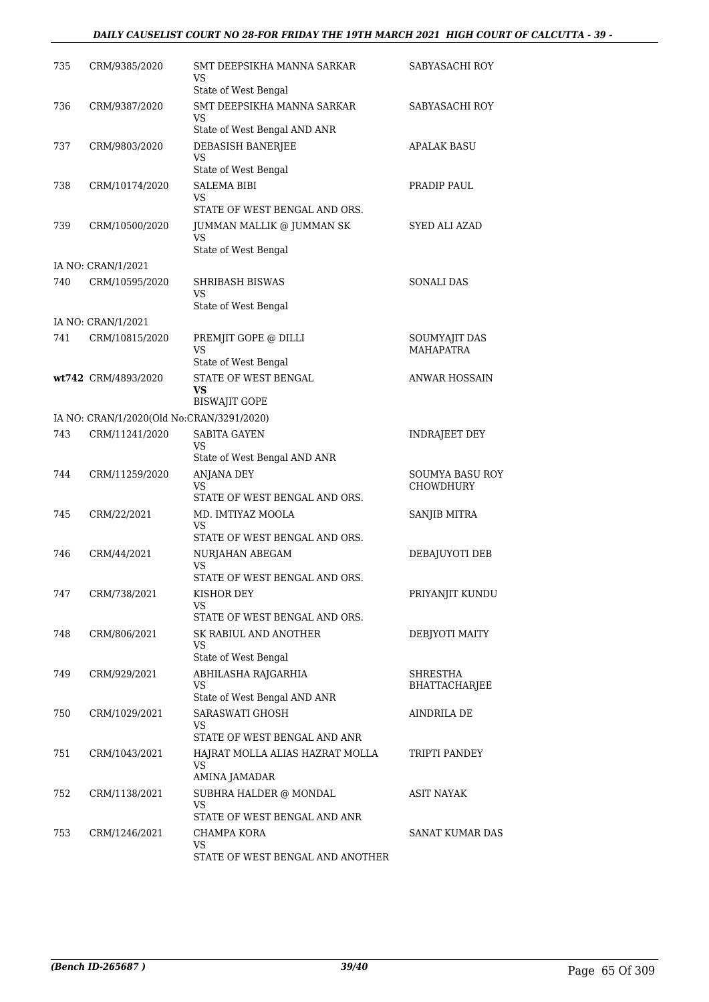#### *DAILY CAUSELIST COURT NO 28-FOR FRIDAY THE 19TH MARCH 2021 HIGH COURT OF CALCUTTA - 39 -*

| 735 | CRM/9385/2020                             | SMT DEEPSIKHA MANNA SARKAR<br>VS<br>State of West Bengal  | SABYASACHI ROY         |
|-----|-------------------------------------------|-----------------------------------------------------------|------------------------|
| 736 | CRM/9387/2020                             | SMT DEEPSIKHA MANNA SARKAR<br>VS                          | SABYASACHI ROY         |
|     |                                           | State of West Bengal AND ANR                              |                        |
| 737 | CRM/9803/2020                             | DEBASISH BANERJEE<br>VS                                   | APALAK BASU            |
|     |                                           | State of West Bengal                                      |                        |
| 738 | CRM/10174/2020                            | SALEMA BIBI<br>VS                                         | PRADIP PAUL            |
|     |                                           | STATE OF WEST BENGAL AND ORS.                             |                        |
| 739 | CRM/10500/2020                            | JUMMAN MALLIK @ JUMMAN SK<br>VS                           | <b>SYED ALI AZAD</b>   |
|     |                                           | State of West Bengal                                      |                        |
|     | IA NO: CRAN/1/2021                        |                                                           |                        |
| 740 | CRM/10595/2020                            | <b>SHRIBASH BISWAS</b><br>VS<br>State of West Bengal      | <b>SONALI DAS</b>      |
|     | IA NO: CRAN/1/2021                        |                                                           |                        |
| 741 | CRM/10815/2020                            | PREMJIT GOPE @ DILLI                                      | SOUMYAJIT DAS          |
|     |                                           | VS                                                        | <b>MAHAPATRA</b>       |
|     |                                           | State of West Bengal                                      |                        |
|     | wt742 CRM/4893/2020                       | <b>STATE OF WEST BENGAL</b><br>VS                         | ANWAR HOSSAIN          |
|     |                                           | <b>BISWAJIT GOPE</b>                                      |                        |
|     | IA NO: CRAN/1/2020(Old No:CRAN/3291/2020) |                                                           |                        |
| 743 | CRM/11241/2020                            | <b>SABITA GAYEN</b><br>VS<br>State of West Bengal AND ANR | <b>INDRAJEET DEY</b>   |
| 744 | CRM/11259/2020                            | <b>ANJANA DEY</b>                                         | SOUMYA BASU ROY        |
|     |                                           | VS<br>STATE OF WEST BENGAL AND ORS.                       | <b>CHOWDHURY</b>       |
| 745 | CRM/22/2021                               | MD. IMTIYAZ MOOLA                                         | SANJIB MITRA           |
|     |                                           | VS<br>STATE OF WEST BENGAL AND ORS.                       |                        |
| 746 | CRM/44/2021                               | NURJAHAN ABEGAM                                           | DEBAJUYOTI DEB         |
|     |                                           | VS<br>STATE OF WEST BENGAL AND ORS.                       |                        |
| 747 | CRM/738/2021                              | KISHOR DEY                                                | PRIYANJIT KUNDU        |
|     |                                           | VS                                                        |                        |
|     |                                           | STATE OF WEST BENGAL AND ORS.                             |                        |
| 748 | CRM/806/2021                              | SK RABIUL AND ANOTHER<br>VS<br>State of West Bengal       | DEBJYOTI MAITY         |
| 749 | CRM/929/2021                              | ABHILASHA RAJGARHIA                                       | SHRESTHA               |
|     |                                           | VS<br>State of West Bengal AND ANR                        | <b>BHATTACHARJEE</b>   |
| 750 | CRM/1029/2021                             | SARASWATI GHOSH                                           | AINDRILA DE            |
|     |                                           | VS<br>STATE OF WEST BENGAL AND ANR                        |                        |
| 751 | CRM/1043/2021                             | HAJRAT MOLLA ALIAS HAZRAT MOLLA<br><b>VS</b>              | TRIPTI PANDEY          |
|     |                                           | AMINA JAMADAR                                             |                        |
| 752 | CRM/1138/2021                             | SUBHRA HALDER @ MONDAL<br>VS                              | ASIT NAYAK             |
|     |                                           | STATE OF WEST BENGAL AND ANR                              | <b>SANAT KUMAR DAS</b> |
| 753 | CRM/1246/2021                             | CHAMPA KORA<br>VS                                         |                        |
|     |                                           | STATE OF WEST BENGAL AND ANOTHER                          |                        |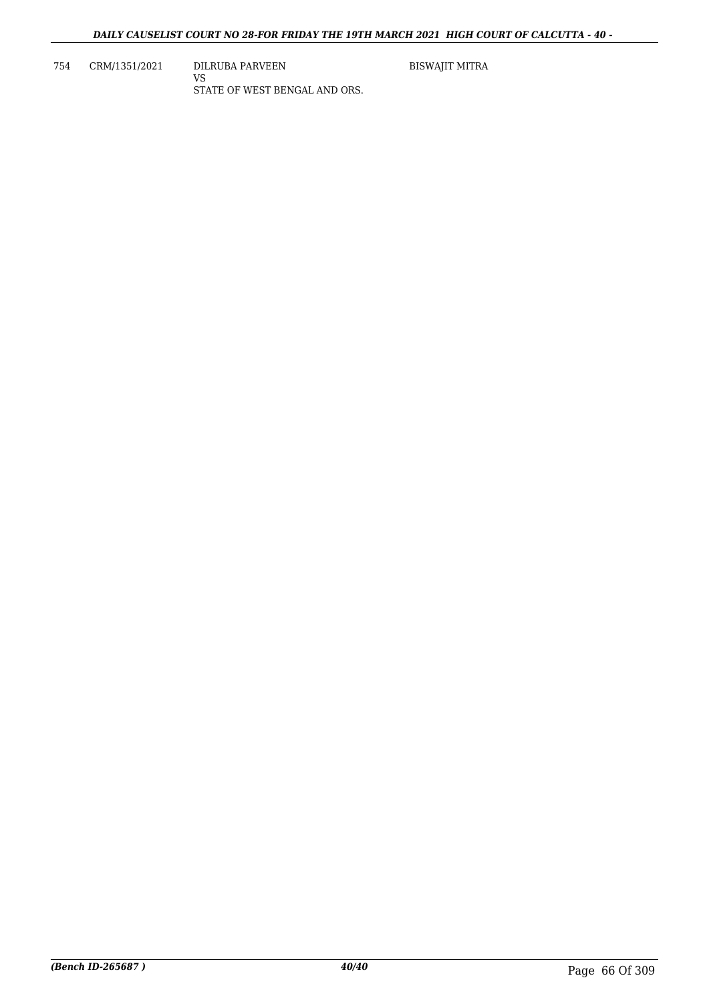754 CRM/1351/2021 DILRUBA PARVEEN VS STATE OF WEST BENGAL AND ORS. BISWAJIT MITRA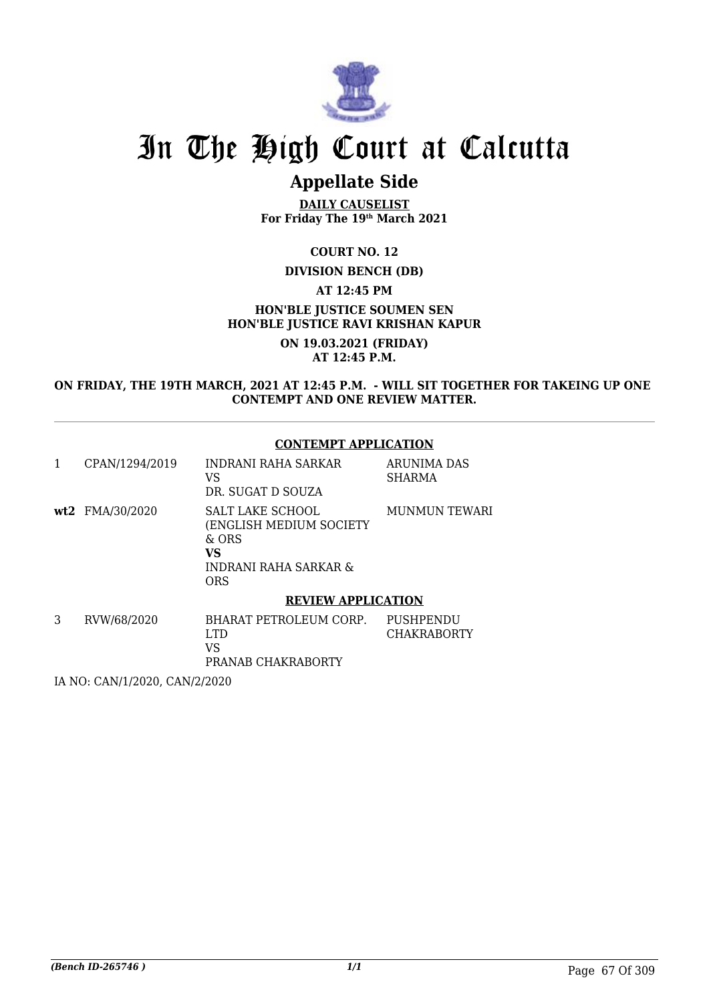

# In The High Court at Calcutta

## **Appellate Side**

**DAILY CAUSELIST For Friday The 19th March 2021**

**COURT NO. 12**

#### **DIVISION BENCH (DB)**

**AT 12:45 PM**

**HON'BLE JUSTICE SOUMEN SEN HON'BLE JUSTICE RAVI KRISHAN KAPUR**

> **ON 19.03.2021 (FRIDAY) AT 12:45 P.M.**

**ON FRIDAY, THE 19TH MARCH, 2021 AT 12:45 P.M. - WILL SIT TOGETHER FOR TAKEING UP ONE CONTEMPT AND ONE REVIEW MATTER.**

#### **CONTEMPT APPLICATION**

|   | CPAN/1294/2019  | INDRANI RAHA SARKAR<br>VS<br>DR. SUGAT D SOUZA                                                                        | ARUNIMA DAS<br><b>SHARMA</b>    |
|---|-----------------|-----------------------------------------------------------------------------------------------------------------------|---------------------------------|
|   | wt2 FMA/30/2020 | SALT LAKE SCHOOL<br>(ENGLISH MEDIUM SOCIETY<br>$&$ ORS<br><b>VS</b><br><b>INDRANI RAHA SARKAR &amp;</b><br><b>ORS</b> | MUNMUN TEWARI                   |
|   |                 | <b>REVIEW APPLICATION</b>                                                                                             |                                 |
| 3 | RVW/68/2020     | BHARAT PETROLEUM CORP.<br>LTD.<br>VS<br>PRANAB CHAKRABORTY                                                            | PUSHPENDU<br><b>CHAKRABORTY</b> |

IA NO: CAN/1/2020, CAN/2/2020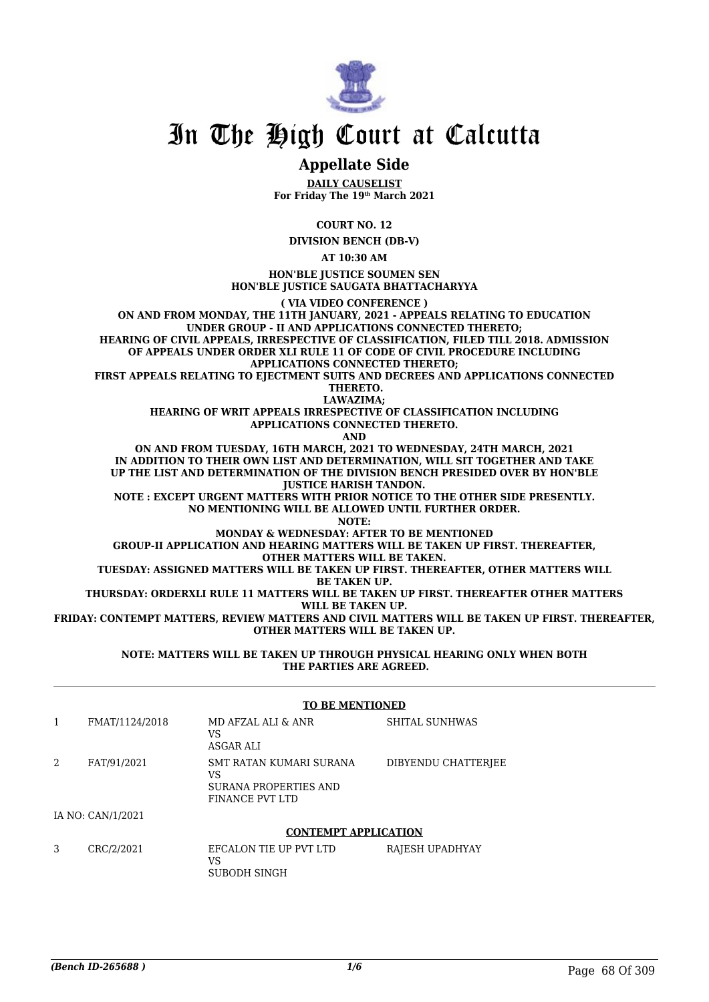

## In The High Court at Calcutta

### **Appellate Side**

**DAILY CAUSELIST For Friday The 19th March 2021**

**COURT NO. 12**

**DIVISION BENCH (DB-V)**

**AT 10:30 AM**

**HON'BLE JUSTICE SOUMEN SEN HON'BLE JUSTICE SAUGATA BHATTACHARYYA**

**( VIA VIDEO CONFERENCE ) ON AND FROM MONDAY, THE 11TH JANUARY, 2021 - APPEALS RELATING TO EDUCATION UNDER GROUP - II AND APPLICATIONS CONNECTED THERETO; HEARING OF CIVIL APPEALS, IRRESPECTIVE OF CLASSIFICATION, FILED TILL 2018. ADMISSION OF APPEALS UNDER ORDER XLI RULE 11 OF CODE OF CIVIL PROCEDURE INCLUDING APPLICATIONS CONNECTED THERETO;**

**FIRST APPEALS RELATING TO EJECTMENT SUITS AND DECREES AND APPLICATIONS CONNECTED THERETO.**

**LAWAZIMA;**

**HEARING OF WRIT APPEALS IRRESPECTIVE OF CLASSIFICATION INCLUDING APPLICATIONS CONNECTED THERETO.**

**AND**

**ON AND FROM TUESDAY, 16TH MARCH, 2021 TO WEDNESDAY, 24TH MARCH, 2021 IN ADDITION TO THEIR OWN LIST AND DETERMINATION, WILL SIT TOGETHER AND TAKE UP THE LIST AND DETERMINATION OF THE DIVISION BENCH PRESIDED OVER BY HON'BLE JUSTICE HARISH TANDON.**

**NOTE : EXCEPT URGENT MATTERS WITH PRIOR NOTICE TO THE OTHER SIDE PRESENTLY. NO MENTIONING WILL BE ALLOWED UNTIL FURTHER ORDER.**

**NOTE:**

**MONDAY & WEDNESDAY: AFTER TO BE MENTIONED**

**GROUP-II APPLICATION AND HEARING MATTERS WILL BE TAKEN UP FIRST. THEREAFTER, OTHER MATTERS WILL BE TAKEN.**

**TUESDAY: ASSIGNED MATTERS WILL BE TAKEN UP FIRST. THEREAFTER, OTHER MATTERS WILL BE TAKEN UP.**

**THURSDAY: ORDERXLI RULE 11 MATTERS WILL BE TAKEN UP FIRST. THEREAFTER OTHER MATTERS WILL BE TAKEN UP.**

**FRIDAY: CONTEMPT MATTERS, REVIEW MATTERS AND CIVIL MATTERS WILL BE TAKEN UP FIRST. THEREAFTER, OTHER MATTERS WILL BE TAKEN UP.**

#### **NOTE: MATTERS WILL BE TAKEN UP THROUGH PHYSICAL HEARING ONLY WHEN BOTH THE PARTIES ARE AGREED.**

|   |                   | <b>TO BE MENTIONED</b>                                                    |                     |
|---|-------------------|---------------------------------------------------------------------------|---------------------|
|   | FMAT/1124/2018    | MD AFZAL ALI & ANR<br>VS<br>ASGAR ALI                                     | SHITAL SUNHWAS      |
| 2 | FAT/91/2021       | SMT RATAN KUMARI SURANA<br>VS<br>SURANA PROPERTIES AND<br>FINANCE PVT LTD | DIBYENDU CHATTERJEE |
|   | IA NO: CAN/1/2021 |                                                                           |                     |

#### **CONTEMPT APPLICATION**

3 CRC/2/2021 EFCALON TIE UP PVT LTD VS SUBODH SINGH RAJESH UPADHYAY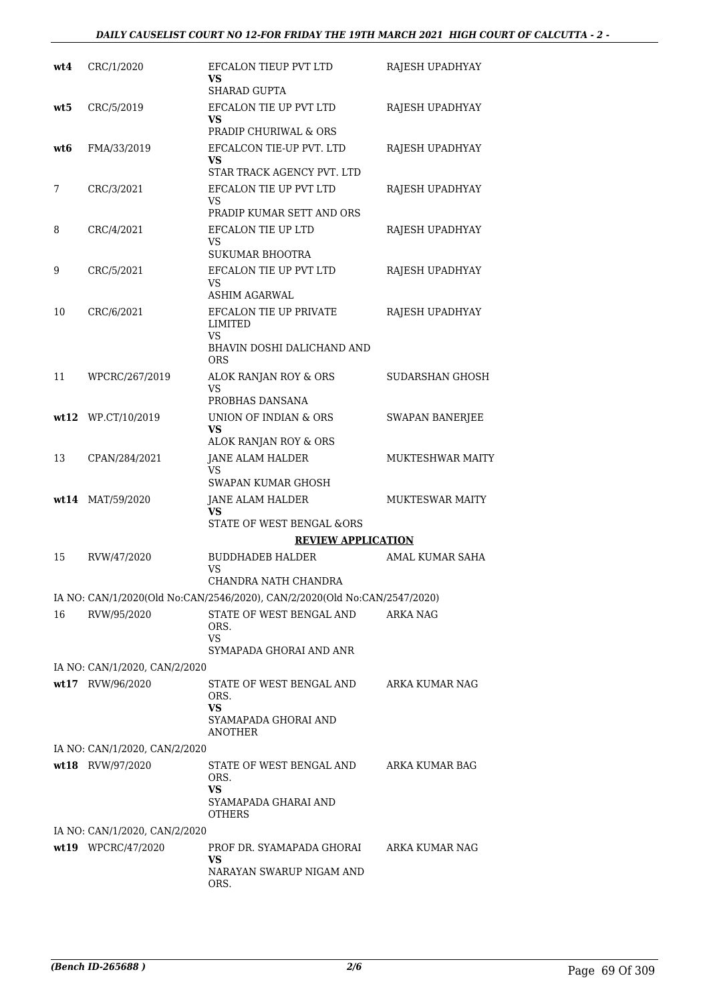| wt4 | CRC/1/2020                    | EFCALON TIEUP PVT LTD<br>VS<br><b>SHARAD GUPTA</b>                                  | RAJESH UPADHYAY         |
|-----|-------------------------------|-------------------------------------------------------------------------------------|-------------------------|
| wt5 | CRC/5/2019                    | EFCALON TIE UP PVT LTD<br>VS<br>PRADIP CHURIWAL & ORS                               | RAJESH UPADHYAY         |
| wt6 | FMA/33/2019                   | EFCALCON TIE-UP PVT. LTD<br>VS<br>STAR TRACK AGENCY PVT. LTD                        | RAJESH UPADHYAY         |
| 7   | CRC/3/2021                    | EFCALON TIE UP PVT LTD<br>VS<br>PRADIP KUMAR SETT AND ORS                           | RAJESH UPADHYAY         |
| 8   | CRC/4/2021                    | <b>EFCALON TIE UP LTD</b><br>VS<br><b>SUKUMAR BHOOTRA</b>                           | RAJESH UPADHYAY         |
| 9   | CRC/5/2021                    | EFCALON TIE UP PVT LTD<br>VS.<br><b>ASHIM AGARWAL</b>                               | RAJESH UPADHYAY         |
| 10  | CRC/6/2021                    | EFCALON TIE UP PRIVATE<br>LIMITED<br>VS<br>BHAVIN DOSHI DALICHAND AND<br><b>ORS</b> | RAJESH UPADHYAY         |
| 11  | WPCRC/267/2019                | ALOK RANJAN ROY & ORS<br>VS<br>PROBHAS DANSANA                                      | SUDARSHAN GHOSH         |
|     | wt12 WP.CT/10/2019            | UNION OF INDIAN & ORS<br><b>VS</b><br>ALOK RANJAN ROY & ORS                         | <b>SWAPAN BANERJEE</b>  |
| 13  | CPAN/284/2021                 | JANE ALAM HALDER<br>VS<br>SWAPAN KUMAR GHOSH                                        | <b>MUKTESHWAR MAITY</b> |
|     | wt14 MAT/59/2020              | JANE ALAM HALDER<br>VS<br><b>STATE OF WEST BENGAL &amp;ORS</b>                      | <b>MUKTESWAR MAITY</b>  |
|     |                               | <b>REVIEW APPLICATION</b>                                                           |                         |
| 15  | RVW/47/2020                   | <b>BUDDHADEB HALDER</b><br>VS<br>CHANDRA NATH CHANDRA                               | AMAL KUMAR SAHA         |
|     |                               | IA NO: CAN/1/2020(Old No:CAN/2546/2020), CAN/2/2020(Old No:CAN/2547/2020)           |                         |
| 16  | RVW/95/2020                   | STATE OF WEST BENGAL AND<br>ORS.<br><b>VS</b><br>SYMAPADA GHORAI AND ANR            | <b>ARKA NAG</b>         |
|     | IA NO: CAN/1/2020, CAN/2/2020 |                                                                                     |                         |
|     | wt17 RVW/96/2020              | STATE OF WEST BENGAL AND<br>ORS.<br><b>VS</b><br>SYAMAPADA GHORAI AND<br>ANOTHER    | ARKA KUMAR NAG          |
|     | IA NO: CAN/1/2020, CAN/2/2020 |                                                                                     |                         |
|     | wt18 RVW/97/2020              | STATE OF WEST BENGAL AND<br>ORS.<br>VS<br>SYAMAPADA GHARAI AND<br>OTHERS            | ARKA KUMAR BAG          |
|     | IA NO: CAN/1/2020, CAN/2/2020 |                                                                                     |                         |
|     | wt19 WPCRC/47/2020            | PROF DR. SYAMAPADA GHORAI<br>VS<br>NARAYAN SWARUP NIGAM AND<br>ORS.                 | ARKA KUMAR NAG          |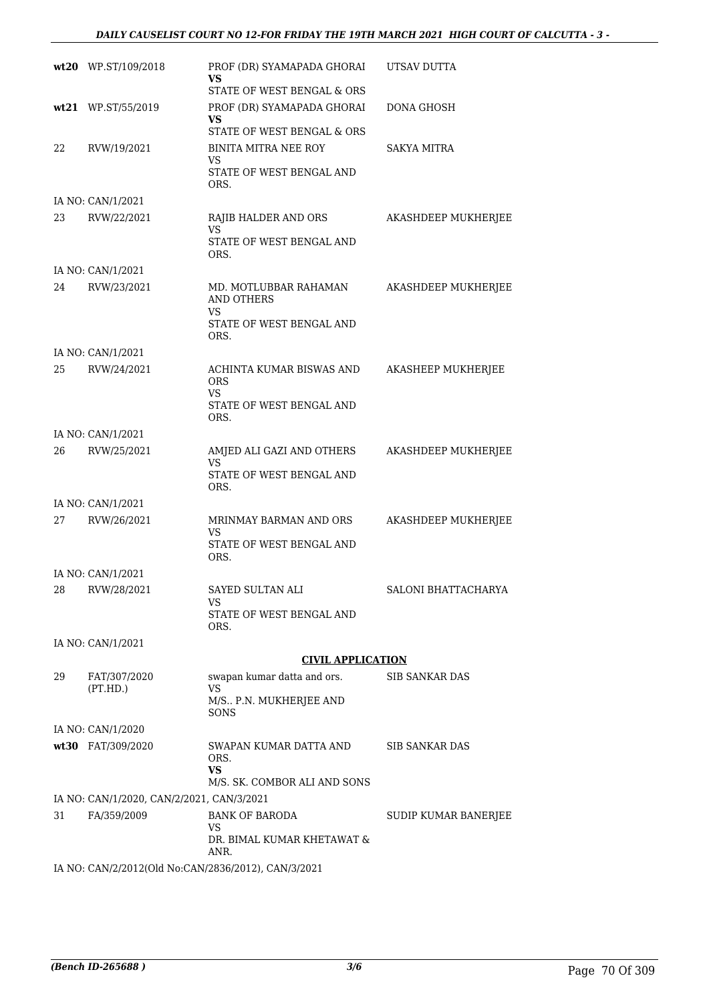|    | wt20 WP.ST/109/2018                                      | PROF (DR) SYAMAPADA GHORAI<br><b>VS</b><br>STATE OF WEST BENGAL & ORS | UTSAV DUTTA          |
|----|----------------------------------------------------------|-----------------------------------------------------------------------|----------------------|
|    | wt21 WP.ST/55/2019                                       | PROF (DR) SYAMAPADA GHORAI<br><b>VS</b>                               | DONA GHOSH           |
| 22 | RVW/19/2021                                              | STATE OF WEST BENGAL & ORS<br><b>BINITA MITRA NEE ROY</b><br>VS       | <b>SAKYA MITRA</b>   |
|    |                                                          | STATE OF WEST BENGAL AND<br>ORS.                                      |                      |
|    | IA NO: CAN/1/2021                                        |                                                                       |                      |
| 23 | RVW/22/2021                                              | RAJIB HALDER AND ORS<br><b>VS</b><br>STATE OF WEST BENGAL AND<br>ORS. | AKASHDEEP MUKHERJEE  |
|    | IA NO: CAN/1/2021                                        |                                                                       |                      |
| 24 | RVW/23/2021                                              | MD. MOTLUBBAR RAHAMAN<br><b>AND OTHERS</b><br>VS                      | AKASHDEEP MUKHERJEE  |
|    |                                                          | STATE OF WEST BENGAL AND<br>ORS.                                      |                      |
|    | IA NO: CAN/1/2021                                        |                                                                       |                      |
| 25 | RVW/24/2021                                              | ACHINTA KUMAR BISWAS AND<br><b>ORS</b><br>VS                          | AKASHEEP MUKHERJEE   |
|    |                                                          | STATE OF WEST BENGAL AND<br>ORS.                                      |                      |
|    | IA NO: CAN/1/2021                                        |                                                                       |                      |
| 26 | RVW/25/2021                                              | AMJED ALI GAZI AND OTHERS<br>VS<br>STATE OF WEST BENGAL AND           | AKASHDEEP MUKHERJEE  |
|    |                                                          | ORS.                                                                  |                      |
|    | IA NO: CAN/1/2021                                        |                                                                       |                      |
| 27 | RVW/26/2021                                              | MRINMAY BARMAN AND ORS<br>VS<br>STATE OF WEST BENGAL AND              | AKASHDEEP MUKHERJEE  |
|    |                                                          | ORS.                                                                  |                      |
|    | IA NO: CAN/1/2021                                        |                                                                       |                      |
| 28 | RVW/28/2021                                              | SAYED SULTAN ALI<br>VS                                                | SALONI BHATTACHARYA  |
|    |                                                          | STATE OF WEST BENGAL AND<br>ORS.                                      |                      |
|    | IA NO: CAN/1/2021                                        |                                                                       |                      |
|    |                                                          | <b>CIVIL APPLICATION</b>                                              |                      |
| 29 | FAT/307/2020<br>(PT.HD.)                                 | swapan kumar datta and ors.<br><b>VS</b><br>M/S., P.N. MUKHERJEE AND  | SIB SANKAR DAS       |
|    |                                                          | <b>SONS</b>                                                           |                      |
|    | IA NO: CAN/1/2020                                        | SWAPAN KUMAR DATTA AND                                                |                      |
|    | wt30 FAT/309/2020                                        | ORS.<br><b>VS</b>                                                     | SIB SANKAR DAS       |
|    |                                                          | M/S. SK. COMBOR ALI AND SONS                                          |                      |
| 31 | IA NO: CAN/1/2020, CAN/2/2021, CAN/3/2021<br>FA/359/2009 | <b>BANK OF BARODA</b>                                                 | SUDIP KUMAR BANERJEE |
|    |                                                          | VS<br>DR. BIMAL KUMAR KHETAWAT &                                      |                      |
|    | IA NO: CAN/2/2012(Old No:CAN/2836/2012), CAN/3/2021      | ANR.                                                                  |                      |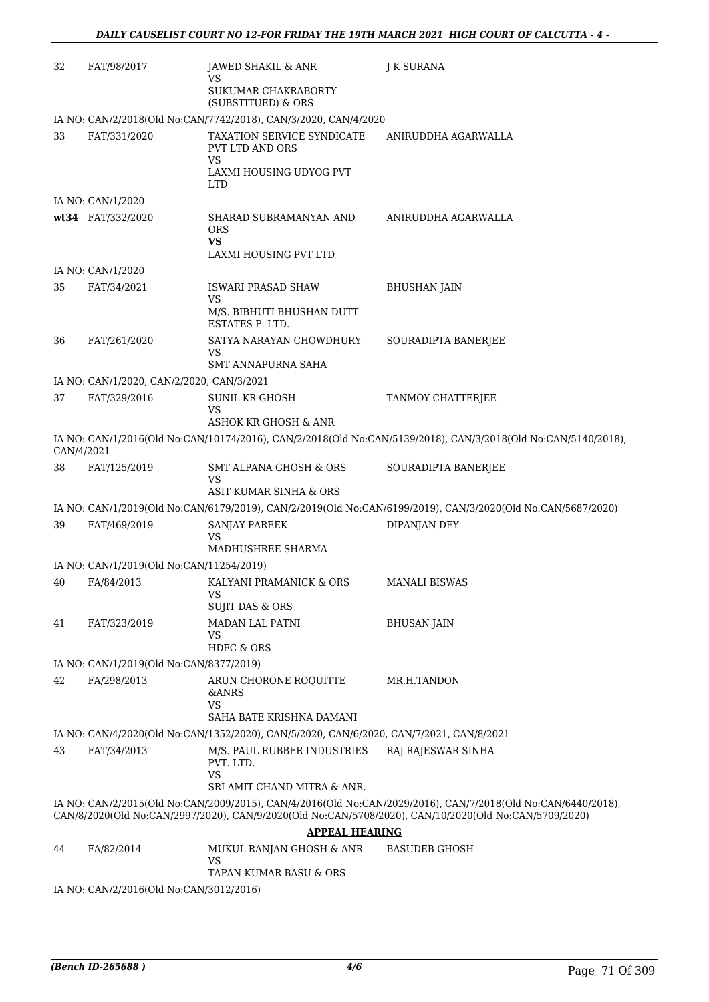| 32         | FAT/98/2017                               | JAWED SHAKIL & ANR                                                                      | <b>J K SURANA</b>                                                                                                                                                                                                     |
|------------|-------------------------------------------|-----------------------------------------------------------------------------------------|-----------------------------------------------------------------------------------------------------------------------------------------------------------------------------------------------------------------------|
|            |                                           | VS<br>SUKUMAR CHAKRABORTY<br>(SUBSTITUED) & ORS                                         |                                                                                                                                                                                                                       |
|            |                                           | IA NO: CAN/2/2018(Old No:CAN/7742/2018), CAN/3/2020, CAN/4/2020                         |                                                                                                                                                                                                                       |
| 33         | FAT/331/2020                              | TAXATION SERVICE SYNDICATE<br><b>PVT LTD AND ORS</b><br>VS                              | ANIRUDDHA AGARWALLA                                                                                                                                                                                                   |
|            |                                           | LAXMI HOUSING UDYOG PVT<br>LTD.                                                         |                                                                                                                                                                                                                       |
|            | IA NO: CAN/1/2020                         |                                                                                         |                                                                                                                                                                                                                       |
|            | wt34 FAT/332/2020                         | SHARAD SUBRAMANYAN AND<br><b>ORS</b><br><b>VS</b><br>LAXMI HOUSING PVT LTD              | ANIRUDDHA AGARWALLA                                                                                                                                                                                                   |
|            | IA NO: CAN/1/2020                         |                                                                                         |                                                                                                                                                                                                                       |
| 35         | FAT/34/2021                               | ISWARI PRASAD SHAW                                                                      | <b>BHUSHAN JAIN</b>                                                                                                                                                                                                   |
|            |                                           | VS<br>M/S. BIBHUTI BHUSHAN DUTT<br>ESTATES P. LTD.                                      |                                                                                                                                                                                                                       |
| 36         | FAT/261/2020                              | SATYA NARAYAN CHOWDHURY<br>VS                                                           | SOURADIPTA BANERJEE                                                                                                                                                                                                   |
|            |                                           | <b>SMT ANNAPURNA SAHA</b>                                                               |                                                                                                                                                                                                                       |
|            | IA NO: CAN/1/2020, CAN/2/2020, CAN/3/2021 |                                                                                         |                                                                                                                                                                                                                       |
| 37         | FAT/329/2016                              | <b>SUNIL KR GHOSH</b><br>VS<br>ASHOK KR GHOSH & ANR                                     | TANMOY CHATTERJEE                                                                                                                                                                                                     |
| CAN/4/2021 |                                           |                                                                                         | IA NO: CAN/1/2016(Old No:CAN/10174/2016), CAN/2/2018(Old No:CAN/5139/2018), CAN/3/2018(Old No:CAN/5140/2018),                                                                                                         |
| 38         | FAT/125/2019                              | SMT ALPANA GHOSH & ORS<br>VS<br>ASIT KUMAR SINHA & ORS                                  | SOURADIPTA BANERJEE                                                                                                                                                                                                   |
|            |                                           |                                                                                         | IA NO: CAN/1/2019(Old No:CAN/6179/2019), CAN/2/2019(Old No:CAN/6199/2019), CAN/3/2020(Old No:CAN/5687/2020)                                                                                                           |
| 39         | FAT/469/2019                              | SANJAY PAREEK                                                                           | DIPANJAN DEY                                                                                                                                                                                                          |
|            |                                           | VS<br>MADHUSHREE SHARMA                                                                 |                                                                                                                                                                                                                       |
|            | IA NO: CAN/1/2019(Old No:CAN/11254/2019)  |                                                                                         |                                                                                                                                                                                                                       |
| 40         | FA/84/2013                                | KALYANI PRAMANICK & ORS<br>VS<br><b>SUJIT DAS &amp; ORS</b>                             | <b>MANALI BISWAS</b>                                                                                                                                                                                                  |
| 41         | FAT/323/2019                              | <b>MADAN LAL PATNI</b><br>VS                                                            | <b>BHUSAN JAIN</b>                                                                                                                                                                                                    |
|            |                                           | <b>HDFC &amp; ORS</b>                                                                   |                                                                                                                                                                                                                       |
|            | IA NO: CAN/1/2019(Old No:CAN/8377/2019)   |                                                                                         |                                                                                                                                                                                                                       |
| 42         | FA/298/2013                               | ARUN CHORONE ROQUITTE<br>&ANRS<br>VS                                                    | MR.H.TANDON                                                                                                                                                                                                           |
|            |                                           | SAHA BATE KRISHNA DAMANI                                                                |                                                                                                                                                                                                                       |
|            |                                           | IA NO: CAN/4/2020(Old No:CAN/1352/2020), CAN/5/2020, CAN/6/2020, CAN/7/2021, CAN/8/2021 |                                                                                                                                                                                                                       |
| 43         | FAT/34/2013                               | M/S. PAUL RUBBER INDUSTRIES                                                             | RAJ RAJESWAR SINHA                                                                                                                                                                                                    |
|            |                                           | PVT. LTD.<br><b>VS</b><br>SRI AMIT CHAND MITRA & ANR.                                   |                                                                                                                                                                                                                       |
|            |                                           |                                                                                         | IA NO: CAN/2/2015(Old No:CAN/2009/2015), CAN/4/2016(Old No:CAN/2029/2016), CAN/7/2018(Old No:CAN/6440/2018),<br>CAN/8/2020(Old No:CAN/2997/2020), CAN/9/2020(Old No:CAN/5708/2020), CAN/10/2020(Old No:CAN/5709/2020) |
|            |                                           | <b>APPEAL HEARING</b>                                                                   |                                                                                                                                                                                                                       |
| 44         | FA/82/2014                                | MUKUL RANJAN GHOSH & ANR<br>VS                                                          | <b>BASUDEB GHOSH</b>                                                                                                                                                                                                  |
|            |                                           | TAPAN KUMAR BASU & ORS                                                                  |                                                                                                                                                                                                                       |
|            | IA NO: CAN/2/2016(Old No:CAN/3012/2016)   |                                                                                         |                                                                                                                                                                                                                       |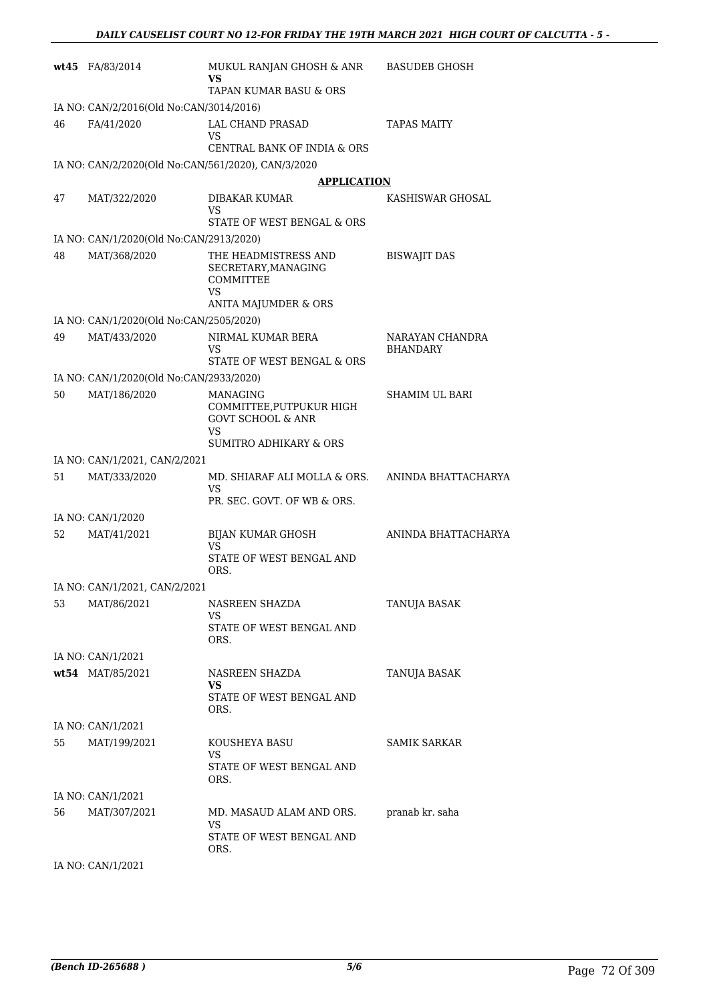|    | wt45 FA/83/2014                                    | MUKUL RANJAN GHOSH & ANR<br>VS                                                                                                | <b>BASUDEB GHOSH</b>               |
|----|----------------------------------------------------|-------------------------------------------------------------------------------------------------------------------------------|------------------------------------|
|    |                                                    | TAPAN KUMAR BASU & ORS                                                                                                        |                                    |
|    | IA NO: CAN/2/2016(Old No:CAN/3014/2016)            |                                                                                                                               |                                    |
| 46 | FA/41/2020                                         | <b>LAL CHAND PRASAD</b><br>VS                                                                                                 | <b>TAPAS MAITY</b>                 |
|    |                                                    | CENTRAL BANK OF INDIA & ORS                                                                                                   |                                    |
|    | IA NO: CAN/2/2020(Old No:CAN/561/2020), CAN/3/2020 |                                                                                                                               |                                    |
|    |                                                    | <b>APPLICATION</b>                                                                                                            |                                    |
| 47 | MAT/322/2020                                       | DIBAKAR KUMAR<br>VS<br>STATE OF WEST BENGAL & ORS                                                                             | KASHISWAR GHOSAL                   |
|    | IA NO: CAN/1/2020(Old No:CAN/2913/2020)            |                                                                                                                               |                                    |
| 48 | MAT/368/2020                                       | THE HEADMISTRESS AND<br>SECRETARY, MANAGING<br><b>COMMITTEE</b><br>VS<br>ANITA MAJUMDER & ORS                                 | <b>BISWAJIT DAS</b>                |
|    | IA NO: CAN/1/2020(Old No:CAN/2505/2020)            |                                                                                                                               |                                    |
| 49 | MAT/433/2020                                       | NIRMAL KUMAR BERA<br>VS                                                                                                       | NARAYAN CHANDRA<br><b>BHANDARY</b> |
|    |                                                    | STATE OF WEST BENGAL & ORS                                                                                                    |                                    |
|    | IA NO: CAN/1/2020(Old No:CAN/2933/2020)            |                                                                                                                               |                                    |
| 50 | MAT/186/2020                                       | <b>MANAGING</b><br>COMMITTEE, PUTPUKUR HIGH<br><b>GOVT SCHOOL &amp; ANR</b><br><b>VS</b><br><b>SUMITRO ADHIKARY &amp; ORS</b> | <b>SHAMIM UL BARI</b>              |
|    | IA NO: CAN/1/2021, CAN/2/2021                      |                                                                                                                               |                                    |
| 51 | MAT/333/2020                                       | MD. SHIARAF ALI MOLLA & ORS. ANINDA BHATTACHARYA                                                                              |                                    |
|    |                                                    | VS<br>PR. SEC. GOVT. OF WB & ORS.                                                                                             |                                    |
|    | IA NO: CAN/1/2020                                  |                                                                                                                               |                                    |
| 52 | MAT/41/2021                                        | <b>BIJAN KUMAR GHOSH</b><br>VS                                                                                                | ANINDA BHATTACHARYA                |
|    |                                                    | STATE OF WEST BENGAL AND<br>ORS.                                                                                              |                                    |
|    | IA NO: CAN/1/2021, CAN/2/2021                      |                                                                                                                               |                                    |
| 53 | MAT/86/2021                                        | NASREEN SHAZDA                                                                                                                | TANUJA BASAK                       |
|    |                                                    | VS<br>STATE OF WEST BENGAL AND                                                                                                |                                    |
|    |                                                    | ORS.                                                                                                                          |                                    |
|    | IA NO: CAN/1/2021                                  |                                                                                                                               |                                    |
|    | wt54 MAT/85/2021                                   | NASREEN SHAZDA                                                                                                                | TANUJA BASAK                       |
|    |                                                    | VS<br>STATE OF WEST BENGAL AND<br>ORS.                                                                                        |                                    |
|    | IA NO: CAN/1/2021                                  |                                                                                                                               |                                    |
| 55 | MAT/199/2021                                       | KOUSHEYA BASU                                                                                                                 | <b>SAMIK SARKAR</b>                |
|    |                                                    | VS<br>STATE OF WEST BENGAL AND<br>ORS.                                                                                        |                                    |
|    | IA NO: CAN/1/2021                                  |                                                                                                                               |                                    |
| 56 | MAT/307/2021                                       | MD. MASAUD ALAM AND ORS. pranab kr. saha                                                                                      |                                    |
|    |                                                    | VS.<br>STATE OF WEST BENGAL AND                                                                                               |                                    |
|    | IA NO: CAN/1/2021                                  | ORS.                                                                                                                          |                                    |
|    |                                                    |                                                                                                                               |                                    |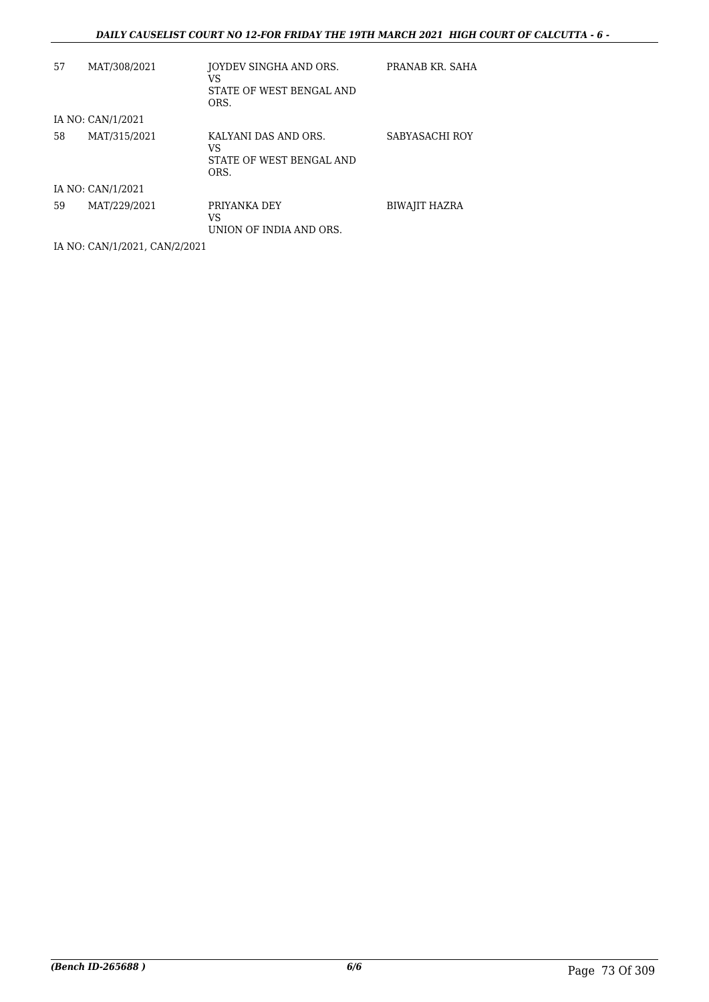### *DAILY CAUSELIST COURT NO 12-FOR FRIDAY THE 19TH MARCH 2021 HIGH COURT OF CALCUTTA - 6 -*

| 57 | MAT/308/2021      | JOYDEV SINGHA AND ORS.<br>VS<br>STATE OF WEST BENGAL AND<br>ORS. | PRANAB KR. SAHA      |
|----|-------------------|------------------------------------------------------------------|----------------------|
|    | IA NO: CAN/1/2021 |                                                                  |                      |
| 58 | MAT/315/2021      | KALYANI DAS AND ORS.<br>VS<br>STATE OF WEST BENGAL AND<br>ORS.   | SABYASACHI ROY       |
|    | IA NO: CAN/1/2021 |                                                                  |                      |
| 59 | MAT/229/2021      | PRIYANKA DEY<br>VS<br>UNION OF INDIA AND ORS.                    | <b>BIWAJIT HAZRA</b> |

IA NO: CAN/1/2021, CAN/2/2021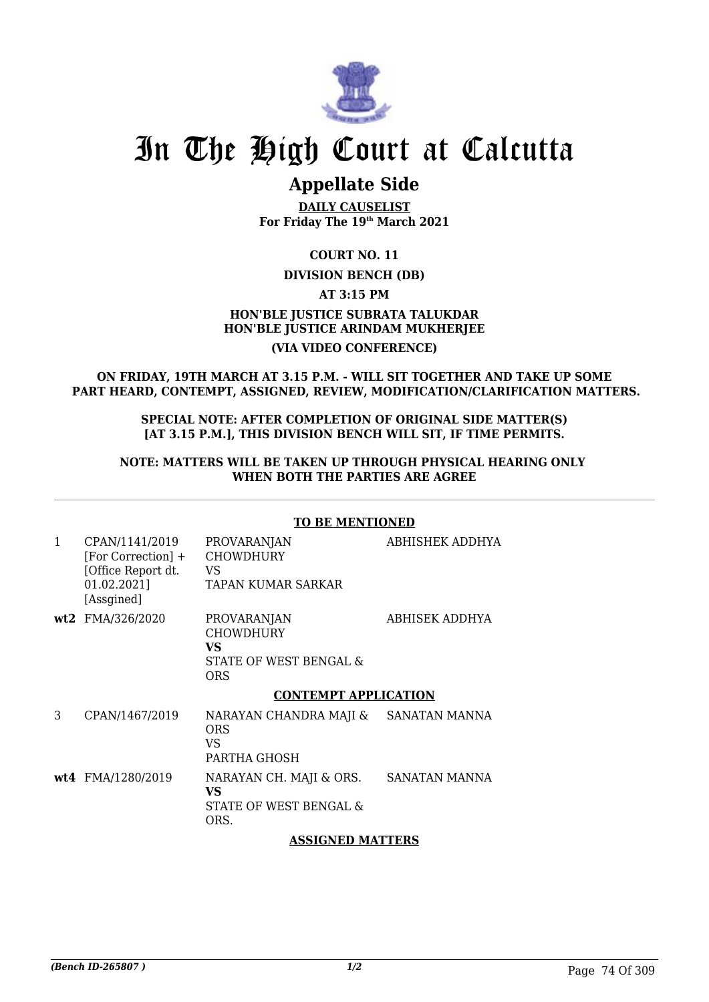

# **Appellate Side**

**DAILY CAUSELIST For Friday The 19th March 2021**

**COURT NO. 11**

## **DIVISION BENCH (DB)**

**AT 3:15 PM**

## **HON'BLE JUSTICE SUBRATA TALUKDAR HON'BLE JUSTICE ARINDAM MUKHERJEE (VIA VIDEO CONFERENCE)**

## **ON FRIDAY, 19TH MARCH AT 3.15 P.M. - WILL SIT TOGETHER AND TAKE UP SOME PART HEARD, CONTEMPT, ASSIGNED, REVIEW, MODIFICATION/CLARIFICATION MATTERS.**

#### **SPECIAL NOTE: AFTER COMPLETION OF ORIGINAL SIDE MATTER(S) [AT 3.15 P.M.], THIS DIVISION BENCH WILL SIT, IF TIME PERMITS.**

## **NOTE: MATTERS WILL BE TAKEN UP THROUGH PHYSICAL HEARING ONLY WHEN BOTH THE PARTIES ARE AGREE**

## **TO BE MENTIONED**

| $\mathbf{1}$ | CPAN/1141/2019<br>[For Correction] +<br>[Office Report dt.<br>01.02.2021]<br>[Assgined] | <b>PROVARANJAN</b><br><b>CHOWDHURY</b><br>VS<br>TAPAN KUMAR SARKAR     | ABHISHEK ADDHYA |
|--------------|-----------------------------------------------------------------------------------------|------------------------------------------------------------------------|-----------------|
|              | wt2 FMA/326/2020                                                                        | PROVARANJAN<br><b>CHOWDHURY</b><br>VS<br>STATE OF WEST BENGAL &<br>ORS | ABHISEK ADDHYA  |
|              |                                                                                         | <b>CONTEMPT APPLICATION</b>                                            |                 |
| 3            | CPAN/1467/2019                                                                          | NARAYAN CHANDRA MAJI &<br>ORS<br>VS<br>PARTHA GHOSH                    | SANATAN MANNA   |
|              | wt4 FMA/1280/2019                                                                       | NARAYAN CH. MAJI & ORS.<br>VS<br>STATE OF WEST BENGAL &<br>ORS.        | SANATAN MANNA   |

## **ASSIGNED MATTERS**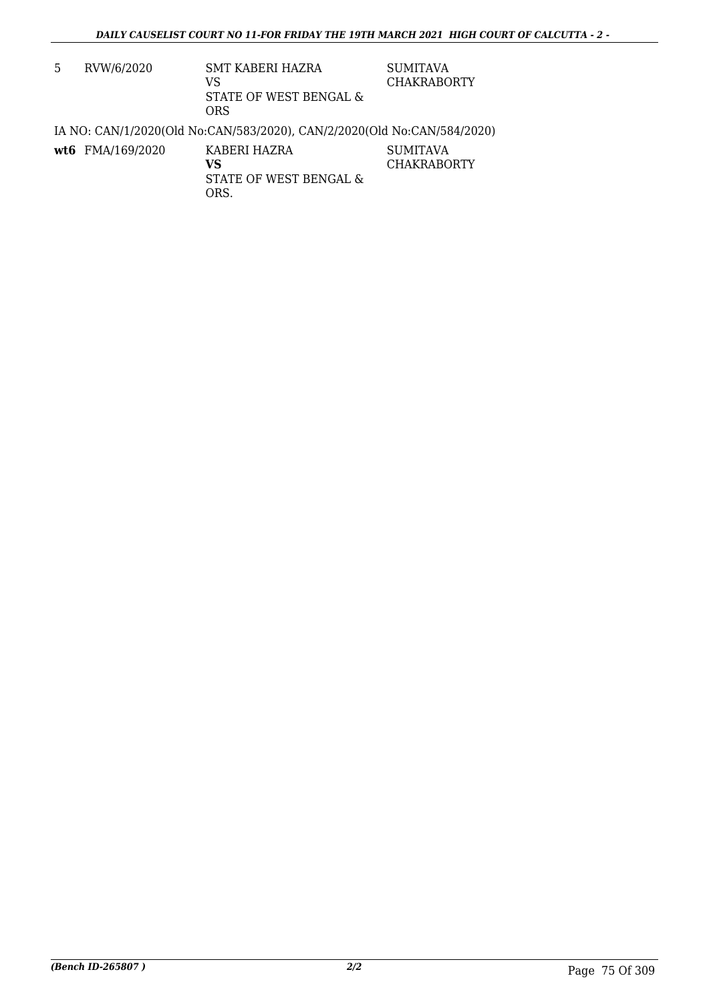| 5 | RVW/6/2020       | SMT KABERI HAZRA<br>VS<br>STATE OF WEST BENGAL &<br><b>ORS</b>          | <b>SUMITAVA</b><br><b>CHAKRABORTY</b> |
|---|------------------|-------------------------------------------------------------------------|---------------------------------------|
|   |                  | IA NO: CAN/1/2020(Old No:CAN/583/2020), CAN/2/2020(Old No:CAN/584/2020) |                                       |
|   | wt6 FMA/169/2020 | KABERI HAZRA<br>VS<br>STATE OF WEST BENGAL &<br>ORS.                    | <b>SUMITAVA</b><br><b>CHAKRABORTY</b> |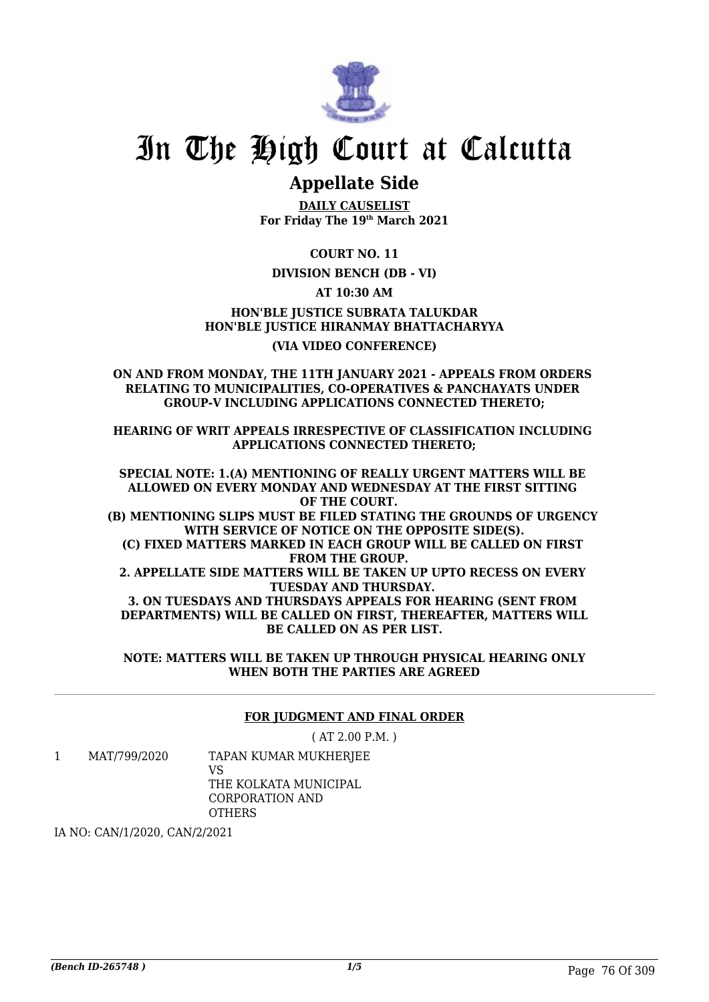

# **Appellate Side**

**DAILY CAUSELIST For Friday The 19th March 2021**

**COURT NO. 11**

## **DIVISION BENCH (DB - VI)**

**AT 10:30 AM**

**HON'BLE JUSTICE SUBRATA TALUKDAR HON'BLE JUSTICE HIRANMAY BHATTACHARYYA (VIA VIDEO CONFERENCE)**

**ON AND FROM MONDAY, THE 11TH JANUARY 2021 - APPEALS FROM ORDERS RELATING TO MUNICIPALITIES, CO-OPERATIVES & PANCHAYATS UNDER GROUP-V INCLUDING APPLICATIONS CONNECTED THERETO;**

**HEARING OF WRIT APPEALS IRRESPECTIVE OF CLASSIFICATION INCLUDING APPLICATIONS CONNECTED THERETO;**

**SPECIAL NOTE: 1.(A) MENTIONING OF REALLY URGENT MATTERS WILL BE ALLOWED ON EVERY MONDAY AND WEDNESDAY AT THE FIRST SITTING OF THE COURT. (B) MENTIONING SLIPS MUST BE FILED STATING THE GROUNDS OF URGENCY WITH SERVICE OF NOTICE ON THE OPPOSITE SIDE(S). (C) FIXED MATTERS MARKED IN EACH GROUP WILL BE CALLED ON FIRST FROM THE GROUP. 2. APPELLATE SIDE MATTERS WILL BE TAKEN UP UPTO RECESS ON EVERY TUESDAY AND THURSDAY. 3. ON TUESDAYS AND THURSDAYS APPEALS FOR HEARING (SENT FROM DEPARTMENTS) WILL BE CALLED ON FIRST, THEREAFTER, MATTERS WILL BE CALLED ON AS PER LIST.**

**NOTE: MATTERS WILL BE TAKEN UP THROUGH PHYSICAL HEARING ONLY WHEN BOTH THE PARTIES ARE AGREED**

## **FOR JUDGMENT AND FINAL ORDER**

( AT 2.00 P.M. )

1 MAT/799/2020 TAPAN KUMAR MUKHERJEE VS THE KOLKATA MUNICIPAL

CORPORATION AND

**OTHERS** 

IA NO: CAN/1/2020, CAN/2/2021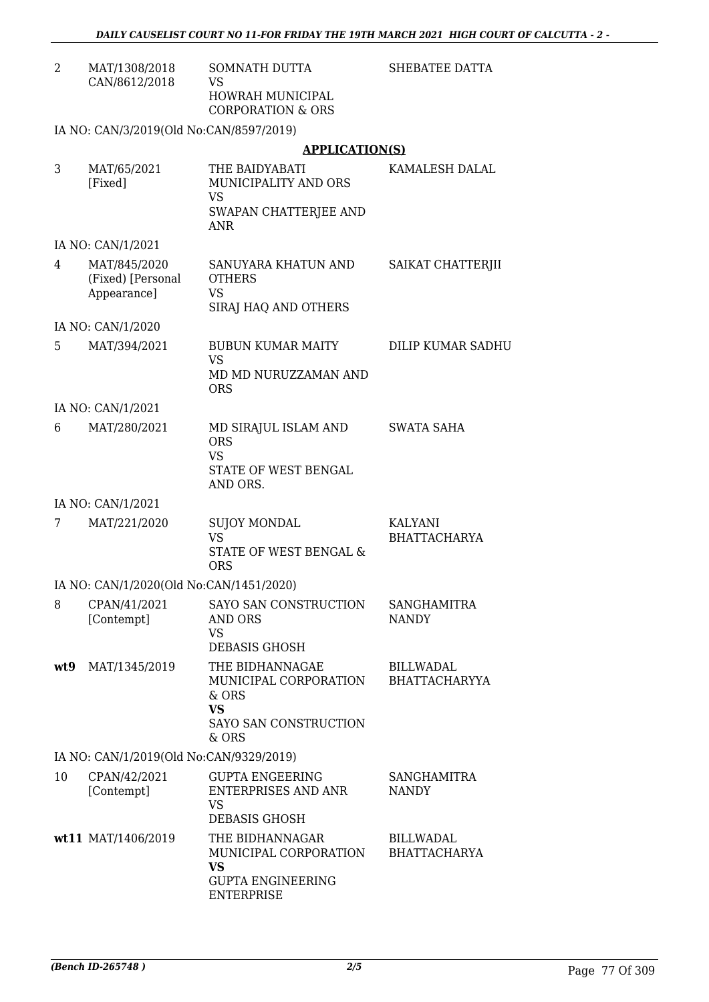| 2    | MAT/1308/2018<br>CAN/8612/2018                   | <b>SOMNATH DUTTA</b><br><b>VS</b>                                                                | SHEBATEE DATTA                           |
|------|--------------------------------------------------|--------------------------------------------------------------------------------------------------|------------------------------------------|
|      |                                                  | HOWRAH MUNICIPAL<br><b>CORPORATION &amp; ORS</b>                                                 |                                          |
|      | IA NO: CAN/3/2019(Old No:CAN/8597/2019)          |                                                                                                  |                                          |
|      |                                                  | <b>APPLICATION(S)</b>                                                                            |                                          |
| 3    | MAT/65/2021<br>[Fixed]                           | THE BAIDYABATI<br>MUNICIPALITY AND ORS<br><b>VS</b><br>SWAPAN CHATTERJEE AND<br><b>ANR</b>       | KAMALESH DALAL                           |
|      | IA NO: CAN/1/2021                                |                                                                                                  |                                          |
| 4    | MAT/845/2020<br>(Fixed) [Personal<br>Appearance] | SANUYARA KHATUN AND<br><b>OTHERS</b><br><b>VS</b><br>SIRAJ HAQ AND OTHERS                        | SAIKAT CHATTERJII                        |
|      | IA NO: CAN/1/2020                                |                                                                                                  |                                          |
| 5    | MAT/394/2021                                     | BUBUN KUMAR MAITY<br><b>VS</b>                                                                   | <b>DILIP KUMAR SADHU</b>                 |
|      |                                                  | MD MD NURUZZAMAN AND<br><b>ORS</b>                                                               |                                          |
|      | IA NO: CAN/1/2021                                |                                                                                                  |                                          |
| 6    | MAT/280/2021                                     | MD SIRAJUL ISLAM AND<br><b>ORS</b><br><b>VS</b><br>STATE OF WEST BENGAL<br>AND ORS.              | SWATA SAHA                               |
|      | IA NO: CAN/1/2021                                |                                                                                                  |                                          |
| 7    | MAT/221/2020                                     | <b>SUJOY MONDAL</b><br><b>VS</b><br>STATE OF WEST BENGAL &<br><b>ORS</b>                         | KALYANI<br><b>BHATTACHARYA</b>           |
|      | IA NO: CAN/1/2020(Old No:CAN/1451/2020)          |                                                                                                  |                                          |
| 8    | CPAN/41/2021                                     | SAYO SAN CONSTRUCTION                                                                            | <b>SANGHAMITRA</b>                       |
|      | [Contempt]                                       | <b>AND ORS</b><br><b>VS</b><br><b>DEBASIS GHOSH</b>                                              | <b>NANDY</b>                             |
| wt.9 | MAT/1345/2019                                    | THE BIDHANNAGAE<br>MUNICIPAL CORPORATION<br>& ORS<br><b>VS</b><br>SAYO SAN CONSTRUCTION<br>& ORS | <b>BILLWADAL</b><br><b>BHATTACHARYYA</b> |
|      | IA NO: CAN/1/2019(Old No:CAN/9329/2019)          |                                                                                                  |                                          |
| 10   | CPAN/42/2021<br>[Contempt]                       | <b>GUPTA ENGEERING</b><br><b>ENTERPRISES AND ANR</b><br><b>VS</b><br><b>DEBASIS GHOSH</b>        | <b>SANGHAMITRA</b><br><b>NANDY</b>       |
|      | wt11 MAT/1406/2019                               | THE BIDHANNAGAR<br>MUNICIPAL CORPORATION<br><b>VS</b>                                            | <b>BILLWADAL</b><br><b>BHATTACHARYA</b>  |

GUPTA ENGINEERING

ENTERPRISE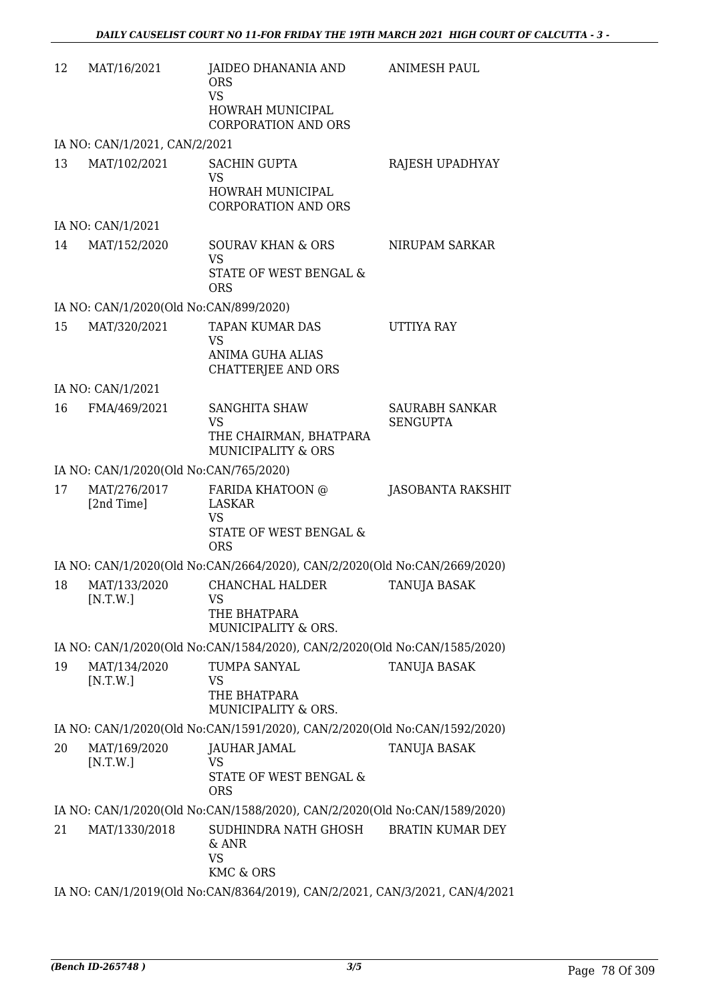| 12 | MAT/16/2021                            | JAIDEO DHANANIA AND<br><b>ORS</b><br><b>VS</b><br>HOWRAH MUNICIPAL<br><b>CORPORATION AND ORS</b>  | <b>ANIMESH PAUL</b>               |
|----|----------------------------------------|---------------------------------------------------------------------------------------------------|-----------------------------------|
|    | IA NO: CAN/1/2021, CAN/2/2021          |                                                                                                   |                                   |
| 13 | MAT/102/2021                           | <b>SACHIN GUPTA</b><br><b>VS</b><br><b>HOWRAH MUNICIPAL</b>                                       | RAJESH UPADHYAY                   |
|    | IA NO: CAN/1/2021                      | <b>CORPORATION AND ORS</b>                                                                        |                                   |
| 14 | MAT/152/2020                           | <b>SOURAV KHAN &amp; ORS</b>                                                                      | NIRUPAM SARKAR                    |
|    |                                        | <b>VS</b><br>STATE OF WEST BENGAL &<br><b>ORS</b>                                                 |                                   |
|    | IA NO: CAN/1/2020(Old No:CAN/899/2020) |                                                                                                   |                                   |
| 15 | MAT/320/2021                           | <b>TAPAN KUMAR DAS</b><br><b>VS</b><br><b>ANIMA GUHA ALIAS</b><br><b>CHATTERJEE AND ORS</b>       | <b>UTTIYA RAY</b>                 |
|    | IA NO: CAN/1/2021                      |                                                                                                   |                                   |
| 16 | FMA/469/2021                           | SANGHITA SHAW<br><b>VS</b><br>THE CHAIRMAN, BHATPARA<br><b>MUNICIPALITY &amp; ORS</b>             | SAURABH SANKAR<br><b>SENGUPTA</b> |
|    | IA NO: CAN/1/2020(Old No:CAN/765/2020) |                                                                                                   |                                   |
| 17 | MAT/276/2017<br>[2nd Time]             | FARIDA KHATOON @<br><b>LASKAR</b><br><b>VS</b><br><b>STATE OF WEST BENGAL &amp;</b><br><b>ORS</b> | JASOBANTA RAKSHIT                 |
|    |                                        | IA NO: CAN/1/2020(Old No:CAN/2664/2020), CAN/2/2020(Old No:CAN/2669/2020)                         |                                   |
| 18 | MAT/133/2020<br>[N.T.W.]               | <b>CHANCHAL HALDER</b><br><b>VS</b><br>THE BHATPARA<br>MUNICIPALITY & ORS.                        | <b>TANUJA BASAK</b>               |
|    |                                        | IA NO: CAN/1/2020(Old No:CAN/1584/2020), CAN/2/2020(Old No:CAN/1585/2020)                         |                                   |
| 19 | MAT/134/2020<br>[N.T.W.]               | TUMPA SANYAL<br>VS<br>THE BHATPARA<br>MUNICIPALITY & ORS.                                         | TANUJA BASAK                      |
|    |                                        | IA NO: CAN/1/2020(Old No:CAN/1591/2020), CAN/2/2020(Old No:CAN/1592/2020)                         |                                   |
| 20 | MAT/169/2020<br>[N.T.W.]               | JAUHAR JAMAL<br><b>VS</b><br>STATE OF WEST BENGAL &<br><b>ORS</b>                                 | TANUJA BASAK                      |
|    |                                        | IA NO: CAN/1/2020(Old No:CAN/1588/2020), CAN/2/2020(Old No:CAN/1589/2020)                         |                                   |
| 21 | MAT/1330/2018                          | SUDHINDRA NATH GHOSH<br>& ANR<br><b>VS</b><br>KMC & ORS                                           | <b>BRATIN KUMAR DEY</b>           |
|    |                                        | IA NO: CAN/1/2019(Old No:CAN/8364/2019), CAN/2/2021, CAN/3/2021, CAN/4/2021                       |                                   |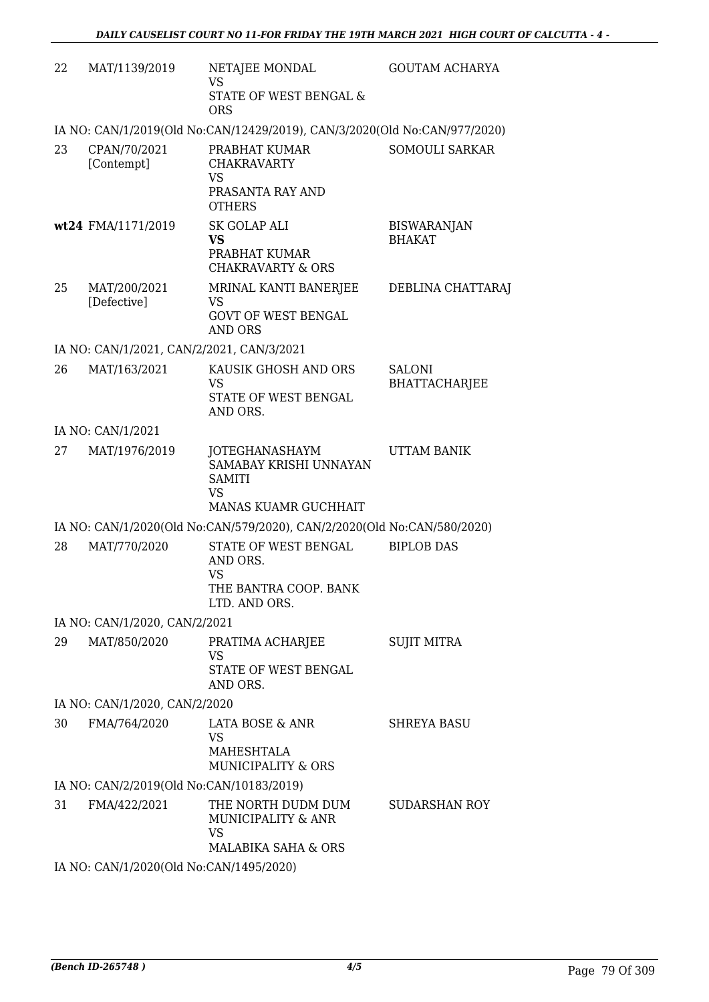| 22 | MAT/1139/2019                             | NETAJEE MONDAL<br><b>VS</b><br>STATE OF WEST BENGAL &<br><b>ORS</b>                            | <b>GOUTAM ACHARYA</b>               |
|----|-------------------------------------------|------------------------------------------------------------------------------------------------|-------------------------------------|
|    |                                           | IA NO: CAN/1/2019(Old No:CAN/12429/2019), CAN/3/2020(Old No:CAN/977/2020)                      |                                     |
| 23 | CPAN/70/2021<br>[Contempt]                | PRABHAT KUMAR<br><b>CHAKRAVARTY</b><br><b>VS</b><br>PRASANTA RAY AND<br><b>OTHERS</b>          | <b>SOMOULI SARKAR</b>               |
|    | wt24 FMA/1171/2019                        | SK GOLAP ALI<br><b>VS</b><br>PRABHAT KUMAR<br><b>CHAKRAVARTY &amp; ORS</b>                     | <b>BISWARANJAN</b><br><b>BHAKAT</b> |
| 25 | MAT/200/2021<br>[Defective]               | MRINAL KANTI BANERJEE<br><b>VS</b><br><b>GOVT OF WEST BENGAL</b><br><b>AND ORS</b>             | DEBLINA CHATTARAJ                   |
|    | IA NO: CAN/1/2021, CAN/2/2021, CAN/3/2021 |                                                                                                |                                     |
| 26 | MAT/163/2021                              | KAUSIK GHOSH AND ORS<br><b>VS</b><br>STATE OF WEST BENGAL<br>AND ORS.                          | <b>SALONI</b><br>BHATTACHARJEE      |
|    | IA NO: CAN/1/2021                         |                                                                                                |                                     |
| 27 | MAT/1976/2019                             | JOTEGHANASHAYM<br>SAMABAY KRISHI UNNAYAN<br><b>SAMITI</b><br><b>VS</b><br>MANAS KUAMR GUCHHAIT | UTTAM BANIK                         |
|    |                                           | IA NO: CAN/1/2020(Old No:CAN/579/2020), CAN/2/2020(Old No:CAN/580/2020)                        |                                     |
| 28 | MAT/770/2020                              | STATE OF WEST BENGAL<br>AND ORS.<br><b>VS</b><br>THE BANTRA COOP. BANK<br>LTD. AND ORS.        | <b>BIPLOB DAS</b>                   |
|    | IA NO: CAN/1/2020, CAN/2/2021             |                                                                                                |                                     |
| 29 | MAT/850/2020                              | PRATIMA ACHARJEE<br><b>VS</b><br>STATE OF WEST BENGAL<br>AND ORS.                              | <b>SUJIT MITRA</b>                  |
|    | IA NO: CAN/1/2020, CAN/2/2020             |                                                                                                |                                     |
| 30 | FMA/764/2020                              | LATA BOSE & ANR<br><b>VS</b><br>MAHESHTALA<br>MUNICIPALITY & ORS                               | <b>SHREYA BASU</b>                  |
|    | IA NO: CAN/2/2019(Old No:CAN/10183/2019)  |                                                                                                |                                     |
| 31 | FMA/422/2021                              | THE NORTH DUDM DUM<br>MUNICIPALITY & ANR<br><b>VS</b><br>MALABIKA SAHA & ORS                   | <b>SUDARSHAN ROY</b>                |
|    | IA NO: CAN/1/2020(Old No:CAN/1495/2020)   |                                                                                                |                                     |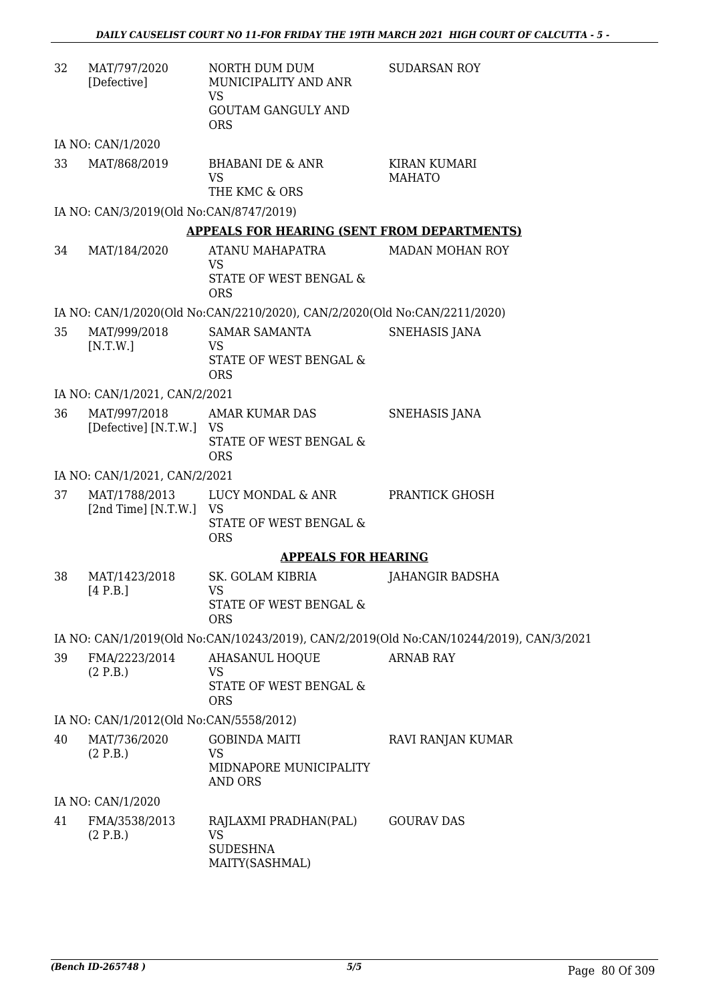| 32 | MAT/797/2020<br>[Defective]             | NORTH DUM DUM<br>MUNICIPALITY AND ANR<br><b>VS</b>                        | <b>SUDARSAN ROY</b>                                                                     |
|----|-----------------------------------------|---------------------------------------------------------------------------|-----------------------------------------------------------------------------------------|
|    |                                         | <b>GOUTAM GANGULY AND</b><br><b>ORS</b>                                   |                                                                                         |
|    | IA NO: CAN/1/2020                       |                                                                           |                                                                                         |
| 33 | MAT/868/2019                            | BHABANI DE & ANR<br><b>VS</b><br>THE KMC & ORS                            | KIRAN KUMARI<br><b>MAHATO</b>                                                           |
|    | IA NO: CAN/3/2019(Old No:CAN/8747/2019) |                                                                           |                                                                                         |
|    |                                         | <b>APPEALS FOR HEARING (SENT FROM DEPARTMENTS)</b>                        |                                                                                         |
| 34 | MAT/184/2020                            | ATANU MAHAPATRA                                                           | <b>MADAN MOHAN ROY</b>                                                                  |
|    |                                         | <b>VS</b>                                                                 |                                                                                         |
|    |                                         | STATE OF WEST BENGAL &<br><b>ORS</b>                                      |                                                                                         |
|    |                                         | IA NO: CAN/1/2020(Old No:CAN/2210/2020), CAN/2/2020(Old No:CAN/2211/2020) |                                                                                         |
| 35 | MAT/999/2018                            | <b>SAMAR SAMANTA</b>                                                      | <b>SNEHASIS JANA</b>                                                                    |
|    | [N.T.W.]                                | <b>VS</b>                                                                 |                                                                                         |
|    |                                         | STATE OF WEST BENGAL &<br><b>ORS</b>                                      |                                                                                         |
|    | IA NO: CAN/1/2021, CAN/2/2021           |                                                                           |                                                                                         |
| 36 | MAT/997/2018                            | AMAR KUMAR DAS                                                            | <b>SNEHASIS JANA</b>                                                                    |
|    | [Defective] [N.T.W.]                    | - VS<br>STATE OF WEST BENGAL &                                            |                                                                                         |
|    |                                         | <b>ORS</b>                                                                |                                                                                         |
|    | IA NO: CAN/1/2021, CAN/2/2021           |                                                                           |                                                                                         |
| 37 | MAT/1788/2013                           | LUCY MONDAL & ANR                                                         | PRANTICK GHOSH                                                                          |
|    | [2nd Time] $[N.T.W.]$                   | VS<br>STATE OF WEST BENGAL &                                              |                                                                                         |
|    |                                         | <b>ORS</b>                                                                |                                                                                         |
|    |                                         | <b>APPEALS FOR HEARING</b>                                                |                                                                                         |
| 38 | MAT/1423/2018                           | <b>SK. GOLAM KIBRIA</b>                                                   | JAHANGIR BADSHA                                                                         |
|    | [4 P.B.]                                | VS<br><b>STATE OF WEST BENGAL &amp;</b><br><b>ORS</b>                     |                                                                                         |
|    |                                         |                                                                           | IA NO: CAN/1/2019(Old No:CAN/10243/2019), CAN/2/2019(Old No:CAN/10244/2019), CAN/3/2021 |
| 39 | FMA/2223/2014                           | <b>AHASANUL HOQUE</b>                                                     | <b>ARNAB RAY</b>                                                                        |
|    | (2 P.B.)                                | <b>VS</b>                                                                 |                                                                                         |
|    |                                         | STATE OF WEST BENGAL &<br><b>ORS</b>                                      |                                                                                         |
|    | IA NO: CAN/1/2012(Old No:CAN/5558/2012) |                                                                           |                                                                                         |
| 40 | MAT/736/2020<br>(2 P.B.)                | <b>GOBINDA MAITI</b><br><b>VS</b>                                         | RAVI RANJAN KUMAR                                                                       |
|    |                                         | MIDNAPORE MUNICIPALITY<br><b>AND ORS</b>                                  |                                                                                         |
|    | IA NO: CAN/1/2020                       |                                                                           |                                                                                         |
| 41 | FMA/3538/2013<br>(2 P.B.)               | RAJLAXMI PRADHAN(PAL)<br><b>VS</b><br><b>SUDESHNA</b>                     | <b>GOURAV DAS</b>                                                                       |
|    |                                         |                                                                           |                                                                                         |

MAITY(SASHMAL)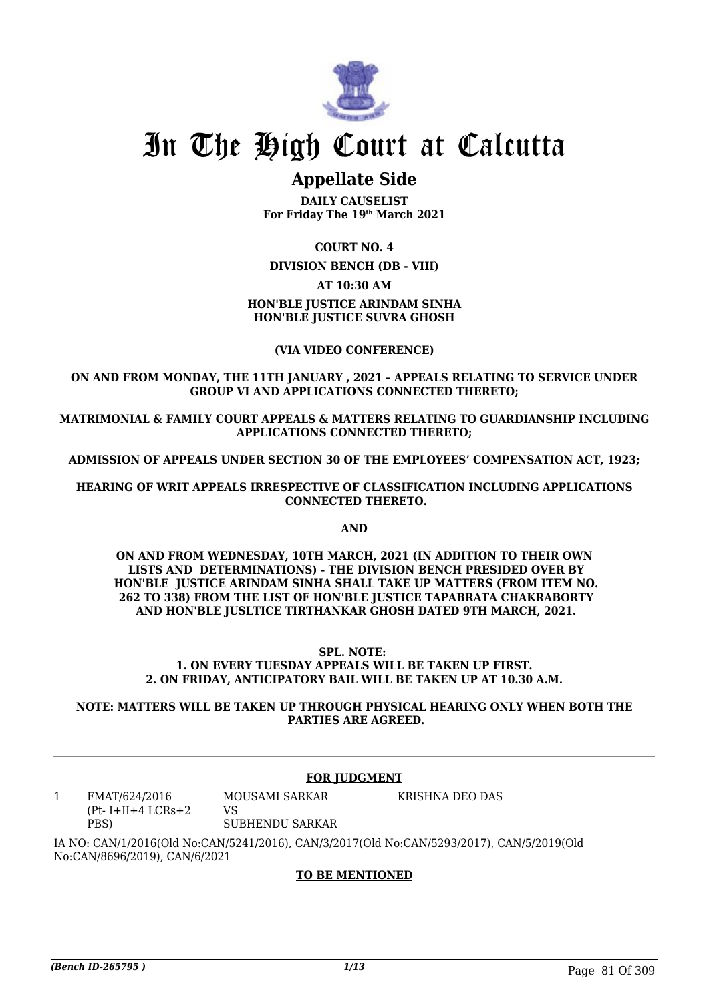

## **Appellate Side**

**DAILY CAUSELIST For Friday The 19th March 2021**

**COURT NO. 4**

**DIVISION BENCH (DB - VIII)**

**AT 10:30 AM**

## **HON'BLE JUSTICE ARINDAM SINHA HON'BLE JUSTICE SUVRA GHOSH**

## **(VIA VIDEO CONFERENCE)**

**ON AND FROM MONDAY, THE 11TH JANUARY , 2021 – APPEALS RELATING TO SERVICE UNDER GROUP VI AND APPLICATIONS CONNECTED THERETO;**

**MATRIMONIAL & FAMILY COURT APPEALS & MATTERS RELATING TO GUARDIANSHIP INCLUDING APPLICATIONS CONNECTED THERETO;**

**ADMISSION OF APPEALS UNDER SECTION 30 OF THE EMPLOYEES' COMPENSATION ACT, 1923;**

**HEARING OF WRIT APPEALS IRRESPECTIVE OF CLASSIFICATION INCLUDING APPLICATIONS CONNECTED THERETO.**

**AND**

**ON AND FROM WEDNESDAY, 10TH MARCH, 2021 (IN ADDITION TO THEIR OWN LISTS AND DETERMINATIONS) - THE DIVISION BENCH PRESIDED OVER BY HON'BLE JUSTICE ARINDAM SINHA SHALL TAKE UP MATTERS (FROM ITEM NO. 262 TO 338) FROM THE LIST OF HON'BLE JUSTICE TAPABRATA CHAKRABORTY AND HON'BLE JUSLTICE TIRTHANKAR GHOSH DATED 9TH MARCH, 2021.** 

#### **SPL. NOTE: 1. ON EVERY TUESDAY APPEALS WILL BE TAKEN UP FIRST. 2. ON FRIDAY, ANTICIPATORY BAIL WILL BE TAKEN UP AT 10.30 A.M.**

**NOTE: MATTERS WILL BE TAKEN UP THROUGH PHYSICAL HEARING ONLY WHEN BOTH THE PARTIES ARE AGREED.**

## **FOR JUDGMENT**

1 FMAT/624/2016  $(Pt-I+II+4 LCRs+2)$ PBS) MOUSAMI SARKAR VS SUBHENDU SARKAR KRISHNA DEO DAS

IA NO: CAN/1/2016(Old No:CAN/5241/2016), CAN/3/2017(Old No:CAN/5293/2017), CAN/5/2019(Old No:CAN/8696/2019), CAN/6/2021

## **TO BE MENTIONED**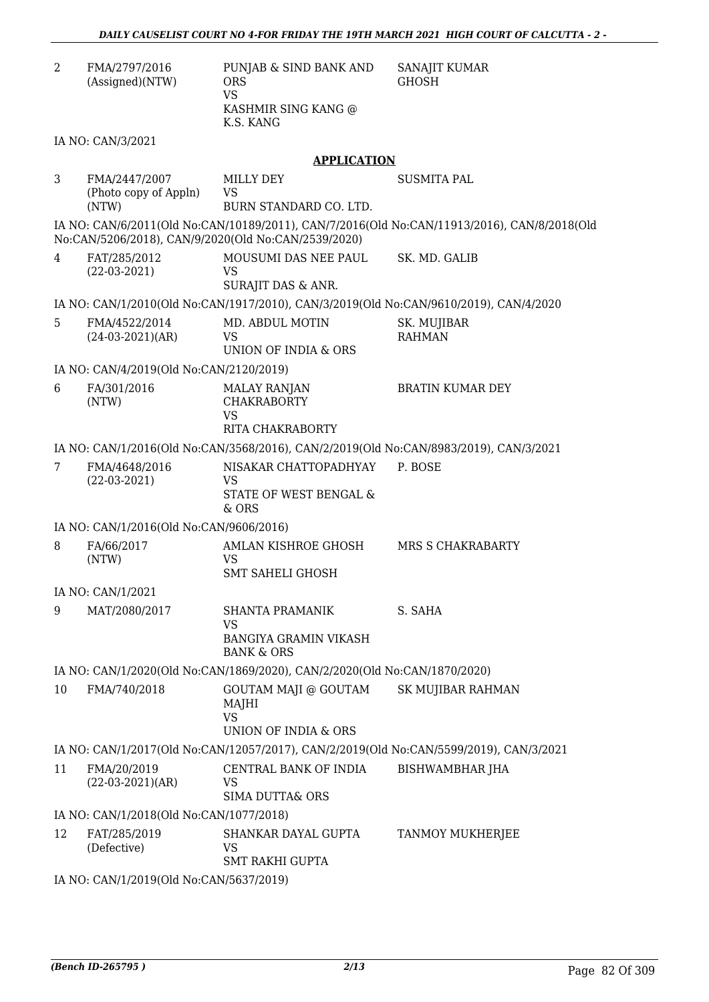| 2                                                                                      | FMA/2797/2016<br>(Assigned)(NTW)                | PUNJAB & SIND BANK AND<br><b>ORS</b><br><b>VS</b><br>KASHMIR SING KANG @<br>K.S. KANG | SANAJIT KUMAR<br><b>GHOSH</b>                                                               |  |
|----------------------------------------------------------------------------------------|-------------------------------------------------|---------------------------------------------------------------------------------------|---------------------------------------------------------------------------------------------|--|
|                                                                                        | IA NO: CAN/3/2021                               |                                                                                       |                                                                                             |  |
|                                                                                        |                                                 | <b>APPLICATION</b>                                                                    |                                                                                             |  |
| 3                                                                                      | FMA/2447/2007<br>(Photo copy of Appln)<br>(NTW) | MILLY DEY<br><b>VS</b><br>BURN STANDARD CO. LTD.                                      | <b>SUSMITA PAL</b>                                                                          |  |
|                                                                                        |                                                 | No:CAN/5206/2018), CAN/9/2020(Old No:CAN/2539/2020)                                   | IA NO: CAN/6/2011(Old No:CAN/10189/2011), CAN/7/2016(Old No:CAN/11913/2016), CAN/8/2018(Old |  |
| 4                                                                                      | FAT/285/2012<br>$(22-03-2021)$                  | MOUSUMI DAS NEE PAUL<br>VS<br>SURAJIT DAS & ANR.                                      | SK. MD. GALIB                                                                               |  |
|                                                                                        |                                                 | IA NO: CAN/1/2010(Old No:CAN/1917/2010), CAN/3/2019(Old No:CAN/9610/2019), CAN/4/2020 |                                                                                             |  |
| 5                                                                                      | FMA/4522/2014<br>$(24-03-2021)(AR)$             | MD. ABDUL MOTIN<br><b>VS</b><br><b>UNION OF INDIA &amp; ORS</b>                       | SK. MUJIBAR<br><b>RAHMAN</b>                                                                |  |
|                                                                                        | IA NO: CAN/4/2019(Old No:CAN/2120/2019)         |                                                                                       |                                                                                             |  |
| 6                                                                                      | FA/301/2016<br>(NTW)                            | <b>MALAY RANJAN</b><br><b>CHAKRABORTY</b><br><b>VS</b><br><b>RITA CHAKRABORTY</b>     | <b>BRATIN KUMAR DEY</b>                                                                     |  |
|                                                                                        |                                                 | IA NO: CAN/1/2016(Old No:CAN/3568/2016), CAN/2/2019(Old No:CAN/8983/2019), CAN/3/2021 |                                                                                             |  |
| 7                                                                                      | FMA/4648/2016                                   | NISAKAR CHATTOPADHYAY                                                                 | P. BOSE                                                                                     |  |
|                                                                                        | $(22-03-2021)$                                  | VS<br>STATE OF WEST BENGAL &<br>& ORS                                                 |                                                                                             |  |
|                                                                                        | IA NO: CAN/1/2016(Old No:CAN/9606/2016)         |                                                                                       |                                                                                             |  |
| 8                                                                                      | FA/66/2017<br>(NTW)                             | <b>AMLAN KISHROE GHOSH</b><br>VS<br><b>SMT SAHELI GHOSH</b>                           | MRS S CHAKRABARTY                                                                           |  |
|                                                                                        | IA NO: CAN/1/2021                               |                                                                                       |                                                                                             |  |
| 9                                                                                      | MAT/2080/2017                                   | <b>SHANTA PRAMANIK</b><br>VS<br><b>BANGIYA GRAMIN VIKASH</b><br><b>BANK &amp; ORS</b> | S. SAHA                                                                                     |  |
|                                                                                        |                                                 | IA NO: CAN/1/2020(Old No:CAN/1869/2020), CAN/2/2020(Old No:CAN/1870/2020)             |                                                                                             |  |
| 10                                                                                     | FMA/740/2018                                    | GOUTAM MAJI @ GOUTAM<br>MAJHI<br><b>VS</b><br><b>UNION OF INDIA &amp; ORS</b>         | <b>SK MUJIBAR RAHMAN</b>                                                                    |  |
| IA NO: CAN/1/2017(Old No:CAN/12057/2017), CAN/2/2019(Old No:CAN/5599/2019), CAN/3/2021 |                                                 |                                                                                       |                                                                                             |  |
| 11                                                                                     | FMA/20/2019<br>$(22-03-2021)(AR)$               | CENTRAL BANK OF INDIA<br>VS<br><b>SIMA DUTTA&amp; ORS</b>                             | <b>BISHWAMBHAR JHA</b>                                                                      |  |
|                                                                                        | IA NO: CAN/1/2018(Old No:CAN/1077/2018)         |                                                                                       |                                                                                             |  |
| 12                                                                                     | FAT/285/2019<br>(Defective)                     | SHANKAR DAYAL GUPTA<br>VS<br><b>SMT RAKHI GUPTA</b>                                   | TANMOY MUKHERJEE                                                                            |  |
|                                                                                        | IA NO: CAN/1/2019(Old No:CAN/5637/2019)         |                                                                                       |                                                                                             |  |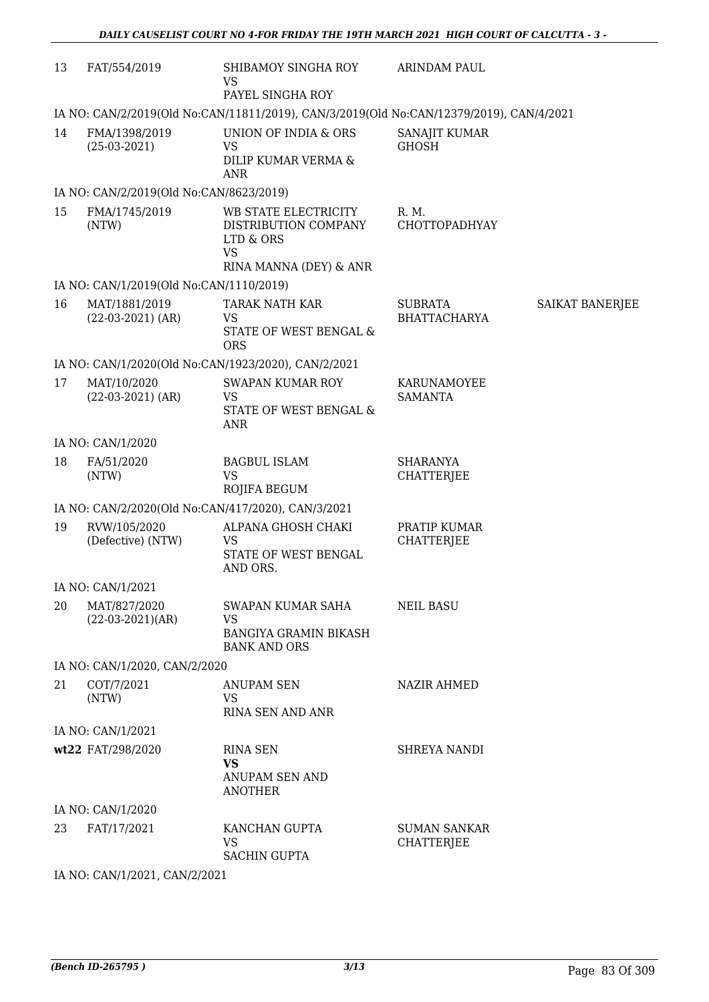| 13 | FAT/554/2019                                 | SHIBAMOY SINGHA ROY<br><b>VS</b><br>PAYEL SINGHA ROY                                             | <b>ARINDAM PAUL</b>                      |                        |  |
|----|----------------------------------------------|--------------------------------------------------------------------------------------------------|------------------------------------------|------------------------|--|
|    |                                              | IA NO: CAN/2/2019(Old No:CAN/11811/2019), CAN/3/2019(Old No:CAN/12379/2019), CAN/4/2021          |                                          |                        |  |
| 14 | FMA/1398/2019<br>$(25-03-2021)$              | UNION OF INDIA & ORS<br>VS<br>DILIP KUMAR VERMA &<br><b>ANR</b>                                  | SANAJIT KUMAR<br><b>GHOSH</b>            |                        |  |
|    | IA NO: CAN/2/2019(Old No:CAN/8623/2019)      |                                                                                                  |                                          |                        |  |
| 15 | FMA/1745/2019<br>(NTW)                       | WB STATE ELECTRICITY<br>DISTRIBUTION COMPANY<br>LTD & ORS<br><b>VS</b><br>RINA MANNA (DEY) & ANR | R. M.<br>CHOTTOPADHYAY                   |                        |  |
|    | IA NO: CAN/1/2019(Old No:CAN/1110/2019)      |                                                                                                  |                                          |                        |  |
| 16 | MAT/1881/2019<br>$(22-03-2021)$ (AR)         | TARAK NATH KAR<br>VS<br><b>STATE OF WEST BENGAL &amp;</b><br><b>ORS</b>                          | <b>SUBRATA</b><br><b>BHATTACHARYA</b>    | <b>SAIKAT BANERJEE</b> |  |
|    |                                              | IA NO: CAN/1/2020(Old No:CAN/1923/2020), CAN/2/2021                                              |                                          |                        |  |
| 17 | MAT/10/2020<br>$(22-03-2021)$ (AR)           | <b>SWAPAN KUMAR ROY</b><br>VS<br>STATE OF WEST BENGAL &<br><b>ANR</b>                            | KARUNAMOYEE<br><b>SAMANTA</b>            |                        |  |
|    | IA NO: CAN/1/2020                            |                                                                                                  |                                          |                        |  |
| 18 | FA/51/2020<br>(NTW)                          | <b>BAGBUL ISLAM</b><br><b>VS</b><br>ROJIFA BEGUM                                                 | <b>SHARANYA</b><br><b>CHATTERJEE</b>     |                        |  |
|    |                                              | IA NO: CAN/2/2020(Old No:CAN/417/2020), CAN/3/2021                                               |                                          |                        |  |
| 19 | RVW/105/2020<br>(Defective) (NTW)            | ALPANA GHOSH CHAKI<br><b>VS</b><br>STATE OF WEST BENGAL<br>AND ORS.                              | PRATIP KUMAR<br><b>CHATTERJEE</b>        |                        |  |
|    | IA NO: CAN/1/2021                            |                                                                                                  |                                          |                        |  |
| 20 | MAT/827/2020<br>$(22-03-2021)(AR)$           | SWAPAN KUMAR SAHA<br>VS<br><b>BANGIYA GRAMIN BIKASH</b><br><b>BANK AND ORS</b>                   | <b>NEIL BASU</b>                         |                        |  |
|    | IA NO: CAN/1/2020, CAN/2/2020                |                                                                                                  |                                          |                        |  |
| 21 | COT/7/2021<br>(NTW)                          | <b>ANUPAM SEN</b><br><b>VS</b><br><b>RINA SEN AND ANR</b>                                        | <b>NAZIR AHMED</b>                       |                        |  |
|    | IA NO: CAN/1/2021                            |                                                                                                  |                                          |                        |  |
|    | wt22 FAT/298/2020                            | <b>RINA SEN</b><br><b>VS</b><br>ANUPAM SEN AND<br><b>ANOTHER</b>                                 | <b>SHREYA NANDI</b>                      |                        |  |
|    | IA NO: CAN/1/2020                            |                                                                                                  |                                          |                        |  |
| 23 | FAT/17/2021                                  | KANCHAN GUPTA<br><b>VS</b><br><b>SACHIN GUPTA</b>                                                | <b>SUMAN SANKAR</b><br><b>CHATTERJEE</b> |                        |  |
|    | $\Omega$ $\Omega$ $\Omega$ $\Omega$ $\Omega$ |                                                                                                  |                                          |                        |  |

IA NO: CAN/1/2021, CAN/2/2021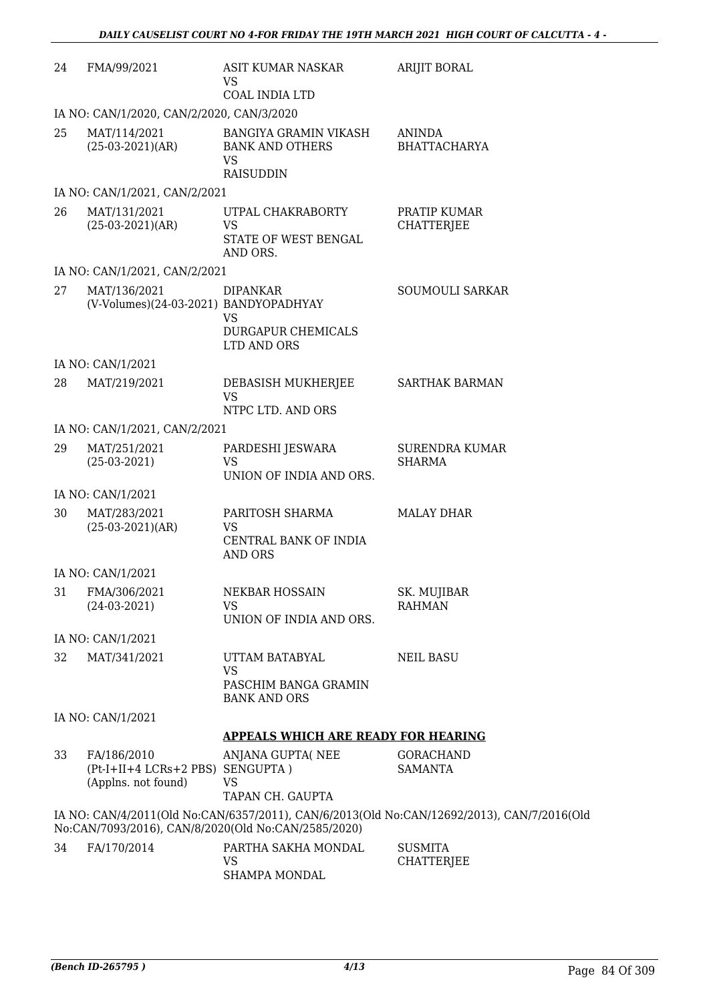| 24 | FMA/99/2021                                                            | ASIT KUMAR NASKAR<br>VS<br><b>COAL INDIA LTD</b>                                 | <b>ARIJIT BORAL</b>                                                                        |
|----|------------------------------------------------------------------------|----------------------------------------------------------------------------------|--------------------------------------------------------------------------------------------|
|    | IA NO: CAN/1/2020, CAN/2/2020, CAN/3/2020                              |                                                                                  |                                                                                            |
| 25 | MAT/114/2021<br>$(25-03-2021)(AR)$                                     | BANGIYA GRAMIN VIKASH<br><b>BANK AND OTHERS</b><br><b>VS</b><br><b>RAISUDDIN</b> | <b>ANINDA</b><br><b>BHATTACHARYA</b>                                                       |
|    | IA NO: CAN/1/2021, CAN/2/2021                                          |                                                                                  |                                                                                            |
| 26 | MAT/131/2021<br>$(25-03-2021)(AR)$                                     | UTPAL CHAKRABORTY<br><b>VS</b><br>STATE OF WEST BENGAL<br>AND ORS.               | PRATIP KUMAR<br><b>CHATTERJEE</b>                                                          |
|    | IA NO: CAN/1/2021, CAN/2/2021                                          |                                                                                  |                                                                                            |
| 27 | MAT/136/2021<br>(V-Volumes)(24-03-2021) BANDYOPADHYAY                  | <b>DIPANKAR</b><br><b>VS</b><br><b>DURGAPUR CHEMICALS</b><br>LTD AND ORS         | <b>SOUMOULI SARKAR</b>                                                                     |
|    | IA NO: CAN/1/2021                                                      |                                                                                  |                                                                                            |
| 28 | MAT/219/2021                                                           | DEBASISH MUKHERJEE<br><b>VS</b><br>NTPC LTD. AND ORS                             | <b>SARTHAK BARMAN</b>                                                                      |
|    | IA NO: CAN/1/2021, CAN/2/2021                                          |                                                                                  |                                                                                            |
| 29 | MAT/251/2021<br>$(25-03-2021)$                                         | PARDESHI JESWARA<br><b>VS</b><br>UNION OF INDIA AND ORS.                         | <b>SURENDRA KUMAR</b><br><b>SHARMA</b>                                                     |
|    | IA NO: CAN/1/2021                                                      |                                                                                  |                                                                                            |
| 30 | MAT/283/2021<br>$(25-03-2021)(AR)$                                     | PARITOSH SHARMA<br><b>VS</b><br>CENTRAL BANK OF INDIA<br><b>AND ORS</b>          | <b>MALAY DHAR</b>                                                                          |
|    | IA NO: CAN/1/2021                                                      |                                                                                  |                                                                                            |
|    | 31 FMA/306/2021<br>$(24-03-2021)$                                      | NEKBAR HOSSAIN<br><b>VS</b><br>UNION OF INDIA AND ORS.                           | SK. MUJIBAR<br><b>RAHMAN</b>                                                               |
|    | IA NO: CAN/1/2021                                                      |                                                                                  |                                                                                            |
| 32 | MAT/341/2021                                                           | UTTAM BATABYAL<br><b>VS</b><br>PASCHIM BANGA GRAMIN                              | <b>NEIL BASU</b>                                                                           |
|    |                                                                        | <b>BANK AND ORS</b>                                                              |                                                                                            |
|    | IA NO: CAN/1/2021                                                      | <b>APPEALS WHICH ARE READY FOR HEARING</b>                                       |                                                                                            |
| 33 | FA/186/2010<br>(Pt-I+II+4 LCRs+2 PBS) SENGUPTA)<br>(Applns. not found) | ANJANA GUPTA(NEE<br><b>VS</b><br>TAPAN CH. GAUPTA                                | <b>GORACHAND</b><br><b>SAMANTA</b>                                                         |
|    |                                                                        | No:CAN/7093/2016), CAN/8/2020(Old No:CAN/2585/2020)                              | IA NO: CAN/4/2011(Old No:CAN/6357/2011), CAN/6/2013(Old No:CAN/12692/2013), CAN/7/2016(Old |
| 34 | FA/170/2014                                                            | PARTHA SAKHA MONDAL<br><b>VS</b><br>SHAMPA MONDAL                                | <b>SUSMITA</b><br><b>CHATTERJEE</b>                                                        |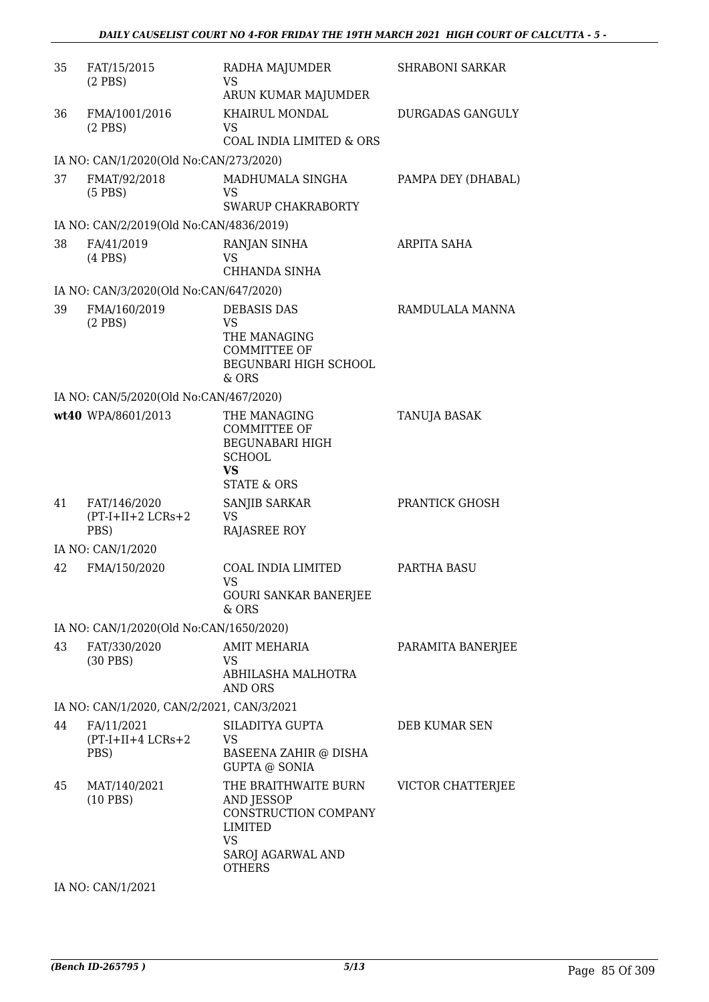| 35 | FAT/15/2015<br>$(2$ PBS)                    | RADHA MAJUMDER<br>VS<br>ARUN KUMAR MAJUMDER                                                                                     | <b>SHRABONI SARKAR</b> |
|----|---------------------------------------------|---------------------------------------------------------------------------------------------------------------------------------|------------------------|
| 36 | FMA/1001/2016<br>$(2$ PBS)                  | KHAIRUL MONDAL<br>VS<br><b>COAL INDIA LIMITED &amp; ORS</b>                                                                     | DURGADAS GANGULY       |
|    | IA NO: CAN/1/2020(Old No:CAN/273/2020)      |                                                                                                                                 |                        |
| 37 | FMAT/92/2018<br>$(5$ PBS)                   | MADHUMALA SINGHA<br>VS.<br><b>SWARUP CHAKRABORTY</b>                                                                            | PAMPA DEY (DHABAL)     |
|    | IA NO: CAN/2/2019(Old No:CAN/4836/2019)     |                                                                                                                                 |                        |
| 38 | FA/41/2019<br>$(4$ PBS $)$                  | RANJAN SINHA<br><b>VS</b><br>CHHANDA SINHA                                                                                      | ARPITA SAHA            |
|    | IA NO: CAN/3/2020(Old No:CAN/647/2020)      |                                                                                                                                 |                        |
| 39 | FMA/160/2019<br>$(2$ PBS)                   | <b>DEBASIS DAS</b><br><b>VS</b><br>THE MANAGING<br><b>COMMITTEE OF</b><br>BEGUNBARI HIGH SCHOOL<br>$&$ ORS                      | RAMDULALA MANNA        |
|    | IA NO: CAN/5/2020(Old No:CAN/467/2020)      |                                                                                                                                 |                        |
|    | wt40 WPA/8601/2013                          | THE MANAGING<br><b>COMMITTEE OF</b><br><b>BEGUNABARI HIGH</b><br><b>SCHOOL</b><br><b>VS</b><br><b>STATE &amp; ORS</b>           | TANUJA BASAK           |
| 41 | FAT/146/2020<br>$(PT-I+II+2 LCRs+2$<br>PBS) | SANJIB SARKAR<br><b>VS</b><br><b>RAJASREE ROY</b>                                                                               | PRANTICK GHOSH         |
|    | IA NO: CAN/1/2020                           |                                                                                                                                 |                        |
| 42 | FMA/150/2020                                | COAL INDIA LIMITED<br>VS<br><b>GOURI SANKAR BANERJEE</b><br>& ORS                                                               | PARTHA BASU            |
|    | IA NO: CAN/1/2020(Old No:CAN/1650/2020)     |                                                                                                                                 |                        |
| 43 | FAT/330/2020<br>$(30$ PBS)                  | AMIT MEHARIA<br>VS<br>ABHILASHA MALHOTRA<br>AND ORS                                                                             | PARAMITA BANERJEE      |
|    | IA NO: CAN/1/2020, CAN/2/2021, CAN/3/2021   |                                                                                                                                 |                        |
| 44 | FA/11/2021<br>$(PT-I+II+4 LCRs+2$<br>PBS)   | SILADITYA GUPTA<br>VS<br>BASEENA ZAHIR @ DISHA<br><b>GUPTA @ SONIA</b>                                                          | DEB KUMAR SEN          |
| 45 | MAT/140/2021<br>$(10$ PBS)                  | THE BRAITHWAITE BURN<br><b>AND JESSOP</b><br>CONSTRUCTION COMPANY<br>LIMITED<br><b>VS</b><br>SAROJ AGARWAL AND<br><b>OTHERS</b> | VICTOR CHATTERJEE      |

IA NO: CAN/1/2021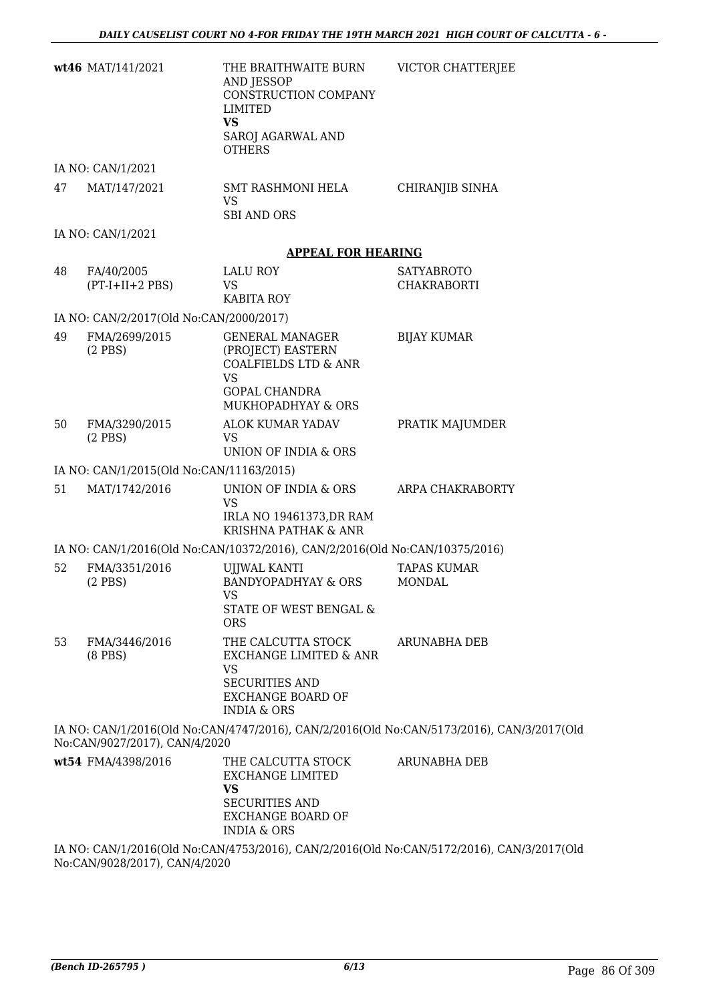|    | wt46 MAT/141/2021                        | THE BRAITHWAITE BURN<br>AND JESSOP<br>CONSTRUCTION COMPANY<br><b>LIMITED</b><br><b>VS</b><br>SAROJ AGARWAL AND<br><b>OTHERS</b>           | VICTOR CHATTERJEE                                                                         |
|----|------------------------------------------|-------------------------------------------------------------------------------------------------------------------------------------------|-------------------------------------------------------------------------------------------|
|    | IA NO: CAN/1/2021                        |                                                                                                                                           |                                                                                           |
| 47 | MAT/147/2021                             | SMT RASHMONI HELA<br><b>VS</b><br><b>SBI AND ORS</b>                                                                                      | <b>CHIRANJIB SINHA</b>                                                                    |
|    | IA NO: CAN/1/2021                        |                                                                                                                                           |                                                                                           |
|    |                                          | <b>APPEAL FOR HEARING</b>                                                                                                                 |                                                                                           |
| 48 | FA/40/2005<br>$(PT-I+II+2 PBS)$          | LALU ROY<br><b>VS</b><br><b>KABITA ROY</b>                                                                                                | <b>SATYABROTO</b><br><b>CHAKRABORTI</b>                                                   |
|    | IA NO: CAN/2/2017(Old No:CAN/2000/2017)  |                                                                                                                                           |                                                                                           |
| 49 | FMA/2699/2015<br>$(2$ PBS)               | <b>GENERAL MANAGER</b><br>(PROJECT) EASTERN<br><b>COALFIELDS LTD &amp; ANR</b><br><b>VS</b><br><b>GOPAL CHANDRA</b><br>MUKHOPADHYAY & ORS | <b>BIJAY KUMAR</b>                                                                        |
| 50 | FMA/3290/2015<br>$(2$ PBS $)$            | ALOK KUMAR YADAV<br>VS.<br>UNION OF INDIA & ORS                                                                                           | PRATIK MAJUMDER                                                                           |
|    | IA NO: CAN/1/2015(Old No:CAN/11163/2015) |                                                                                                                                           |                                                                                           |
| 51 | MAT/1742/2016                            | UNION OF INDIA & ORS<br><b>VS</b><br>IRLA NO 19461373, DR RAM<br><b>KRISHNA PATHAK &amp; ANR</b>                                          | ARPA CHAKRABORTY                                                                          |
|    |                                          | IA NO: CAN/1/2016(Old No:CAN/10372/2016), CAN/2/2016(Old No:CAN/10375/2016)                                                               |                                                                                           |
| 52 | FMA/3351/2016<br>$(2$ PBS)               | <b>UJJWAL KANTI</b><br><b>BANDYOPADHYAY &amp; ORS</b><br>VS<br>STATE OF WEST BENGAL &<br><b>ORS</b>                                       | <b>TAPAS KUMAR</b><br><b>MONDAL</b>                                                       |
| 53 | FMA/3446/2016<br>$(8$ PBS $)$            | THE CALCUTTA STOCK<br>EXCHANGE LIMITED & ANR<br><b>VS</b><br><b>SECURITIES AND</b><br><b>EXCHANGE BOARD OF</b><br><b>INDIA &amp; ORS</b>  | <b>ARUNABHA DEB</b>                                                                       |
|    | No:CAN/9027/2017), CAN/4/2020            |                                                                                                                                           | IA NO: CAN/1/2016(Old No:CAN/4747/2016), CAN/2/2016(Old No:CAN/5173/2016), CAN/3/2017(Old |
|    | wt54 FMA/4398/2016                       | THE CALCUTTA STOCK<br><b>EXCHANGE LIMITED</b><br><b>VS</b><br><b>SECURITIES AND</b><br><b>EXCHANGE BOARD OF</b><br><b>INDIA &amp; ORS</b> | ARUNABHA DEB                                                                              |
|    |                                          |                                                                                                                                           | IA NO: CAN/1/2016(Old No:CAN/4753/2016), CAN/2/2016(Old No:CAN/5172/2016), CAN/3/2017(Old |

No:CAN/9028/2017), CAN/4/2020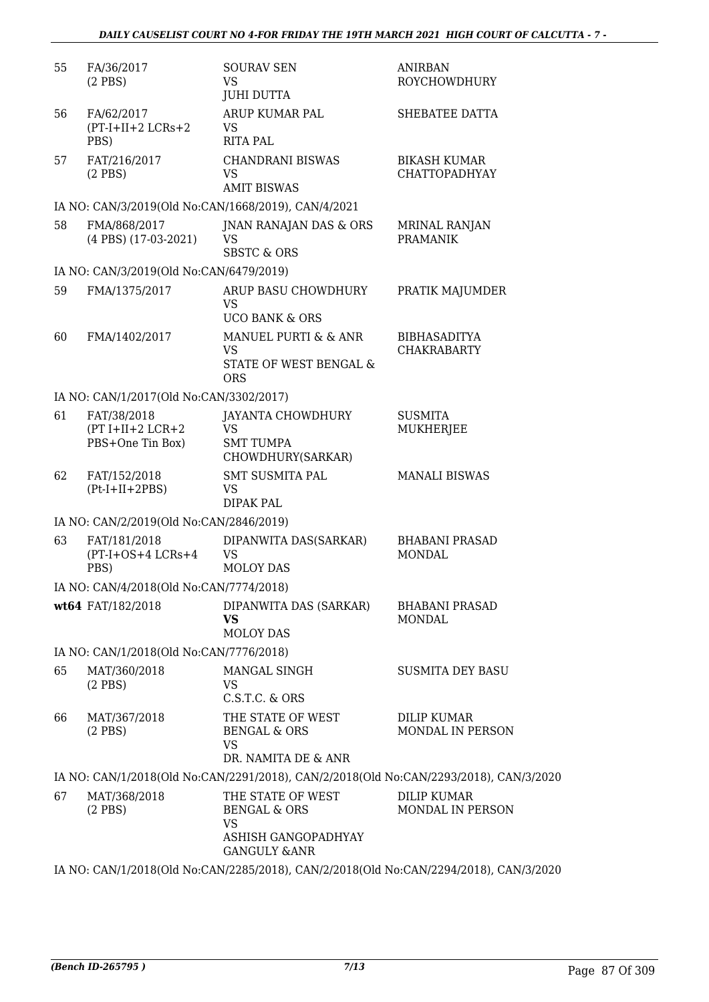| 55 | FA/36/2017<br>$(2$ PBS)                               | <b>SOURAV SEN</b><br>VS<br><b>JUHI DUTTA</b>                                                                                                                                                         | <b>ANIRBAN</b><br><b>ROYCHOWDHURY</b>       |
|----|-------------------------------------------------------|------------------------------------------------------------------------------------------------------------------------------------------------------------------------------------------------------|---------------------------------------------|
| 56 | FA/62/2017<br>$(PT-I+II+2 LCRs+2$<br>PBS)             | ARUP KUMAR PAL<br><b>VS</b><br><b>RITA PAL</b>                                                                                                                                                       | SHEBATEE DATTA                              |
| 57 | FAT/216/2017<br>$(2$ PBS)                             | <b>CHANDRANI BISWAS</b><br><b>VS</b><br><b>AMIT BISWAS</b>                                                                                                                                           | <b>BIKASH KUMAR</b><br><b>CHATTOPADHYAY</b> |
|    |                                                       | IA NO: CAN/3/2019(Old No:CAN/1668/2019), CAN/4/2021                                                                                                                                                  |                                             |
| 58 | FMA/868/2017<br>(4 PBS) (17-03-2021)                  | JNAN RANAJAN DAS & ORS<br><b>VS</b><br><b>SBSTC &amp; ORS</b>                                                                                                                                        | <b>MRINAL RANJAN</b><br><b>PRAMANIK</b>     |
|    | IA NO: CAN/3/2019(Old No:CAN/6479/2019)               |                                                                                                                                                                                                      |                                             |
| 59 | FMA/1375/2017                                         | ARUP BASU CHOWDHURY<br><b>VS</b><br><b>UCO BANK &amp; ORS</b>                                                                                                                                        | PRATIK MAJUMDER                             |
| 60 | FMA/1402/2017                                         | MANUEL PURTI & & ANR<br><b>VS</b><br>STATE OF WEST BENGAL &<br><b>ORS</b>                                                                                                                            | <b>BIBHASADITYA</b><br><b>CHAKRABARTY</b>   |
|    | IA NO: CAN/1/2017(Old No:CAN/3302/2017)               |                                                                                                                                                                                                      |                                             |
| 61 | FAT/38/2018<br>$(PT I+II+2 LCR+2$<br>PBS+One Tin Box) | JAYANTA CHOWDHURY<br><b>VS</b><br><b>SMT TUMPA</b><br>CHOWDHURY(SARKAR)                                                                                                                              | <b>SUSMITA</b><br>MUKHERJEE                 |
|    |                                                       |                                                                                                                                                                                                      |                                             |
| 62 | FAT/152/2018<br>$(Pt-I+II+2PBS)$                      | <b>SMT SUSMITA PAL</b><br><b>VS</b><br><b>DIPAK PAL</b>                                                                                                                                              | <b>MANALI BISWAS</b>                        |
|    | IA NO: CAN/2/2019(Old No:CAN/2846/2019)               |                                                                                                                                                                                                      |                                             |
| 63 | FAT/181/2018<br>$(PT-I+OS+4 LCRs+4$<br>PBS)           | DIPANWITA DAS(SARKAR)<br><b>VS</b><br><b>MOLOY DAS</b>                                                                                                                                               | <b>BHABANI PRASAD</b><br><b>MONDAL</b>      |
|    | IA NO: CAN/4/2018(Old No:CAN/7774/2018)               |                                                                                                                                                                                                      |                                             |
|    | wt64 FAT/182/2018                                     | DIPANWITA DAS (SARKAR)<br><b>VS</b><br><b>MOLOY DAS</b>                                                                                                                                              | <b>BHABANI PRASAD</b><br><b>MONDAL</b>      |
|    | IA NO: CAN/1/2018(Old No:CAN/7776/2018)               |                                                                                                                                                                                                      |                                             |
| 65 | MAT/360/2018<br>$(2$ PBS)                             | MANGAL SINGH<br><b>VS</b><br>C.S.T.C. & ORS                                                                                                                                                          | <b>SUSMITA DEY BASU</b>                     |
| 66 | MAT/367/2018<br>$(2$ PBS)                             | THE STATE OF WEST<br>BENGAL & ORS<br><b>VS</b>                                                                                                                                                       | <b>DILIP KUMAR</b><br>MONDAL IN PERSON      |
|    |                                                       | DR. NAMITA DE & ANR                                                                                                                                                                                  |                                             |
| 67 | MAT/368/2018<br>$(2$ PBS $)$                          | IA NO: CAN/1/2018(Old No:CAN/2291/2018), CAN/2/2018(Old No:CAN/2293/2018), CAN/3/2020<br>THE STATE OF WEST<br><b>BENGAL &amp; ORS</b><br><b>VS</b><br>ASHISH GANGOPADHYAY<br><b>GANGULY &amp;ANR</b> | <b>DILIP KUMAR</b><br>MONDAL IN PERSON      |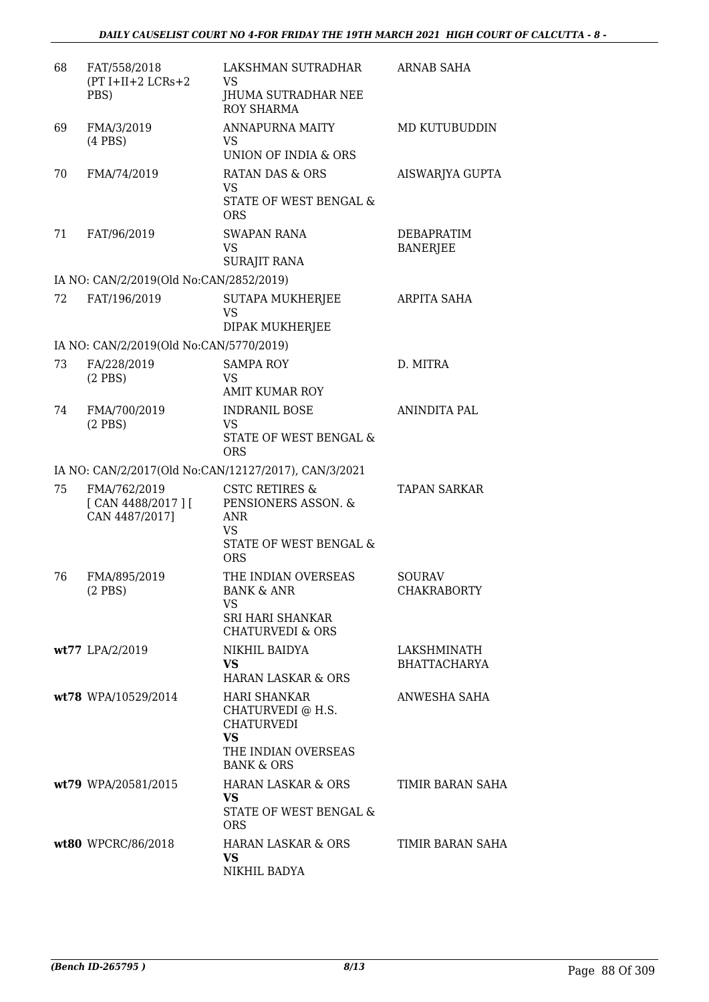| 68 | FAT/558/2018<br>$(PT I+II+2 LCRs+2$<br>PBS)         | LAKSHMAN SUTRADHAR<br>VS<br>JHUMA SUTRADHAR NEE<br>ROY SHARMA                                                              | ARNAB SAHA                           |
|----|-----------------------------------------------------|----------------------------------------------------------------------------------------------------------------------------|--------------------------------------|
| 69 | FMA/3/2019<br>$(4$ PBS)                             | <b>ANNAPURNA MAITY</b><br>VS.<br>UNION OF INDIA & ORS                                                                      | MD KUTUBUDDIN                        |
| 70 | FMA/74/2019                                         | <b>RATAN DAS &amp; ORS</b><br>VS.<br>STATE OF WEST BENGAL &<br><b>ORS</b>                                                  | AISWARJYA GUPTA                      |
| 71 | FAT/96/2019                                         | <b>SWAPAN RANA</b><br>VS.<br><b>SURAJIT RANA</b>                                                                           | <b>DEBAPRATIM</b><br><b>BANERJEE</b> |
|    | IA NO: CAN/2/2019(Old No:CAN/2852/2019)             |                                                                                                                            |                                      |
| 72 | FAT/196/2019                                        | SUTAPA MUKHERJEE<br>VS<br>DIPAK MUKHERJEE                                                                                  | ARPITA SAHA                          |
|    | IA NO: CAN/2/2019(Old No:CAN/5770/2019)             |                                                                                                                            |                                      |
| 73 | FA/228/2019<br>$(2$ PBS $)$                         | <b>SAMPA ROY</b><br><b>VS</b><br><b>AMIT KUMAR ROY</b>                                                                     | D. MITRA                             |
| 74 | FMA/700/2019<br>$(2$ PBS $)$                        | <b>INDRANIL BOSE</b><br><b>VS</b><br>STATE OF WEST BENGAL &<br><b>ORS</b>                                                  | <b>ANINDITA PAL</b>                  |
|    |                                                     | IA NO: CAN/2/2017(Old No:CAN/12127/2017), CAN/3/2021                                                                       |                                      |
| 75 | FMA/762/2019<br>[ CAN 4488/2017 ]<br>CAN 4487/2017] | <b>CSTC RETIRES &amp;</b><br>PENSIONERS ASSON. &<br><b>ANR</b><br>VS<br>STATE OF WEST BENGAL &                             | <b>TAPAN SARKAR</b>                  |
|    |                                                     | <b>ORS</b>                                                                                                                 |                                      |
| 76 | FMA/895/2019<br>$(2$ PBS $)$                        | THE INDIAN OVERSEAS<br><b>BANK &amp; ANR</b><br>VS.<br><b>SRI HARI SHANKAR</b><br><b>CHATURVEDI &amp; ORS</b>              | <b>SOURAV</b><br><b>CHAKRABORTY</b>  |
|    | wt77 LPA/2/2019                                     | NIKHIL BAIDYA<br><b>VS</b><br><b>HARAN LASKAR &amp; ORS</b>                                                                | LAKSHMINATH<br><b>BHATTACHARYA</b>   |
|    | wt78 WPA/10529/2014                                 | <b>HARI SHANKAR</b><br>CHATURVEDI @ H.S.<br><b>CHATURVEDI</b><br><b>VS</b><br>THE INDIAN OVERSEAS<br><b>BANK &amp; ORS</b> | ANWESHA SAHA                         |
|    | wt79 WPA/20581/2015                                 | HARAN LASKAR & ORS<br><b>VS</b><br>STATE OF WEST BENGAL &<br><b>ORS</b>                                                    | TIMIR BARAN SAHA                     |
|    | wt80 WPCRC/86/2018                                  | HARAN LASKAR & ORS<br><b>VS</b><br>NIKHIL BADYA                                                                            | TIMIR BARAN SAHA                     |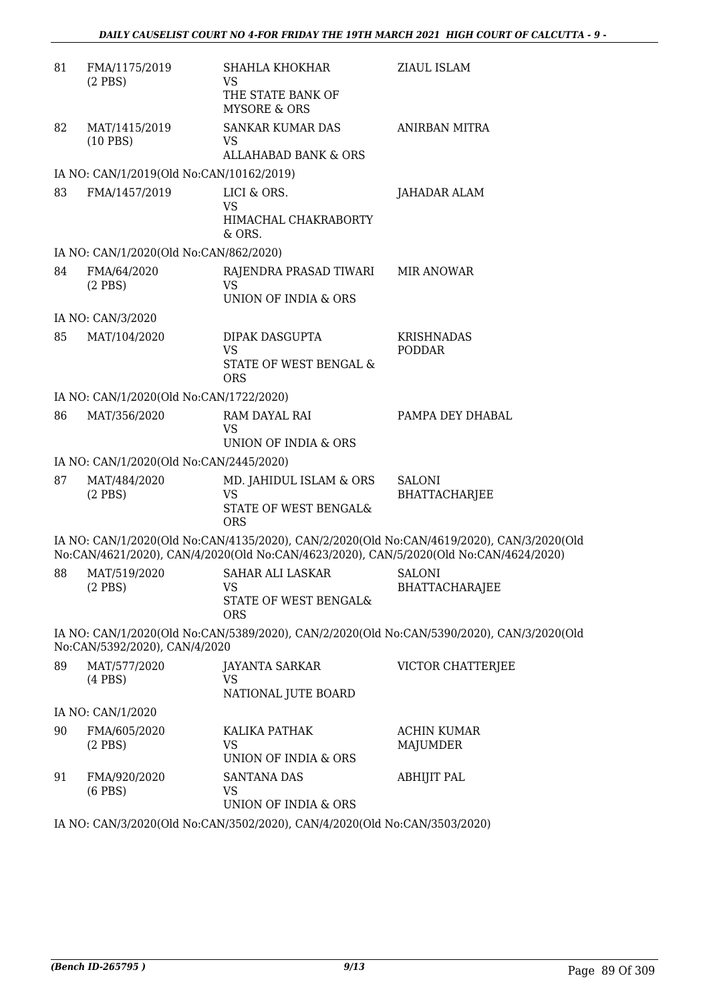| 81 | FMA/1175/2019<br>$(2$ PBS $)$            | SHAHLA KHOKHAR<br>VS<br>THE STATE BANK OF<br><b>MYSORE &amp; ORS</b>        | <b>ZIAUL ISLAM</b>                                                                                                                                                                 |
|----|------------------------------------------|-----------------------------------------------------------------------------|------------------------------------------------------------------------------------------------------------------------------------------------------------------------------------|
| 82 | MAT/1415/2019<br>$(10$ PBS)              | <b>SANKAR KUMAR DAS</b><br>VS<br><b>ALLAHABAD BANK &amp; ORS</b>            | <b>ANIRBAN MITRA</b>                                                                                                                                                               |
|    | IA NO: CAN/1/2019(Old No:CAN/10162/2019) |                                                                             |                                                                                                                                                                                    |
| 83 | FMA/1457/2019                            | LICI & ORS.<br>VS<br>HIMACHAL CHAKRABORTY<br>& ORS.                         | JAHADAR ALAM                                                                                                                                                                       |
|    | IA NO: CAN/1/2020(Old No:CAN/862/2020)   |                                                                             |                                                                                                                                                                                    |
| 84 | FMA/64/2020<br>$(2$ PBS $)$              | RAJENDRA PRASAD TIWARI<br><b>VS</b><br><b>UNION OF INDIA &amp; ORS</b>      | <b>MIR ANOWAR</b>                                                                                                                                                                  |
|    | IA NO: CAN/3/2020                        |                                                                             |                                                                                                                                                                                    |
| 85 | MAT/104/2020                             | DIPAK DASGUPTA<br><b>VS</b><br>STATE OF WEST BENGAL &<br><b>ORS</b>         | <b>KRISHNADAS</b><br><b>PODDAR</b>                                                                                                                                                 |
|    | IA NO: CAN/1/2020(Old No:CAN/1722/2020)  |                                                                             |                                                                                                                                                                                    |
| 86 | MAT/356/2020                             | RAM DAYAL RAI<br>VS<br>UNION OF INDIA & ORS                                 | PAMPA DEY DHABAL                                                                                                                                                                   |
|    | IA NO: CAN/1/2020(Old No:CAN/2445/2020)  |                                                                             |                                                                                                                                                                                    |
| 87 | MAT/484/2020<br>$(2$ PBS $)$             | MD. JAHIDUL ISLAM & ORS<br><b>VS</b><br>STATE OF WEST BENGAL&<br><b>ORS</b> | <b>SALONI</b><br><b>BHATTACHARJEE</b>                                                                                                                                              |
|    |                                          |                                                                             | IA NO: CAN/1/2020(Old No:CAN/4135/2020), CAN/2/2020(Old No:CAN/4619/2020), CAN/3/2020(Old<br>No:CAN/4621/2020), CAN/4/2020(Old No:CAN/4623/2020), CAN/5/2020(Old No:CAN/4624/2020) |
| 88 | MAT/519/2020<br>$(2$ PBS $)$             | <b>SAHAR ALI LASKAR</b><br>VS<br>STATE OF WEST BENGAL&<br><b>ORS</b>        | SALONI<br><b>BHATTACHARAJEE</b>                                                                                                                                                    |
|    | No:CAN/5392/2020), CAN/4/2020            |                                                                             | IA NO: CAN/1/2020(Old No:CAN/5389/2020), CAN/2/2020(Old No:CAN/5390/2020), CAN/3/2020(Old                                                                                          |
| 89 | MAT/577/2020<br>$(4$ PBS $)$             | JAYANTA SARKAR<br>VS<br>NATIONAL JUTE BOARD                                 | VICTOR CHATTERJEE                                                                                                                                                                  |
|    | IA NO: CAN/1/2020                        |                                                                             |                                                                                                                                                                                    |
| 90 | FMA/605/2020<br>$(2$ PBS $)$             | KALIKA PATHAK<br>VS<br>UNION OF INDIA & ORS                                 | <b>ACHIN KUMAR</b><br>MAJUMDER                                                                                                                                                     |
| 91 | FMA/920/2020<br>$(6$ PBS $)$             | <b>SANTANA DAS</b><br>VS<br>UNION OF INDIA & ORS                            | <b>ABHIJIT PAL</b>                                                                                                                                                                 |
|    |                                          |                                                                             |                                                                                                                                                                                    |

IA NO: CAN/3/2020(Old No:CAN/3502/2020), CAN/4/2020(Old No:CAN/3503/2020)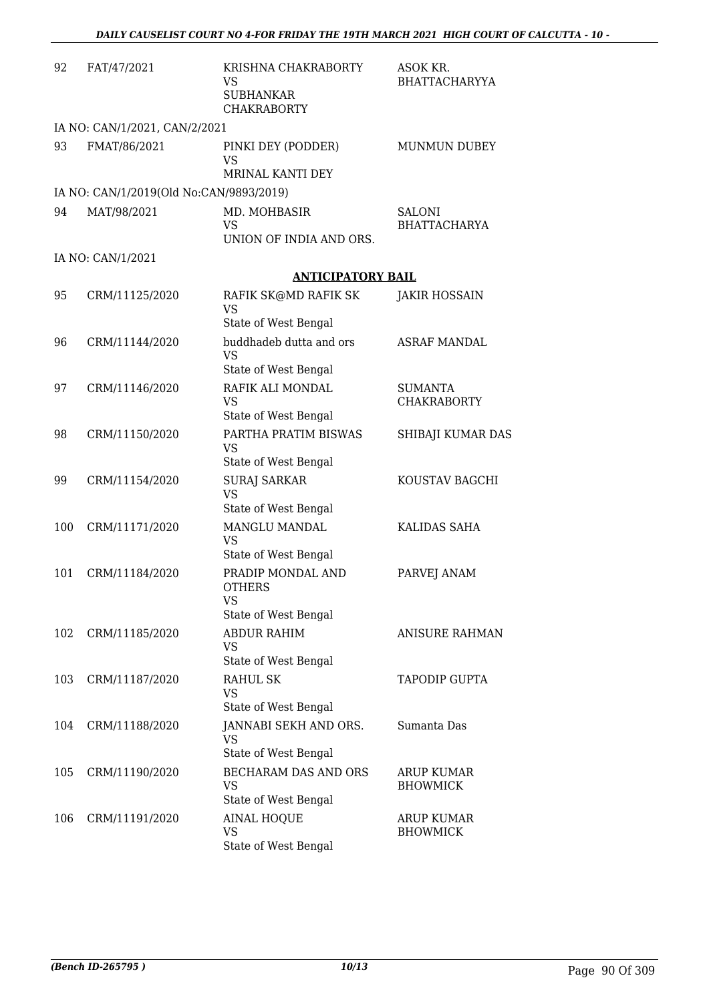| 92  | FAT/47/2021                             | KRISHNA CHAKRABORTY<br>VS<br><b>SUBHANKAR</b><br><b>CHAKRABORTY</b> | ASOK KR.<br><b>BHATTACHARYYA</b>     |
|-----|-----------------------------------------|---------------------------------------------------------------------|--------------------------------------|
|     | IA NO: CAN/1/2021, CAN/2/2021           |                                                                     |                                      |
| 93  | FMAT/86/2021                            | PINKI DEY (PODDER)<br><b>VS</b><br>MRINAL KANTI DEY                 | <b>MUNMUN DUBEY</b>                  |
|     | IA NO: CAN/1/2019(Old No:CAN/9893/2019) |                                                                     |                                      |
| 94  | MAT/98/2021                             | MD. MOHBASIR<br><b>VS</b><br>UNION OF INDIA AND ORS.                | <b>SALONI</b><br><b>BHATTACHARYA</b> |
|     | IA NO: CAN/1/2021                       |                                                                     |                                      |
|     |                                         | <b>ANTICIPATORY BAIL</b>                                            |                                      |
| 95  | CRM/11125/2020                          | RAFIK SK@MD RAFIK SK<br><b>VS</b>                                   | JAKIR HOSSAIN                        |
|     |                                         | State of West Bengal                                                |                                      |
| 96  | CRM/11144/2020                          | buddhadeb dutta and ors<br><b>VS</b><br>State of West Bengal        | <b>ASRAF MANDAL</b>                  |
| 97  | CRM/11146/2020                          | RAFIK ALI MONDAL                                                    | <b>SUMANTA</b>                       |
|     |                                         | <b>VS</b><br>State of West Bengal                                   | <b>CHAKRABORTY</b>                   |
| 98  | CRM/11150/2020                          | PARTHA PRATIM BISWAS<br><b>VS</b>                                   | SHIBAJI KUMAR DAS                    |
|     |                                         | State of West Bengal                                                |                                      |
| 99  | CRM/11154/2020                          | <b>SURAJ SARKAR</b><br><b>VS</b><br>State of West Bengal            | KOUSTAV BAGCHI                       |
| 100 | CRM/11171/2020                          | MANGLU MANDAL<br><b>VS</b>                                          | KALIDAS SAHA                         |
|     |                                         | State of West Bengal                                                |                                      |
| 101 | CRM/11184/2020                          | PRADIP MONDAL AND<br><b>OTHERS</b><br>VS                            | PARVEJ ANAM                          |
|     |                                         | State of West Bengal                                                |                                      |
| 102 | CRM/11185/2020                          | <b>ABDUR RAHIM</b><br>VS<br>State of West Bengal                    | <b>ANISURE RAHMAN</b>                |
| 103 | CRM/11187/2020                          | <b>RAHUL SK</b>                                                     | <b>TAPODIP GUPTA</b>                 |
|     |                                         | VS<br>State of West Bengal                                          |                                      |
| 104 | CRM/11188/2020                          | JANNABI SEKH AND ORS.<br><b>VS</b>                                  | Sumanta Das                          |
|     |                                         | State of West Bengal                                                |                                      |
| 105 | CRM/11190/2020                          | BECHARAM DAS AND ORS<br>VS<br>State of West Bengal                  | ARUP KUMAR<br><b>BHOWMICK</b>        |
| 106 | CRM/11191/2020                          | <b>AINAL HOQUE</b><br><b>VS</b><br>State of West Bengal             | ARUP KUMAR<br><b>BHOWMICK</b>        |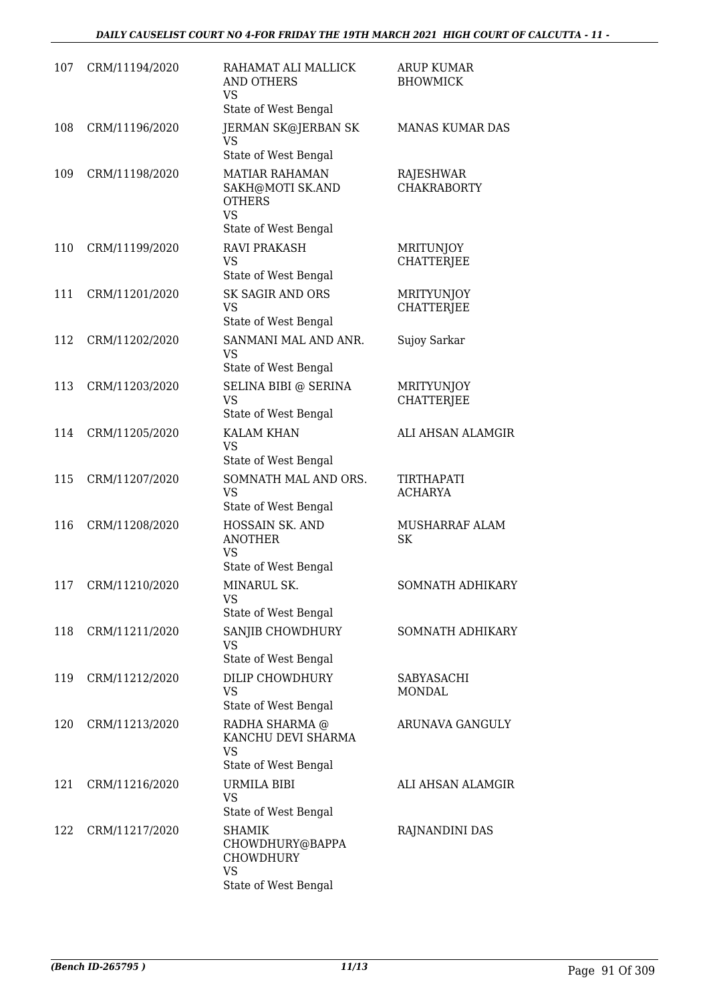| 107 | CRM/11194/2020 | RAHAMAT ALI MALLICK<br><b>AND OTHERS</b><br>VS                          | <b>ARUP KUMAR</b><br><b>BHOWMICK</b>   |
|-----|----------------|-------------------------------------------------------------------------|----------------------------------------|
|     |                | State of West Bengal                                                    |                                        |
| 108 | CRM/11196/2020 | <b>JERMAN SK@JERBAN SK</b><br>VS                                        | MANAS KUMAR DAS                        |
|     |                | State of West Bengal                                                    |                                        |
| 109 | CRM/11198/2020 | <b>MATIAR RAHAMAN</b><br>SAKH@MOTI SK.AND<br><b>OTHERS</b><br><b>VS</b> | RAJESHWAR<br><b>CHAKRABORTY</b>        |
|     |                | State of West Bengal                                                    |                                        |
| 110 | CRM/11199/2020 | <b>RAVI PRAKASH</b><br><b>VS</b>                                        | <b>MRITUNJOY</b><br><b>CHATTERJEE</b>  |
|     |                | State of West Bengal                                                    |                                        |
| 111 | CRM/11201/2020 | <b>SK SAGIR AND ORS</b><br>VS<br>State of West Bengal                   | <b>MRITYUNJOY</b><br><b>CHATTERJEE</b> |
| 112 | CRM/11202/2020 | SANMANI MAL AND ANR.                                                    | Sujoy Sarkar                           |
|     |                | <b>VS</b><br>State of West Bengal                                       |                                        |
| 113 | CRM/11203/2020 | SELINA BIBI @ SERINA                                                    | <b>MRITYUNJOY</b>                      |
|     |                | <b>VS</b>                                                               | <b>CHATTERIEE</b>                      |
|     |                | State of West Bengal                                                    |                                        |
| 114 | CRM/11205/2020 | <b>KALAM KHAN</b><br><b>VS</b><br>State of West Bengal                  | ALI AHSAN ALAMGIR                      |
| 115 | CRM/11207/2020 | SOMNATH MAL AND ORS.                                                    | <b>TIRTHAPATI</b>                      |
|     |                | VS<br>State of West Bengal                                              | <b>ACHARYA</b>                         |
| 116 | CRM/11208/2020 | HOSSAIN SK. AND<br><b>ANOTHER</b><br>VS                                 | MUSHARRAF ALAM<br>SK                   |
|     |                | State of West Bengal                                                    |                                        |
| 117 | CRM/11210/2020 | MINARUL SK.<br><b>VS</b><br>State of West Bengal                        | SOMNATH ADHIKARY                       |
|     |                |                                                                         |                                        |
| 118 | CRM/11211/2020 | SANJIB CHOWDHURY<br>VS<br>State of West Bengal                          | <b>SOMNATH ADHIKARY</b>                |
| 119 | CRM/11212/2020 | <b>DILIP CHOWDHURY</b>                                                  | SABYASACHI                             |
|     |                | VS<br>State of West Bengal                                              | MONDAL                                 |
| 120 | CRM/11213/2020 | RADHA SHARMA @                                                          | ARUNAVA GANGULY                        |
|     |                | KANCHU DEVI SHARMA<br>VS                                                |                                        |
|     |                | State of West Bengal                                                    |                                        |
| 121 | CRM/11216/2020 | URMILA BIBI<br><b>VS</b>                                                | ALI AHSAN ALAMGIR                      |
|     |                | State of West Bengal                                                    |                                        |
| 122 | CRM/11217/2020 | SHAMIK<br>CHOWDHURY@BAPPA<br><b>CHOWDHURY</b><br><b>VS</b>              | RAJNANDINI DAS                         |
|     |                | State of West Bengal                                                    |                                        |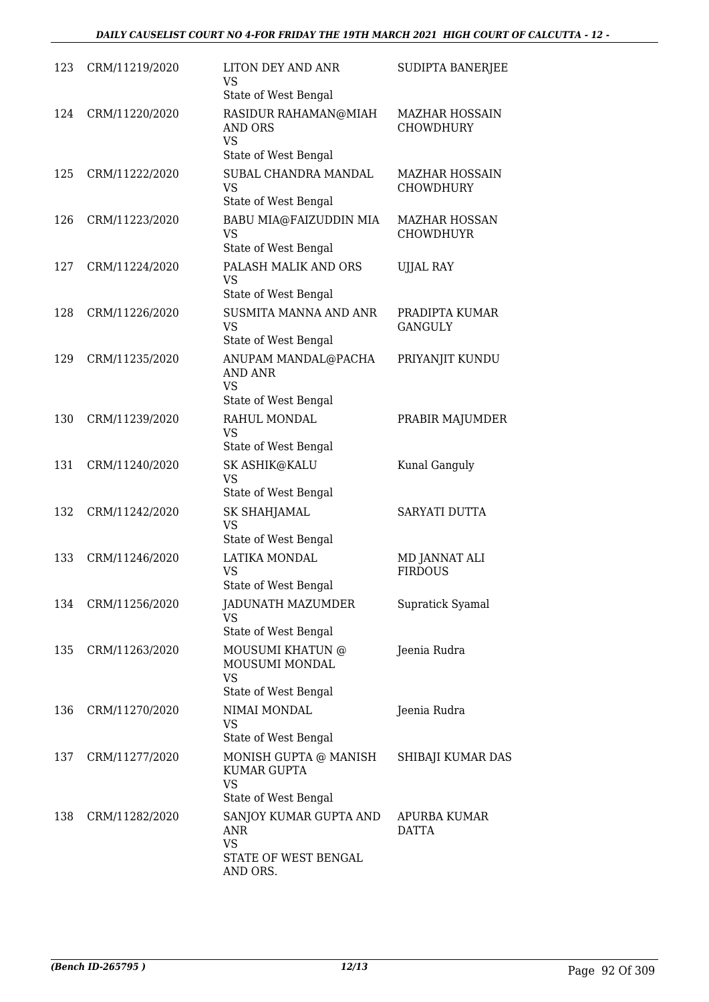| 123 | CRM/11219/2020 | LITON DEY AND ANR<br><b>VS</b><br>State of West Bengal                                | SUDIPTA BANERJEE                          |
|-----|----------------|---------------------------------------------------------------------------------------|-------------------------------------------|
| 124 | CRM/11220/2020 | RASIDUR RAHAMAN@MIAH<br><b>AND ORS</b><br><b>VS</b><br>State of West Bengal           | <b>MAZHAR HOSSAIN</b><br><b>CHOWDHURY</b> |
| 125 | CRM/11222/2020 | SUBAL CHANDRA MANDAL<br><b>VS</b><br>State of West Bengal                             | <b>MAZHAR HOSSAIN</b><br><b>CHOWDHURY</b> |
| 126 | CRM/11223/2020 | BABU MIA@FAIZUDDIN MIA<br><b>VS</b><br>State of West Bengal                           | <b>MAZHAR HOSSAN</b><br><b>CHOWDHUYR</b>  |
| 127 | CRM/11224/2020 | PALASH MALIK AND ORS<br>VS.<br>State of West Bengal                                   | UJJAL RAY                                 |
| 128 | CRM/11226/2020 | SUSMITA MANNA AND ANR<br><b>VS</b><br>State of West Bengal                            | PRADIPTA KUMAR<br><b>GANGULY</b>          |
| 129 | CRM/11235/2020 | ANUPAM MANDAL@PACHA<br><b>AND ANR</b><br><b>VS</b><br>State of West Bengal            | PRIYANJIT KUNDU                           |
| 130 | CRM/11239/2020 | RAHUL MONDAL<br><b>VS</b><br>State of West Bengal                                     | PRABIR MAJUMDER                           |
| 131 | CRM/11240/2020 | SK ASHIK@KALU<br>VS<br>State of West Bengal                                           | Kunal Ganguly                             |
| 132 | CRM/11242/2020 | <b>SK SHAHJAMAL</b><br>VS<br>State of West Bengal                                     | SARYATI DUTTA                             |
| 133 | CRM/11246/2020 | LATIKA MONDAL<br><b>VS</b><br>State of West Bengal                                    | MD JANNAT ALI<br><b>FIRDOUS</b>           |
| 134 | CRM/11256/2020 | JADUNATH MAZUMDER<br>VS<br>State of West Bengal                                       | Supratick Syamal                          |
| 135 | CRM/11263/2020 | MOUSUMI KHATUN @<br>MOUSUMI MONDAL<br>VS<br>State of West Bengal                      | Jeenia Rudra                              |
| 136 | CRM/11270/2020 | NIMAI MONDAL<br><b>VS</b><br>State of West Bengal                                     | Jeenia Rudra                              |
| 137 | CRM/11277/2020 | MONISH GUPTA @ MANISH<br>KUMAR GUPTA<br><b>VS</b><br>State of West Bengal             | SHIBAJI KUMAR DAS                         |
| 138 | CRM/11282/2020 | SANJOY KUMAR GUPTA AND<br><b>ANR</b><br><b>VS</b><br>STATE OF WEST BENGAL<br>AND ORS. | APURBA KUMAR<br>DATTA                     |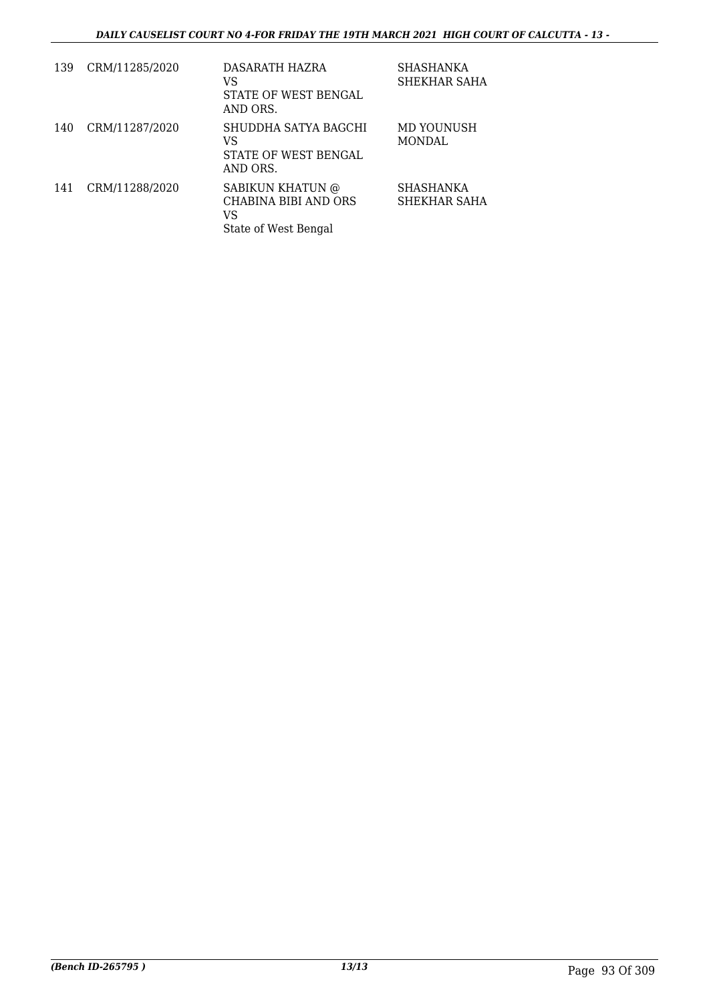| 139 | CRM/11285/2020 | DASARATH HAZRA<br>VS<br>STATE OF WEST BENGAL<br>AND ORS.               | SHASHANKA<br>SHEKHAR SAHA   |
|-----|----------------|------------------------------------------------------------------------|-----------------------------|
| 140 | CRM/11287/2020 | SHUDDHA SATYA BAGCHI<br>VS<br>STATE OF WEST BENGAL<br>AND ORS.         | MD YOUNUSH<br><b>MONDAL</b> |
| 141 | CRM/11288/2020 | SABIKUN KHATUN @<br>CHABINA BIBI AND ORS<br>VS<br>State of West Bengal | SHASHANKA<br>SHEKHAR SAHA   |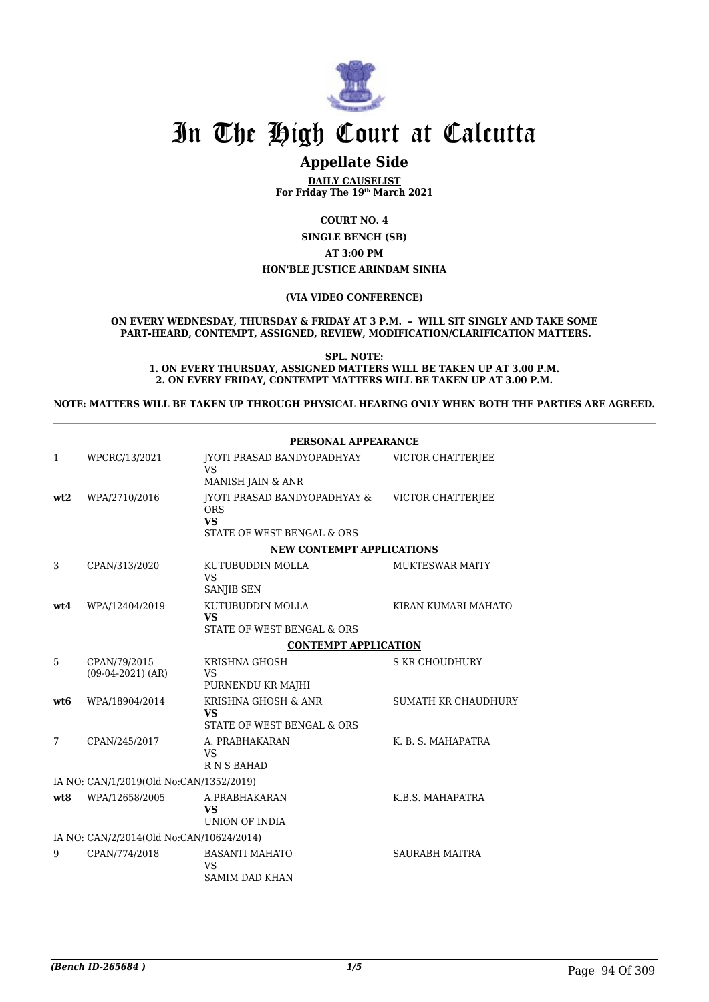

# **Appellate Side**

**DAILY CAUSELIST For Friday The 19th March 2021**

**COURT NO. 4**

**SINGLE BENCH (SB) AT 3:00 PM HON'BLE JUSTICE ARINDAM SINHA**

**(VIA VIDEO CONFERENCE)**

**ON EVERY WEDNESDAY, THURSDAY & FRIDAY AT 3 P.M. – WILL SIT SINGLY AND TAKE SOME PART-HEARD, CONTEMPT, ASSIGNED, REVIEW, MODIFICATION/CLARIFICATION MATTERS.**

**SPL. NOTE: 1. ON EVERY THURSDAY, ASSIGNED MATTERS WILL BE TAKEN UP AT 3.00 P.M. 2. ON EVERY FRIDAY, CONTEMPT MATTERS WILL BE TAKEN UP AT 3.00 P.M.**

**NOTE: MATTERS WILL BE TAKEN UP THROUGH PHYSICAL HEARING ONLY WHEN BOTH THE PARTIES ARE AGREED.**

|              |                                          | PERSONAL APPEARANCE                                                                   |                        |
|--------------|------------------------------------------|---------------------------------------------------------------------------------------|------------------------|
| $\mathbf{1}$ | WPCRC/13/2021                            | JYOTI PRASAD BANDYOPADHYAY<br><b>VS</b>                                               | VICTOR CHATTERJEE      |
|              |                                          | MANISH JAIN & ANR                                                                     |                        |
| wt2          | WPA/2710/2016                            | JYOTI PRASAD BANDYOPADHYAY &<br><b>ORS</b><br><b>VS</b><br>STATE OF WEST BENGAL & ORS | VICTOR CHATTERJEE      |
|              |                                          | <b>NEW CONTEMPT APPLICATIONS</b>                                                      |                        |
| 3            | CPAN/313/2020                            | KUTUBUDDIN MOLLA<br><b>VS</b><br>SANJIB SEN                                           | <b>MUKTESWAR MAITY</b> |
| wt4          | WPA/12404/2019                           | KUTUBUDDIN MOLLA<br><b>VS</b>                                                         | KIRAN KUMARI MAHATO    |
|              |                                          | STATE OF WEST BENGAL & ORS                                                            |                        |
|              |                                          | <b>CONTEMPT APPLICATION</b>                                                           |                        |
| 5            | CPAN/79/2015<br>$(09-04-2021)$ (AR)      | KRISHNA GHOSH<br><b>VS</b><br>PURNENDU KR MAJHI                                       | S KR CHOUDHURY         |
| wt6          | WPA/18904/2014                           | KRISHNA GHOSH & ANR<br>VS<br>STATE OF WEST BENGAL & ORS                               | SUMATH KR CHAUDHURY    |
| 7            | CPAN/245/2017                            | A. PRABHAKARAN<br><b>VS</b><br><b>RNSBAHAD</b>                                        | K. B. S. MAHAPATRA     |
|              | IA NO: CAN/1/2019(Old No:CAN/1352/2019)  |                                                                                       |                        |
| wt8          | WPA/12658/2005                           | A.PRABHAKARAN<br><b>VS</b><br>UNION OF INDIA                                          | K.B.S. MAHAPATRA       |
|              | IA NO: CAN/2/2014(Old No:CAN/10624/2014) |                                                                                       |                        |
| 9            | CPAN/774/2018                            | <b>BASANTI MAHATO</b><br><b>VS</b><br><b>SAMIM DAD KHAN</b>                           | <b>SAURABH MAITRA</b>  |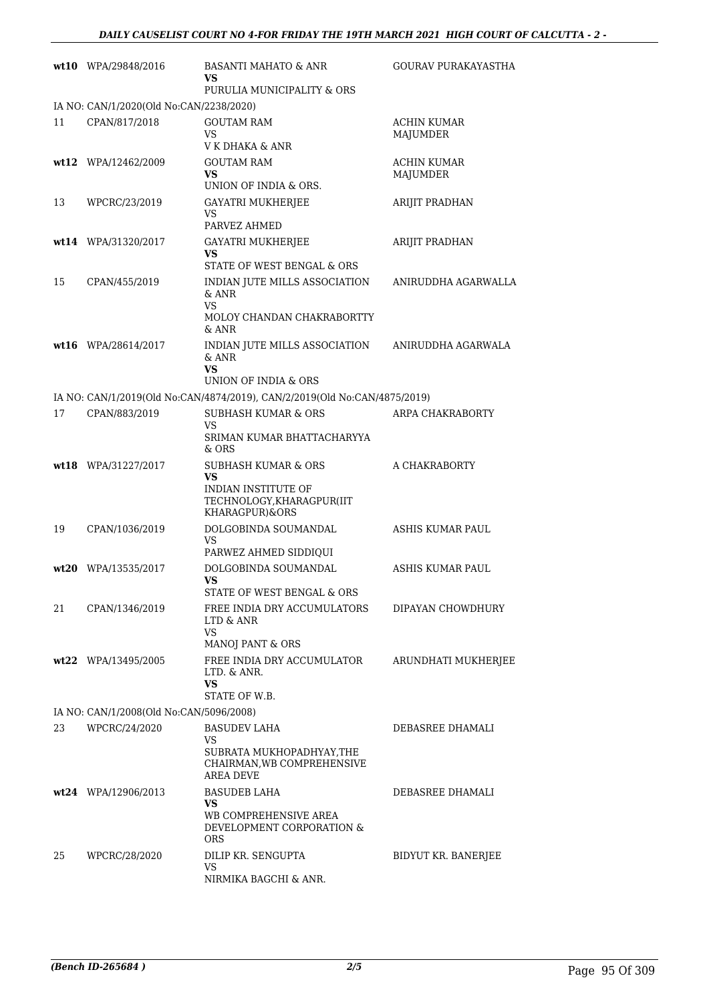|    | wt10 WPA/29848/2016                     | <b>BASANTI MAHATO &amp; ANR</b><br>VS                                                                    | GOURAV PURAKAYASTHA            |
|----|-----------------------------------------|----------------------------------------------------------------------------------------------------------|--------------------------------|
|    |                                         | PURULIA MUNICIPALITY & ORS                                                                               |                                |
|    | IA NO: CAN/1/2020(Old No:CAN/2238/2020) |                                                                                                          |                                |
| 11 | CPAN/817/2018                           | <b>GOUTAM RAM</b><br>VS<br>V K DHAKA & ANR                                                               | <b>ACHIN KUMAR</b><br>MAJUMDER |
|    | wt12 WPA/12462/2009                     | <b>GOUTAM RAM</b>                                                                                        | <b>ACHIN KUMAR</b>             |
|    |                                         | VS<br>UNION OF INDIA & ORS.                                                                              | MAJUMDER                       |
| 13 | WPCRC/23/2019                           | <b>GAYATRI MUKHERJEE</b><br>VS<br>PARVEZ AHMED                                                           | ARIJIT PRADHAN                 |
|    | wt14 WPA/31320/2017                     | <b>GAYATRI MUKHERJEE</b><br>VS<br>STATE OF WEST BENGAL & ORS                                             | <b>ARIJIT PRADHAN</b>          |
| 15 | CPAN/455/2019                           | INDIAN JUTE MILLS ASSOCIATION<br>& ANR<br>VS<br>MOLOY CHANDAN CHAKRABORTTY<br>$&$ ANR                    | ANIRUDDHA AGARWALLA            |
|    | wt16 WPA/28614/2017                     | INDIAN JUTE MILLS ASSOCIATION<br>& ANR<br><b>VS</b>                                                      | ANIRUDDHA AGARWALA             |
|    |                                         | UNION OF INDIA & ORS                                                                                     |                                |
|    |                                         | IA NO: CAN/1/2019(Old No:CAN/4874/2019), CAN/2/2019(Old No:CAN/4875/2019)                                |                                |
| 17 | CPAN/883/2019                           | <b>SUBHASH KUMAR &amp; ORS</b><br>VS<br>SRIMAN KUMAR BHATTACHARYYA<br>& ORS                              | ARPA CHAKRABORTY               |
|    | wt18 WPA/31227/2017                     | SUBHASH KUMAR & ORS<br>VS<br>INDIAN INSTITUTE OF<br>TECHNOLOGY, KHARAGPUR(IIT<br>KHARAGPUR)&ORS          | A CHAKRABORTY                  |
| 19 | CPAN/1036/2019                          | DOLGOBINDA SOUMANDAL<br>VS<br>PARWEZ AHMED SIDDIQUI                                                      | ASHIS KUMAR PAUL               |
|    | wt20 WPA/13535/2017                     | DOLGOBINDA SOUMANDAL<br><b>VS</b><br>STATE OF WEST BENGAL & ORS                                          | ASHIS KUMAR PAUL               |
| 21 | CPAN/1346/2019                          | FREE INDIA DRY ACCUMULATORS<br>LTD & ANR<br>VS<br>MANOJ PANT & ORS                                       | DIPAYAN CHOWDHURY              |
|    | wt22 WPA/13495/2005                     | FREE INDIA DRY ACCUMULATOR<br>LTD. & ANR.<br>VS<br>STATE OF W.B.                                         | ARUNDHATI MUKHERJEE            |
|    | IA NO: CAN/1/2008(Old No:CAN/5096/2008) |                                                                                                          |                                |
| 23 | WPCRC/24/2020                           | <b>BASUDEV LAHA</b><br>VS<br>SUBRATA MUKHOPADHYAY, THE<br>CHAIRMAN, WB COMPREHENSIVE<br><b>AREA DEVE</b> | DEBASREE DHAMALI               |
|    | wt24 WPA/12906/2013                     | <b>BASUDEB LAHA</b><br>VS.<br>WB COMPREHENSIVE AREA<br>DEVELOPMENT CORPORATION &<br><b>ORS</b>           | DEBASREE DHAMALI               |
| 25 | WPCRC/28/2020                           | DILIP KR. SENGUPTA<br>VS<br>NIRMIKA BAGCHI & ANR.                                                        | BIDYUT KR. BANERJEE            |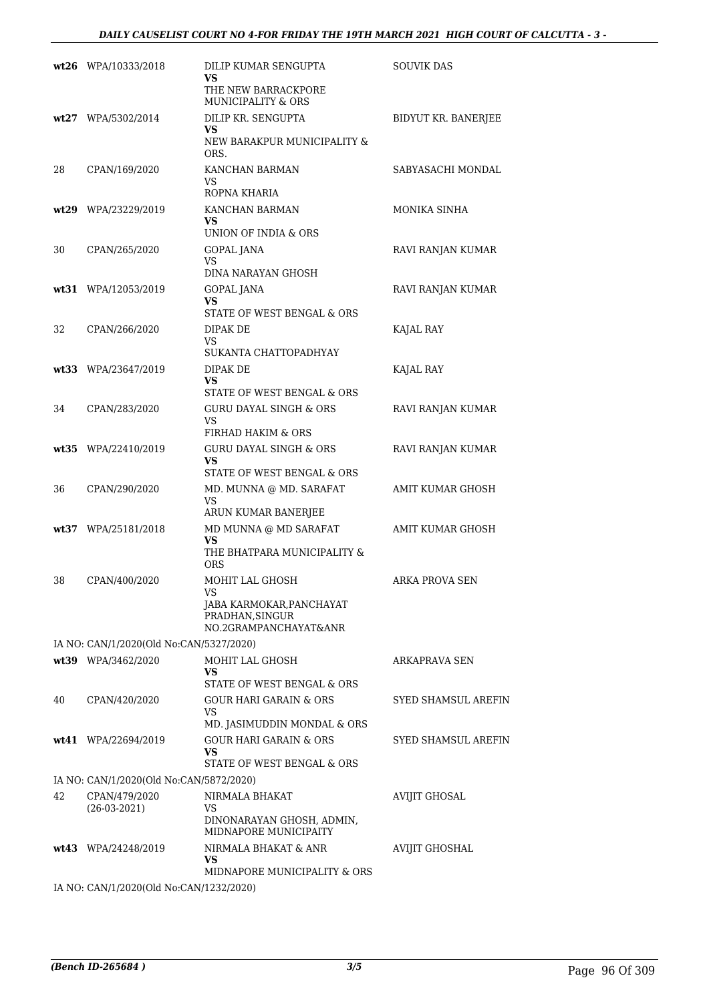|    | wt26 WPA/10333/2018                     | DILIP KUMAR SENGUPTA<br>VS<br>THE NEW BARRACKPORE<br><b>MUNICIPALITY &amp; ORS</b>            | <b>SOUVIK DAS</b>       |
|----|-----------------------------------------|-----------------------------------------------------------------------------------------------|-------------------------|
|    | wt27 WPA/5302/2014                      | DILIP KR. SENGUPTA<br>VS<br>NEW BARAKPUR MUNICIPALITY &<br>ORS.                               | BIDYUT KR. BANERJEE     |
| 28 | CPAN/169/2020                           | KANCHAN BARMAN<br>VS<br>ROPNA KHARIA                                                          | SABYASACHI MONDAL       |
|    | wt29 WPA/23229/2019                     | KANCHAN BARMAN<br>VS<br>UNION OF INDIA & ORS                                                  | MONIKA SINHA            |
| 30 | CPAN/265/2020                           | GOPAL JANA<br>VS<br>DINA NARAYAN GHOSH                                                        | RAVI RANJAN KUMAR       |
|    | wt31 WPA/12053/2019                     | GOPAL JANA<br>VS<br>STATE OF WEST BENGAL & ORS                                                | RAVI RANJAN KUMAR       |
| 32 | CPAN/266/2020                           | DIPAK DE<br>VS<br>SUKANTA CHATTOPADHYAY                                                       | KAJAL RAY               |
|    | wt33 WPA/23647/2019                     | DIPAK DE<br>VS<br>STATE OF WEST BENGAL & ORS                                                  | KAJAL RAY               |
| 34 | CPAN/283/2020                           | <b>GURU DAYAL SINGH &amp; ORS</b><br>VS<br>FIRHAD HAKIM & ORS                                 | RAVI RANJAN KUMAR       |
|    | wt35 WPA/22410/2019                     | <b>GURU DAYAL SINGH &amp; ORS</b><br>VS<br>STATE OF WEST BENGAL & ORS                         | RAVI RANJAN KUMAR       |
| 36 | CPAN/290/2020                           | MD. MUNNA @ MD. SARAFAT<br><b>VS</b><br>ARUN KUMAR BANERJEE                                   | <b>AMIT KUMAR GHOSH</b> |
|    | wt37 WPA/25181/2018                     | MD MUNNA @ MD SARAFAT<br>VS<br>THE BHATPARA MUNICIPALITY &<br><b>ORS</b>                      | <b>AMIT KUMAR GHOSH</b> |
| 38 | CPAN/400/2020                           | MOHIT LAL GHOSH<br>VS<br>JABA KARMOKAR, PANCHAYAT<br>PRADHAN, SINGUR<br>NO.2GRAMPANCHAYAT&ANR | ARKA PROVA SEN          |
|    | IA NO: CAN/1/2020(Old No:CAN/5327/2020) |                                                                                               |                         |
|    | wt39 WPA/3462/2020                      | MOHIT LAL GHOSH<br>VS<br>STATE OF WEST BENGAL & ORS                                           | ARKAPRAVA SEN           |
| 40 | CPAN/420/2020                           | <b>GOUR HARI GARAIN &amp; ORS</b><br>VS<br>MD. JASIMUDDIN MONDAL & ORS                        | SYED SHAMSUL AREFIN     |
|    | wt41 WPA/22694/2019                     | <b>GOUR HARI GARAIN &amp; ORS</b><br>VS<br>STATE OF WEST BENGAL & ORS                         | SYED SHAMSUL AREFIN     |
|    | IA NO: CAN/1/2020(Old No:CAN/5872/2020) |                                                                                               |                         |
| 42 | CPAN/479/2020<br>$(26-03-2021)$         | NIRMALA BHAKAT<br><b>VS</b><br>DINONARAYAN GHOSH, ADMIN,<br>MIDNAPORE MUNICIPAITY             | <b>AVIJIT GHOSAL</b>    |
|    | wt43 WPA/24248/2019                     | NIRMALA BHAKAT & ANR<br>VS<br>MIDNAPORE MUNICIPALITY & ORS                                    | <b>AVIJIT GHOSHAL</b>   |
|    | IA NO: CAN/1/2020(Old No:CAN/1232/2020) |                                                                                               |                         |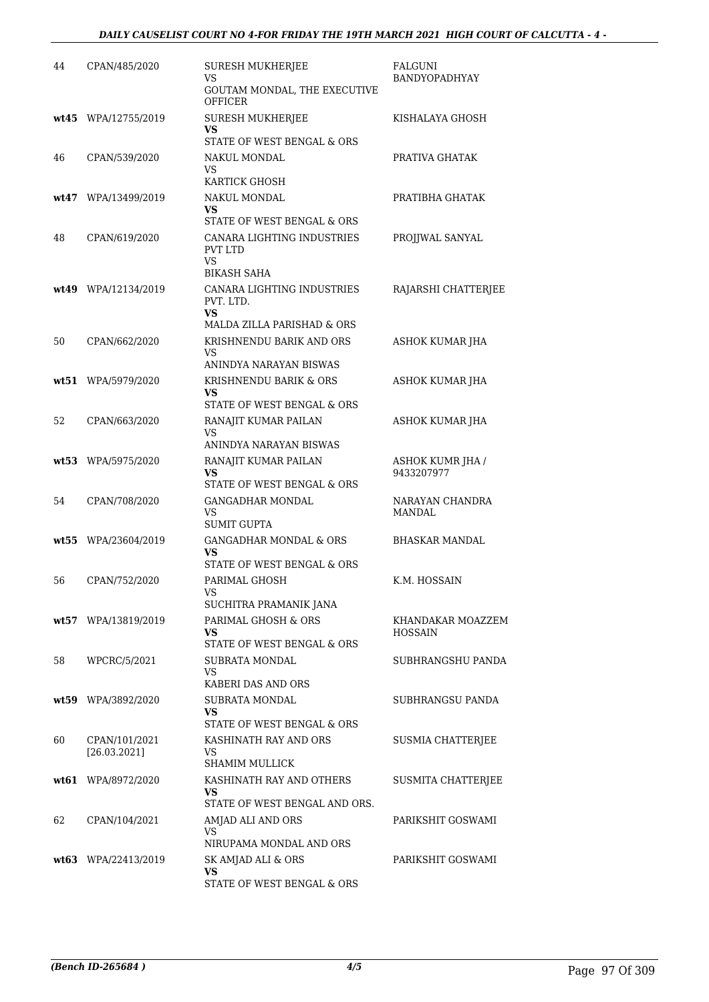| 44   | CPAN/485/2020                 | <b>SURESH MUKHERJEE</b><br>VS<br>GOUTAM MONDAL, THE EXECUTIVE              | FALGUNI<br>BANDYOPADHYAY            |
|------|-------------------------------|----------------------------------------------------------------------------|-------------------------------------|
|      | wt45 WPA/12755/2019           | <b>OFFICER</b><br><b>SURESH MUKHERJEE</b>                                  | KISHALAYA GHOSH                     |
|      |                               | VS<br>STATE OF WEST BENGAL & ORS                                           |                                     |
| 46   | CPAN/539/2020                 | NAKUL MONDAL<br><b>VS</b><br>KARTICK GHOSH                                 | PRATIVA GHATAK                      |
|      | wt47 WPA/13499/2019           | NAKUL MONDAL<br>VS<br>STATE OF WEST BENGAL & ORS                           | PRATIBHA GHATAK                     |
| 48   | CPAN/619/2020                 | CANARA LIGHTING INDUSTRIES<br><b>PVT LTD</b><br><b>VS</b>                  | PROJJWAL SANYAL                     |
| wt49 | WPA/12134/2019                | <b>BIKASH SAHA</b><br>CANARA LIGHTING INDUSTRIES<br>PVT. LTD.<br><b>VS</b> | RAJARSHI CHATTERJEE                 |
|      |                               | MALDA ZILLA PARISHAD & ORS                                                 |                                     |
| 50   | CPAN/662/2020                 | KRISHNENDU BARIK AND ORS<br><b>VS</b><br>ANINDYA NARAYAN BISWAS            | ASHOK KUMAR JHA                     |
|      | wt51 WPA/5979/2020            | KRISHNENDU BARIK & ORS<br>VS<br>STATE OF WEST BENGAL & ORS                 | ASHOK KUMAR JHA                     |
| 52   | CPAN/663/2020                 | RANAJIT KUMAR PAILAN<br>VS<br>ANINDYA NARAYAN BISWAS                       | ASHOK KUMAR JHA                     |
|      | wt53 WPA/5975/2020            | RANAJIT KUMAR PAILAN<br>VS<br>STATE OF WEST BENGAL & ORS                   | ASHOK KUMR JHA /<br>9433207977      |
| 54   | CPAN/708/2020                 | <b>GANGADHAR MONDAL</b><br>VS<br><b>SUMIT GUPTA</b>                        | NARAYAN CHANDRA<br>MANDAL           |
|      | wt55 WPA/23604/2019           | <b>GANGADHAR MONDAL &amp; ORS</b><br>VS<br>STATE OF WEST BENGAL & ORS      | <b>BHASKAR MANDAL</b>               |
| 56   | CPAN/752/2020                 | PARIMAL GHOSH<br>vs<br>SUCHITRA PRAMANIK JANA                              | K.M. HOSSAIN                        |
|      | wt57 WPA/13819/2019           | PARIMAL GHOSH & ORS<br>VS<br>STATE OF WEST BENGAL & ORS                    | KHANDAKAR MOAZZEM<br><b>HOSSAIN</b> |
| 58   | WPCRC/5/2021                  | SUBRATA MONDAL<br>VS<br>KABERI DAS AND ORS                                 | SUBHRANGSHU PANDA                   |
|      | wt59 WPA/3892/2020            | <b>SUBRATA MONDAL</b><br>VS<br>STATE OF WEST BENGAL & ORS                  | SUBHRANGSU PANDA                    |
| 60   | CPAN/101/2021<br>[26.03.2021] | KASHINATH RAY AND ORS<br>VS<br><b>SHAMIM MULLICK</b>                       | SUSMIA CHATTERJEE                   |
|      | wt61 WPA/8972/2020            | KASHINATH RAY AND OTHERS<br>VS<br>STATE OF WEST BENGAL AND ORS.            | SUSMITA CHATTERJEE                  |
| 62   | CPAN/104/2021                 | AMJAD ALI AND ORS<br><b>VS</b><br>NIRUPAMA MONDAL AND ORS                  | PARIKSHIT GOSWAMI                   |
|      | $wt63$ WPA/22413/2019         | SK AMJAD ALI & ORS<br><b>VS</b><br>STATE OF WEST BENGAL & ORS              | PARIKSHIT GOSWAMI                   |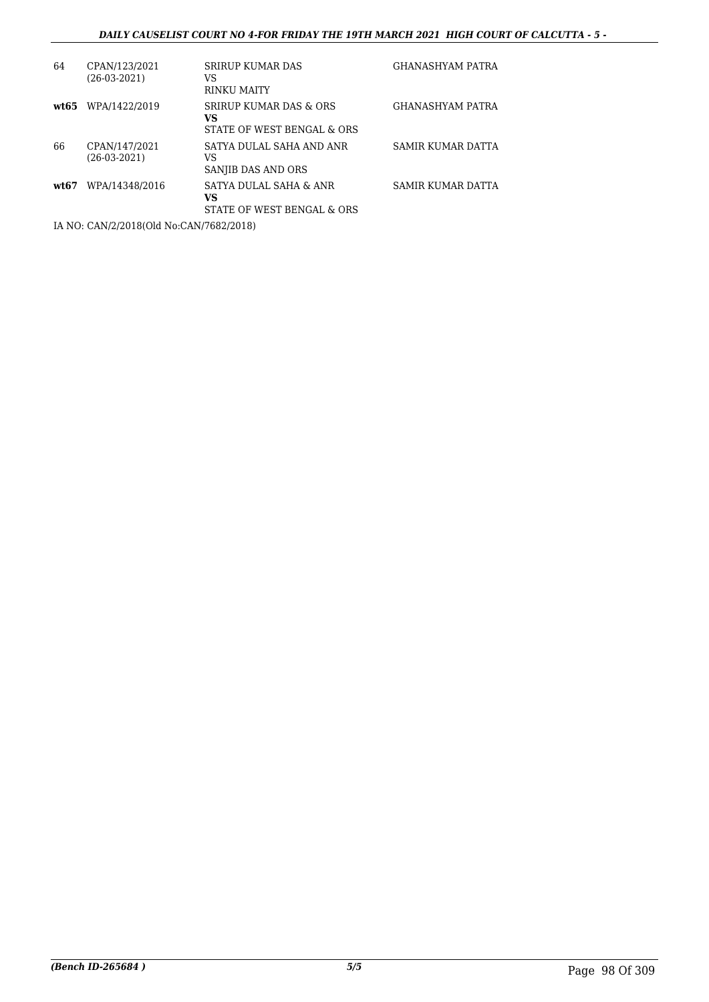## *DAILY CAUSELIST COURT NO 4-FOR FRIDAY THE 19TH MARCH 2021 HIGH COURT OF CALCUTTA - 5 -*

| 64    | CPAN/123/2021<br>$(26-03-2021)$ | <b>SRIRUP KUMAR DAS</b><br>VS<br>RINKU MAITY                          | <b>GHANASHYAM PATRA</b> |
|-------|---------------------------------|-----------------------------------------------------------------------|-------------------------|
| wt.65 | WPA/1422/2019                   | <b>SRIRUP KUMAR DAS &amp; ORS</b><br>VS<br>STATE OF WEST BENGAL & ORS | <b>GHANASHYAM PATRA</b> |
| 66    | CPAN/147/2021<br>$(26-03-2021)$ | SATYA DULAL SAHA AND ANR<br>VS<br>SANJIB DAS AND ORS                  | SAMIR KUMAR DATTA       |
| wt.67 | WPA/14348/2016                  | SATYA DULAL SAHA & ANR<br>VS<br>STATE OF WEST BENGAL & ORS            | SAMIR KUMAR DATTA       |
|       |                                 |                                                                       |                         |

IA NO: CAN/2/2018(Old No:CAN/7682/2018)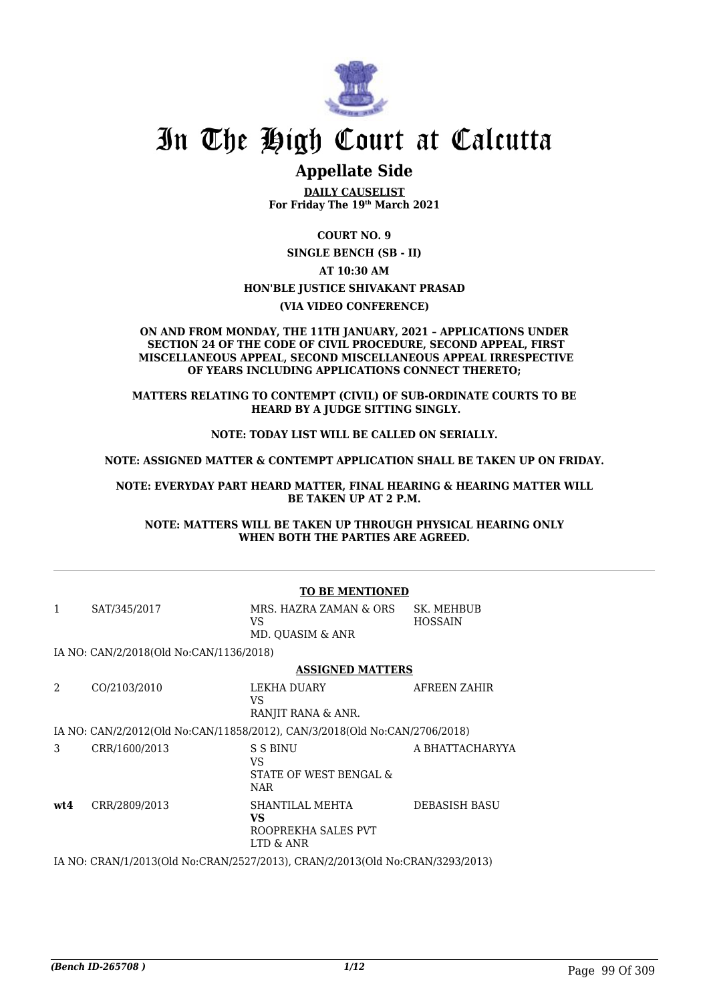

## **Appellate Side**

**DAILY CAUSELIST For Friday The 19th March 2021**

**COURT NO. 9 SINGLE BENCH (SB - II) AT 10:30 AM HON'BLE JUSTICE SHIVAKANT PRASAD (VIA VIDEO CONFERENCE)**

#### **ON AND FROM MONDAY, THE 11TH JANUARY, 2021 – APPLICATIONS UNDER SECTION 24 OF THE CODE OF CIVIL PROCEDURE, SECOND APPEAL, FIRST MISCELLANEOUS APPEAL, SECOND MISCELLANEOUS APPEAL IRRESPECTIVE OF YEARS INCLUDING APPLICATIONS CONNECT THERETO;**

**MATTERS RELATING TO CONTEMPT (CIVIL) OF SUB-ORDINATE COURTS TO BE HEARD BY A JUDGE SITTING SINGLY.**

#### **NOTE: TODAY LIST WILL BE CALLED ON SERIALLY.**

**NOTE: ASSIGNED MATTER & CONTEMPT APPLICATION SHALL BE TAKEN UP ON FRIDAY.**

#### **NOTE: EVERYDAY PART HEARD MATTER, FINAL HEARING & HEARING MATTER WILL BE TAKEN UP AT 2 P.M.**

**NOTE: MATTERS WILL BE TAKEN UP THROUGH PHYSICAL HEARING ONLY WHEN BOTH THE PARTIES ARE AGREED.**

|     |                                         | <b>TO BE MENTIONED</b>                                                        |                              |
|-----|-----------------------------------------|-------------------------------------------------------------------------------|------------------------------|
| 1   | SAT/345/2017                            | MRS. HAZRA ZAMAN & ORS<br>VS.<br>MD. QUASIM & ANR                             | SK. MEHBUB<br><b>HOSSAIN</b> |
|     | IA NO: CAN/2/2018(Old No:CAN/1136/2018) |                                                                               |                              |
|     |                                         | <b>ASSIGNED MATTERS</b>                                                       |                              |
| 2   | CO/2103/2010                            | LEKHA DUARY<br>VS.<br>RANJIT RANA & ANR.                                      | AFREEN ZAHIR                 |
|     |                                         | IA NO: CAN/2/2012(Old No:CAN/11858/2012), CAN/3/2018(Old No:CAN/2706/2018)    |                              |
| 3   | CRR/1600/2013                           | S S BINU<br>VS.<br>STATE OF WEST BENGAL &<br><b>NAR</b>                       | A BHATTACHARYYA              |
| wt4 | CRR/2809/2013                           | SHANTILAL MEHTA<br><b>VS</b><br>ROOPREKHA SALES PVT<br>LTD & ANR              | <b>DEBASISH BASU</b>         |
|     |                                         | IA NO: CRAN/1/2013(Old No:CRAN/2527/2013), CRAN/2/2013(Old No:CRAN/3293/2013) |                              |
|     |                                         |                                                                               |                              |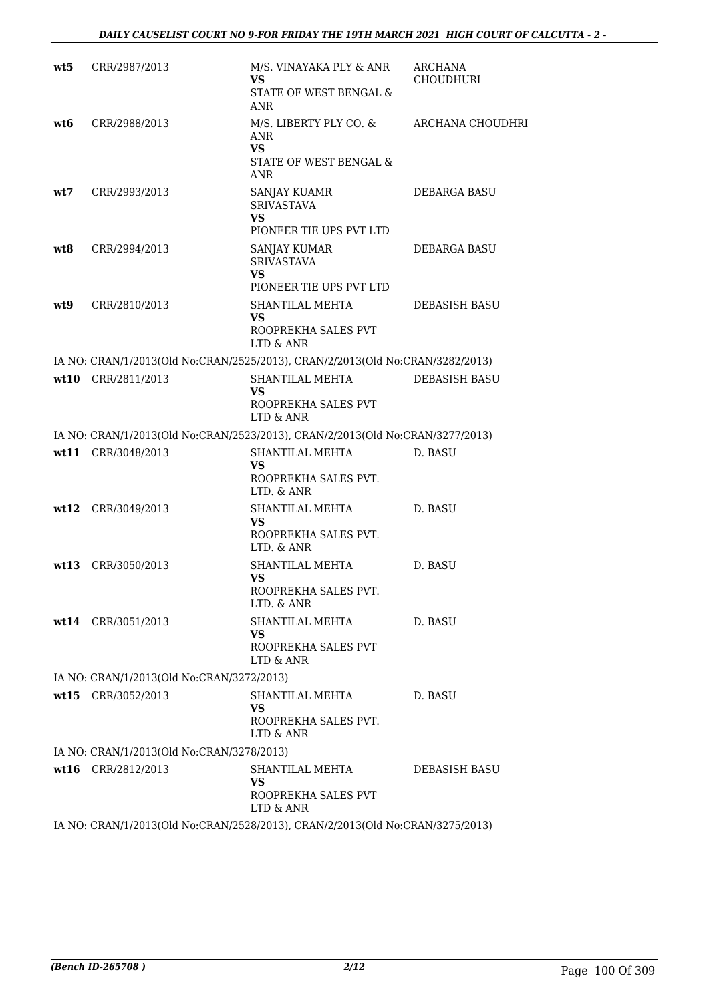| wt5  | CRR/2987/2013                             | M/S. VINAYAKA PLY & ANR<br>VS<br>STATE OF WEST BENGAL &                                              | ARCHANA<br><b>CHOUDHURI</b> |
|------|-------------------------------------------|------------------------------------------------------------------------------------------------------|-----------------------------|
| wt6  | CRR/2988/2013                             | <b>ANR</b><br>M/S. LIBERTY PLY CO. &<br><b>ANR</b><br><b>VS</b>                                      | ARCHANA CHOUDHRI            |
|      |                                           | STATE OF WEST BENGAL &<br><b>ANR</b>                                                                 |                             |
| wt7  | CRR/2993/2013                             | <b>SANJAY KUAMR</b><br><b>SRIVASTAVA</b><br><b>VS</b>                                                | DEBARGA BASU                |
| wt8  | CRR/2994/2013                             | PIONEER TIE UPS PVT LTD<br>SANJAY KUMAR<br><b>SRIVASTAVA</b><br><b>VS</b><br>PIONEER TIE UPS PVT LTD | DEBARGA BASU                |
| wt9  | CRR/2810/2013                             | SHANTILAL MEHTA<br>VS.<br>ROOPREKHA SALES PVT<br>LTD & ANR                                           | DEBASISH BASU               |
|      |                                           | IA NO: CRAN/1/2013(Old No:CRAN/2525/2013), CRAN/2/2013(Old No:CRAN/3282/2013)                        |                             |
|      | wt10 CRR/2811/2013                        | SHANTILAL MEHTA<br>VS.<br>ROOPREKHA SALES PVT<br>$\mbox{LTD}$ & $\mbox{ANR}$                         | <b>DEBASISH BASU</b>        |
|      |                                           | IA NO: CRAN/1/2013(Old No:CRAN/2523/2013), CRAN/2/2013(Old No:CRAN/3277/2013)                        |                             |
|      | wt11 CRR/3048/2013                        | SHANTILAL MEHTA<br>VS<br>ROOPREKHA SALES PVT.<br>LTD. & ANR                                          | D. BASU                     |
|      | wt12 CRR/3049/2013                        | SHANTILAL MEHTA<br>VS<br>ROOPREKHA SALES PVT.<br>LTD. & ANR                                          | D. BASU                     |
| wt13 | CRR/3050/2013                             | SHANTILAL MEHTA<br>VS<br>ROOPREKHA SALES PVT.<br>LTD. & ANR                                          | D. BASU                     |
|      | wt14 CRR/3051/2013                        | SHANTILAL MEHTA<br>VS<br>ROOPREKHA SALES PVT<br>LTD & ANR                                            | D. BASU                     |
|      | IA NO: CRAN/1/2013(Old No:CRAN/3272/2013) |                                                                                                      |                             |
| wt15 | CRR/3052/2013                             | SHANTILAL MEHTA<br>VS<br>ROOPREKHA SALES PVT.<br>LTD & ANR                                           | D. BASU                     |
|      | IA NO: CRAN/1/2013(Old No:CRAN/3278/2013) |                                                                                                      |                             |
|      | wt16 CRR/2812/2013                        | SHANTILAL MEHTA<br>VS<br>ROOPREKHA SALES PVT<br>LTD & ANR                                            | DEBASISH BASU               |
|      |                                           | IA NO: CRAN/1/2013(Old No:CRAN/2528/2013), CRAN/2/2013(Old No:CRAN/3275/2013)                        |                             |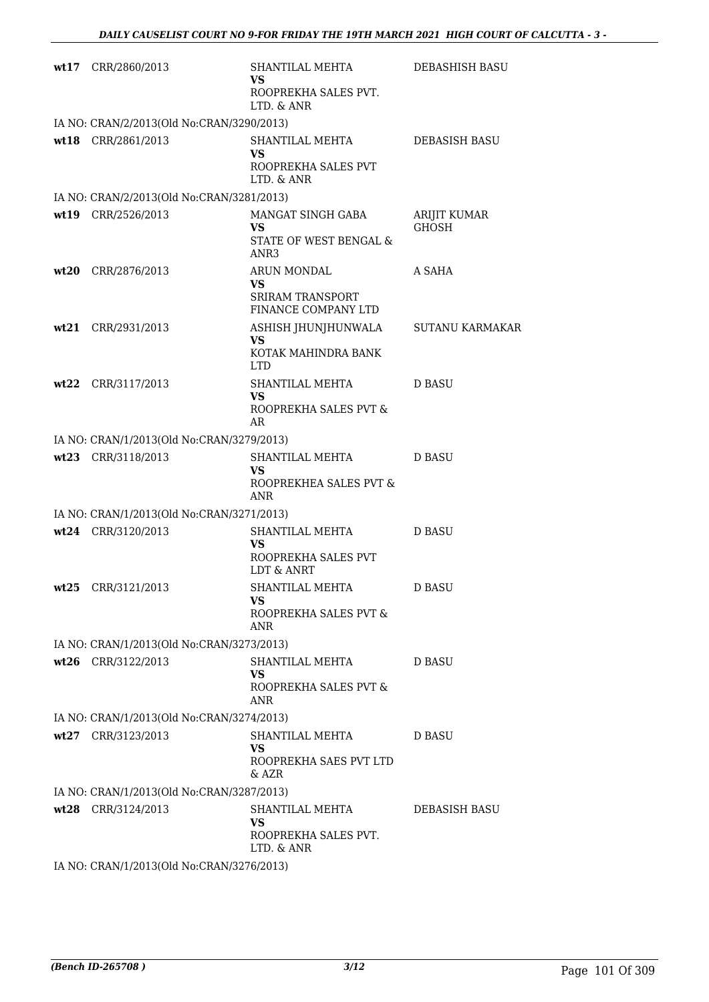| wt17 CRR/2860/2013                        | SHANTILAL MEHTA<br>VS.<br>ROOPREKHA SALES PVT.<br>LTD. & ANR          | DEBASHISH BASU               |
|-------------------------------------------|-----------------------------------------------------------------------|------------------------------|
| IA NO: CRAN/2/2013(Old No:CRAN/3290/2013) |                                                                       |                              |
| wt18 CRR/2861/2013                        | SHANTILAL MEHTA<br>VS.<br>ROOPREKHA SALES PVT<br>LTD. & ANR           | DEBASISH BASU                |
| IA NO: CRAN/2/2013(Old No:CRAN/3281/2013) |                                                                       |                              |
| wt19 CRR/2526/2013                        | MANGAT SINGH GABA<br>VS.<br>STATE OF WEST BENGAL &<br>ANR3            | ARIJIT KUMAR<br><b>GHOSH</b> |
| wt20 CRR/2876/2013                        | ARUN MONDAL<br>VS.<br><b>SRIRAM TRANSPORT</b><br>FINANCE COMPANY LTD  | A SAHA                       |
| wt21 CRR/2931/2013                        | ASHISH JHUNJHUNWALA<br><b>VS</b><br>KOTAK MAHINDRA BANK<br><b>LTD</b> | <b>SUTANU KARMAKAR</b>       |
| wt22 CRR/3117/2013                        | SHANTILAL MEHTA<br>VS.<br>ROOPREKHA SALES PVT &<br>AR                 | <b>D BASU</b>                |
| IA NO: CRAN/1/2013(Old No:CRAN/3279/2013) |                                                                       |                              |
| wt23 CRR/3118/2013                        | SHANTILAL MEHTA<br><b>VS</b><br>ROOPREKHEA SALES PVT &<br><b>ANR</b>  | <b>D BASU</b>                |
| IA NO: CRAN/1/2013(Old No:CRAN/3271/2013) |                                                                       |                              |
| wt24 CRR/3120/2013                        | SHANTILAL MEHTA<br><b>VS</b><br>ROOPREKHA SALES PVT<br>LDT & ANRT     | <b>D BASU</b>                |
| $wt25$ CRR/3121/2013                      | SHANTILAL MEHTA<br><b>VS</b><br>ROOPREKHA SALES PVT &<br><b>ANR</b>   | D BASU                       |
| IA NO: CRAN/1/2013(Old No:CRAN/3273/2013) |                                                                       |                              |
| wt26 CRR/3122/2013                        | SHANTILAL MEHTA<br>VS.<br>ROOPREKHA SALES PVT &<br><b>ANR</b>         | D BASU                       |
| IA NO: CRAN/1/2013(Old No:CRAN/3274/2013) |                                                                       |                              |
| wt27 CRR/3123/2013                        | SHANTILAL MEHTA<br><b>VS</b><br>ROOPREKHA SAES PVT LTD<br>$&$ AZR     | D BASU                       |
| IA NO: CRAN/1/2013(Old No:CRAN/3287/2013) |                                                                       |                              |
| wt28 CRR/3124/2013                        | SHANTILAL MEHTA<br>VS<br>ROOPREKHA SALES PVT.<br>LTD. & ANR           | DEBASISH BASU                |
| IA NO: CRAN/1/2013(Old No:CRAN/3276/2013) |                                                                       |                              |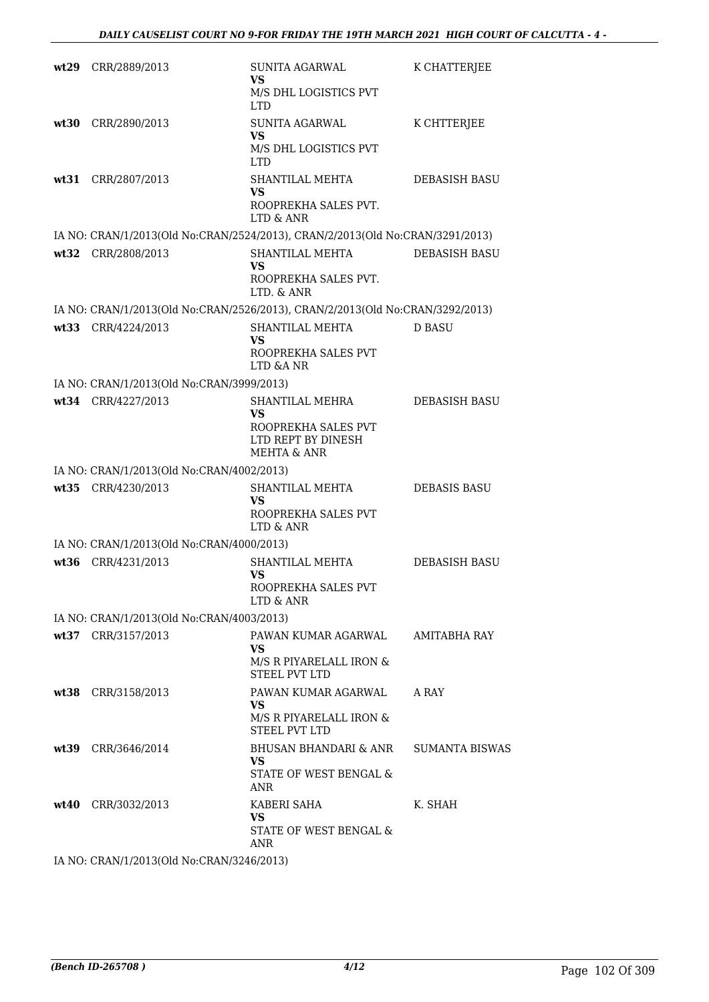|      | wt29 CRR/2889/2013                        | SUNITA AGARWAL<br>VS<br>M/S DHL LOGISTICS PVT<br><b>LTD</b>                                  | K CHATTERJEE          |
|------|-------------------------------------------|----------------------------------------------------------------------------------------------|-----------------------|
| wt30 | CRR/2890/2013                             | <b>SUNITA AGARWAL</b><br>VS<br>M/S DHL LOGISTICS PVT<br><b>LTD</b>                           | K CHTTERJEE           |
| wt31 | CRR/2807/2013                             | SHANTILAL MEHTA<br>VS<br>ROOPREKHA SALES PVT.<br>LTD & ANR                                   | DEBASISH BASU         |
|      |                                           | IA NO: CRAN/1/2013(Old No:CRAN/2524/2013), CRAN/2/2013(Old No:CRAN/3291/2013)                |                       |
|      | wt32 CRR/2808/2013                        | SHANTILAL MEHTA<br>VS<br>ROOPREKHA SALES PVT.<br>LTD. & ANR                                  | <b>DEBASISH BASU</b>  |
|      |                                           | IA NO: CRAN/1/2013(Old No:CRAN/2526/2013), CRAN/2/2013(Old No:CRAN/3292/2013)                |                       |
|      | wt33 CRR/4224/2013                        | SHANTILAL MEHTA<br>VS.<br>ROOPREKHA SALES PVT                                                | <b>D BASU</b>         |
|      |                                           | LTD & ANR                                                                                    |                       |
|      | IA NO: CRAN/1/2013(Old No:CRAN/3999/2013) |                                                                                              |                       |
|      | wt34 CRR/4227/2013                        | SHANTILAL MEHRA<br>VS<br>ROOPREKHA SALES PVT<br>LTD REPT BY DINESH<br><b>MEHTA &amp; ANR</b> | <b>DEBASISH BASU</b>  |
|      | IA NO: CRAN/1/2013(Old No:CRAN/4002/2013) |                                                                                              |                       |
|      | wt35 CRR/4230/2013                        | SHANTILAL MEHTA<br>VS<br>ROOPREKHA SALES PVT<br>LTD & ANR                                    | <b>DEBASIS BASU</b>   |
|      | IA NO: CRAN/1/2013(Old No:CRAN/4000/2013) |                                                                                              |                       |
|      | wt36 CRR/4231/2013                        | SHANTILAL MEHTA<br>VS<br>ROOPREKHA SALES PVT<br>LTD & ANR                                    | DEBASISH BASU         |
|      | IA NO: CRAN/1/2013(Old No:CRAN/4003/2013) |                                                                                              |                       |
|      | wt37 CRR/3157/2013                        | PAWAN KUMAR AGARWAL<br>VS<br>M/S R PIYARELALL IRON &<br><b>STEEL PVT LTD</b>                 | AMITABHA RAY          |
|      | wt38 CRR/3158/2013                        | PAWAN KUMAR AGARWAL<br>VS.<br>M/S R PIYARELALL IRON &<br>STEEL PVT LTD                       | A RAY                 |
|      | wt39 CRR/3646/2014                        | BHUSAN BHANDARI & ANR<br>VS.<br>STATE OF WEST BENGAL &<br>ANR                                | <b>SUMANTA BISWAS</b> |
|      | wt40 CRR/3032/2013                        | KABERI SAHA<br>VS<br>STATE OF WEST BENGAL &<br>ANR                                           | K. SHAH               |
|      | IA NO: CRAN/1/2013(Old No:CRAN/3246/2013) |                                                                                              |                       |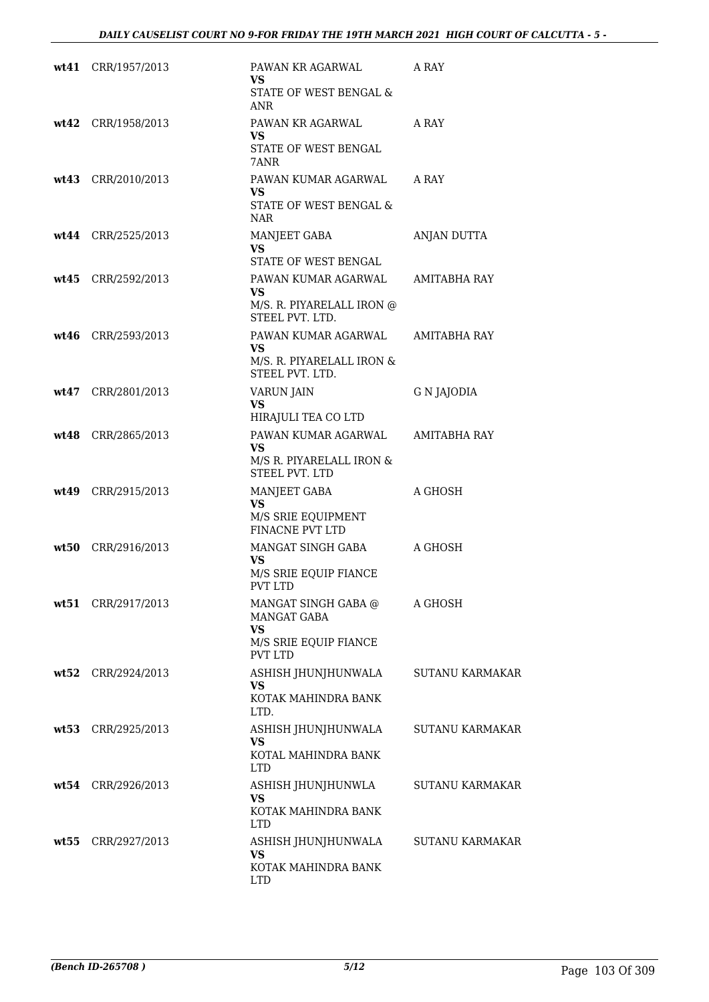| wt41 CRR/1957/2013   | PAWAN KR AGARWAL<br>VS                                 | A RAY                  |
|----------------------|--------------------------------------------------------|------------------------|
|                      | STATE OF WEST BENGAL &<br>ANR                          |                        |
| wt42 CRR/1958/2013   | PAWAN KR AGARWAL<br>VS                                 | A RAY                  |
|                      | STATE OF WEST BENGAL<br>7ANR                           |                        |
| wt43 CRR/2010/2013   | PAWAN KUMAR AGARWAL<br>VS.                             | A RAY                  |
|                      | STATE OF WEST BENGAL &<br><b>NAR</b>                   |                        |
| wt44 CRR/2525/2013   | MANJEET GABA<br><b>VS</b><br>STATE OF WEST BENGAL      | ANJAN DUTTA            |
| $wt45$ CRR/2592/2013 | PAWAN KUMAR AGARWAL                                    | AMITABHA RAY           |
|                      | VS.<br>M/S. R. PIYARELALL IRON @<br>STEEL PVT. LTD.    |                        |
| $wt46$ CRR/2593/2013 | PAWAN KUMAR AGARWAL                                    | AMITABHA RAY           |
|                      | VS.<br>M/S. R. PIYARELALL IRON &<br>STEEL PVT. LTD.    |                        |
| wt47 CRR/2801/2013   | <b>VARUN JAIN</b><br><b>VS</b>                         | G N JAJODIA            |
|                      | HIRAJULI TEA CO LTD                                    |                        |
| wt48 CRR/2865/2013   | PAWAN KUMAR AGARWAL<br><b>VS</b>                       | AMITABHA RAY           |
|                      | M/S R. PIYARELALL IRON &<br>STEEL PVT. LTD             |                        |
| wt49 CRR/2915/2013   | MANJEET GABA<br><b>VS</b>                              | A GHOSH                |
|                      | M/S SRIE EQUIPMENT<br>FINACNE PVT LTD                  |                        |
| wt50 CRR/2916/2013   | MANGAT SINGH GABA<br><b>VS</b>                         | A GHOSH                |
|                      | M/S SRIE EQUIP FIANCE<br><b>PVT LTD</b>                |                        |
| wt51 CRR/2917/2013   | MANGAT SINGH GABA @<br><b>MANGAT GABA</b><br><b>VS</b> | A GHOSH                |
|                      | M/S SRIE EQUIP FIANCE<br><b>PVT LTD</b>                |                        |
| wt52 CRR/2924/2013   | ASHISH JHUNJHUNWALA<br><b>VS</b>                       | <b>SUTANU KARMAKAR</b> |
|                      | KOTAK MAHINDRA BANK<br>LTD.                            |                        |
| wt53 CRR/2925/2013   | ASHISH JHUNJHUNWALA<br><b>VS</b>                       | <b>SUTANU KARMAKAR</b> |
|                      | KOTAL MAHINDRA BANK<br><b>LTD</b>                      |                        |
| wt54 CRR/2926/2013   | ASHISH JHUNJHUNWLA<br><b>VS</b>                        | <b>SUTANU KARMAKAR</b> |
|                      | KOTAK MAHINDRA BANK<br><b>LTD</b>                      |                        |
| wt55 CRR/2927/2013   | ASHISH JHUNJHUNWALA<br><b>VS</b>                       | <b>SUTANU KARMAKAR</b> |
|                      | KOTAK MAHINDRA BANK<br><b>LTD</b>                      |                        |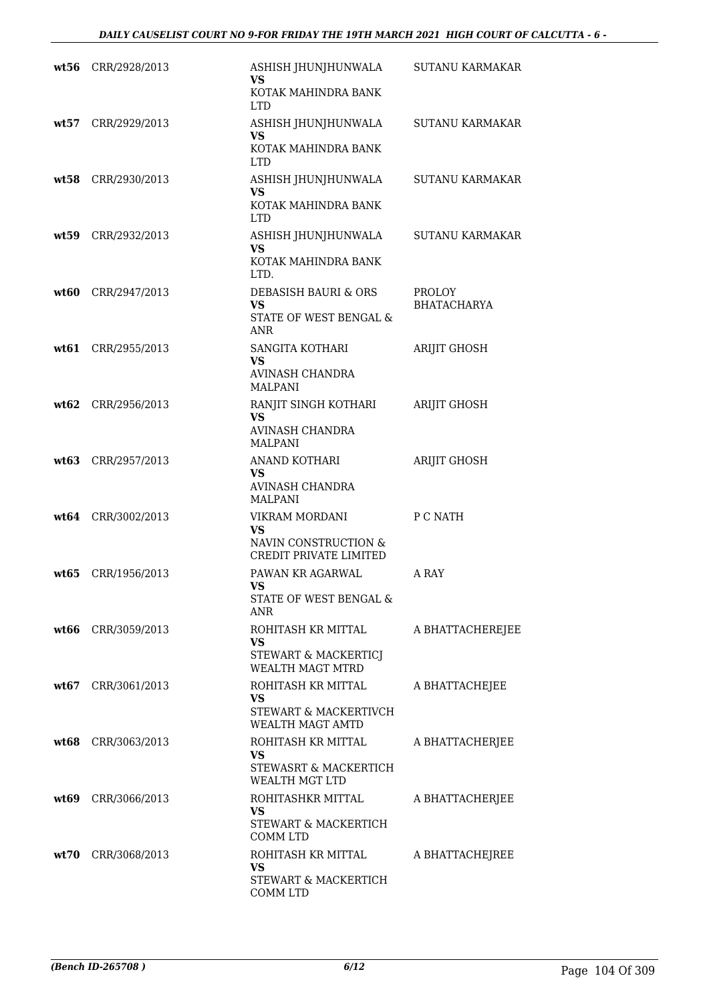| wt56 | CRR/2928/2013 | ASHISH JHUNJHUNWALA<br>VS                       | <b>SUTANU KARMAKAR</b>              |
|------|---------------|-------------------------------------------------|-------------------------------------|
|      |               | KOTAK MAHINDRA BANK<br><b>LTD</b>               |                                     |
| wt57 | CRR/2929/2013 | ASHISH JHUNJHUNWALA<br><b>VS</b>                | <b>SUTANU KARMAKAR</b>              |
|      |               | KOTAK MAHINDRA BANK<br><b>LTD</b>               |                                     |
| wt58 | CRR/2930/2013 | ASHISH JHUNJHUNWALA<br><b>VS</b>                | <b>SUTANU KARMAKAR</b>              |
|      |               | KOTAK MAHINDRA BANK<br><b>LTD</b>               |                                     |
| wt59 | CRR/2932/2013 | ASHISH JHUNJHUNWALA<br><b>VS</b>                | <b>SUTANU KARMAKAR</b>              |
|      |               | KOTAK MAHINDRA BANK<br>LTD.                     |                                     |
| wt60 | CRR/2947/2013 | DEBASISH BAURI & ORS<br><b>VS</b>               | <b>PROLOY</b><br><b>BHATACHARYA</b> |
|      |               | STATE OF WEST BENGAL &<br>ANR                   |                                     |
| wt61 | CRR/2955/2013 | SANGITA KOTHARI<br><b>VS</b>                    | <b>ARIJIT GHOSH</b>                 |
|      |               | AVINASH CHANDRA<br><b>MALPANI</b>               |                                     |
| wt62 | CRR/2956/2013 | RANJIT SINGH KOTHARI<br><b>VS</b>               | <b>ARIJIT GHOSH</b>                 |
|      |               | <b>AVINASH CHANDRA</b><br><b>MALPANI</b>        |                                     |
| wt63 | CRR/2957/2013 | ANAND KOTHARI<br>VS                             | <b>ARIJIT GHOSH</b>                 |
|      |               | <b>AVINASH CHANDRA</b><br><b>MALPANI</b>        |                                     |
| wt64 | CRR/3002/2013 | VIKRAM MORDANI<br>VS                            | P C NATH                            |
|      |               | NAVIN CONSTRUCTION &<br>CREDIT PRIVATE LIMITED  |                                     |
| wt65 | CRR/1956/2013 | PAWAN KR AGARWAL<br><b>VS</b>                   | A RAY                               |
|      |               | STATE OF WEST BENGAL &<br><b>ANR</b>            |                                     |
| wt66 | CRR/3059/2013 | ROHITASH KR MITTAL<br>VS.                       | A BHATTACHEREJEE                    |
|      |               | STEWART & MACKERTICJ<br><b>WEALTH MAGT MTRD</b> |                                     |
| wt67 | CRR/3061/2013 | ROHITASH KR MITTAL<br>VS.                       | A BHATTACHEJEE                      |
|      |               | STEWART & MACKERTIVCH<br>WEALTH MAGT AMTD       |                                     |
| wt68 | CRR/3063/2013 | ROHITASH KR MITTAL<br>VS.                       | A BHATTACHERJEE                     |
|      |               | STEWASRT & MACKERTICH<br>WEALTH MGT LTD         |                                     |
| wt69 | CRR/3066/2013 | ROHITASHKR MITTAL<br>VS                         | A BHATTACHERJEE                     |
|      |               | STEWART & MACKERTICH<br><b>COMM LTD</b>         |                                     |
| wt70 | CRR/3068/2013 | ROHITASH KR MITTAL<br>VS.                       | A BHATTACHEJREE                     |
|      |               | STEWART & MACKERTICH<br>COMM LTD                |                                     |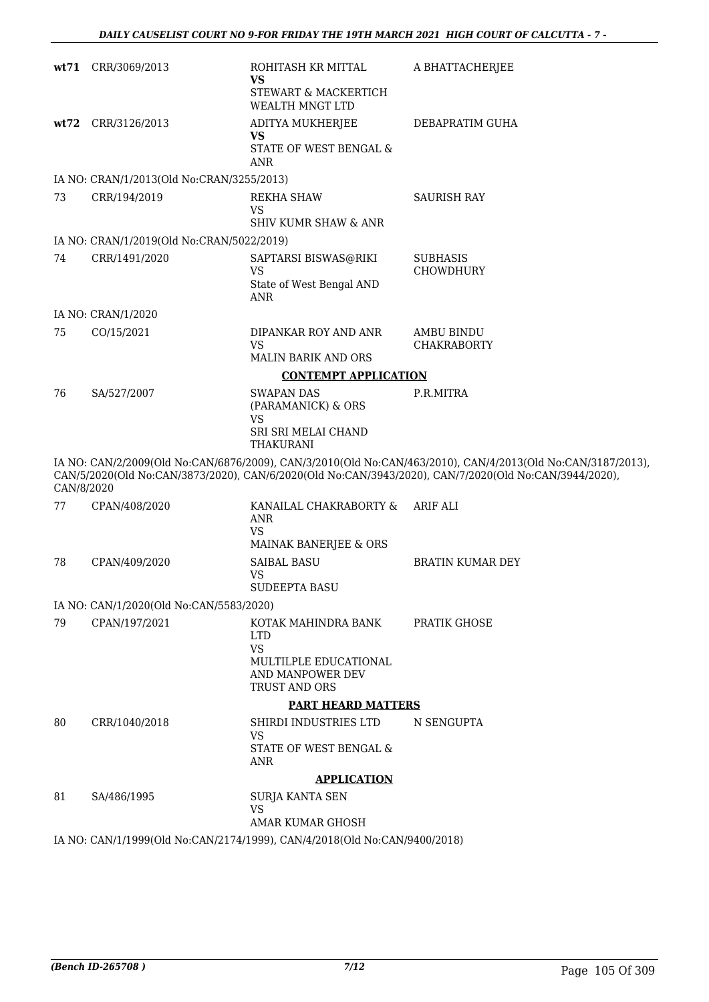|            | wt71 CRR/3069/2013                        | ROHITASH KR MITTAL<br>VS<br>STEWART & MACKERTICH                          | A BHATTACHERJEE                                                                                                                                                                                                      |
|------------|-------------------------------------------|---------------------------------------------------------------------------|----------------------------------------------------------------------------------------------------------------------------------------------------------------------------------------------------------------------|
|            |                                           | WEALTH MNGT LTD                                                           |                                                                                                                                                                                                                      |
|            | wt72 CRR/3126/2013                        | ADITYA MUKHERJEE<br><b>VS</b>                                             | DEBAPRATIM GUHA                                                                                                                                                                                                      |
|            |                                           | STATE OF WEST BENGAL &<br><b>ANR</b>                                      |                                                                                                                                                                                                                      |
|            | IA NO: CRAN/1/2013(Old No:CRAN/3255/2013) |                                                                           |                                                                                                                                                                                                                      |
| 73         | CRR/194/2019                              | REKHA SHAW<br><b>VS</b><br><b>SHIV KUMR SHAW &amp; ANR</b>                | <b>SAURISH RAY</b>                                                                                                                                                                                                   |
|            | IA NO: CRAN/1/2019(Old No:CRAN/5022/2019) |                                                                           |                                                                                                                                                                                                                      |
| 74         | CRR/1491/2020                             | SAPTARSI BISWAS@RIKI                                                      | <b>SUBHASIS</b>                                                                                                                                                                                                      |
|            |                                           | <b>VS</b><br>State of West Bengal AND<br><b>ANR</b>                       | CHOWDHURY                                                                                                                                                                                                            |
|            | IA NO: CRAN/1/2020                        |                                                                           |                                                                                                                                                                                                                      |
| 75         | CO/15/2021                                | DIPANKAR ROY AND ANR<br><b>VS</b>                                         | <b>AMBU BINDU</b><br><b>CHAKRABORTY</b>                                                                                                                                                                              |
|            |                                           | <b>MALIN BARIK AND ORS</b>                                                |                                                                                                                                                                                                                      |
| 76         |                                           | <b>CONTEMPT APPLICATION</b><br><b>SWAPAN DAS</b>                          | P.R.MITRA                                                                                                                                                                                                            |
|            | SA/527/2007                               | (PARAMANICK) & ORS<br><b>VS</b>                                           |                                                                                                                                                                                                                      |
|            |                                           | SRI SRI MELAI CHAND<br><b>THAKURANI</b>                                   |                                                                                                                                                                                                                      |
| CAN/8/2020 |                                           |                                                                           | IA NO: CAN/2/2009(Old No:CAN/6876/2009), CAN/3/2010(Old No:CAN/463/2010), CAN/4/2013(Old No:CAN/3187/2013),<br>CAN/5/2020(Old No:CAN/3873/2020), CAN/6/2020(Old No:CAN/3943/2020), CAN/7/2020(Old No:CAN/3944/2020), |
| 77         | CPAN/408/2020                             | KANAILAL CHAKRABORTY &<br>ANR<br><b>VS</b>                                | ARIF ALI                                                                                                                                                                                                             |
|            |                                           | MAINAK BANERJEE & ORS                                                     |                                                                                                                                                                                                                      |
| 78         | CPAN/409/2020                             | <b>SAIBAL BASU</b><br><b>VS</b><br>SUDEEPTA BASU                          | <b>BRATIN KUMAR DEY</b>                                                                                                                                                                                              |
|            | IA NO: CAN/1/2020(Old No:CAN/5583/2020)   |                                                                           |                                                                                                                                                                                                                      |
| 79         | CPAN/197/2021                             | KOTAK MAHINDRA BANK                                                       | <b>PRATIK GHOSE</b>                                                                                                                                                                                                  |
|            |                                           | <b>LTD</b><br><b>VS</b>                                                   |                                                                                                                                                                                                                      |
|            |                                           | MULTILPLE EDUCATIONAL<br>AND MANPOWER DEV<br>TRUST AND ORS                |                                                                                                                                                                                                                      |
|            |                                           | <b>PART HEARD MATTERS</b>                                                 |                                                                                                                                                                                                                      |
| 80         | CRR/1040/2018                             | SHIRDI INDUSTRIES LTD<br><b>VS</b><br>STATE OF WEST BENGAL &<br>ANR       | N SENGUPTA                                                                                                                                                                                                           |
|            |                                           | <b>APPLICATION</b>                                                        |                                                                                                                                                                                                                      |
| 81         | SA/486/1995                               | <b>SURJA KANTA SEN</b>                                                    |                                                                                                                                                                                                                      |
|            |                                           | <b>VS</b><br>AMAR KUMAR GHOSH                                             |                                                                                                                                                                                                                      |
|            |                                           | IA NO: CAN/1/1999(Old No:CAN/2174/1999), CAN/4/2018(Old No:CAN/9400/2018) |                                                                                                                                                                                                                      |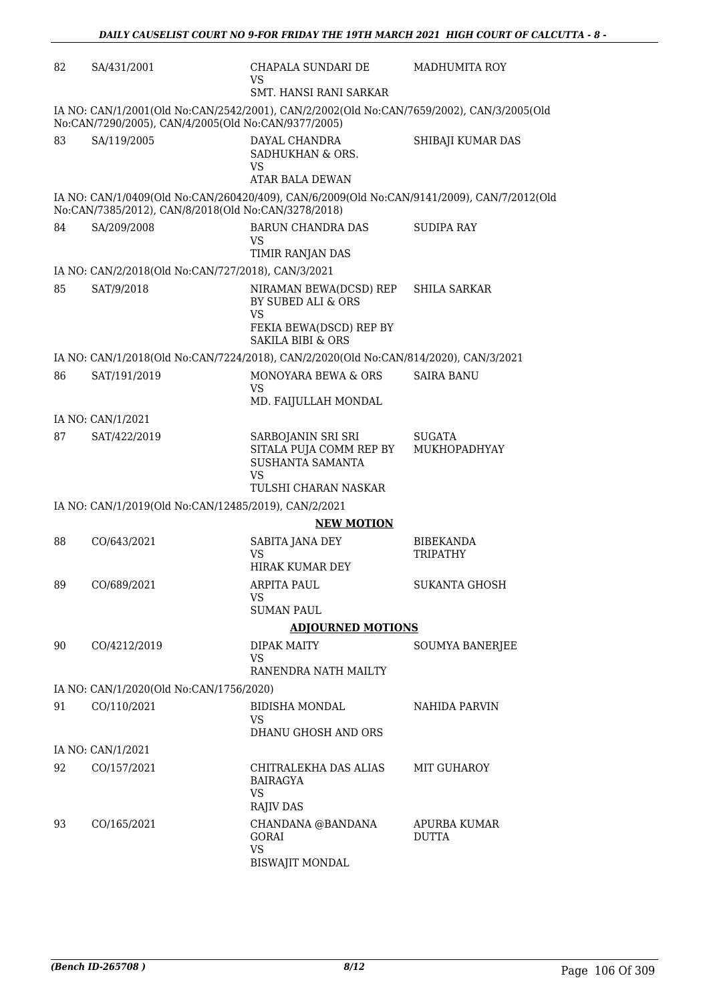| 82 | SA/431/2001                                                                                                                                      | CHAPALA SUNDARI DE<br><b>VS</b><br>SMT. HANSI RANI SARKAR                                                            | <b>MADHUMITA ROY</b>         |  |  |  |
|----|--------------------------------------------------------------------------------------------------------------------------------------------------|----------------------------------------------------------------------------------------------------------------------|------------------------------|--|--|--|
|    | IA NO: CAN/1/2001(Old No:CAN/2542/2001), CAN/2/2002(Old No:CAN/7659/2002), CAN/3/2005(Old<br>No:CAN/7290/2005), CAN/4/2005(Old No:CAN/9377/2005) |                                                                                                                      |                              |  |  |  |
| 83 | SA/119/2005                                                                                                                                      | DAYAL CHANDRA<br>SADHUKHAN & ORS.<br>VS<br><b>ATAR BALA DEWAN</b>                                                    | SHIBAJI KUMAR DAS            |  |  |  |
|    | No:CAN/7385/2012), CAN/8/2018(Old No:CAN/3278/2018)                                                                                              | IA NO: CAN/1/0409(Old No:CAN/260420/409), CAN/6/2009(Old No:CAN/9141/2009), CAN/7/2012(Old                           |                              |  |  |  |
| 84 | SA/209/2008                                                                                                                                      | BARUN CHANDRA DAS<br><b>VS</b>                                                                                       | <b>SUDIPA RAY</b>            |  |  |  |
|    |                                                                                                                                                  | TIMIR RANJAN DAS                                                                                                     |                              |  |  |  |
|    | IA NO: CAN/2/2018(Old No:CAN/727/2018), CAN/3/2021                                                                                               |                                                                                                                      |                              |  |  |  |
| 85 | SAT/9/2018                                                                                                                                       | NIRAMAN BEWA(DCSD) REP<br>BY SUBED ALI & ORS<br><b>VS</b><br>FEKIA BEWA(DSCD) REP BY<br><b>SAKILA BIBI &amp; ORS</b> | <b>SHILA SARKAR</b>          |  |  |  |
|    |                                                                                                                                                  | IA NO: CAN/1/2018(Old No:CAN/7224/2018), CAN/2/2020(Old No:CAN/814/2020), CAN/3/2021                                 |                              |  |  |  |
| 86 | SAT/191/2019                                                                                                                                     | MONOYARA BEWA & ORS                                                                                                  | <b>SAIRA BANU</b>            |  |  |  |
|    |                                                                                                                                                  | VS.<br>MD. FAIJULLAH MONDAL                                                                                          |                              |  |  |  |
|    | IA NO: CAN/1/2021                                                                                                                                |                                                                                                                      |                              |  |  |  |
| 87 | SAT/422/2019                                                                                                                                     | SARBOJANIN SRI SRI<br>SITALA PUJA COMM REP BY<br>SUSHANTA SAMANTA<br><b>VS</b><br>TULSHI CHARAN NASKAR               | SUGATA<br>MUKHOPADHYAY       |  |  |  |
|    | IA NO: CAN/1/2019(Old No:CAN/12485/2019), CAN/2/2021                                                                                             |                                                                                                                      |                              |  |  |  |
|    | <b>NEW MOTION</b>                                                                                                                                |                                                                                                                      |                              |  |  |  |
| 88 | CO/643/2021                                                                                                                                      | SABITA JANA DEY<br><b>VS</b><br>HIRAK KUMAR DEY                                                                      | <b>BIBEKANDA</b><br>TRIPATHY |  |  |  |
| 89 | CO/689/2021                                                                                                                                      | <b>ARPITA PAUL</b><br><b>VS</b><br><b>SUMAN PAUL</b>                                                                 | <b>SUKANTA GHOSH</b>         |  |  |  |
|    |                                                                                                                                                  | <b>ADJOURNED MOTIONS</b>                                                                                             |                              |  |  |  |
| 90 | CO/4212/2019                                                                                                                                     | <b>DIPAK MAITY</b>                                                                                                   | SOUMYA BANERJEE              |  |  |  |
|    |                                                                                                                                                  | VS.<br>RANENDRA NATH MAILTY                                                                                          |                              |  |  |  |
|    | IA NO: CAN/1/2020(Old No:CAN/1756/2020)                                                                                                          |                                                                                                                      |                              |  |  |  |
| 91 | CO/110/2021                                                                                                                                      | BIDISHA MONDAL<br>VS.                                                                                                | NAHIDA PARVIN                |  |  |  |
|    |                                                                                                                                                  | DHANU GHOSH AND ORS                                                                                                  |                              |  |  |  |
| 92 | IA NO: CAN/1/2021                                                                                                                                | CHITRALEKHA DAS ALIAS                                                                                                | <b>MIT GUHAROY</b>           |  |  |  |
|    | CO/157/2021                                                                                                                                      | BAIRAGYA<br><b>VS</b><br><b>RAJIV DAS</b>                                                                            |                              |  |  |  |
| 93 | CO/165/2021                                                                                                                                      | CHANDANA @BANDANA<br><b>GORAI</b><br><b>VS</b><br>BISWAJIT MONDAL                                                    | APURBA KUMAR<br><b>DUTTA</b> |  |  |  |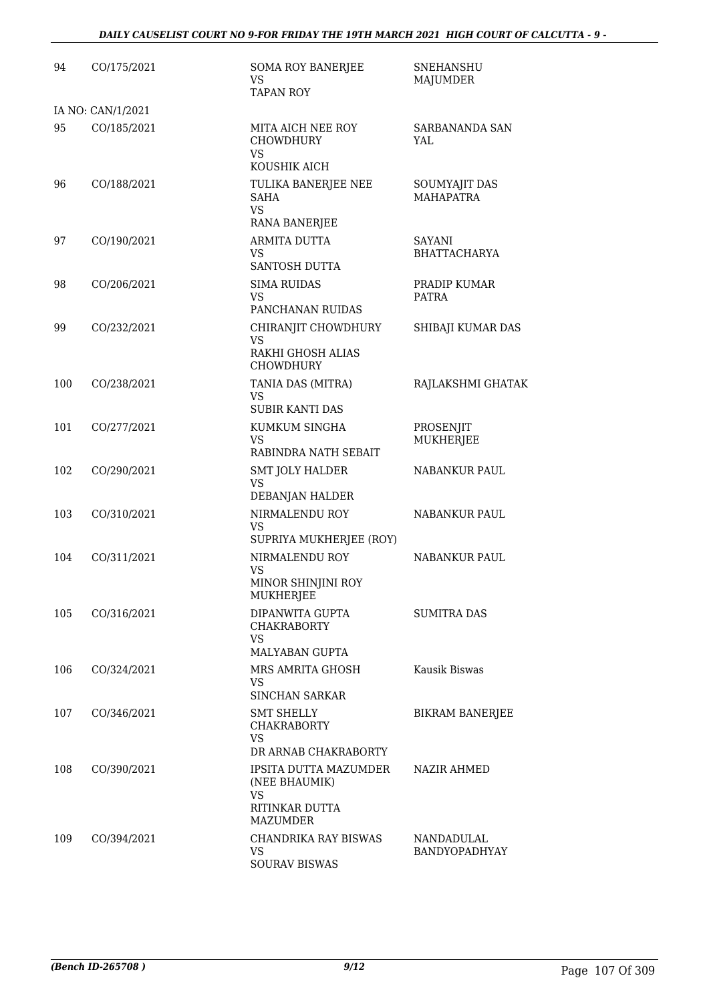| 94  | CO/175/2021       | <b>SOMA ROY BANERJEE</b><br>VS<br><b>TAPAN ROY</b>                                       | <b>SNEHANSHU</b><br><b>MAJUMDER</b>       |
|-----|-------------------|------------------------------------------------------------------------------------------|-------------------------------------------|
|     | IA NO: CAN/1/2021 |                                                                                          |                                           |
| 95  | CO/185/2021       | MITA AICH NEE ROY<br><b>CHOWDHURY</b><br><b>VS</b><br>KOUSHIK AICH                       | <b>SARBANANDA SAN</b><br>YAL              |
| 96  | CO/188/2021       | TULIKA BANERJEE NEE<br><b>SAHA</b><br><b>VS</b><br><b>RANA BANERJEE</b>                  | SOUMYAJIT DAS<br><b>MAHAPATRA</b>         |
| 97  | CO/190/2021       | ARMITA DUTTA<br><b>VS</b><br>SANTOSH DUTTA                                               | SAYANI<br><b>BHATTACHARYA</b>             |
| 98  | CO/206/2021       | <b>SIMA RUIDAS</b><br>VS<br>PANCHANAN RUIDAS                                             | PRADIP KUMAR<br><b>PATRA</b>              |
| 99  | CO/232/2021       | CHIRANJIT CHOWDHURY<br>VS<br>RAKHI GHOSH ALIAS<br><b>CHOWDHURY</b>                       | SHIBAJI KUMAR DAS                         |
| 100 | CO/238/2021       | TANIA DAS (MITRA)<br><b>VS</b><br><b>SUBIR KANTI DAS</b>                                 | RAJLAKSHMI GHATAK                         |
| 101 | CO/277/2021       | KUMKUM SINGHA<br>VS<br>RABINDRA NATH SEBAIT                                              | PROSENJIT<br>MUKHERJEE                    |
| 102 | CO/290/2021       | <b>SMT JOLY HALDER</b><br>VS<br>DEBANJAN HALDER                                          | NABANKUR PAUL                             |
| 103 | CO/310/2021       | NIRMALENDU ROY<br><b>VS</b><br>SUPRIYA MUKHERJEE (ROY)                                   | NABANKUR PAUL                             |
| 104 | CO/311/2021       | NIRMALENDU ROY<br><b>VS</b><br>MINOR SHINJINI ROY<br>MUKHERJEE                           | <b>NABANKUR PAUL</b>                      |
| 105 | CO/316/2021       | DIPANWITA GUPTA<br><b>CHAKRABORTY</b><br><b>VS</b><br><b>MALYABAN GUPTA</b>              | <b>SUMITRA DAS</b>                        |
| 106 | CO/324/2021       | MRS AMRITA GHOSH<br><b>VS</b><br><b>SINCHAN SARKAR</b>                                   | Kausik Biswas                             |
| 107 | CO/346/2021       | SMT SHELLY<br><b>CHAKRABORTY</b><br><b>VS</b><br>DR ARNAB CHAKRABORTY                    | <b>BIKRAM BANERJEE</b>                    |
| 108 | CO/390/2021       | IPSITA DUTTA MAZUMDER<br>(NEE BHAUMIK)<br><b>VS</b><br>RITINKAR DUTTA<br><b>MAZUMDER</b> | <b>NAZIR AHMED</b>                        |
| 109 | CO/394/2021       | <b>CHANDRIKA RAY BISWAS</b><br>VS<br><b>SOURAV BISWAS</b>                                | <b>NANDADULAL</b><br><b>BANDYOPADHYAY</b> |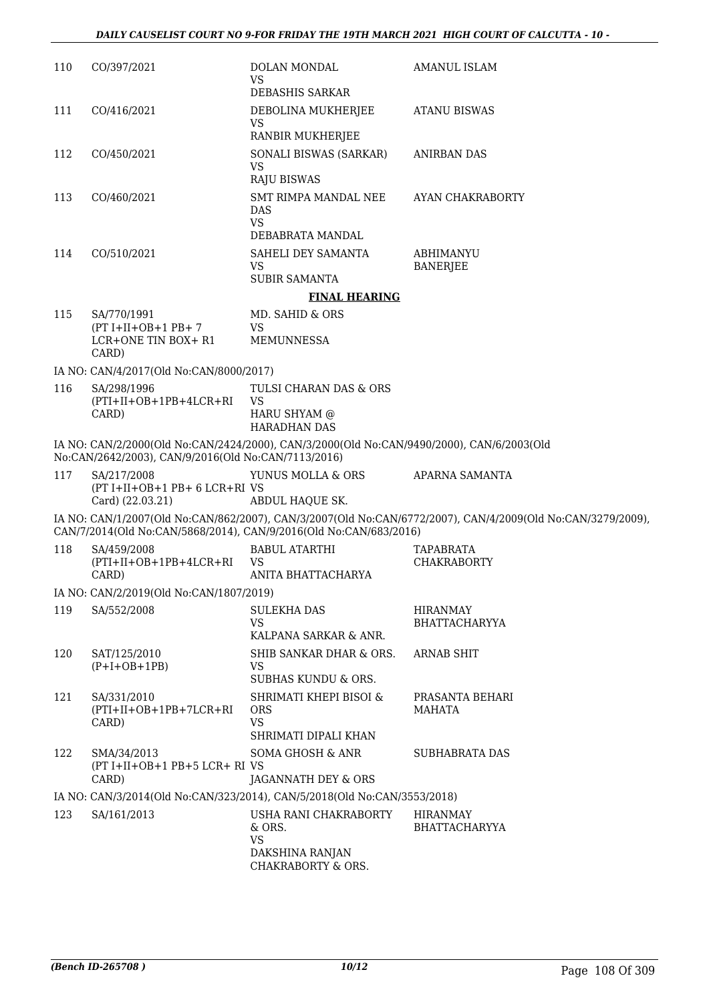| 110 | CO/397/2021                                                      | DOLAN MONDAL<br>VS.<br>DEBASHIS SARKAR                                                    | AMANUL ISLAM                                                                                                |
|-----|------------------------------------------------------------------|-------------------------------------------------------------------------------------------|-------------------------------------------------------------------------------------------------------------|
| 111 | CO/416/2021                                                      | DEBOLINA MUKHERJEE<br><b>VS</b><br>RANBIR MUKHERJEE                                       | <b>ATANU BISWAS</b>                                                                                         |
| 112 | CO/450/2021                                                      | SONALI BISWAS (SARKAR)<br>VS.<br><b>RAJU BISWAS</b>                                       | ANIRBAN DAS                                                                                                 |
| 113 | CO/460/2021                                                      | SMT RIMPA MANDAL NEE<br>DAS<br><b>VS</b>                                                  | AYAN CHAKRABORTY                                                                                            |
|     |                                                                  | DEBABRATA MANDAL                                                                          |                                                                                                             |
| 114 | CO/510/2021                                                      | SAHELI DEY SAMANTA<br>VS.<br><b>SUBIR SAMANTA</b>                                         | ABHIMANYU<br><b>BANERJEE</b>                                                                                |
|     |                                                                  | <b>FINAL HEARING</b>                                                                      |                                                                                                             |
| 115 | SA/770/1991                                                      | MD. SAHID & ORS                                                                           |                                                                                                             |
|     | $(PT I+II+OB+1 PB+ 7)$<br>LCR+ONE TIN BOX+ R1<br>CARD)           | VS.<br><b>MEMUNNESSA</b>                                                                  |                                                                                                             |
|     | IA NO: CAN/4/2017(Old No:CAN/8000/2017)                          |                                                                                           |                                                                                                             |
| 116 | SA/298/1996<br>$(PTI+II+OB+1PB+4LCR+RI)$<br>CARD)                | TULSI CHARAN DAS & ORS<br><b>VS</b><br>HARU SHYAM @<br><b>HARADHAN DAS</b>                |                                                                                                             |
|     | No:CAN/2642/2003), CAN/9/2016(Old No:CAN/7113/2016)              | IA NO: CAN/2/2000(Old No:CAN/2424/2000), CAN/3/2000(Old No:CAN/9490/2000), CAN/6/2003(Old |                                                                                                             |
| 117 | SA/217/2008<br>(PT I+II+OB+1 PB+ 6 LCR+RI VS<br>Card) (22.03.21) | YUNUS MOLLA & ORS<br>ABDUL HAQUE SK.                                                      | APARNA SAMANTA                                                                                              |
|     |                                                                  | CAN/7/2014(Old No:CAN/5868/2014), CAN/9/2016(Old No:CAN/683/2016)                         | IA NO: CAN/1/2007(Old No:CAN/862/2007), CAN/3/2007(Old No:CAN/6772/2007), CAN/4/2009(Old No:CAN/3279/2009), |
| 118 | SA/459/2008<br>$(PTI+II+OB+1PB+4LCR+RI)$<br>CARD)                | <b>BABUL ATARTHI</b><br><b>VS</b><br>ANITA BHATTACHARYA                                   | TAPABRATA<br><b>CHAKRABORTY</b>                                                                             |
|     | IA NO: CAN/2/2019(Old No:CAN/1807/2019)                          |                                                                                           |                                                                                                             |
| 119 | SA/552/2008                                                      | <b>SULEKHA DAS</b><br><b>VS</b>                                                           | HIRANMAY<br><b>BHATTACHARYYA</b>                                                                            |
|     |                                                                  | KALPANA SARKAR & ANR.                                                                     |                                                                                                             |
| 120 | SAT/125/2010<br>$(P+I+OB+1PB)$                                   | SHIB SANKAR DHAR & ORS.<br><b>VS</b><br><b>SUBHAS KUNDU &amp; ORS.</b>                    | <b>ARNAB SHIT</b>                                                                                           |
| 121 | SA/331/2010<br>$(PTI+II+OB+1PB+7LCR+RI)$<br>CARD)                | SHRIMATI KHEPI BISOI &<br><b>ORS</b><br><b>VS</b><br>SHRIMATI DIPALI KHAN                 | PRASANTA BEHARI<br><b>MAHATA</b>                                                                            |
| 122 | SMA/34/2013<br>(PT I+II+OB+1 PB+5 LCR+ RI VS<br>CARD)            | <b>SOMA GHOSH &amp; ANR</b><br>JAGANNATH DEY & ORS                                        | SUBHABRATA DAS                                                                                              |
|     |                                                                  | IA NO: CAN/3/2014(Old No:CAN/323/2014), CAN/5/2018(Old No:CAN/3553/2018)                  |                                                                                                             |
| 123 | SA/161/2013                                                      | USHA RANI CHAKRABORTY<br>& ORS.<br>VS.                                                    | <b>HIRANMAY</b><br><b>BHATTACHARYYA</b>                                                                     |
|     |                                                                  | DAKSHINA RANJAN<br>CHAKRABORTY & ORS.                                                     |                                                                                                             |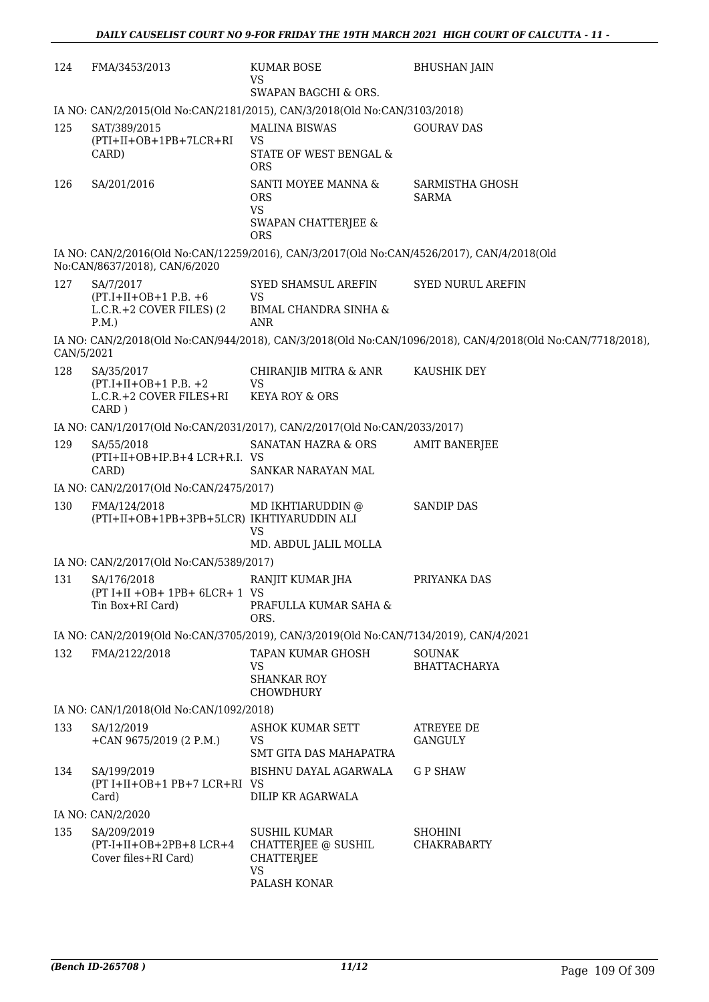| 124        | FMA/3453/2013                                                  | KUMAR BOSE<br>VS<br>SWAPAN BAGCHI & ORS.                                                   | <b>BHUSHAN JAIN</b>                                                                                         |
|------------|----------------------------------------------------------------|--------------------------------------------------------------------------------------------|-------------------------------------------------------------------------------------------------------------|
|            |                                                                | IA NO: CAN/2/2015(Old No:CAN/2181/2015), CAN/3/2018(Old No:CAN/3103/2018)                  |                                                                                                             |
| 125        | SAT/389/2015                                                   | <b>MALINA BISWAS</b>                                                                       | <b>GOURAV DAS</b>                                                                                           |
|            | $(PTI+II+OB+1PB+7LCR+RI)$                                      | <b>VS</b>                                                                                  |                                                                                                             |
|            | CARD)                                                          | STATE OF WEST BENGAL &<br><b>ORS</b>                                                       |                                                                                                             |
| 126        | SA/201/2016                                                    | SANTI MOYEE MANNA &                                                                        | SARMISTHA GHOSH                                                                                             |
|            |                                                                | <b>ORS</b><br><b>VS</b>                                                                    | <b>SARMA</b>                                                                                                |
|            |                                                                | SWAPAN CHATTERJEE &<br><b>ORS</b>                                                          |                                                                                                             |
|            | No:CAN/8637/2018), CAN/6/2020                                  | IA NO: CAN/2/2016(Old No:CAN/12259/2016), CAN/3/2017(Old No:CAN/4526/2017), CAN/4/2018(Old |                                                                                                             |
| 127        | SA/7/2017                                                      | SYED SHAMSUL AREFIN                                                                        | <b>SYED NURUL AREFIN</b>                                                                                    |
|            | $(PT.I+II+OB+1 P.B. +6)$<br>$L.C.R.+2 COVER FILES$ (2)<br>P.M. | <b>VS</b><br>BIMAL CHANDRA SINHA &<br><b>ANR</b>                                           |                                                                                                             |
| CAN/5/2021 |                                                                |                                                                                            | IA NO: CAN/2/2018(Old No:CAN/944/2018), CAN/3/2018(Old No:CAN/1096/2018), CAN/4/2018(Old No:CAN/7718/2018), |
| 128        | SA/35/2017                                                     | CHIRANJIB MITRA & ANR                                                                      | KAUSHIK DEY                                                                                                 |
|            | $(PT.I+II+OB+1 P.B. +2)$<br>L.C.R.+2 COVER FILES+RI            | <b>VS</b><br><b>KEYA ROY &amp; ORS</b>                                                     |                                                                                                             |
|            | CARD)                                                          |                                                                                            |                                                                                                             |
|            |                                                                | IA NO: CAN/1/2017(Old No:CAN/2031/2017), CAN/2/2017(Old No:CAN/2033/2017)                  |                                                                                                             |
| 129        | SA/55/2018                                                     | SANATAN HAZRA & ORS                                                                        | <b>AMIT BANERJEE</b>                                                                                        |
|            | (PTI+II+OB+IP.B+4 LCR+R.I. VS<br>CARD)                         | SANKAR NARAYAN MAL                                                                         |                                                                                                             |
|            | IA NO: CAN/2/2017(Old No:CAN/2475/2017)                        |                                                                                            |                                                                                                             |
| 130        | FMA/124/2018<br>(PTI+II+OB+1PB+3PB+5LCR) IKHTIYARUDDIN ALI     | MD IKHTIARUDDIN @<br><b>VS</b>                                                             | <b>SANDIP DAS</b>                                                                                           |
|            |                                                                | MD. ABDUL JALIL MOLLA                                                                      |                                                                                                             |
|            | IA NO: CAN/2/2017(Old No:CAN/5389/2017)                        |                                                                                            |                                                                                                             |
| 131        | SA/176/2018<br>$(PT I+II +OB+ 1PB+ 6LCR+ 1 VS$                 | RANJIT KUMAR JHA                                                                           | PRIYANKA DAS                                                                                                |
|            | Tin Box+RI Card)                                               | PRAFULLA KUMAR SAHA &<br>ORS.                                                              |                                                                                                             |
|            |                                                                | IA NO: CAN/2/2019(Old No:CAN/3705/2019), CAN/3/2019(Old No:CAN/7134/2019), CAN/4/2021      |                                                                                                             |
| 132        | FMA/2122/2018                                                  | TAPAN KUMAR GHOSH                                                                          | <b>SOUNAK</b>                                                                                               |
|            |                                                                | VS.<br><b>SHANKAR ROY</b><br>CHOWDHURY                                                     | <b>BHATTACHARYA</b>                                                                                         |
|            | IA NO: CAN/1/2018(Old No:CAN/1092/2018)                        |                                                                                            |                                                                                                             |
| 133        | SA/12/2019                                                     | ASHOK KUMAR SETT                                                                           | <b>ATREYEE DE</b>                                                                                           |
|            | +CAN $9675/2019$ (2 P.M.)                                      | <b>VS</b><br>SMT GITA DAS MAHAPATRA                                                        | GANGULY                                                                                                     |
| 134        | SA/199/2019<br>(PT I+II+OB+1 PB+7 LCR+RI VS<br>Card)           | BISHNU DAYAL AGARWALA<br>DILIP KR AGARWALA                                                 | <b>GP SHAW</b>                                                                                              |
|            | IA NO: CAN/2/2020                                              |                                                                                            |                                                                                                             |
| 135        | SA/209/2019                                                    | <b>SUSHIL KUMAR</b>                                                                        | <b>SHOHINI</b>                                                                                              |
|            | $(PT-I+II+OB+2PB+8 LCR+4)$<br>Cover files+RI Card)             | CHATTERJEE @ SUSHIL<br><b>CHATTERJEE</b><br><b>VS</b>                                      | <b>CHAKRABARTY</b>                                                                                          |
|            |                                                                | PALASH KONAR                                                                               |                                                                                                             |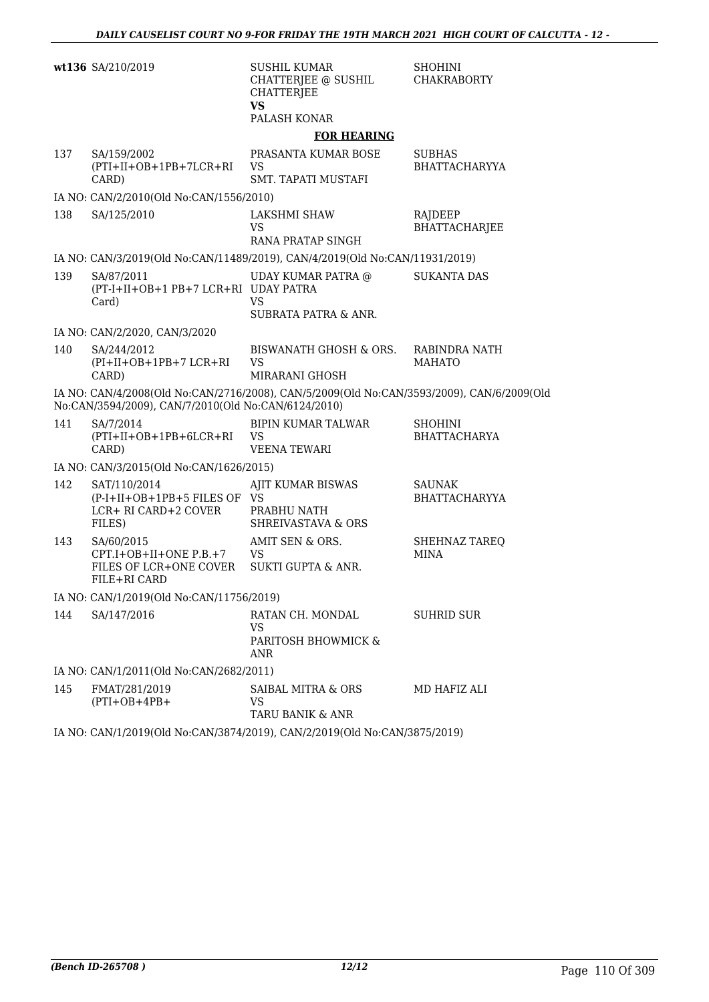|     | wt136 SA/210/2019                                                                | SUSHIL KUMAR<br>CHATTERJEE @ SUSHIL<br><b>CHATTERJEE</b><br><b>VS</b><br>PALASH KONAR     | <b>SHOHINI</b><br><b>CHAKRABORTY</b>  |
|-----|----------------------------------------------------------------------------------|-------------------------------------------------------------------------------------------|---------------------------------------|
|     |                                                                                  | <b>FOR HEARING</b>                                                                        |                                       |
| 137 | SA/159/2002<br>(PTI+II+OB+1PB+7LCR+RI<br>CARD)                                   | PRASANTA KUMAR BOSE<br>VS<br>SMT. TAPATI MUSTAFI                                          | <b>SUBHAS</b><br><b>BHATTACHARYYA</b> |
|     | IA NO: CAN/2/2010(Old No:CAN/1556/2010)                                          |                                                                                           |                                       |
| 138 | SA/125/2010                                                                      | LAKSHMI SHAW<br>VS<br>RANA PRATAP SINGH                                                   | RAJDEEP<br><b>BHATTACHARJEE</b>       |
|     |                                                                                  | IA NO: CAN/3/2019(Old No:CAN/11489/2019), CAN/4/2019(Old No:CAN/11931/2019)               |                                       |
| 139 | SA/87/2011<br>(PT-I+II+OB+1 PB+7 LCR+RI UDAY PATRA<br>Card)                      | UDAY KUMAR PATRA @<br>VS.<br><b>SUBRATA PATRA &amp; ANR.</b>                              | SUKANTA DAS                           |
|     | IA NO: CAN/2/2020, CAN/3/2020                                                    |                                                                                           |                                       |
| 140 | SA/244/2012<br>$(PI+II+OB+1PB+7 LCR+RI)$<br>CARD)                                | BISWANATH GHOSH & ORS.<br>VS<br>MIRARANI GHOSH                                            | RABINDRA NATH<br><b>MAHATO</b>        |
|     | No:CAN/3594/2009), CAN/7/2010(Old No:CAN/6124/2010)                              | IA NO: CAN/4/2008(Old No:CAN/2716/2008), CAN/5/2009(Old No:CAN/3593/2009), CAN/6/2009(Old |                                       |
| 141 | SA/7/2014<br>(PTI+II+OB+1PB+6LCR+RI<br>CARD)                                     | BIPIN KUMAR TALWAR<br>VS<br><b>VEENA TEWARI</b>                                           | <b>SHOHINI</b><br><b>BHATTACHARYA</b> |
|     | IA NO: CAN/3/2015(Old No:CAN/1626/2015)                                          |                                                                                           |                                       |
| 142 | SAT/110/2014<br>(P-I+II+OB+1PB+5 FILES OF VS<br>LCR+ RI CARD+2 COVER<br>FILES)   | AJIT KUMAR BISWAS<br>PRABHU NATH<br><b>SHREIVASTAVA &amp; ORS</b>                         | <b>SAUNAK</b><br><b>BHATTACHARYYA</b> |
| 143 | SA/60/2015<br>$CPT.I+OB+II+ONE P.B.+7$<br>FILES OF LCR+ONE COVER<br>FILE+RI CARD | AMIT SEN & ORS.<br><b>VS</b><br>SUKTI GUPTA & ANR.                                        | <b>SHEHNAZ TAREQ</b><br><b>MINA</b>   |
|     | IA NO: CAN/1/2019(Old No:CAN/11756/2019)                                         |                                                                                           |                                       |
| 144 | SA/147/2016                                                                      | RATAN CH. MONDAL<br>VS<br>PARITOSH BHOWMICK &<br>ANR                                      | <b>SUHRID SUR</b>                     |
|     | IA NO: CAN/1/2011(Old No:CAN/2682/2011)                                          |                                                                                           |                                       |
| 145 | FMAT/281/2019<br>$(PTI+OB+4PB+$                                                  | SAIBAL MITRA & ORS<br>VS<br><b>TARU BANIK &amp; ANR</b>                                   | MD HAFIZ ALI                          |
|     |                                                                                  | IA NO: CAN/1/2019(Old No:CAN/3874/2019), CAN/2/2019(Old No:CAN/3875/2019)                 |                                       |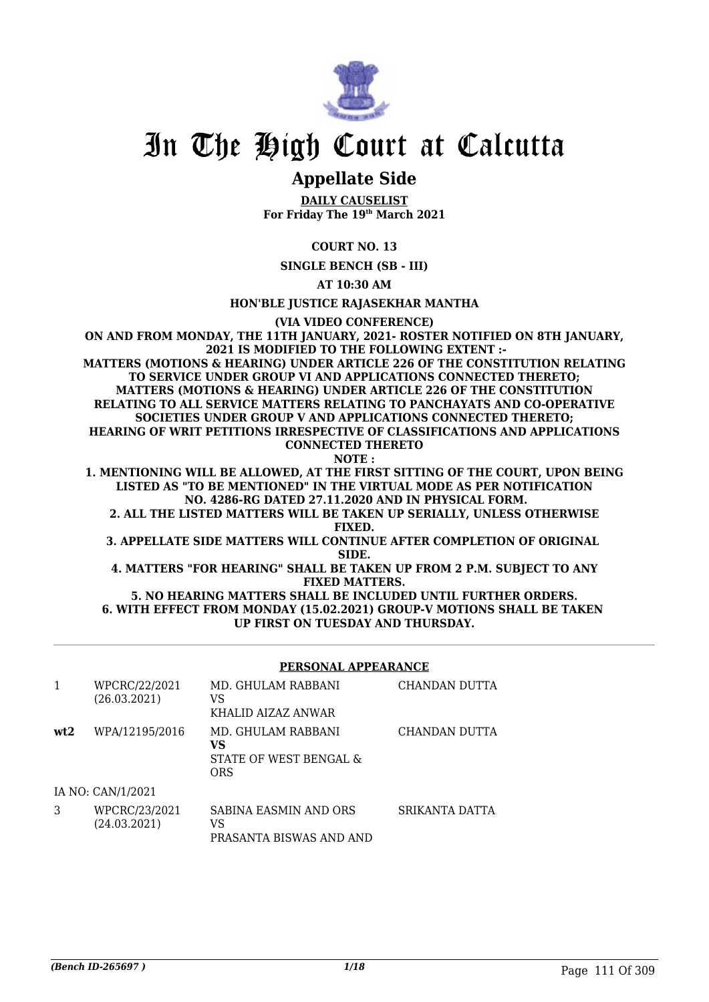

## In The High Court at Calcutta

### **Appellate Side**

**DAILY CAUSELIST For Friday The 19th March 2021**

**COURT NO. 13**

**SINGLE BENCH (SB - III)**

**AT 10:30 AM**

**HON'BLE JUSTICE RAJASEKHAR MANTHA**

**(VIA VIDEO CONFERENCE)**

**ON AND FROM MONDAY, THE 11TH JANUARY, 2021- ROSTER NOTIFIED ON 8TH JANUARY, 2021 IS MODIFIED TO THE FOLLOWING EXTENT :-**

**MATTERS (MOTIONS & HEARING) UNDER ARTICLE 226 OF THE CONSTITUTION RELATING TO SERVICE UNDER GROUP VI AND APPLICATIONS CONNECTED THERETO; MATTERS (MOTIONS & HEARING) UNDER ARTICLE 226 OF THE CONSTITUTION RELATING TO ALL SERVICE MATTERS RELATING TO PANCHAYATS AND CO-OPERATIVE SOCIETIES UNDER GROUP V AND APPLICATIONS CONNECTED THERETO; HEARING OF WRIT PETITIONS IRRESPECTIVE OF CLASSIFICATIONS AND APPLICATIONS CONNECTED THERETO NOTE :**

**1. MENTIONING WILL BE ALLOWED, AT THE FIRST SITTING OF THE COURT, UPON BEING LISTED AS "TO BE MENTIONED" IN THE VIRTUAL MODE AS PER NOTIFICATION NO. 4286-RG DATED 27.11.2020 AND IN PHYSICAL FORM.**

**2. ALL THE LISTED MATTERS WILL BE TAKEN UP SERIALLY, UNLESS OTHERWISE FIXED.**

**3. APPELLATE SIDE MATTERS WILL CONTINUE AFTER COMPLETION OF ORIGINAL SIDE.**

**4. MATTERS "FOR HEARING" SHALL BE TAKEN UP FROM 2 P.M. SUBJECT TO ANY FIXED MATTERS.**

**5. NO HEARING MATTERS SHALL BE INCLUDED UNTIL FURTHER ORDERS. 6. WITH EFFECT FROM MONDAY (15.02.2021) GROUP-V MOTIONS SHALL BE TAKEN UP FIRST ON TUESDAY AND THURSDAY.**

#### **PERSONAL APPEARANCE**

| 1   | WPCRC/22/2021<br>(26.03.2021) | MD. GHULAM RABBANI<br>VS<br>KHALID AIZAZ ANWAR            | CHANDAN DUTTA  |
|-----|-------------------------------|-----------------------------------------------------------|----------------|
| wt2 | WPA/12195/2016                | MD. GHULAM RABBANI<br>VS<br>STATE OF WEST BENGAL &<br>ORS | CHANDAN DUTTA  |
|     | IA NO: CAN/1/2021             |                                                           |                |
| 3   | WPCRC/23/2021<br>(24.03.2021) | SABINA EASMIN AND ORS<br>VS<br>PRASANTA BISWAS AND AND    | SRIKANTA DATTA |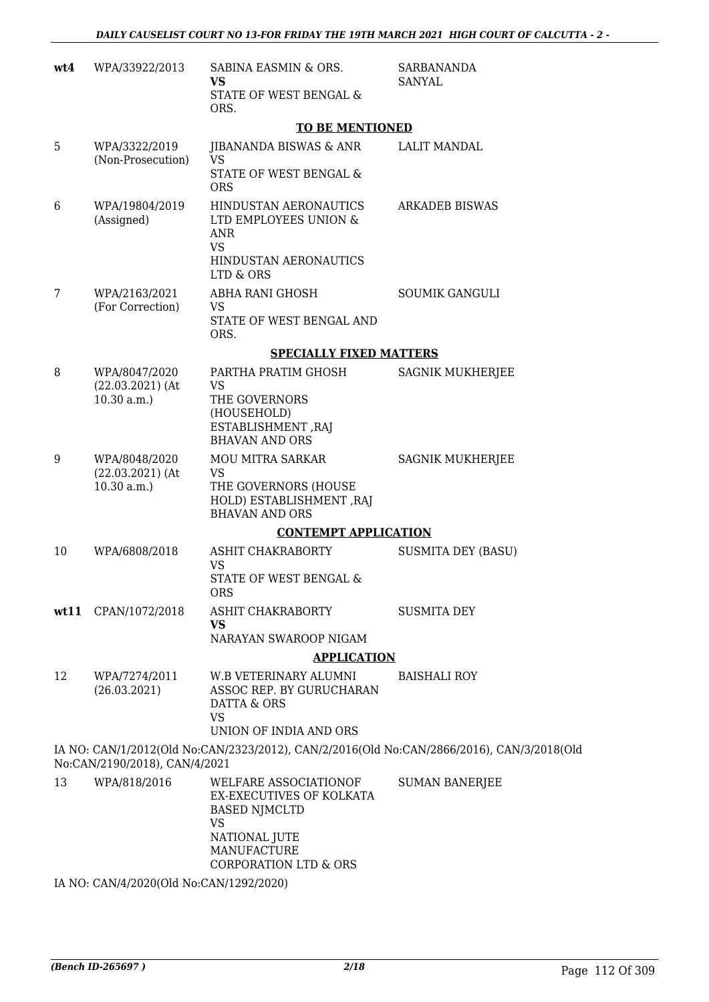| wt4 | WPA/33922/2013                                    | SABINA EASMIN & ORS.<br>VS<br>STATE OF WEST BENGAL &                                 | <b>SARBANANDA</b><br><b>SANYAL</b>                                                        |
|-----|---------------------------------------------------|--------------------------------------------------------------------------------------|-------------------------------------------------------------------------------------------|
|     |                                                   | ORS.                                                                                 |                                                                                           |
|     |                                                   | <b>TO BE MENTIONED</b>                                                               |                                                                                           |
| 5   | WPA/3322/2019<br>(Non-Prosecution)                | JIBANANDA BISWAS & ANR<br>VS<br>STATE OF WEST BENGAL &                               | <b>LALIT MANDAL</b>                                                                       |
|     |                                                   | <b>ORS</b>                                                                           |                                                                                           |
| 6   | WPA/19804/2019<br>(Assigned)                      | HINDUSTAN AERONAUTICS<br>LTD EMPLOYEES UNION &<br><b>ANR</b><br><b>VS</b>            | <b>ARKADEB BISWAS</b>                                                                     |
|     |                                                   | HINDUSTAN AERONAUTICS<br>LTD & ORS                                                   |                                                                                           |
| 7   | WPA/2163/2021<br>(For Correction)                 | ABHA RANI GHOSH<br><b>VS</b>                                                         | <b>SOUMIK GANGULI</b>                                                                     |
|     |                                                   | STATE OF WEST BENGAL AND<br>ORS.                                                     |                                                                                           |
|     |                                                   | <b>SPECIALLY FIXED MATTERS</b>                                                       |                                                                                           |
| 8   | WPA/8047/2020<br>$(22.03.2021)$ (At               | PARTHA PRATIM GHOSH<br>VS                                                            | SAGNIK MUKHERJEE                                                                          |
|     | 10.30 a.m.                                        | THE GOVERNORS<br>(HOUSEHOLD)<br>ESTABLISHMENT, RAJ                                   |                                                                                           |
|     |                                                   | <b>BHAVAN AND ORS</b>                                                                |                                                                                           |
| 9   | WPA/8048/2020<br>$(22.03.2021)$ (At<br>10.30 a.m. | MOU MITRA SARKAR<br>VS<br>THE GOVERNORS (HOUSE                                       | SAGNIK MUKHERJEE                                                                          |
|     |                                                   | HOLD) ESTABLISHMENT, RAJ<br><b>BHAVAN AND ORS</b>                                    |                                                                                           |
|     |                                                   | <b>CONTEMPT APPLICATION</b>                                                          |                                                                                           |
| 10  | WPA/6808/2018                                     | ASHIT CHAKRABORTY<br>VS.                                                             | <b>SUSMITA DEY (BASU)</b>                                                                 |
|     |                                                   | STATE OF WEST BENGAL &<br><b>ORS</b>                                                 |                                                                                           |
|     | wt11 CPAN/1072/2018                               | ASHIT CHAKRABORTY<br><b>VS</b>                                                       | <b>SUSMITA DEY</b>                                                                        |
|     |                                                   | NARAYAN SWAROOP NIGAM                                                                |                                                                                           |
|     |                                                   | <b>APPLICATION</b>                                                                   |                                                                                           |
| 12  | WPA/7274/2011<br>(26.03.2021)                     | W.B VETERINARY ALUMNI<br>ASSOC REP. BY GURUCHARAN<br>DATTA & ORS<br>VS               | <b>BAISHALI ROY</b>                                                                       |
|     |                                                   | UNION OF INDIA AND ORS                                                               |                                                                                           |
|     | No:CAN/2190/2018), CAN/4/2021                     |                                                                                      | IA NO: CAN/1/2012(Old No:CAN/2323/2012), CAN/2/2016(Old No:CAN/2866/2016), CAN/3/2018(Old |
| 13  | WPA/818/2016                                      | WELFARE ASSOCIATIONOF<br>EX-EXECUTIVES OF KOLKATA<br><b>BASED NJMCLTD</b>            | <b>SUMAN BANERJEE</b>                                                                     |
|     |                                                   | <b>VS</b><br>NATIONAL JUTE<br><b>MANUFACTURE</b><br><b>CORPORATION LTD &amp; ORS</b> |                                                                                           |

IA NO: CAN/4/2020(Old No:CAN/1292/2020)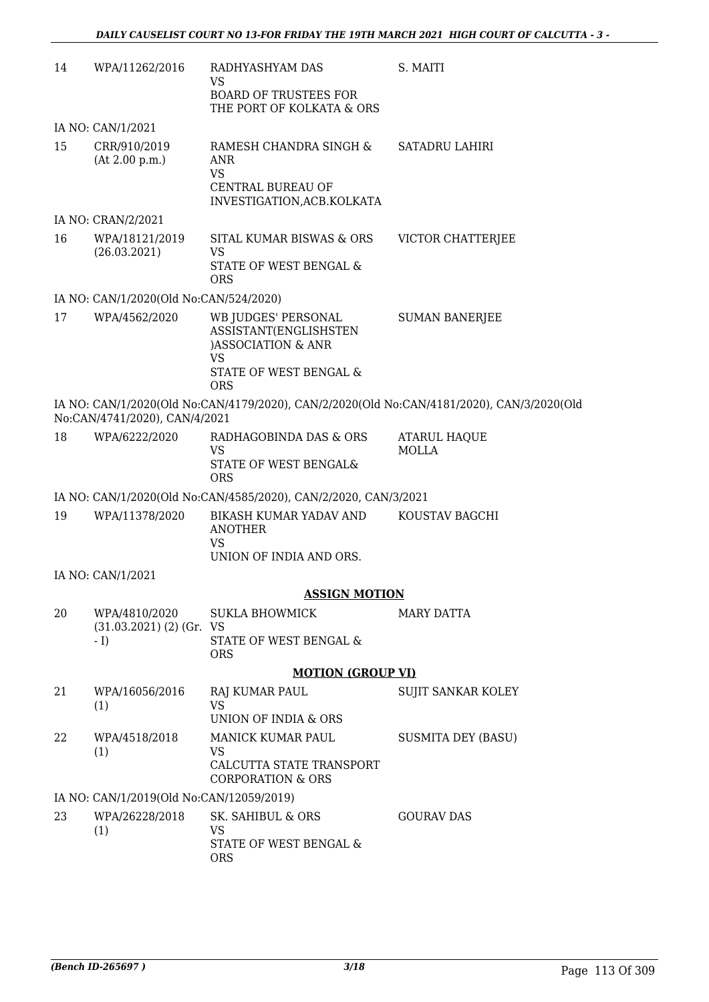| 14 | WPA/11262/2016                                           | RADHYASHYAM DAS<br>VS<br><b>BOARD OF TRUSTEES FOR</b><br>THE PORT OF KOLKATA & ORS                    | S. MAITI                                                                                  |
|----|----------------------------------------------------------|-------------------------------------------------------------------------------------------------------|-------------------------------------------------------------------------------------------|
|    | IA NO: CAN/1/2021                                        |                                                                                                       |                                                                                           |
| 15 | CRR/910/2019<br>(At 2.00 p.m.)                           | RAMESH CHANDRA SINGH &<br>ANR<br><b>VS</b><br><b>CENTRAL BUREAU OF</b><br>INVESTIGATION, ACB. KOLKATA | SATADRU LAHIRI                                                                            |
|    | IA NO: CRAN/2/2021                                       |                                                                                                       |                                                                                           |
| 16 | WPA/18121/2019<br>(26.03.2021)                           | SITAL KUMAR BISWAS & ORS<br><b>VS</b><br>STATE OF WEST BENGAL &<br><b>ORS</b>                         | VICTOR CHATTERJEE                                                                         |
|    | IA NO: CAN/1/2020(Old No:CAN/524/2020)                   |                                                                                                       |                                                                                           |
| 17 | WPA/4562/2020                                            | WB JUDGES' PERSONAL<br>ASSISTANT(ENGLISHSTEN<br>)ASSOCIATION & ANR<br>VS                              | <b>SUMAN BANERJEE</b>                                                                     |
|    |                                                          | STATE OF WEST BENGAL &<br><b>ORS</b>                                                                  |                                                                                           |
|    | No:CAN/4741/2020), CAN/4/2021                            |                                                                                                       | IA NO: CAN/1/2020(Old No:CAN/4179/2020), CAN/2/2020(Old No:CAN/4181/2020), CAN/3/2020(Old |
| 18 | WPA/6222/2020                                            | RADHAGOBINDA DAS & ORS<br><b>VS</b><br>STATE OF WEST BENGAL&<br><b>ORS</b>                            | <b>ATARUL HAQUE</b><br>MOLLA                                                              |
|    |                                                          | IA NO: CAN/1/2020(Old No:CAN/4585/2020), CAN/2/2020, CAN/3/2021                                       |                                                                                           |
| 19 | WPA/11378/2020                                           | BIKASH KUMAR YADAV AND<br><b>ANOTHER</b><br><b>VS</b>                                                 | KOUSTAV BAGCHI                                                                            |
|    |                                                          | UNION OF INDIA AND ORS.                                                                               |                                                                                           |
|    | IA NO: CAN/1/2021                                        |                                                                                                       |                                                                                           |
|    |                                                          | <b>ASSIGN MOTION</b>                                                                                  |                                                                                           |
| 20 | WPA/4810/2020<br>$(31.03.2021)$ $(2)$ $(Gr. VS)$<br>$-1$ | <b>SUKLA BHOWMICK</b><br>STATE OF WEST BENGAL &                                                       | <b>MARY DATTA</b>                                                                         |
|    |                                                          | <b>ORS</b>                                                                                            |                                                                                           |
|    |                                                          | <b>MOTION (GROUP VI)</b>                                                                              |                                                                                           |
| 21 | WPA/16056/2016<br>(1)                                    | <b>RAJ KUMAR PAUL</b><br><b>VS</b><br>UNION OF INDIA & ORS                                            | SUJIT SANKAR KOLEY                                                                        |
| 22 | WPA/4518/2018<br>(1)                                     | MANICK KUMAR PAUL<br>VS.<br>CALCUTTA STATE TRANSPORT<br><b>CORPORATION &amp; ORS</b>                  | <b>SUSMITA DEY (BASU)</b>                                                                 |
|    | IA NO: CAN/1/2019(Old No:CAN/12059/2019)                 |                                                                                                       |                                                                                           |
| 23 | WPA/26228/2018<br>(1)                                    | SK. SAHIBUL & ORS<br>VS.                                                                              | <b>GOURAV DAS</b>                                                                         |
|    |                                                          | STATE OF WEST BENGAL &<br><b>ORS</b>                                                                  |                                                                                           |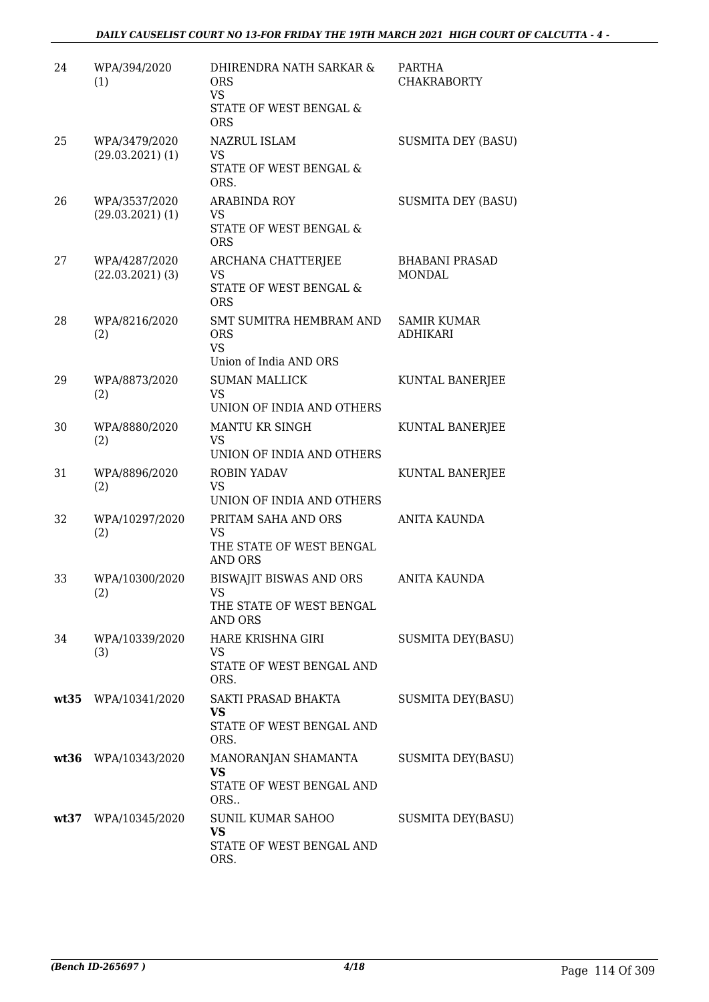| 24 | WPA/394/2020<br>(1)                 | DHIRENDRA NATH SARKAR &<br><b>ORS</b><br><b>VS</b><br>STATE OF WEST BENGAL &<br><b>ORS</b>   | <b>PARTHA</b><br><b>CHAKRABORTY</b>    |
|----|-------------------------------------|----------------------------------------------------------------------------------------------|----------------------------------------|
| 25 | WPA/3479/2020<br>$(29.03.2021)$ (1) | NAZRUL ISLAM<br><b>VS</b><br>STATE OF WEST BENGAL &<br>ORS.                                  | <b>SUSMITA DEY (BASU)</b>              |
| 26 | WPA/3537/2020<br>$(29.03.2021)$ (1) | <b>ARABINDA ROY</b><br><b>VS</b><br>STATE OF WEST BENGAL &<br><b>ORS</b>                     | <b>SUSMITA DEY (BASU)</b>              |
| 27 | WPA/4287/2020<br>$(22.03.2021)$ (3) | ARCHANA CHATTERJEE<br><b>VS</b><br>STATE OF WEST BENGAL &<br><b>ORS</b>                      | <b>BHABANI PRASAD</b><br><b>MONDAL</b> |
| 28 | WPA/8216/2020<br>(2)                | SMT SUMITRA HEMBRAM AND<br><b>ORS</b><br><b>VS</b><br>Union of India AND ORS                 | <b>SAMIR KUMAR</b><br>ADHIKARI         |
| 29 | WPA/8873/2020<br>(2)                | <b>SUMAN MALLICK</b><br><b>VS</b><br>UNION OF INDIA AND OTHERS                               | KUNTAL BANERJEE                        |
| 30 | WPA/8880/2020<br>(2)                | MANTU KR SINGH<br><b>VS</b><br>UNION OF INDIA AND OTHERS                                     | KUNTAL BANERJEE                        |
| 31 | WPA/8896/2020<br>(2)                | <b>ROBIN YADAV</b><br><b>VS</b><br>UNION OF INDIA AND OTHERS                                 | KUNTAL BANERJEE                        |
| 32 | WPA/10297/2020<br>(2)               | PRITAM SAHA AND ORS<br><b>VS</b><br>THE STATE OF WEST BENGAL<br><b>AND ORS</b>               | ANITA KAUNDA                           |
| 33 | WPA/10300/2020<br>(2)               | <b>BISWAJIT BISWAS AND ORS</b><br>VS FOR THE VIOLENCE<br>THE STATE OF WEST BENGAL<br>AND ORS | <b>ANITA KAUNDA</b>                    |
| 34 | WPA/10339/2020<br>(3)               | HARE KRISHNA GIRI<br><b>VS</b><br>STATE OF WEST BENGAL AND<br>ORS.                           | <b>SUSMITA DEY(BASU)</b>               |
|    | wt35 WPA/10341/2020                 | SAKTI PRASAD BHAKTA<br><b>VS</b><br>STATE OF WEST BENGAL AND<br>ORS.                         | <b>SUSMITA DEY(BASU)</b>               |
|    | wt36 WPA/10343/2020                 | MANORANJAN SHAMANTA<br><b>VS</b><br>STATE OF WEST BENGAL AND<br>ORS                          | <b>SUSMITA DEY(BASU)</b>               |
|    | wt37 WPA/10345/2020                 | SUNIL KUMAR SAHOO<br><b>VS</b><br>STATE OF WEST BENGAL AND<br>ORS.                           | <b>SUSMITA DEY(BASU)</b>               |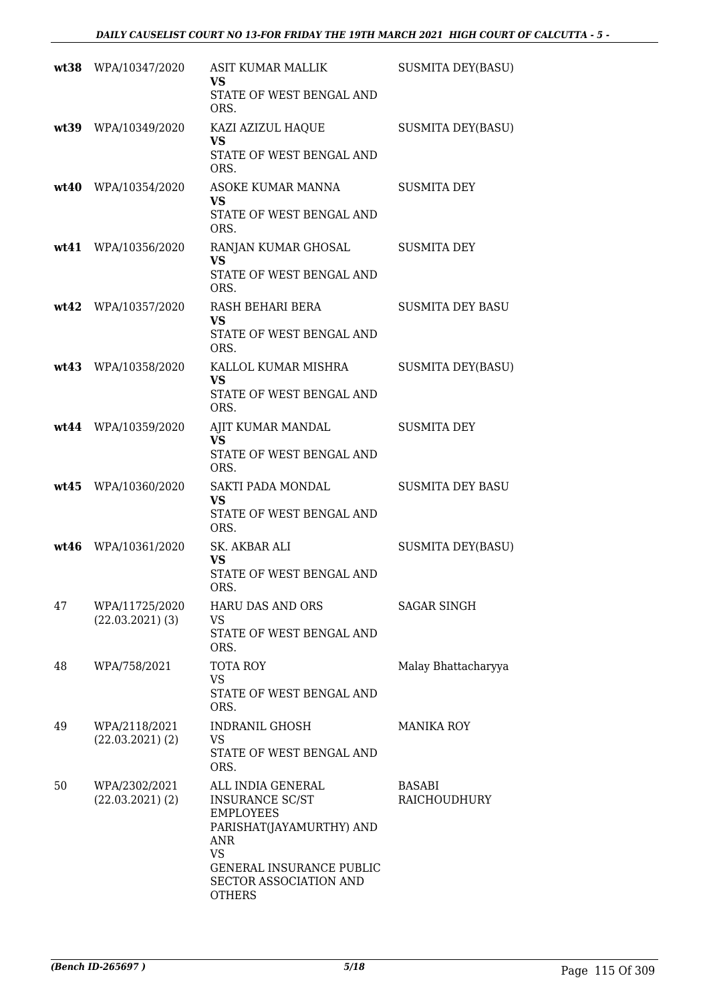|      | wt38 WPA/10347/2020                   | <b>ASIT KUMAR MALLIK</b><br><b>VS</b><br>STATE OF WEST BENGAL AND<br>ORS.                                                                                                              | <b>SUSMITA DEY(BASU)</b> |
|------|---------------------------------------|----------------------------------------------------------------------------------------------------------------------------------------------------------------------------------------|--------------------------|
|      | wt39 WPA/10349/2020                   | KAZI AZIZUL HAQUE<br><b>VS</b><br>STATE OF WEST BENGAL AND<br>ORS.                                                                                                                     | <b>SUSMITA DEY(BASU)</b> |
|      | wt40 WPA/10354/2020                   | ASOKE KUMAR MANNA<br><b>VS</b><br>STATE OF WEST BENGAL AND<br>ORS.                                                                                                                     | <b>SUSMITA DEY</b>       |
| wt41 | WPA/10356/2020                        | RANJAN KUMAR GHOSAL<br><b>VS</b><br>STATE OF WEST BENGAL AND<br>ORS.                                                                                                                   | <b>SUSMITA DEY</b>       |
|      | wt42 WPA/10357/2020                   | RASH BEHARI BERA<br><b>VS</b><br>STATE OF WEST BENGAL AND<br>ORS.                                                                                                                      | <b>SUSMITA DEY BASU</b>  |
|      | wt43 WPA/10358/2020                   | KALLOL KUMAR MISHRA<br><b>VS</b><br>STATE OF WEST BENGAL AND<br>ORS.                                                                                                                   | <b>SUSMITA DEY(BASU)</b> |
|      | wt44 WPA/10359/2020                   | AJIT KUMAR MANDAL<br><b>VS</b><br>STATE OF WEST BENGAL AND<br>ORS.                                                                                                                     | <b>SUSMITA DEY</b>       |
| wt45 | WPA/10360/2020                        | <b>SAKTI PADA MONDAL</b><br><b>VS</b><br>STATE OF WEST BENGAL AND<br>ORS.                                                                                                              | <b>SUSMITA DEY BASU</b>  |
|      | wt46 WPA/10361/2020                   | SK. AKBAR ALI<br><b>VS</b><br>STATE OF WEST BENGAL AND<br>ORS.                                                                                                                         | <b>SUSMITA DEY(BASU)</b> |
| 47   | WPA/11725/2020<br>$(22.03.2021)$ (3)  | <b>HARU DAS AND ORS</b><br>VS.<br>STATE OF WEST BENGAL AND<br>ORS.                                                                                                                     | <b>SAGAR SINGH</b>       |
| 48   | WPA/758/2021                          | <b>TOTA ROY</b><br><b>VS</b><br>STATE OF WEST BENGAL AND<br>ORS.                                                                                                                       | Malay Bhattacharyya      |
| 49   | WPA/2118/2021<br>$(22.03.2021)$ $(2)$ | <b>INDRANIL GHOSH</b><br>VS<br>STATE OF WEST BENGAL AND<br>ORS.                                                                                                                        | <b>MANIKA ROY</b>        |
| 50   | WPA/2302/2021<br>$(22.03.2021)$ $(2)$ | ALL INDIA GENERAL<br><b>INSURANCE SC/ST</b><br><b>EMPLOYEES</b><br>PARISHAT(JAYAMURTHY) AND<br>ANR<br>VS<br><b>GENERAL INSURANCE PUBLIC</b><br>SECTOR ASSOCIATION AND<br><b>OTHERS</b> | BASABI<br>RAICHOUDHURY   |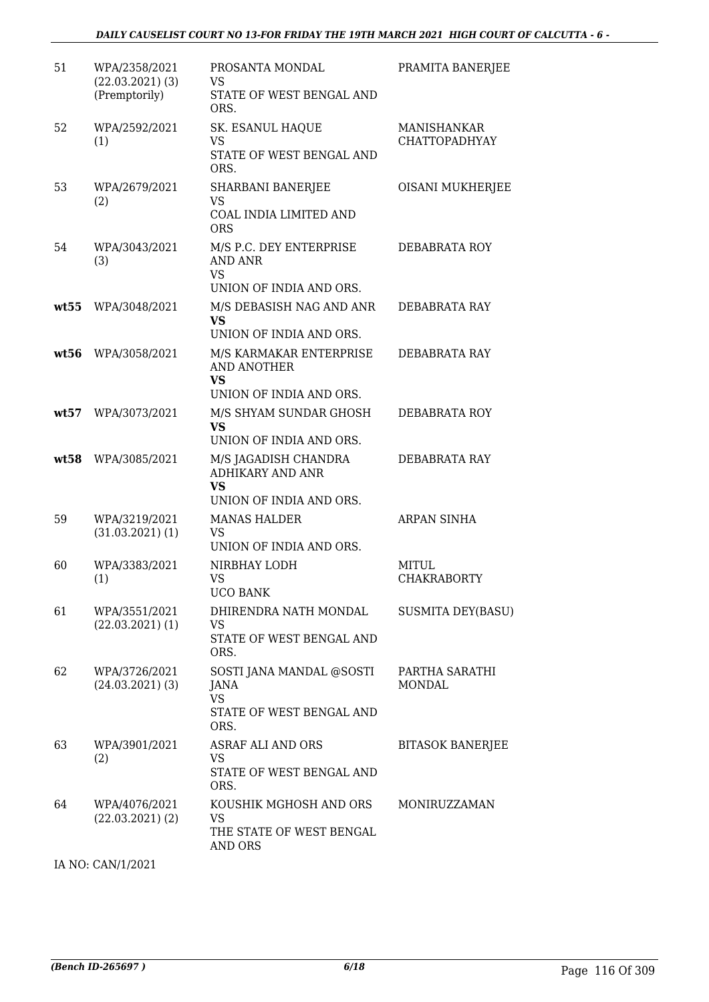| 51   | WPA/2358/2021<br>$(22.03.2021)$ (3)<br>(Premptorily) | PROSANTA MONDAL<br><b>VS</b><br>STATE OF WEST BENGAL AND<br>ORS.                        | PRAMITA BANERJEE                           |
|------|------------------------------------------------------|-----------------------------------------------------------------------------------------|--------------------------------------------|
| 52   | WPA/2592/2021<br>(1)                                 | SK. ESANUL HAQUE<br><b>VS</b><br>STATE OF WEST BENGAL AND<br>ORS.                       | <b>MANISHANKAR</b><br><b>CHATTOPADHYAY</b> |
| 53   | WPA/2679/2021<br>(2)                                 | <b>SHARBANI BANERJEE</b><br><b>VS</b><br>COAL INDIA LIMITED AND<br><b>ORS</b>           | <b>OISANI MUKHERJEE</b>                    |
| 54   | WPA/3043/2021<br>(3)                                 | M/S P.C. DEY ENTERPRISE<br><b>AND ANR</b><br><b>VS</b><br>UNION OF INDIA AND ORS.       | DEBABRATA ROY                              |
| wt55 | WPA/3048/2021                                        | M/S DEBASISH NAG AND ANR<br><b>VS</b><br>UNION OF INDIA AND ORS.                        | DEBABRATA RAY                              |
| wt56 | WPA/3058/2021                                        | M/S KARMAKAR ENTERPRISE<br><b>AND ANOTHER</b><br><b>VS</b><br>UNION OF INDIA AND ORS.   | DEBABRATA RAY                              |
| wt57 | WPA/3073/2021                                        | M/S SHYAM SUNDAR GHOSH<br><b>VS</b><br>UNION OF INDIA AND ORS.                          | DEBABRATA ROY                              |
| wt58 | WPA/3085/2021                                        | M/S JAGADISH CHANDRA<br><b>ADHIKARY AND ANR</b><br><b>VS</b><br>UNION OF INDIA AND ORS. | DEBABRATA RAY                              |
| 59   | WPA/3219/2021<br>$(31.03.2021)$ (1)                  | <b>MANAS HALDER</b><br><b>VS</b><br>UNION OF INDIA AND ORS.                             | ARPAN SINHA                                |
| 60   | WPA/3383/2021<br>(1)                                 | NIRBHAY LODH<br>VS<br><b>UCO BANK</b>                                                   | MITUL<br><b>CHAKRABORTY</b>                |
| 61   | WPA/3551/2021<br>$(22.03.2021)$ (1)                  | DHIRENDRA NATH MONDAL<br><b>VS</b><br>STATE OF WEST BENGAL AND<br>ORS.                  | <b>SUSMITA DEY(BASU)</b>                   |
| 62   | WPA/3726/2021<br>$(24.03.2021)$ (3)                  | SOSTI JANA MANDAL @SOSTI<br>JANA<br><b>VS</b><br>STATE OF WEST BENGAL AND<br>ORS.       | PARTHA SARATHI<br><b>MONDAL</b>            |
| 63   | WPA/3901/2021<br>(2)                                 | <b>ASRAF ALI AND ORS</b><br><b>VS</b><br>STATE OF WEST BENGAL AND<br>ORS.               | <b>BITASOK BANERJEE</b>                    |
| 64   | WPA/4076/2021<br>$(22.03.2021)$ $(2)$                | KOUSHIK MGHOSH AND ORS<br>VS<br>THE STATE OF WEST BENGAL<br>AND ORS                     | MONIRUZZAMAN                               |

IA NO: CAN/1/2021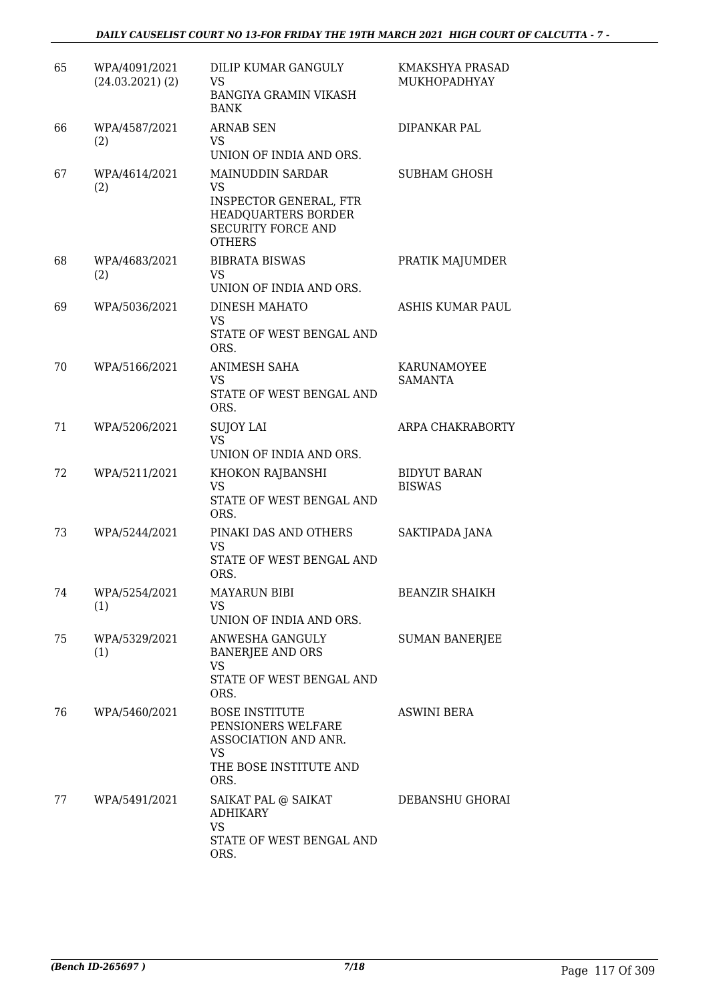| 65 | WPA/4091/2021<br>$(24.03.2021)$ $(2)$ | DILIP KUMAR GANGULY<br>VS<br><b>BANGIYA GRAMIN VIKASH</b><br><b>BANK</b>                                                            | KMAKSHYA PRASAD<br>MUKHOPADHYAY      |
|----|---------------------------------------|-------------------------------------------------------------------------------------------------------------------------------------|--------------------------------------|
| 66 | WPA/4587/2021<br>(2)                  | <b>ARNAB SEN</b><br>VS.<br>UNION OF INDIA AND ORS.                                                                                  | DIPANKAR PAL                         |
| 67 | WPA/4614/2021<br>(2)                  | MAINUDDIN SARDAR<br><b>VS</b><br><b>INSPECTOR GENERAL, FTR</b><br>HEADQUARTERS BORDER<br><b>SECURITY FORCE AND</b><br><b>OTHERS</b> | <b>SUBHAM GHOSH</b>                  |
| 68 | WPA/4683/2021<br>(2)                  | <b>BIBRATA BISWAS</b><br><b>VS</b><br>UNION OF INDIA AND ORS.                                                                       | PRATIK MAJUMDER                      |
| 69 | WPA/5036/2021                         | <b>DINESH MAHATO</b><br>VS<br>STATE OF WEST BENGAL AND<br>ORS.                                                                      | <b>ASHIS KUMAR PAUL</b>              |
| 70 | WPA/5166/2021                         | <b>ANIMESH SAHA</b><br>VS<br>STATE OF WEST BENGAL AND<br>ORS.                                                                       | KARUNAMOYEE<br><b>SAMANTA</b>        |
| 71 | WPA/5206/2021                         | <b>SUJOY LAI</b><br><b>VS</b><br>UNION OF INDIA AND ORS.                                                                            | ARPA CHAKRABORTY                     |
| 72 | WPA/5211/2021                         | KHOKON RAJBANSHI<br>VS<br>STATE OF WEST BENGAL AND<br>ORS.                                                                          | <b>BIDYUT BARAN</b><br><b>BISWAS</b> |
| 73 | WPA/5244/2021                         | PINAKI DAS AND OTHERS<br><b>VS</b><br>STATE OF WEST BENGAL AND<br>ORS.                                                              | SAKTIPADA JANA                       |
| 74 | WPA/5254/2021<br>(1)                  | <b>MAYARUN BIBI</b><br>VS<br>UNION OF INDIA AND ORS.                                                                                | <b>BEANZIR SHAIKH</b>                |
| 75 | WPA/5329/2021<br>(1)                  | ANWESHA GANGULY<br><b>BANERJEE AND ORS</b><br><b>VS</b><br>STATE OF WEST BENGAL AND<br>ORS.                                         | <b>SUMAN BANERJEE</b>                |
| 76 | WPA/5460/2021                         | <b>BOSE INSTITUTE</b><br>PENSIONERS WELFARE<br>ASSOCIATION AND ANR.<br><b>VS</b><br>THE BOSE INSTITUTE AND<br>ORS.                  | <b>ASWINI BERA</b>                   |
| 77 | WPA/5491/2021                         | SAIKAT PAL @ SAIKAT<br><b>ADHIKARY</b><br><b>VS</b><br>STATE OF WEST BENGAL AND<br>ORS.                                             | DEBANSHU GHORAI                      |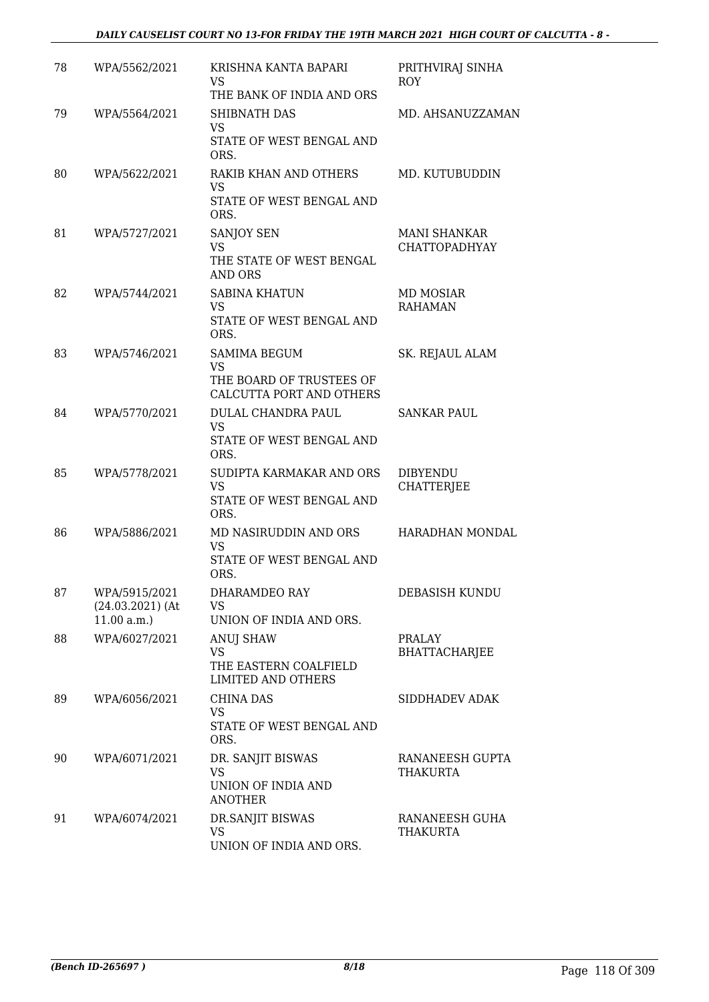| 78 | WPA/5562/2021                                     | KRISHNA KANTA BAPARI<br><b>VS</b><br>THE BANK OF INDIA AND ORS                           | PRITHVIRAJ SINHA<br><b>ROY</b>              |
|----|---------------------------------------------------|------------------------------------------------------------------------------------------|---------------------------------------------|
| 79 | WPA/5564/2021                                     | SHIBNATH DAS<br>VS<br>STATE OF WEST BENGAL AND<br>ORS.                                   | MD. AHSANUZZAMAN                            |
| 80 | WPA/5622/2021                                     | RAKIB KHAN AND OTHERS<br>VS<br>STATE OF WEST BENGAL AND<br>ORS.                          | MD. KUTUBUDDIN                              |
| 81 | WPA/5727/2021                                     | SANJOY SEN<br><b>VS</b><br>THE STATE OF WEST BENGAL<br><b>AND ORS</b>                    | <b>MANI SHANKAR</b><br><b>CHATTOPADHYAY</b> |
| 82 | WPA/5744/2021                                     | <b>SABINA KHATUN</b><br><b>VS</b><br>STATE OF WEST BENGAL AND<br>ORS.                    | <b>MD MOSIAR</b><br><b>RAHAMAN</b>          |
| 83 | WPA/5746/2021                                     | <b>SAMIMA BEGUM</b><br><b>VS</b><br>THE BOARD OF TRUSTEES OF<br>CALCUTTA PORT AND OTHERS | SK. REJAUL ALAM                             |
| 84 | WPA/5770/2021                                     | DULAL CHANDRA PAUL<br><b>VS</b><br>STATE OF WEST BENGAL AND<br>ORS.                      | <b>SANKAR PAUL</b>                          |
| 85 | WPA/5778/2021                                     | SUDIPTA KARMAKAR AND ORS<br><b>VS</b><br>STATE OF WEST BENGAL AND<br>ORS.                | <b>DIBYENDU</b><br><b>CHATTERJEE</b>        |
| 86 | WPA/5886/2021                                     | MD NASIRUDDIN AND ORS<br><b>VS</b><br>STATE OF WEST BENGAL AND<br>ORS.                   | HARADHAN MONDAL                             |
| 87 | WPA/5915/2021<br>$(24.03.2021)$ (At<br>11.00 a.m. | DHARAMDEO RAY<br>VS<br>UNION OF INDIA AND ORS.                                           | DEBASISH KUNDU                              |
| 88 | WPA/6027/2021                                     | <b>ANUJ SHAW</b><br><b>VS</b><br>THE EASTERN COALFIELD<br><b>LIMITED AND OTHERS</b>      | PRALAY<br><b>BHATTACHARJEE</b>              |
| 89 | WPA/6056/2021                                     | <b>CHINA DAS</b><br>VS<br>STATE OF WEST BENGAL AND<br>ORS.                               | SIDDHADEV ADAK                              |
| 90 | WPA/6071/2021                                     | DR. SANJIT BISWAS<br><b>VS</b><br>UNION OF INDIA AND<br><b>ANOTHER</b>                   | RANANEESH GUPTA<br><b>THAKURTA</b>          |
| 91 | WPA/6074/2021                                     | DR.SANJIT BISWAS<br>VS<br>UNION OF INDIA AND ORS.                                        | RANANEESH GUHA<br>THAKURTA                  |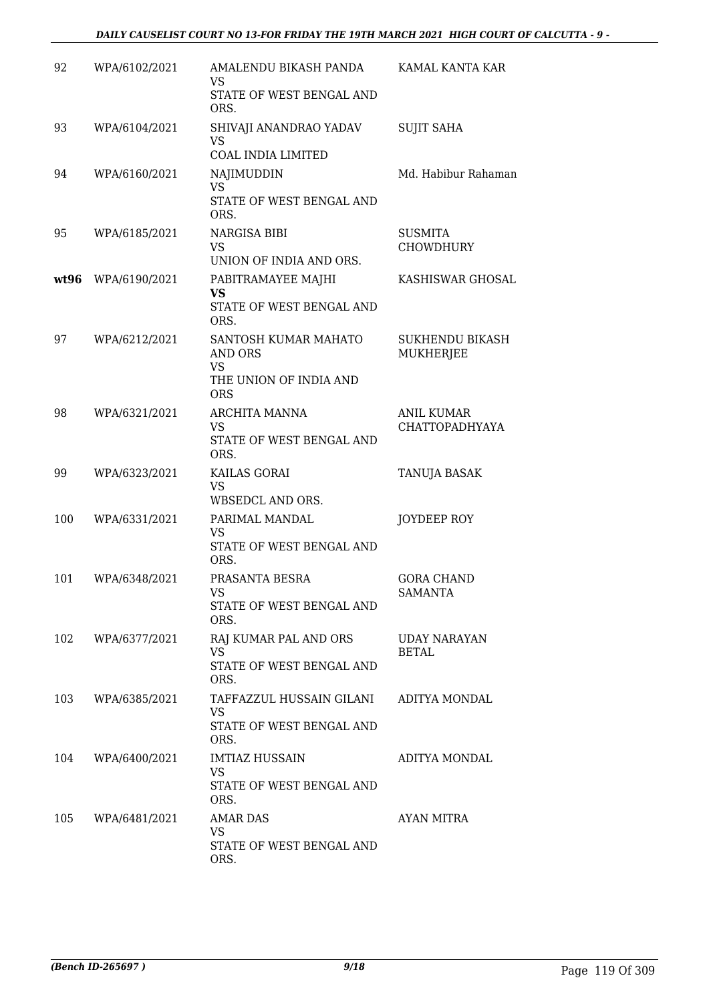| 92   | WPA/6102/2021 | AMALENDU BIKASH PANDA<br>VS<br>STATE OF WEST BENGAL AND                              | KAMAL KANTA KAR                            |
|------|---------------|--------------------------------------------------------------------------------------|--------------------------------------------|
|      |               | ORS.                                                                                 |                                            |
| 93   | WPA/6104/2021 | SHIVAJI ANANDRAO YADAV<br>VS<br>COAL INDIA LIMITED                                   | <b>SUJIT SAHA</b>                          |
| 94   | WPA/6160/2021 | NAJIMUDDIN<br>VS.<br>STATE OF WEST BENGAL AND                                        | Md. Habibur Rahaman                        |
| 95   | WPA/6185/2021 | ORS.<br>NARGISA BIBI<br><b>VS</b><br>UNION OF INDIA AND ORS.                         | <b>SUSMITA</b><br><b>CHOWDHURY</b>         |
| wt96 | WPA/6190/2021 | PABITRAMAYEE MAJHI<br><b>VS</b><br>STATE OF WEST BENGAL AND<br>ORS.                  | KASHISWAR GHOSAL                           |
| 97   | WPA/6212/2021 | SANTOSH KUMAR MAHATO<br>AND ORS<br><b>VS</b><br>THE UNION OF INDIA AND<br><b>ORS</b> | <b>SUKHENDU BIKASH</b><br><b>MUKHERJEE</b> |
| 98   | WPA/6321/2021 | <b>ARCHITA MANNA</b><br>VS<br>STATE OF WEST BENGAL AND<br>ORS.                       | <b>ANIL KUMAR</b><br><b>CHATTOPADHYAYA</b> |
| 99   | WPA/6323/2021 | KAILAS GORAI<br><b>VS</b><br>WBSEDCL AND ORS.                                        | TANUJA BASAK                               |
| 100  | WPA/6331/2021 | PARIMAL MANDAL<br>VS<br>STATE OF WEST BENGAL AND<br>ORS.                             | JOYDEEP ROY                                |
| 101  | WPA/6348/2021 | PRASANTA BESRA<br>VS<br>STATE OF WEST BENGAL AND<br>ORS.                             | <b>GORA CHAND</b><br>SAMANTA               |
| 102  | WPA/6377/2021 | RAJ KUMAR PAL AND ORS<br><b>VS</b><br>STATE OF WEST BENGAL AND<br>ORS.               | <b>UDAY NARAYAN</b><br><b>BETAL</b>        |
| 103  | WPA/6385/2021 | TAFFAZZUL HUSSAIN GILANI<br><b>VS</b><br>STATE OF WEST BENGAL AND<br>ORS.            | ADITYA MONDAL                              |
| 104  | WPA/6400/2021 | <b>IMTIAZ HUSSAIN</b><br><b>VS</b><br>STATE OF WEST BENGAL AND<br>ORS.               | ADITYA MONDAL                              |
| 105  | WPA/6481/2021 | <b>AMAR DAS</b><br>VS<br>STATE OF WEST BENGAL AND<br>ORS.                            | AYAN MITRA                                 |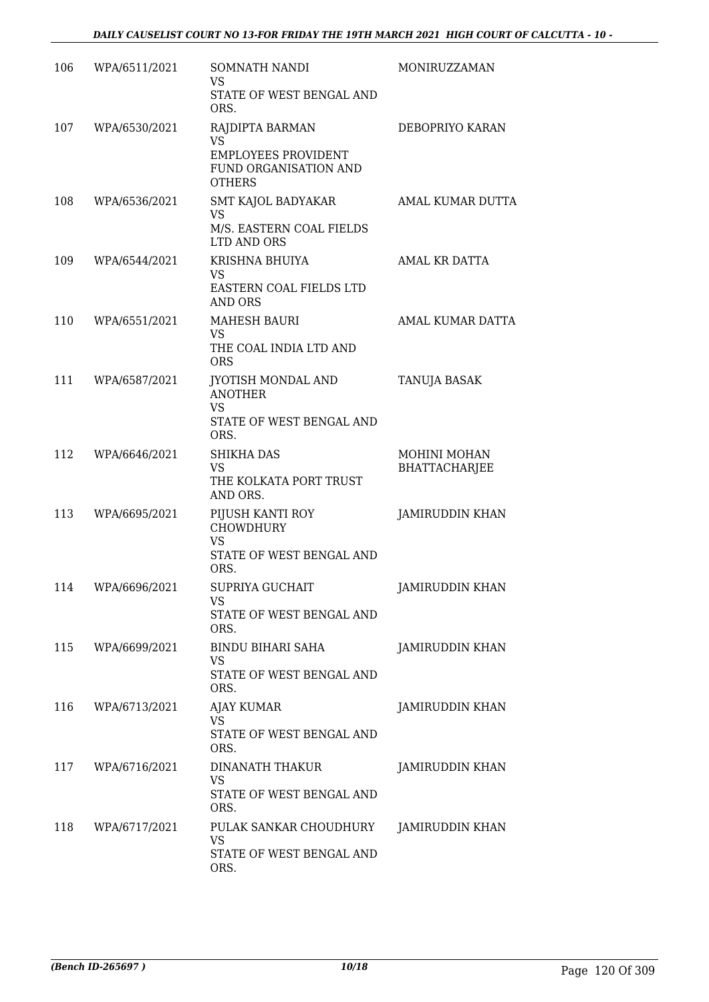| 106 | WPA/6511/2021 | SOMNATH NANDI<br>VS<br>STATE OF WEST BENGAL AND<br>ORS.                                        | MONIRUZZAMAN                         |
|-----|---------------|------------------------------------------------------------------------------------------------|--------------------------------------|
| 107 | WPA/6530/2021 | RAJDIPTA BARMAN<br>VS.<br><b>EMPLOYEES PROVIDENT</b><br>FUND ORGANISATION AND<br><b>OTHERS</b> | DEBOPRIYO KARAN                      |
| 108 | WPA/6536/2021 | SMT KAJOL BADYAKAR<br>VS<br>M/S. EASTERN COAL FIELDS<br>LTD AND ORS                            | AMAL KUMAR DUTTA                     |
| 109 | WPA/6544/2021 | KRISHNA BHUIYA<br><b>VS</b><br>EASTERN COAL FIELDS LTD<br><b>AND ORS</b>                       | AMAL KR DATTA                        |
| 110 | WPA/6551/2021 | <b>MAHESH BAURI</b><br>VS.<br>THE COAL INDIA LTD AND<br><b>ORS</b>                             | AMAL KUMAR DATTA                     |
| 111 | WPA/6587/2021 | JYOTISH MONDAL AND<br><b>ANOTHER</b><br><b>VS</b><br>STATE OF WEST BENGAL AND<br>ORS.          | <b>TANUJA BASAK</b>                  |
| 112 | WPA/6646/2021 | SHIKHA DAS<br><b>VS</b><br>THE KOLKATA PORT TRUST<br>AND ORS.                                  | MOHINI MOHAN<br><b>BHATTACHARJEE</b> |
| 113 | WPA/6695/2021 | PIJUSH KANTI ROY<br>CHOWDHURY<br>VS<br>STATE OF WEST BENGAL AND<br>ORS.                        | <b>JAMIRUDDIN KHAN</b>               |
| 114 | WPA/6696/2021 | SUPRIYA GUCHAIT<br>VS<br>STATE OF WEST BENGAL AND<br>ORS.                                      | JAMIRUDDIN KHAN                      |
| 115 | WPA/6699/2021 | BINDU BIHARI SAHA<br>VS<br>STATE OF WEST BENGAL AND<br>ORS.                                    | JAMIRUDDIN KHAN                      |
| 116 | WPA/6713/2021 | <b>AJAY KUMAR</b><br>VS.<br>STATE OF WEST BENGAL AND<br>ORS.                                   | JAMIRUDDIN KHAN                      |
| 117 | WPA/6716/2021 | DINANATH THAKUR<br><b>VS</b><br>STATE OF WEST BENGAL AND<br>ORS.                               | JAMIRUDDIN KHAN                      |
| 118 | WPA/6717/2021 | PULAK SANKAR CHOUDHURY<br><b>VS</b><br>STATE OF WEST BENGAL AND<br>ORS.                        | JAMIRUDDIN KHAN                      |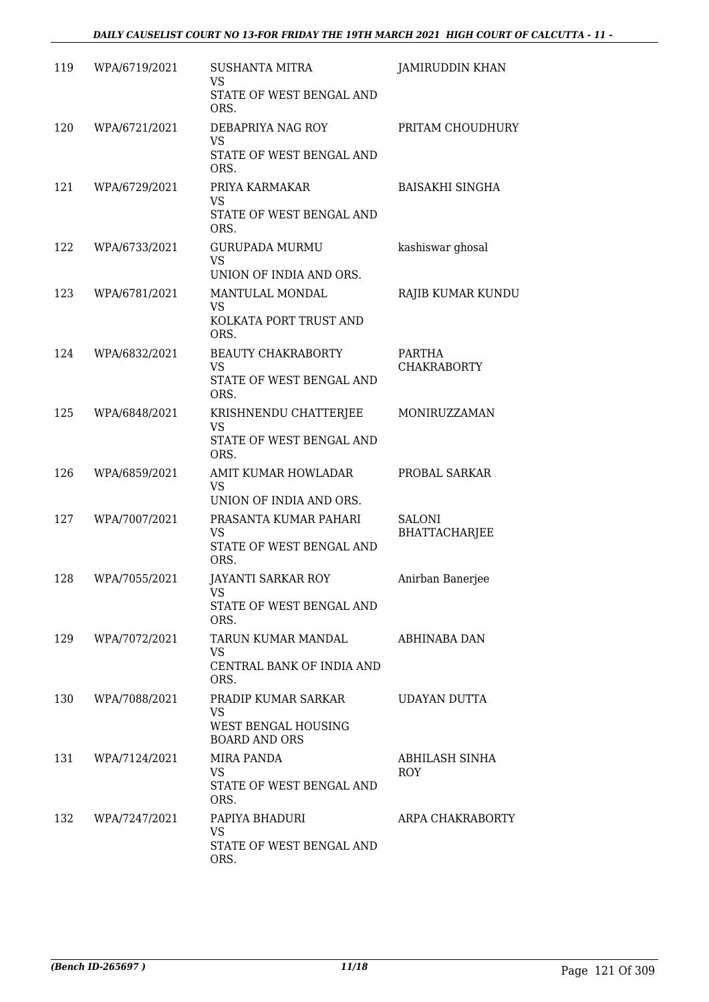| 119 | WPA/6719/2021 | <b>SUSHANTA MITRA</b><br>VS.<br>STATE OF WEST BENGAL AND<br>ORS.         | JAMIRUDDIN KHAN                |
|-----|---------------|--------------------------------------------------------------------------|--------------------------------|
| 120 | WPA/6721/2021 | DEBAPRIYA NAG ROY<br><b>VS</b><br>STATE OF WEST BENGAL AND<br>ORS.       | PRITAM CHOUDHURY               |
| 121 | WPA/6729/2021 | PRIYA KARMAKAR<br>VS.<br>STATE OF WEST BENGAL AND<br>ORS.                | <b>BAISAKHI SINGHA</b>         |
| 122 | WPA/6733/2021 | <b>GURUPADA MURMU</b><br><b>VS</b><br>UNION OF INDIA AND ORS.            | kashiswar ghosal               |
| 123 | WPA/6781/2021 | MANTULAL MONDAL<br><b>VS</b><br>KOLKATA PORT TRUST AND<br>ORS.           | RAJIB KUMAR KUNDU              |
| 124 | WPA/6832/2021 | <b>BEAUTY CHAKRABORTY</b><br>VS.<br>STATE OF WEST BENGAL AND<br>ORS.     | PARTHA<br><b>CHAKRABORTY</b>   |
| 125 | WPA/6848/2021 | KRISHNENDU CHATTERJEE<br><b>VS</b><br>STATE OF WEST BENGAL AND<br>ORS.   | MONIRUZZAMAN                   |
| 126 | WPA/6859/2021 | AMIT KUMAR HOWLADAR<br><b>VS</b><br>UNION OF INDIA AND ORS.              | PROBAL SARKAR                  |
| 127 | WPA/7007/2021 | PRASANTA KUMAR PAHARI<br>VS<br>STATE OF WEST BENGAL AND<br>ORS.          | SALONI<br><b>BHATTACHARJEE</b> |
| 128 | WPA/7055/2021 | JAYANTI SARKAR ROY<br>VS<br>STATE OF WEST BENGAL AND<br>ORS.             | Anirban Banerjee               |
| 129 | WPA/7072/2021 | TARUN KUMAR MANDAL<br><b>VS</b><br>CENTRAL BANK OF INDIA AND<br>ORS.     | ABHINABA DAN                   |
| 130 | WPA/7088/2021 | PRADIP KUMAR SARKAR<br>VS<br>WEST BENGAL HOUSING<br><b>BOARD AND ORS</b> | UDAYAN DUTTA                   |
| 131 | WPA/7124/2021 | MIRA PANDA<br>VS.<br>STATE OF WEST BENGAL AND<br>ORS.                    | ABHILASH SINHA<br>ROY          |
| 132 | WPA/7247/2021 | PAPIYA BHADURI<br>VS<br>STATE OF WEST BENGAL AND<br>ORS.                 | ARPA CHAKRABORTY               |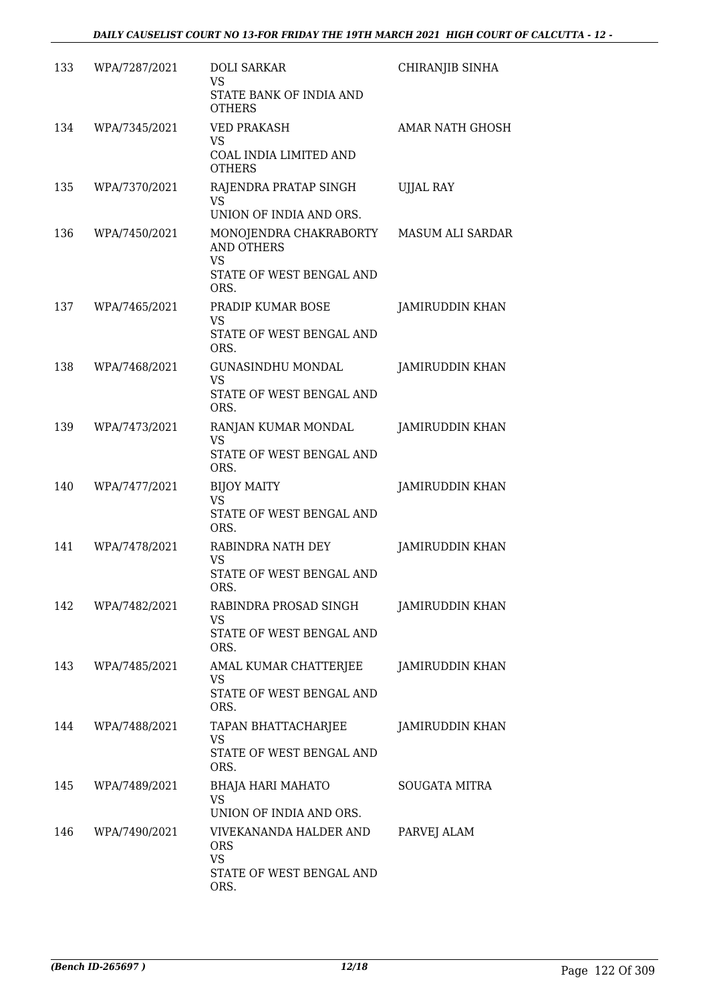| 133 | WPA/7287/2021 | <b>DOLI SARKAR</b><br><b>VS</b><br>STATE BANK OF INDIA AND<br><b>OTHERS</b>                  | CHIRANJIB SINHA        |
|-----|---------------|----------------------------------------------------------------------------------------------|------------------------|
| 134 | WPA/7345/2021 | <b>VED PRAKASH</b><br><b>VS</b><br>COAL INDIA LIMITED AND<br><b>OTHERS</b>                   | AMAR NATH GHOSH        |
| 135 | WPA/7370/2021 | RAJENDRA PRATAP SINGH<br><b>VS</b><br>UNION OF INDIA AND ORS.                                | <b>UJJAL RAY</b>       |
| 136 | WPA/7450/2021 | MONOJENDRA CHAKRABORTY<br><b>AND OTHERS</b><br><b>VS</b><br>STATE OF WEST BENGAL AND<br>ORS. | MASUM ALI SARDAR       |
| 137 | WPA/7465/2021 | PRADIP KUMAR BOSE<br>VS<br>STATE OF WEST BENGAL AND<br>ORS.                                  | <b>JAMIRUDDIN KHAN</b> |
| 138 | WPA/7468/2021 | <b>GUNASINDHU MONDAL</b><br><b>VS</b><br>STATE OF WEST BENGAL AND<br>ORS.                    | JAMIRUDDIN KHAN        |
| 139 | WPA/7473/2021 | RANJAN KUMAR MONDAL<br>VS.<br>STATE OF WEST BENGAL AND<br>ORS.                               | <b>JAMIRUDDIN KHAN</b> |
| 140 | WPA/7477/2021 | <b>BIJOY MAITY</b><br><b>VS</b><br>STATE OF WEST BENGAL AND<br>ORS.                          | <b>JAMIRUDDIN KHAN</b> |
| 141 | WPA/7478/2021 | RABINDRA NATH DEY<br>VS<br>STATE OF WEST BENGAL AND<br>ORS.                                  | JAMIRUDDIN KHAN        |
| 142 | WPA/7482/2021 | RABINDRA PROSAD SINGH<br>VS<br>STATE OF WEST BENGAL AND<br>ORS.                              | <b>JAMIRUDDIN KHAN</b> |
| 143 | WPA/7485/2021 | AMAL KUMAR CHATTERJEE<br><b>VS</b><br>STATE OF WEST BENGAL AND<br>ORS.                       | <b>JAMIRUDDIN KHAN</b> |
| 144 | WPA/7488/2021 | TAPAN BHATTACHARJEE<br>VS<br>STATE OF WEST BENGAL AND<br>ORS.                                | <b>JAMIRUDDIN KHAN</b> |
| 145 | WPA/7489/2021 | <b>BHAJA HARI MAHATO</b><br>VS<br>UNION OF INDIA AND ORS.                                    | <b>SOUGATA MITRA</b>   |
| 146 | WPA/7490/2021 | VIVEKANANDA HALDER AND<br><b>ORS</b><br><b>VS</b><br>STATE OF WEST BENGAL AND<br>ORS.        | PARVEJ ALAM            |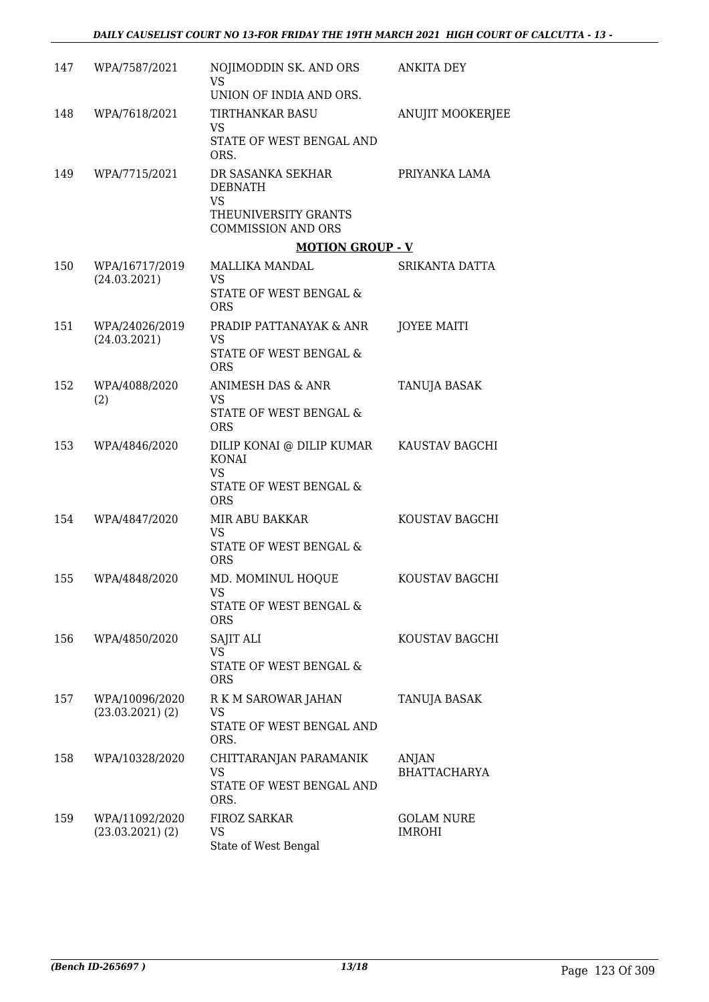| 147 | WPA/7587/2021                          | NOJIMODDIN SK. AND ORS<br><b>VS</b><br>UNION OF INDIA AND ORS.                                 | <b>ANKITA DEY</b>                  |
|-----|----------------------------------------|------------------------------------------------------------------------------------------------|------------------------------------|
| 148 | WPA/7618/2021                          | <b>TIRTHANKAR BASU</b><br>VS<br>STATE OF WEST BENGAL AND<br>ORS.                               | <b>ANUJIT MOOKERJEE</b>            |
| 149 | WPA/7715/2021                          | DR SASANKA SEKHAR<br><b>DEBNATH</b><br><b>VS</b><br>THEUNIVERSITY GRANTS                       | PRIYANKA LAMA                      |
|     |                                        | <b>COMMISSION AND ORS</b><br><b>MOTION GROUP - V</b>                                           |                                    |
| 150 | WPA/16717/2019<br>(24.03.2021)         | MALLIKA MANDAL<br>VS.<br>STATE OF WEST BENGAL &                                                | SRIKANTA DATTA                     |
| 151 | WPA/24026/2019<br>(24.03.2021)         | <b>ORS</b><br>PRADIP PATTANAYAK & ANR<br><b>VS</b><br>STATE OF WEST BENGAL &<br><b>ORS</b>     | <b>JOYEE MAITI</b>                 |
| 152 | WPA/4088/2020<br>(2)                   | ANIMESH DAS & ANR<br><b>VS</b><br>STATE OF WEST BENGAL &<br><b>ORS</b>                         | <b>TANUJA BASAK</b>                |
| 153 | WPA/4846/2020                          | DILIP KONAI @ DILIP KUMAR<br><b>KONAI</b><br><b>VS</b><br>STATE OF WEST BENGAL &<br><b>ORS</b> | KAUSTAV BAGCHI                     |
| 154 | WPA/4847/2020                          | <b>MIR ABU BAKKAR</b><br><b>VS</b><br>STATE OF WEST BENGAL &<br><b>ORS</b>                     | KOUSTAV BAGCHI                     |
| 155 | WPA/4848/2020                          | MD. MOMINUL HOQUE<br>VS<br>STATE OF WEST BENGAL &<br><b>ORS</b>                                | KOUSTAV BAGCHI                     |
| 156 | WPA/4850/2020                          | SAJIT ALI<br><b>VS</b><br>STATE OF WEST BENGAL &<br><b>ORS</b>                                 | KOUSTAV BAGCHI                     |
| 157 | WPA/10096/2020<br>$(23.03.2021)$ $(2)$ | R K M SAROWAR JAHAN<br><b>VS</b><br>STATE OF WEST BENGAL AND<br>ORS.                           | TANUJA BASAK                       |
| 158 | WPA/10328/2020                         | CHITTARANJAN PARAMANIK<br>VS<br>STATE OF WEST BENGAL AND<br>ORS.                               | ANJAN<br><b>BHATTACHARYA</b>       |
| 159 | WPA/11092/2020<br>$(23.03.2021)$ $(2)$ | <b>FIROZ SARKAR</b><br>VS<br>State of West Bengal                                              | <b>GOLAM NURE</b><br><b>IMROHI</b> |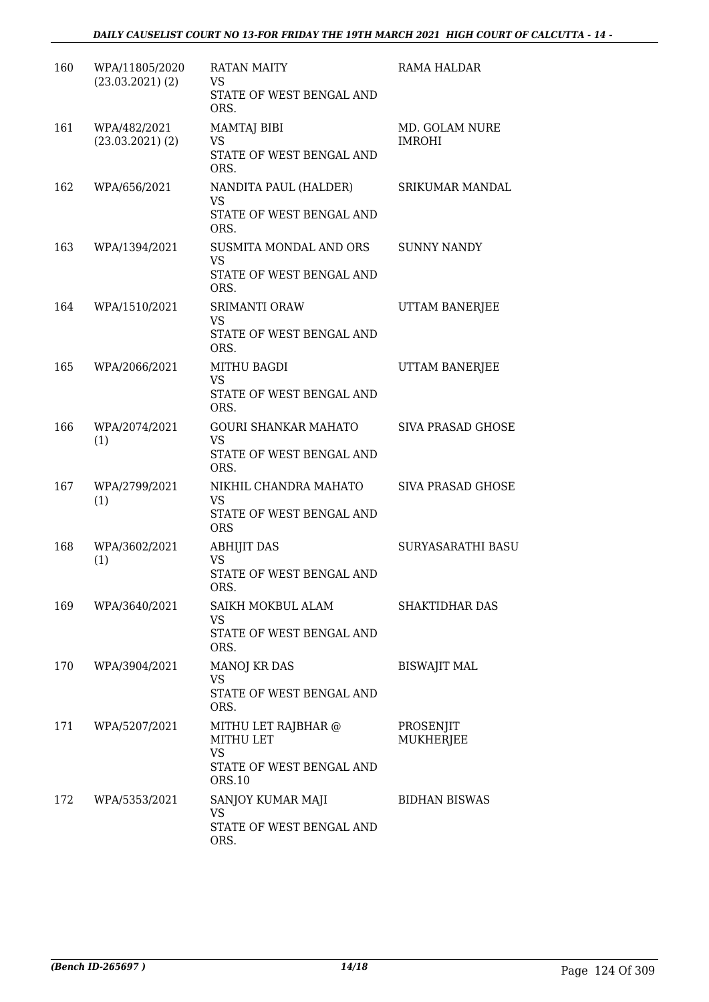| 160 | WPA/11805/2020<br>$(23.03.2021)$ $(2)$ | RATAN MAITY<br>VS.<br>STATE OF WEST BENGAL AND<br>ORS.                                     | RAMA HALDAR                     |
|-----|----------------------------------------|--------------------------------------------------------------------------------------------|---------------------------------|
| 161 | WPA/482/2021<br>$(23.03.2021)$ $(2)$   | MAMTAJ BIBI<br>VS<br>STATE OF WEST BENGAL AND<br>ORS.                                      | MD. GOLAM NURE<br><b>IMROHI</b> |
| 162 | WPA/656/2021                           | NANDITA PAUL (HALDER)<br>VS.<br>STATE OF WEST BENGAL AND<br>ORS.                           | <b>SRIKUMAR MANDAL</b>          |
| 163 | WPA/1394/2021                          | SUSMITA MONDAL AND ORS<br><b>VS</b><br>STATE OF WEST BENGAL AND<br>ORS.                    | <b>SUNNY NANDY</b>              |
| 164 | WPA/1510/2021                          | SRIMANTI ORAW<br><b>VS</b><br>STATE OF WEST BENGAL AND<br>ORS.                             | UTTAM BANERJEE                  |
| 165 | WPA/2066/2021                          | <b>MITHU BAGDI</b><br>VS.<br>STATE OF WEST BENGAL AND<br>ORS.                              | UTTAM BANERJEE                  |
| 166 | WPA/2074/2021<br>(1)                   | <b>GOURI SHANKAR MAHATO</b><br>VS<br>STATE OF WEST BENGAL AND<br>ORS.                      | SIVA PRASAD GHOSE               |
| 167 | WPA/2799/2021<br>(1)                   | NIKHIL CHANDRA MAHATO<br><b>VS</b><br>STATE OF WEST BENGAL AND<br><b>ORS</b>               | SIVA PRASAD GHOSE               |
| 168 | WPA/3602/2021<br>(1)                   | <b>ABHIJIT DAS</b><br><b>VS</b><br>STATE OF WEST BENGAL AND<br>ORS.                        | SURYASARATHI BASU               |
| 169 | WPA/3640/2021                          | SAIKH MOKBUL ALAM<br>VS<br>STATE OF WEST BENGAL AND<br>ORS.                                | <b>SHAKTIDHAR DAS</b>           |
| 170 | WPA/3904/2021                          | <b>MANOJ KR DAS</b><br>VS.<br>STATE OF WEST BENGAL AND<br>ORS.                             | <b>BISWAJIT MAL</b>             |
| 171 | WPA/5207/2021                          | MITHU LET RAJBHAR @<br><b>MITHU LET</b><br><b>VS</b><br>STATE OF WEST BENGAL AND<br>ORS.10 | PROSENJIT<br><b>MUKHERJEE</b>   |
| 172 | WPA/5353/2021                          | SANJOY KUMAR MAJI<br><b>VS</b><br>STATE OF WEST BENGAL AND<br>ORS.                         | <b>BIDHAN BISWAS</b>            |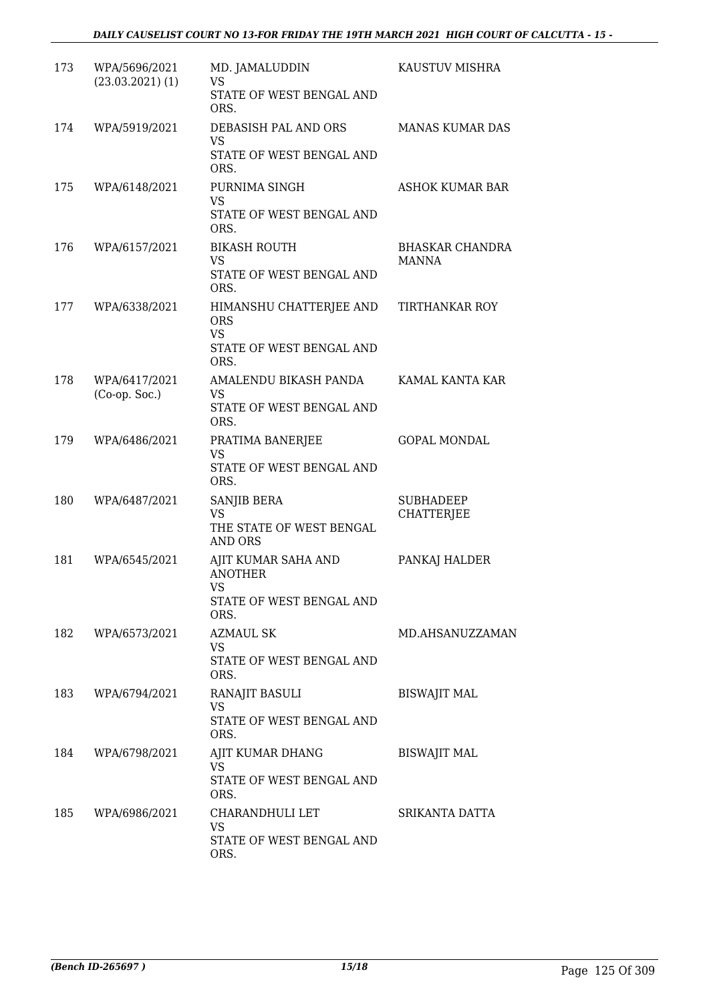| 173 | WPA/5696/2021<br>$(23.03.2021)$ (1) | MD. JAMALUDDIN<br>VS<br>STATE OF WEST BENGAL AND<br>ORS.                               | KAUSTUV MISHRA                         |
|-----|-------------------------------------|----------------------------------------------------------------------------------------|----------------------------------------|
| 174 | WPA/5919/2021                       | DEBASISH PAL AND ORS<br>VS<br>STATE OF WEST BENGAL AND<br>ORS.                         | <b>MANAS KUMAR DAS</b>                 |
| 175 | WPA/6148/2021                       | PURNIMA SINGH<br><b>VS</b><br>STATE OF WEST BENGAL AND<br>ORS.                         | <b>ASHOK KUMAR BAR</b>                 |
| 176 | WPA/6157/2021                       | <b>BIKASH ROUTH</b><br><b>VS</b><br>STATE OF WEST BENGAL AND<br>ORS.                   | <b>BHASKAR CHANDRA</b><br><b>MANNA</b> |
| 177 | WPA/6338/2021                       | HIMANSHU CHATTERJEE AND<br><b>ORS</b><br><b>VS</b><br>STATE OF WEST BENGAL AND<br>ORS. | TIRTHANKAR ROY                         |
| 178 | WPA/6417/2021<br>$(Co-op. Soc.)$    | AMALENDU BIKASH PANDA<br><b>VS</b><br>STATE OF WEST BENGAL AND<br>ORS.                 | KAMAL KANTA KAR                        |
| 179 | WPA/6486/2021                       | PRATIMA BANERJEE<br><b>VS</b><br>STATE OF WEST BENGAL AND<br>ORS.                      | <b>GOPAL MONDAL</b>                    |
| 180 | WPA/6487/2021                       | SANJIB BERA<br><b>VS</b><br>THE STATE OF WEST BENGAL<br>AND ORS                        | <b>SUBHADEEP</b><br>CHATTERJEE         |
| 181 | WPA/6545/2021                       | AJIT KUMAR SAHA AND<br><b>ANOTHER</b><br>VS —<br>STATE OF WEST BENGAL AND<br>ORS.      | PANKAJ HALDER                          |
| 182 | WPA/6573/2021                       | AZMAUL SK<br>VS<br>STATE OF WEST BENGAL AND<br>ORS.                                    | MD.AHSANUZZAMAN                        |
| 183 | WPA/6794/2021                       | RANAJIT BASULI<br><b>VS</b><br>STATE OF WEST BENGAL AND<br>ORS.                        | <b>BISWAJIT MAL</b>                    |
| 184 | WPA/6798/2021                       | AJIT KUMAR DHANG<br>VS<br>STATE OF WEST BENGAL AND<br>ORS.                             | <b>BISWAJIT MAL</b>                    |
| 185 | WPA/6986/2021                       | CHARANDHULI LET<br><b>VS</b><br>STATE OF WEST BENGAL AND<br>ORS.                       | SRIKANTA DATTA                         |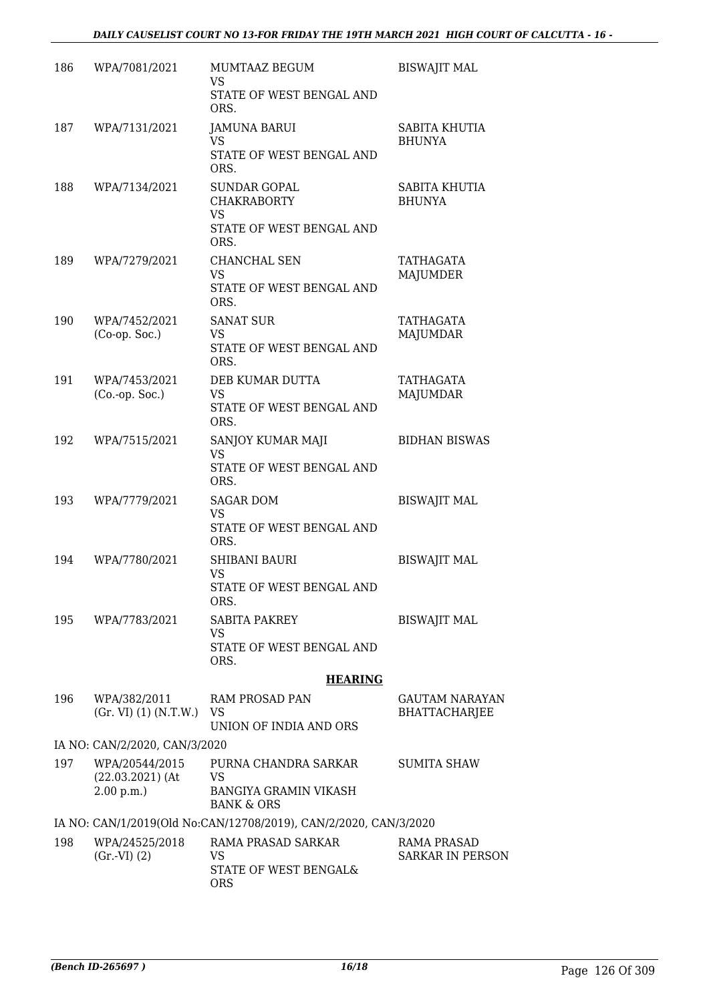| 186 | WPA/7081/2021                                     | MUMTAAZ BEGUM<br>VS.                                                                       | <b>BISWAJIT MAL</b>                    |
|-----|---------------------------------------------------|--------------------------------------------------------------------------------------------|----------------------------------------|
|     |                                                   | STATE OF WEST BENGAL AND<br>ORS.                                                           |                                        |
| 187 | WPA/7131/2021                                     | <b>JAMUNA BARUI</b>                                                                        | SABITA KHUTIA                          |
|     |                                                   | <b>VS</b><br>STATE OF WEST BENGAL AND<br>ORS.                                              | <b>BHUNYA</b>                          |
| 188 | WPA/7134/2021                                     | <b>SUNDAR GOPAL</b><br><b>CHAKRABORTY</b><br><b>VS</b><br>STATE OF WEST BENGAL AND         | <b>SABITA KHUTIA</b><br><b>BHUNYA</b>  |
| 189 | WPA/7279/2021                                     | ORS.<br>CHANCHAL SEN<br><b>VS</b><br>STATE OF WEST BENGAL AND<br>ORS.                      | TATHAGATA<br>MAJUMDER                  |
| 190 | WPA/7452/2021<br>$(Co-op. Soc.)$                  | <b>SANAT SUR</b><br>VS<br>STATE OF WEST BENGAL AND<br>ORS.                                 | <b>TATHAGATA</b><br><b>MAJUMDAR</b>    |
| 191 | WPA/7453/2021<br>$(Co.-op. Soc.)$                 | DEB KUMAR DUTTA<br>VS<br>STATE OF WEST BENGAL AND<br>ORS.                                  | TATHAGATA<br><b>MAJUMDAR</b>           |
| 192 | WPA/7515/2021                                     | SANJOY KUMAR MAJI<br>VS.<br>STATE OF WEST BENGAL AND<br>ORS.                               | <b>BIDHAN BISWAS</b>                   |
| 193 | WPA/7779/2021                                     | <b>SAGAR DOM</b><br><b>VS</b><br>STATE OF WEST BENGAL AND<br>ORS.                          | <b>BISWAJIT MAL</b>                    |
| 194 | WPA/7780/2021                                     | <b>SHIBANI BAURI</b><br>VS<br>STATE OF WEST BENGAL AND<br>ORS.                             | <b>BISWAJIT MAL</b>                    |
| 195 | WPA/7783/2021                                     | <b>SABITA PAKREY</b><br><b>VS</b><br>STATE OF WEST BENGAL AND<br>ORS.                      | <b>BISWAJIT MAL</b>                    |
|     |                                                   | <b>HEARING</b>                                                                             |                                        |
| 196 | WPA/382/2011<br>(Gr. VI) (1) (N.T.W.)             | RAM PROSAD PAN<br>VS<br>UNION OF INDIA AND ORS                                             | GAUTAM NARAYAN<br><b>BHATTACHARJEE</b> |
|     | IA NO: CAN/2/2020, CAN/3/2020                     |                                                                                            |                                        |
| 197 | WPA/20544/2015<br>$(22.03.2021)$ (At<br>2.00 p.m. | PURNA CHANDRA SARKAR<br><b>VS</b><br><b>BANGIYA GRAMIN VIKASH</b><br><b>BANK &amp; ORS</b> | <b>SUMITA SHAW</b>                     |
|     |                                                   | IA NO: CAN/1/2019(Old No:CAN/12708/2019), CAN/2/2020, CAN/3/2020                           |                                        |
| 198 | WPA/24525/2018<br>(Gr.VI) (2)                     | RAMA PRASAD SARKAR<br>VS<br>STATE OF WEST BENGAL&<br><b>ORS</b>                            | RAMA PRASAD<br><b>SARKAR IN PERSON</b> |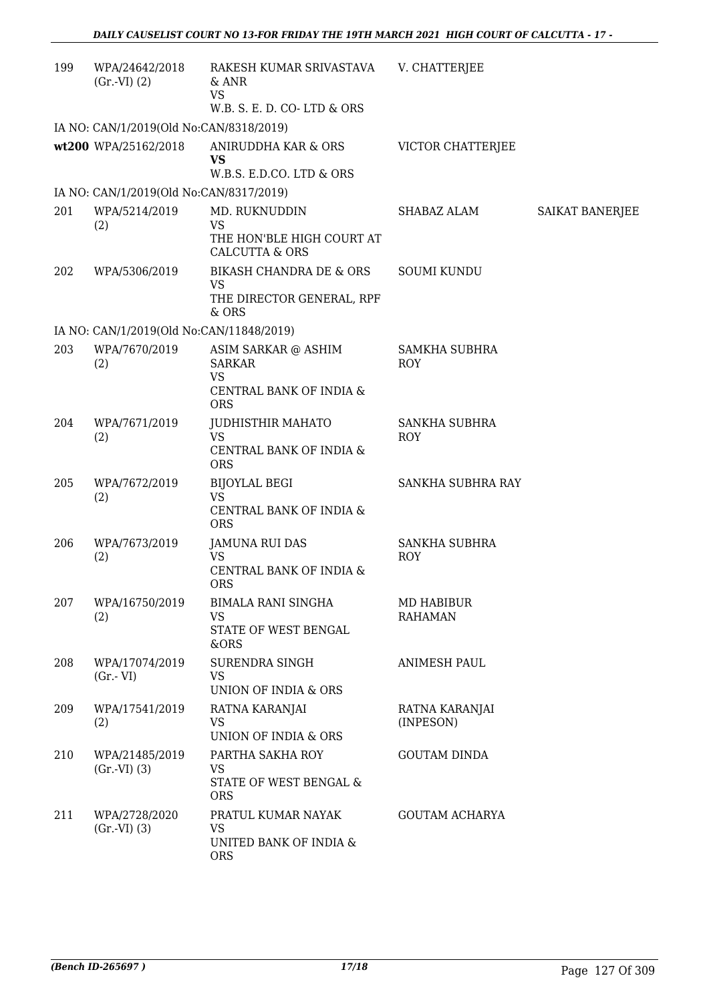| 199 | WPA/24642/2018<br>$(Gr.-VI) (2)$         | RAKESH KUMAR SRIVASTAVA<br>& ANR<br><b>VS</b><br>W.B. S. E. D. CO-LTD & ORS                | V. CHATTERJEE                       |                 |
|-----|------------------------------------------|--------------------------------------------------------------------------------------------|-------------------------------------|-----------------|
|     | IA NO: CAN/1/2019(Old No:CAN/8318/2019)  |                                                                                            |                                     |                 |
|     | wt200 WPA/25162/2018                     | ANIRUDDHA KAR & ORS<br><b>VS</b><br>W.B.S. E.D.CO. LTD & ORS                               | <b>VICTOR CHATTERJEE</b>            |                 |
|     | IA NO: CAN/1/2019(Old No:CAN/8317/2019)  |                                                                                            |                                     |                 |
| 201 | WPA/5214/2019                            | MD. RUKNUDDIN                                                                              | SHABAZ ALAM                         | SAIKAT BANERJEE |
|     | (2)                                      | <b>VS</b><br>THE HON'BLE HIGH COURT AT<br><b>CALCUTTA &amp; ORS</b>                        |                                     |                 |
| 202 | WPA/5306/2019                            | BIKASH CHANDRA DE & ORS<br>VS<br>THE DIRECTOR GENERAL, RPF<br>& ORS                        | <b>SOUMI KUNDU</b>                  |                 |
|     | IA NO: CAN/1/2019(Old No:CAN/11848/2019) |                                                                                            |                                     |                 |
| 203 | WPA/7670/2019<br>(2)                     | ASIM SARKAR @ ASHIM<br><b>SARKAR</b><br><b>VS</b><br>CENTRAL BANK OF INDIA &<br><b>ORS</b> | <b>SAMKHA SUBHRA</b><br><b>ROY</b>  |                 |
| 204 | WPA/7671/2019<br>(2)                     | <b>JUDHISTHIR MAHATO</b><br><b>VS</b><br>CENTRAL BANK OF INDIA &<br><b>ORS</b>             | SANKHA SUBHRA<br><b>ROY</b>         |                 |
| 205 | WPA/7672/2019<br>(2)                     | <b>BIJOYLAL BEGI</b><br><b>VS</b><br>CENTRAL BANK OF INDIA &<br><b>ORS</b>                 | SANKHA SUBHRA RAY                   |                 |
| 206 | WPA/7673/2019<br>(2)                     | <b>JAMUNA RUI DAS</b><br>VS<br>CENTRAL BANK OF INDIA &<br><b>ORS</b>                       | <b>SANKHA SUBHRA</b><br><b>ROY</b>  |                 |
| 207 | WPA/16750/2019<br>(2)                    | <b>BIMALA RANI SINGHA</b><br>VS.<br>STATE OF WEST BENGAL<br>&ORS                           | <b>MD HABIBUR</b><br><b>RAHAMAN</b> |                 |
| 208 | WPA/17074/2019<br>$(Gr.-VI)$             | <b>SURENDRA SINGH</b><br><b>VS</b><br><b>UNION OF INDIA &amp; ORS</b>                      | <b>ANIMESH PAUL</b>                 |                 |
| 209 | WPA/17541/2019<br>(2)                    | RATNA KARANJAI<br><b>VS</b><br>UNION OF INDIA & ORS                                        | RATNA KARANJAI<br>(INPESON)         |                 |
| 210 | WPA/21485/2019<br>$(Gr.-VI)$ $(3)$       | PARTHA SAKHA ROY<br>VS<br>STATE OF WEST BENGAL &<br><b>ORS</b>                             | <b>GOUTAM DINDA</b>                 |                 |
| 211 | WPA/2728/2020<br>(Gr.VI) (3)             | PRATUL KUMAR NAYAK<br><b>VS</b><br>UNITED BANK OF INDIA &<br><b>ORS</b>                    | <b>GOUTAM ACHARYA</b>               |                 |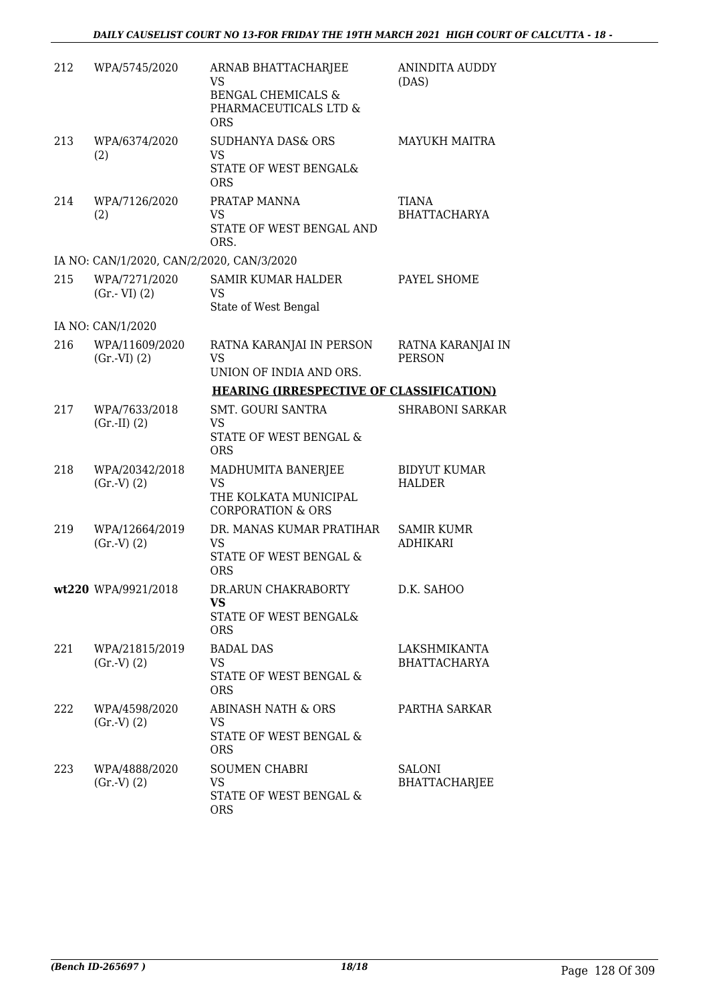| 212 | WPA/5745/2020                             | ARNAB BHATTACHARJEE<br>VS.<br><b>BENGAL CHEMICALS &amp;</b><br>PHARMACEUTICALS LTD &<br><b>ORS</b> | <b>ANINDITA AUDDY</b><br>(DAS)       |
|-----|-------------------------------------------|----------------------------------------------------------------------------------------------------|--------------------------------------|
| 213 | WPA/6374/2020<br>(2)                      | <b>SUDHANYA DAS&amp; ORS</b><br><b>VS</b><br>STATE OF WEST BENGAL&<br><b>ORS</b>                   | <b>MAYUKH MAITRA</b>                 |
| 214 | WPA/7126/2020<br>(2)                      | PRATAP MANNA<br><b>VS</b><br>STATE OF WEST BENGAL AND<br>ORS.                                      | <b>TIANA</b><br><b>BHATTACHARYA</b>  |
|     | IA NO: CAN/1/2020, CAN/2/2020, CAN/3/2020 |                                                                                                    |                                      |
| 215 | WPA/7271/2020<br>$(Gr.-VI)$ $(2)$         | SAMIR KUMAR HALDER<br>VS<br>State of West Bengal                                                   | PAYEL SHOME                          |
|     | IA NO: CAN/1/2020                         |                                                                                                    |                                      |
| 216 | WPA/11609/2020<br>$(Gr.-VI) (2)$          | RATNA KARANJAI IN PERSON<br><b>VS</b>                                                              | RATNA KARANJAI IN<br><b>PERSON</b>   |
|     |                                           | UNION OF INDIA AND ORS.                                                                            |                                      |
|     |                                           | <b>HEARING (IRRESPECTIVE OF CLASSIFICATION)</b>                                                    |                                      |
| 217 | WPA/7633/2018<br>$(Gr.-II) (2)$           | <b>SMT. GOURI SANTRA</b><br>VS<br>STATE OF WEST BENGAL &<br><b>ORS</b>                             | <b>SHRABONI SARKAR</b>               |
| 218 | WPA/20342/2018<br>(Gr.V) (2)              | MADHUMITA BANERJEE<br><b>VS</b><br>THE KOLKATA MUNICIPAL<br><b>CORPORATION &amp; ORS</b>           | <b>BIDYUT KUMAR</b><br><b>HALDER</b> |
| 219 | WPA/12664/2019<br>(Gr.V) (2)              | DR. MANAS KUMAR PRATIHAR<br><b>VS</b><br>STATE OF WEST BENGAL &<br><b>ORS</b>                      | <b>SAMIR KUMR</b><br><b>ADHIKARI</b> |
|     | wt220 WPA/9921/2018                       | DR.ARUN CHAKRABORTY<br><b>VS</b><br>STATE OF WEST BENGAL&<br><b>ORS</b>                            | D.K. SAHOO                           |
| 221 | WPA/21815/2019<br>(Gr.V) (2)              | <b>BADAL DAS</b><br><b>VS</b><br>STATE OF WEST BENGAL &<br><b>ORS</b>                              | LAKSHMIKANTA<br><b>BHATTACHARYA</b>  |
| 222 | WPA/4598/2020<br>(Gr.V) (2)               | ABINASH NATH & ORS<br>VS.<br>STATE OF WEST BENGAL &<br><b>ORS</b>                                  | PARTHA SARKAR                        |
| 223 | WPA/4888/2020<br>(Gr.V) (2)               | <b>SOUMEN CHABRI</b><br><b>VS</b><br>STATE OF WEST BENGAL &<br><b>ORS</b>                          | SALONI<br><b>BHATTACHARJEE</b>       |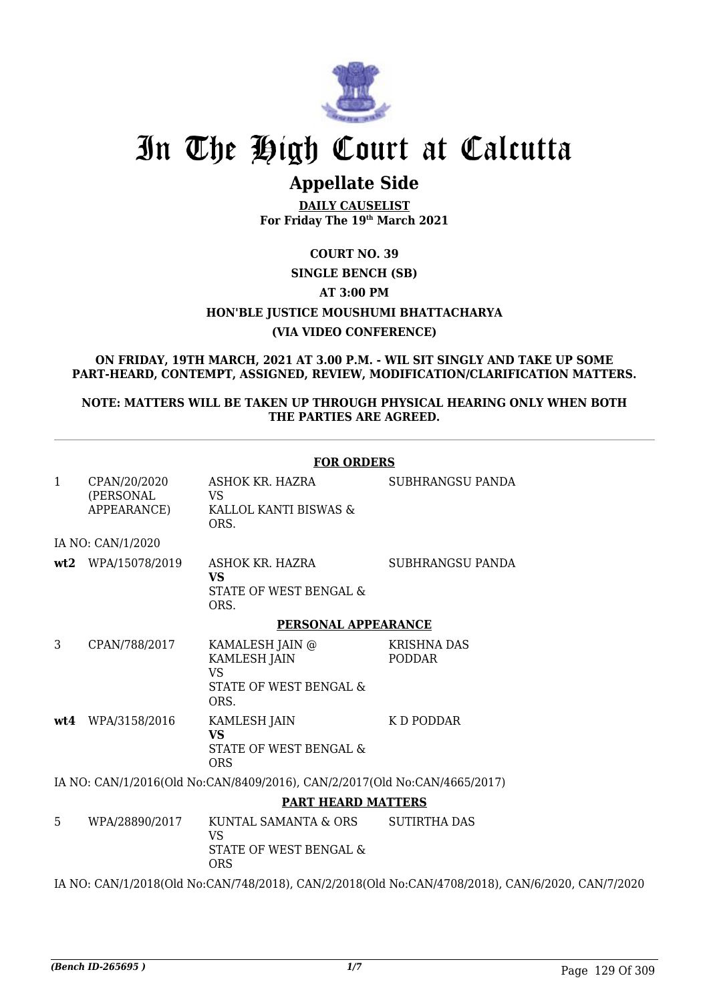

# In The High Court at Calcutta

## **Appellate Side**

**DAILY CAUSELIST For Friday The 19th March 2021**

### **COURT NO. 39 SINGLE BENCH (SB) AT 3:00 PM HON'BLE JUSTICE MOUSHUMI BHATTACHARYA (VIA VIDEO CONFERENCE)**

**ON FRIDAY, 19TH MARCH, 2021 AT 3.00 P.M. - WIL SIT SINGLY AND TAKE UP SOME PART-HEARD, CONTEMPT, ASSIGNED, REVIEW, MODIFICATION/CLARIFICATION MATTERS.**

#### **NOTE: MATTERS WILL BE TAKEN UP THROUGH PHYSICAL HEARING ONLY WHEN BOTH THE PARTIES ARE AGREED.**

|              |                                          | <b>FOR ORDERS</b>                                                                     |                                                                                                  |
|--------------|------------------------------------------|---------------------------------------------------------------------------------------|--------------------------------------------------------------------------------------------------|
| $\mathbf{1}$ | CPAN/20/2020<br>(PERSONAL<br>APPEARANCE) | ASHOK KR. HAZRA<br>VS<br>KALLOL KANTI BISWAS &<br>ORS.                                | SUBHRANGSU PANDA                                                                                 |
|              | IA NO: CAN/1/2020                        |                                                                                       |                                                                                                  |
|              | wt2 WPA/15078/2019                       | ASHOK KR. HAZRA<br><b>VS</b><br>STATE OF WEST BENGAL &<br>ORS.                        | <b>SUBHRANGSU PANDA</b>                                                                          |
|              |                                          | PERSONAL APPEARANCE                                                                   |                                                                                                  |
| 3            | CPAN/788/2017                            | KAMALESH JAIN @<br><b>KAMLESH JAIN</b><br><b>VS</b><br>STATE OF WEST BENGAL &<br>ORS. | <b>KRISHNA DAS</b><br>PODDAR                                                                     |
|              | wt4 WPA/3158/2016                        | <b>KAMLESH JAIN</b><br><b>VS</b><br>STATE OF WEST BENGAL &<br><b>ORS</b>              | K D PODDAR                                                                                       |
|              |                                          | IA NO: CAN/1/2016(Old No:CAN/8409/2016), CAN/2/2017(Old No:CAN/4665/2017)             |                                                                                                  |
|              |                                          | <b>PART HEARD MATTERS</b>                                                             |                                                                                                  |
| 5            | WPA/28890/2017                           | KUNTAL SAMANTA & ORS<br><b>VS</b><br>STATE OF WEST BENGAL &<br><b>ORS</b>             | <b>SUTIRTHA DAS</b>                                                                              |
|              |                                          |                                                                                       | IA NO: CAN/1/2018(Old No:CAN/748/2018), CAN/2/2018(Old No:CAN/4708/2018), CAN/6/2020, CAN/7/2020 |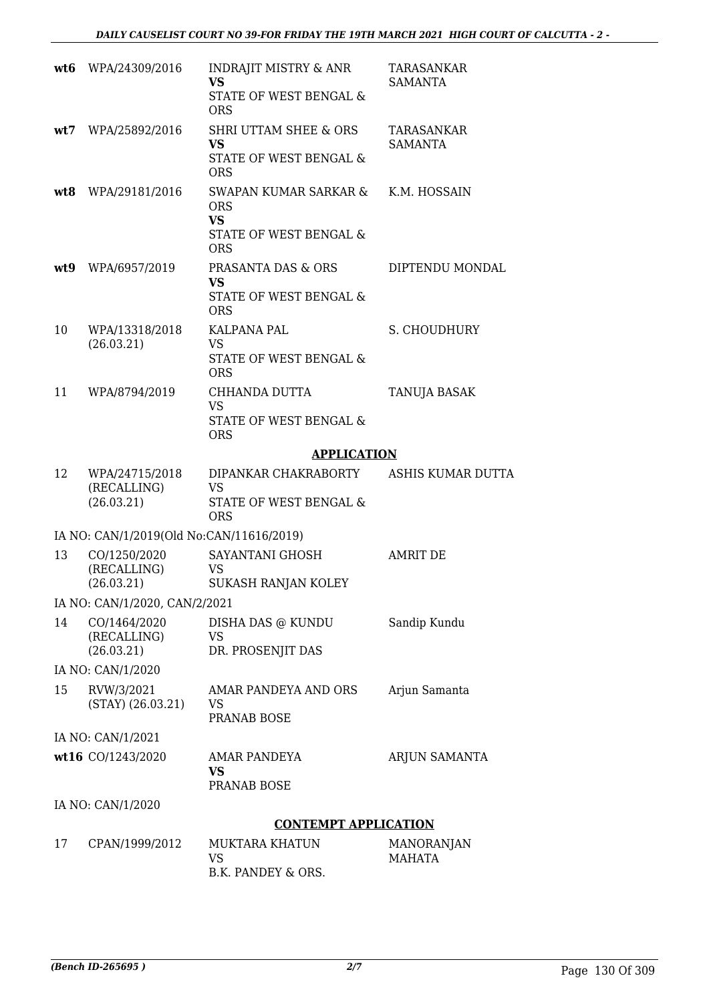| wt6 | WPA/24309/2016                              | <b>INDRAJIT MISTRY &amp; ANR</b><br><b>VS</b><br>STATE OF WEST BENGAL &<br><b>ORS</b> | <b>TARASANKAR</b><br><b>SAMANTA</b> |
|-----|---------------------------------------------|---------------------------------------------------------------------------------------|-------------------------------------|
| wt7 | WPA/25892/2016                              | <b>SHRI UTTAM SHEE &amp; ORS</b><br><b>VS</b><br>STATE OF WEST BENGAL &<br><b>ORS</b> | TARASANKAR<br><b>SAMANTA</b>        |
|     | wt8 WPA/29181/2016                          | SWAPAN KUMAR SARKAR &<br><b>ORS</b><br><b>VS</b><br>STATE OF WEST BENGAL &            | K.M. HOSSAIN                        |
| wt9 | WPA/6957/2019                               | <b>ORS</b><br>PRASANTA DAS & ORS<br><b>VS</b><br>STATE OF WEST BENGAL &<br><b>ORS</b> | DIPTENDU MONDAL                     |
| 10  | WPA/13318/2018<br>(26.03.21)                | KALPANA PAL<br><b>VS</b><br><b>STATE OF WEST BENGAL &amp;</b><br><b>ORS</b>           | S. CHOUDHURY                        |
| 11  | WPA/8794/2019                               | CHHANDA DUTTA<br><b>VS</b><br>STATE OF WEST BENGAL &<br><b>ORS</b>                    | TANUJA BASAK                        |
|     |                                             | <b>APPLICATION</b>                                                                    |                                     |
| 12  | WPA/24715/2018<br>(RECALLING)<br>(26.03.21) | DIPANKAR CHAKRABORTY<br><b>VS</b><br>STATE OF WEST BENGAL &<br><b>ORS</b>             | ASHIS KUMAR DUTTA                   |
|     | IA NO: CAN/1/2019(Old No:CAN/11616/2019)    |                                                                                       |                                     |
| 13  | CO/1250/2020<br>(RECALLING)<br>(26.03.21)   | SAYANTANI GHOSH<br>VS<br>SUKASH RANJAN KOLEY                                          | <b>AMRIT DE</b>                     |
|     | IA NO: CAN/1/2020, CAN/2/2021               |                                                                                       |                                     |
| 14  | CO/1464/2020<br>(RECALLING)<br>(26.03.21)   | DISHA DAS @ KUNDU<br><b>VS</b><br>DR. PROSENJIT DAS                                   | Sandip Kundu                        |
|     | IA NO: CAN/1/2020                           |                                                                                       |                                     |
| 15  | RVW/3/2021<br>$(STAY)$ $(26.03.21)$         | AMAR PANDEYA AND ORS<br><b>VS</b><br><b>PRANAB BOSE</b>                               | Arjun Samanta                       |
|     | IA NO: CAN/1/2021                           |                                                                                       |                                     |
|     | wt16 CO/1243/2020                           | <b>AMAR PANDEYA</b><br><b>VS</b><br>PRANAB BOSE                                       | ARJUN SAMANTA                       |
|     | IA NO: CAN/1/2020                           |                                                                                       |                                     |
|     |                                             | <b>CONTEMPT APPLICATION</b>                                                           |                                     |
| 17  | CPAN/1999/2012                              | <b>MUKTARA KHATUN</b><br>VS<br>B.K. PANDEY & ORS.                                     | <b>MANORANJAN</b><br><b>MAHATA</b>  |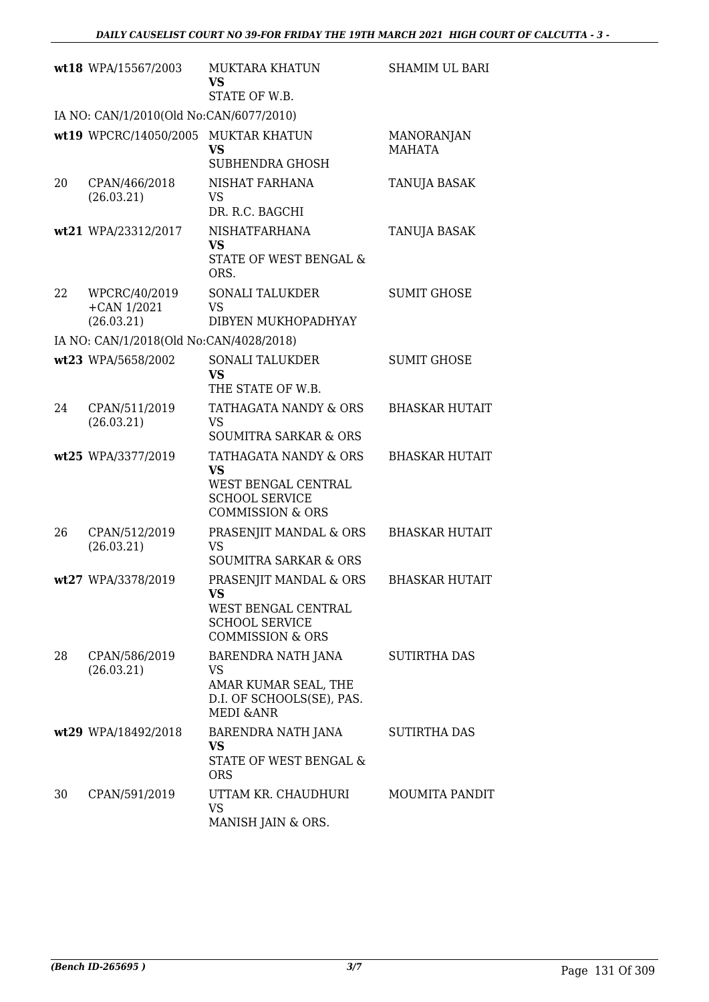|    | wt18 WPA/15567/2003                             | MUKTARA KHATUN<br><b>VS</b><br>STATE OF W.B.                                                                      | <b>SHAMIM UL BARI</b>              |
|----|-------------------------------------------------|-------------------------------------------------------------------------------------------------------------------|------------------------------------|
|    | IA NO: CAN/1/2010(Old No:CAN/6077/2010)         |                                                                                                                   |                                    |
|    | wt19 WPCRC/14050/2005 MUKTAR KHATUN             | <b>VS</b><br>SUBHENDRA GHOSH                                                                                      | <b>MANORANJAN</b><br><b>MAHATA</b> |
| 20 | CPAN/466/2018<br>(26.03.21)                     | NISHAT FARHANA<br><b>VS</b><br>DR. R.C. BAGCHI                                                                    | TANUJA BASAK                       |
|    | wt21 WPA/23312/2017                             | <b>NISHATFARHANA</b><br><b>VS</b><br>STATE OF WEST BENGAL &<br>ORS.                                               | <b>TANUJA BASAK</b>                |
| 22 | WPCRC/40/2019<br>$+$ CAN $1/2021$<br>(26.03.21) | <b>SONALI TALUKDER</b><br><b>VS</b><br>DIBYEN MUKHOPADHYAY                                                        | <b>SUMIT GHOSE</b>                 |
|    | IA NO: CAN/1/2018(Old No:CAN/4028/2018)         |                                                                                                                   |                                    |
|    | wt23 WPA/5658/2002                              | <b>SONALI TALUKDER</b><br><b>VS</b><br>THE STATE OF W.B.                                                          | <b>SUMIT GHOSE</b>                 |
| 24 | CPAN/511/2019<br>(26.03.21)                     | TATHAGATA NANDY & ORS<br><b>VS</b><br><b>SOUMITRA SARKAR &amp; ORS</b>                                            | <b>BHASKAR HUTAIT</b>              |
|    | wt25 WPA/3377/2019                              | TATHAGATA NANDY & ORS<br><b>VS</b><br>WEST BENGAL CENTRAL<br><b>SCHOOL SERVICE</b><br><b>COMMISSION &amp; ORS</b> | <b>BHASKAR HUTAIT</b>              |
| 26 | CPAN/512/2019<br>(26.03.21)                     | PRASENJIT MANDAL & ORS<br><b>VS</b><br><b>SOUMITRA SARKAR &amp; ORS</b>                                           | <b>BHASKAR HUTAIT</b>              |
|    | wt27 WPA/3378/2019                              | PRASENJIT MANDAL & ORS<br>vэ<br>WEST BENGAL CENTRAL<br><b>SCHOOL SERVICE</b><br><b>COMMISSION &amp; ORS</b>       | <b>BHASKAR HUTAIT</b>              |
| 28 | CPAN/586/2019<br>(26.03.21)                     | BARENDRA NATH JANA<br><b>VS</b><br>AMAR KUMAR SEAL, THE<br>D.I. OF SCHOOLS(SE), PAS.<br><b>MEDI &amp;ANR</b>      | <b>SUTIRTHA DAS</b>                |
|    | wt29 WPA/18492/2018                             | BARENDRA NATH JANA<br><b>VS</b><br>STATE OF WEST BENGAL &<br><b>ORS</b>                                           | <b>SUTIRTHA DAS</b>                |
| 30 | CPAN/591/2019                                   | UTTAM KR. CHAUDHURI<br>VS<br>MANISH JAIN & ORS.                                                                   | MOUMITA PANDIT                     |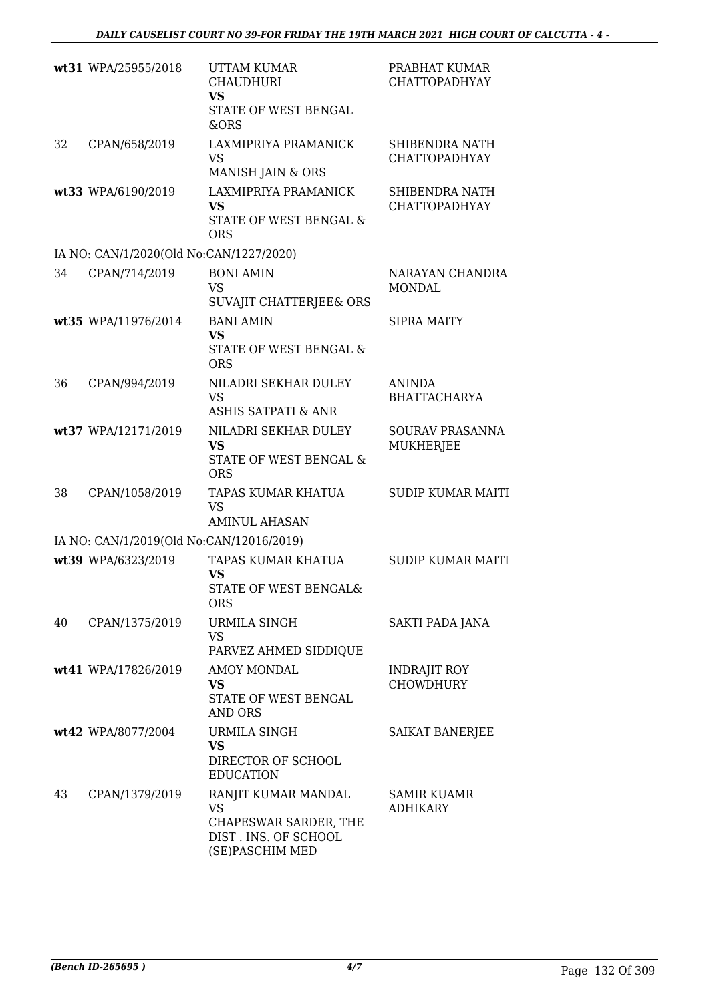|    | wt31 WPA/25955/2018                      | <b>UTTAM KUMAR</b><br><b>CHAUDHURI</b><br><b>VS</b><br>STATE OF WEST BENGAL<br>&ORS                  | PRABHAT KUMAR<br><b>CHATTOPADHYAY</b>   |
|----|------------------------------------------|------------------------------------------------------------------------------------------------------|-----------------------------------------|
| 32 | CPAN/658/2019                            | LAXMIPRIYA PRAMANICK<br><b>VS</b><br>MANISH JAIN & ORS                                               | SHIBENDRA NATH<br><b>CHATTOPADHYAY</b>  |
|    | wt33 WPA/6190/2019                       | LAXMIPRIYA PRAMANICK<br><b>VS</b><br><b>STATE OF WEST BENGAL &amp;</b><br><b>ORS</b>                 | SHIBENDRA NATH<br><b>CHATTOPADHYAY</b>  |
|    | IA NO: CAN/1/2020(Old No:CAN/1227/2020)  |                                                                                                      |                                         |
| 34 | CPAN/714/2019                            | <b>BONI AMIN</b><br><b>VS</b><br>SUVAJIT CHATTERJEE& ORS                                             | NARAYAN CHANDRA<br><b>MONDAL</b>        |
|    | wt35 WPA/11976/2014                      | <b>BANI AMIN</b><br><b>VS</b><br>STATE OF WEST BENGAL &<br><b>ORS</b>                                | <b>SIPRA MAITY</b>                      |
| 36 | CPAN/994/2019                            | NILADRI SEKHAR DULEY<br><b>VS</b><br><b>ASHIS SATPATI &amp; ANR</b>                                  | <b>ANINDA</b><br><b>BHATTACHARYA</b>    |
|    | wt37 WPA/12171/2019                      | NILADRI SEKHAR DULEY<br><b>VS</b><br>STATE OF WEST BENGAL &<br><b>ORS</b>                            | SOURAV PRASANNA<br><b>MUKHERJEE</b>     |
| 38 | CPAN/1058/2019                           | TAPAS KUMAR KHATUA<br>VS<br><b>AMINUL AHASAN</b>                                                     | <b>SUDIP KUMAR MAITI</b>                |
|    | IA NO: CAN/1/2019(Old No:CAN/12016/2019) |                                                                                                      |                                         |
|    | wt39 WPA/6323/2019                       | TAPAS KUMAR KHATUA<br><b>VS</b><br>STATE OF WEST BENGAL&<br><b>ORS</b>                               | <b>SUDIP KUMAR MAITI</b>                |
| 40 | CPAN/1375/2019                           | <b>URMILA SINGH</b><br><b>VS</b><br>PARVEZ AHMED SIDDIQUE                                            | SAKTI PADA JANA                         |
|    | wt41 WPA/17826/2019                      | <b>AMOY MONDAL</b><br><b>VS</b><br>STATE OF WEST BENGAL<br><b>AND ORS</b>                            | <b>INDRAJIT ROY</b><br><b>CHOWDHURY</b> |
|    | wt42 WPA/8077/2004                       | URMILA SINGH<br>VS<br>DIRECTOR OF SCHOOL<br><b>EDUCATION</b>                                         | SAIKAT BANERJEE                         |
| 43 | CPAN/1379/2019                           | RANJIT KUMAR MANDAL<br><b>VS</b><br>CHAPESWAR SARDER, THE<br>DIST. INS. OF SCHOOL<br>(SE)PASCHIM MED | <b>SAMIR KUAMR</b><br><b>ADHIKARY</b>   |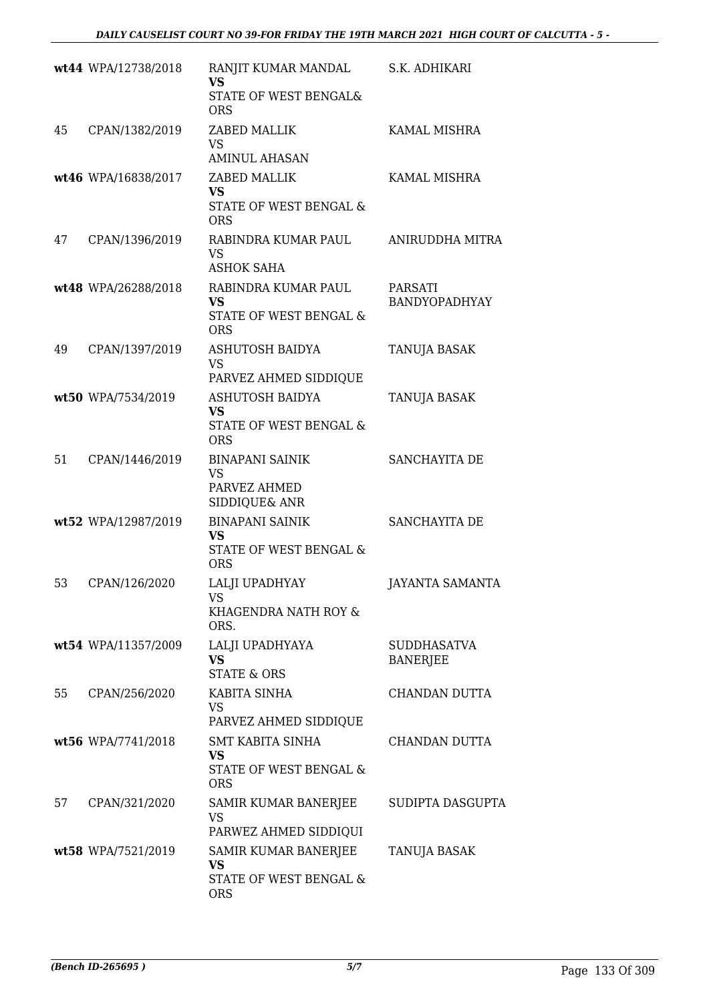|    | wt44 WPA/12738/2018 | RANJIT KUMAR MANDAL<br><b>VS</b><br>STATE OF WEST BENGAL&<br><b>ORS</b>   | S.K. ADHIKARI                          |
|----|---------------------|---------------------------------------------------------------------------|----------------------------------------|
| 45 | CPAN/1382/2019      | ZABED MALLIK<br><b>VS</b><br><b>AMINUL AHASAN</b>                         | KAMAL MISHRA                           |
|    | wt46 WPA/16838/2017 | ZABED MALLIK<br><b>VS</b><br>STATE OF WEST BENGAL &<br><b>ORS</b>         | <b>KAMAL MISHRA</b>                    |
| 47 | CPAN/1396/2019      | RABINDRA KUMAR PAUL<br>VS<br>ASHOK SAHA                                   | ANIRUDDHA MITRA                        |
|    | wt48 WPA/26288/2018 | RABINDRA KUMAR PAUL<br><b>VS</b><br>STATE OF WEST BENGAL &<br><b>ORS</b>  | <b>PARSATI</b><br><b>BANDYOPADHYAY</b> |
| 49 | CPAN/1397/2019      | ASHUTOSH BAIDYA<br><b>VS</b><br>PARVEZ AHMED SIDDIQUE                     | TANUJA BASAK                           |
|    | wt50 WPA/7534/2019  | ASHUTOSH BAIDYA<br><b>VS</b><br>STATE OF WEST BENGAL &<br><b>ORS</b>      | TANUJA BASAK                           |
| 51 | CPAN/1446/2019      | <b>BINAPANI SAINIK</b><br><b>VS</b><br>PARVEZ AHMED<br>SIDDIQUE& ANR      | SANCHAYITA DE                          |
|    | wt52 WPA/12987/2019 | <b>BINAPANI SAINIK</b><br>VS<br>STATE OF WEST BENGAL &<br><b>ORS</b>      | <b>SANCHAYITA DE</b>                   |
| 53 | CPAN/126/2020       | LALJI UPADHYAY<br>VS<br>KHAGENDRA NATH ROY &<br>ORS.                      | <b>JAYANTA SAMANTA</b>                 |
|    | wt54 WPA/11357/2009 | LALJI UPADHYAYA<br><b>VS</b><br><b>STATE &amp; ORS</b>                    | <b>SUDDHASATVA</b><br><b>BANERJEE</b>  |
| 55 | CPAN/256/2020       | KABITA SINHA<br>VS<br>PARVEZ AHMED SIDDIQUE                               | <b>CHANDAN DUTTA</b>                   |
|    | wt56 WPA/7741/2018  | <b>SMT KABITA SINHA</b><br>VS<br>STATE OF WEST BENGAL &<br><b>ORS</b>     | CHANDAN DUTTA                          |
| 57 | CPAN/321/2020       | SAMIR KUMAR BANERJEE<br>VS<br>PARWEZ AHMED SIDDIQUI                       | SUDIPTA DASGUPTA                       |
|    | wt58 WPA/7521/2019  | SAMIR KUMAR BANERJEE<br><b>VS</b><br>STATE OF WEST BENGAL &<br><b>ORS</b> | TANUJA BASAK                           |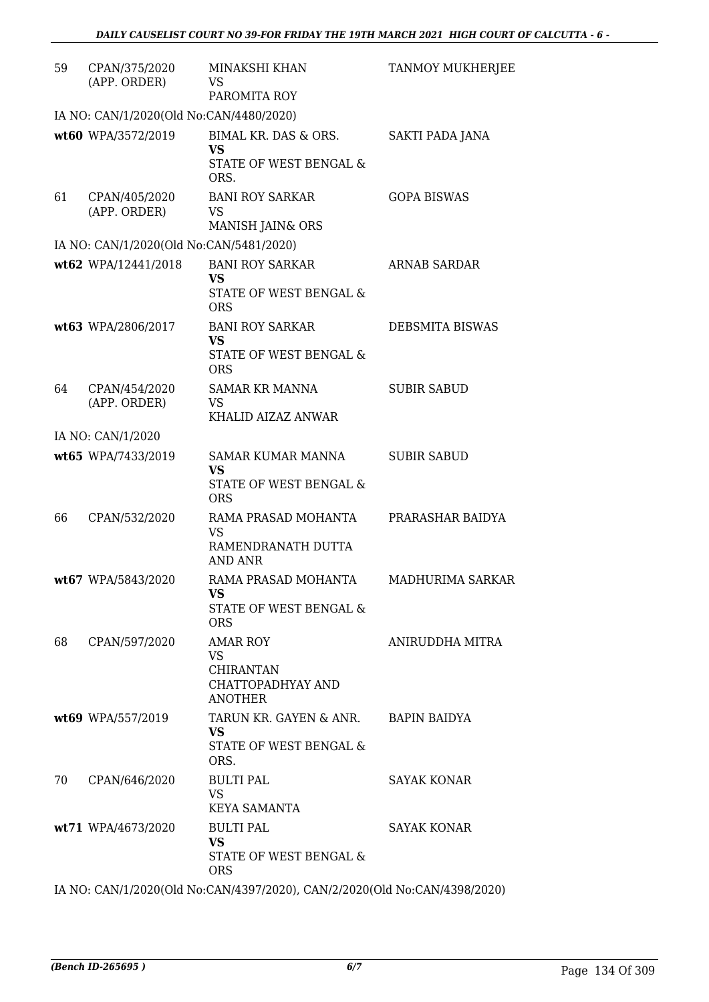| 59 | CPAN/375/2020<br>(APP. ORDER)           | MINAKSHI KHAN<br>VS.<br>PAROMITA ROY                                             | <b>TANMOY MUKHERJEE</b> |
|----|-----------------------------------------|----------------------------------------------------------------------------------|-------------------------|
|    | IA NO: CAN/1/2020(Old No:CAN/4480/2020) |                                                                                  |                         |
|    | wt60 WPA/3572/2019                      | BIMAL KR. DAS & ORS.<br><b>VS</b><br>STATE OF WEST BENGAL &<br>ORS.              | SAKTI PADA JANA         |
| 61 | CPAN/405/2020<br>(APP. ORDER)           | <b>BANI ROY SARKAR</b><br>VS<br>MANISH JAIN& ORS                                 | <b>GOPA BISWAS</b>      |
|    | IA NO: CAN/1/2020(Old No:CAN/5481/2020) |                                                                                  |                         |
|    | wt62 WPA/12441/2018                     | <b>BANI ROY SARKAR</b><br>VS<br>STATE OF WEST BENGAL &<br><b>ORS</b>             | ARNAB SARDAR            |
|    | wt63 WPA/2806/2017                      | <b>BANI ROY SARKAR</b><br>VS<br>STATE OF WEST BENGAL &<br><b>ORS</b>             | DEBSMITA BISWAS         |
| 64 | CPAN/454/2020<br>(APP. ORDER)           | <b>SAMAR KR MANNA</b><br><b>VS</b><br>KHALID AIZAZ ANWAR                         | <b>SUBIR SABUD</b>      |
|    | IA NO: CAN/1/2020                       |                                                                                  |                         |
|    | wt65 WPA/7433/2019                      | <b>SAMAR KUMAR MANNA</b><br><b>VS</b><br>STATE OF WEST BENGAL &<br><b>ORS</b>    | <b>SUBIR SABUD</b>      |
| 66 | CPAN/532/2020                           | RAMA PRASAD MOHANTA<br><b>VS</b><br>RAMENDRANATH DUTTA<br>AND ANR                | PRARASHAR BAIDYA        |
|    | wt67 WPA/5843/2020                      | RAMA PRASAD MOHANTA<br>VS<br>STATE OF WEST BENGAL &<br><b>ORS</b>                | MADHURIMA SARKAR        |
| 68 | CPAN/597/2020                           | AMAR ROY<br><b>VS</b><br><b>CHIRANTAN</b><br>CHATTOPADHYAY AND<br><b>ANOTHER</b> | ANIRUDDHA MITRA         |
|    | wt69 WPA/557/2019                       | TARUN KR. GAYEN & ANR.<br><b>VS</b><br>STATE OF WEST BENGAL &<br>ORS.            | <b>BAPIN BAIDYA</b>     |
| 70 | CPAN/646/2020                           | <b>BULTI PAL</b><br><b>VS</b><br>KEYA SAMANTA                                    | <b>SAYAK KONAR</b>      |
|    | wt71 WPA/4673/2020                      | <b>BULTI PAL</b><br><b>VS</b><br>STATE OF WEST BENGAL &<br><b>ORS</b>            | <b>SAYAK KONAR</b>      |

IA NO: CAN/1/2020(Old No:CAN/4397/2020), CAN/2/2020(Old No:CAN/4398/2020)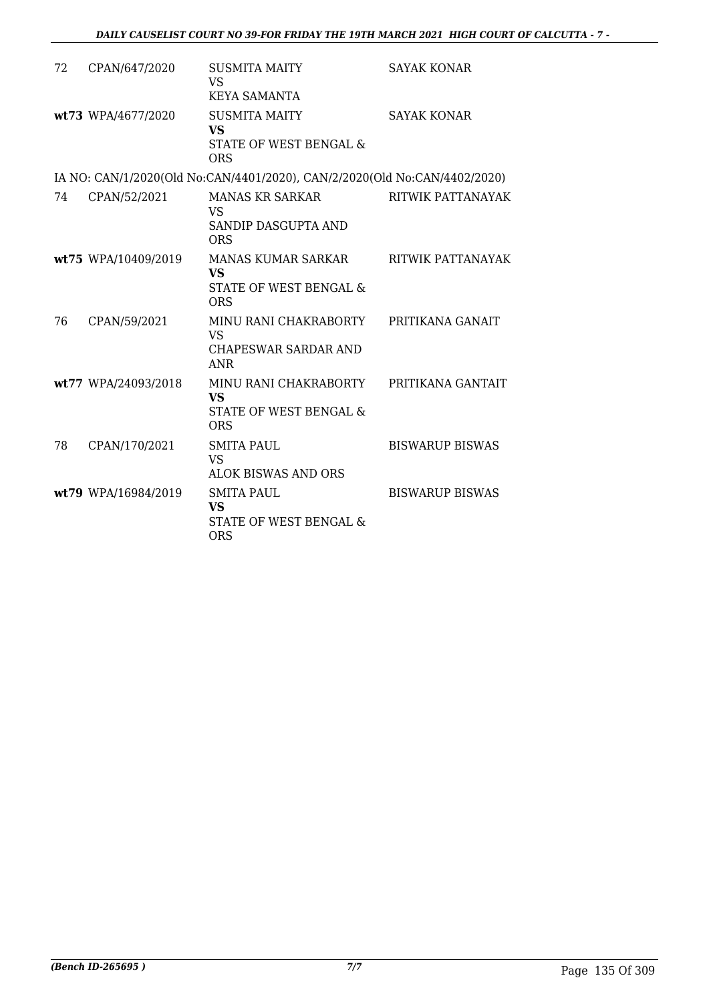| 72 | CPAN/647/2020       | <b>SUSMITA MAITY</b><br><b>VS</b><br><b>KEYA SAMANTA</b>                                                | <b>SAYAK KONAR</b>     |
|----|---------------------|---------------------------------------------------------------------------------------------------------|------------------------|
|    | wt73 WPA/4677/2020  | <b>SUSMITA MAITY</b><br><b>VS</b><br>STATE OF WEST BENGAL &<br><b>ORS</b>                               | <b>SAYAK KONAR</b>     |
|    |                     | IA NO: CAN/1/2020(Old No:CAN/4401/2020), CAN/2/2020(Old No:CAN/4402/2020)                               |                        |
| 74 | CPAN/52/2021        | <b>MANAS KR SARKAR</b><br><b>VS</b><br>SANDIP DASGUPTA AND<br><b>ORS</b>                                | RITWIK PATTANAYAK      |
|    | wt75 WPA/10409/2019 | MANAS KUMAR SARKAR<br><b>VS</b><br>STATE OF WEST BENGAL &<br><b>ORS</b>                                 | RITWIK PATTANAYAK      |
| 76 | CPAN/59/2021        | MINU RANI CHAKRABORTY<br><b>VS</b><br><b>CHAPESWAR SARDAR AND</b><br><b>ANR</b>                         | PRITIKANA GANAIT       |
|    | wt77 WPA/24093/2018 | MINU RANI CHAKRABORTY PRITIKANA GANTAIT<br><b>VS</b><br><b>STATE OF WEST BENGAL &amp;</b><br><b>ORS</b> |                        |
| 78 | CPAN/170/2021       | <b>SMITA PAUL</b><br><b>VS</b><br><b>ALOK BISWAS AND ORS</b>                                            | <b>BISWARUP BISWAS</b> |
|    | wt79 WPA/16984/2019 | <b>SMITA PAUL</b><br><b>VS</b><br><b>STATE OF WEST BENGAL &amp;</b><br><b>ORS</b>                       | <b>BISWARUP BISWAS</b> |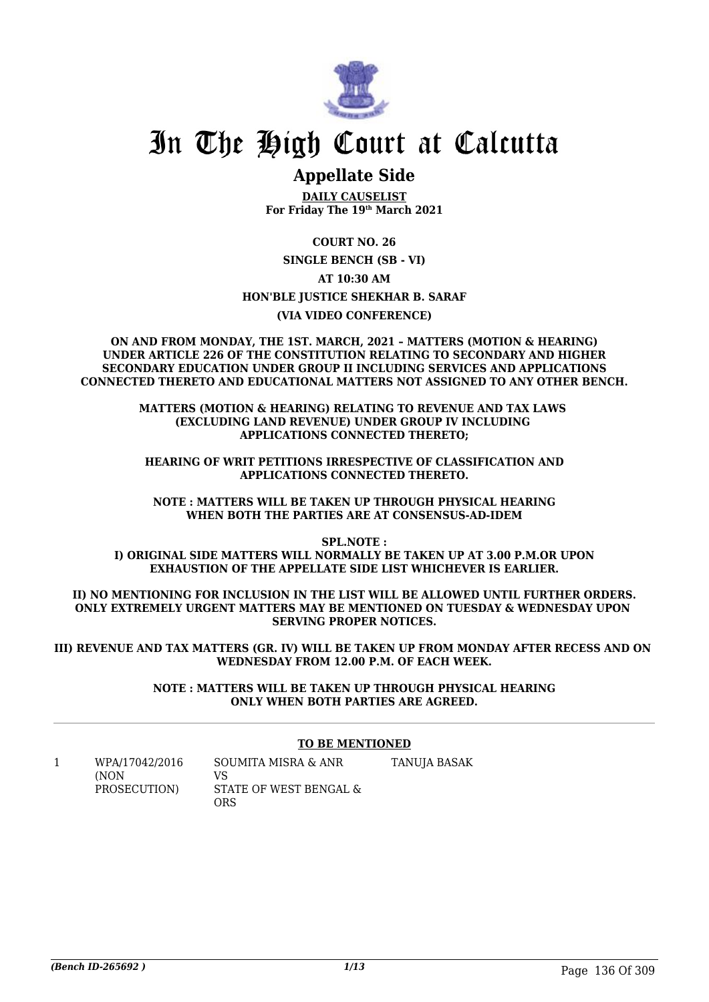

## In The High Court at Calcutta

### **Appellate Side**

**DAILY CAUSELIST For Friday The 19th March 2021**

**COURT NO. 26 SINGLE BENCH (SB - VI) AT 10:30 AM HON'BLE JUSTICE SHEKHAR B. SARAF (VIA VIDEO CONFERENCE)**

**ON AND FROM MONDAY, THE 1ST. MARCH, 2021 – MATTERS (MOTION & HEARING) UNDER ARTICLE 226 OF THE CONSTITUTION RELATING TO SECONDARY AND HIGHER SECONDARY EDUCATION UNDER GROUP II INCLUDING SERVICES AND APPLICATIONS CONNECTED THERETO AND EDUCATIONAL MATTERS NOT ASSIGNED TO ANY OTHER BENCH.**

> **MATTERS (MOTION & HEARING) RELATING TO REVENUE AND TAX LAWS (EXCLUDING LAND REVENUE) UNDER GROUP IV INCLUDING APPLICATIONS CONNECTED THERETO;**

**HEARING OF WRIT PETITIONS IRRESPECTIVE OF CLASSIFICATION AND APPLICATIONS CONNECTED THERETO.**

**NOTE : MATTERS WILL BE TAKEN UP THROUGH PHYSICAL HEARING WHEN BOTH THE PARTIES ARE AT CONSENSUS-AD-IDEM**

**SPL.NOTE : I) ORIGINAL SIDE MATTERS WILL NORMALLY BE TAKEN UP AT 3.00 P.M.OR UPON EXHAUSTION OF THE APPELLATE SIDE LIST WHICHEVER IS EARLIER.**

**II) NO MENTIONING FOR INCLUSION IN THE LIST WILL BE ALLOWED UNTIL FURTHER ORDERS. ONLY EXTREMELY URGENT MATTERS MAY BE MENTIONED ON TUESDAY & WEDNESDAY UPON SERVING PROPER NOTICES.**

**III) REVENUE AND TAX MATTERS (GR. IV) WILL BE TAKEN UP FROM MONDAY AFTER RECESS AND ON WEDNESDAY FROM 12.00 P.M. OF EACH WEEK.**

> **NOTE : MATTERS WILL BE TAKEN UP THROUGH PHYSICAL HEARING ONLY WHEN BOTH PARTIES ARE AGREED.**

#### **TO BE MENTIONED**

1 WPA/17042/2016 (NON PROSECUTION) SOUMITA MISRA & ANR VS STATE OF WEST BENGAL & ORS TANUJA BASAK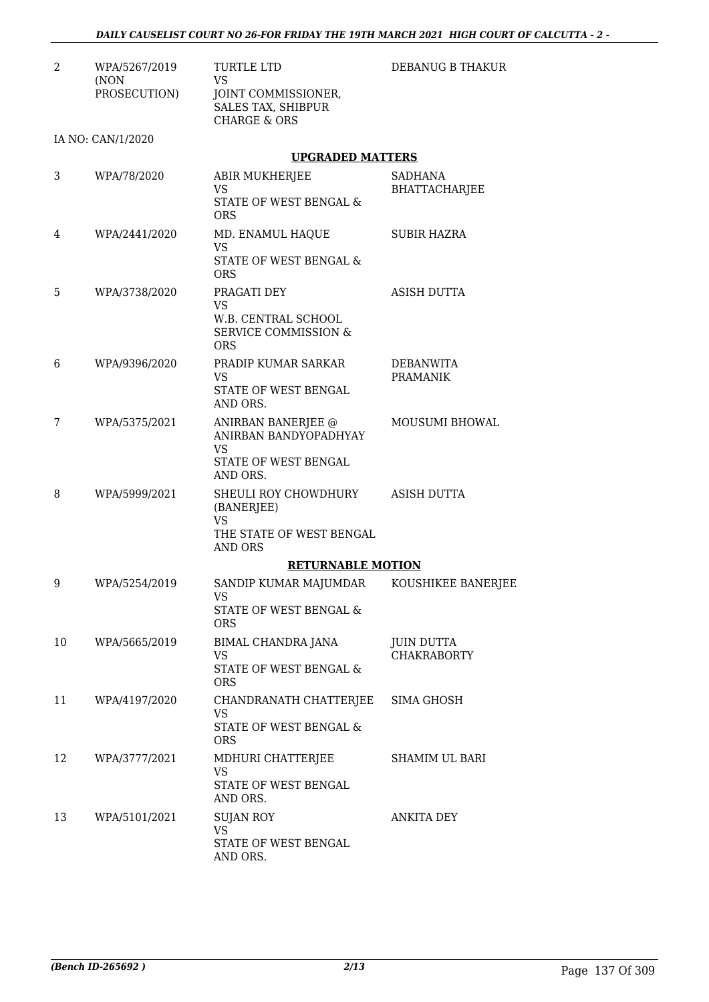| 2  | WPA/5267/2019<br>(NON | <b>TURTLE LTD</b><br><b>VS</b>                                                                | DEBANUG B THAKUR                       |
|----|-----------------------|-----------------------------------------------------------------------------------------------|----------------------------------------|
|    | PROSECUTION)          | JOINT COMMISSIONER,<br>SALES TAX, SHIBPUR<br><b>CHARGE &amp; ORS</b>                          |                                        |
|    | IA NO: CAN/1/2020     |                                                                                               |                                        |
|    |                       | <b>UPGRADED MATTERS</b>                                                                       |                                        |
| 3  | WPA/78/2020           | ABIR MUKHERJEE<br><b>VS</b>                                                                   | <b>SADHANA</b><br><b>BHATTACHARJEE</b> |
|    |                       | STATE OF WEST BENGAL &<br><b>ORS</b>                                                          |                                        |
| 4  | WPA/2441/2020         | MD. ENAMUL HAQUE<br><b>VS</b>                                                                 | SUBIR HAZRA                            |
|    |                       | STATE OF WEST BENGAL &<br><b>ORS</b>                                                          |                                        |
| 5  | WPA/3738/2020         | PRAGATI DEY<br><b>VS</b>                                                                      | <b>ASISH DUTTA</b>                     |
|    |                       | W.B. CENTRAL SCHOOL<br><b>SERVICE COMMISSION &amp;</b><br><b>ORS</b>                          |                                        |
| 6  | WPA/9396/2020         | PRADIP KUMAR SARKAR<br><b>VS</b>                                                              | DEBANWITA<br><b>PRAMANIK</b>           |
|    |                       | STATE OF WEST BENGAL<br>AND ORS.                                                              |                                        |
| 7  | WPA/5375/2021         | ANIRBAN BANERJEE @<br>ANIRBAN BANDYOPADHYAY<br><b>VS</b><br>STATE OF WEST BENGAL<br>AND ORS.  | MOUSUMI BHOWAL                         |
| 8  | WPA/5999/2021         | SHEULI ROY CHOWDHURY<br>(BANERJEE)<br><b>VS</b><br>THE STATE OF WEST BENGAL<br><b>AND ORS</b> | ASISH DUTTA                            |
|    |                       | <b>RETURNABLE MOTION</b>                                                                      |                                        |
| 9  | WPA/5254/2019         | SANDIP KUMAR MAJUMDAR<br>VS                                                                   | KOUSHIKEE BANERJEE                     |
|    |                       | STATE OF WEST BENGAL &<br>ORS                                                                 |                                        |
| 10 | WPA/5665/2019         | BIMAL CHANDRA JANA<br><b>VS</b>                                                               | JUIN DUTTA<br><b>CHAKRABORTY</b>       |
|    |                       | <b>STATE OF WEST BENGAL &amp;</b><br><b>ORS</b>                                               |                                        |
| 11 | WPA/4197/2020         | CHANDRANATH CHATTERJEE<br><b>VS</b>                                                           | SIMA GHOSH                             |
|    |                       | STATE OF WEST BENGAL &<br><b>ORS</b>                                                          |                                        |
| 12 | WPA/3777/2021         | MDHURI CHATTERJEE<br><b>VS</b><br>STATE OF WEST BENGAL                                        | <b>SHAMIM UL BARI</b>                  |
| 13 | WPA/5101/2021         | AND ORS.<br><b>SUJAN ROY</b>                                                                  | <b>ANKITA DEY</b>                      |
|    |                       | <b>VS</b>                                                                                     |                                        |
|    |                       | STATE OF WEST BENGAL<br>AND ORS.                                                              |                                        |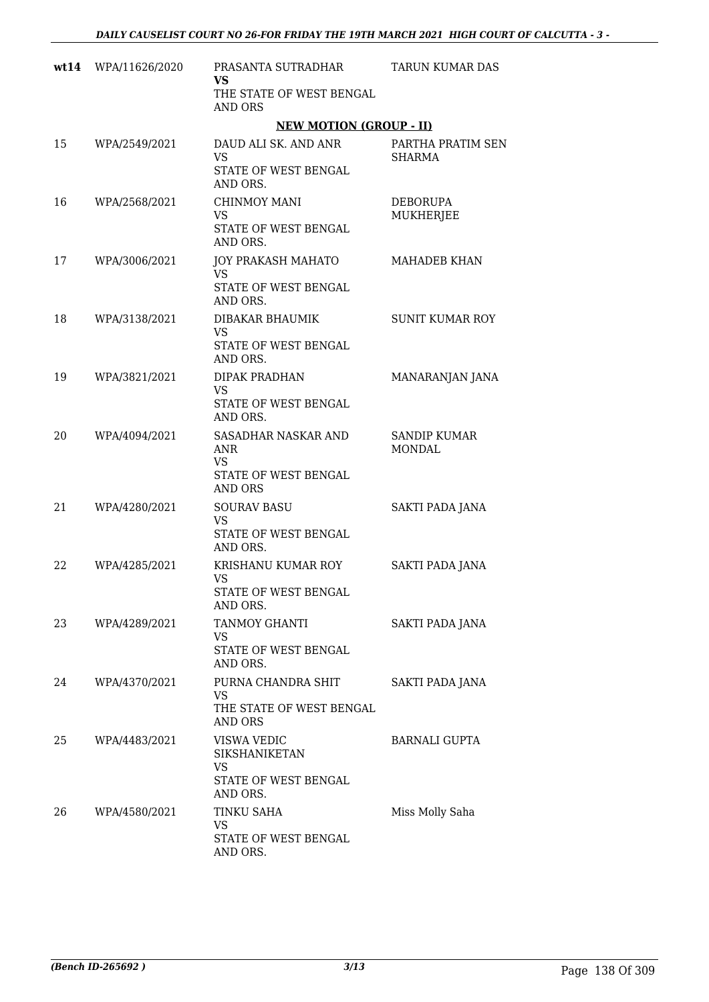| wt14 | WPA/11626/2020 | PRASANTA SUTRADHAR<br><b>VS</b><br>THE STATE OF WEST BENGAL<br><b>AND ORS</b>            | TARUN KUMAR DAS                      |
|------|----------------|------------------------------------------------------------------------------------------|--------------------------------------|
|      |                | <b>NEW MOTION (GROUP - II)</b>                                                           |                                      |
| 15   | WPA/2549/2021  | DAUD ALI SK. AND ANR<br><b>VS</b><br>STATE OF WEST BENGAL<br>AND ORS.                    | PARTHA PRATIM SEN<br><b>SHARMA</b>   |
| 16   | WPA/2568/2021  | <b>CHINMOY MANI</b><br><b>VS</b><br>STATE OF WEST BENGAL<br>AND ORS.                     | <b>DEBORUPA</b><br>MUKHERJEE         |
| 17   | WPA/3006/2021  | JOY PRAKASH MAHATO<br><b>VS</b><br>STATE OF WEST BENGAL<br>AND ORS.                      | <b>MAHADEB KHAN</b>                  |
| 18   | WPA/3138/2021  | DIBAKAR BHAUMIK<br><b>VS</b><br>STATE OF WEST BENGAL<br>AND ORS.                         | <b>SUNIT KUMAR ROY</b>               |
| 19   | WPA/3821/2021  | <b>DIPAK PRADHAN</b><br><b>VS</b><br>STATE OF WEST BENGAL<br>AND ORS.                    | MANARANJAN JANA                      |
| 20   | WPA/4094/2021  | SASADHAR NASKAR AND<br><b>ANR</b><br><b>VS</b><br>STATE OF WEST BENGAL<br><b>AND ORS</b> | <b>SANDIP KUMAR</b><br><b>MONDAL</b> |
| 21   | WPA/4280/2021  | <b>SOURAV BASU</b><br><b>VS</b><br>STATE OF WEST BENGAL<br>AND ORS.                      | SAKTI PADA JANA                      |
| 22   | WPA/4285/2021  | KRISHANU KUMAR ROY<br>VS<br>STATE OF WEST BENGAL<br>AND ORS.                             | SAKTI PADA JANA                      |
| 23   | WPA/4289/2021  | TANMOY GHANTI<br><b>VS</b><br>STATE OF WEST BENGAL<br>AND ORS.                           | SAKTI PADA JANA                      |
| 24   | WPA/4370/2021  | PURNA CHANDRA SHIT<br><b>VS</b><br>THE STATE OF WEST BENGAL<br>AND ORS                   | SAKTI PADA JANA                      |
| 25   | WPA/4483/2021  | VISWA VEDIC<br><b>SIKSHANIKETAN</b><br>VS<br>STATE OF WEST BENGAL<br>AND ORS.            | <b>BARNALI GUPTA</b>                 |
| 26   | WPA/4580/2021  | <b>TINKU SAHA</b><br><b>VS</b><br>STATE OF WEST BENGAL<br>AND ORS.                       | Miss Molly Saha                      |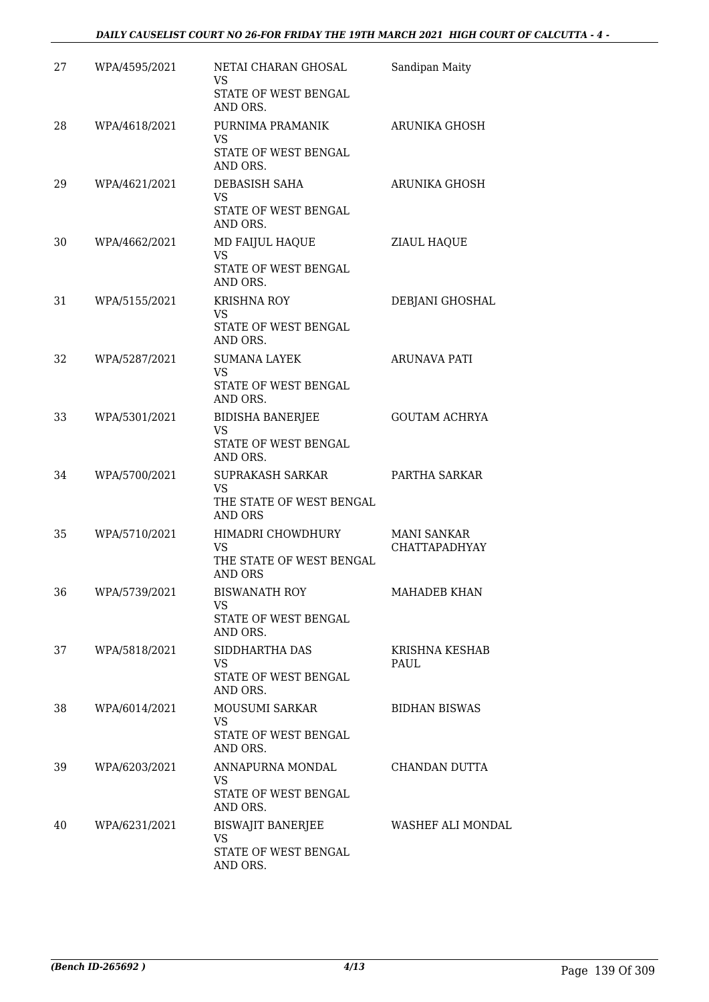| 27 | WPA/4595/2021 | NETAI CHARAN GHOSAL                                                       | Sandipan Maity                             |
|----|---------------|---------------------------------------------------------------------------|--------------------------------------------|
|    |               | <b>VS</b><br>STATE OF WEST BENGAL<br>AND ORS.                             |                                            |
| 28 | WPA/4618/2021 | PURNIMA PRAMANIK<br>VS.<br>STATE OF WEST BENGAL<br>AND ORS.               | ARUNIKA GHOSH                              |
| 29 | WPA/4621/2021 | DEBASISH SAHA<br>VS<br>STATE OF WEST BENGAL<br>AND ORS.                   | ARUNIKA GHOSH                              |
| 30 | WPA/4662/2021 | MD FAIJUL HAQUE<br><b>VS</b><br>STATE OF WEST BENGAL<br>AND ORS.          | <b>ZIAUL HAQUE</b>                         |
| 31 | WPA/5155/2021 | <b>KRISHNA ROY</b><br>VS<br>STATE OF WEST BENGAL<br>AND ORS.              | DEBJANI GHOSHAL                            |
| 32 | WPA/5287/2021 | <b>SUMANA LAYEK</b><br><b>VS</b><br>STATE OF WEST BENGAL<br>AND ORS.      | ARUNAVA PATI                               |
| 33 | WPA/5301/2021 | <b>BIDISHA BANERJEE</b><br><b>VS</b><br>STATE OF WEST BENGAL<br>AND ORS.  | <b>GOUTAM ACHRYA</b>                       |
| 34 | WPA/5700/2021 | SUPRAKASH SARKAR<br><b>VS</b><br>THE STATE OF WEST BENGAL<br>AND ORS      | PARTHA SARKAR                              |
| 35 | WPA/5710/2021 | HIMADRI CHOWDHURY<br>VS<br>THE STATE OF WEST BENGAL<br>AND ORS            | <b>MANI SANKAR</b><br><b>CHATTAPADHYAY</b> |
| 36 | WPA/5739/2021 | <b>BISWANATH ROY</b><br>VS<br>STATE OF WEST BENGAL<br>AND ORS.            | MAHADEB KHAN                               |
| 37 | WPA/5818/2021 | SIDDHARTHA DAS<br>VS<br>STATE OF WEST BENGAL<br>AND ORS.                  | KRISHNA KESHAB<br>PAUL                     |
| 38 | WPA/6014/2021 | <b>MOUSUMI SARKAR</b><br>VS.<br>STATE OF WEST BENGAL<br>AND ORS.          | <b>BIDHAN BISWAS</b>                       |
| 39 | WPA/6203/2021 | ANNAPURNA MONDAL<br><b>VS</b><br>STATE OF WEST BENGAL<br>AND ORS.         | CHANDAN DUTTA                              |
| 40 | WPA/6231/2021 | <b>BISWAJIT BANERJEE</b><br><b>VS</b><br>STATE OF WEST BENGAL<br>AND ORS. | WASHEF ALI MONDAL                          |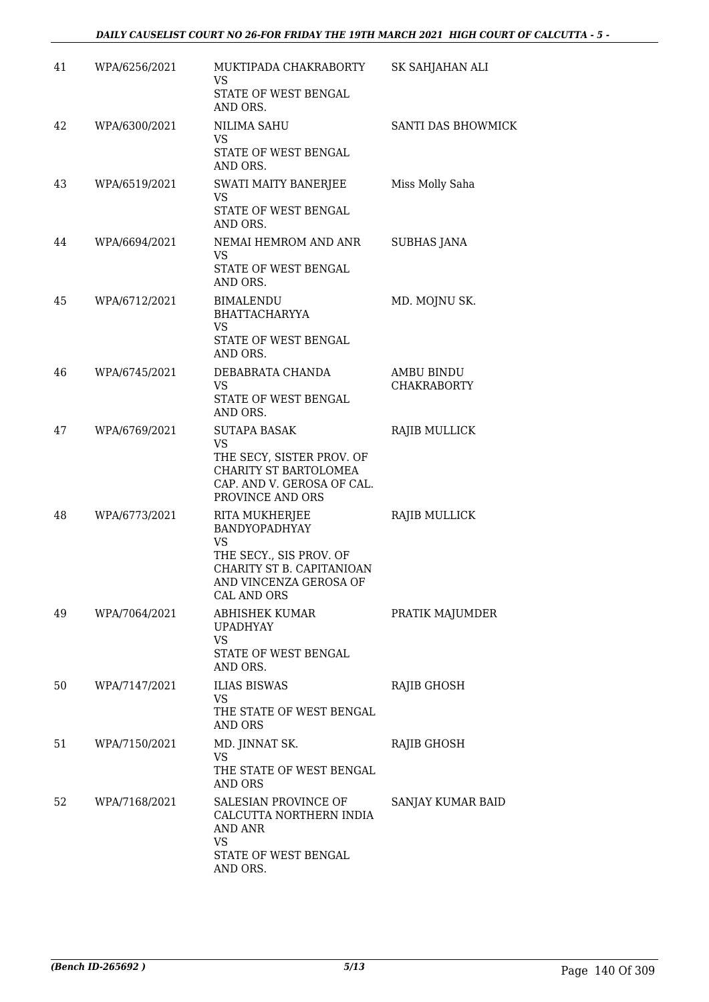| 41 | WPA/6256/2021 | MUKTIPADA CHAKRABORTY<br>VS<br>STATE OF WEST BENGAL                                                                                                  | SK SAHJAHAN ALI                  |
|----|---------------|------------------------------------------------------------------------------------------------------------------------------------------------------|----------------------------------|
| 42 | WPA/6300/2021 | AND ORS.<br>NILIMA SAHU<br><b>VS</b><br>STATE OF WEST BENGAL                                                                                         | SANTI DAS BHOWMICK               |
| 43 | WPA/6519/2021 | AND ORS.<br>SWATI MAITY BANERJEE<br>VS<br>STATE OF WEST BENGAL<br>AND ORS.                                                                           | Miss Molly Saha                  |
| 44 | WPA/6694/2021 | NEMAI HEMROM AND ANR<br>VS.<br>STATE OF WEST BENGAL<br>AND ORS.                                                                                      | <b>SUBHAS JANA</b>               |
| 45 | WPA/6712/2021 | <b>BIMALENDU</b><br><b>BHATTACHARYYA</b><br>VS.<br>STATE OF WEST BENGAL<br>AND ORS.                                                                  | MD. MOJNU SK.                    |
| 46 | WPA/6745/2021 | DEBABRATA CHANDA<br>VS.<br>STATE OF WEST BENGAL<br>AND ORS.                                                                                          | AMBU BINDU<br><b>CHAKRABORTY</b> |
| 47 | WPA/6769/2021 | <b>SUTAPA BASAK</b><br><b>VS</b><br>THE SECY, SISTER PROV. OF<br>CHARITY ST BARTOLOMEA<br>CAP. AND V. GEROSA OF CAL.<br>PROVINCE AND ORS             | RAJIB MULLICK                    |
| 48 | WPA/6773/2021 | RITA MUKHERJEE<br>BANDYOPADHYAY<br><b>VS</b><br>THE SECY., SIS PROV. OF<br>CHARITY ST B. CAPITANIOAN<br>AND VINCENZA GEROSA OF<br><b>CAL AND ORS</b> | RAJIB MULLICK                    |
| 49 | WPA/7064/2021 | ABHISHEK KUMAR<br><b>UPADHYAY</b><br>VS.<br>STATE OF WEST BENGAL<br>AND ORS.                                                                         | PRATIK MAJUMDER                  |
| 50 | WPA/7147/2021 | <b>ILIAS BISWAS</b><br>VS<br>THE STATE OF WEST BENGAL<br><b>AND ORS</b>                                                                              | RAJIB GHOSH                      |
| 51 | WPA/7150/2021 | MD. JINNAT SK.<br><b>VS</b><br>THE STATE OF WEST BENGAL<br><b>AND ORS</b>                                                                            | RAJIB GHOSH                      |
| 52 | WPA/7168/2021 | SALESIAN PROVINCE OF<br>CALCUTTA NORTHERN INDIA<br>AND ANR<br><b>VS</b><br>STATE OF WEST BENGAL<br>AND ORS.                                          | SANJAY KUMAR BAID                |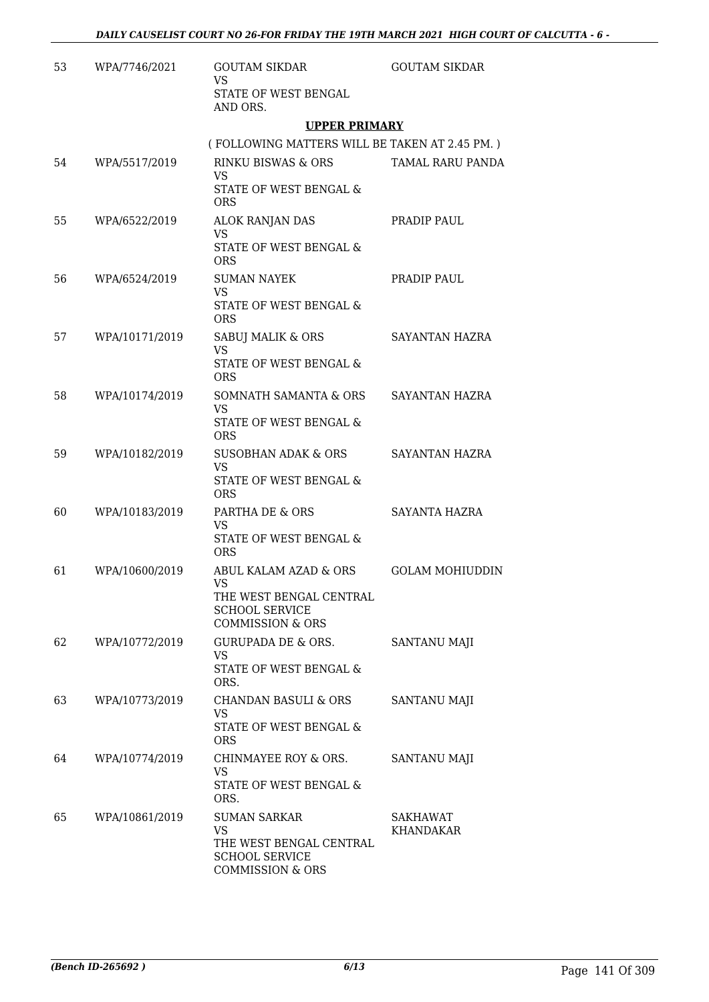| 53 | WPA/7746/2021  | <b>GOUTAM SIKDAR</b><br><b>VS</b>                                                    | <b>GOUTAM SIKDAR</b>         |
|----|----------------|--------------------------------------------------------------------------------------|------------------------------|
|    |                | STATE OF WEST BENGAL<br>AND ORS.                                                     |                              |
|    |                | <b>UPPER PRIMARY</b>                                                                 |                              |
|    |                | (FOLLOWING MATTERS WILL BE TAKEN AT 2.45 PM.)                                        |                              |
| 54 | WPA/5517/2019  | RINKU BISWAS & ORS<br><b>VS</b>                                                      | <b>TAMAL RARU PANDA</b>      |
|    |                | STATE OF WEST BENGAL &<br><b>ORS</b>                                                 |                              |
| 55 | WPA/6522/2019  | ALOK RANJAN DAS<br><b>VS</b><br>STATE OF WEST BENGAL &                               | PRADIP PAUL                  |
|    |                | <b>ORS</b>                                                                           |                              |
| 56 | WPA/6524/2019  | <b>SUMAN NAYEK</b><br><b>VS</b>                                                      | PRADIP PAUL                  |
|    |                | STATE OF WEST BENGAL &<br><b>ORS</b>                                                 |                              |
| 57 | WPA/10171/2019 | SABUJ MALIK & ORS<br><b>VS</b>                                                       | SAYANTAN HAZRA               |
|    |                | STATE OF WEST BENGAL &<br>ORS.                                                       |                              |
| 58 | WPA/10174/2019 | SOMNATH SAMANTA & ORS<br><b>VS</b>                                                   | SAYANTAN HAZRA               |
|    |                | STATE OF WEST BENGAL &<br><b>ORS</b>                                                 |                              |
| 59 | WPA/10182/2019 | SUSOBHAN ADAK & ORS<br><b>VS</b>                                                     | SAYANTAN HAZRA               |
|    |                | STATE OF WEST BENGAL &<br><b>ORS</b>                                                 |                              |
| 60 | WPA/10183/2019 | PARTHA DE & ORS<br><b>VS</b>                                                         | SAYANTA HAZRA                |
|    |                | STATE OF WEST BENGAL &<br><b>ORS</b>                                                 |                              |
| 61 | WPA/10600/2019 | ABUL KALAM AZAD & ORS<br><b>VS</b>                                                   | <b>GOLAM MOHIUDDIN</b>       |
|    |                | THE WEST BENGAL CENTRAL<br><b>SCHOOL SERVICE</b><br><b>COMMISSION &amp; ORS</b>      |                              |
| 62 | WPA/10772/2019 | GURUPADA DE & ORS.<br><b>VS</b>                                                      | SANTANU MAJI                 |
|    |                | STATE OF WEST BENGAL &<br>ORS.                                                       |                              |
| 63 | WPA/10773/2019 | <b>CHANDAN BASULI &amp; ORS</b><br><b>VS</b>                                         | SANTANU MAJI                 |
|    |                | STATE OF WEST BENGAL &<br><b>ORS</b>                                                 |                              |
| 64 | WPA/10774/2019 | CHINMAYEE ROY & ORS.<br><b>VS</b>                                                    | <b>SANTANU MAJI</b>          |
|    |                | STATE OF WEST BENGAL &<br>ORS.                                                       |                              |
| 65 | WPA/10861/2019 | <b>SUMAN SARKAR</b><br><b>VS</b><br>THE WEST BENGAL CENTRAL<br><b>SCHOOL SERVICE</b> | SAKHAWAT<br><b>KHANDAKAR</b> |
|    |                | <b>COMMISSION &amp; ORS</b>                                                          |                              |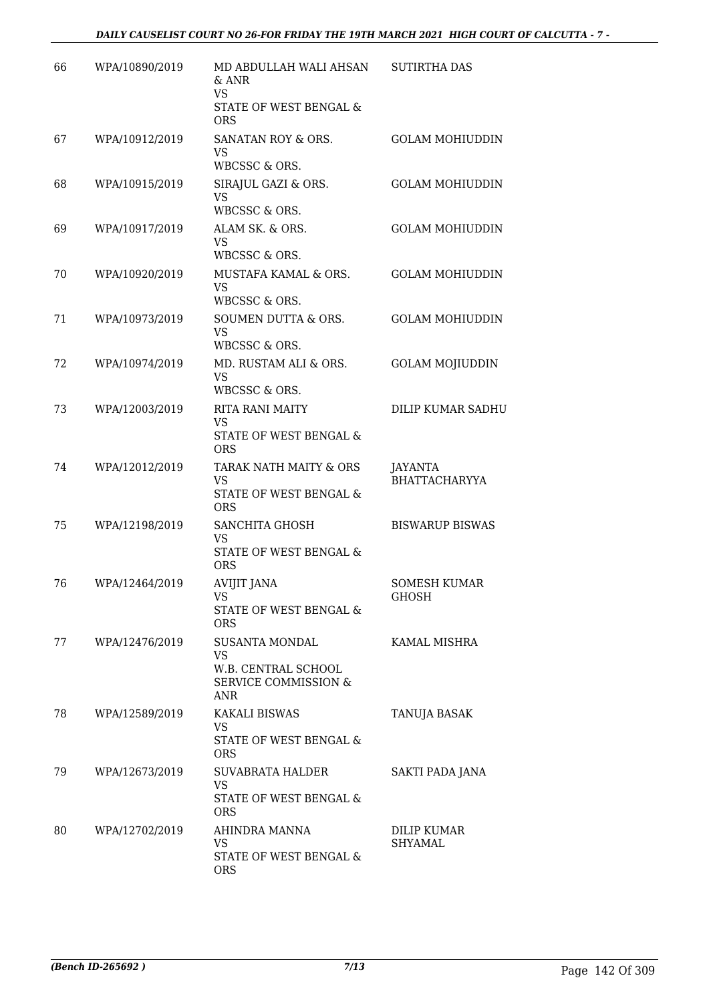| 66 | WPA/10890/2019 | MD ABDULLAH WALI AHSAN<br>$&$ ANR<br><b>VS</b><br>STATE OF WEST BENGAL &<br><b>ORS</b> | <b>SUTIRTHA DAS</b>                 |
|----|----------------|----------------------------------------------------------------------------------------|-------------------------------------|
| 67 | WPA/10912/2019 | SANATAN ROY & ORS.<br><b>VS</b><br>WBCSSC & ORS.                                       | <b>GOLAM MOHIUDDIN</b>              |
| 68 | WPA/10915/2019 | SIRAJUL GAZI & ORS.<br><b>VS</b><br>WBCSSC & ORS.                                      | <b>GOLAM MOHIUDDIN</b>              |
| 69 | WPA/10917/2019 | ALAM SK. & ORS.<br>VS.<br>WBCSSC & ORS.                                                | <b>GOLAM MOHIUDDIN</b>              |
| 70 | WPA/10920/2019 | MUSTAFA KAMAL & ORS.<br><b>VS</b><br>WBCSSC & ORS.                                     | <b>GOLAM MOHIUDDIN</b>              |
| 71 | WPA/10973/2019 | SOUMEN DUTTA & ORS.<br><b>VS</b><br>WBCSSC & ORS.                                      | <b>GOLAM MOHIUDDIN</b>              |
| 72 | WPA/10974/2019 | MD. RUSTAM ALI & ORS.<br><b>VS</b><br>WBCSSC & ORS.                                    | <b>GOLAM MOJIUDDIN</b>              |
| 73 | WPA/12003/2019 | <b>RITA RANI MAITY</b><br><b>VS</b><br>STATE OF WEST BENGAL &<br><b>ORS</b>            | DILIP KUMAR SADHU                   |
| 74 | WPA/12012/2019 | TARAK NATH MAITY & ORS<br><b>VS</b><br>STATE OF WEST BENGAL &<br><b>ORS</b>            | JAYANTA<br><b>BHATTACHARYYA</b>     |
| 75 | WPA/12198/2019 | SANCHITA GHOSH<br><b>VS</b><br>STATE OF WEST BENGAL &<br><b>ORS</b>                    | <b>BISWARUP BISWAS</b>              |
| 76 | WPA/12464/2019 | <b>AVIJIT JANA</b><br><b>VS</b><br>STATE OF WEST BENGAL &<br><b>ORS</b>                | <b>SOMESH KUMAR</b><br><b>GHOSH</b> |
| 77 | WPA/12476/2019 | SUSANTA MONDAL<br><b>VS</b><br>W.B. CENTRAL SCHOOL<br>SERVICE COMMISSION &<br>ANR      | KAMAL MISHRA                        |
| 78 | WPA/12589/2019 | <b>KAKALI BISWAS</b><br><b>VS</b><br>STATE OF WEST BENGAL &<br><b>ORS</b>              | TANUJA BASAK                        |
| 79 | WPA/12673/2019 | SUVABRATA HALDER<br><b>VS</b><br>STATE OF WEST BENGAL &<br><b>ORS</b>                  | SAKTI PADA JANA                     |
| 80 | WPA/12702/2019 | AHINDRA MANNA<br><b>VS</b><br>STATE OF WEST BENGAL &<br><b>ORS</b>                     | DILIP KUMAR<br><b>SHYAMAL</b>       |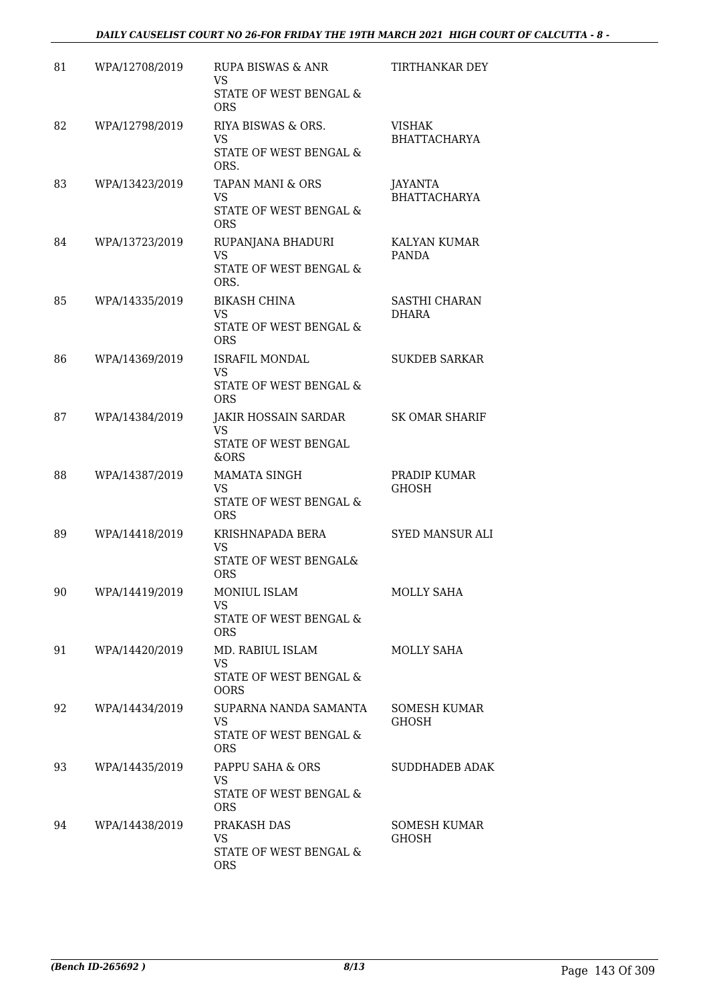# *DAILY CAUSELIST COURT NO 26-FOR FRIDAY THE 19TH MARCH 2021 HIGH COURT OF CALCUTTA - 8 -*

| 81 | WPA/12708/2019 | RUPA BISWAS & ANR<br><b>VS</b><br>STATE OF WEST BENGAL &                           | TIRTHANKAR DEY                        |
|----|----------------|------------------------------------------------------------------------------------|---------------------------------------|
| 82 | WPA/12798/2019 | <b>ORS</b><br>RIYA BISWAS & ORS.<br><b>VS</b><br>STATE OF WEST BENGAL &            | VISHAK<br><b>BHATTACHARYA</b>         |
| 83 | WPA/13423/2019 | ORS.<br><b>TAPAN MANI &amp; ORS</b><br>VS.<br>STATE OF WEST BENGAL &<br><b>ORS</b> | <b>JAYANTA</b><br><b>BHATTACHARYA</b> |
| 84 | WPA/13723/2019 | RUPANJANA BHADURI<br><b>VS</b><br>STATE OF WEST BENGAL &<br>ORS.                   | KALYAN KUMAR<br><b>PANDA</b>          |
| 85 | WPA/14335/2019 | <b>BIKASH CHINA</b><br><b>VS</b><br>STATE OF WEST BENGAL &<br><b>ORS</b>           | <b>SASTHI CHARAN</b><br><b>DHARA</b>  |
| 86 | WPA/14369/2019 | <b>ISRAFIL MONDAL</b><br><b>VS</b><br>STATE OF WEST BENGAL &<br><b>ORS</b>         | <b>SUKDEB SARKAR</b>                  |
| 87 | WPA/14384/2019 | <b>JAKIR HOSSAIN SARDAR</b><br><b>VS</b><br>STATE OF WEST BENGAL<br>&ORS           | <b>SK OMAR SHARIF</b>                 |
| 88 | WPA/14387/2019 | <b>MAMATA SINGH</b><br><b>VS</b><br>STATE OF WEST BENGAL &<br><b>ORS</b>           | PRADIP KUMAR<br><b>GHOSH</b>          |
| 89 | WPA/14418/2019 | KRISHNAPADA BERA<br>VS<br>STATE OF WEST BENGAL&<br><b>ORS</b>                      | SYED MANSUR ALI                       |
| 90 | WPA/14419/2019 | MONIUL ISLAM<br>VS.<br>STATE OF WEST BENGAL &<br><b>ORS</b>                        | <b>MOLLY SAHA</b>                     |
| 91 | WPA/14420/2019 | MD. RABIUL ISLAM<br><b>VS</b><br>STATE OF WEST BENGAL &<br><b>OORS</b>             | MOLLY SAHA                            |
| 92 | WPA/14434/2019 | SUPARNA NANDA SAMANTA<br><b>VS</b><br>STATE OF WEST BENGAL &<br><b>ORS</b>         | <b>SOMESH KUMAR</b><br><b>GHOSH</b>   |
| 93 | WPA/14435/2019 | PAPPU SAHA & ORS<br><b>VS</b><br>STATE OF WEST BENGAL &<br><b>ORS</b>              | SUDDHADEB ADAK                        |
| 94 | WPA/14438/2019 | PRAKASH DAS<br><b>VS</b><br>STATE OF WEST BENGAL &<br><b>ORS</b>                   | SOMESH KUMAR<br><b>GHOSH</b>          |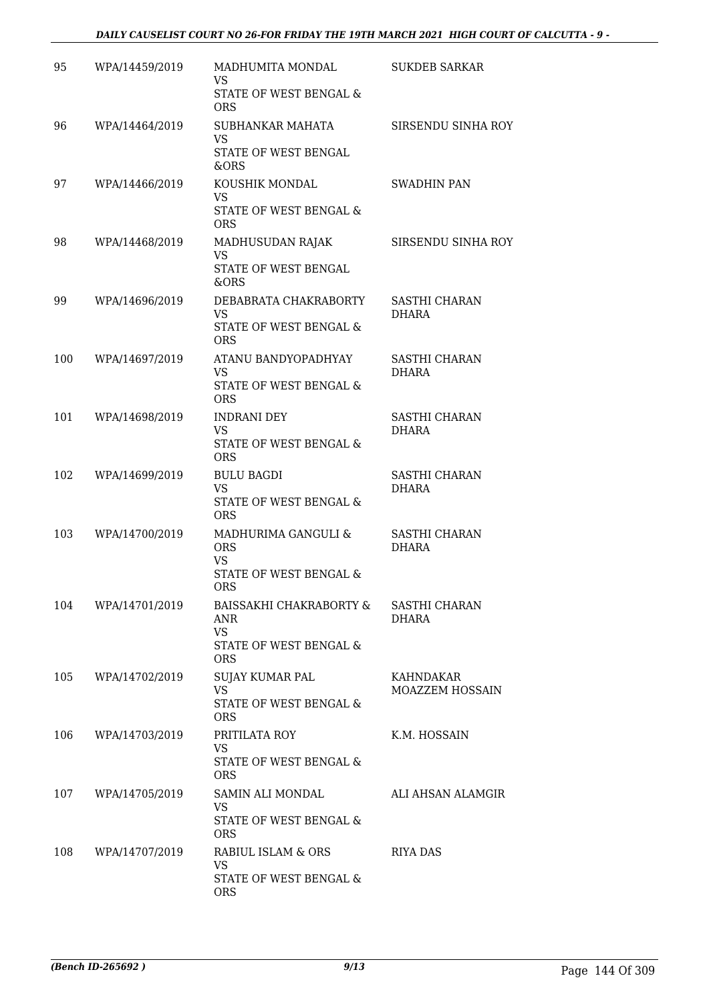# *DAILY CAUSELIST COURT NO 26-FOR FRIDAY THE 19TH MARCH 2021 HIGH COURT OF CALCUTTA - 9 -*

| 95  | WPA/14459/2019 | MADHUMITA MONDAL<br>VS.<br>STATE OF WEST BENGAL &<br><b>ORS</b>                            | <b>SUKDEB SARKAR</b>                 |
|-----|----------------|--------------------------------------------------------------------------------------------|--------------------------------------|
| 96  | WPA/14464/2019 | SUBHANKAR MAHATA<br><b>VS</b><br>STATE OF WEST BENGAL<br>&ORS                              | SIRSENDU SINHA ROY                   |
| 97  | WPA/14466/2019 | KOUSHIK MONDAL<br>VS.<br>STATE OF WEST BENGAL &<br><b>ORS</b>                              | SWADHIN PAN                          |
| 98  | WPA/14468/2019 | MADHUSUDAN RAJAK<br><b>VS</b><br>STATE OF WEST BENGAL<br>&ORS                              | SIRSENDU SINHA ROY                   |
| 99  | WPA/14696/2019 | DEBABRATA CHAKRABORTY<br><b>VS</b><br>STATE OF WEST BENGAL &<br><b>ORS</b>                 | <b>SASTHI CHARAN</b><br><b>DHARA</b> |
| 100 | WPA/14697/2019 | ATANU BANDYOPADHYAY<br><b>VS</b><br>STATE OF WEST BENGAL &<br><b>ORS</b>                   | <b>SASTHI CHARAN</b><br><b>DHARA</b> |
| 101 | WPA/14698/2019 | <b>INDRANI DEY</b><br><b>VS</b><br>STATE OF WEST BENGAL &<br><b>ORS</b>                    | SASTHI CHARAN<br><b>DHARA</b>        |
| 102 | WPA/14699/2019 | <b>BULU BAGDI</b><br><b>VS</b><br>STATE OF WEST BENGAL &<br><b>ORS</b>                     | SASTHI CHARAN<br><b>DHARA</b>        |
| 103 | WPA/14700/2019 | MADHURIMA GANGULI &<br><b>ORS</b><br><b>VS</b><br>STATE OF WEST BENGAL &<br><b>ORS</b>     | SASTHI CHARAN<br><b>DHARA</b>        |
| 104 | WPA/14701/2019 | BAISSAKHI CHAKRABORTY &<br><b>ANR</b><br><b>VS</b><br>STATE OF WEST BENGAL &<br><b>ORS</b> | <b>SASTHI CHARAN</b><br>DHARA        |
| 105 | WPA/14702/2019 | SUJAY KUMAR PAL<br><b>VS</b><br>STATE OF WEST BENGAL &<br><b>ORS</b>                       | KAHNDAKAR<br><b>MOAZZEM HOSSAIN</b>  |
| 106 | WPA/14703/2019 | PRITILATA ROY<br>VS.<br>STATE OF WEST BENGAL &<br><b>ORS</b>                               | K.M. HOSSAIN                         |
| 107 | WPA/14705/2019 | SAMIN ALI MONDAL<br>VS<br>STATE OF WEST BENGAL &<br><b>ORS</b>                             | ALI AHSAN ALAMGIR                    |
| 108 | WPA/14707/2019 | RABIUL ISLAM & ORS<br>VS.<br>STATE OF WEST BENGAL &<br><b>ORS</b>                          | <b>RIYA DAS</b>                      |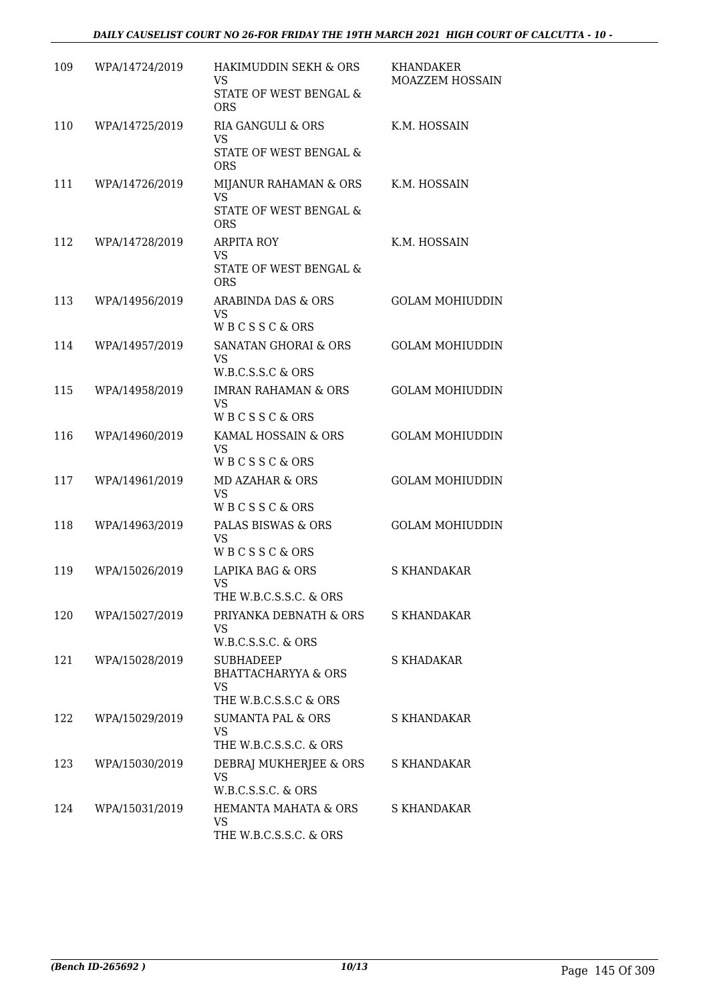| 109 | WPA/14724/2019 | HAKIMUDDIN SEKH & ORS                                                                    | KHANDAKER              |
|-----|----------------|------------------------------------------------------------------------------------------|------------------------|
|     |                | VS.<br>STATE OF WEST BENGAL &<br>ORS                                                     | MOAZZEM HOSSAIN        |
| 110 | WPA/14725/2019 | RIA GANGULI & ORS<br><b>VS</b><br>STATE OF WEST BENGAL &<br><b>ORS</b>                   | K.M. HOSSAIN           |
| 111 | WPA/14726/2019 | MIJANUR RAHAMAN & ORS<br><b>VS</b><br>STATE OF WEST BENGAL &<br><b>ORS</b>               | K.M. HOSSAIN           |
| 112 | WPA/14728/2019 | <b>ARPITA ROY</b><br><b>VS</b><br>STATE OF WEST BENGAL &<br><b>ORS</b>                   | K.M. HOSSAIN           |
| 113 | WPA/14956/2019 | ARABINDA DAS & ORS<br><b>VS</b><br><b>WBCSSC&amp;ORS</b>                                 | <b>GOLAM MOHIUDDIN</b> |
| 114 | WPA/14957/2019 | SANATAN GHORAI & ORS<br>VS<br>W.B.C.S.S.C & ORS                                          | <b>GOLAM MOHIUDDIN</b> |
| 115 | WPA/14958/2019 | <b>IMRAN RAHAMAN &amp; ORS</b><br><b>VS</b><br>WBCSSC&ORS                                | <b>GOLAM MOHIUDDIN</b> |
| 116 | WPA/14960/2019 | KAMAL HOSSAIN & ORS<br><b>VS</b><br><b>WBCSSC&amp;ORS</b>                                | <b>GOLAM MOHIUDDIN</b> |
| 117 | WPA/14961/2019 | MD AZAHAR & ORS<br><b>VS</b><br>WBCSSC&ORS                                               | <b>GOLAM MOHIUDDIN</b> |
| 118 | WPA/14963/2019 | PALAS BISWAS & ORS<br><b>VS</b><br>WBCSSC&ORS                                            | <b>GOLAM MOHIUDDIN</b> |
| 119 | WPA/15026/2019 | LAPIKA BAG & ORS<br><b>VS</b><br>THE W.B.C.S.S.C. & ORS                                  | <b>S KHANDAKAR</b>     |
| 120 | WPA/15027/2019 | PRIYANKA DEBNATH & ORS<br>VS.<br>W.B.C.S.S.C. & ORS                                      | S KHANDAKAR            |
| 121 | WPA/15028/2019 | <b>SUBHADEEP</b><br><b>BHATTACHARYYA &amp; ORS</b><br><b>VS</b><br>THE W.B.C.S.S.C & ORS | S KHADAKAR             |
| 122 | WPA/15029/2019 | <b>SUMANTA PAL &amp; ORS</b><br>VS.<br>THE W.B.C.S.S.C. & ORS                            | <b>S KHANDAKAR</b>     |
| 123 | WPA/15030/2019 | DEBRAJ MUKHERJEE & ORS<br><b>VS</b><br>$W.B.C.S.S.C. \& ORS$                             | S KHANDAKAR            |
| 124 | WPA/15031/2019 | HEMANTA MAHATA & ORS<br>VS.<br>THE W.B.C.S.S.C. & ORS                                    | S KHANDAKAR            |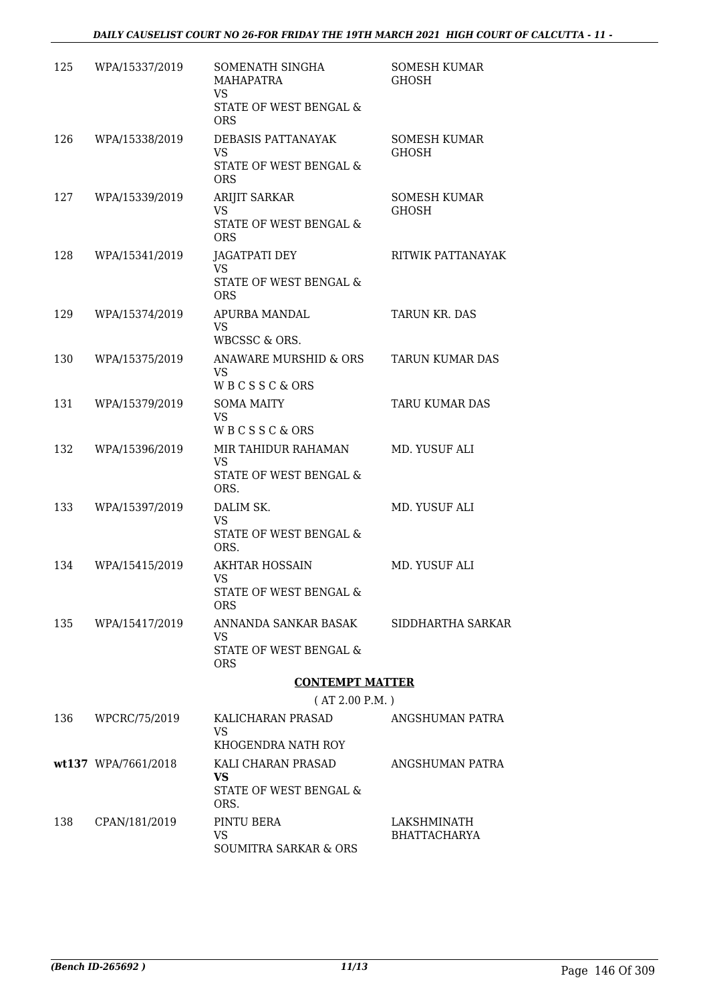| 125 | WPA/15337/2019      | SOMENATH SINGHA<br>MAHAPATRA<br><b>VS</b><br>STATE OF WEST BENGAL &<br><b>ORS</b> | SOMESH KUMAR<br><b>GHOSH</b>       |
|-----|---------------------|-----------------------------------------------------------------------------------|------------------------------------|
| 126 | WPA/15338/2019      | DEBASIS PATTANAYAK<br><b>VS</b><br>STATE OF WEST BENGAL &<br><b>ORS</b>           | SOMESH KUMAR<br><b>GHOSH</b>       |
| 127 | WPA/15339/2019      | ARIJIT SARKAR<br><b>VS</b><br>STATE OF WEST BENGAL &<br><b>ORS</b>                | SOMESH KUMAR<br><b>GHOSH</b>       |
| 128 | WPA/15341/2019      | <b>JAGATPATI DEY</b><br><b>VS</b><br>STATE OF WEST BENGAL &<br><b>ORS</b>         | RITWIK PATTANAYAK                  |
| 129 | WPA/15374/2019      | APURBA MANDAL<br><b>VS</b><br>WBCSSC & ORS.                                       | <b>TARUN KR. DAS</b>               |
| 130 | WPA/15375/2019      | ANAWARE MURSHID & ORS<br>VS<br>WBCSSC&ORS                                         | <b>TARUN KUMAR DAS</b>             |
| 131 | WPA/15379/2019      | <b>SOMA MAITY</b><br><b>VS</b><br>WBCSSC&ORS                                      | TARU KUMAR DAS                     |
| 132 | WPA/15396/2019      | MIR TAHIDUR RAHAMAN<br><b>VS</b><br>STATE OF WEST BENGAL &<br>ORS.                | MD. YUSUF ALI                      |
| 133 | WPA/15397/2019      | DALIM SK.<br><b>VS</b><br>STATE OF WEST BENGAL &<br>ORS.                          | MD. YUSUF ALI                      |
| 134 | WPA/15415/2019      | <b>AKHTAR HOSSAIN</b><br>VS<br>STATE OF WEST BENGAL &<br>ORS                      | MD. YUSUF ALI                      |
| 135 | WPA/15417/2019      | ANNANDA SANKAR BASAK<br>VS.<br>STATE OF WEST BENGAL &<br><b>ORS</b>               | SIDDHARTHA SARKAR                  |
|     |                     | <b>CONTEMPT MATTER</b>                                                            |                                    |
|     |                     | (AT 2.00 P.M. )                                                                   |                                    |
| 136 | WPCRC/75/2019       | KALICHARAN PRASAD<br>VS<br>KHOGENDRA NATH ROY                                     | ANGSHUMAN PATRA                    |
|     | wt137 WPA/7661/2018 | KALI CHARAN PRASAD<br><b>VS</b><br>STATE OF WEST BENGAL &<br>ORS.                 | ANGSHUMAN PATRA                    |
| 138 | CPAN/181/2019       | PINTU BERA<br><b>VS</b><br>SOUMITRA SARKAR & ORS                                  | LAKSHMINATH<br><b>BHATTACHARYA</b> |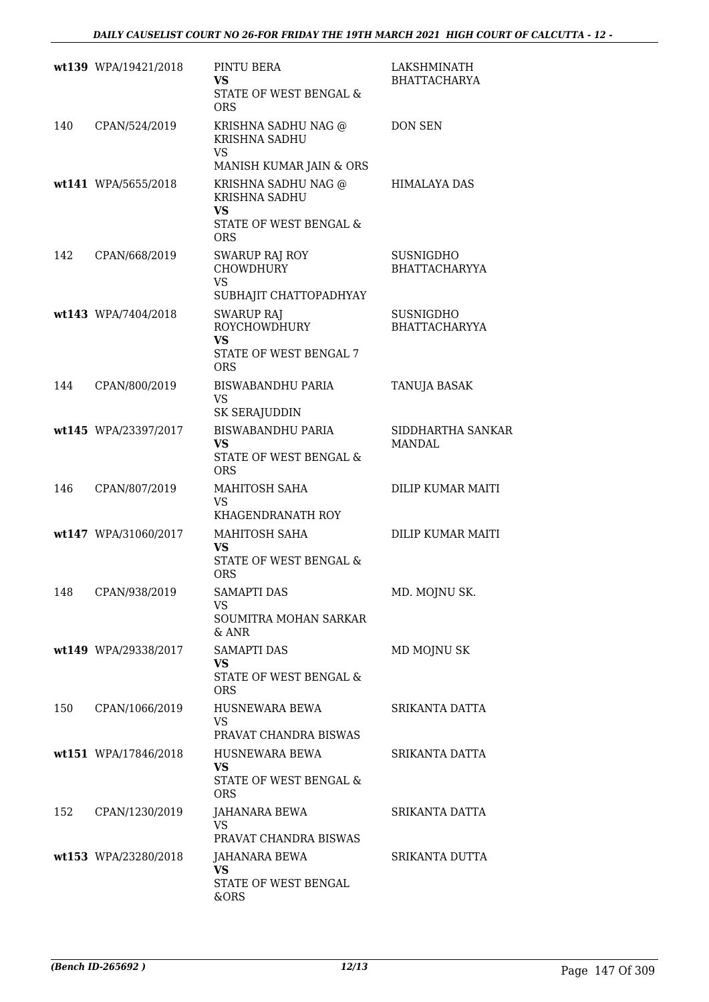|     | wt139 WPA/19421/2018 | PINTU BERA<br>VS<br>STATE OF WEST BENGAL &<br><b>ORS</b>                                      | LAKSHMINATH<br><b>BHATTACHARYA</b> |
|-----|----------------------|-----------------------------------------------------------------------------------------------|------------------------------------|
| 140 | CPAN/524/2019        | KRISHNA SADHU NAG @<br>KRISHNA SADHU<br>VS<br>MANISH KUMAR JAIN & ORS                         | <b>DON SEN</b>                     |
|     | wt141 WPA/5655/2018  | KRISHNA SADHU NAG @<br>KRISHNA SADHU<br>VS<br>STATE OF WEST BENGAL &<br><b>ORS</b>            | <b>HIMALAYA DAS</b>                |
| 142 | CPAN/668/2019        | <b>SWARUP RAJ ROY</b><br><b>CHOWDHURY</b><br><b>VS</b><br>SUBHAJIT CHATTOPADHYAY              | SUSNIGDHO<br><b>BHATTACHARYYA</b>  |
|     | wt143 WPA/7404/2018  | <b>SWARUP RAJ</b><br><b>ROYCHOWDHURY</b><br><b>VS</b><br>STATE OF WEST BENGAL 7<br><b>ORS</b> | SUSNIGDHO<br><b>BHATTACHARYYA</b>  |
| 144 | CPAN/800/2019        | <b>BISWABANDHU PARIA</b><br><b>VS</b><br><b>SK SERAJUDDIN</b>                                 | TANUJA BASAK                       |
|     | wt145 WPA/23397/2017 | <b>BISWABANDHU PARIA</b><br><b>VS</b><br>STATE OF WEST BENGAL &<br><b>ORS</b>                 | SIDDHARTHA SANKAR<br><b>MANDAL</b> |
| 146 | CPAN/807/2019        | MAHITOSH SAHA<br>VS<br>KHAGENDRANATH ROY                                                      | DILIP KUMAR MAITI                  |
|     | wt147 WPA/31060/2017 | MAHITOSH SAHA<br><b>VS</b><br>STATE OF WEST BENGAL &<br><b>ORS</b>                            | DILIP KUMAR MAITI                  |
|     | 148 CPAN/938/2019    | <b>SAMAPTI DAS</b><br>VS.<br>SOUMITRA MOHAN SARKAR<br>& ANR                                   | MD. MOJNU SK.                      |
|     | wt149 WPA/29338/2017 | <b>SAMAPTI DAS</b><br><b>VS</b><br>STATE OF WEST BENGAL &<br>ORS                              | MD MOJNU SK                        |
| 150 | CPAN/1066/2019       | HUSNEWARA BEWA<br>VS<br>PRAVAT CHANDRA BISWAS                                                 | SRIKANTA DATTA                     |
|     | wt151 WPA/17846/2018 | HUSNEWARA BEWA<br><b>VS</b><br>STATE OF WEST BENGAL &<br>ORS.                                 | SRIKANTA DATTA                     |
| 152 | CPAN/1230/2019       | JAHANARA BEWA<br><b>VS</b><br>PRAVAT CHANDRA BISWAS                                           | SRIKANTA DATTA                     |
|     | wt153 WPA/23280/2018 | JAHANARA BEWA<br><b>VS</b><br>STATE OF WEST BENGAL<br>&ORS                                    | SRIKANTA DUTTA                     |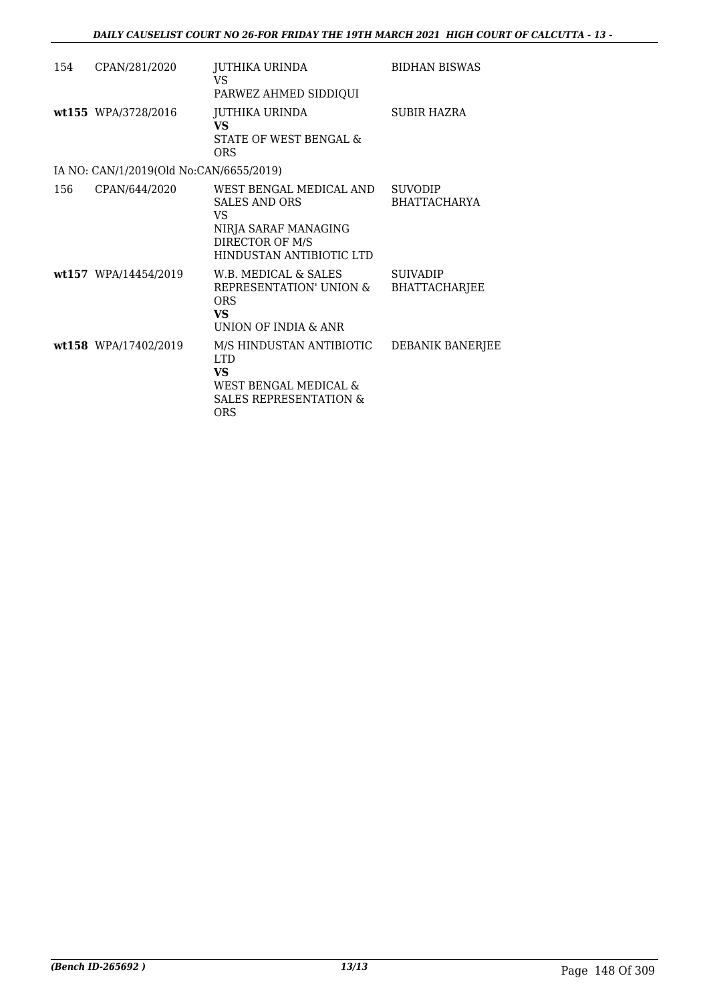| 154 | CPAN/281/2020                           | JUTHIKA URINDA<br>VS<br>PARWEZ AHMED SIDDIQUI                                                                                       | <b>BIDHAN BISWAS</b>                    |
|-----|-----------------------------------------|-------------------------------------------------------------------------------------------------------------------------------------|-----------------------------------------|
|     | wt155 WPA/3728/2016                     | JUTHIKA URINDA<br><b>VS</b><br>STATE OF WEST BENGAL &<br><b>ORS</b>                                                                 | <b>SUBIR HAZRA</b>                      |
|     | IA NO: CAN/1/2019(Old No:CAN/6655/2019) |                                                                                                                                     |                                         |
| 156 | CPAN/644/2020                           | WEST BENGAL MEDICAL AND<br><b>SALES AND ORS</b><br><b>VS</b><br>NIRJA SARAF MANAGING<br>DIRECTOR OF M/S<br>HINDUSTAN ANTIBIOTIC LTD | SUVODIP<br><b>BHATTACHARYA</b>          |
|     | wt157 WPA/14454/2019                    | W.B. MEDICAL & SALES<br>REPRESENTATION' UNION &<br>ORS<br><b>VS</b><br>UNION OF INDIA & ANR                                         | <b>SUIVADIP</b><br><b>BHATTACHARJEE</b> |
|     | wt158 WPA/17402/2019                    | M/S HINDUSTAN ANTIBIOTIC<br><b>LTD</b><br><b>VS</b><br>WEST BENGAL MEDICAL &<br><b>SALES REPRESENTATION &amp;</b><br>ORS            | DEBANIK BANERJEE                        |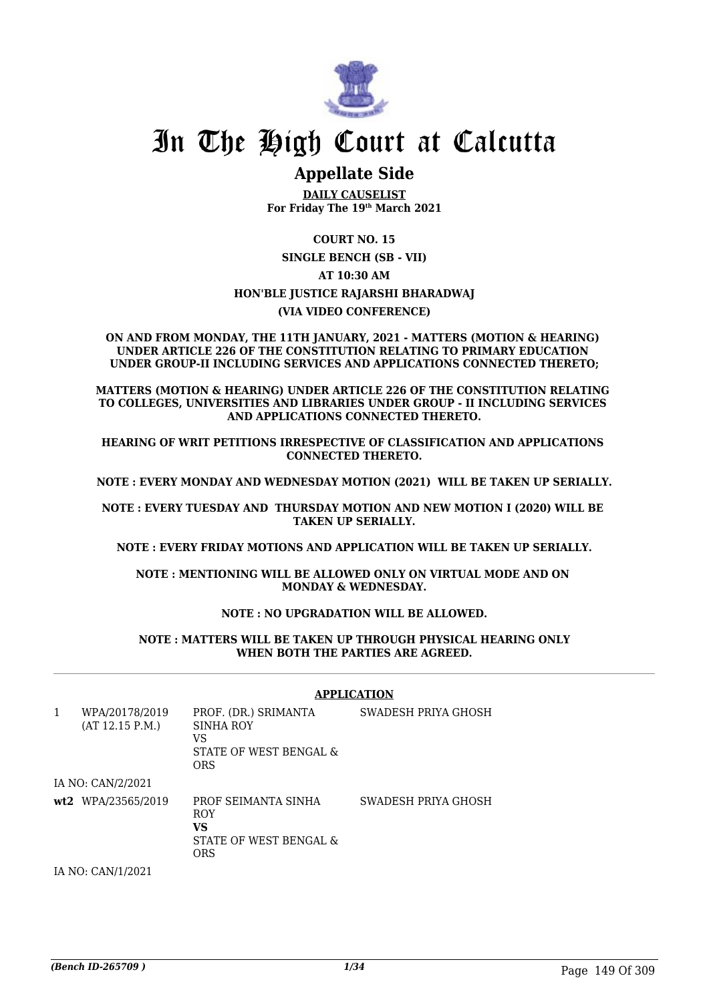

# In The High Court at Calcutta

# **Appellate Side**

**DAILY CAUSELIST For Friday The 19th March 2021**

**COURT NO. 15 SINGLE BENCH (SB - VII) AT 10:30 AM HON'BLE JUSTICE RAJARSHI BHARADWAJ (VIA VIDEO CONFERENCE)**

#### **ON AND FROM MONDAY, THE 11TH JANUARY, 2021 - MATTERS (MOTION & HEARING) UNDER ARTICLE 226 OF THE CONSTITUTION RELATING TO PRIMARY EDUCATION UNDER GROUP-II INCLUDING SERVICES AND APPLICATIONS CONNECTED THERETO;**

**MATTERS (MOTION & HEARING) UNDER ARTICLE 226 OF THE CONSTITUTION RELATING TO COLLEGES, UNIVERSITIES AND LIBRARIES UNDER GROUP - II INCLUDING SERVICES AND APPLICATIONS CONNECTED THERETO.**

**HEARING OF WRIT PETITIONS IRRESPECTIVE OF CLASSIFICATION AND APPLICATIONS CONNECTED THERETO.**

**NOTE : EVERY MONDAY AND WEDNESDAY MOTION (2021) WILL BE TAKEN UP SERIALLY.**

**NOTE : EVERY TUESDAY AND THURSDAY MOTION AND NEW MOTION I (2020) WILL BE TAKEN UP SERIALLY.**

**NOTE : EVERY FRIDAY MOTIONS AND APPLICATION WILL BE TAKEN UP SERIALLY.**

**NOTE : MENTIONING WILL BE ALLOWED ONLY ON VIRTUAL MODE AND ON MONDAY & WEDNESDAY.**

### **NOTE : NO UPGRADATION WILL BE ALLOWED.**

#### **NOTE : MATTERS WILL BE TAKEN UP THROUGH PHYSICAL HEARING ONLY WHEN BOTH THE PARTIES ARE AGREED.**

|   |                                   | <b>APPLICATION</b>                                                              |                     |  |
|---|-----------------------------------|---------------------------------------------------------------------------------|---------------------|--|
| 1 | WPA/20178/2019<br>(AT 12.15 P.M.) | PROF. (DR.) SRIMANTA<br>SINHA ROY<br>VS<br>STATE OF WEST BENGAL &<br><b>ORS</b> | SWADESH PRIYA GHOSH |  |
|   | IA NO: CAN/2/2021                 |                                                                                 |                     |  |
|   | wt2 WPA/23565/2019                | PROF SEIMANTA SINHA<br><b>ROY</b><br>VS<br>STATE OF WEST BENGAL &<br><b>ORS</b> | SWADESH PRIYA GHOSH |  |
|   | IA NO: CAN/1/2021                 |                                                                                 |                     |  |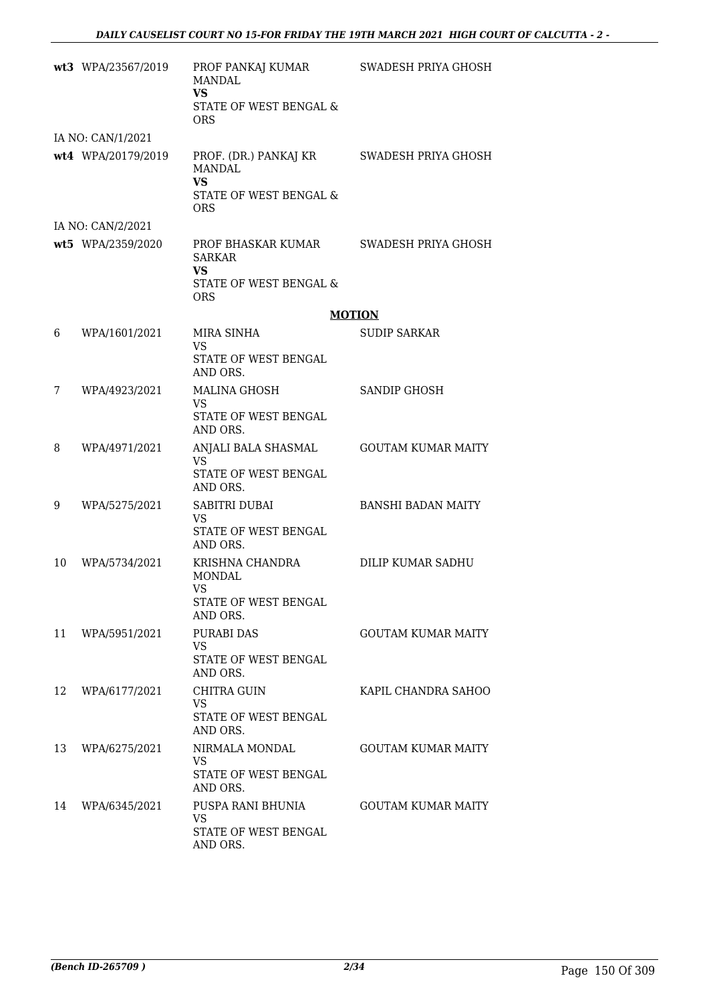|    | wt3 WPA/23567/2019 | PROF PANKAJ KUMAR<br><b>MANDAL</b><br><b>VS</b><br>STATE OF WEST BENGAL &<br>ORS     | SWADESH PRIYA GHOSH       |
|----|--------------------|--------------------------------------------------------------------------------------|---------------------------|
|    | IA NO: CAN/1/2021  |                                                                                      |                           |
|    | wt4 WPA/20179/2019 | PROF. (DR.) PANKAJ KR<br>MANDAL<br><b>VS</b><br>STATE OF WEST BENGAL &<br><b>ORS</b> | SWADESH PRIYA GHOSH       |
|    | IA NO: CAN/2/2021  |                                                                                      |                           |
|    | wt5 WPA/2359/2020  | PROF BHASKAR KUMAR<br><b>SARKAR</b><br>VS                                            | SWADESH PRIYA GHOSH       |
|    |                    | STATE OF WEST BENGAL &<br><b>ORS</b>                                                 |                           |
|    |                    | <b>MOTION</b>                                                                        |                           |
| 6  | WPA/1601/2021      | MIRA SINHA<br>VS                                                                     | <b>SUDIP SARKAR</b>       |
|    |                    | STATE OF WEST BENGAL<br>AND ORS.                                                     |                           |
| 7  | WPA/4923/2021      | <b>MALINA GHOSH</b><br><b>VS</b>                                                     | <b>SANDIP GHOSH</b>       |
|    |                    | STATE OF WEST BENGAL<br>AND ORS.                                                     |                           |
| 8  | WPA/4971/2021      | ANJALI BALA SHASMAL<br><b>VS</b>                                                     | <b>GOUTAM KUMAR MAITY</b> |
|    |                    | STATE OF WEST BENGAL<br>AND ORS.                                                     |                           |
| 9  | WPA/5275/2021      | SABITRI DUBAI<br><b>VS</b>                                                           | <b>BANSHI BADAN MAITY</b> |
|    |                    | <b>STATE OF WEST BENGAL</b><br>AND ORS.                                              |                           |
| 10 | WPA/5734/2021      | KRISHNA CHANDRA<br><b>MONDAL</b><br>VS —                                             | DILIP KUMAR SADHU         |
|    |                    | STATE OF WEST BENGAL<br>AND ORS.                                                     |                           |
| 11 | WPA/5951/2021      | PURABI DAS<br><b>VS</b>                                                              | <b>GOUTAM KUMAR MAITY</b> |
|    |                    | STATE OF WEST BENGAL<br>AND ORS.                                                     |                           |
| 12 | WPA/6177/2021      | CHITRA GUIN<br>VS.                                                                   | KAPIL CHANDRA SAHOO       |
|    |                    | STATE OF WEST BENGAL<br>AND ORS.                                                     |                           |
| 13 | WPA/6275/2021      | NIRMALA MONDAL<br>VS.                                                                | <b>GOUTAM KUMAR MAITY</b> |
|    |                    | STATE OF WEST BENGAL<br>AND ORS.                                                     |                           |
| 14 | WPA/6345/2021      | PUSPA RANI BHUNIA<br>VS.                                                             | <b>GOUTAM KUMAR MAITY</b> |
|    |                    | STATE OF WEST BENGAL<br>AND ORS.                                                     |                           |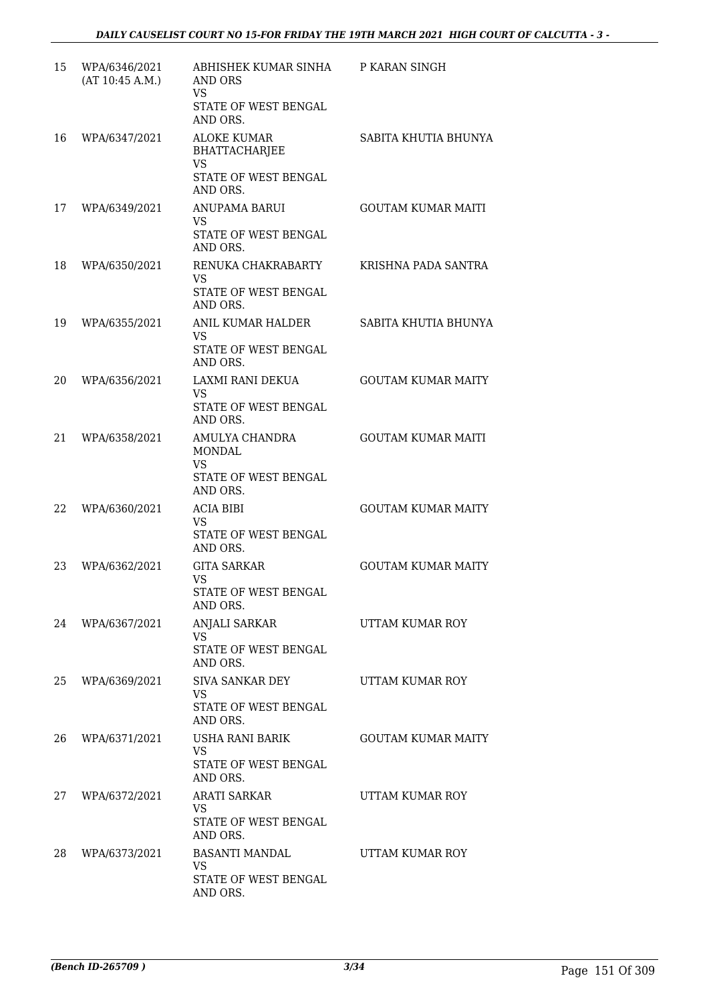| 15 | WPA/6346/2021<br>(AT 10:45 A.M.) | ABHISHEK KUMAR SINHA P KARAN SINGH<br>AND ORS<br><b>VS</b><br>STATE OF WEST BENGAL<br>AND ORS. |                           |
|----|----------------------------------|------------------------------------------------------------------------------------------------|---------------------------|
| 16 | WPA/6347/2021                    | <b>ALOKE KUMAR</b><br><b>BHATTACHARJEE</b><br><b>VS</b><br>STATE OF WEST BENGAL<br>AND ORS.    | SABITA KHUTIA BHUNYA      |
| 17 | WPA/6349/2021                    | ANUPAMA BARUI<br>VS<br>STATE OF WEST BENGAL<br>AND ORS.                                        | <b>GOUTAM KUMAR MAITI</b> |
| 18 | WPA/6350/2021                    | RENUKA CHAKRABARTY<br>VS.<br>STATE OF WEST BENGAL<br>AND ORS.                                  | KRISHNA PADA SANTRA       |
| 19 | WPA/6355/2021                    | ANIL KUMAR HALDER<br><b>VS</b><br>STATE OF WEST BENGAL<br>AND ORS.                             | SABITA KHUTIA BHUNYA      |
| 20 | WPA/6356/2021                    | LAXMI RANI DEKUA<br><b>VS</b><br>STATE OF WEST BENGAL<br>AND ORS.                              | <b>GOUTAM KUMAR MAITY</b> |
| 21 | WPA/6358/2021                    | AMULYA CHANDRA<br>MONDAL<br><b>VS</b><br>STATE OF WEST BENGAL<br>AND ORS.                      | <b>GOUTAM KUMAR MAITI</b> |
| 22 | WPA/6360/2021                    | <b>ACIA BIBI</b><br><b>VS</b><br>STATE OF WEST BENGAL<br>AND ORS.                              | <b>GOUTAM KUMAR MAITY</b> |
| 23 | WPA/6362/2021                    | <b>GITA SARKAR</b><br><b>VS</b><br>STATE OF WEST BENGAL<br>AND ORS.                            | <b>GOUTAM KUMAR MAITY</b> |
| 24 | WPA/6367/2021                    | <b>ANJALI SARKAR</b><br><b>VS</b><br>STATE OF WEST BENGAL<br>AND ORS.                          | UTTAM KUMAR ROY           |
| 25 | WPA/6369/2021                    | <b>SIVA SANKAR DEY</b><br><b>VS</b><br>STATE OF WEST BENGAL<br>AND ORS.                        | UTTAM KUMAR ROY           |
| 26 | WPA/6371/2021                    | USHA RANI BARIK<br><b>VS</b><br>STATE OF WEST BENGAL<br>AND ORS.                               | <b>GOUTAM KUMAR MAITY</b> |
| 27 | WPA/6372/2021                    | <b>ARATI SARKAR</b><br><b>VS</b><br>STATE OF WEST BENGAL<br>AND ORS.                           | UTTAM KUMAR ROY           |
| 28 | WPA/6373/2021                    | BASANTI MANDAL<br><b>VS</b><br>STATE OF WEST BENGAL<br>AND ORS.                                | UTTAM KUMAR ROY           |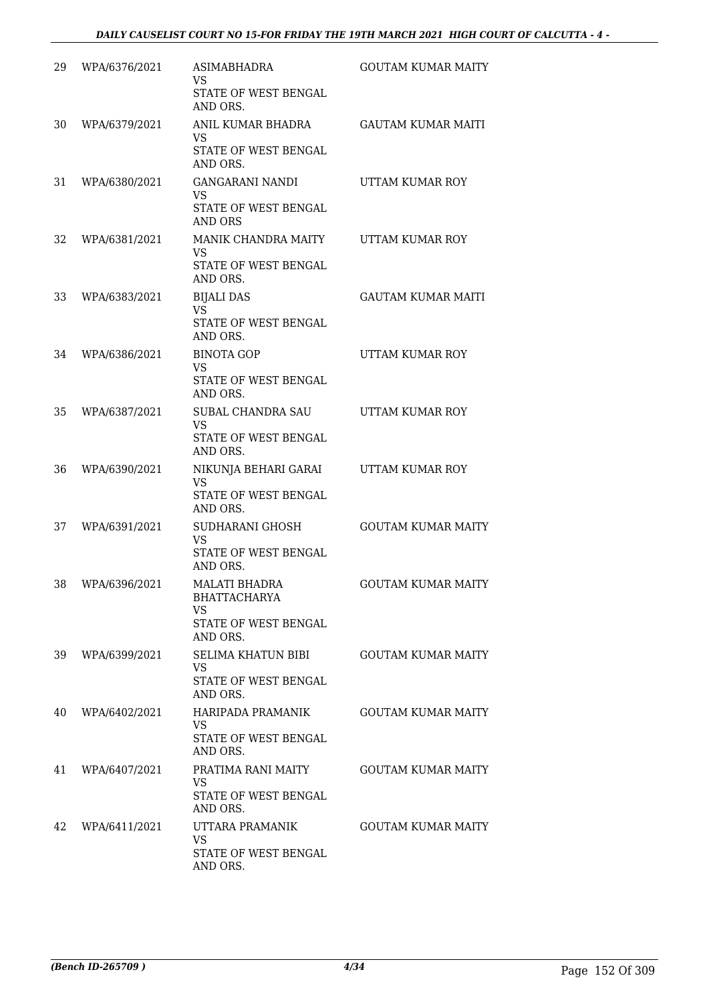| 29 | WPA/6376/2021 | ASIMABHADRA<br><b>VS</b><br>STATE OF WEST BENGAL<br>AND ORS.                          | <b>GOUTAM KUMAR MAITY</b> |
|----|---------------|---------------------------------------------------------------------------------------|---------------------------|
| 30 | WPA/6379/2021 | ANIL KUMAR BHADRA<br><b>VS</b><br>STATE OF WEST BENGAL<br>AND ORS.                    | <b>GAUTAM KUMAR MAITI</b> |
| 31 | WPA/6380/2021 | GANGARANI NANDI<br><b>VS</b><br>STATE OF WEST BENGAL<br>AND ORS                       | UTTAM KUMAR ROY           |
| 32 | WPA/6381/2021 | MANIK CHANDRA MAITY<br><b>VS</b><br>STATE OF WEST BENGAL<br>AND ORS.                  | UTTAM KUMAR ROY           |
| 33 | WPA/6383/2021 | <b>BIJALI DAS</b><br><b>VS</b><br>STATE OF WEST BENGAL<br>AND ORS.                    | <b>GAUTAM KUMAR MAITI</b> |
| 34 | WPA/6386/2021 | <b>BINOTA GOP</b><br><b>VS</b><br>STATE OF WEST BENGAL<br>AND ORS.                    | UTTAM KUMAR ROY           |
| 35 | WPA/6387/2021 | SUBAL CHANDRA SAU<br><b>VS</b><br>STATE OF WEST BENGAL<br>AND ORS.                    | UTTAM KUMAR ROY           |
| 36 | WPA/6390/2021 | NIKUNJA BEHARI GARAI<br>VS<br>STATE OF WEST BENGAL<br>AND ORS.                        | UTTAM KUMAR ROY           |
| 37 | WPA/6391/2021 | SUDHARANI GHOSH<br><b>VS</b><br>STATE OF WEST BENGAL<br>AND ORS.                      | <b>GOUTAM KUMAR MAITY</b> |
| 38 | WPA/6396/2021 | <b>MALATI BHADRA</b><br><b>BHATTACHARYA</b><br>VS<br>STATE OF WEST BENGAL<br>AND ORS. | <b>GOUTAM KUMAR MAITY</b> |
| 39 | WPA/6399/2021 | SELIMA KHATUN BIBI<br>VS<br><b>STATE OF WEST BENGAL</b><br>AND ORS.                   | <b>GOUTAM KUMAR MAITY</b> |
| 40 | WPA/6402/2021 | HARIPADA PRAMANIK<br>VS<br>STATE OF WEST BENGAL<br>AND ORS.                           | <b>GOUTAM KUMAR MAITY</b> |
| 41 | WPA/6407/2021 | PRATIMA RANI MAITY<br><b>VS</b><br>STATE OF WEST BENGAL<br>AND ORS.                   | <b>GOUTAM KUMAR MAITY</b> |
| 42 | WPA/6411/2021 | UTTARA PRAMANIK<br><b>VS</b><br>STATE OF WEST BENGAL<br>AND ORS.                      | <b>GOUTAM KUMAR MAITY</b> |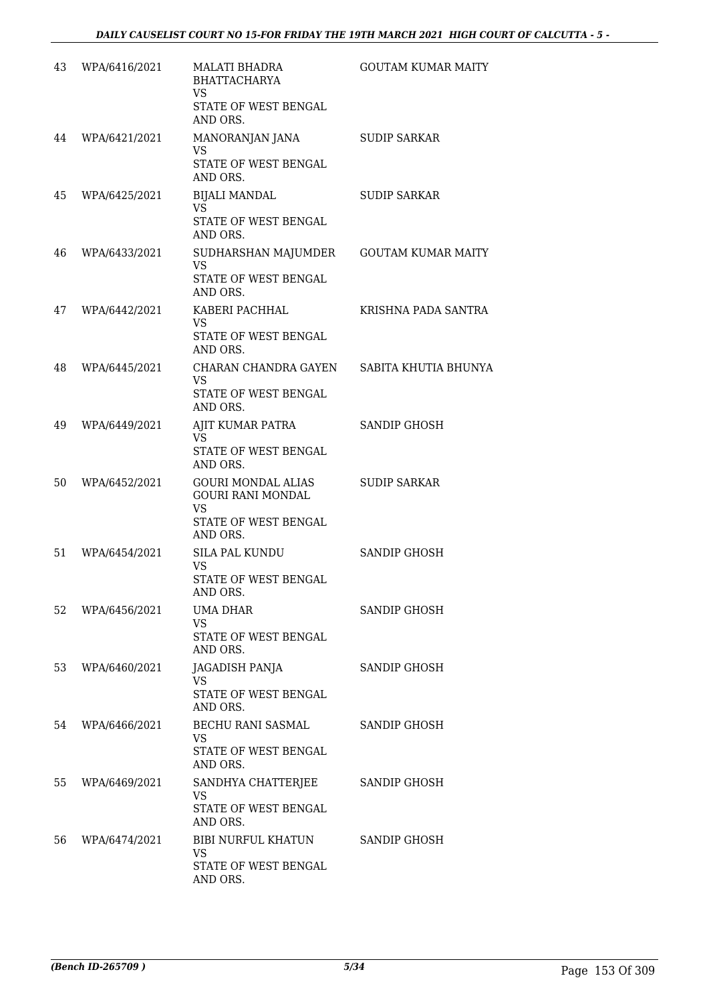| 43 | WPA/6416/2021 | MALATI BHADRA<br><b>BHATTACHARYA</b><br><b>VS</b><br>STATE OF WEST BENGAL                  | <b>GOUTAM KUMAR MAITY</b> |
|----|---------------|--------------------------------------------------------------------------------------------|---------------------------|
| 44 | WPA/6421/2021 | AND ORS.<br>MANORANJAN JANA                                                                | <b>SUDIP SARKAR</b>       |
|    |               | <b>VS</b><br>STATE OF WEST BENGAL<br>AND ORS.                                              |                           |
| 45 | WPA/6425/2021 | <b>BIJALI MANDAL</b><br><b>VS</b><br>STATE OF WEST BENGAL<br>AND ORS.                      | <b>SUDIP SARKAR</b>       |
| 46 | WPA/6433/2021 | SUDHARSHAN MAJUMDER<br><b>VS</b><br>STATE OF WEST BENGAL<br>AND ORS.                       | <b>GOUTAM KUMAR MAITY</b> |
| 47 | WPA/6442/2021 | KABERI PACHHAL<br>VS<br>STATE OF WEST BENGAL<br>AND ORS.                                   | KRISHNA PADA SANTRA       |
| 48 | WPA/6445/2021 | CHARAN CHANDRA GAYEN<br><b>VS</b><br>STATE OF WEST BENGAL<br>AND ORS.                      | SABITA KHUTIA BHUNYA      |
| 49 | WPA/6449/2021 | AJIT KUMAR PATRA<br><b>VS</b><br>STATE OF WEST BENGAL<br>AND ORS.                          | SANDIP GHOSH              |
| 50 | WPA/6452/2021 | <b>GOURI MONDAL ALIAS</b><br><b>GOURI RANI MONDAL</b><br><b>VS</b><br>STATE OF WEST BENGAL | <b>SUDIP SARKAR</b>       |
| 51 | WPA/6454/2021 | AND ORS.<br>SILA PAL KUNDU<br>VS<br>STATE OF WEST BENGAL<br>AND ORS.                       | <b>SANDIP GHOSH</b>       |
| 52 | WPA/6456/2021 | UMA DHAR<br>VS<br>STATE OF WEST BENGAL<br>AND ORS.                                         | SANDIP GHOSH              |
| 53 | WPA/6460/2021 | JAGADISH PANJA<br>VS<br>STATE OF WEST BENGAL<br>AND ORS.                                   | SANDIP GHOSH              |
| 54 | WPA/6466/2021 | BECHU RANI SASMAL<br>VS<br>STATE OF WEST BENGAL<br>AND ORS.                                | SANDIP GHOSH              |
| 55 | WPA/6469/2021 | SANDHYA CHATTERJEE<br>VS<br>STATE OF WEST BENGAL<br>AND ORS.                               | SANDIP GHOSH              |
| 56 | WPA/6474/2021 | <b>BIBI NURFUL KHATUN</b><br>VS<br>STATE OF WEST BENGAL<br>AND ORS.                        | SANDIP GHOSH              |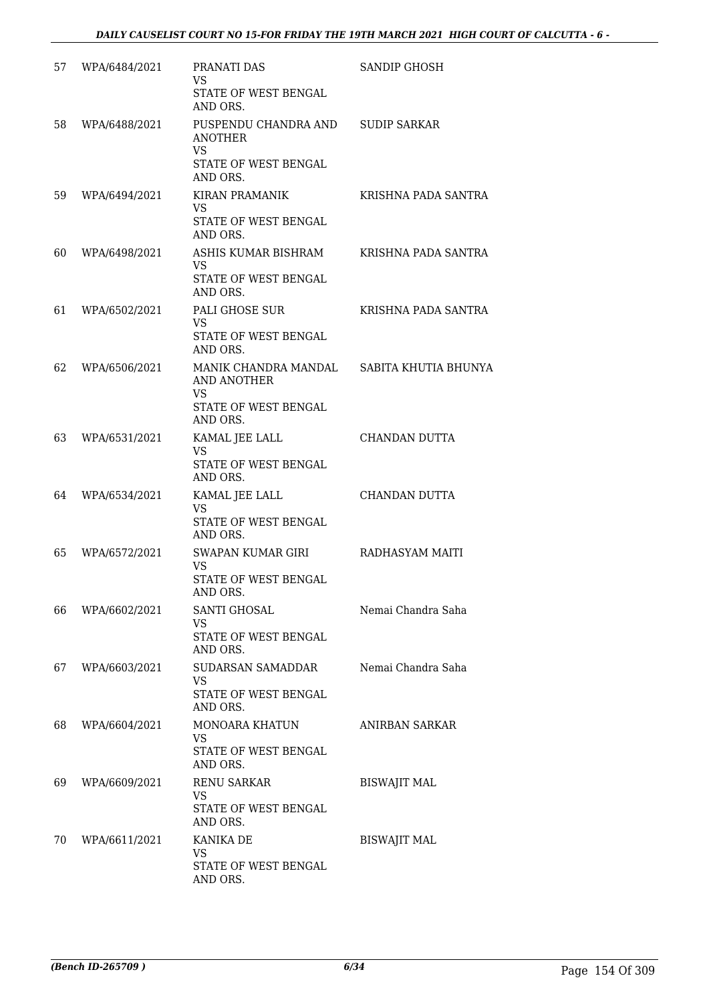| 57 | WPA/6484/2021 | PRANATI DAS<br><b>VS</b><br>STATE OF WEST BENGAL                                                          | SANDIP GHOSH          |
|----|---------------|-----------------------------------------------------------------------------------------------------------|-----------------------|
|    |               | AND ORS.                                                                                                  |                       |
| 58 | WPA/6488/2021 | PUSPENDU CHANDRA AND SUDIP SARKAR<br>ANOTHER<br><b>VS</b><br>STATE OF WEST BENGAL<br>AND ORS.             |                       |
| 59 | WPA/6494/2021 | KIRAN PRAMANIK<br>VS.                                                                                     | KRISHNA PADA SANTRA   |
|    |               | STATE OF WEST BENGAL<br>AND ORS.                                                                          |                       |
| 60 | WPA/6498/2021 | ASHIS KUMAR BISHRAM<br>VS.<br>STATE OF WEST BENGAL<br>AND ORS.                                            | KRISHNA PADA SANTRA   |
| 61 | WPA/6502/2021 | PALI GHOSE SUR<br>VS.<br>STATE OF WEST BENGAL<br>AND ORS.                                                 | KRISHNA PADA SANTRA   |
| 62 | WPA/6506/2021 | MANIK CHANDRA MANDAL SABITA KHUTIA BHUNYA<br>AND ANOTHER<br><b>VS</b><br>STATE OF WEST BENGAL<br>AND ORS. |                       |
| 63 | WPA/6531/2021 | KAMAL JEE LALL<br><b>VS</b><br>STATE OF WEST BENGAL<br>AND ORS.                                           | CHANDAN DUTTA         |
| 64 | WPA/6534/2021 | KAMAL JEE LALL<br>VS.<br>STATE OF WEST BENGAL<br>AND ORS.                                                 | CHANDAN DUTTA         |
| 65 | WPA/6572/2021 | SWAPAN KUMAR GIRI<br><b>VS</b><br>STATE OF WEST BENGAL<br>AND ORS.                                        | RADHASYAM MAITI       |
| 66 | WPA/6602/2021 | <b>SANTI GHOSAL</b><br><b>VS</b><br>STATE OF WEST BENGAL<br>AND ORS.                                      | Nemai Chandra Saha    |
| 67 | WPA/6603/2021 | SUDARSAN SAMADDAR<br><b>VS</b><br>STATE OF WEST BENGAL<br>AND ORS.                                        | Nemai Chandra Saha    |
| 68 | WPA/6604/2021 | MONOARA KHATUN<br><b>VS</b><br>STATE OF WEST BENGAL<br>AND ORS.                                           | <b>ANIRBAN SARKAR</b> |
| 69 | WPA/6609/2021 | <b>RENU SARKAR</b><br><b>VS</b><br>STATE OF WEST BENGAL<br>AND ORS.                                       | <b>BISWAJIT MAL</b>   |
| 70 | WPA/6611/2021 | KANIKA DE<br><b>VS</b><br>STATE OF WEST BENGAL<br>AND ORS.                                                | <b>BISWAJIT MAL</b>   |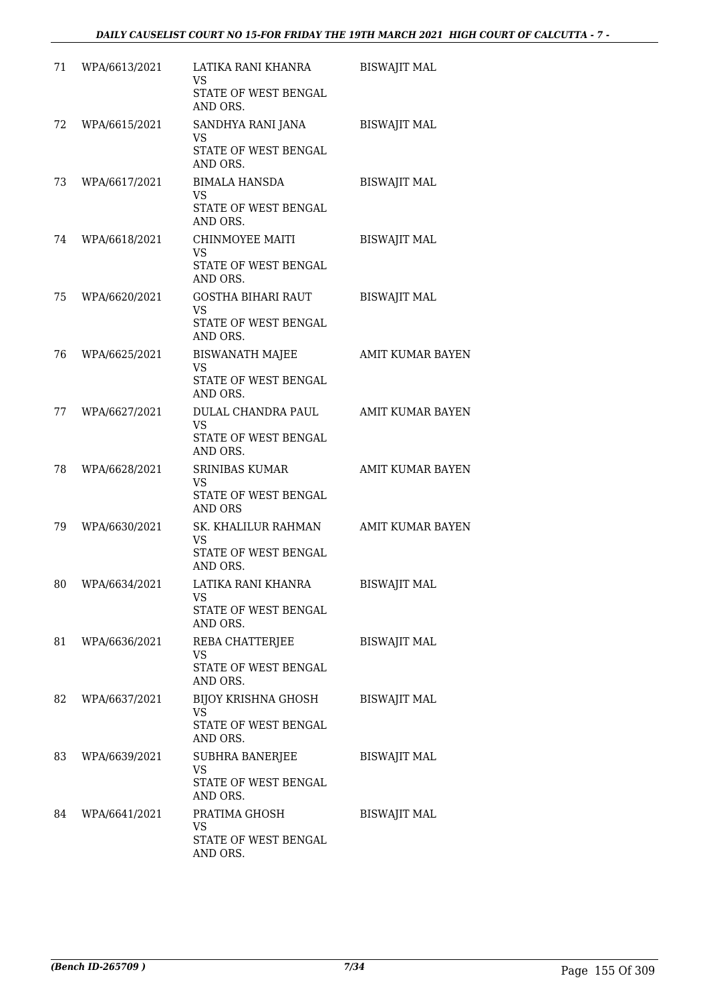| 71 | WPA/6613/2021 | LATIKA RANI KHANRA<br><b>VS</b>                                            | <b>BISWAJIT MAL</b>     |
|----|---------------|----------------------------------------------------------------------------|-------------------------|
|    |               | STATE OF WEST BENGAL<br>AND ORS.                                           |                         |
| 72 | WPA/6615/2021 | SANDHYA RANI JANA<br><b>VS</b>                                             | <b>BISWAJIT MAL</b>     |
|    |               | STATE OF WEST BENGAL<br>AND ORS.                                           |                         |
| 73 | WPA/6617/2021 | <b>BIMALA HANSDA</b><br><b>VS</b><br>STATE OF WEST BENGAL<br>AND ORS.      | <b>BISWAJIT MAL</b>     |
| 74 | WPA/6618/2021 | CHINMOYEE MAITI<br><b>VS</b>                                               | <b>BISWAJIT MAL</b>     |
|    |               | STATE OF WEST BENGAL<br>AND ORS.                                           |                         |
| 75 | WPA/6620/2021 | <b>GOSTHA BIHARI RAUT</b><br><b>VS</b><br>STATE OF WEST BENGAL<br>AND ORS. | <b>BISWAJIT MAL</b>     |
| 76 | WPA/6625/2021 | <b>BISWANATH MAJEE</b><br><b>VS</b><br>STATE OF WEST BENGAL<br>AND ORS.    | <b>AMIT KUMAR BAYEN</b> |
| 77 | WPA/6627/2021 | DULAL CHANDRA PAUL<br><b>VS</b><br>STATE OF WEST BENGAL<br>AND ORS.        | AMIT KUMAR BAYEN        |
| 78 | WPA/6628/2021 | <b>SRINIBAS KUMAR</b><br>VS<br>STATE OF WEST BENGAL<br>AND ORS             | <b>AMIT KUMAR BAYEN</b> |
| 79 | WPA/6630/2021 | SK. KHALILUR RAHMAN<br>VS<br>STATE OF WEST BENGAL<br>AND ORS.              | <b>AMIT KUMAR BAYEN</b> |
| 80 | WPA/6634/2021 | LATIKA RANI KHANRA<br>VS<br>STATE OF WEST BENGAL<br>AND ORS.               | <b>BISWAJIT MAL</b>     |
| 81 | WPA/6636/2021 | REBA CHATTERJEE<br>VS<br><b>STATE OF WEST BENGAL</b><br>AND ORS.           | <b>BISWAJIT MAL</b>     |
| 82 | WPA/6637/2021 | BIJOY KRISHNA GHOSH<br><b>VS</b><br>STATE OF WEST BENGAL<br>AND ORS.       | <b>BISWAJIT MAL</b>     |
| 83 | WPA/6639/2021 | SUBHRA BANERJEE<br><b>VS</b><br>STATE OF WEST BENGAL<br>AND ORS.           | <b>BISWAJIT MAL</b>     |
| 84 | WPA/6641/2021 | PRATIMA GHOSH<br>VS<br>STATE OF WEST BENGAL<br>AND ORS.                    | <b>BISWAJIT MAL</b>     |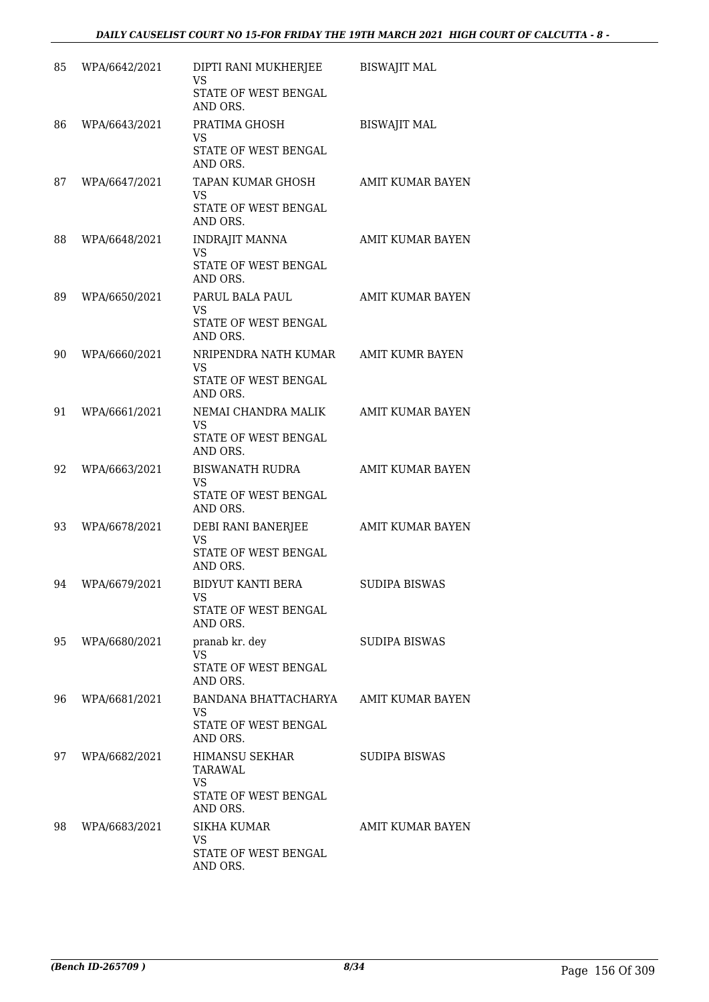| 85 | WPA/6642/2021 | DIPTI RANI MUKHERJEE<br><b>VS</b><br>STATE OF WEST BENGAL<br>AND ORS.      | <b>BISWAJIT MAL</b>     |
|----|---------------|----------------------------------------------------------------------------|-------------------------|
| 86 | WPA/6643/2021 | PRATIMA GHOSH<br>VS.<br>STATE OF WEST BENGAL<br>AND ORS.                   | <b>BISWAJIT MAL</b>     |
| 87 | WPA/6647/2021 | TAPAN KUMAR GHOSH<br>VS.<br>STATE OF WEST BENGAL<br>AND ORS.               | AMIT KUMAR BAYEN        |
| 88 | WPA/6648/2021 | <b>INDRAJIT MANNA</b><br>VS.<br>STATE OF WEST BENGAL<br>AND ORS.           | <b>AMIT KUMAR BAYEN</b> |
| 89 | WPA/6650/2021 | PARUL BALA PAUL<br>VS.<br>STATE OF WEST BENGAL<br>AND ORS.                 | <b>AMIT KUMAR BAYEN</b> |
| 90 | WPA/6660/2021 | NRIPENDRA NATH KUMAR<br>VS.<br>STATE OF WEST BENGAL<br>AND ORS.            | AMIT KUMR BAYEN         |
| 91 | WPA/6661/2021 | NEMAI CHANDRA MALIK<br>VS.<br>STATE OF WEST BENGAL<br>AND ORS.             | <b>AMIT KUMAR BAYEN</b> |
| 92 | WPA/6663/2021 | BISWANATH RUDRA<br>VS.<br>STATE OF WEST BENGAL<br>AND ORS.                 | <b>AMIT KUMAR BAYEN</b> |
| 93 | WPA/6678/2021 | DEBI RANI BANERJEE<br><b>VS</b><br>STATE OF WEST BENGAL<br>AND ORS.        | <b>AMIT KUMAR BAYEN</b> |
| 94 | WPA/6679/2021 | BIDYUT KANTI BERA<br>VS<br><b>STATE OF WEST BENGAL</b><br>AND ORS.         | SUDIPA BISWAS           |
| 95 | WPA/6680/2021 | pranab kr. dey<br><b>VS</b><br><b>STATE OF WEST BENGAL</b><br>AND ORS.     | SUDIPA BISWAS           |
| 96 | WPA/6681/2021 | BANDANA BHATTACHARYA<br>VS<br><b>STATE OF WEST BENGAL</b><br>AND ORS.      | AMIT KUMAR BAYEN        |
| 97 | WPA/6682/2021 | HIMANSU SEKHAR<br>TARAWAL<br><b>VS</b><br>STATE OF WEST BENGAL<br>AND ORS. | SUDIPA BISWAS           |
| 98 | WPA/6683/2021 | <b>SIKHA KUMAR</b><br>VS<br>STATE OF WEST BENGAL<br>AND ORS.               | AMIT KUMAR BAYEN        |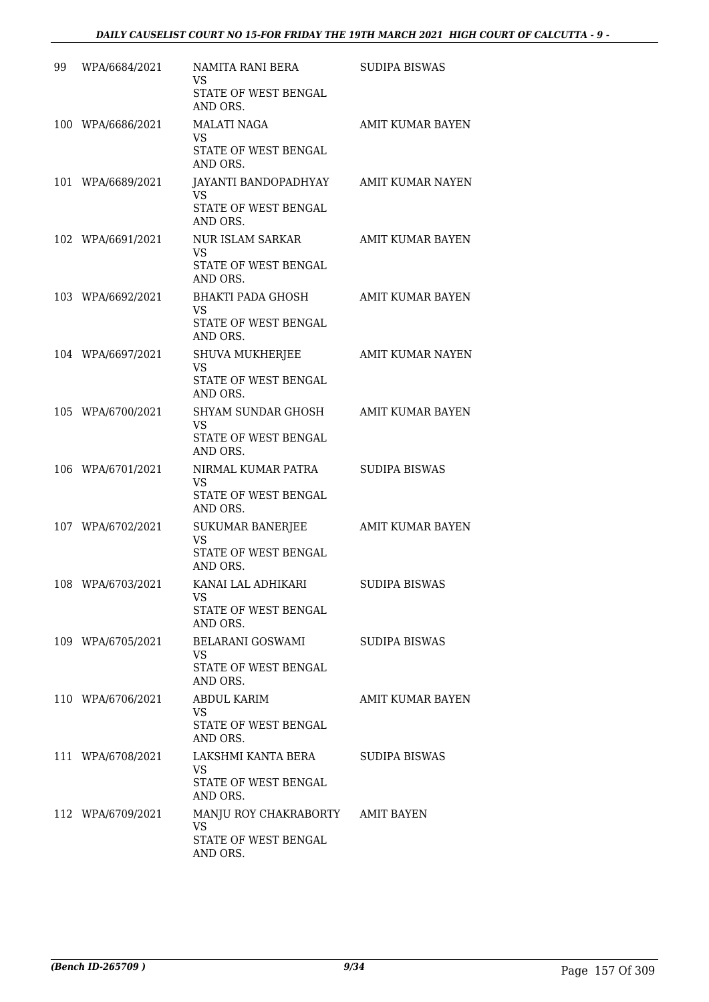| 99 | WPA/6684/2021     | NAMITA RANI BERA<br><b>VS</b><br>STATE OF WEST BENGAL<br>AND ORS.     | SUDIPA BISWAS           |
|----|-------------------|-----------------------------------------------------------------------|-------------------------|
|    | 100 WPA/6686/2021 | <b>MALATI NAGA</b><br><b>VS</b><br>STATE OF WEST BENGAL<br>AND ORS.   | AMIT KUMAR BAYEN        |
|    | 101 WPA/6689/2021 | JAYANTI BANDOPADHYAY<br><b>VS</b><br>STATE OF WEST BENGAL<br>AND ORS. | <b>AMIT KUMAR NAYEN</b> |
|    | 102 WPA/6691/2021 | NUR ISLAM SARKAR<br>VS<br>STATE OF WEST BENGAL<br>AND ORS.            | AMIT KUMAR BAYEN        |
|    | 103 WPA/6692/2021 | BHAKTI PADA GHOSH<br>VS.<br>STATE OF WEST BENGAL<br>AND ORS.          | AMIT KUMAR BAYEN        |
|    | 104 WPA/6697/2021 | SHUVA MUKHERJEE<br>VS.<br>STATE OF WEST BENGAL<br>AND ORS.            | AMIT KUMAR NAYEN        |
|    | 105 WPA/6700/2021 | SHYAM SUNDAR GHOSH<br>VS.<br>STATE OF WEST BENGAL<br>AND ORS.         | <b>AMIT KUMAR BAYEN</b> |
|    | 106 WPA/6701/2021 | NIRMAL KUMAR PATRA<br>VS.<br>STATE OF WEST BENGAL<br>AND ORS.         | SUDIPA BISWAS           |
|    | 107 WPA/6702/2021 | SUKUMAR BANERJEE<br><b>VS</b><br>STATE OF WEST BENGAL<br>AND ORS.     | AMIT KUMAR BAYEN        |
|    | 108 WPA/6703/2021 | KANAI LAL ADHIKARI<br>VS<br>STATE OF WEST BENGAL<br>AND ORS.          | SUDIPA BISWAS           |
|    | 109 WPA/6705/2021 | BELARANI GOSWAMI<br>VS.<br>STATE OF WEST BENGAL<br>AND ORS.           | SUDIPA BISWAS           |
|    | 110 WPA/6706/2021 | <b>ABDUL KARIM</b><br>VS<br>STATE OF WEST BENGAL<br>AND ORS.          | AMIT KUMAR BAYEN        |
|    | 111 WPA/6708/2021 | LAKSHMI KANTA BERA<br><b>VS</b><br>STATE OF WEST BENGAL<br>AND ORS.   | SUDIPA BISWAS           |
|    | 112 WPA/6709/2021 | MANJU ROY CHAKRABORTY<br>VS<br>STATE OF WEST BENGAL<br>AND ORS.       | AMIT BAYEN              |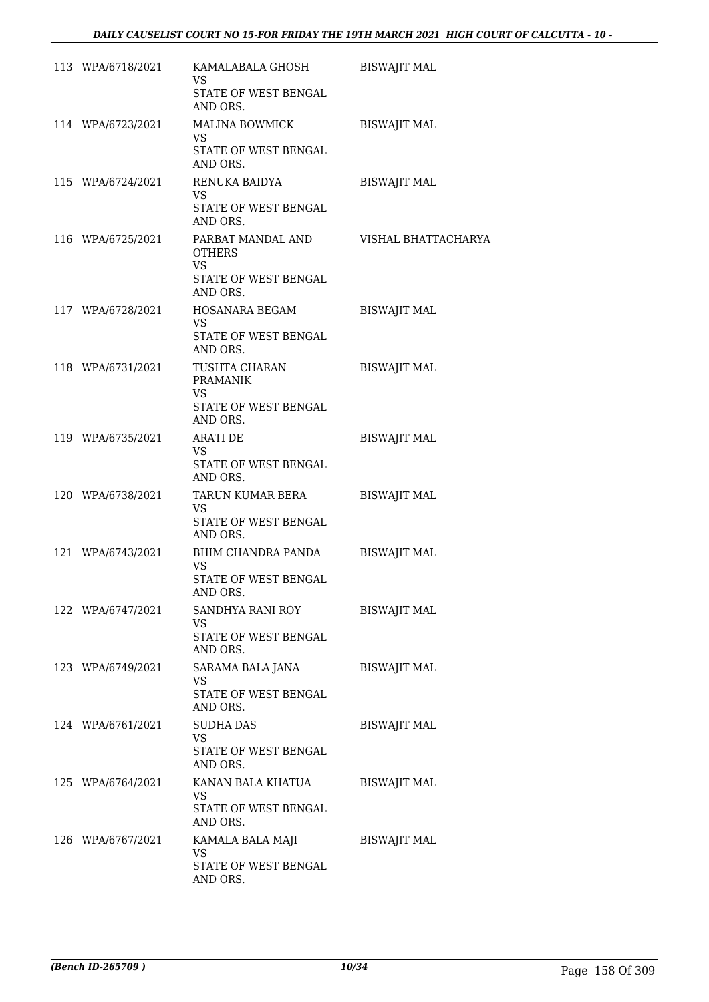| 113 WPA/6718/2021 | KAMALABALA GHOSH<br>VS.<br>STATE OF WEST BENGAL<br>AND ORS.                         | <b>BISWAJIT MAL</b> |
|-------------------|-------------------------------------------------------------------------------------|---------------------|
| 114 WPA/6723/2021 | MALINA BOWMICK<br>VS.                                                               | <b>BISWAJIT MAL</b> |
|                   | STATE OF WEST BENGAL<br>AND ORS.                                                    |                     |
| 115 WPA/6724/2021 | RENUKA BAIDYA<br>VS.<br>STATE OF WEST BENGAL<br>AND ORS.                            | <b>BISWAJIT MAL</b> |
| 116 WPA/6725/2021 | PARBAT MANDAL AND<br><b>OTHERS</b><br><b>VS</b><br>STATE OF WEST BENGAL<br>AND ORS. | VISHAL BHATTACHARYA |
| 117 WPA/6728/2021 | HOSANARA BEGAM<br>VS.<br>STATE OF WEST BENGAL<br>AND ORS.                           | <b>BISWAJIT MAL</b> |
| 118 WPA/6731/2021 | TUSHTA CHARAN<br><b>PRAMANIK</b><br><b>VS</b><br>STATE OF WEST BENGAL<br>AND ORS.   | <b>BISWAJIT MAL</b> |
| 119 WPA/6735/2021 | <b>ARATI DE</b><br>VS.<br>STATE OF WEST BENGAL<br>AND ORS.                          | <b>BISWAJIT MAL</b> |
| 120 WPA/6738/2021 | TARUN KUMAR BERA<br>VS.<br>STATE OF WEST BENGAL<br>AND ORS.                         | <b>BISWAJIT MAL</b> |
| 121 WPA/6743/2021 | BHIM CHANDRA PANDA<br>VS.<br>STATE OF WEST BENGAL<br>AND ORS.                       | <b>BISWAJIT MAL</b> |
| 122 WPA/6747/2021 | SANDHYA RANI ROY<br><b>VS</b><br>STATE OF WEST BENGAL<br>AND ORS.                   | <b>BISWAJIT MAL</b> |
| 123 WPA/6749/2021 | SARAMA BALA JANA<br>VS<br>STATE OF WEST BENGAL<br>AND ORS.                          | <b>BISWAJIT MAL</b> |
| 124 WPA/6761/2021 | <b>SUDHA DAS</b><br><b>VS</b><br>STATE OF WEST BENGAL<br>AND ORS.                   | <b>BISWAJIT MAL</b> |
| 125 WPA/6764/2021 | KANAN BALA KHATUA<br>VS.<br>STATE OF WEST BENGAL<br>AND ORS.                        | <b>BISWAJIT MAL</b> |
| 126 WPA/6767/2021 | KAMALA BALA MAJI<br>VS<br>STATE OF WEST BENGAL<br>AND ORS.                          | <b>BISWAJIT MAL</b> |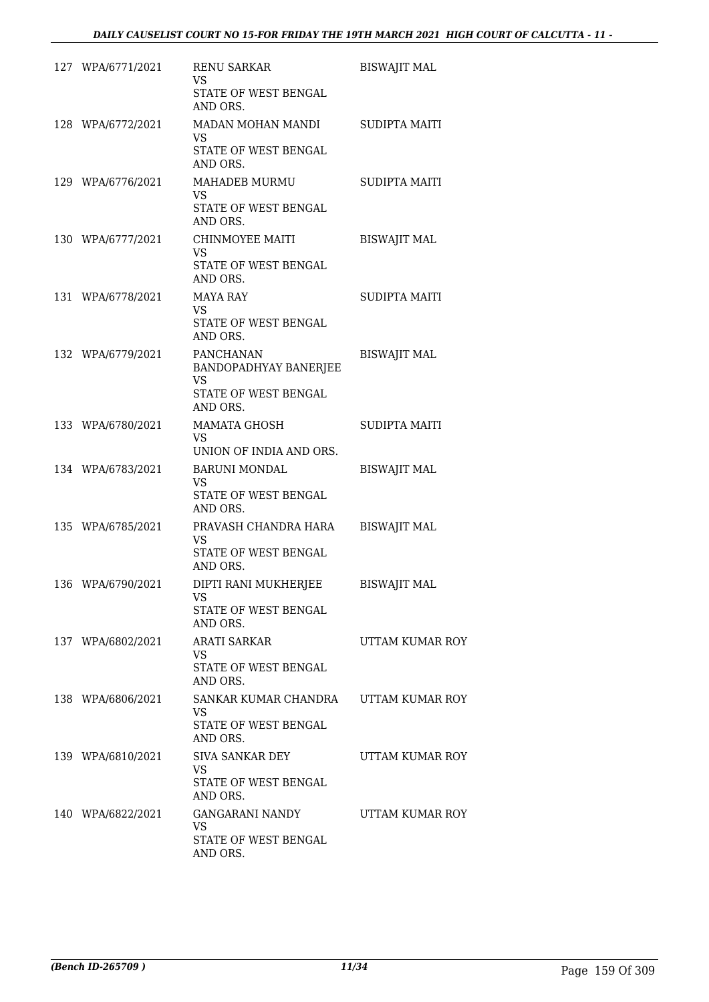| 127 WPA/6771/2021 | <b>RENU SARKAR</b><br>VS.                              | <b>BISWAJIT MAL</b>  |
|-------------------|--------------------------------------------------------|----------------------|
|                   | STATE OF WEST BENGAL<br>AND ORS.                       |                      |
| 128 WPA/6772/2021 | MADAN MOHAN MANDI<br><b>VS</b>                         | <b>SUDIPTA MAITI</b> |
|                   | STATE OF WEST BENGAL<br>AND ORS.                       |                      |
| 129 WPA/6776/2021 | MAHADEB MURMU<br>VS.                                   | <b>SUDIPTA MAITI</b> |
|                   | STATE OF WEST BENGAL<br>AND ORS.                       |                      |
| 130 WPA/6777/2021 | CHINMOYEE MAITI<br>VS.                                 | <b>BISWAJIT MAL</b>  |
|                   | STATE OF WEST BENGAL<br>AND ORS.                       |                      |
| 131 WPA/6778/2021 | MAYA RAY<br>VS.                                        | <b>SUDIPTA MAITI</b> |
|                   | STATE OF WEST BENGAL<br>AND ORS.                       |                      |
| 132 WPA/6779/2021 | PANCHANAN<br><b>BANDOPADHYAY BANERJEE</b><br><b>VS</b> | <b>BISWAJIT MAL</b>  |
|                   | STATE OF WEST BENGAL<br>AND ORS.                       |                      |
| 133 WPA/6780/2021 | MAMATA GHOSH<br>VS.                                    | SUDIPTA MAITI        |
|                   | UNION OF INDIA AND ORS.                                |                      |
| 134 WPA/6783/2021 | <b>BARUNI MONDAL</b><br>VS.                            | <b>BISWAJIT MAL</b>  |
|                   | STATE OF WEST BENGAL<br>AND ORS.                       |                      |
| 135 WPA/6785/2021 | PRAVASH CHANDRA HARA<br>VS.                            | <b>BISWAJIT MAL</b>  |
|                   | STATE OF WEST BENGAL<br>AND ORS.                       |                      |
| 136 WPA/6790/2021 | DIPTI RANI MUKHERJEE<br>VS                             | <b>BISWAJIT MAL</b>  |
|                   | STATE OF WEST BENGAL<br>AND ORS.                       |                      |
| 137 WPA/6802/2021 | <b>ARATI SARKAR</b><br>VS.                             | UTTAM KUMAR ROY      |
|                   | STATE OF WEST BENGAL<br>AND ORS.                       |                      |
| 138 WPA/6806/2021 | SANKAR KUMAR CHANDRA UTTAM KUMAR ROY<br>VS.            |                      |
|                   | STATE OF WEST BENGAL<br>AND ORS.                       |                      |
| 139 WPA/6810/2021 | <b>SIVA SANKAR DEY</b><br>VS                           | UTTAM KUMAR ROY      |
|                   | STATE OF WEST BENGAL<br>AND ORS.                       |                      |
| 140 WPA/6822/2021 | GANGARANI NANDY<br>VS                                  | UTTAM KUMAR ROY      |
|                   | STATE OF WEST BENGAL<br>AND ORS.                       |                      |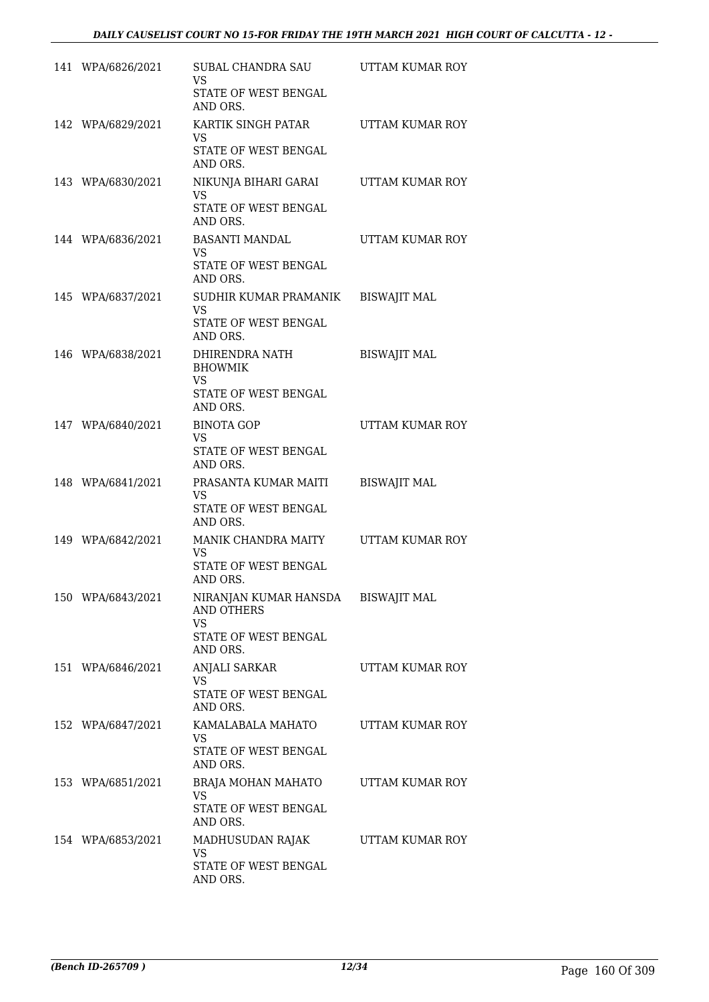| 141 WPA/6826/2021 | SUBAL CHANDRA SAU UTTAM KUMAR ROY<br><b>VS</b><br>STATE OF WEST BENGAL<br>AND ORS.                       |                     |
|-------------------|----------------------------------------------------------------------------------------------------------|---------------------|
| 142 WPA/6829/2021 | KARTIK SINGH PATAR<br>VS.<br>STATE OF WEST BENGAL<br>AND ORS.                                            | UTTAM KUMAR ROY     |
| 143 WPA/6830/2021 | NIKUNJA BIHARI GARAI UTTAM KUMAR ROY<br>VS.<br>STATE OF WEST BENGAL<br>AND ORS.                          |                     |
| 144 WPA/6836/2021 | BASANTI MANDAL<br>VS.<br>STATE OF WEST BENGAL<br>AND ORS.                                                | UTTAM KUMAR ROY     |
| 145 WPA/6837/2021 | SUDHIR KUMAR PRAMANIK<br>VS.<br>STATE OF WEST BENGAL<br>AND ORS.                                         | <b>BISWAJIT MAL</b> |
| 146 WPA/6838/2021 | DHIRENDRA NATH<br><b>BHOWMIK</b><br>VS<br>STATE OF WEST BENGAL<br>AND ORS.                               | <b>BISWAJIT MAL</b> |
| 147 WPA/6840/2021 | <b>BINOTA GOP</b><br>VS.<br>STATE OF WEST BENGAL<br>AND ORS.                                             | UTTAM KUMAR ROY     |
| 148 WPA/6841/2021 | PRASANTA KUMAR MAITI<br>VS.<br>STATE OF WEST BENGAL<br>AND ORS.                                          | <b>BISWAJIT MAL</b> |
| 149 WPA/6842/2021 | MANIK CHANDRA MAITY UTTAM KUMAR ROY<br>VS.<br>STATE OF WEST BENGAL<br>AND ORS.                           |                     |
| 150 WPA/6843/2021 | NIRANJAN KUMAR HANSDA BISWAJIT MAL<br><b>AND OTHERS</b><br><b>VS</b><br>STATE OF WEST BENGAL<br>AND ORS. |                     |
| 151 WPA/6846/2021 | <b>ANJALI SARKAR</b><br>VS<br>STATE OF WEST BENGAL<br>AND ORS.                                           | UTTAM KUMAR ROY     |
| 152 WPA/6847/2021 | KAMALABALA MAHATO<br>VS.<br>STATE OF WEST BENGAL<br>AND ORS.                                             | UTTAM KUMAR ROY     |
| 153 WPA/6851/2021 | BRAJA MOHAN MAHATO<br><b>VS</b><br>STATE OF WEST BENGAL<br>AND ORS.                                      | UTTAM KUMAR ROY     |
| 154 WPA/6853/2021 | MADHUSUDAN RAJAK<br><b>VS</b><br>STATE OF WEST BENGAL<br>AND ORS.                                        | UTTAM KUMAR ROY     |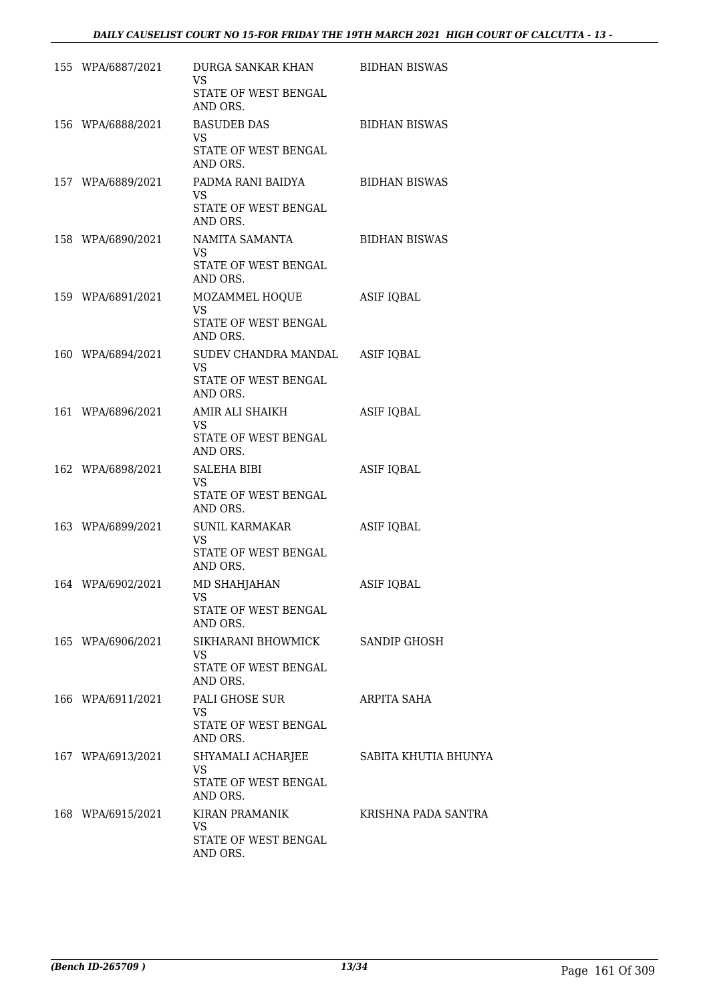| 155 WPA/6887/2021 | DURGA SANKAR KHAN BIDHAN BISWAS<br>VS.<br>STATE OF WEST BENGAL |                      |
|-------------------|----------------------------------------------------------------|----------------------|
|                   | AND ORS.                                                       |                      |
| 156 WPA/6888/2021 | <b>BASUDEB DAS</b><br>VS.                                      | <b>BIDHAN BISWAS</b> |
|                   | STATE OF WEST BENGAL<br>AND ORS.                               |                      |
| 157 WPA/6889/2021 | PADMA RANI BAIDYA BIDHAN BISWAS<br>VS.<br>STATE OF WEST BENGAL |                      |
| 158 WPA/6890/2021 | AND ORS.<br>NAMITA SAMANTA                                     | <b>BIDHAN BISWAS</b> |
|                   | VS.<br>STATE OF WEST BENGAL<br>AND ORS.                        |                      |
| 159 WPA/6891/2021 | MOZAMMEL HOQUE                                                 | ASIF IQBAL           |
|                   | VS.<br>STATE OF WEST BENGAL<br>AND ORS.                        |                      |
| 160 WPA/6894/2021 | SUDEV CHANDRA MANDAL ASIF IQBAL                                |                      |
|                   | VS<br>STATE OF WEST BENGAL<br>AND ORS.                         |                      |
| 161 WPA/6896/2021 | AMIR ALI SHAIKH<br>VS.                                         | <b>ASIF IQBAL</b>    |
|                   | STATE OF WEST BENGAL<br>AND ORS.                               |                      |
| 162 WPA/6898/2021 | SALEHA BIBI<br>VS.                                             | <b>ASIF IQBAL</b>    |
|                   | STATE OF WEST BENGAL<br>AND ORS.                               |                      |
| 163 WPA/6899/2021 | SUNIL KARMAKAR<br>VS.                                          | <b>ASIF IQBAL</b>    |
|                   | STATE OF WEST BENGAL<br>AND ORS.                               |                      |
| 164 WPA/6902/2021 | MD SHAHJAHAN<br>VS                                             | <b>ASIF IQBAL</b>    |
|                   | STATE OF WEST BENGAL<br>AND ORS.                               |                      |
| 165 WPA/6906/2021 | SIKHARANI BHOWMICK<br>VS.                                      | SANDIP GHOSH         |
|                   | STATE OF WEST BENGAL<br>AND ORS.                               |                      |
| 166 WPA/6911/2021 | PALI GHOSE SUR<br>VS.                                          | ARPITA SAHA          |
|                   | STATE OF WEST BENGAL<br>AND ORS.                               |                      |
| 167 WPA/6913/2021 | SHYAMALI ACHARJEE<br>VS                                        | SABITA KHUTIA BHUNYA |
|                   | STATE OF WEST BENGAL<br>AND ORS.                               |                      |
| 168 WPA/6915/2021 | KIRAN PRAMANIK<br>VS                                           | KRISHNA PADA SANTRA  |
|                   | STATE OF WEST BENGAL<br>AND ORS.                               |                      |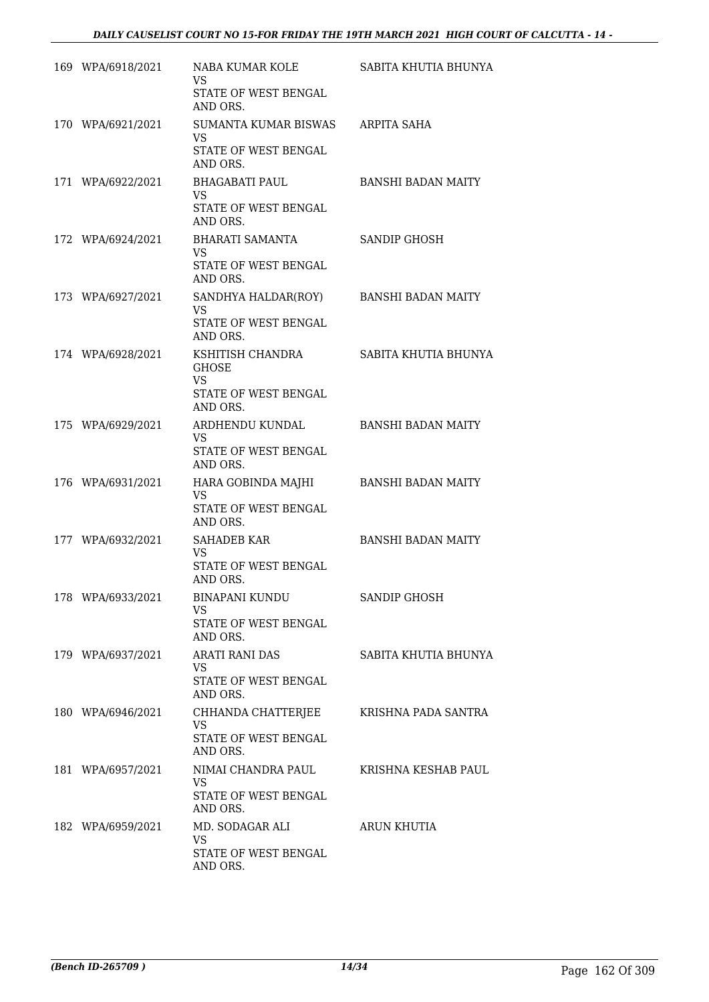| 169 WPA/6918/2021 | NABA KUMAR KOLE<br><b>VS</b><br>STATE OF WEST BENGAL<br>AND ORS.                       | SABITA KHUTIA BHUNYA      |
|-------------------|----------------------------------------------------------------------------------------|---------------------------|
| 170 WPA/6921/2021 | SUMANTA KUMAR BISWAS ARPITA SAHA<br><b>VS</b><br>STATE OF WEST BENGAL<br>AND ORS.      |                           |
| 171 WPA/6922/2021 | BHAGABATI PAUL<br><b>VS</b><br>STATE OF WEST BENGAL<br>AND ORS.                        | <b>BANSHI BADAN MAITY</b> |
| 172 WPA/6924/2021 | BHARATI SAMANTA<br>VS.<br>STATE OF WEST BENGAL<br>AND ORS.                             | SANDIP GHOSH              |
| 173 WPA/6927/2021 | SANDHYA HALDAR(ROY)<br>VS.<br>STATE OF WEST BENGAL<br>AND ORS.                         | <b>BANSHI BADAN MAITY</b> |
| 174 WPA/6928/2021 | KSHITISH CHANDRA<br><b>GHOSE</b><br><b>VS</b><br>STATE OF WEST BENGAL<br>AND ORS.      | SABITA KHUTIA BHUNYA      |
| 175 WPA/6929/2021 | ARDHENDU KUNDAL<br>VS<br>STATE OF WEST BENGAL<br>AND ORS.                              | <b>BANSHI BADAN MAITY</b> |
| 176 WPA/6931/2021 | HARA GOBINDA MAJHI BANSHI BADAN MAITY<br><b>VS</b><br>STATE OF WEST BENGAL<br>AND ORS. |                           |
| 177 WPA/6932/2021 | SAHADEB KAR<br>VS<br>STATE OF WEST BENGAL<br>AND ORS.                                  | <b>BANSHI BADAN MAITY</b> |
| 178 WPA/6933/2021 | <b>BINAPANI KUNDU</b><br>VS<br>STATE OF WEST BENGAL<br>AND ORS.                        | SANDIP GHOSH              |
| 179 WPA/6937/2021 | ARATI RANI DAS<br>VS<br>STATE OF WEST BENGAL<br>AND ORS.                               | SABITA KHUTIA BHUNYA      |
| 180 WPA/6946/2021 | CHHANDA CHATTERJEE<br><b>VS</b><br>STATE OF WEST BENGAL<br>AND ORS.                    | KRISHNA PADA SANTRA       |
| 181 WPA/6957/2021 | NIMAI CHANDRA PAUL<br>VS<br>STATE OF WEST BENGAL<br>AND ORS.                           | KRISHNA KESHAB PAUL       |
| 182 WPA/6959/2021 | MD. SODAGAR ALI<br>VS<br>STATE OF WEST BENGAL<br>AND ORS.                              | <b>ARUN KHUTIA</b>        |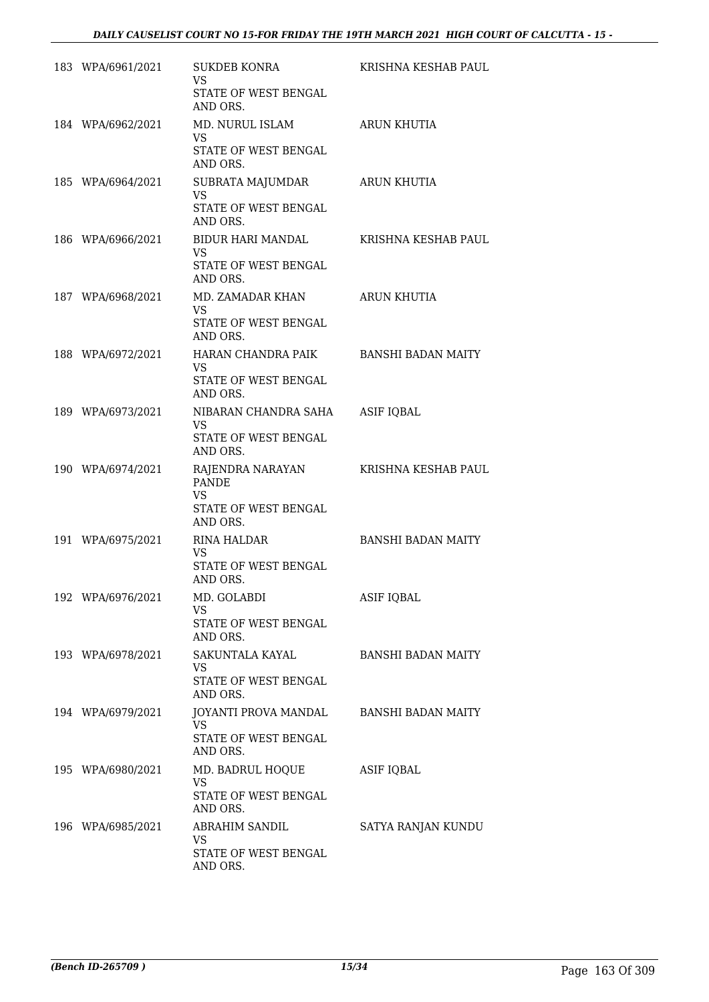| 183 WPA/6961/2021 | SUKDEB KONRA<br><b>VS</b><br>STATE OF WEST BENGAL<br>AND ORS.                             | KRISHNA KESHAB PAUL       |
|-------------------|-------------------------------------------------------------------------------------------|---------------------------|
| 184 WPA/6962/2021 | MD. NURUL ISLAM<br>VS.<br>STATE OF WEST BENGAL<br>AND ORS.                                | ARUN KHUTIA               |
| 185 WPA/6964/2021 | SUBRATA MAJUMDAR<br><b>VS</b><br>STATE OF WEST BENGAL<br>AND ORS.                         | ARUN KHUTIA               |
| 186 WPA/6966/2021 | BIDUR HARI MANDAL<br>VS.<br>STATE OF WEST BENGAL<br>AND ORS.                              | KRISHNA KESHAB PAUL       |
| 187 WPA/6968/2021 | MD. ZAMADAR KHAN<br>VS<br>STATE OF WEST BENGAL<br>AND ORS.                                | ARUN KHUTIA               |
| 188 WPA/6972/2021 | HARAN CHANDRA PAIK BANSHI BADAN MAITY<br>VS.<br>STATE OF WEST BENGAL<br>AND ORS.          |                           |
| 189 WPA/6973/2021 | NIBARAN CHANDRA SAHA<br>VS.<br>STATE OF WEST BENGAL<br>AND ORS.                           | <b>ASIF IQBAL</b>         |
| 190 WPA/6974/2021 | RAJENDRA NARAYAN KRISHNA KESHAB PAUL<br><b>PANDE</b><br><b>VS</b><br>STATE OF WEST BENGAL |                           |
| 191 WPA/6975/2021 | AND ORS.<br>RINA HALDAR<br>VS<br>STATE OF WEST BENGAL<br>AND ORS.                         | <b>BANSHI BADAN MAITY</b> |
| 192 WPA/6976/2021 | MD. GOLABDI<br><b>VS</b><br>STATE OF WEST BENGAL<br>AND ORS.                              | <b>ASIF IQBAL</b>         |
| 193 WPA/6978/2021 | SAKUNTALA KAYAL<br><b>VS</b><br>STATE OF WEST BENGAL<br>AND ORS.                          | <b>BANSHI BADAN MAITY</b> |
| 194 WPA/6979/2021 | JOYANTI PROVA MANDAL<br><b>VS</b><br>STATE OF WEST BENGAL<br>AND ORS.                     | <b>BANSHI BADAN MAITY</b> |
| 195 WPA/6980/2021 | MD. BADRUL HOQUE<br><b>VS</b><br>STATE OF WEST BENGAL<br>AND ORS.                         | <b>ASIF IQBAL</b>         |
| 196 WPA/6985/2021 | ABRAHIM SANDIL<br>VS.<br>STATE OF WEST BENGAL<br>AND ORS.                                 | SATYA RANJAN KUNDU        |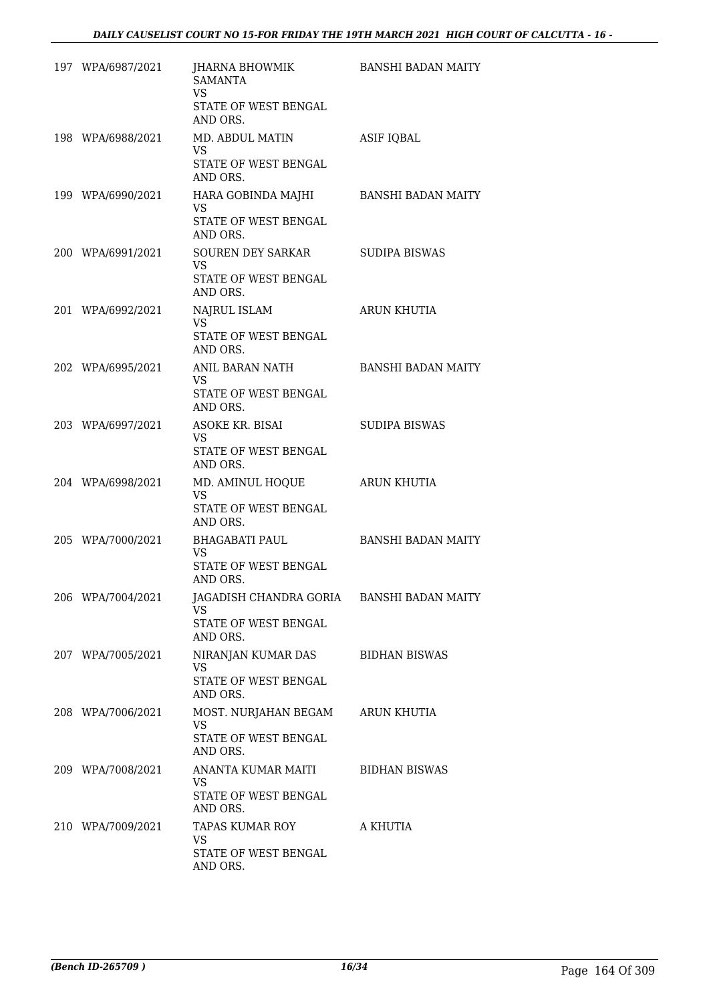| 197 WPA/6987/2021 | JHARNA BHOWMIK<br><b>SAMANTA</b><br><b>VS</b><br>STATE OF WEST BENGAL<br>AND ORS.   | BANSHI BADAN MAITY        |
|-------------------|-------------------------------------------------------------------------------------|---------------------------|
| 198 WPA/6988/2021 | MD. ABDUL MATIN<br>VS<br>STATE OF WEST BENGAL<br>AND ORS.                           | <b>ASIF IQBAL</b>         |
| 199 WPA/6990/2021 | HARA GOBINDA MAJHI<br><b>VS</b><br>STATE OF WEST BENGAL<br>AND ORS.                 | BANSHI BADAN MAITY        |
| 200 WPA/6991/2021 | SOUREN DEY SARKAR<br>VS<br>STATE OF WEST BENGAL<br>AND ORS.                         | SUDIPA BISWAS             |
| 201 WPA/6992/2021 | NAJRUL ISLAM<br><b>VS</b><br>STATE OF WEST BENGAL<br>AND ORS.                       | ARUN KHUTIA               |
| 202 WPA/6995/2021 | ANIL BARAN NATH<br>VS.<br>STATE OF WEST BENGAL<br>AND ORS.                          | <b>BANSHI BADAN MAITY</b> |
| 203 WPA/6997/2021 | ASOKE KR. BISAI<br>VS.<br>STATE OF WEST BENGAL<br>AND ORS.                          | <b>SUDIPA BISWAS</b>      |
| 204 WPA/6998/2021 | MD. AMINUL HOQUE<br>VS<br>STATE OF WEST BENGAL<br>AND ORS.                          | ARUN KHUTIA               |
| 205 WPA/7000/2021 | BHAGABATI PAUL<br>VS.<br>STATE OF WEST BENGAL<br>AND ORS.                           | <b>BANSHI BADAN MAITY</b> |
| 206 WPA/7004/2021 | JAGADISH CHANDRA GORIA BANSHI BADAN MAITY<br>VS<br>STATE OF WEST BENGAL<br>AND ORS. |                           |
| 207 WPA/7005/2021 | NIRANJAN KUMAR DAS<br><b>VS</b><br><b>STATE OF WEST BENGAL</b><br>AND ORS.          | <b>BIDHAN BISWAS</b>      |
| 208 WPA/7006/2021 | MOST. NURJAHAN BEGAM<br><b>VS</b><br>STATE OF WEST BENGAL<br>AND ORS.               | ARUN KHUTIA               |
| 209 WPA/7008/2021 | ANANTA KUMAR MAITI<br>VS.<br>STATE OF WEST BENGAL<br>AND ORS.                       | <b>BIDHAN BISWAS</b>      |
| 210 WPA/7009/2021 | TAPAS KUMAR ROY<br>VS.<br>STATE OF WEST BENGAL<br>AND ORS.                          | A KHUTIA                  |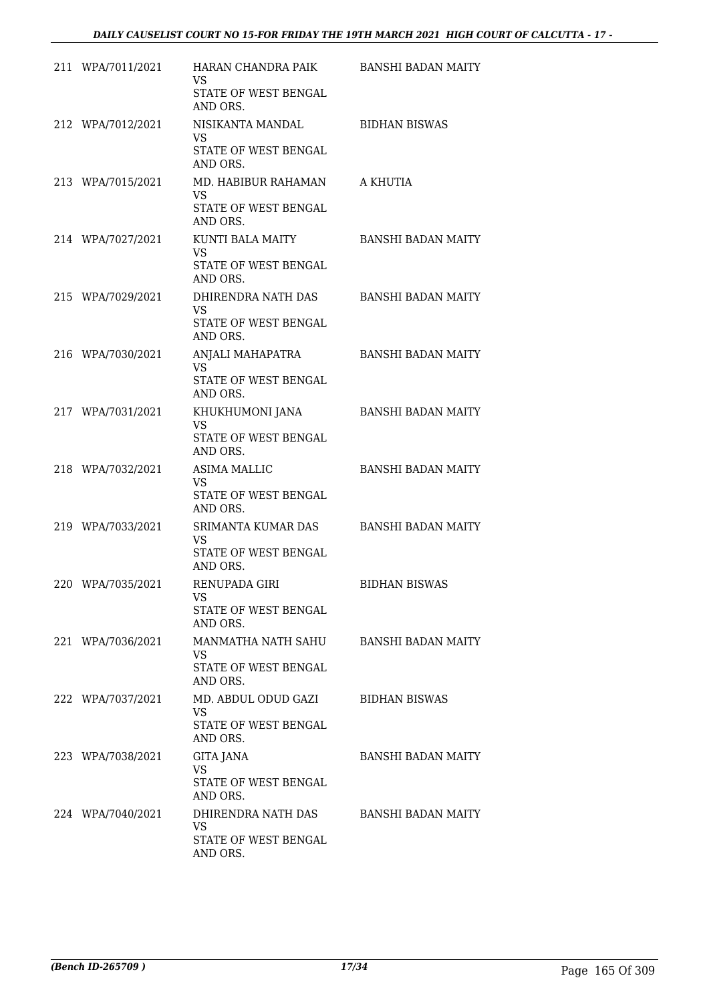| 211 WPA/7011/2021 | HARAN CHANDRA PAIK BANSHI BADAN MAITY<br>VS<br>STATE OF WEST BENGAL<br>AND ORS. |                           |
|-------------------|---------------------------------------------------------------------------------|---------------------------|
| 212 WPA/7012/2021 | NISIKANTA MANDAL<br><b>VS</b><br>STATE OF WEST BENGAL<br>AND ORS.               | <b>BIDHAN BISWAS</b>      |
| 213 WPA/7015/2021 | MD. HABIBUR RAHAMAN<br><b>VS</b><br>STATE OF WEST BENGAL<br>AND ORS.            | A KHUTIA                  |
| 214 WPA/7027/2021 | KUNTI BALA MAITY<br>VS.<br>STATE OF WEST BENGAL<br>AND ORS.                     | <b>BANSHI BADAN MAITY</b> |
| 215 WPA/7029/2021 | DHIRENDRA NATH DAS<br><b>VS</b><br>STATE OF WEST BENGAL<br>AND ORS.             | <b>BANSHI BADAN MAITY</b> |
| 216 WPA/7030/2021 | ANJALI MAHAPATRA<br><b>VS</b><br>STATE OF WEST BENGAL<br>AND ORS.               | <b>BANSHI BADAN MAITY</b> |
| 217 WPA/7031/2021 | KHUKHUMONI JANA<br><b>VS</b><br>STATE OF WEST BENGAL<br>AND ORS.                | <b>BANSHI BADAN MAITY</b> |
| 218 WPA/7032/2021 | <b>ASIMA MALLIC</b><br>VS.<br>STATE OF WEST BENGAL<br>AND ORS.                  | <b>BANSHI BADAN MAITY</b> |
| 219 WPA/7033/2021 | SRIMANTA KUMAR DAS<br>VS.<br>STATE OF WEST BENGAL<br>AND ORS.                   | <b>BANSHI BADAN MAITY</b> |
| 220 WPA/7035/2021 | RENUPADA GIRI<br>VS<br>STATE OF WEST BENGAL<br>AND ORS.                         | <b>BIDHAN BISWAS</b>      |
| 221 WPA/7036/2021 | MANMATHA NATH SAHU<br>VS.<br>STATE OF WEST BENGAL<br>AND ORS.                   | BANSHI BADAN MAITY        |
| 222 WPA/7037/2021 | MD. ABDUL ODUD GAZI<br>VS.<br>STATE OF WEST BENGAL<br>AND ORS.                  | BIDHAN BISWAS             |
| 223 WPA/7038/2021 | <b>GITA JANA</b><br><b>VS</b><br>STATE OF WEST BENGAL<br>AND ORS.               | BANSHI BADAN MAITY        |
| 224 WPA/7040/2021 | DHIRENDRA NATH DAS<br>VS.<br>STATE OF WEST BENGAL<br>AND ORS.                   | BANSHI BADAN MAITY        |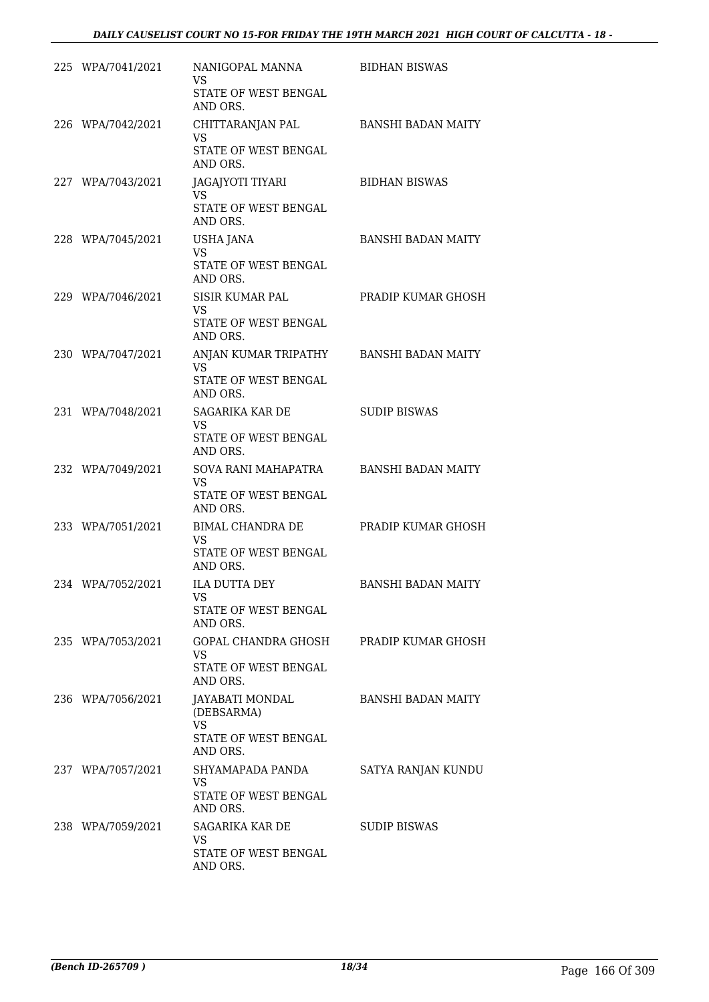| 225 WPA/7041/2021 | NANIGOPAL MANNA<br>VS.                                                                | <b>BIDHAN BISWAS</b>      |
|-------------------|---------------------------------------------------------------------------------------|---------------------------|
|                   | STATE OF WEST BENGAL<br>AND ORS.                                                      |                           |
| 226 WPA/7042/2021 | CHITTARANJAN PAL<br><b>VS</b>                                                         | BANSHI BADAN MAITY        |
|                   | STATE OF WEST BENGAL<br>AND ORS.                                                      |                           |
| 227 WPA/7043/2021 | JAGAJYOTI TIYARI<br>VS.<br>STATE OF WEST BENGAL<br>AND ORS.                           | <b>BIDHAN BISWAS</b>      |
| 228 WPA/7045/2021 | USHA JANA<br><b>VS</b><br>STATE OF WEST BENGAL<br>AND ORS.                            | <b>BANSHI BADAN MAITY</b> |
| 229 WPA/7046/2021 | SISIR KUMAR PAL<br>VS.                                                                | PRADIP KUMAR GHOSH        |
|                   | STATE OF WEST BENGAL<br>AND ORS.                                                      |                           |
| 230 WPA/7047/2021 | ANJAN KUMAR TRIPATHY BANSHI BADAN MAITY<br>VS<br>STATE OF WEST BENGAL<br>AND ORS.     |                           |
| 231 WPA/7048/2021 | SAGARIKA KAR DE                                                                       | <b>SUDIP BISWAS</b>       |
|                   | VS.<br>STATE OF WEST BENGAL<br>AND ORS.                                               |                           |
| 232 WPA/7049/2021 | SOVA RANI MAHAPATRA<br>VS.<br>STATE OF WEST BENGAL<br>AND ORS.                        | BANSHI BADAN MAITY        |
| 233 WPA/7051/2021 | BIMAL CHANDRA DE<br>VS.<br>STATE OF WEST BENGAL<br>AND ORS.                           | PRADIP KUMAR GHOSH        |
| 234 WPA/7052/2021 | <b>ILA DUTTA DEY</b><br>VS<br>STATE OF WEST BENGAL<br>AND ORS.                        | <b>BANSHI BADAN MAITY</b> |
| 235 WPA/7053/2021 | GOPAL CHANDRA GHOSH<br>VS.<br><b>STATE OF WEST BENGAL</b><br>AND ORS.                 | PRADIP KUMAR GHOSH        |
| 236 WPA/7056/2021 | <b>JAYABATI MONDAL</b><br>(DEBSARMA)<br><b>VS</b><br>STATE OF WEST BENGAL<br>AND ORS. | <b>BANSHI BADAN MAITY</b> |
| 237 WPA/7057/2021 | SHYAMAPADA PANDA<br>VS.<br>STATE OF WEST BENGAL<br>AND ORS.                           | SATYA RANJAN KUNDU        |
| 238 WPA/7059/2021 | SAGARIKA KAR DE<br>VS.<br>STATE OF WEST BENGAL<br>AND ORS.                            | <b>SUDIP BISWAS</b>       |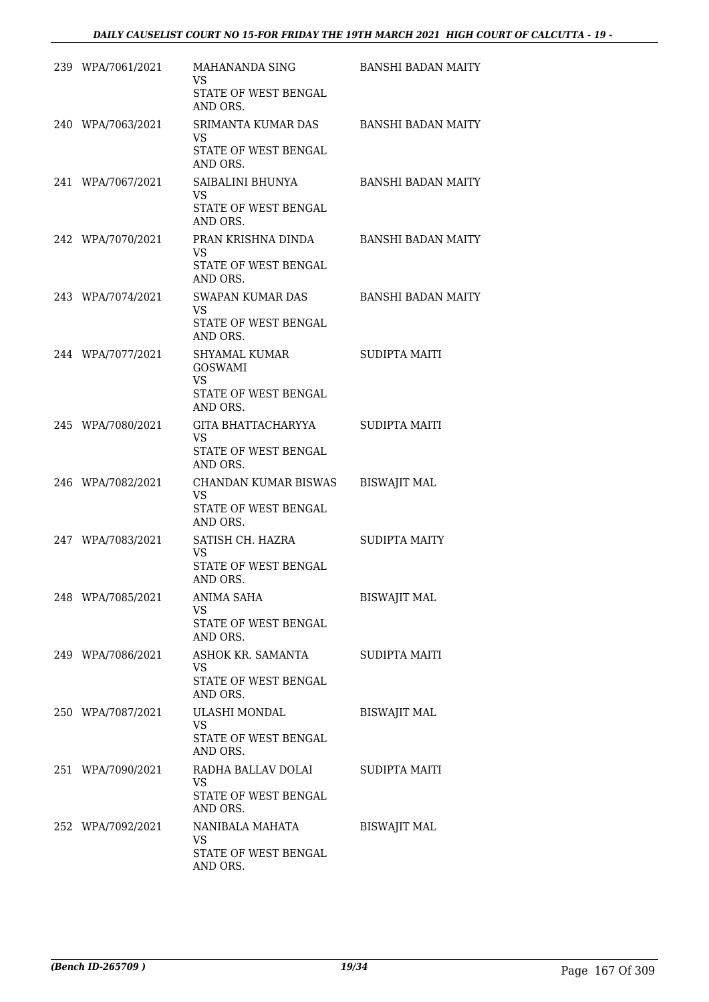| 239 WPA/7061/2021 | MAHANANDA SING<br>VS.<br>STATE OF WEST BENGAL<br>AND ORS.                  | BANSHI BADAN MAITY        |
|-------------------|----------------------------------------------------------------------------|---------------------------|
| 240 WPA/7063/2021 | SRIMANTA KUMAR DAS<br>VS.<br>STATE OF WEST BENGAL<br>AND ORS.              | BANSHI BADAN MAITY        |
| 241 WPA/7067/2021 | SAIBALINI BHUNYA<br>VS.<br>STATE OF WEST BENGAL<br>AND ORS.                | <b>BANSHI BADAN MAITY</b> |
| 242 WPA/7070/2021 | PRAN KRISHNA DINDA<br>VS.<br>STATE OF WEST BENGAL<br>AND ORS.              | BANSHI BADAN MAITY        |
| 243 WPA/7074/2021 | SWAPAN KUMAR DAS<br>VS<br>STATE OF WEST BENGAL<br>AND ORS.                 | BANSHI BADAN MAITY        |
| 244 WPA/7077/2021 | SHYAMAL KUMAR<br><b>GOSWAMI</b><br>VS.<br>STATE OF WEST BENGAL<br>AND ORS. | SUDIPTA MAITI             |
| 245 WPA/7080/2021 | GITA BHATTACHARYYA<br>VS.<br>STATE OF WEST BENGAL<br>AND ORS.              | SUDIPTA MAITI             |
| 246 WPA/7082/2021 | CHANDAN KUMAR BISWAS<br>VS<br>STATE OF WEST BENGAL<br>AND ORS.             | <b>BISWAJIT MAL</b>       |
| 247 WPA/7083/2021 | SATISH CH. HAZRA<br>VS.<br>STATE OF WEST BENGAL<br>AND ORS.                | <b>SUDIPTA MAITY</b>      |
| 248 WPA/7085/2021 | ANIMA SAHA<br>VS.<br>STATE OF WEST BENGAL<br>AND ORS.                      | <b>BISWAJIT MAL</b>       |
| 249 WPA/7086/2021 | ASHOK KR. SAMANTA<br>VS<br>STATE OF WEST BENGAL<br>AND ORS.                | SUDIPTA MAITI             |
| 250 WPA/7087/2021 | ULASHI MONDAL<br><b>VS</b><br>STATE OF WEST BENGAL<br>AND ORS.             | <b>BISWAJIT MAL</b>       |
| 251 WPA/7090/2021 | RADHA BALLAV DOLAI<br>VS<br>STATE OF WEST BENGAL<br>AND ORS.               | SUDIPTA MAITI             |
| 252 WPA/7092/2021 | NANIBALA MAHATA<br><b>VS</b><br>STATE OF WEST BENGAL<br>AND ORS.           | <b>BISWAJIT MAL</b>       |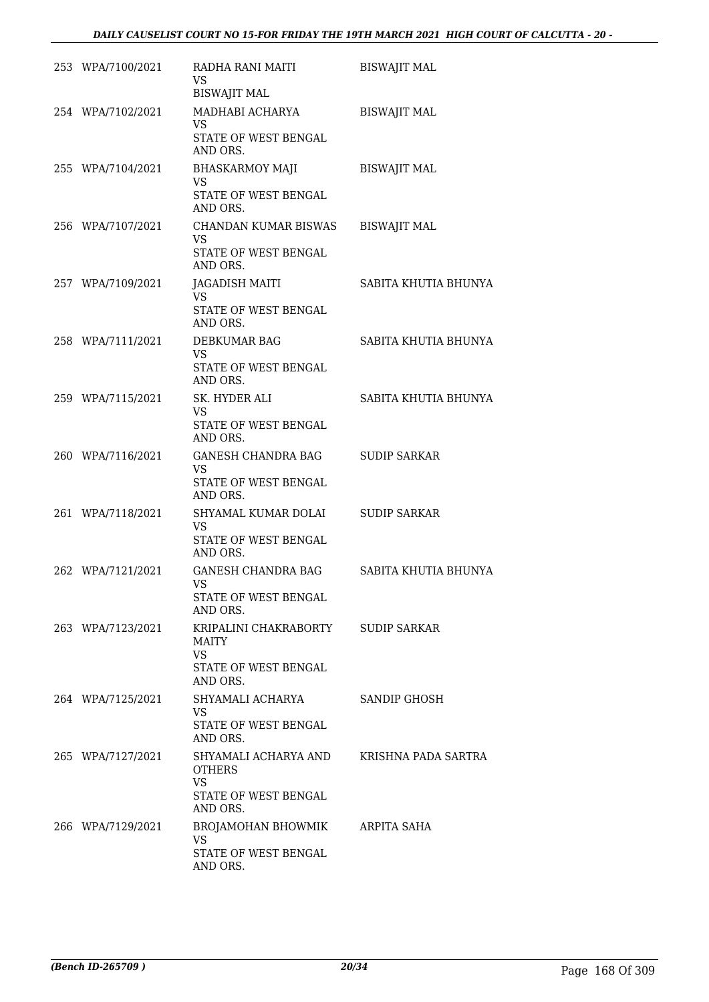# *DAILY CAUSELIST COURT NO 15-FOR FRIDAY THE 19TH MARCH 2021 HIGH COURT OF CALCUTTA - 20 -*

| 253 WPA/7100/2021 | RADHA RANI MAITI<br>VS.<br><b>BISWAJIT MAL</b>                                         | <b>BISWAJIT MAL</b>  |
|-------------------|----------------------------------------------------------------------------------------|----------------------|
| 254 WPA/7102/2021 | MADHABI ACHARYA<br>VS.<br>STATE OF WEST BENGAL<br>AND ORS.                             | <b>BISWAJIT MAL</b>  |
| 255 WPA/7104/2021 | <b>BHASKARMOY MAJI</b><br>VS<br>STATE OF WEST BENGAL<br>AND ORS.                       | <b>BISWAJIT MAL</b>  |
| 256 WPA/7107/2021 | <b>CHANDAN KUMAR BISWAS</b><br><b>VS</b><br>STATE OF WEST BENGAL<br>AND ORS.           | <b>BISWAJIT MAL</b>  |
| 257 WPA/7109/2021 | JAGADISH MAITI<br>VS.<br>STATE OF WEST BENGAL<br>AND ORS.                              | SABITA KHUTIA BHUNYA |
| 258 WPA/7111/2021 | DEBKUMAR BAG<br><b>VS</b><br>STATE OF WEST BENGAL<br>AND ORS.                          | SABITA KHUTIA BHUNYA |
| 259 WPA/7115/2021 | SK. HYDER ALI<br><b>VS</b><br>STATE OF WEST BENGAL<br>AND ORS.                         | SABITA KHUTIA BHUNYA |
| 260 WPA/7116/2021 | GANESH CHANDRA BAG<br>VS<br>STATE OF WEST BENGAL<br>AND ORS.                           | <b>SUDIP SARKAR</b>  |
| 261 WPA/7118/2021 | SHYAMAL KUMAR DOLAI<br>VS<br>STATE OF WEST BENGAL<br>AND ORS.                          | <b>SUDIP SARKAR</b>  |
| 262 WPA/7121/2021 | <b>GANESH CHANDRA BAG</b><br>VS<br>STATE OF WEST BENGAL<br>AND ORS.                    | SABITA KHUTIA BHUNYA |
| 263 WPA/7123/2021 | KRIPALINI CHAKRABORTY<br><b>MAITY</b><br><b>VS</b><br>STATE OF WEST BENGAL<br>AND ORS. | <b>SUDIP SARKAR</b>  |
| 264 WPA/7125/2021 | SHYAMALI ACHARYA<br>VS.<br>STATE OF WEST BENGAL<br>AND ORS.                            | SANDIP GHOSH         |
| 265 WPA/7127/2021 | SHYAMALI ACHARYA AND<br><b>OTHERS</b><br><b>VS</b><br>STATE OF WEST BENGAL<br>AND ORS. | KRISHNA PADA SARTRA  |
| 266 WPA/7129/2021 | BROJAMOHAN BHOWMIK<br>VS.<br>STATE OF WEST BENGAL<br>AND ORS.                          | ARPITA SAHA          |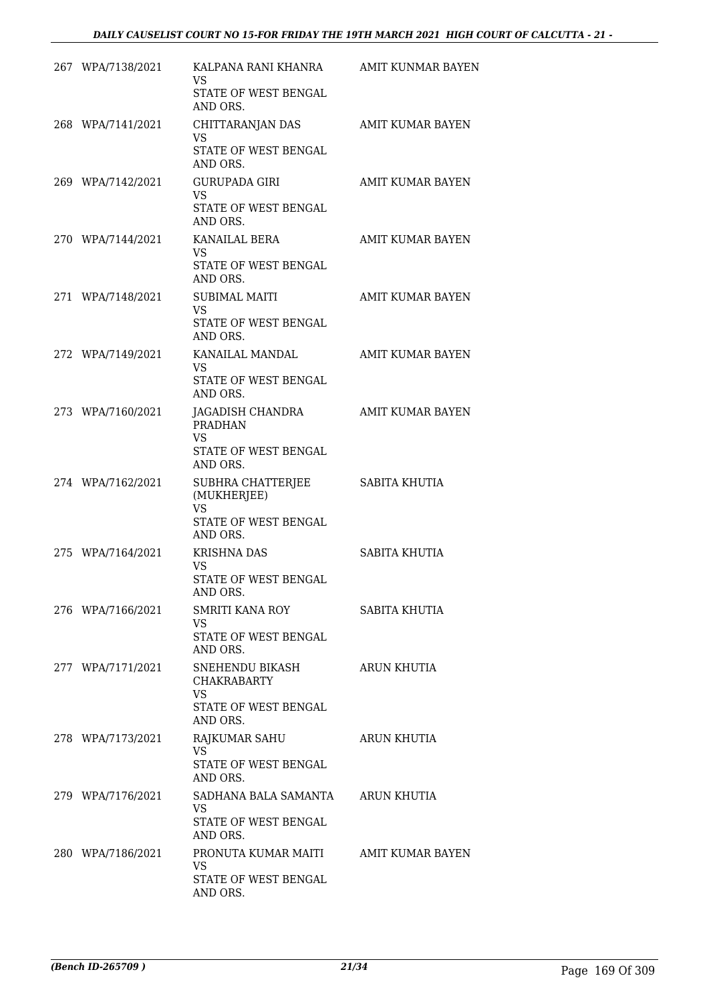| 267 WPA/7138/2021 | KALPANA RANI KHANRA<br>VS.<br>STATE OF WEST BENGAL<br>AND ORS.                         | AMIT KUNMAR BAYEN       |
|-------------------|----------------------------------------------------------------------------------------|-------------------------|
| 268 WPA/7141/2021 | CHITTARANJAN DAS<br>VS<br>STATE OF WEST BENGAL<br>AND ORS.                             | AMIT KUMAR BAYEN        |
| 269 WPA/7142/2021 | <b>GURUPADA GIRI</b><br><b>VS</b><br>STATE OF WEST BENGAL<br>AND ORS.                  | AMIT KUMAR BAYEN        |
| 270 WPA/7144/2021 | KANAILAL BERA<br>VS.<br>STATE OF WEST BENGAL<br>AND ORS.                               | AMIT KUMAR BAYEN        |
| 271 WPA/7148/2021 | <b>SUBIMAL MAITI</b><br><b>VS</b><br>STATE OF WEST BENGAL<br>AND ORS.                  | AMIT KUMAR BAYEN        |
| 272 WPA/7149/2021 | KANAILAL MANDAL<br>VS.<br>STATE OF WEST BENGAL<br>AND ORS.                             | AMIT KUMAR BAYEN        |
| 273 WPA/7160/2021 | JAGADISH CHANDRA<br>PRADHAN<br><b>VS</b><br>STATE OF WEST BENGAL<br>AND ORS.           | <b>AMIT KUMAR BAYEN</b> |
| 274 WPA/7162/2021 | SUBHRA CHATTERJEE<br>(MUKHERJEE)<br><b>VS</b><br>STATE OF WEST BENGAL                  | SABITA KHUTIA           |
| 275 WPA/7164/2021 | AND ORS.<br><b>KRISHNA DAS</b><br>VS<br>STATE OF WEST BENGAL<br>AND ORS.               | SABITA KHUTIA           |
| 276 WPA/7166/2021 | SMRITI KANA ROY<br><b>VS</b><br>STATE OF WEST BENGAL<br>AND ORS.                       | SABITA KHUTIA           |
| 277 WPA/7171/2021 | SNEHENDU BIKASH<br><b>CHAKRABARTY</b><br>VS<br><b>STATE OF WEST BENGAL</b><br>AND ORS. | <b>ARUN KHUTIA</b>      |
| 278 WPA/7173/2021 | RAJKUMAR SAHU<br><b>VS</b><br>STATE OF WEST BENGAL<br>AND ORS.                         | ARUN KHUTIA             |
| 279 WPA/7176/2021 | SADHANA BALA SAMANTA<br><b>VS</b><br>STATE OF WEST BENGAL<br>AND ORS.                  | ARUN KHUTIA             |
| 280 WPA/7186/2021 | PRONUTA KUMAR MAITI<br><b>VS</b><br>STATE OF WEST BENGAL<br>AND ORS.                   | AMIT KUMAR BAYEN        |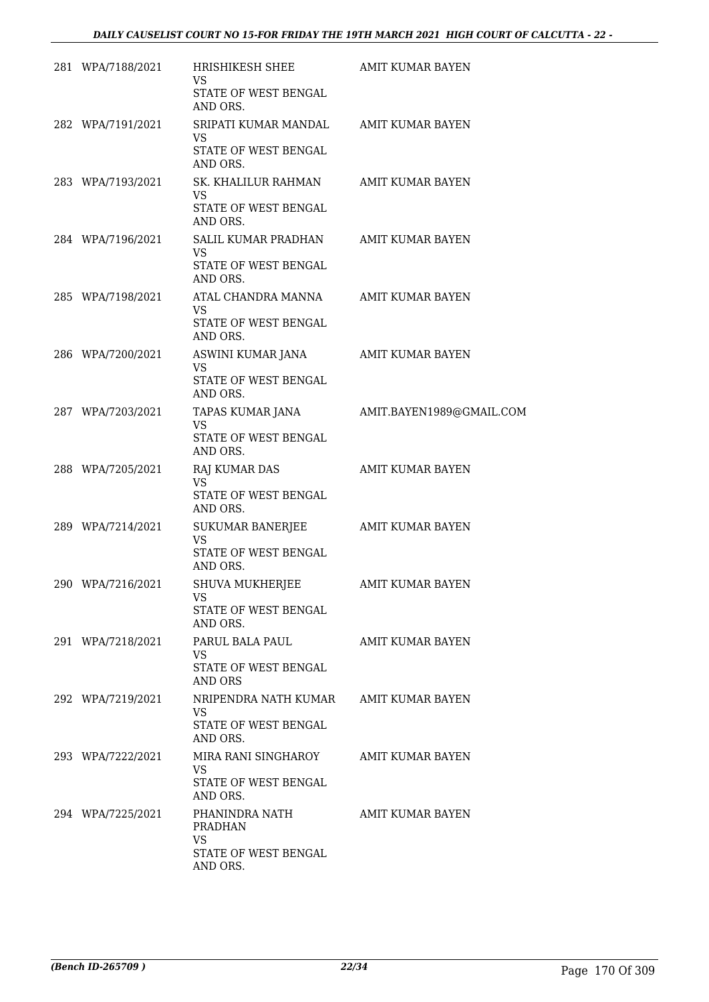| 281 WPA/7188/2021 | HRISHIKESH SHEE<br>VS.                          | AMIT KUMAR BAYEN                          |
|-------------------|-------------------------------------------------|-------------------------------------------|
|                   | STATE OF WEST BENGAL<br>AND ORS.                |                                           |
| 282 WPA/7191/2021 | SRIPATI KUMAR MANDAL AMIT KUMAR BAYEN<br>VS.    |                                           |
|                   | STATE OF WEST BENGAL<br>AND ORS.                |                                           |
| 283 WPA/7193/2021 | SK. KHALILUR RAHMAN AMIT KUMAR BAYEN<br>VS.     |                                           |
|                   | STATE OF WEST BENGAL<br>AND ORS.                |                                           |
| 284 WPA/7196/2021 | SALIL KUMAR PRADHAN AMIT KUMAR BAYEN<br>VS.     |                                           |
|                   | STATE OF WEST BENGAL<br>AND ORS.                |                                           |
| 285 WPA/7198/2021 | ATAL CHANDRA MANNA AMIT KUMAR BAYEN<br>VS.      |                                           |
|                   | STATE OF WEST BENGAL<br>AND ORS.                |                                           |
| 286 WPA/7200/2021 | ASWINI KUMAR JANA AMIT KUMAR BAYEN<br><b>VS</b> |                                           |
|                   | STATE OF WEST BENGAL<br>AND ORS.                |                                           |
| 287 WPA/7203/2021 | VS.                                             | TAPAS KUMAR JANA AMIT.BAYEN1989@GMAIL.COM |
|                   | STATE OF WEST BENGAL<br>AND ORS.                |                                           |
| 288 WPA/7205/2021 | RAJ KUMAR DAS<br><b>VS</b>                      | AMIT KUMAR BAYEN                          |
|                   | STATE OF WEST BENGAL<br>AND ORS.                |                                           |
| 289 WPA/7214/2021 | SUKUMAR BANERJEE AMIT KUMAR BAYEN<br><b>VS</b>  |                                           |
|                   | STATE OF WEST BENGAL<br>AND ORS.                |                                           |
| 290 WPA/7216/2021 | SHUVA MUKHERJEE<br>VS                           | <b>AMIT KUMAR BAYEN</b>                   |
|                   | <b>STATE OF WEST BENGAL</b><br>AND ORS.         |                                           |
| 291 WPA/7218/2021 | PARUL BALA PAUL AMIT KUMAR BAYEN<br>VS.         |                                           |
|                   | STATE OF WEST BENGAL<br>AND ORS                 |                                           |
| 292 WPA/7219/2021 | NRIPENDRA NATH KUMAR AMIT KUMAR BAYEN<br>VS.    |                                           |
|                   | STATE OF WEST BENGAL<br>AND ORS.                |                                           |
| 293 WPA/7222/2021 | MIRA RANI SINGHAROY AMIT KUMAR BAYEN<br>VS.     |                                           |
|                   | STATE OF WEST BENGAL<br>AND ORS.                |                                           |
| 294 WPA/7225/2021 | PHANINDRA NATH<br>PRADHAN                       | AMIT KUMAR BAYEN                          |
|                   | <b>VS</b><br>STATE OF WEST BENGAL<br>AND ORS.   |                                           |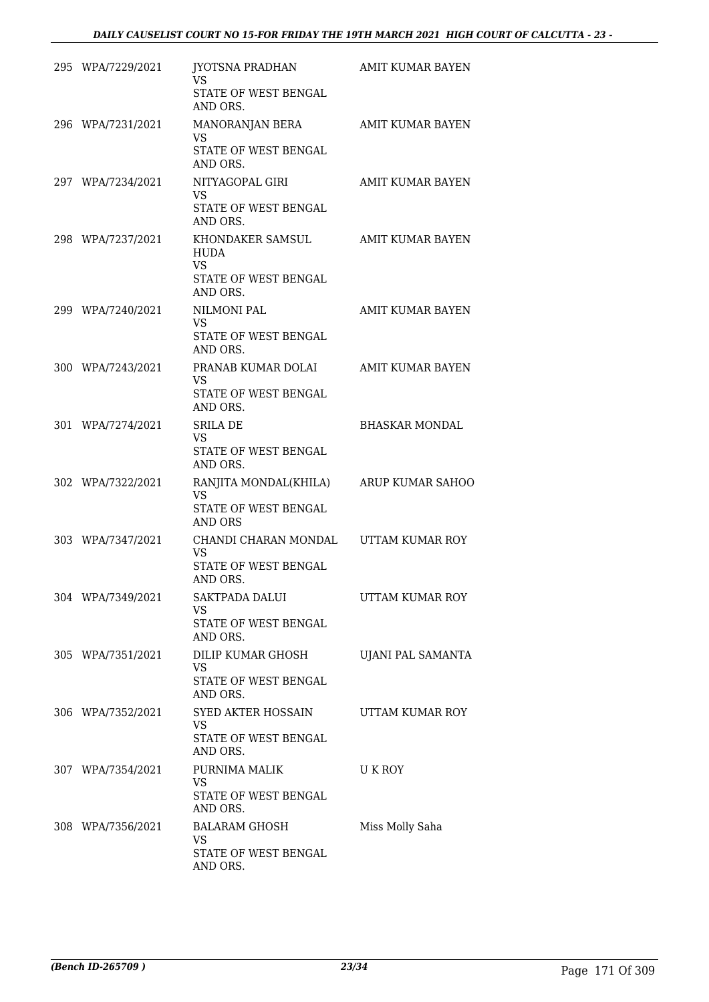| 295 WPA/7229/2021 | JYOTSNA PRADHAN<br>VS.<br>STATE OF WEST BENGAL<br>AND ORS.                      | <b>AMIT KUMAR BAYEN</b> |
|-------------------|---------------------------------------------------------------------------------|-------------------------|
| 296 WPA/7231/2021 | MANORANJAN BERA<br>VS<br>STATE OF WEST BENGAL<br>AND ORS.                       | AMIT KUMAR BAYEN        |
| 297 WPA/7234/2021 | NITYAGOPAL GIRI<br>VS.<br>STATE OF WEST BENGAL<br>AND ORS.                      | AMIT KUMAR BAYEN        |
| 298 WPA/7237/2021 | KHONDAKER SAMSUL<br>HUDA<br><b>VS</b><br>STATE OF WEST BENGAL<br>AND ORS.       | AMIT KUMAR BAYEN        |
| 299 WPA/7240/2021 | <b>NILMONI PAL</b><br>VS.<br>STATE OF WEST BENGAL<br>AND ORS.                   | <b>AMIT KUMAR BAYEN</b> |
| 300 WPA/7243/2021 | PRANAB KUMAR DOLAI<br>VS.<br>STATE OF WEST BENGAL<br>AND ORS.                   | AMIT KUMAR BAYEN        |
| 301 WPA/7274/2021 | <b>SRILA DE</b><br>VS.<br>STATE OF WEST BENGAL<br>AND ORS.                      | <b>BHASKAR MONDAL</b>   |
| 302 WPA/7322/2021 | RANJITA MONDAL(KHILA)<br>VS.<br>STATE OF WEST BENGAL<br>AND ORS                 | ARUP KUMAR SAHOO        |
| 303 WPA/7347/2021 | CHANDI CHARAN MONDAL UTTAM KUMAR ROY<br>VS.<br>STATE OF WEST BENGAL<br>AND ORS. |                         |
| 304 WPA/7349/2021 | <b>SAKTPADA DALUI</b><br>VS<br>STATE OF WEST BENGAL<br>AND ORS.                 | UTTAM KUMAR ROY         |
| 305 WPA/7351/2021 | DILIP KUMAR GHOSH<br><b>VS</b><br>STATE OF WEST BENGAL<br>AND ORS.              | UJANI PAL SAMANTA       |
| 306 WPA/7352/2021 | SYED AKTER HOSSAIN<br><b>VS</b><br>STATE OF WEST BENGAL<br>AND ORS.             | UTTAM KUMAR ROY         |
| 307 WPA/7354/2021 | PURNIMA MALIK<br><b>VS</b><br>STATE OF WEST BENGAL<br>AND ORS.                  | U K ROY                 |
| 308 WPA/7356/2021 | <b>BALARAM GHOSH</b><br><b>VS</b><br>STATE OF WEST BENGAL<br>AND ORS.           | Miss Molly Saha         |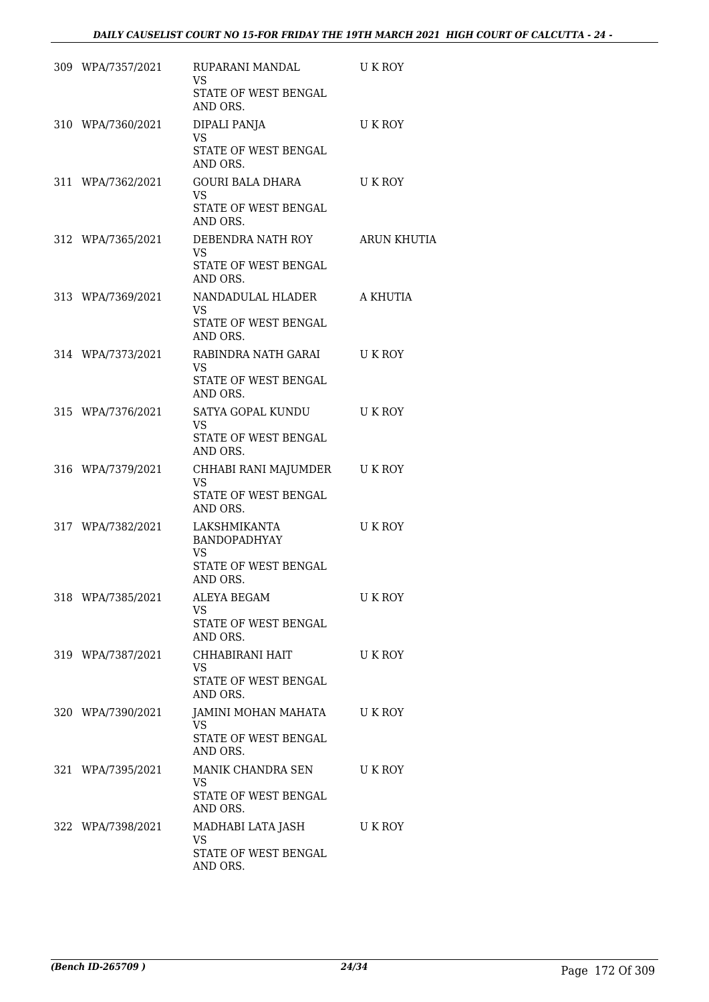| 309 WPA/7357/2021 | RUPARANI MANDAL<br>VS<br>STATE OF WEST BENGAL<br>AND ORS.                        | U K ROY            |
|-------------------|----------------------------------------------------------------------------------|--------------------|
| 310 WPA/7360/2021 | DIPALI PANJA<br>VS                                                               | U K ROY            |
|                   | STATE OF WEST BENGAL<br>AND ORS.                                                 |                    |
| 311 WPA/7362/2021 | GOURI BALA DHARA<br>VS.<br>STATE OF WEST BENGAL<br>AND ORS.                      | U K ROY            |
| 312 WPA/7365/2021 | DEBENDRA NATH ROY<br>VS.<br>STATE OF WEST BENGAL<br>AND ORS.                     | <b>ARUN KHUTIA</b> |
| 313 WPA/7369/2021 | NANDADULAL HLADER<br>VS.<br>STATE OF WEST BENGAL                                 | A KHUTIA           |
| 314 WPA/7373/2021 | AND ORS.<br>RABINDRA NATH GARAI                                                  | U K ROY            |
|                   | VS.<br>STATE OF WEST BENGAL<br>AND ORS.                                          |                    |
| 315 WPA/7376/2021 | SATYA GOPAL KUNDU<br>VS.                                                         | U K ROY            |
|                   | STATE OF WEST BENGAL<br>AND ORS.                                                 |                    |
| 316 WPA/7379/2021 | CHHABI RANI MAJUMDER U K ROY<br>VS.<br>STATE OF WEST BENGAL<br>AND ORS.          |                    |
| 317 WPA/7382/2021 | LAKSHMIKANTA<br><b>BANDOPADHYAY</b><br>VS.<br>STATE OF WEST BENGAL<br>AND ORS.   | U K ROY            |
| 318 WPA/7385/2021 | ALEYA BEGAM<br><b>VS</b><br>STATE OF WEST BENGAL<br>AND ORS.                     | U K ROY            |
| 319 WPA/7387/2021 | CHHABIRANI HAIT<br>VS<br>STATE OF WEST BENGAL                                    | U K ROY            |
| 320 WPA/7390/2021 | AND ORS.<br>JAMINI MOHAN MAHATA<br><b>VS</b><br>STATE OF WEST BENGAL<br>AND ORS. | U K ROY            |
| 321 WPA/7395/2021 | MANIK CHANDRA SEN<br><b>VS</b><br>STATE OF WEST BENGAL<br>AND ORS.               | U K ROY            |
| 322 WPA/7398/2021 | MADHABI LATA JASH<br><b>VS</b><br>STATE OF WEST BENGAL<br>AND ORS.               | U K ROY            |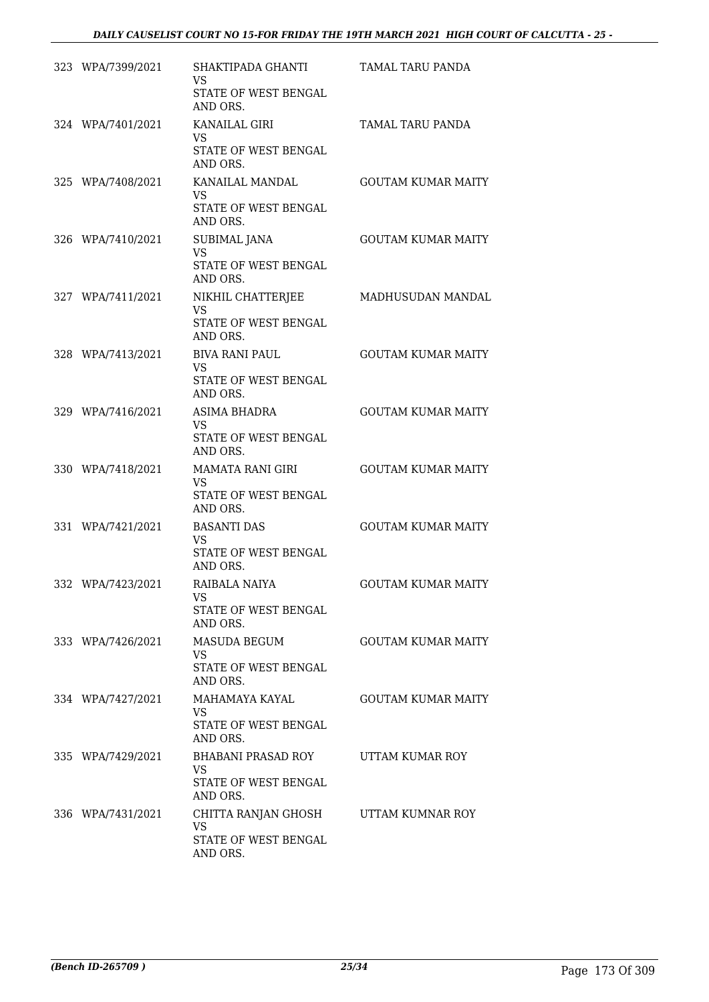| 323 WPA/7399/2021 | SHAKTIPADA GHANTI<br><b>VS</b><br>STATE OF WEST BENGAL<br>AND ORS.       | TAMAL TARU PANDA          |
|-------------------|--------------------------------------------------------------------------|---------------------------|
| 324 WPA/7401/2021 | <b>KANAILAL GIRI</b><br><b>VS</b><br>STATE OF WEST BENGAL                | TAMAL TARU PANDA          |
| 325 WPA/7408/2021 | AND ORS.<br>KANAILAL MANDAL<br>VS<br>STATE OF WEST BENGAL<br>AND ORS.    | <b>GOUTAM KUMAR MAITY</b> |
| 326 WPA/7410/2021 | SUBIMAL JANA<br><b>VS</b><br>STATE OF WEST BENGAL<br>AND ORS.            | <b>GOUTAM KUMAR MAITY</b> |
| 327 WPA/7411/2021 | NIKHIL CHATTERJEE<br>VS.<br>STATE OF WEST BENGAL<br>AND ORS.             | MADHUSUDAN MANDAL         |
| 328 WPA/7413/2021 | <b>BIVA RANI PAUL</b><br>VS.<br>STATE OF WEST BENGAL<br>AND ORS.         | <b>GOUTAM KUMAR MAITY</b> |
| 329 WPA/7416/2021 | ASIMA BHADRA<br>VS.<br>STATE OF WEST BENGAL<br>AND ORS.                  | <b>GOUTAM KUMAR MAITY</b> |
| 330 WPA/7418/2021 | MAMATA RANI GIRI<br>VS.<br>STATE OF WEST BENGAL<br>AND ORS.              | <b>GOUTAM KUMAR MAITY</b> |
| 331 WPA/7421/2021 | <b>BASANTI DAS</b>                                                       | <b>GOUTAM KUMAR MAITY</b> |
|                   | VS.<br>STATE OF WEST BENGAL<br>AND ORS.                                  |                           |
| 332 WPA/7423/2021 | RAIBALA NAIYA<br>VS<br>STATE OF WEST BENGAL<br>AND ORS.                  | <b>GOUTAM KUMAR MAITY</b> |
| 333 WPA/7426/2021 | <b>MASUDA BEGUM</b><br>VS<br>STATE OF WEST BENGAL                        | <b>GOUTAM KUMAR MAITY</b> |
| 334 WPA/7427/2021 | AND ORS.<br>MAHAMAYA KAYAL<br>VS.<br>STATE OF WEST BENGAL                | <b>GOUTAM KUMAR MAITY</b> |
| 335 WPA/7429/2021 | AND ORS.<br>BHABANI PRASAD ROY<br>VS<br>STATE OF WEST BENGAL<br>AND ORS. | UTTAM KUMAR ROY           |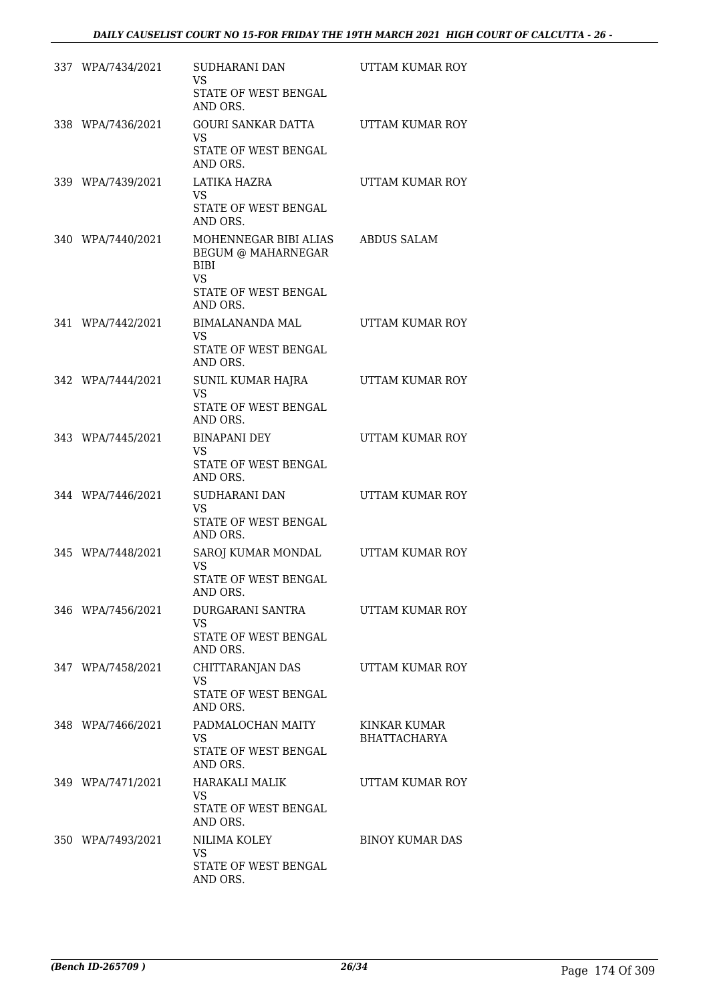| 337 WPA/7434/2021 | SUDHARANI DAN<br><b>VS</b><br>STATE OF WEST BENGAL<br>AND ORS.                                       | UTTAM KUMAR ROY                     |
|-------------------|------------------------------------------------------------------------------------------------------|-------------------------------------|
| 338 WPA/7436/2021 | GOURI SANKAR DATTA<br><b>VS</b><br>STATE OF WEST BENGAL<br>AND ORS.                                  | UTTAM KUMAR ROY                     |
| 339 WPA/7439/2021 | LATIKA HAZRA<br>VS.<br>STATE OF WEST BENGAL<br>AND ORS.                                              | UTTAM KUMAR ROY                     |
| 340 WPA/7440/2021 | MOHENNEGAR BIBI ALIAS<br>BEGUM @ MAHARNEGAR<br>BIBI<br><b>VS</b><br>STATE OF WEST BENGAL<br>AND ORS. | ABDUS SALAM                         |
| 341 WPA/7442/2021 | BIMALANANDA MAL<br>VS.<br>STATE OF WEST BENGAL<br>AND ORS.                                           | UTTAM KUMAR ROY                     |
| 342 WPA/7444/2021 | SUNIL KUMAR HAJRA<br>VS.<br>STATE OF WEST BENGAL<br>AND ORS.                                         | UTTAM KUMAR ROY                     |
| 343 WPA/7445/2021 | <b>BINAPANI DEY</b><br><b>VS</b><br>STATE OF WEST BENGAL<br>AND ORS.                                 | UTTAM KUMAR ROY                     |
| 344 WPA/7446/2021 | SUDHARANI DAN<br><b>VS</b><br>STATE OF WEST BENGAL<br>AND ORS.                                       | UTTAM KUMAR ROY                     |
| 345 WPA/7448/2021 | SAROJ KUMAR MONDAL<br><b>VS</b><br>STATE OF WEST BENGAL<br>AND ORS.                                  | UTTAM KUMAR ROY                     |
| 346 WPA/7456/2021 | DURGARANI SANTRA<br><b>VS</b><br>STATE OF WEST BENGAL<br>AND ORS.                                    | UTTAM KUMAR ROY                     |
| 347 WPA/7458/2021 | CHITTARANJAN DAS<br><b>VS</b><br>STATE OF WEST BENGAL<br>AND ORS.                                    | UTTAM KUMAR ROY                     |
| 348 WPA/7466/2021 | PADMALOCHAN MAITY<br>VS<br>STATE OF WEST BENGAL<br>AND ORS.                                          | KINKAR KUMAR<br><b>BHATTACHARYA</b> |
| 349 WPA/7471/2021 | HARAKALI MALIK<br>VS<br>STATE OF WEST BENGAL<br>AND ORS.                                             | UTTAM KUMAR ROY                     |
| 350 WPA/7493/2021 | NILIMA KOLEY<br>VS<br>STATE OF WEST BENGAL<br>AND ORS.                                               | <b>BINOY KUMAR DAS</b>              |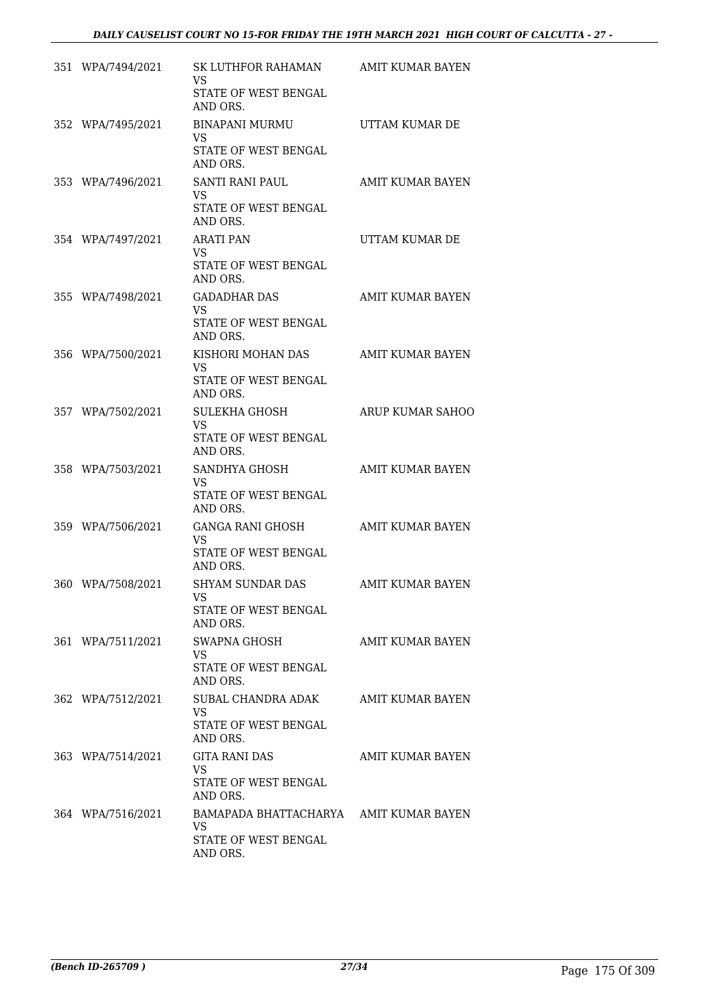| 351 WPA/7494/2021 | SK LUTHFOR RAHAMAN<br>VS<br>STATE OF WEST BENGAL<br>AND ORS.                     | AMIT KUMAR BAYEN        |
|-------------------|----------------------------------------------------------------------------------|-------------------------|
| 352 WPA/7495/2021 | BINAPANI MURMU<br>VS.<br>STATE OF WEST BENGAL<br>AND ORS.                        | UTTAM KUMAR DE          |
| 353 WPA/7496/2021 | SANTI RANI PAUL<br>VS.<br>STATE OF WEST BENGAL<br>AND ORS.                       | AMIT KUMAR BAYEN        |
| 354 WPA/7497/2021 | <b>ARATI PAN</b><br>VS.<br>STATE OF WEST BENGAL<br>AND ORS.                      | UTTAM KUMAR DE          |
| 355 WPA/7498/2021 | <b>GADADHAR DAS</b><br>VS.<br>STATE OF WEST BENGAL<br>AND ORS.                   | AMIT KUMAR BAYEN        |
| 356 WPA/7500/2021 | KISHORI MOHAN DAS<br>VS.<br>STATE OF WEST BENGAL<br>AND ORS.                     | AMIT KUMAR BAYEN        |
| 357 WPA/7502/2021 | SULEKHA GHOSH<br><b>VS</b><br>STATE OF WEST BENGAL<br>AND ORS.                   | ARUP KUMAR SAHOO        |
| 358 WPA/7503/2021 | SANDHYA GHOSH<br>VS.<br>STATE OF WEST BENGAL<br>AND ORS.                         | AMIT KUMAR BAYEN        |
| 359 WPA/7506/2021 | GANGA RANI GHOSH<br>VS.<br>STATE OF WEST BENGAL<br>AND ORS.                      | <b>AMIT KUMAR BAYEN</b> |
| 360 WPA/7508/2021 | <b>SHYAM SUNDAR DAS</b><br>VS<br>STATE OF WEST BENGAL<br>AND ORS.                | <b>AMIT KUMAR BAYEN</b> |
| 361 WPA/7511/2021 | SWAPNA GHOSH<br>VS.<br>STATE OF WEST BENGAL<br>AND ORS.                          | AMIT KUMAR BAYEN        |
| 362 WPA/7512/2021 | SUBAL CHANDRA ADAK<br>VS.<br>STATE OF WEST BENGAL<br>AND ORS.                    | AMIT KUMAR BAYEN        |
| 363 WPA/7514/2021 | <b>GITA RANI DAS</b><br>VS.<br>STATE OF WEST BENGAL<br>AND ORS.                  | AMIT KUMAR BAYEN        |
| 364 WPA/7516/2021 | BAMAPADA BHATTACHARYA AMIT KUMAR BAYEN<br>VS<br>STATE OF WEST BENGAL<br>AND ORS. |                         |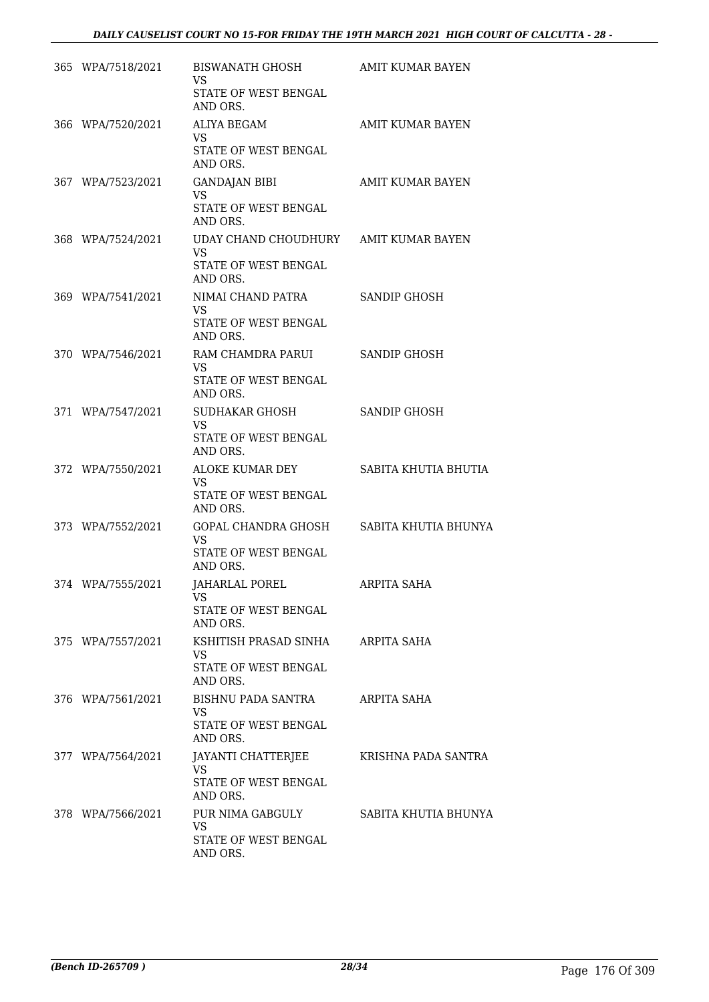| 365 WPA/7518/2021 | BISWANATH GHOSH<br>VS.<br>STATE OF WEST BENGAL                        | AMIT KUMAR BAYEN        |
|-------------------|-----------------------------------------------------------------------|-------------------------|
|                   | AND ORS.                                                              |                         |
| 366 WPA/7520/2021 | ALIYA BEGAM<br><b>VS</b>                                              | <b>AMIT KUMAR BAYEN</b> |
|                   | STATE OF WEST BENGAL<br>AND ORS.                                      |                         |
| 367 WPA/7523/2021 | <b>GANDAJAN BIBI</b><br><b>VS</b><br>STATE OF WEST BENGAL<br>AND ORS. | AMIT KUMAR BAYEN        |
| 368 WPA/7524/2021 | UDAY CHAND CHOUDHURY AMIT KUMAR BAYEN<br><b>VS</b>                    |                         |
|                   | STATE OF WEST BENGAL<br>AND ORS.                                      |                         |
| 369 WPA/7541/2021 | NIMAI CHAND PATRA<br>VS.                                              | SANDIP GHOSH            |
|                   | STATE OF WEST BENGAL<br>AND ORS.                                      |                         |
| 370 WPA/7546/2021 | RAM CHAMDRA PARUI<br>VS.                                              | SANDIP GHOSH            |
|                   | STATE OF WEST BENGAL<br>AND ORS.                                      |                         |
| 371 WPA/7547/2021 | SUDHAKAR GHOSH<br>VS                                                  | SANDIP GHOSH            |
|                   | STATE OF WEST BENGAL<br>AND ORS.                                      |                         |
| 372 WPA/7550/2021 | ALOKE KUMAR DEY<br>VS                                                 | SABITA KHUTIA BHUTIA    |
|                   | STATE OF WEST BENGAL<br>AND ORS.                                      |                         |
| 373 WPA/7552/2021 | GOPAL CHANDRA GHOSH SABITA KHUTIA BHUNYA<br>VS                        |                         |
|                   | STATE OF WEST BENGAL<br>AND ORS.                                      |                         |
| 374 WPA/7555/2021 | JAHARLAL POREL<br>VS                                                  | ARPITA SAHA             |
|                   | <b>STATE OF WEST BENGAL</b><br>AND ORS.                               |                         |
| 375 WPA/7557/2021 | KSHITISH PRASAD SINHA<br>VS.                                          | ARPITA SAHA             |
|                   | STATE OF WEST BENGAL<br>AND ORS.                                      |                         |
| 376 WPA/7561/2021 | BISHNU PADA SANTRA<br>VS.                                             | ARPITA SAHA             |
|                   | STATE OF WEST BENGAL<br>AND ORS.                                      |                         |
| 377 WPA/7564/2021 | JAYANTI CHATTERJEE<br>VS                                              | KRISHNA PADA SANTRA     |
|                   | STATE OF WEST BENGAL<br>AND ORS.                                      |                         |
| 378 WPA/7566/2021 | PUR NIMA GABGULY<br><b>VS</b>                                         | SABITA KHUTIA BHUNYA    |
|                   | STATE OF WEST BENGAL<br>AND ORS.                                      |                         |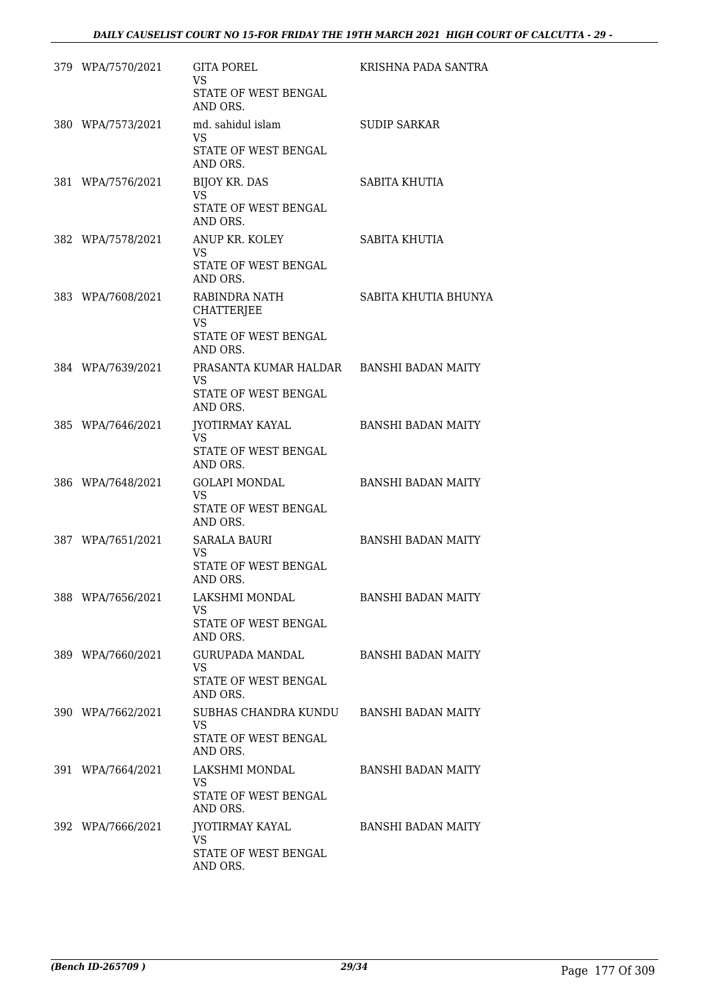| 379 WPA/7570/2021 | <b>GITA POREL</b><br><b>VS</b><br>STATE OF WEST BENGAL<br>AND ORS.                  | KRISHNA PADA SANTRA       |
|-------------------|-------------------------------------------------------------------------------------|---------------------------|
| 380 WPA/7573/2021 | md. sahidul islam<br>VS.<br>STATE OF WEST BENGAL                                    | <b>SUDIP SARKAR</b>       |
| 381 WPA/7576/2021 | AND ORS.<br><b>BIJOY KR. DAS</b><br><b>VS</b><br>STATE OF WEST BENGAL<br>AND ORS.   | SABITA KHUTIA             |
| 382 WPA/7578/2021 | ANUP KR. KOLEY<br>VS.<br>STATE OF WEST BENGAL<br>AND ORS.                           | SABITA KHUTIA             |
| 383 WPA/7608/2021 | RABINDRA NATH<br>CHATTERJEE<br><b>VS</b><br>STATE OF WEST BENGAL<br>AND ORS.        | SABITA KHUTIA BHUNYA      |
| 384 WPA/7639/2021 | PRASANTA KUMAR HALDAR BANSHI BADAN MAITY<br>VS.<br>STATE OF WEST BENGAL<br>AND ORS. |                           |
| 385 WPA/7646/2021 | JYOTIRMAY KAYAL<br>VS.<br>STATE OF WEST BENGAL<br>AND ORS.                          | <b>BANSHI BADAN MAITY</b> |
| 386 WPA/7648/2021 | GOLAPI MONDAL<br>VS.<br>STATE OF WEST BENGAL<br>AND ORS.                            | <b>BANSHI BADAN MAITY</b> |
| 387 WPA/7651/2021 | SARALA BAURI<br>VS.<br>STATE OF WEST BENGAL<br>AND ORS.                             | <b>BANSHI BADAN MAITY</b> |
| 388 WPA/7656/2021 | LAKSHMI MONDAL<br><b>VS</b><br>STATE OF WEST BENGAL<br>AND ORS.                     | <b>BANSHI BADAN MAITY</b> |
| 389 WPA/7660/2021 | <b>GURUPADA MANDAL</b><br><b>VS</b><br>STATE OF WEST BENGAL<br>AND ORS.             | <b>BANSHI BADAN MAITY</b> |
| 390 WPA/7662/2021 | SUBHAS CHANDRA KUNDU<br><b>VS</b><br>STATE OF WEST BENGAL<br>AND ORS.               | <b>BANSHI BADAN MAITY</b> |
| 391 WPA/7664/2021 | LAKSHMI MONDAL<br><b>VS</b><br>STATE OF WEST BENGAL<br>AND ORS.                     | <b>BANSHI BADAN MAITY</b> |
| 392 WPA/7666/2021 | JYOTIRMAY KAYAL<br>VS.<br>STATE OF WEST BENGAL<br>AND ORS.                          | <b>BANSHI BADAN MAITY</b> |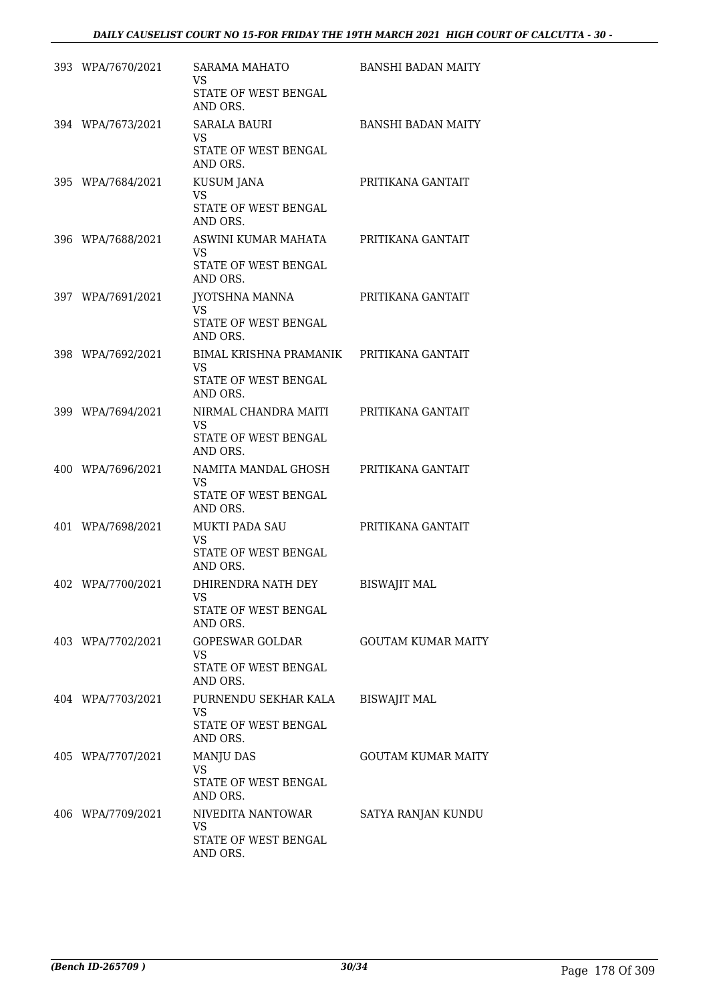| 393 WPA/7670/2021 | SARAMA MAHATO<br>VS.<br>STATE OF WEST BENGAL<br>AND ORS.                                  | <b>BANSHI BADAN MAITY</b> |
|-------------------|-------------------------------------------------------------------------------------------|---------------------------|
| 394 WPA/7673/2021 | SARALA BAURI<br>VS.<br>STATE OF WEST BENGAL<br>AND ORS.                                   | <b>BANSHI BADAN MAITY</b> |
| 395 WPA/7684/2021 | <b>KUSUM JANA</b><br>VS.<br>STATE OF WEST BENGAL<br>AND ORS.                              | PRITIKANA GANTAIT         |
| 396 WPA/7688/2021 | ASWINI KUMAR MAHATA PRITIKANA GANTAIT<br>VS.<br>STATE OF WEST BENGAL<br>AND ORS.          |                           |
| 397 WPA/7691/2021 | JYOTSHNA MANNA<br>VS.<br>STATE OF WEST BENGAL<br>AND ORS.                                 | PRITIKANA GANTAIT         |
| 398 WPA/7692/2021 | BIMAL KRISHNA PRAMANIK PRITIKANA GANTAIT<br><b>VS</b><br>STATE OF WEST BENGAL<br>AND ORS. |                           |
| 399 WPA/7694/2021 | NIRMAL CHANDRA MAITI<br>VS.<br>STATE OF WEST BENGAL<br>AND ORS.                           | PRITIKANA GANTAIT         |
| 400 WPA/7696/2021 | NAMITA MANDAL GHOSH<br>VS.<br>STATE OF WEST BENGAL<br>AND ORS.                            | PRITIKANA GANTAIT         |
| 401 WPA/7698/2021 | <b>MUKTI PADA SAU</b><br><b>VS</b><br>STATE OF WEST BENGAL<br>AND ORS.                    | PRITIKANA GANTAIT         |
| 402 WPA/7700/2021 | DHIRENDRA NATH DEY<br>VS<br>STATE OF WEST BENGAL<br>AND ORS.                              | <b>BISWAJIT MAL</b>       |
| 403 WPA/7702/2021 | GOPESWAR GOLDAR<br><b>VS</b><br>STATE OF WEST BENGAL<br>AND ORS.                          | <b>GOUTAM KUMAR MAITY</b> |
| 404 WPA/7703/2021 | PURNENDU SEKHAR KALA<br><b>VS</b><br>STATE OF WEST BENGAL<br>AND ORS.                     | <b>BISWAJIT MAL</b>       |
| 405 WPA/7707/2021 | <b>MANJU DAS</b><br><b>VS</b><br>STATE OF WEST BENGAL<br>AND ORS.                         | <b>GOUTAM KUMAR MAITY</b> |
| 406 WPA/7709/2021 | NIVEDITA NANTOWAR<br><b>VS</b><br>STATE OF WEST BENGAL<br>AND ORS.                        | SATYA RANJAN KUNDU        |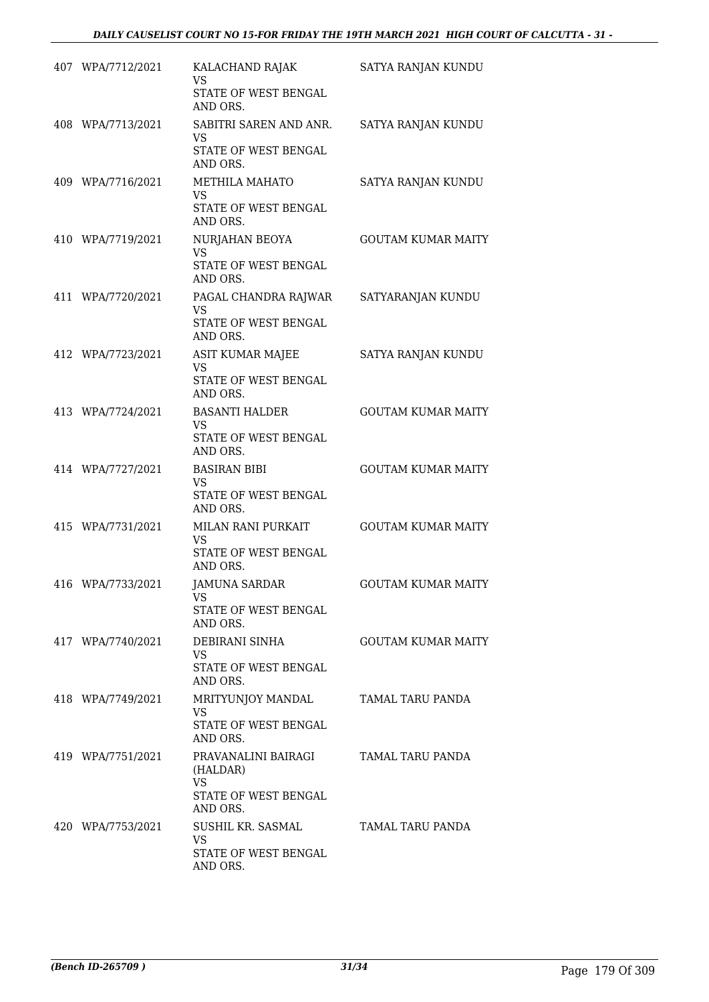| 407 WPA/7712/2021 | KALACHAND RAJAK<br><b>VS</b><br>STATE OF WEST BENGAL | SATYA RANJAN KUNDU        |
|-------------------|------------------------------------------------------|---------------------------|
|                   | AND ORS.                                             |                           |
| 408 WPA/7713/2021 | SABITRI SAREN AND ANR.<br>VS                         | SATYA RANJAN KUNDU        |
|                   | STATE OF WEST BENGAL<br>AND ORS.                     |                           |
| 409 WPA/7716/2021 | <b>METHILA MAHATO</b><br><b>VS</b>                   | SATYA RANJAN KUNDU        |
|                   | STATE OF WEST BENGAL<br>AND ORS.                     |                           |
| 410 WPA/7719/2021 | NURJAHAN BEOYA<br>VS                                 | <b>GOUTAM KUMAR MAITY</b> |
|                   | STATE OF WEST BENGAL<br>AND ORS.                     |                           |
| 411 WPA/7720/2021 | PAGAL CHANDRA RAJWAR<br>VS                           | SATYARANJAN KUNDU         |
|                   | STATE OF WEST BENGAL<br>AND ORS.                     |                           |
| 412 WPA/7723/2021 | ASIT KUMAR MAJEE<br>VS                               | SATYA RANJAN KUNDU        |
|                   | STATE OF WEST BENGAL<br>AND ORS.                     |                           |
| 413 WPA/7724/2021 | <b>BASANTI HALDER</b>                                | <b>GOUTAM KUMAR MAITY</b> |
|                   | VS<br>STATE OF WEST BENGAL<br>AND ORS.               |                           |
| 414 WPA/7727/2021 | <b>BASIRAN BIBI</b><br><b>VS</b>                     | <b>GOUTAM KUMAR MAITY</b> |
|                   | STATE OF WEST BENGAL<br>AND ORS.                     |                           |
| 415 WPA/7731/2021 | MILAN RANI PURKAIT<br><b>VS</b>                      | <b>GOUTAM KUMAR MAITY</b> |
|                   | STATE OF WEST BENGAL<br>AND ORS.                     |                           |
| 416 WPA/7733/2021 | <b>JAMUNA SARDAR</b><br>VS                           | GOUTAM KUMAR MAITY        |
|                   | STATE OF WEST BENGAL<br>AND ORS.                     |                           |
| 417 WPA/7740/2021 | DEBIRANI SINHA<br><b>VS</b>                          | <b>GOUTAM KUMAR MAITY</b> |
|                   | STATE OF WEST BENGAL<br>AND ORS.                     |                           |
| 418 WPA/7749/2021 | MRITYUNJOY MANDAL<br>VS                              | TAMAL TARU PANDA          |
|                   | STATE OF WEST BENGAL<br>AND ORS.                     |                           |
| 419 WPA/7751/2021 | PRAVANALINI BAIRAGI<br>(HALDAR)                      | TAMAL TARU PANDA          |
|                   | <b>VS</b><br>STATE OF WEST BENGAL<br>AND ORS.        |                           |
| 420 WPA/7753/2021 | SUSHIL KR. SASMAL<br><b>VS</b>                       | TAMAL TARU PANDA          |
|                   | STATE OF WEST BENGAL<br>AND ORS.                     |                           |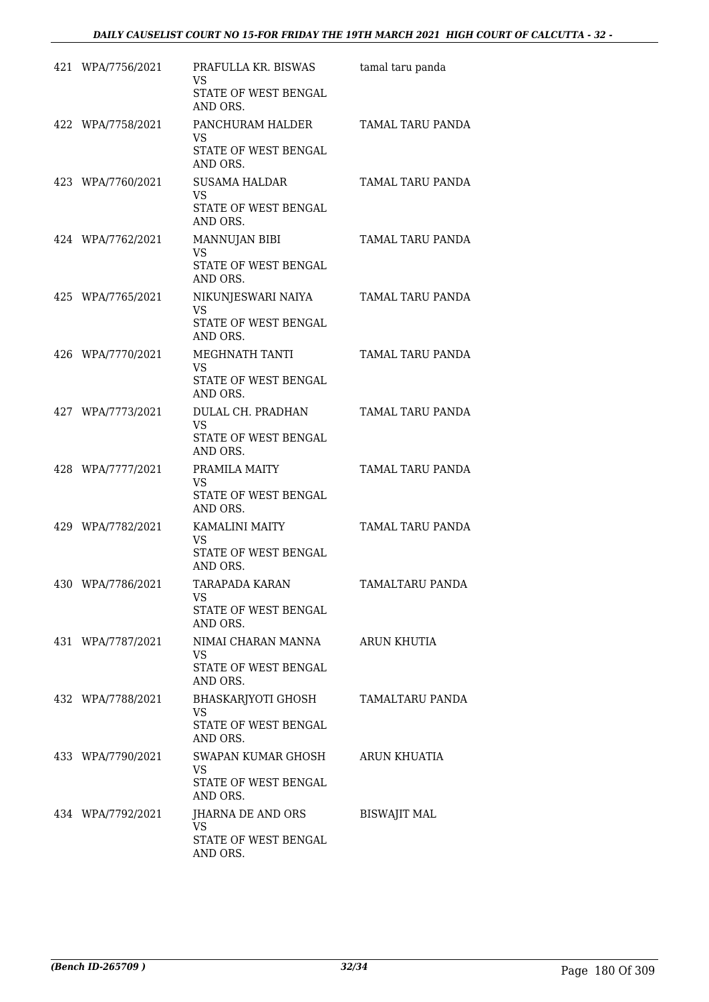| 421 WPA/7756/2021 | PRAFULLA KR. BISWAS<br>VS<br>STATE OF WEST BENGAL<br>AND ORS.       | tamal taru panda |
|-------------------|---------------------------------------------------------------------|------------------|
| 422 WPA/7758/2021 | PANCHURAM HALDER<br>VS<br>STATE OF WEST BENGAL<br>AND ORS.          | TAMAL TARU PANDA |
| 423 WPA/7760/2021 | <b>SUSAMA HALDAR</b><br>VS.<br>STATE OF WEST BENGAL<br>AND ORS.     | TAMAL TARU PANDA |
| 424 WPA/7762/2021 | <b>MANNUJAN BIBI</b><br>VS.<br>STATE OF WEST BENGAL<br>AND ORS.     | TAMAL TARU PANDA |
| 425 WPA/7765/2021 | NIKUNJESWARI NAIYA<br>VS.<br>STATE OF WEST BENGAL<br>AND ORS.       | TAMAL TARU PANDA |
| 426 WPA/7770/2021 | MEGHNATH TANTI<br>VS<br>STATE OF WEST BENGAL<br>AND ORS.            | TAMAL TARU PANDA |
| 427 WPA/7773/2021 | DULAL CH. PRADHAN<br><b>VS</b><br>STATE OF WEST BENGAL<br>AND ORS.  | TAMAL TARU PANDA |
| 428 WPA/7777/2021 | PRAMILA MAITY<br>VS.<br>STATE OF WEST BENGAL<br>AND ORS.            | TAMAL TARU PANDA |
| 429 WPA/7782/2021 | KAMALINI MAITY<br><b>VS</b><br>STATE OF WEST BENGAL<br>AND ORS.     | TAMAL TARU PANDA |
| 430 WPA/7786/2021 | <b>TARAPADA KARAN</b><br>VS<br>STATE OF WEST BENGAL<br>AND ORS.     | TAMALTARU PANDA  |
| 431 WPA/7787/2021 | NIMAI CHARAN MANNA<br><b>VS</b><br>STATE OF WEST BENGAL<br>AND ORS. | ARUN KHUTIA      |
| 432 WPA/7788/2021 | BHASKARJYOTI GHOSH<br>VS<br>STATE OF WEST BENGAL<br>AND ORS.        | TAMALTARU PANDA  |
| 433 WPA/7790/2021 | SWAPAN KUMAR GHOSH<br>VS<br>STATE OF WEST BENGAL<br>AND ORS.        | ARUN KHUATIA     |
|                   |                                                                     |                  |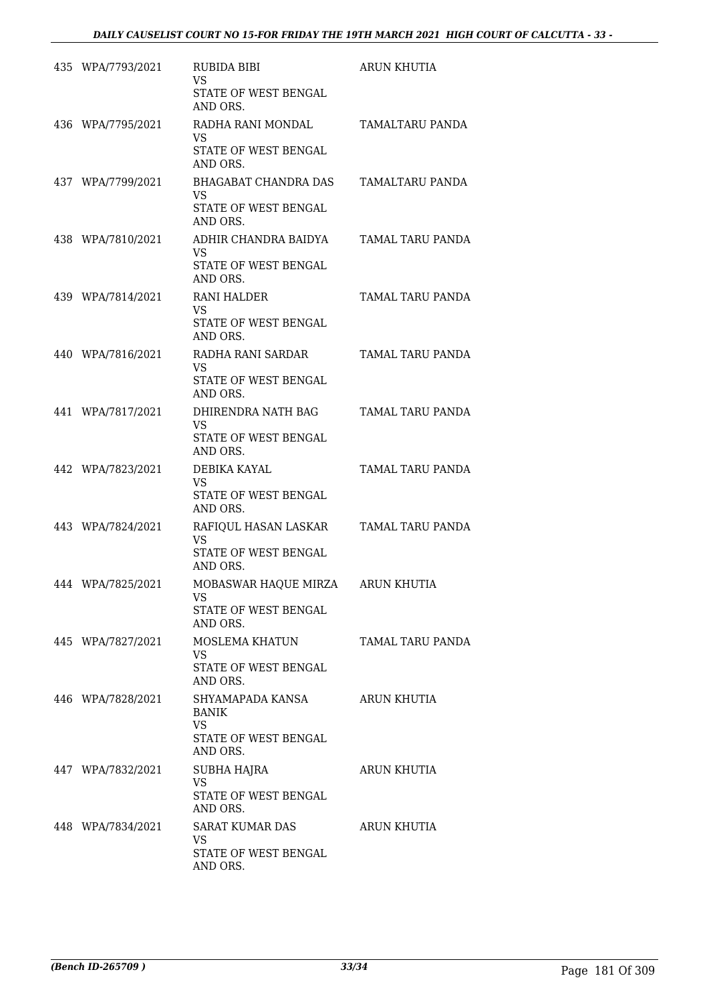| 435 WPA/7793/2021 | RUBIDA BIBI<br><b>VS</b><br>STATE OF WEST BENGAL                           | ARUN KHUTIA      |
|-------------------|----------------------------------------------------------------------------|------------------|
| 436 WPA/7795/2021 | AND ORS.<br>RADHA RANI MONDAL<br>VS<br>STATE OF WEST BENGAL<br>AND ORS.    | TAMALTARU PANDA  |
| 437 WPA/7799/2021 | BHAGABAT CHANDRA DAS<br>VS.<br>STATE OF WEST BENGAL<br>AND ORS.            | TAMALTARU PANDA  |
| 438 WPA/7810/2021 | ADHIR CHANDRA BAIDYA<br>VS.<br>STATE OF WEST BENGAL<br>AND ORS.            | TAMAL TARU PANDA |
| 439 WPA/7814/2021 | RANI HALDER<br><b>VS</b><br>STATE OF WEST BENGAL<br>AND ORS.               | TAMAL TARU PANDA |
| 440 WPA/7816/2021 | RADHA RANI SARDAR<br>VS.<br>STATE OF WEST BENGAL<br>AND ORS.               | TAMAL TARU PANDA |
| 441 WPA/7817/2021 | DHIRENDRA NATH BAG<br>VS.<br>STATE OF WEST BENGAL<br>AND ORS.              | TAMAL TARU PANDA |
| 442 WPA/7823/2021 | DEBIKA KAYAL<br>VS.<br>STATE OF WEST BENGAL<br>AND ORS.                    | TAMAL TARU PANDA |
| 443 WPA/7824/2021 | RAFIQUL HASAN LASKAR<br>VS.<br>STATE OF WEST BENGAL<br>AND ORS.            | TAMAL TARU PANDA |
| 444 WPA/7825/2021 | MOBASWAR HAQUE MIRZA<br>VS<br>STATE OF WEST BENGAL<br>AND ORS.             | ARUN KHUTIA      |
| 445 WPA/7827/2021 | MOSLEMA KHATUN<br>VS.<br>STATE OF WEST BENGAL<br>AND ORS.                  | TAMAL TARU PANDA |
| 446 WPA/7828/2021 | SHYAMAPADA KANSA<br>BANIK<br><b>VS</b><br>STATE OF WEST BENGAL<br>AND ORS. | ARUN KHUTIA      |
| 447 WPA/7832/2021 | SUBHA HAJRA<br><b>VS</b><br>STATE OF WEST BENGAL<br>AND ORS.               | ARUN KHUTIA      |
| 448 WPA/7834/2021 | SARAT KUMAR DAS<br>VS<br>STATE OF WEST BENGAL<br>AND ORS.                  | ARUN KHUTIA      |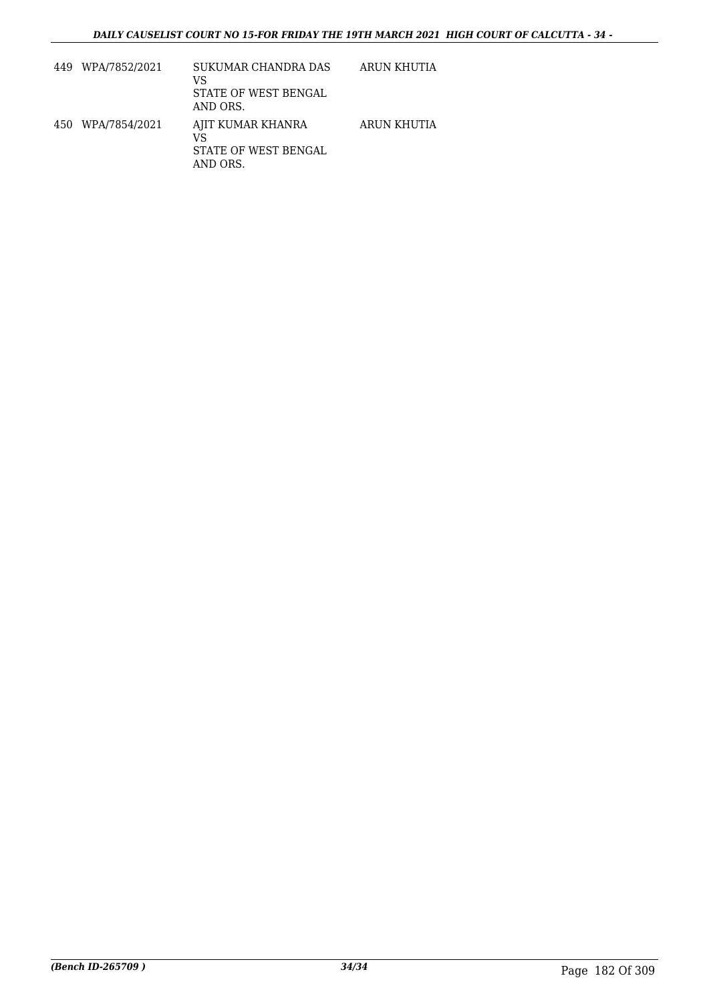| 449 WPA/7852/2021 | SUKUMAR CHANDRA DAS<br>VS<br>STATE OF WEST BENGAL<br>AND ORS. | ARUN KHUTIA |
|-------------------|---------------------------------------------------------------|-------------|
| 450 WPA/7854/2021 | AJIT KUMAR KHANRA<br>VS<br>STATE OF WEST BENGAL<br>AND ORS.   | ARUN KHUTIA |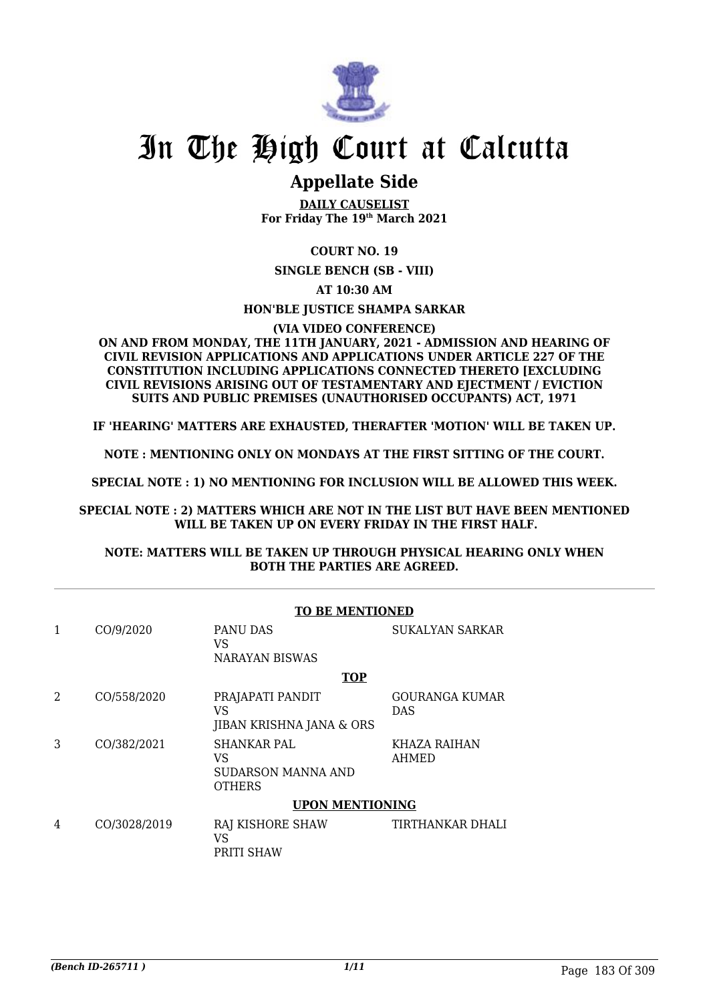

### **Appellate Side**

**DAILY CAUSELIST For Friday The 19th March 2021**

#### **COURT NO. 19**

**SINGLE BENCH (SB - VIII)**

**AT 10:30 AM**

#### **HON'BLE JUSTICE SHAMPA SARKAR**

#### **(VIA VIDEO CONFERENCE)**

#### **ON AND FROM MONDAY, THE 11TH JANUARY, 2021 - ADMISSION AND HEARING OF CIVIL REVISION APPLICATIONS AND APPLICATIONS UNDER ARTICLE 227 OF THE CONSTITUTION INCLUDING APPLICATIONS CONNECTED THERETO [EXCLUDING CIVIL REVISIONS ARISING OUT OF TESTAMENTARY AND EJECTMENT / EVICTION SUITS AND PUBLIC PREMISES (UNAUTHORISED OCCUPANTS) ACT, 1971**

**IF 'HEARING' MATTERS ARE EXHAUSTED, THERAFTER 'MOTION' WILL BE TAKEN UP.**

**NOTE : MENTIONING ONLY ON MONDAYS AT THE FIRST SITTING OF THE COURT.**

**SPECIAL NOTE : 1) NO MENTIONING FOR INCLUSION WILL BE ALLOWED THIS WEEK.**

**SPECIAL NOTE : 2) MATTERS WHICH ARE NOT IN THE LIST BUT HAVE BEEN MENTIONED WILL BE TAKEN UP ON EVERY FRIDAY IN THE FIRST HALF.**

#### **NOTE: MATTERS WILL BE TAKEN UP THROUGH PHYSICAL HEARING ONLY WHEN BOTH THE PARTIES ARE AGREED.**

|   | <b>TO BE MENTIONED</b> |                                                          |                                     |  |  |
|---|------------------------|----------------------------------------------------------|-------------------------------------|--|--|
| 1 | CO/9/2020              | PANU DAS<br>VS<br><b>NARAYAN BISWAS</b>                  | SUKALYAN SARKAR                     |  |  |
|   |                        | <b>TOP</b>                                               |                                     |  |  |
| 2 | CO/558/2020            | PRAJAPATI PANDIT<br>VS<br>JIBAN KRISHNA JANA & ORS       | <b>GOURANGA KUMAR</b><br><b>DAS</b> |  |  |
| 3 | CO/382/2021            | SHANKAR PAL<br>VS<br>SUDARSON MANNA AND<br><b>OTHERS</b> | KHAZA RAIHAN<br>AHMED               |  |  |
|   | <b>UPON MENTIONING</b> |                                                          |                                     |  |  |
| 4 | CO/3028/2019           | RAJ KISHORE SHAW<br>VS<br>PRITI SHAW                     | TIRTHANKAR DHALI                    |  |  |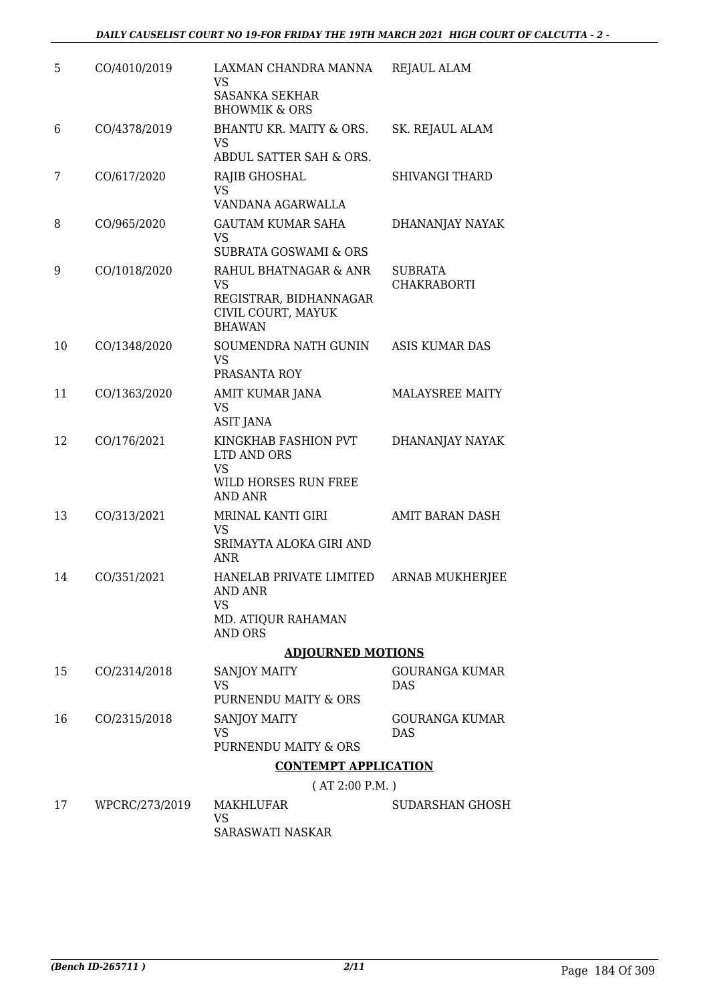| 5  | CO/4010/2019   | LAXMAN CHANDRA MANNA<br>VS                                                          | <b>REJAUL ALAM</b>                  |
|----|----------------|-------------------------------------------------------------------------------------|-------------------------------------|
|    |                | <b>SASANKA SEKHAR</b><br><b>BHOWMIK &amp; ORS</b>                                   |                                     |
| 6  | CO/4378/2019   | BHANTU KR. MAITY & ORS.<br>VS                                                       | SK. REJAUL ALAM                     |
|    |                | ABDUL SATTER SAH & ORS.                                                             |                                     |
| 7  | CO/617/2020    | RAJIB GHOSHAL<br><b>VS</b><br>VANDANA AGARWALLA                                     | SHIVANGI THARD                      |
| 8  | CO/965/2020    | <b>GAUTAM KUMAR SAHA</b>                                                            | DHANANJAY NAYAK                     |
|    |                | VS<br>SUBRATA GOSWAMI & ORS                                                         |                                     |
| 9  | CO/1018/2020   | RAHUL BHATNAGAR & ANR                                                               | <b>SUBRATA</b>                      |
|    |                | <b>VS</b><br>REGISTRAR, BIDHANNAGAR<br>CIVIL COURT, MAYUK<br><b>BHAWAN</b>          | <b>CHAKRABORTI</b>                  |
| 10 | CO/1348/2020   | SOUMENDRA NATH GUNIN<br><b>VS</b><br>PRASANTA ROY                                   | <b>ASIS KUMAR DAS</b>               |
| 11 | CO/1363/2020   | AMIT KUMAR JANA                                                                     | <b>MALAYSREE MAITY</b>              |
|    |                | VS<br><b>ASIT JANA</b>                                                              |                                     |
| 12 | CO/176/2021    | KINGKHAB FASHION PVT<br>LTD AND ORS<br>VS<br>WILD HORSES RUN FREE<br><b>AND ANR</b> | DHANANJAY NAYAK                     |
| 13 | CO/313/2021    | MRINAL KANTI GIRI                                                                   | <b>AMIT BARAN DASH</b>              |
|    |                | <b>VS</b><br>SRIMAYTA ALOKA GIRI AND<br><b>ANR</b>                                  |                                     |
| 14 | CO/351/2021    | HANELAB PRIVATE LIMITED<br><b>AND ANR</b><br>VS                                     | <b>ARNAB MUKHERJEE</b>              |
|    |                | MD. ATIQUR RAHAMAN<br><b>AND ORS</b>                                                |                                     |
|    |                | <b>ADJOURNED MOTIONS</b>                                                            |                                     |
| 15 | CO/2314/2018   | SANJOY MAITY                                                                        | GOURANGA KUMAR                      |
|    |                | VS<br>PURNENDU MAITY & ORS                                                          | <b>DAS</b>                          |
| 16 | CO/2315/2018   | SANJOY MAITY<br>VS                                                                  | <b>GOURANGA KUMAR</b><br><b>DAS</b> |
|    |                | PURNENDU MAITY & ORS                                                                |                                     |
|    |                | <b>CONTEMPT APPLICATION</b>                                                         |                                     |
|    |                | (AT 2:00 P.M.)                                                                      |                                     |
| 17 | WPCRC/273/2019 | MAKHLUFAR<br>VS                                                                     | SUDARSHAN GHOSH                     |
|    |                | SARASWATI NASKAR                                                                    |                                     |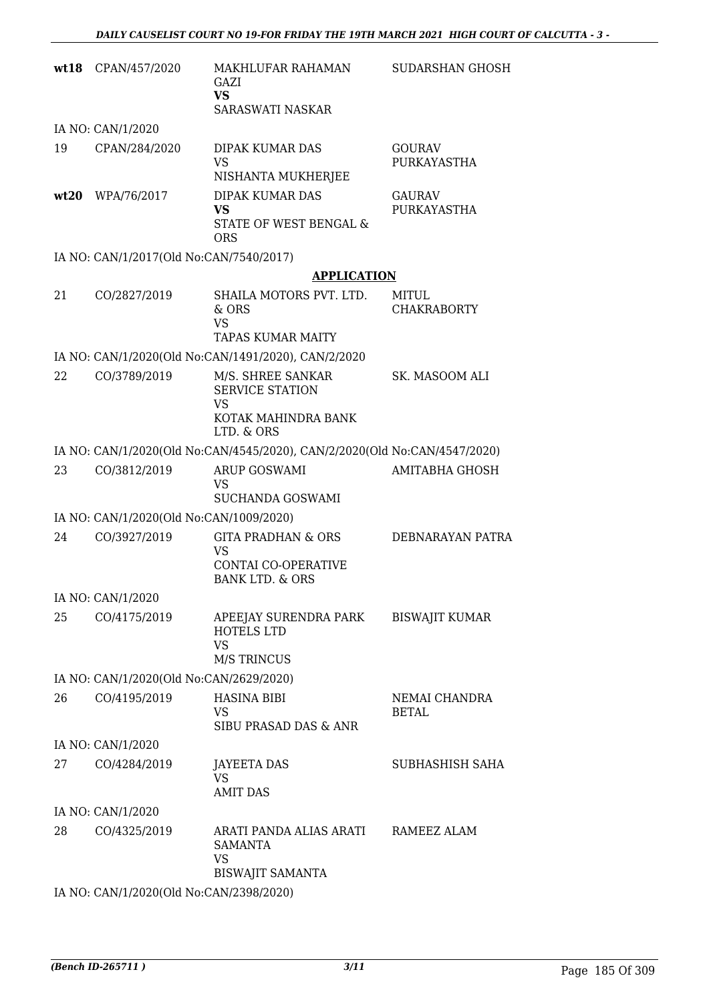| wt18 | CPAN/457/2020                           | MAKHLUFAR RAHAMAN<br>GAZI<br><b>VS</b><br>SARASWATI NASKAR                                      | <b>SUDARSHAN GHOSH</b>        |
|------|-----------------------------------------|-------------------------------------------------------------------------------------------------|-------------------------------|
|      | IA NO: CAN/1/2020                       |                                                                                                 |                               |
| 19   | CPAN/284/2020                           | DIPAK KUMAR DAS<br><b>VS</b><br>NISHANTA MUKHERJEE                                              | <b>GOURAV</b><br>PURKAYASTHA  |
| wt20 | WPA/76/2017                             | DIPAK KUMAR DAS<br><b>VS</b><br>STATE OF WEST BENGAL &<br><b>ORS</b>                            | <b>GAURAV</b><br>PURKAYASTHA  |
|      | IA NO: CAN/1/2017(Old No:CAN/7540/2017) |                                                                                                 |                               |
|      |                                         | <b>APPLICATION</b>                                                                              |                               |
| 21   | CO/2827/2019                            | SHAILA MOTORS PVT. LTD.<br>& ORS<br><b>VS</b><br>TAPAS KUMAR MAITY                              | MITUL<br><b>CHAKRABORTY</b>   |
|      |                                         | IA NO: CAN/1/2020(Old No:CAN/1491/2020), CAN/2/2020                                             |                               |
| 22   | CO/3789/2019                            | M/S. SHREE SANKAR<br><b>SERVICE STATION</b><br><b>VS</b>                                        | SK. MASOOM ALI                |
|      |                                         | KOTAK MAHINDRA BANK<br>LTD. & ORS                                                               |                               |
|      |                                         | IA NO: CAN/1/2020(Old No:CAN/4545/2020), CAN/2/2020(Old No:CAN/4547/2020)                       |                               |
| 23   | CO/3812/2019                            | ARUP GOSWAMI<br><b>VS</b><br>SUCHANDA GOSWAMI                                                   | AMITABHA GHOSH                |
|      | IA NO: CAN/1/2020(Old No:CAN/1009/2020) |                                                                                                 |                               |
| 24   | CO/3927/2019                            | <b>GITA PRADHAN &amp; ORS</b><br>VS<br><b>CONTAI CO-OPERATIVE</b><br><b>BANK LTD. &amp; ORS</b> | DEBNARAYAN PATRA              |
|      | IA NO: CAN/1/2020                       |                                                                                                 |                               |
| 25   | CO/4175/2019                            | APEEJAY SURENDRA PARK<br><b>HOTELS LTD</b><br><b>VS</b><br><b>M/S TRINCUS</b>                   | <b>BISWAJIT KUMAR</b>         |
|      | IA NO: CAN/1/2020(Old No:CAN/2629/2020) |                                                                                                 |                               |
| 26   | CO/4195/2019                            | <b>HASINA BIBI</b><br>VS<br>SIBU PRASAD DAS & ANR                                               | NEMAI CHANDRA<br><b>BETAL</b> |
|      | IA NO: CAN/1/2020                       |                                                                                                 |                               |
| 27   | CO/4284/2019                            | JAYEETA DAS<br><b>VS</b><br><b>AMIT DAS</b>                                                     | SUBHASHISH SAHA               |
|      | IA NO: CAN/1/2020                       |                                                                                                 |                               |
| 28   | CO/4325/2019                            | ARATI PANDA ALIAS ARATI<br>SAMANTA<br><b>VS</b><br><b>BISWAJIT SAMANTA</b>                      | RAMEEZ ALAM                   |
|      | IA NO: CAN/1/2020(Old No:CAN/2398/2020) |                                                                                                 |                               |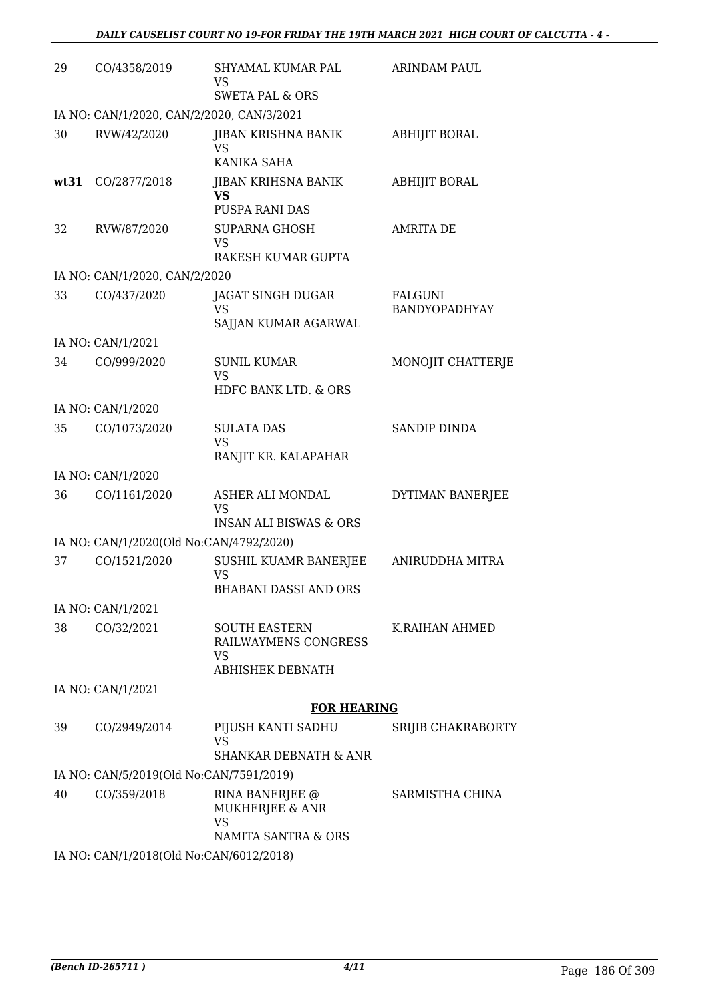| 29   | CO/4358/2019                              | SHYAMAL KUMAR PAL<br>VS<br><b>SWETA PAL &amp; ORS</b>                  | ARINDAM PAUL             |  |  |
|------|-------------------------------------------|------------------------------------------------------------------------|--------------------------|--|--|
|      | IA NO: CAN/1/2020, CAN/2/2020, CAN/3/2021 |                                                                        |                          |  |  |
| 30   | RVW/42/2020                               | JIBAN KRISHNA BANIK<br>VS<br>KANIKA SAHA                               | ABHIJIT BORAL            |  |  |
| wt31 | CO/2877/2018                              | JIBAN KRIHSNA BANIK<br><b>VS</b><br>PUSPA RANI DAS                     | ABHIJIT BORAL            |  |  |
| 32   | RVW/87/2020                               | <b>SUPARNA GHOSH</b><br><b>VS</b><br>RAKESH KUMAR GUPTA                | AMRITA DE                |  |  |
|      | IA NO: CAN/1/2020, CAN/2/2020             |                                                                        |                          |  |  |
| 33   | CO/437/2020                               | JAGAT SINGH DUGAR<br>VS<br>SAJJAN KUMAR AGARWAL                        | FALGUNI<br>BANDYOPADHYAY |  |  |
|      | IA NO: CAN/1/2021                         |                                                                        |                          |  |  |
| 34   | CO/999/2020                               | <b>SUNIL KUMAR</b><br><b>VS</b><br>HDFC BANK LTD. & ORS                | MONOJIT CHATTERJE        |  |  |
|      | IA NO: CAN/1/2020                         |                                                                        |                          |  |  |
| 35   | CO/1073/2020                              | <b>SULATA DAS</b>                                                      | <b>SANDIP DINDA</b>      |  |  |
|      |                                           | <b>VS</b><br>RANJIT KR. KALAPAHAR                                      |                          |  |  |
|      | IA NO: CAN/1/2020                         |                                                                        |                          |  |  |
| 36   | CO/1161/2020                              | ASHER ALI MONDAL<br><b>VS</b>                                          | DYTIMAN BANERJEE         |  |  |
|      |                                           | <b>INSAN ALI BISWAS &amp; ORS</b>                                      |                          |  |  |
|      | IA NO: CAN/1/2020(Old No:CAN/4792/2020)   |                                                                        |                          |  |  |
| 37   | CO/1521/2020                              | SUSHIL KUAMR BANERJEE<br>VS<br><b>BHABANI DASSI AND ORS</b>            | ANIRUDDHA MITRA          |  |  |
|      | IA NO: CAN/1/2021                         |                                                                        |                          |  |  |
| 38   | CO/32/2021                                | <b>SOUTH EASTERN</b><br>RAILWAYMENS CONGRESS<br>VS<br>ABHISHEK DEBNATH | K.RAIHAN AHMED           |  |  |
|      | IA NO: CAN/1/2021                         |                                                                        |                          |  |  |
|      |                                           | <b>FOR HEARING</b>                                                     |                          |  |  |
| 39   | CO/2949/2014                              | PIJUSH KANTI SADHU<br><b>VS</b>                                        | SRIJIB CHAKRABORTY       |  |  |
|      |                                           | <b>SHANKAR DEBNATH &amp; ANR</b>                                       |                          |  |  |
| 40   | IA NO: CAN/5/2019(Old No:CAN/7591/2019)   |                                                                        | SARMISTHA CHINA          |  |  |
|      | CO/359/2018                               | RINA BANERJEE @<br>MUKHERJEE & ANR<br><b>VS</b><br>NAMITA SANTRA & ORS |                          |  |  |
|      | IA NO: CAN/1/2018(Old No:CAN/6012/2018)   |                                                                        |                          |  |  |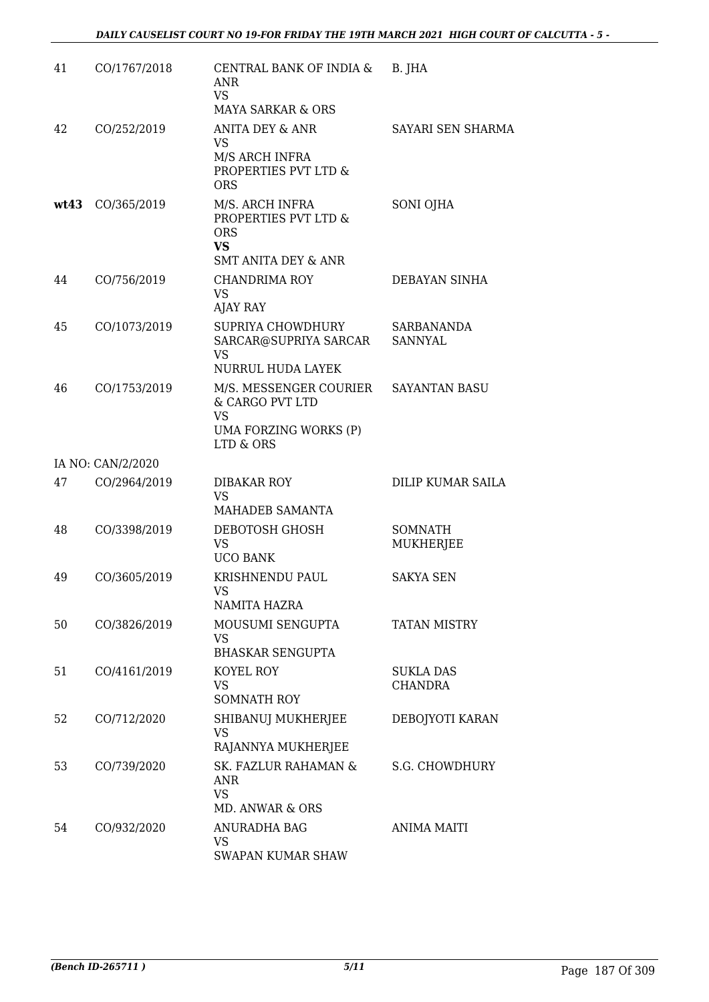| 41   | CO/1767/2018      | CENTRAL BANK OF INDIA &<br>ANR<br>VS.<br>MAYA SARKAR & ORS                                    | B. JHA                       |
|------|-------------------|-----------------------------------------------------------------------------------------------|------------------------------|
| 42   | CO/252/2019       | ANITA DEY & ANR<br>VS<br>M/S ARCH INFRA<br>PROPERTIES PVT LTD &<br><b>ORS</b>                 | SAYARI SEN SHARMA            |
| wt43 | CO/365/2019       | M/S. ARCH INFRA<br>PROPERTIES PVT LTD &<br><b>ORS</b><br>VS<br><b>SMT ANITA DEY &amp; ANR</b> | SONI OJHA                    |
| 44   | CO/756/2019       | CHANDRIMA ROY<br><b>VS</b><br><b>AJAY RAY</b>                                                 | DEBAYAN SINHA                |
| 45   | CO/1073/2019      | SUPRIYA CHOWDHURY<br>SARCAR@SUPRIYA SARCAR<br><b>VS</b><br>NURRUL HUDA LAYEK                  | <b>SARBANANDA</b><br>SANNYAL |
| 46   | CO/1753/2019      | M/S. MESSENGER COURIER<br>& CARGO PVT LTD<br>VS<br>UMA FORZING WORKS (P)<br>LTD & ORS         | <b>SAYANTAN BASU</b>         |
|      | IA NO: CAN/2/2020 |                                                                                               |                              |
| 47   | CO/2964/2019      | <b>DIBAKAR ROY</b><br><b>VS</b><br>MAHADEB SAMANTA                                            | DILIP KUMAR SAILA            |
| 48   | CO/3398/2019      | DEBOTOSH GHOSH<br><b>VS</b><br><b>UCO BANK</b>                                                | SOMNATH<br>MUKHERJEE         |
| 49   | CO/3605/2019      | KRISHNENDU PAUL<br>VS.<br>NAMITA HAZRA                                                        | <b>SAKYA SEN</b>             |
| 50   | CO/3826/2019      | MOUSUMI SENGUPTA<br>VS<br><b>BHASKAR SENGUPTA</b>                                             | <b>TATAN MISTRY</b>          |
| 51   | CO/4161/2019      | KOYEL ROY<br><b>VS</b><br><b>SOMNATH ROY</b>                                                  | <b>SUKLA DAS</b><br>CHANDRA  |
| 52   | CO/712/2020       | SHIBANUJ MUKHERJEE<br><b>VS</b><br>RAJANNYA MUKHERJEE                                         | DEBOJYOTI KARAN              |
| 53   | CO/739/2020       | SK. FAZLUR RAHAMAN &<br><b>ANR</b><br><b>VS</b><br>MD. ANWAR & ORS                            | S.G. CHOWDHURY               |
| 54   | CO/932/2020       | <b>ANURADHA BAG</b><br><b>VS</b><br>SWAPAN KUMAR SHAW                                         | <b>ANIMA MAITI</b>           |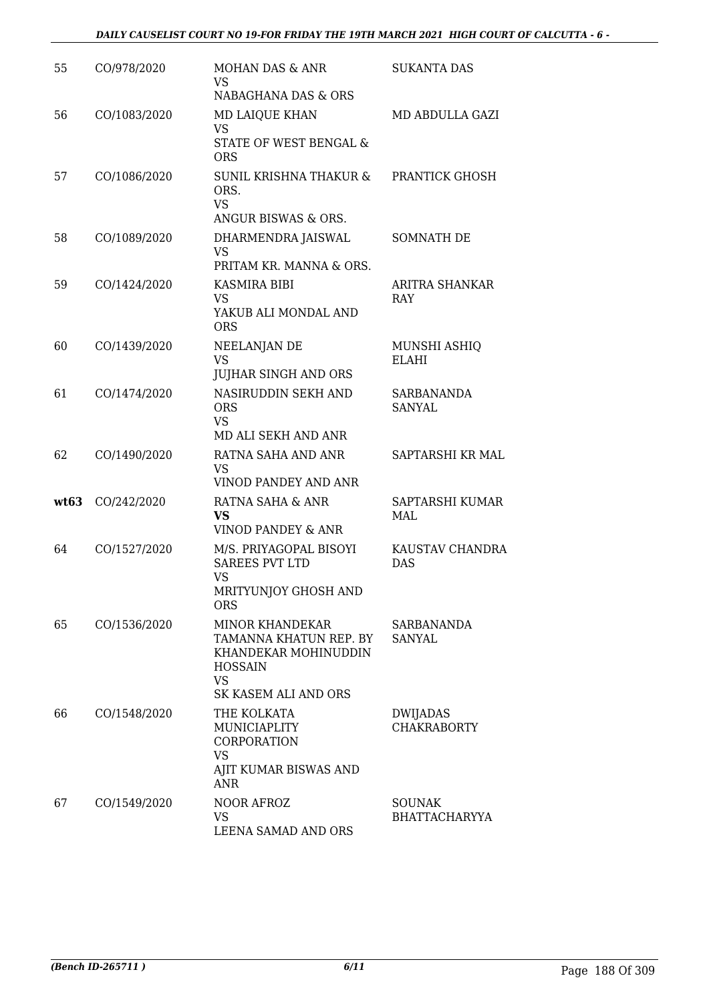| 55   | CO/978/2020  | MOHAN DAS & ANR<br>VS                                                                                                           | <b>SUKANTA DAS</b>                    |
|------|--------------|---------------------------------------------------------------------------------------------------------------------------------|---------------------------------------|
|      |              | NABAGHANA DAS & ORS                                                                                                             |                                       |
| 56   | CO/1083/2020 | <b>MD LAIQUE KHAN</b><br><b>VS</b><br>STATE OF WEST BENGAL &<br><b>ORS</b>                                                      | MD ABDULLA GAZI                       |
| 57   | CO/1086/2020 | SUNIL KRISHNA THAKUR &<br>ORS.<br><b>VS</b><br>ANGUR BISWAS & ORS.                                                              | PRANTICK GHOSH                        |
| 58   | CO/1089/2020 | DHARMENDRA JAISWAL<br>VS<br>PRITAM KR. MANNA & ORS.                                                                             | <b>SOMNATH DE</b>                     |
| 59   | CO/1424/2020 | KASMIRA BIBI<br>VS<br>YAKUB ALI MONDAL AND<br><b>ORS</b>                                                                        | ARITRA SHANKAR<br>RAY                 |
| 60   | CO/1439/2020 | NEELANJAN DE<br><b>VS</b><br><b>JUJHAR SINGH AND ORS</b>                                                                        | MUNSHI ASHIQ<br><b>ELAHI</b>          |
| 61   | CO/1474/2020 | NASIRUDDIN SEKH AND<br><b>ORS</b><br>VS<br>MD ALI SEKH AND ANR                                                                  | <b>SARBANANDA</b><br><b>SANYAL</b>    |
| 62   | CO/1490/2020 | RATNA SAHA AND ANR<br>VS.<br>VINOD PANDEY AND ANR                                                                               | SAPTARSHI KR MAL                      |
| wt63 | CO/242/2020  | RATNA SAHA & ANR<br><b>VS</b><br>VINOD PANDEY & ANR                                                                             | SAPTARSHI KUMAR<br>MAL                |
| 64   | CO/1527/2020 | M/S. PRIYAGOPAL BISOYI<br><b>SAREES PVT LTD</b><br>VS<br>MRITYUNJOY GHOSH AND<br><b>ORS</b>                                     | KAUSTAV CHANDRA<br><b>DAS</b>         |
| 65   | CO/1536/2020 | <b>MINOR KHANDEKAR</b><br>TAMANNA KHATUN REP. BY<br>KHANDEKAR MOHINUDDIN<br><b>HOSSAIN</b><br><b>VS</b><br>SK KASEM ALI AND ORS | SARBANANDA<br>SANYAL                  |
| 66   | CO/1548/2020 | THE KOLKATA<br>MUNICIAPLITY<br>CORPORATION<br><b>VS</b><br>AJIT KUMAR BISWAS AND<br><b>ANR</b>                                  | DWIJADAS<br><b>CHAKRABORTY</b>        |
| 67   | CO/1549/2020 | <b>NOOR AFROZ</b><br>VS<br>LEENA SAMAD AND ORS                                                                                  | <b>SOUNAK</b><br><b>BHATTACHARYYA</b> |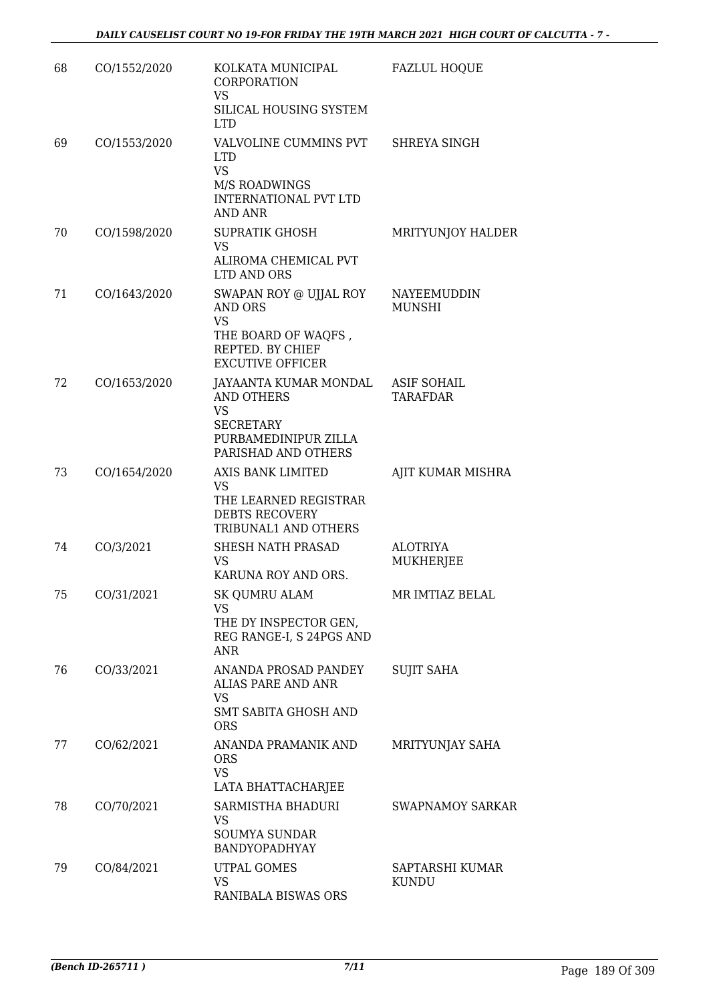| 68 | CO/1552/2020 | KOLKATA MUNICIPAL<br><b>CORPORATION</b><br><b>VS</b><br>SILICAL HOUSING SYSTEM<br><b>LTD</b>                                | <b>FAZLUL HOQUE</b>                   |
|----|--------------|-----------------------------------------------------------------------------------------------------------------------------|---------------------------------------|
| 69 | CO/1553/2020 | VALVOLINE CUMMINS PVT<br><b>LTD</b><br><b>VS</b><br>M/S ROADWINGS<br><b>INTERNATIONAL PVT LTD</b><br><b>AND ANR</b>         | SHREYA SINGH                          |
| 70 | CO/1598/2020 | <b>SUPRATIK GHOSH</b><br><b>VS</b><br>ALIROMA CHEMICAL PVT<br>LTD AND ORS                                                   | MRITYUNJOY HALDER                     |
| 71 | CO/1643/2020 | SWAPAN ROY @ UJJAL ROY<br><b>AND ORS</b><br><b>VS</b><br>THE BOARD OF WAQFS,<br>REPTED. BY CHIEF<br><b>EXCUTIVE OFFICER</b> | <b>NAYEEMUDDIN</b><br><b>MUNSHI</b>   |
| 72 | CO/1653/2020 | JAYAANTA KUMAR MONDAL<br><b>AND OTHERS</b><br><b>VS</b><br><b>SECRETARY</b><br>PURBAMEDINIPUR ZILLA<br>PARISHAD AND OTHERS  | <b>ASIF SOHAIL</b><br><b>TARAFDAR</b> |
| 73 | CO/1654/2020 | AXIS BANK LIMITED<br><b>VS</b><br>THE LEARNED REGISTRAR<br><b>DEBTS RECOVERY</b><br>TRIBUNAL1 AND OTHERS                    | AJIT KUMAR MISHRA                     |
| 74 | CO/3/2021    | SHESH NATH PRASAD<br><b>VS</b><br>KARUNA ROY AND ORS.                                                                       | <b>ALOTRIYA</b><br>MUKHERJEE          |
| 75 | CO/31/2021   | <b>SK QUMRU ALAM</b><br>VS<br>THE DY INSPECTOR GEN,<br>REG RANGE-I, S 24PGS AND<br><b>ANR</b>                               | MR IMTIAZ BELAL                       |
| 76 | CO/33/2021   | ANANDA PROSAD PANDEY<br>ALIAS PARE AND ANR<br><b>VS</b><br><b>SMT SABITA GHOSH AND</b><br><b>ORS</b>                        | <b>SUJIT SAHA</b>                     |
| 77 | CO/62/2021   | ANANDA PRAMANIK AND<br><b>ORS</b><br><b>VS</b><br>LATA BHATTACHARJEE                                                        | MRITYUNJAY SAHA                       |
| 78 | CO/70/2021   | SARMISTHA BHADURI<br>VS<br><b>SOUMYA SUNDAR</b><br>BANDYOPADHYAY                                                            | <b>SWAPNAMOY SARKAR</b>               |
| 79 | CO/84/2021   | UTPAL GOMES<br><b>VS</b><br>RANIBALA BISWAS ORS                                                                             | SAPTARSHI KUMAR<br><b>KUNDU</b>       |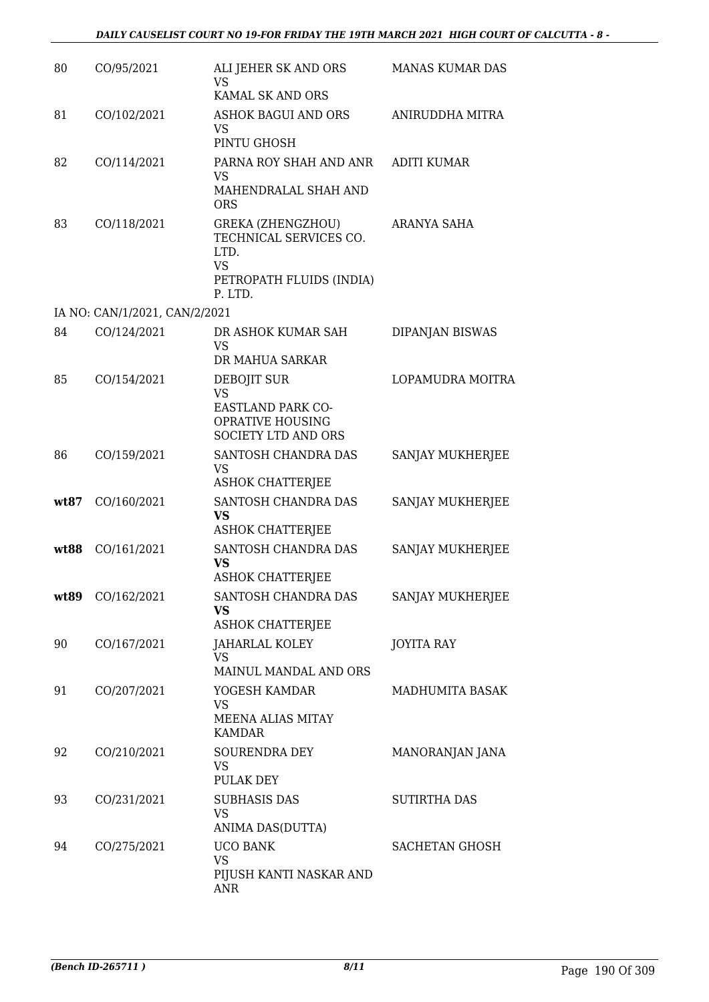| 80   | CO/95/2021                    | ALI JEHER SK AND ORS<br><b>VS</b>                                                                              | <b>MANAS KUMAR DAS</b> |
|------|-------------------------------|----------------------------------------------------------------------------------------------------------------|------------------------|
| 81   | CO/102/2021                   | KAMAL SK AND ORS<br><b>ASHOK BAGUI AND ORS</b><br>VS<br>PINTU GHOSH                                            | ANIRUDDHA MITRA        |
| 82   | CO/114/2021                   | PARNA ROY SHAH AND ANR<br><b>VS</b><br>MAHENDRALAL SHAH AND<br><b>ORS</b>                                      | <b>ADITI KUMAR</b>     |
| 83   | CO/118/2021                   | <b>GREKA (ZHENGZHOU)</b><br>TECHNICAL SERVICES CO.<br>LTD.<br><b>VS</b><br>PETROPATH FLUIDS (INDIA)<br>P. LTD. | ARANYA SAHA            |
|      | IA NO: CAN/1/2021, CAN/2/2021 |                                                                                                                |                        |
| 84   | CO/124/2021                   | DR ASHOK KUMAR SAH<br><b>VS</b><br>DR MAHUA SARKAR                                                             | DIPANJAN BISWAS        |
| 85   | CO/154/2021                   | DEBOJIT SUR<br><b>VS</b><br><b>EASTLAND PARK CO-</b><br>OPRATIVE HOUSING<br><b>SOCIETY LTD AND ORS</b>         | LOPAMUDRA MOITRA       |
| 86   | CO/159/2021                   | SANTOSH CHANDRA DAS<br><b>VS</b><br><b>ASHOK CHATTERJEE</b>                                                    | SANJAY MUKHERJEE       |
| wt87 | CO/160/2021                   | SANTOSH CHANDRA DAS<br><b>VS</b><br><b>ASHOK CHATTERJEE</b>                                                    | SANJAY MUKHERJEE       |
| wt88 | CO/161/2021                   | SANTOSH CHANDRA DAS<br>VS<br><b>ASHOK CHATTERJEE</b>                                                           | SANJAY MUKHERJEE       |
| wt89 | CO/162/2021                   | SANTOSH CHANDRA DAS<br><b>VS</b><br><b>ASHOK CHATTERJEE</b>                                                    | SANJAY MUKHERJEE       |
| 90   | CO/167/2021                   | <b>JAHARLAL KOLEY</b><br><b>VS</b><br>MAINUL MANDAL AND ORS                                                    | <b>JOYITA RAY</b>      |
| 91   | CO/207/2021                   | YOGESH KAMDAR<br>VS<br>MEENA ALIAS MITAY<br><b>KAMDAR</b>                                                      | <b>MADHUMITA BASAK</b> |
| 92   | CO/210/2021                   | SOURENDRA DEY<br><b>VS</b><br>PULAK DEY                                                                        | MANORANJAN JANA        |
| 93   | CO/231/2021                   | <b>SUBHASIS DAS</b><br><b>VS</b><br>ANIMA DAS(DUTTA)                                                           | <b>SUTIRTHA DAS</b>    |
| 94   | CO/275/2021                   | <b>UCO BANK</b><br><b>VS</b><br>PIJUSH KANTI NASKAR AND<br><b>ANR</b>                                          | <b>SACHETAN GHOSH</b>  |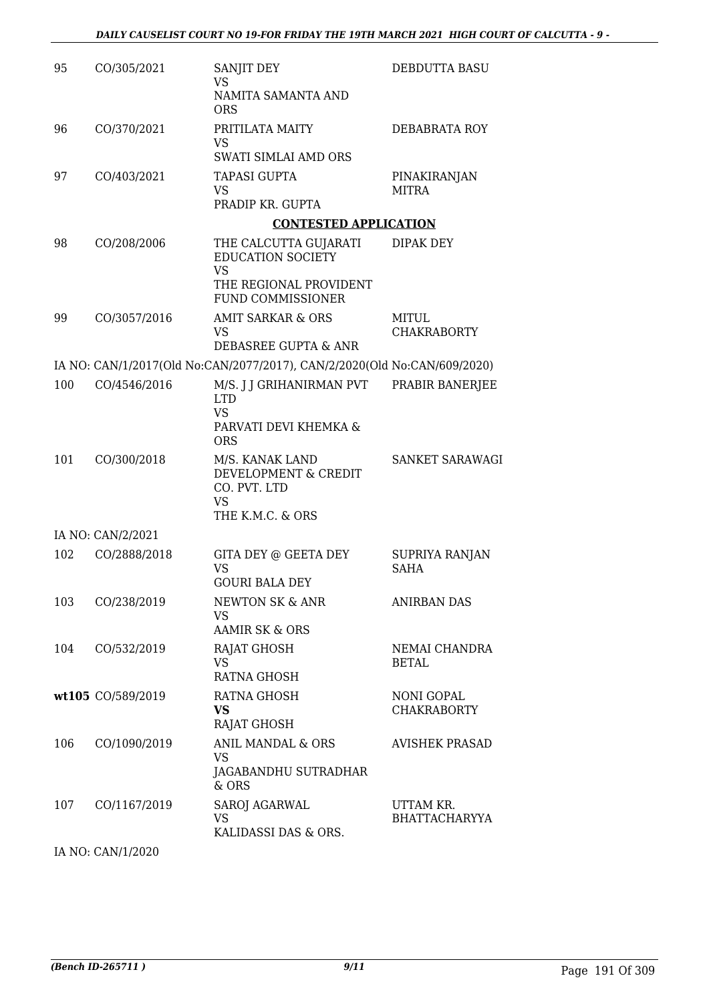| 95  | CO/305/2021       | SANJIT DEY<br><b>VS</b>                                                                  | DEBDUTTA BASU                           |
|-----|-------------------|------------------------------------------------------------------------------------------|-----------------------------------------|
|     |                   | NAMITA SAMANTA AND<br><b>ORS</b>                                                         |                                         |
| 96  | CO/370/2021       | PRITILATA MAITY<br><b>VS</b>                                                             | DEBABRATA ROY                           |
|     |                   | <b>SWATI SIMLAI AMD ORS</b>                                                              |                                         |
| 97  | CO/403/2021       | <b>TAPASI GUPTA</b><br>VS<br>PRADIP KR. GUPTA                                            | PINAKIRANJAN<br><b>MITRA</b>            |
|     |                   | <b>CONTESTED APPLICATION</b>                                                             |                                         |
| 98  | CO/208/2006       | THE CALCUTTA GUJARATI<br><b>EDUCATION SOCIETY</b>                                        | DIPAK DEY                               |
|     |                   | <b>VS</b><br>THE REGIONAL PROVIDENT<br><b>FUND COMMISSIONER</b>                          |                                         |
| 99  | CO/3057/2016      | <b>AMIT SARKAR &amp; ORS</b><br><b>VS</b>                                                | MITUL<br><b>CHAKRABORTY</b>             |
|     |                   | DEBASREE GUPTA & ANR                                                                     |                                         |
|     |                   | IA NO: CAN/1/2017(Old No:CAN/2077/2017), CAN/2/2020(Old No:CAN/609/2020)                 |                                         |
| 100 | CO/4546/2016      | M/S. J J GRIHANIRMAN PVT<br><b>LTD</b><br><b>VS</b><br>PARVATI DEVI KHEMKA &             | PRABIR BANERJEE                         |
|     |                   | <b>ORS</b>                                                                               |                                         |
| 101 | CO/300/2018       | M/S. KANAK LAND<br>DEVELOPMENT & CREDIT<br>CO. PVT. LTD<br><b>VS</b><br>THE K.M.C. & ORS | <b>SANKET SARAWAGI</b>                  |
|     | IA NO: CAN/2/2021 |                                                                                          |                                         |
| 102 | CO/2888/2018      | GITA DEY @ GEETA DEY<br><b>VS</b><br><b>GOURI BALA DEY</b>                               | <b>SUPRIYA RANJAN</b><br><b>SAHA</b>    |
| 103 | CO/238/2019       | NEWTON SK & ANR<br><b>VS</b><br><b>AAMIR SK &amp; ORS</b>                                | <b>ANIRBAN DAS</b>                      |
| 104 | CO/532/2019       | RAJAT GHOSH                                                                              | NEMAI CHANDRA                           |
|     |                   | <b>VS</b><br><b>RATNA GHOSH</b>                                                          | <b>BETAL</b>                            |
|     | wt105 CO/589/2019 | RATNA GHOSH<br>VS.<br><b>RAJAT GHOSH</b>                                                 | <b>NONI GOPAL</b><br><b>CHAKRABORTY</b> |
| 106 | CO/1090/2019      | ANIL MANDAL & ORS<br>VS                                                                  | <b>AVISHEK PRASAD</b>                   |
|     |                   | JAGABANDHU SUTRADHAR<br>& ORS                                                            |                                         |
| 107 | CO/1167/2019      | SAROJ AGARWAL<br>VS<br>KALIDASSI DAS & ORS.                                              | UTTAM KR.<br><b>BHATTACHARYYA</b>       |

IA NO: CAN/1/2020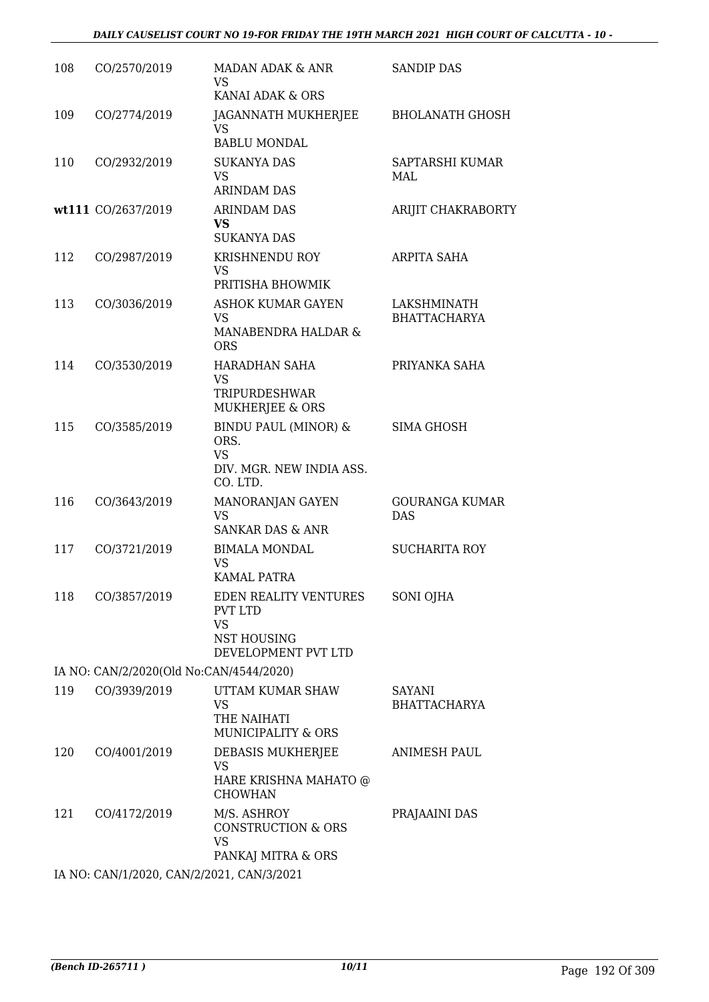#### *DAILY CAUSELIST COURT NO 19-FOR FRIDAY THE 19TH MARCH 2021 HIGH COURT OF CALCUTTA - 10 -*

| 108 | CO/2570/2019                              | MADAN ADAK & ANR<br>VS<br>KANAI ADAK & ORS                                                                      | <b>SANDIP DAS</b>                    |
|-----|-------------------------------------------|-----------------------------------------------------------------------------------------------------------------|--------------------------------------|
| 109 | CO/2774/2019                              | JAGANNATH MUKHERJEE<br><b>VS</b><br><b>BABLU MONDAL</b>                                                         | <b>BHOLANATH GHOSH</b>               |
| 110 | CO/2932/2019                              | <b>SUKANYA DAS</b><br><b>VS</b><br><b>ARINDAM DAS</b>                                                           | SAPTARSHI KUMAR<br>MAL               |
|     | wt111 CO/2637/2019                        | <b>ARINDAM DAS</b><br><b>VS</b><br><b>SUKANYA DAS</b>                                                           | ARIJIT CHAKRABORTY                   |
| 112 | CO/2987/2019                              | <b>KRISHNENDU ROY</b><br><b>VS</b><br>PRITISHA BHOWMIK                                                          | ARPITA SAHA                          |
| 113 | CO/3036/2019                              | <b>ASHOK KUMAR GAYEN</b><br><b>VS</b><br>MANABENDRA HALDAR &<br><b>ORS</b>                                      | LAKSHMINATH<br><b>BHATTACHARYA</b>   |
| 114 | CO/3530/2019                              | HARADHAN SAHA<br>VS<br><b>TRIPURDESHWAR</b>                                                                     | PRIYANKA SAHA                        |
| 115 | CO/3585/2019                              | MUKHERJEE & ORS<br><b>BINDU PAUL (MINOR) &amp;</b><br>ORS.<br><b>VS</b><br>DIV. MGR. NEW INDIA ASS.<br>CO. LTD. | SIMA GHOSH                           |
| 116 | CO/3643/2019                              | MANORANJAN GAYEN<br><b>VS</b><br><b>SANKAR DAS &amp; ANR</b>                                                    | <b>GOURANGA KUMAR</b><br><b>DAS</b>  |
| 117 | CO/3721/2019                              | <b>BIMALA MONDAL</b><br><b>VS</b><br>KAMAL PATRA                                                                | <b>SUCHARITA ROY</b>                 |
| 118 | CO/3857/2019                              | EDEN REALITY VENTURES<br><b>PVT LTD</b><br><b>VS</b><br>NST HOUSING<br>DEVELOPMENT PVT LTD                      | SONI OJHA                            |
|     | IA NO: CAN/2/2020(Old No:CAN/4544/2020)   |                                                                                                                 |                                      |
| 119 | CO/3939/2019                              | UTTAM KUMAR SHAW<br>VS<br>THE NAIHATI<br><b>MUNICIPALITY &amp; ORS</b>                                          | <b>SAYANI</b><br><b>BHATTACHARYA</b> |
| 120 | CO/4001/2019                              | DEBASIS MUKHERJEE<br><b>VS</b><br>HARE KRISHNA MAHATO @<br><b>CHOWHAN</b>                                       | <b>ANIMESH PAUL</b>                  |
| 121 | CO/4172/2019                              | M/S. ASHROY<br>CONSTRUCTION & ORS<br><b>VS</b><br>PANKAJ MITRA & ORS                                            | PRAJAAINI DAS                        |
|     | IA NO: CAN/1/2020, CAN/2/2021, CAN/3/2021 |                                                                                                                 |                                      |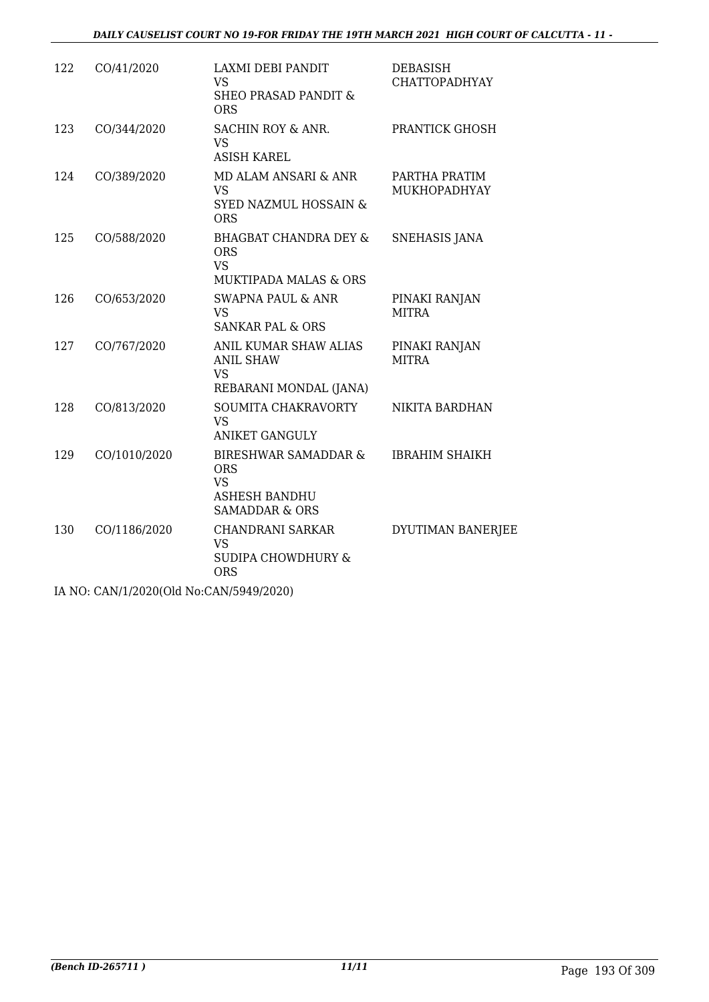| 122 | CO/41/2020                              | LAXMI DEBI PANDIT<br><b>VS</b><br>SHEO PRASAD PANDIT &<br><b>ORS</b>                                 | DEBASISH<br><b>CHATTOPADHYAY</b> |
|-----|-----------------------------------------|------------------------------------------------------------------------------------------------------|----------------------------------|
| 123 | CO/344/2020                             | SACHIN ROY & ANR.<br><b>VS</b><br><b>ASISH KAREL</b>                                                 | PRANTICK GHOSH                   |
| 124 | CO/389/2020                             | MD ALAM ANSARI & ANR<br><b>VS</b><br>SYED NAZMUL HOSSAIN &<br><b>ORS</b>                             | PARTHA PRATIM<br>MUKHOPADHYAY    |
| 125 | CO/588/2020                             | <b>BHAGBAT CHANDRA DEY &amp;</b><br><b>ORS</b><br><b>VS</b><br><b>MUKTIPADA MALAS &amp; ORS</b>      | <b>SNEHASIS JANA</b>             |
| 126 | CO/653/2020                             | <b>SWAPNA PAUL &amp; ANR</b><br><b>VS</b><br><b>SANKAR PAL &amp; ORS</b>                             | PINAKI RANJAN<br><b>MITRA</b>    |
| 127 | CO/767/2020                             | ANIL KUMAR SHAW ALIAS<br><b>ANIL SHAW</b><br><b>VS</b><br>REBARANI MONDAL (JANA)                     | PINAKI RANJAN<br><b>MITRA</b>    |
| 128 | CO/813/2020                             | SOUMITA CHAKRAVORTY<br><b>VS</b><br><b>ANIKET GANGULY</b>                                            | NIKITA BARDHAN                   |
| 129 | CO/1010/2020                            | BIRESHWAR SAMADDAR &<br><b>ORS</b><br><b>VS</b><br><b>ASHESH BANDHU</b><br><b>SAMADDAR &amp; ORS</b> | <b>IBRAHIM SHAIKH</b>            |
| 130 | CO/1186/2020                            | <b>CHANDRANI SARKAR</b><br><b>VS</b><br><b>SUDIPA CHOWDHURY &amp;</b><br><b>ORS</b>                  | DYUTIMAN BANERJEE                |
|     | IA NO: CAN/1/2020(Old No:CAN/5949/2020) |                                                                                                      |                                  |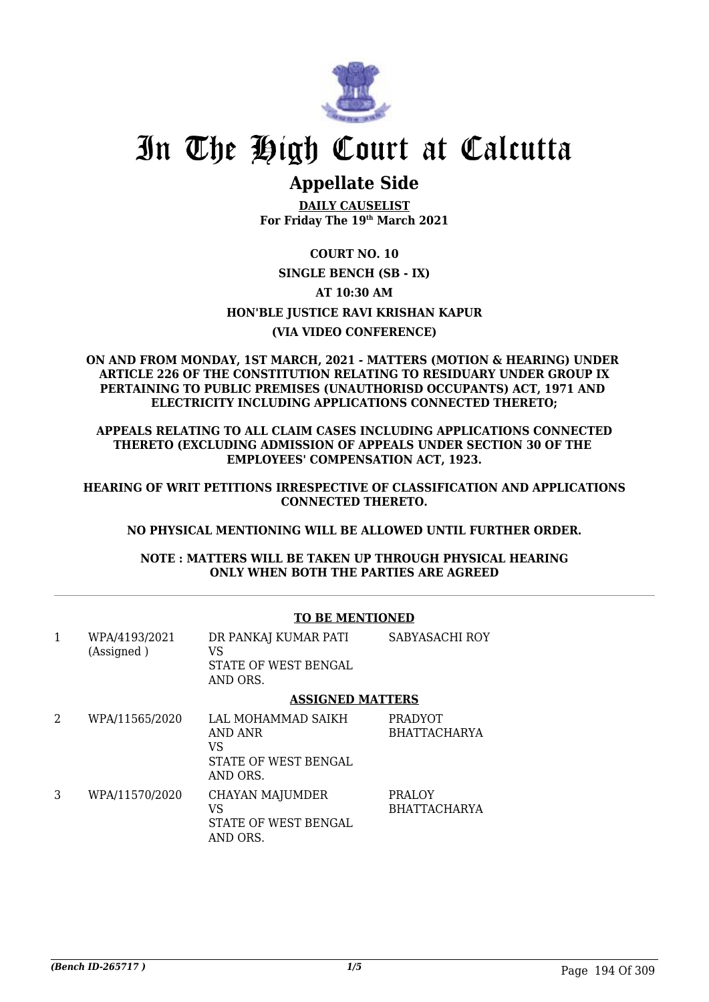

### **Appellate Side**

**DAILY CAUSELIST For Friday The 19th March 2021**

### **COURT NO. 10 SINGLE BENCH (SB - IX) AT 10:30 AM HON'BLE JUSTICE RAVI KRISHAN KAPUR (VIA VIDEO CONFERENCE)**

#### **ON AND FROM MONDAY, 1ST MARCH, 2021 - MATTERS (MOTION & HEARING) UNDER ARTICLE 226 OF THE CONSTITUTION RELATING TO RESIDUARY UNDER GROUP IX PERTAINING TO PUBLIC PREMISES (UNAUTHORISD OCCUPANTS) ACT, 1971 AND ELECTRICITY INCLUDING APPLICATIONS CONNECTED THERETO;**

**APPEALS RELATING TO ALL CLAIM CASES INCLUDING APPLICATIONS CONNECTED THERETO (EXCLUDING ADMISSION OF APPEALS UNDER SECTION 30 OF THE EMPLOYEES' COMPENSATION ACT, 1923.**

**HEARING OF WRIT PETITIONS IRRESPECTIVE OF CLASSIFICATION AND APPLICATIONS CONNECTED THERETO.**

#### **NO PHYSICAL MENTIONING WILL BE ALLOWED UNTIL FURTHER ORDER.**

**NOTE : MATTERS WILL BE TAKEN UP THROUGH PHYSICAL HEARING ONLY WHEN BOTH THE PARTIES ARE AGREED**

|   |                             | TO BE MENTIONED                                                         |                                       |
|---|-----------------------------|-------------------------------------------------------------------------|---------------------------------------|
| 1 | WPA/4193/2021<br>(Assigned) | DR PANKAJ KUMAR PATI<br>VS<br>STATE OF WEST BENGAL<br>AND ORS.          | SABYASACHI ROY                        |
|   |                             | <b>ASSIGNED MATTERS</b>                                                 |                                       |
| 2 | WPA/11565/2020              | LAL MOHAMMAD SAIKH<br>AND ANR<br>VS<br>STATE OF WEST BENGAL<br>AND ORS. | <b>PRADYOT</b><br><b>BHATTACHARYA</b> |
| 3 | WPA/11570/2020              | <b>CHAYAN MAJUMDER</b><br>VS<br>STATE OF WEST BENGAL<br>AND ORS.        | <b>PRALOY</b><br><b>BHATTACHARYA</b>  |

#### **TO BE MENTIONED**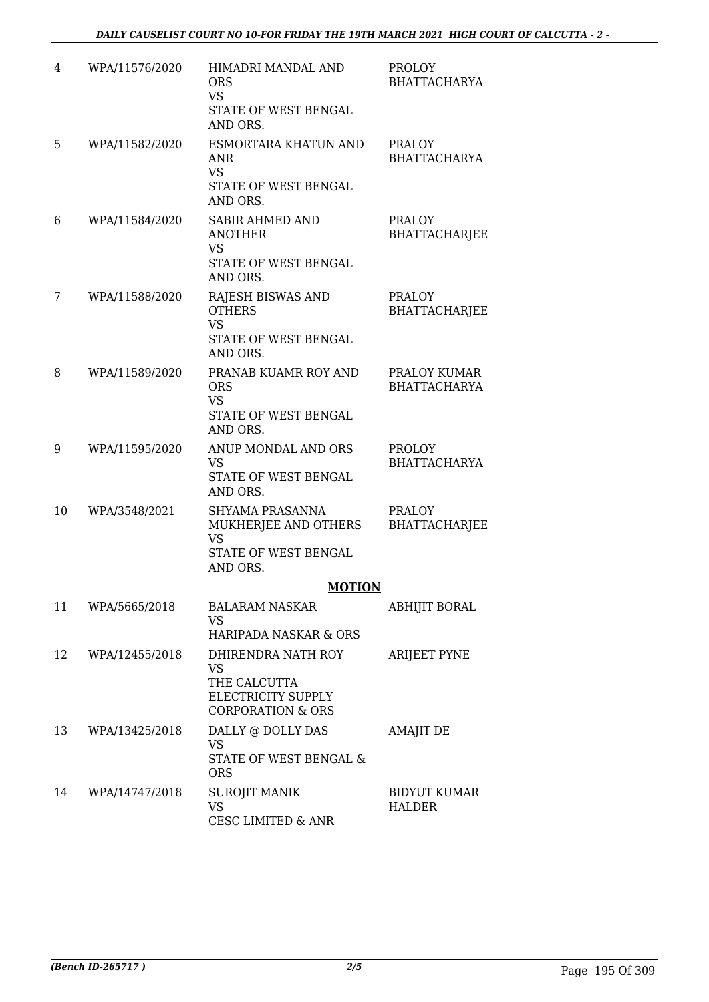| 4  | WPA/11576/2020 | HIMADRI MANDAL AND<br><b>ORS</b><br><b>VS</b><br>STATE OF WEST BENGAL<br>AND ORS.                     | <b>PROLOY</b><br><b>BHATTACHARYA</b>  |
|----|----------------|-------------------------------------------------------------------------------------------------------|---------------------------------------|
| 5  | WPA/11582/2020 | ESMORTARA KHATUN AND<br><b>ANR</b><br><b>VS</b><br>STATE OF WEST BENGAL<br>AND ORS.                   | <b>PRALOY</b><br><b>BHATTACHARYA</b>  |
| 6  | WPA/11584/2020 | <b>SABIR AHMED AND</b><br><b>ANOTHER</b><br>VS<br>STATE OF WEST BENGAL<br>AND ORS.                    | PRALOY<br><b>BHATTACHARJEE</b>        |
| 7  | WPA/11588/2020 | RAJESH BISWAS AND<br><b>OTHERS</b><br><b>VS</b><br>STATE OF WEST BENGAL<br>AND ORS.                   | <b>PRALOY</b><br><b>BHATTACHARJEE</b> |
| 8  | WPA/11589/2020 | PRANAB KUAMR ROY AND<br><b>ORS</b><br><b>VS</b><br>STATE OF WEST BENGAL<br>AND ORS.                   | PRALOY KUMAR<br><b>BHATTACHARYA</b>   |
| 9  | WPA/11595/2020 | ANUP MONDAL AND ORS<br><b>VS</b><br>STATE OF WEST BENGAL<br>AND ORS.                                  | <b>PROLOY</b><br><b>BHATTACHARYA</b>  |
| 10 | WPA/3548/2021  | SHYAMA PRASANNA<br>MUKHERJEE AND OTHERS<br><b>VS</b><br>STATE OF WEST BENGAL<br>AND ORS.              | <b>PRALOY</b><br>BHATTACHARJEE        |
|    |                | <b>MOTION</b>                                                                                         |                                       |
| 11 | WPA/5665/2018  | <b>BALARAM NASKAR</b><br>VS.<br>HARIPADA NASKAR & ORS                                                 | ABHIJIT BORAL                         |
| 12 | WPA/12455/2018 | DHIRENDRA NATH ROY<br><b>VS</b><br>THE CALCUTTA<br>ELECTRICITY SUPPLY<br><b>CORPORATION &amp; ORS</b> | <b>ARIJEET PYNE</b>                   |
| 13 | WPA/13425/2018 | DALLY @ DOLLY DAS<br>VS<br>STATE OF WEST BENGAL &<br><b>ORS</b>                                       | AMAJIT DE                             |
| 14 | WPA/14747/2018 | SUROJIT MANIK<br><b>VS</b><br><b>CESC LIMITED &amp; ANR</b>                                           | <b>BIDYUT KUMAR</b><br><b>HALDER</b>  |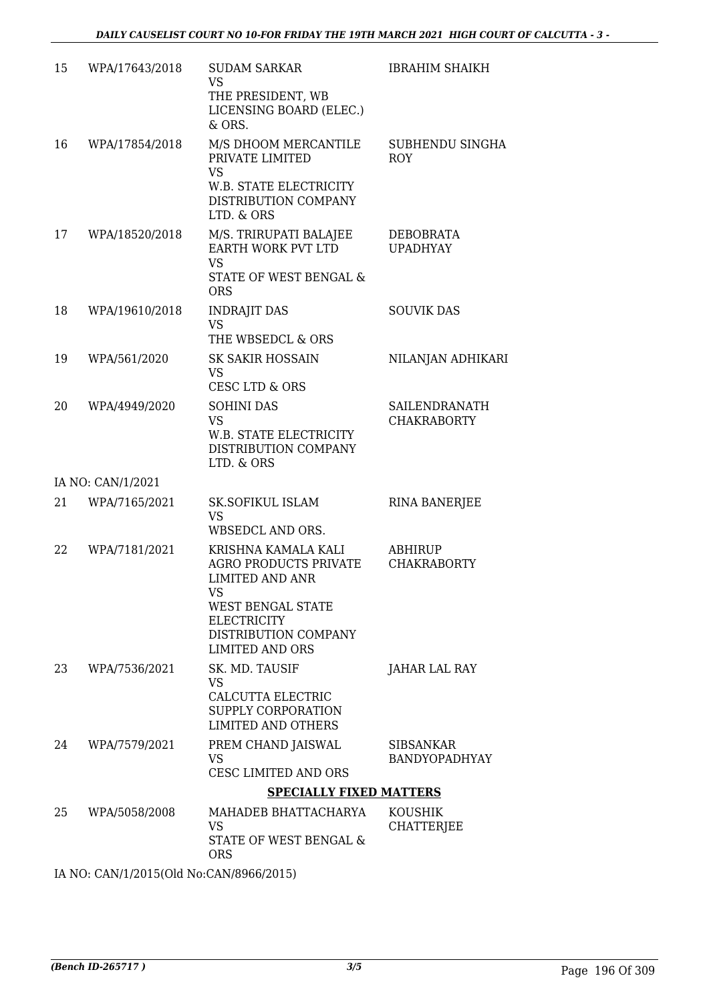| 15 | WPA/17643/2018    | <b>SUDAM SARKAR</b><br><b>VS</b><br>THE PRESIDENT, WB<br>LICENSING BOARD (ELEC.)<br>& ORS.                                                                                              | <b>IBRAHIM SHAIKH</b>                |
|----|-------------------|-----------------------------------------------------------------------------------------------------------------------------------------------------------------------------------------|--------------------------------------|
| 16 | WPA/17854/2018    | M/S DHOOM MERCANTILE<br>PRIVATE LIMITED<br>VS<br>W.B. STATE ELECTRICITY<br>DISTRIBUTION COMPANY<br>LTD. & ORS                                                                           | SUBHENDU SINGHA<br><b>ROY</b>        |
| 17 | WPA/18520/2018    | M/S. TRIRUPATI BALAJEE<br>EARTH WORK PVT LTD<br><b>VS</b><br>STATE OF WEST BENGAL &<br><b>ORS</b>                                                                                       | <b>DEBOBRATA</b><br><b>UPADHYAY</b>  |
| 18 | WPA/19610/2018    | <b>INDRAJIT DAS</b><br><b>VS</b><br>THE WBSEDCL & ORS                                                                                                                                   | <b>SOUVIK DAS</b>                    |
| 19 | WPA/561/2020      | <b>SK SAKIR HOSSAIN</b><br><b>VS</b><br>CESC LTD & ORS                                                                                                                                  | NILANJAN ADHIKARI                    |
| 20 | WPA/4949/2020     | <b>SOHINI DAS</b><br><b>VS</b><br>W.B. STATE ELECTRICITY<br>DISTRIBUTION COMPANY<br>LTD. & ORS                                                                                          | SAILENDRANATH<br><b>CHAKRABORTY</b>  |
|    | IA NO: CAN/1/2021 |                                                                                                                                                                                         |                                      |
| 21 | WPA/7165/2021     | <b>SK.SOFIKUL ISLAM</b><br><b>VS</b><br>WBSEDCL AND ORS.                                                                                                                                | <b>RINA BANERJEE</b>                 |
| 22 | WPA/7181/2021     | KRISHNA KAMALA KALI<br><b>AGRO PRODUCTS PRIVATE</b><br><b>LIMITED AND ANR</b><br><b>VS</b><br>WEST BENGAL STATE<br><b>ELECTRICITY</b><br>DISTRIBUTION COMPANY<br><b>LIMITED AND ORS</b> | <b>ABHIRUP</b><br><b>CHAKRABORTY</b> |
| 23 | WPA/7536/2021     | SK. MD. TAUSIF<br><b>VS</b><br><b>CALCUTTA ELECTRIC</b><br>SUPPLY CORPORATION<br><b>LIMITED AND OTHERS</b>                                                                              | JAHAR LAL RAY                        |
| 24 | WPA/7579/2021     | PREM CHAND JAISWAL<br>VS<br>CESC LIMITED AND ORS                                                                                                                                        | <b>SIBSANKAR</b><br>BANDYOPADHYAY    |
|    |                   | <b>SPECIALLY FIXED MATTERS</b>                                                                                                                                                          |                                      |
| 25 | WPA/5058/2008     | MAHADEB BHATTACHARYA<br><b>VS</b><br>STATE OF WEST BENGAL &<br><b>ORS</b>                                                                                                               | <b>KOUSHIK</b><br><b>CHATTERJEE</b>  |

IA NO: CAN/1/2015(Old No:CAN/8966/2015)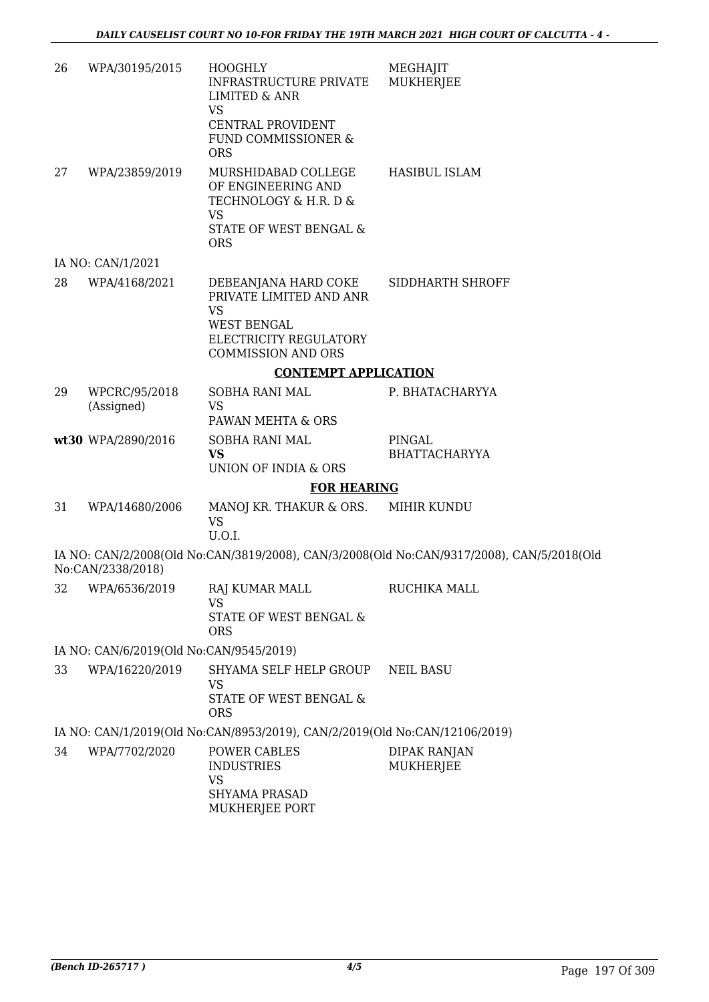| 26 | WPA/30195/2015                          | <b>HOOGHLY</b><br><b>INFRASTRUCTURE PRIVATE</b><br><b>LIMITED &amp; ANR</b><br><b>VS</b><br><b>CENTRAL PROVIDENT</b><br>FUND COMMISSIONER & | MEGHAJIT<br><b>MUKHERJEE</b>                                                              |
|----|-----------------------------------------|---------------------------------------------------------------------------------------------------------------------------------------------|-------------------------------------------------------------------------------------------|
|    |                                         | <b>ORS</b>                                                                                                                                  |                                                                                           |
| 27 | WPA/23859/2019                          | MURSHIDABAD COLLEGE<br>OF ENGINEERING AND<br>TECHNOLOGY & H.R. D &<br><b>VS</b><br>STATE OF WEST BENGAL &<br><b>ORS</b>                     | <b>HASIBUL ISLAM</b>                                                                      |
|    | IA NO: CAN/1/2021                       |                                                                                                                                             |                                                                                           |
| 28 | WPA/4168/2021                           | DEBEANJANA HARD COKE<br>PRIVATE LIMITED AND ANR<br><b>VS</b><br><b>WEST BENGAL</b><br>ELECTRICITY REGULATORY<br><b>COMMISSION AND ORS</b>   | SIDDHARTH SHROFF                                                                          |
|    |                                         | <b>CONTEMPT APPLICATION</b>                                                                                                                 |                                                                                           |
| 29 | WPCRC/95/2018<br>(Assigned)             | SOBHA RANI MAL<br><b>VS</b><br>PAWAN MEHTA & ORS                                                                                            | P. BHATACHARYYA                                                                           |
|    | wt30 WPA/2890/2016                      | SOBHA RANI MAL<br><b>VS</b><br><b>UNION OF INDIA &amp; ORS</b>                                                                              | PINGAL<br><b>BHATTACHARYYA</b>                                                            |
|    |                                         | <b>FOR HEARING</b>                                                                                                                          |                                                                                           |
| 31 | WPA/14680/2006                          | MANOJ KR. THAKUR & ORS.<br><b>VS</b><br>U.O.I.                                                                                              | MIHIR KUNDU                                                                               |
|    | No:CAN/2338/2018)                       |                                                                                                                                             | IA NO: CAN/2/2008(Old No:CAN/3819/2008), CAN/3/2008(Old No:CAN/9317/2008), CAN/5/2018(Old |
|    |                                         | 32 WPA/6536/2019 RAJ KUMAR MALL<br><b>VS</b><br>STATE OF WEST BENGAL &<br><b>ORS</b>                                                        | RUCHIKA MALL                                                                              |
|    | IA NO: CAN/6/2019(Old No:CAN/9545/2019) |                                                                                                                                             |                                                                                           |
| 33 | WPA/16220/2019                          | SHYAMA SELF HELP GROUP<br><b>VS</b><br>STATE OF WEST BENGAL &<br><b>ORS</b>                                                                 | <b>NEIL BASU</b>                                                                          |
|    |                                         | IA NO: CAN/1/2019(Old No:CAN/8953/2019), CAN/2/2019(Old No:CAN/12106/2019)                                                                  |                                                                                           |
| 34 | WPA/7702/2020                           | POWER CABLES<br><b>INDUSTRIES</b><br><b>VS</b><br><b>SHYAMA PRASAD</b><br>MUKHERJEE PORT                                                    | <b>DIPAK RANJAN</b><br>MUKHERJEE                                                          |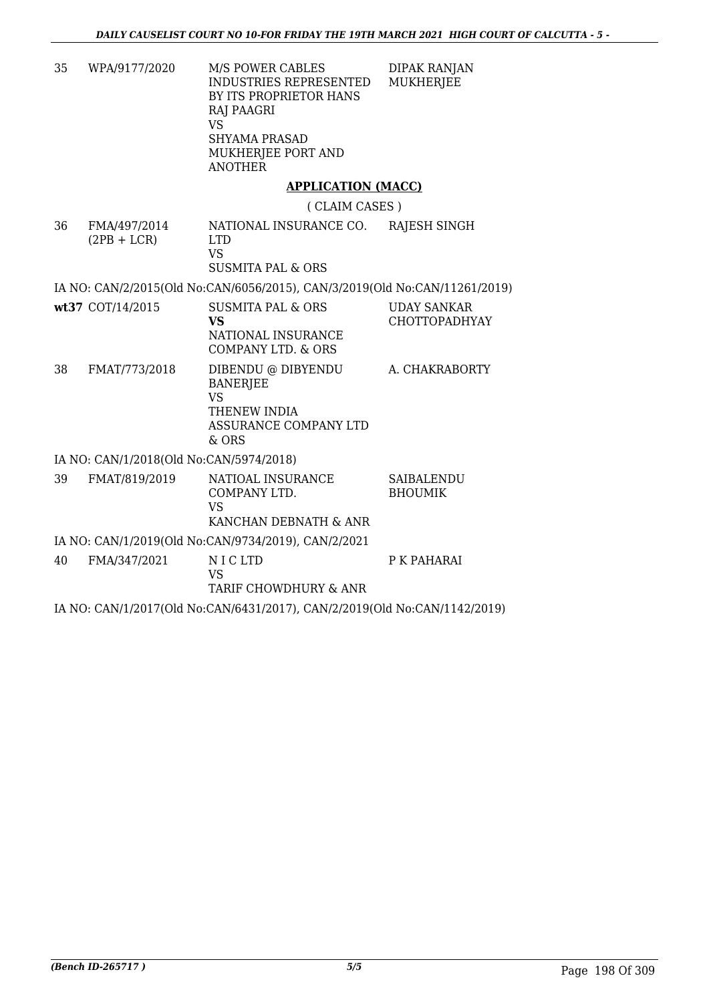| 35                                                                        | WPA/9177/2020                           | <b>M/S POWER CABLES</b><br><b>INDUSTRIES REPRESENTED</b><br>BY ITS PROPRIETOR HANS<br>RAJ PAAGRI<br><b>VS</b><br><b>SHYAMA PRASAD</b><br>MUKHERJEE PORT AND<br><b>ANOTHER</b> | <b>DIPAK RANJAN</b><br><b>MUKHERJEE</b>    |
|---------------------------------------------------------------------------|-----------------------------------------|-------------------------------------------------------------------------------------------------------------------------------------------------------------------------------|--------------------------------------------|
|                                                                           |                                         | <b>APPLICATION (MACC)</b>                                                                                                                                                     |                                            |
|                                                                           |                                         | (CLAIM CASES)                                                                                                                                                                 |                                            |
| 36                                                                        | FMA/497/2014<br>$(2PB + LCR)$           | NATIONAL INSURANCE CO.<br><b>LTD</b><br><b>VS</b><br><b>SUSMITA PAL &amp; ORS</b>                                                                                             | RAJESH SINGH                               |
|                                                                           |                                         | IA NO: CAN/2/2015(Old No:CAN/6056/2015), CAN/3/2019(Old No:CAN/11261/2019)                                                                                                    |                                            |
|                                                                           | wt37 COT/14/2015                        | <b>SUSMITA PAL &amp; ORS</b><br>VS<br>NATIONAL INSURANCE<br>COMPANY LTD. & ORS                                                                                                | <b>UDAY SANKAR</b><br><b>CHOTTOPADHYAY</b> |
| 38                                                                        | FMAT/773/2018                           | DIBENDU @ DIBYENDU<br><b>BANERJEE</b><br><b>VS</b><br>THENEW INDIA<br>ASSURANCE COMPANY LTD<br>& ORS                                                                          | A. CHAKRABORTY                             |
|                                                                           | IA NO: CAN/1/2018(Old No:CAN/5974/2018) |                                                                                                                                                                               |                                            |
| 39                                                                        | FMAT/819/2019                           | NATIOAL INSURANCE<br>COMPANY LTD.<br><b>VS</b><br>KANCHAN DEBNATH & ANR                                                                                                       | <b>SAIBALENDU</b><br><b>BHOUMIK</b>        |
|                                                                           |                                         | IA NO: CAN/1/2019(Old No:CAN/9734/2019), CAN/2/2021                                                                                                                           |                                            |
| 40                                                                        | FMA/347/2021                            | NICLTD<br><b>VS</b><br>TARIF CHOWDHURY & ANR                                                                                                                                  | P K PAHARAI                                |
| IA NO: CAN/1/2017(Old No:CAN/6431/2017), CAN/2/2019(Old No:CAN/1142/2019) |                                         |                                                                                                                                                                               |                                            |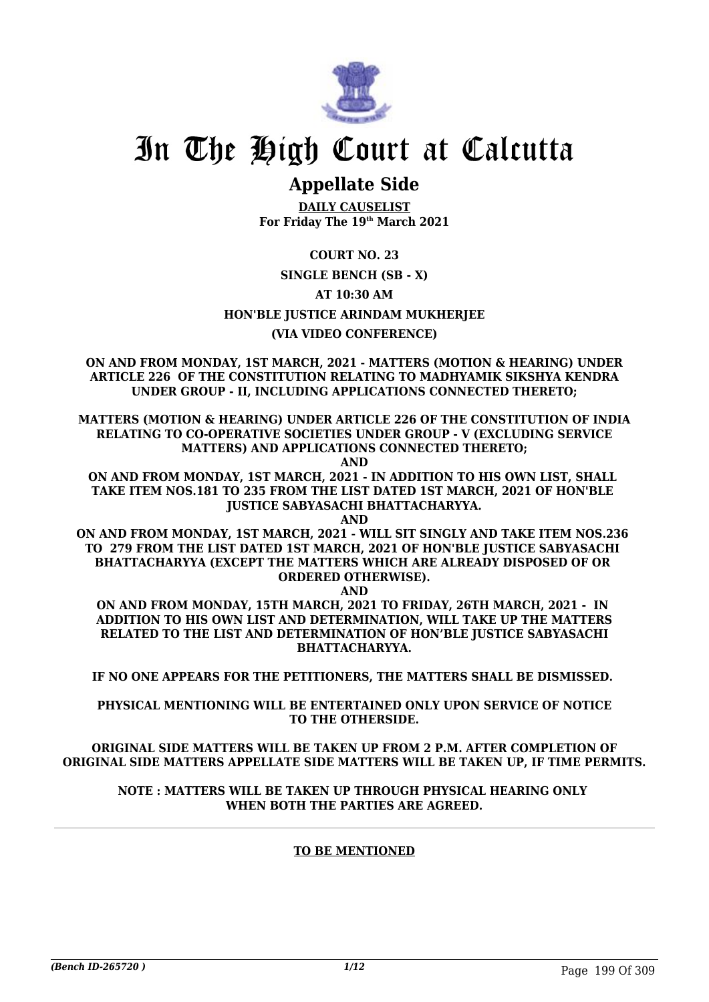

## **Appellate Side**

**DAILY CAUSELIST For Friday The 19th March 2021**

**COURT NO. 23**

#### **SINGLE BENCH (SB - X)**

**AT 10:30 AM**

#### **HON'BLE JUSTICE ARINDAM MUKHERJEE**

#### **(VIA VIDEO CONFERENCE)**

**ON AND FROM MONDAY, 1ST MARCH, 2021 - MATTERS (MOTION & HEARING) UNDER ARTICLE 226 OF THE CONSTITUTION RELATING TO MADHYAMIK SIKSHYA KENDRA UNDER GROUP - II, INCLUDING APPLICATIONS CONNECTED THERETO;**

**MATTERS (MOTION & HEARING) UNDER ARTICLE 226 OF THE CONSTITUTION OF INDIA RELATING TO CO-OPERATIVE SOCIETIES UNDER GROUP - V (EXCLUDING SERVICE MATTERS) AND APPLICATIONS CONNECTED THERETO;**

**AND**

**ON AND FROM MONDAY, 1ST MARCH, 2021 - IN ADDITION TO HIS OWN LIST, SHALL TAKE ITEM NOS.181 TO 235 FROM THE LIST DATED 1ST MARCH, 2021 OF HON'BLE JUSTICE SABYASACHI BHATTACHARYYA.**

**AND**

**ON AND FROM MONDAY, 1ST MARCH, 2021 - WILL SIT SINGLY AND TAKE ITEM NOS.236 TO 279 FROM THE LIST DATED 1ST MARCH, 2021 OF HON'BLE JUSTICE SABYASACHI BHATTACHARYYA (EXCEPT THE MATTERS WHICH ARE ALREADY DISPOSED OF OR ORDERED OTHERWISE).**

**AND**

**ON AND FROM MONDAY, 15TH MARCH, 2021 TO FRIDAY, 26TH MARCH, 2021 - IN ADDITION TO HIS OWN LIST AND DETERMINATION, WILL TAKE UP THE MATTERS RELATED TO THE LIST AND DETERMINATION OF HON'BLE JUSTICE SABYASACHI BHATTACHARYYA.**

**IF NO ONE APPEARS FOR THE PETITIONERS, THE MATTERS SHALL BE DISMISSED.** 

**PHYSICAL MENTIONING WILL BE ENTERTAINED ONLY UPON SERVICE OF NOTICE TO THE OTHERSIDE.**

**ORIGINAL SIDE MATTERS WILL BE TAKEN UP FROM 2 P.M. AFTER COMPLETION OF ORIGINAL SIDE MATTERS APPELLATE SIDE MATTERS WILL BE TAKEN UP, IF TIME PERMITS.**

**NOTE : MATTERS WILL BE TAKEN UP THROUGH PHYSICAL HEARING ONLY WHEN BOTH THE PARTIES ARE AGREED.**

#### **TO BE MENTIONED**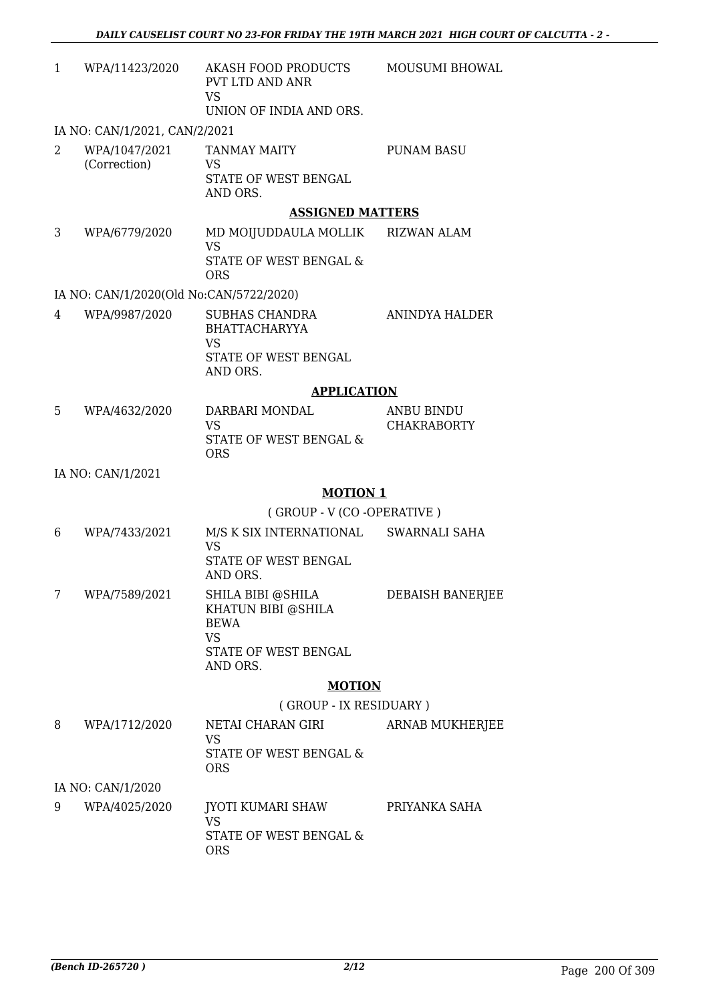| 1 | WPA/11423/2020                          | AKASH FOOD PRODUCTS<br><b>PVT LTD AND ANR</b><br><b>VS</b><br>UNION OF INDIA AND ORS.       | MOUSUMI BHOWAL                   |
|---|-----------------------------------------|---------------------------------------------------------------------------------------------|----------------------------------|
|   | IA NO: CAN/1/2021, CAN/2/2021           |                                                                                             |                                  |
| 2 | WPA/1047/2021<br>(Correction)           | <b>TANMAY MAITY</b><br>VS<br>STATE OF WEST BENGAL<br>AND ORS.                               | <b>PUNAM BASU</b>                |
|   |                                         | <b>ASSIGNED MATTERS</b>                                                                     |                                  |
| 3 | WPA/6779/2020                           | MD MOIJUDDAULA MOLLIK RIZWAN ALAM<br><b>VS</b><br>STATE OF WEST BENGAL &<br><b>ORS</b>      |                                  |
|   | IA NO: CAN/1/2020(Old No:CAN/5722/2020) |                                                                                             |                                  |
| 4 | WPA/9987/2020                           | SUBHAS CHANDRA<br><b>BHATTACHARYYA</b><br><b>VS</b><br>STATE OF WEST BENGAL<br>AND ORS.     | <b>ANINDYA HALDER</b>            |
|   |                                         | <b>APPLICATION</b>                                                                          |                                  |
| 5 | WPA/4632/2020                           | DARBARI MONDAL<br><b>VS</b><br>STATE OF WEST BENGAL &<br><b>ORS</b>                         | ANBU BINDU<br><b>CHAKRABORTY</b> |
|   | IA NO: CAN/1/2021                       |                                                                                             |                                  |
|   |                                         | <b>MOTION 1</b>                                                                             |                                  |
|   |                                         | (GROUP - V (CO -OPERATIVE)                                                                  |                                  |
| 6 | WPA/7433/2021                           | M/S K SIX INTERNATIONAL SWARNALI SAHA<br><b>VS</b><br>STATE OF WEST BENGAL<br>AND ORS.      |                                  |
| 7 | WPA/7589/2021                           | SHILA BIBI @SHILA<br>KHATUN BIBI @SHILA<br><b>BEWA</b><br><b>VS</b><br>STATE OF WEST BENGAL | DEBAISH BANERJEE                 |
|   |                                         | AND ORS.                                                                                    |                                  |
|   |                                         | <b>MOTION</b><br>(GROUP - IX RESIDUARY)                                                     |                                  |
| 8 | WPA/1712/2020                           | NETAI CHARAN GIRI                                                                           | <b>ARNAB MUKHERJEE</b>           |
|   |                                         | <b>VS</b><br>STATE OF WEST BENGAL &<br><b>ORS</b>                                           |                                  |
|   | IA NO: CAN/1/2020                       |                                                                                             |                                  |
| 9 | WPA/4025/2020                           | JYOTI KUMARI SHAW                                                                           | PRIYANKA SAHA                    |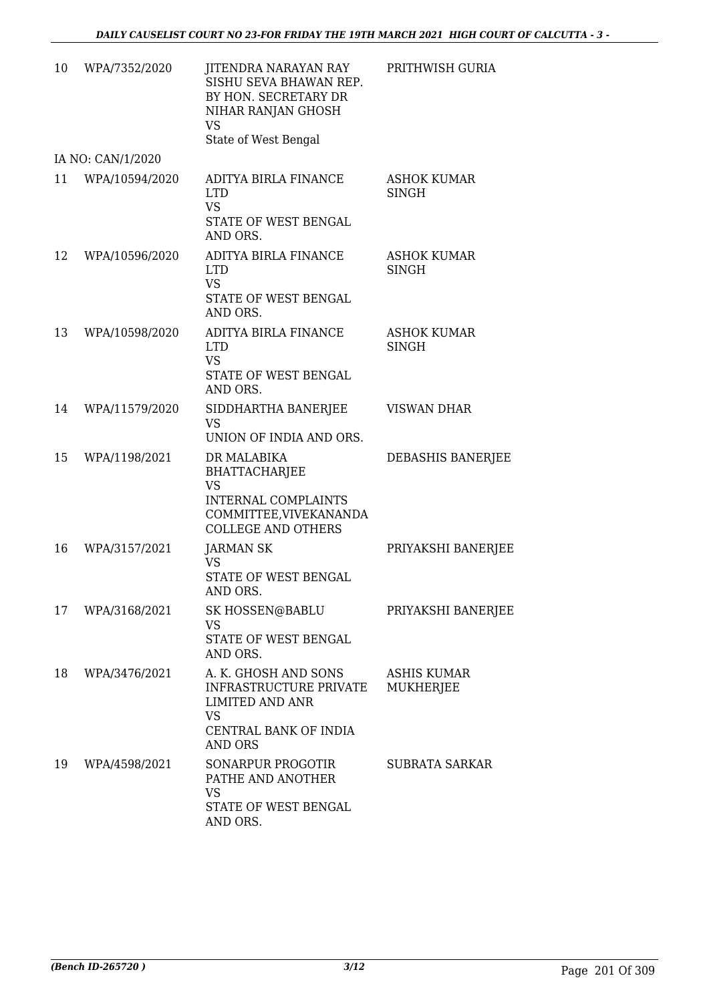| 10 | WPA/7352/2020     | JITENDRA NARAYAN RAY<br>SISHU SEVA BHAWAN REP.<br>BY HON. SECRETARY DR<br>NIHAR RANJAN GHOSH<br><b>VS</b><br>State of West Bengal     | PRITHWISH GURIA                    |
|----|-------------------|---------------------------------------------------------------------------------------------------------------------------------------|------------------------------------|
|    | IA NO: CAN/1/2020 |                                                                                                                                       |                                    |
| 11 | WPA/10594/2020    | ADITYA BIRLA FINANCE<br><b>LTD</b><br><b>VS</b><br>STATE OF WEST BENGAL<br>AND ORS.                                                   | <b>ASHOK KUMAR</b><br><b>SINGH</b> |
| 12 | WPA/10596/2020    | ADITYA BIRLA FINANCE<br><b>LTD</b><br><b>VS</b><br>STATE OF WEST BENGAL<br>AND ORS.                                                   | <b>ASHOK KUMAR</b><br><b>SINGH</b> |
| 13 | WPA/10598/2020    | ADITYA BIRLA FINANCE<br><b>LTD</b><br><b>VS</b><br>STATE OF WEST BENGAL<br>AND ORS.                                                   | <b>ASHOK KUMAR</b><br><b>SINGH</b> |
| 14 | WPA/11579/2020    | SIDDHARTHA BANERJEE<br><b>VS</b><br>UNION OF INDIA AND ORS.                                                                           | <b>VISWAN DHAR</b>                 |
| 15 | WPA/1198/2021     | DR MALABIKA<br><b>BHATTACHARJEE</b><br><b>VS</b><br><b>INTERNAL COMPLAINTS</b><br>COMMITTEE, VIVEKANANDA<br><b>COLLEGE AND OTHERS</b> | DEBASHIS BANERJEE                  |
| 16 | WPA/3157/2021     | <b>JARMAN SK</b><br><b>VS</b><br><b>STATE OF WEST BENGAL</b><br>AND ORS                                                               | PRIYAKSHI BANERJEE                 |
| 17 | WPA/3168/2021     | SK HOSSEN@BABLU<br><b>VS</b><br>STATE OF WEST BENGAL<br>AND ORS.                                                                      | PRIYAKSHI BANERJEE                 |
| 18 | WPA/3476/2021     | A. K. GHOSH AND SONS<br>INFRASTRUCTURE PRIVATE<br><b>LIMITED AND ANR</b><br><b>VS</b><br>CENTRAL BANK OF INDIA<br><b>AND ORS</b>      | ASHIS KUMAR<br>MUKHERJEE           |
| 19 | WPA/4598/2021     | SONARPUR PROGOTIR<br>PATHE AND ANOTHER<br><b>VS</b><br>STATE OF WEST BENGAL<br>AND ORS.                                               | SUBRATA SARKAR                     |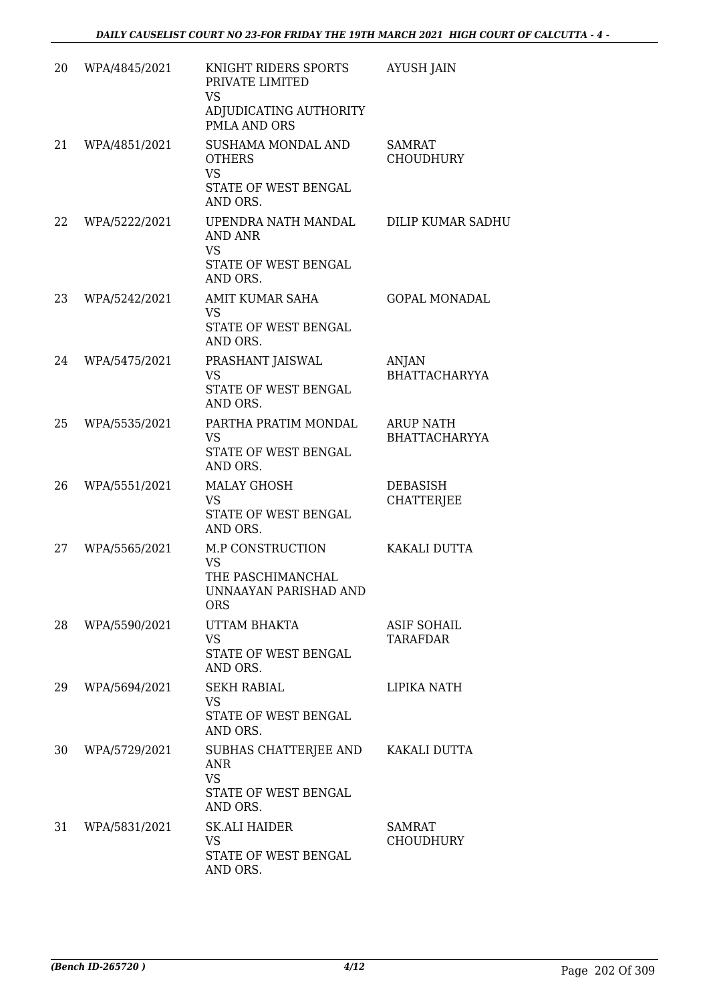| 20 | WPA/4845/2021 | KNIGHT RIDERS SPORTS<br>PRIVATE LIMITED<br><b>VS</b><br>ADJUDICATING AUTHORITY<br>PMLA AND ORS   | <b>AYUSH JAIN</b>                     |
|----|---------------|--------------------------------------------------------------------------------------------------|---------------------------------------|
| 21 | WPA/4851/2021 | SUSHAMA MONDAL AND<br><b>OTHERS</b><br><b>VS</b>                                                 | <b>SAMRAT</b><br><b>CHOUDHURY</b>     |
|    |               | STATE OF WEST BENGAL<br>AND ORS.                                                                 |                                       |
| 22 | WPA/5222/2021 | UPENDRA NATH MANDAL<br>AND ANR<br><b>VS</b><br>STATE OF WEST BENGAL<br>AND ORS.                  | DILIP KUMAR SADHU                     |
| 23 | WPA/5242/2021 | AMIT KUMAR SAHA<br><b>VS</b><br>STATE OF WEST BENGAL<br>AND ORS.                                 | <b>GOPAL MONADAL</b>                  |
| 24 | WPA/5475/2021 | PRASHANT JAISWAL<br><b>VS</b><br><b>STATE OF WEST BENGAL</b><br>AND ORS.                         | ANJAN<br>BHATTACHARYYA                |
| 25 | WPA/5535/2021 | PARTHA PRATIM MONDAL<br><b>VS</b><br>STATE OF WEST BENGAL<br>AND ORS.                            | <b>ARUP NATH</b><br>BHATTACHARYYA     |
| 26 | WPA/5551/2021 | <b>MALAY GHOSH</b><br><b>VS</b><br>STATE OF WEST BENGAL<br>AND ORS.                              | <b>DEBASISH</b><br><b>CHATTERJEE</b>  |
| 27 | WPA/5565/2021 | <b>M.P CONSTRUCTION</b><br><b>VS</b><br>THE PASCHIMANCHAL<br>UNNAAYAN PARISHAD AND<br><b>ORS</b> | KAKALI DUTTA                          |
| 28 | WPA/5590/2021 | UTTAM BHAKTA<br><b>VS</b><br>STATE OF WEST BENGAL<br>AND ORS.                                    | <b>ASIF SOHAIL</b><br><b>TARAFDAR</b> |
| 29 | WPA/5694/2021 | <b>SEKH RABIAL</b><br><b>VS</b><br>STATE OF WEST BENGAL<br>AND ORS.                              | LIPIKA NATH                           |
| 30 | WPA/5729/2021 | SUBHAS CHATTERJEE AND<br><b>ANR</b><br><b>VS</b><br>STATE OF WEST BENGAL<br>AND ORS.             | KAKALI DUTTA                          |
| 31 | WPA/5831/2021 | <b>SK.ALI HAIDER</b><br><b>VS</b><br>STATE OF WEST BENGAL<br>AND ORS.                            | SAMRAT<br><b>CHOUDHURY</b>            |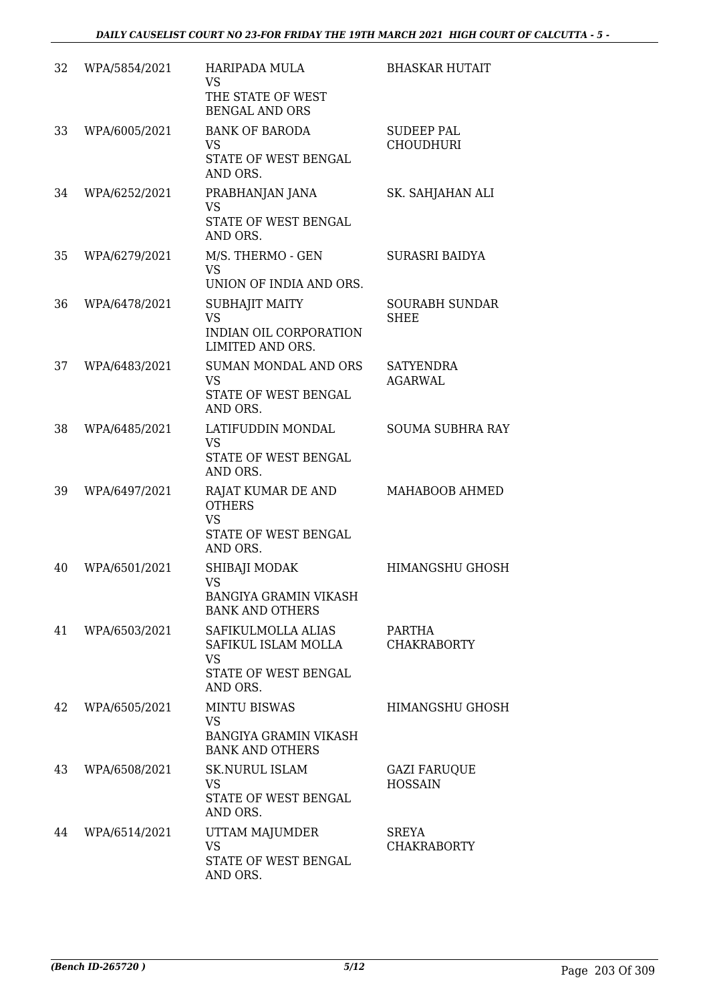| 32 | WPA/5854/2021 | HARIPADA MULA<br><b>VS</b><br>THE STATE OF WEST<br><b>BENGAL AND ORS</b>                   | <b>BHASKAR HUTAIT</b>                 |
|----|---------------|--------------------------------------------------------------------------------------------|---------------------------------------|
| 33 | WPA/6005/2021 | <b>BANK OF BARODA</b><br><b>VS</b><br>STATE OF WEST BENGAL<br>AND ORS.                     | <b>SUDEEP PAL</b><br><b>CHOUDHURI</b> |
| 34 | WPA/6252/2021 | PRABHANJAN JANA<br><b>VS</b><br>STATE OF WEST BENGAL<br>AND ORS.                           | SK. SAHJAHAN ALI                      |
| 35 | WPA/6279/2021 | M/S. THERMO - GEN<br><b>VS</b><br>UNION OF INDIA AND ORS.                                  | <b>SURASRI BAIDYA</b>                 |
| 36 | WPA/6478/2021 | SUBHAJIT MAITY<br><b>VS</b><br>INDIAN OIL CORPORATION<br>LIMITED AND ORS.                  | <b>SOURABH SUNDAR</b><br><b>SHEE</b>  |
| 37 | WPA/6483/2021 | SUMAN MONDAL AND ORS<br><b>VS</b><br>STATE OF WEST BENGAL<br>AND ORS.                      | <b>SATYENDRA</b><br><b>AGARWAL</b>    |
| 38 | WPA/6485/2021 | LATIFUDDIN MONDAL<br><b>VS</b><br>STATE OF WEST BENGAL<br>AND ORS.                         | <b>SOUMA SUBHRA RAY</b>               |
| 39 | WPA/6497/2021 | RAJAT KUMAR DE AND<br><b>OTHERS</b><br><b>VS</b><br>STATE OF WEST BENGAL<br>AND ORS.       | MAHABOOB AHMED                        |
| 40 | WPA/6501/2021 | SHIBAJI MODAK<br><b>VS</b><br><b>BANGIYA GRAMIN VIKASH</b><br><b>BANK AND OTHERS</b>       | <b>HIMANGSHU GHOSH</b>                |
| 41 | WPA/6503/2021 | SAFIKULMOLLA ALIAS<br>SAFIKUL ISLAM MOLLA<br><b>VS</b><br>STATE OF WEST BENGAL<br>AND ORS. | PARTHA<br><b>CHAKRABORTY</b>          |
| 42 | WPA/6505/2021 | <b>MINTU BISWAS</b><br><b>VS</b><br><b>BANGIYA GRAMIN VIKASH</b><br><b>BANK AND OTHERS</b> | <b>HIMANGSHU GHOSH</b>                |
| 43 | WPA/6508/2021 | <b>SK.NURUL ISLAM</b><br><b>VS</b><br>STATE OF WEST BENGAL<br>AND ORS.                     | <b>GAZI FARUQUE</b><br><b>HOSSAIN</b> |
| 44 | WPA/6514/2021 | UTTAM MAJUMDER<br><b>VS</b><br>STATE OF WEST BENGAL<br>AND ORS.                            | SREYA<br><b>CHAKRABORTY</b>           |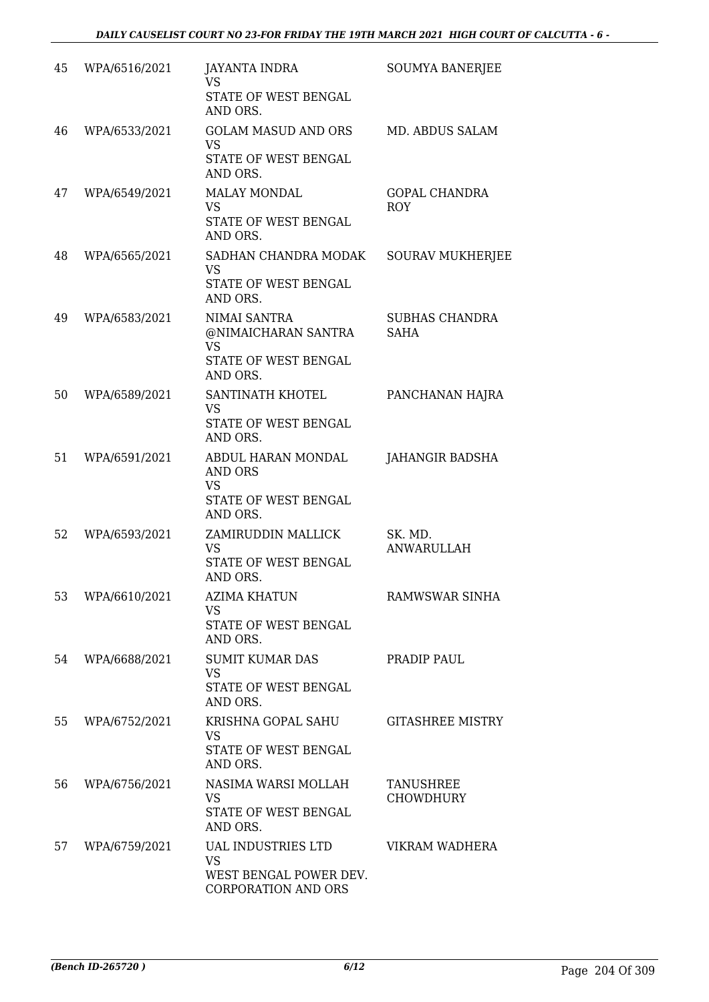| 45 | WPA/6516/2021 | <b>JAYANTA INDRA</b><br><b>VS</b><br>STATE OF WEST BENGAL<br>AND ORS.                   | SOUMYA BANERJEE                    |
|----|---------------|-----------------------------------------------------------------------------------------|------------------------------------|
| 46 | WPA/6533/2021 | <b>GOLAM MASUD AND ORS</b><br><b>VS</b><br>STATE OF WEST BENGAL<br>AND ORS.             | MD. ABDUS SALAM                    |
| 47 | WPA/6549/2021 | <b>MALAY MONDAL</b><br><b>VS</b><br>STATE OF WEST BENGAL<br>AND ORS.                    | <b>GOPAL CHANDRA</b><br><b>ROY</b> |
| 48 | WPA/6565/2021 | SADHAN CHANDRA MODAK<br><b>VS</b><br>STATE OF WEST BENGAL<br>AND ORS.                   | <b>SOURAV MUKHERJEE</b>            |
| 49 | WPA/6583/2021 | NIMAI SANTRA<br>@NIMAICHARAN SANTRA<br><b>VS</b><br>STATE OF WEST BENGAL<br>AND ORS.    | SUBHAS CHANDRA<br><b>SAHA</b>      |
| 50 | WPA/6589/2021 | SANTINATH KHOTEL<br><b>VS</b><br>STATE OF WEST BENGAL<br>AND ORS.                       | PANCHANAN HAJRA                    |
| 51 | WPA/6591/2021 | ABDUL HARAN MONDAL<br><b>AND ORS</b><br><b>VS</b><br>STATE OF WEST BENGAL<br>AND ORS.   | <b>JAHANGIR BADSHA</b>             |
| 52 | WPA/6593/2021 | ZAMIRUDDIN MALLICK<br><b>VS</b><br>STATE OF WEST BENGAL<br>AND ORS.                     | SK. MD.<br><b>ANWARULLAH</b>       |
| 53 | WPA/6610/2021 | <b>AZIMA KHATUN</b><br>VS.<br>STATE OF WEST BENGAL<br>AND ORS.                          | RAMWSWAR SINHA                     |
| 54 | WPA/6688/2021 | <b>SUMIT KUMAR DAS</b><br><b>VS</b><br>STATE OF WEST BENGAL<br>AND ORS.                 | PRADIP PAUL                        |
| 55 | WPA/6752/2021 | KRISHNA GOPAL SAHU<br><b>VS</b><br>STATE OF WEST BENGAL<br>AND ORS.                     | <b>GITASHREE MISTRY</b>            |
| 56 | WPA/6756/2021 | NASIMA WARSI MOLLAH<br><b>VS</b><br>STATE OF WEST BENGAL<br>AND ORS.                    | TANUSHREE<br><b>CHOWDHURY</b>      |
| 57 | WPA/6759/2021 | UAL INDUSTRIES LTD<br><b>VS</b><br>WEST BENGAL POWER DEV.<br><b>CORPORATION AND ORS</b> | VIKRAM WADHERA                     |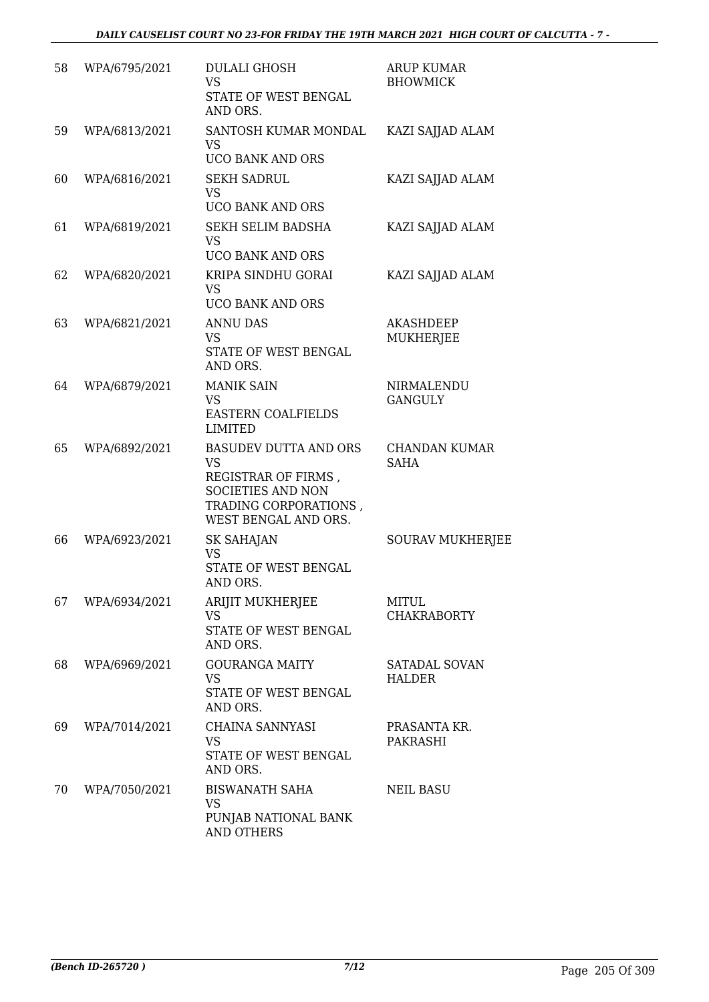| 58 | WPA/6795/2021 | <b>DULALI GHOSH</b><br><b>VS</b><br>STATE OF WEST BENGAL<br>AND ORS.                                                                          | <b>ARUP KUMAR</b><br><b>BHOWMICK</b> |
|----|---------------|-----------------------------------------------------------------------------------------------------------------------------------------------|--------------------------------------|
| 59 | WPA/6813/2021 | SANTOSH KUMAR MONDAL<br><b>VS</b>                                                                                                             | KAZI SAJJAD ALAM                     |
| 60 | WPA/6816/2021 | <b>UCO BANK AND ORS</b><br><b>SEKH SADRUL</b><br><b>VS</b><br>UCO BANK AND ORS                                                                | KAZI SAJJAD ALAM                     |
| 61 | WPA/6819/2021 | SEKH SELIM BADSHA<br><b>VS</b><br><b>UCO BANK AND ORS</b>                                                                                     | KAZI SAJJAD ALAM                     |
| 62 | WPA/6820/2021 | KRIPA SINDHU GORAI<br><b>VS</b><br>UCO BANK AND ORS                                                                                           | KAZI SAJJAD ALAM                     |
| 63 | WPA/6821/2021 | <b>ANNU DAS</b><br><b>VS</b><br>STATE OF WEST BENGAL<br>AND ORS.                                                                              | <b>AKASHDEEP</b><br><b>MUKHERJEE</b> |
| 64 | WPA/6879/2021 | <b>MANIK SAIN</b><br><b>VS</b><br><b>EASTERN COALFIELDS</b><br><b>LIMITED</b>                                                                 | NIRMALENDU<br><b>GANGULY</b>         |
| 65 | WPA/6892/2021 | <b>BASUDEV DUTTA AND ORS</b><br><b>VS</b><br>REGISTRAR OF FIRMS,<br><b>SOCIETIES AND NON</b><br>TRADING CORPORATIONS,<br>WEST BENGAL AND ORS. | <b>CHANDAN KUMAR</b><br><b>SAHA</b>  |
| 66 | WPA/6923/2021 | <b>SK SAHAJAN</b><br><b>VS</b><br>STATE OF WEST BENGAL<br>AND ORS.                                                                            | <b>SOURAV MUKHERJEE</b>              |
| 67 | WPA/6934/2021 | <b>ARIJIT MUKHERJEE</b><br><b>VS</b><br>STATE OF WEST BENGAL<br>AND ORS.                                                                      | <b>MITUL</b><br><b>CHAKRABORTY</b>   |
| 68 | WPA/6969/2021 | <b>GOURANGA MAITY</b><br><b>VS</b><br>STATE OF WEST BENGAL<br>AND ORS.                                                                        | SATADAL SOVAN<br><b>HALDER</b>       |
| 69 | WPA/7014/2021 | CHAINA SANNYASI<br><b>VS</b><br>STATE OF WEST BENGAL<br>AND ORS.                                                                              | PRASANTA KR.<br>PAKRASHI             |
| 70 | WPA/7050/2021 | <b>BISWANATH SAHA</b><br><b>VS</b><br>PUNJAB NATIONAL BANK<br><b>AND OTHERS</b>                                                               | <b>NEIL BASU</b>                     |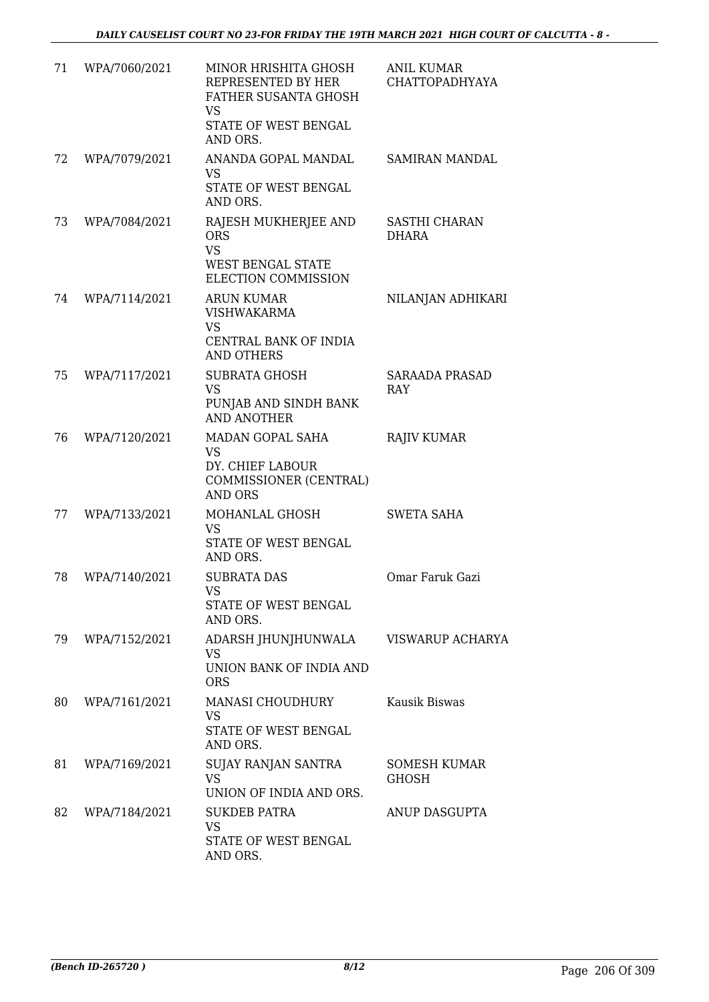| 71 | WPA/7060/2021 | MINOR HRISHITA GHOSH<br>REPRESENTED BY HER<br><b>FATHER SUSANTA GHOSH</b><br>VS<br>STATE OF WEST BENGAL<br>AND ORS. | <b>ANIL KUMAR</b><br><b>CHATTOPADHYAYA</b> |
|----|---------------|---------------------------------------------------------------------------------------------------------------------|--------------------------------------------|
| 72 | WPA/7079/2021 | ANANDA GOPAL MANDAL<br><b>VS</b><br>STATE OF WEST BENGAL<br>AND ORS.                                                | SAMIRAN MANDAL                             |
| 73 | WPA/7084/2021 | RAJESH MUKHERJEE AND<br><b>ORS</b><br><b>VS</b><br><b>WEST BENGAL STATE</b><br>ELECTION COMMISSION                  | SASTHI CHARAN<br>DHARA                     |
| 74 | WPA/7114/2021 | <b>ARUN KUMAR</b><br><b>VISHWAKARMA</b><br><b>VS</b><br>CENTRAL BANK OF INDIA<br><b>AND OTHERS</b>                  | NILANJAN ADHIKARI                          |
| 75 | WPA/7117/2021 | <b>SUBRATA GHOSH</b><br><b>VS</b><br>PUNJAB AND SINDH BANK<br><b>AND ANOTHER</b>                                    | <b>SARAADA PRASAD</b><br><b>RAY</b>        |
| 76 | WPA/7120/2021 | MADAN GOPAL SAHA<br><b>VS</b><br>DY. CHIEF LABOUR<br>COMMISSIONER (CENTRAL)<br><b>AND ORS</b>                       | <b>RAJIV KUMAR</b>                         |
| 77 | WPA/7133/2021 | MOHANLAL GHOSH<br><b>VS</b><br>STATE OF WEST BENGAL<br>AND ORS.                                                     | <b>SWETA SAHA</b>                          |
| 78 | WPA/7140/2021 | <b>SUBRATA DAS</b><br>VS<br>STATE OF WEST BENGAL<br>AND ORS.                                                        | Omar Faruk Gazi                            |
| 79 | WPA/7152/2021 | ADARSH JHUNJHUNWALA<br><b>VS</b><br>UNION BANK OF INDIA AND<br><b>ORS</b>                                           | VISWARUP ACHARYA                           |
| 80 | WPA/7161/2021 | <b>MANASI CHOUDHURY</b><br><b>VS</b><br>STATE OF WEST BENGAL<br>AND ORS.                                            | Kausik Biswas                              |
| 81 | WPA/7169/2021 | SUJAY RANJAN SANTRA<br><b>VS</b><br>UNION OF INDIA AND ORS.                                                         | <b>SOMESH KUMAR</b><br>GHOSH               |
| 82 | WPA/7184/2021 | <b>SUKDEB PATRA</b><br><b>VS</b><br>STATE OF WEST BENGAL<br>AND ORS.                                                | ANUP DASGUPTA                              |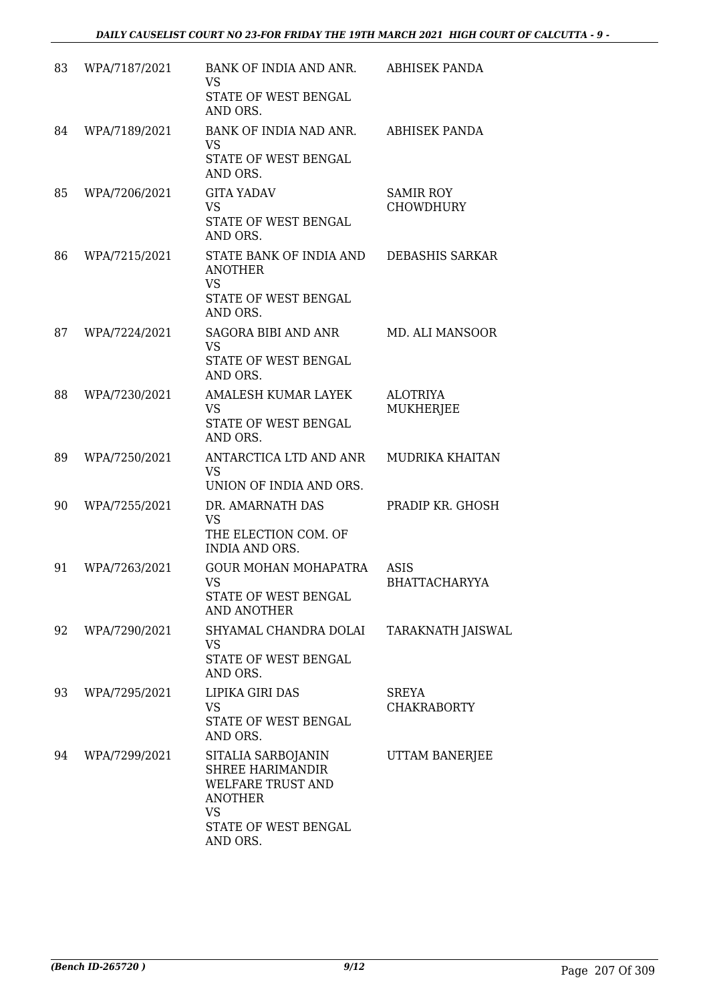| 83 | WPA/7187/2021 | BANK OF INDIA AND ANR.<br>VS<br>STATE OF WEST BENGAL<br>AND ORS.                                                                      | <b>ABHISEK PANDA</b>                 |
|----|---------------|---------------------------------------------------------------------------------------------------------------------------------------|--------------------------------------|
| 84 | WPA/7189/2021 | BANK OF INDIA NAD ANR.<br><b>VS</b><br>STATE OF WEST BENGAL<br>AND ORS.                                                               | ABHISEK PANDA                        |
| 85 | WPA/7206/2021 | <b>GITA YADAV</b><br><b>VS</b><br>STATE OF WEST BENGAL<br>AND ORS.                                                                    | <b>SAMIR ROY</b><br><b>CHOWDHURY</b> |
| 86 | WPA/7215/2021 | STATE BANK OF INDIA AND<br><b>ANOTHER</b><br><b>VS</b><br>STATE OF WEST BENGAL<br>AND ORS.                                            | DEBASHIS SARKAR                      |
| 87 | WPA/7224/2021 | <b>SAGORA BIBI AND ANR</b><br><b>VS</b><br>STATE OF WEST BENGAL<br>AND ORS.                                                           | MD. ALI MANSOOR                      |
| 88 | WPA/7230/2021 | AMALESH KUMAR LAYEK<br><b>VS</b><br>STATE OF WEST BENGAL<br>AND ORS.                                                                  | <b>ALOTRIYA</b><br><b>MUKHERJEE</b>  |
| 89 | WPA/7250/2021 | ANTARCTICA LTD AND ANR<br><b>VS</b><br>UNION OF INDIA AND ORS.                                                                        | <b>MUDRIKA KHAITAN</b>               |
| 90 | WPA/7255/2021 | DR. AMARNATH DAS<br><b>VS</b><br>THE ELECTION COM. OF<br><b>INDIA AND ORS.</b>                                                        | PRADIP KR. GHOSH                     |
| 91 | WPA/7263/2021 | <b>GOUR MOHAN MOHAPATRA</b><br><b>VS</b><br><b>STATE OF WEST BENGAL</b><br><b>AND ANOTHER</b>                                         | ASIS<br><b>BHATTACHARYYA</b>         |
| 92 | WPA/7290/2021 | SHYAMAL CHANDRA DOLAI<br><b>VS</b><br>STATE OF WEST BENGAL<br>AND ORS.                                                                | TARAKNATH JAISWAL                    |
| 93 | WPA/7295/2021 | LIPIKA GIRI DAS<br><b>VS</b><br>STATE OF WEST BENGAL<br>AND ORS.                                                                      | <b>SREYA</b><br><b>CHAKRABORTY</b>   |
| 94 | WPA/7299/2021 | SITALIA SARBOJANIN<br><b>SHREE HARIMANDIR</b><br>WELFARE TRUST AND<br><b>ANOTHER</b><br><b>VS</b><br>STATE OF WEST BENGAL<br>AND ORS. | UTTAM BANERJEE                       |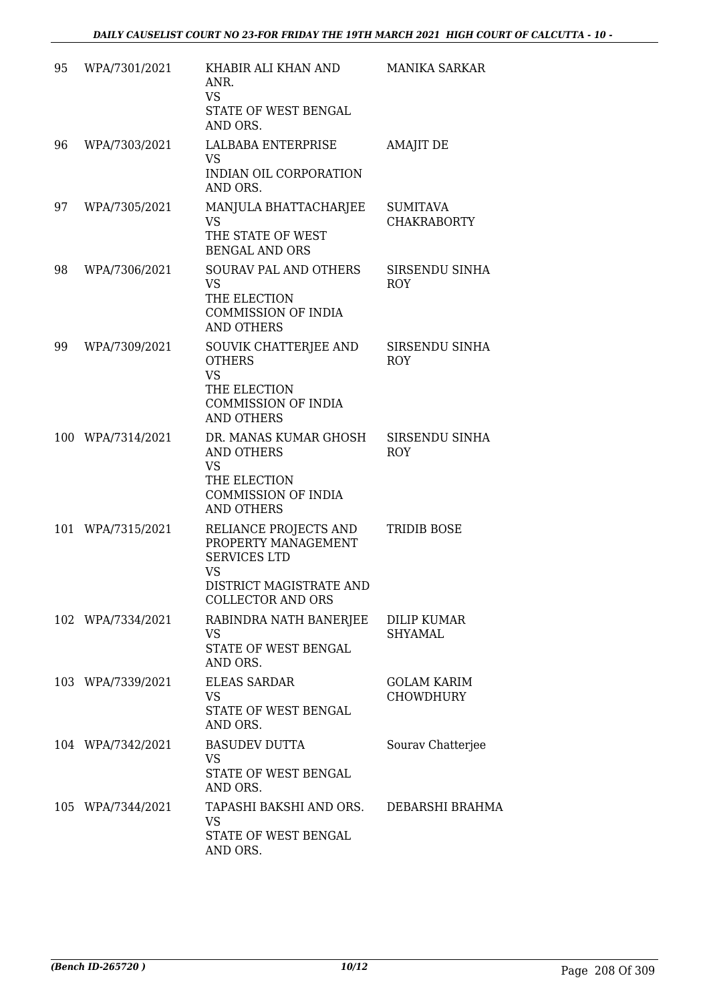| 95 | WPA/7301/2021     | KHABIR ALI KHAN AND<br>ANR.<br>VS<br>STATE OF WEST BENGAL<br>AND ORS.                                                                   | <b>MANIKA SARKAR</b>                   |
|----|-------------------|-----------------------------------------------------------------------------------------------------------------------------------------|----------------------------------------|
| 96 | WPA/7303/2021     | LALBABA ENTERPRISE<br>VS<br>INDIAN OIL CORPORATION<br>AND ORS.                                                                          | <b>AMAJIT DE</b>                       |
| 97 | WPA/7305/2021     | MANJULA BHATTACHARJEE<br><b>VS</b><br>THE STATE OF WEST<br><b>BENGAL AND ORS</b>                                                        | <b>SUMITAVA</b><br><b>CHAKRABORTY</b>  |
| 98 | WPA/7306/2021     | SOURAV PAL AND OTHERS<br><b>VS</b><br>THE ELECTION<br><b>COMMISSION OF INDIA</b><br><b>AND OTHERS</b>                                   | SIRSENDU SINHA<br><b>ROY</b>           |
| 99 | WPA/7309/2021     | SOUVIK CHATTERJEE AND<br><b>OTHERS</b><br><b>VS</b><br>THE ELECTION<br><b>COMMISSION OF INDIA</b><br><b>AND OTHERS</b>                  | SIRSENDU SINHA<br><b>ROY</b>           |
|    | 100 WPA/7314/2021 | DR. MANAS KUMAR GHOSH<br>AND OTHERS<br><b>VS</b><br>THE ELECTION<br><b>COMMISSION OF INDIA</b><br><b>AND OTHERS</b>                     | SIRSENDU SINHA<br><b>ROY</b>           |
|    | 101 WPA/7315/2021 | RELIANCE PROJECTS AND<br>PROPERTY MANAGEMENT<br><b>SERVICES LTD</b><br><b>VS</b><br>DISTRICT MAGISTRATE AND<br><b>COLLECTOR AND ORS</b> | TRIDIB BOSE                            |
|    | 102 WPA/7334/2021 | RABINDRA NATH BANERJEE<br>VS<br>STATE OF WEST BENGAL<br>AND ORS.                                                                        | <b>DILIP KUMAR</b><br>SHYAMAL          |
|    | 103 WPA/7339/2021 | <b>ELEAS SARDAR</b><br>VS<br>STATE OF WEST BENGAL<br>AND ORS.                                                                           | <b>GOLAM KARIM</b><br><b>CHOWDHURY</b> |
|    | 104 WPA/7342/2021 | <b>BASUDEV DUTTA</b><br>VS<br>STATE OF WEST BENGAL<br>AND ORS.                                                                          | Sourav Chatterjee                      |
|    | 105 WPA/7344/2021 | TAPASHI BAKSHI AND ORS.<br>VS<br>STATE OF WEST BENGAL<br>AND ORS.                                                                       | DEBARSHI BRAHMA                        |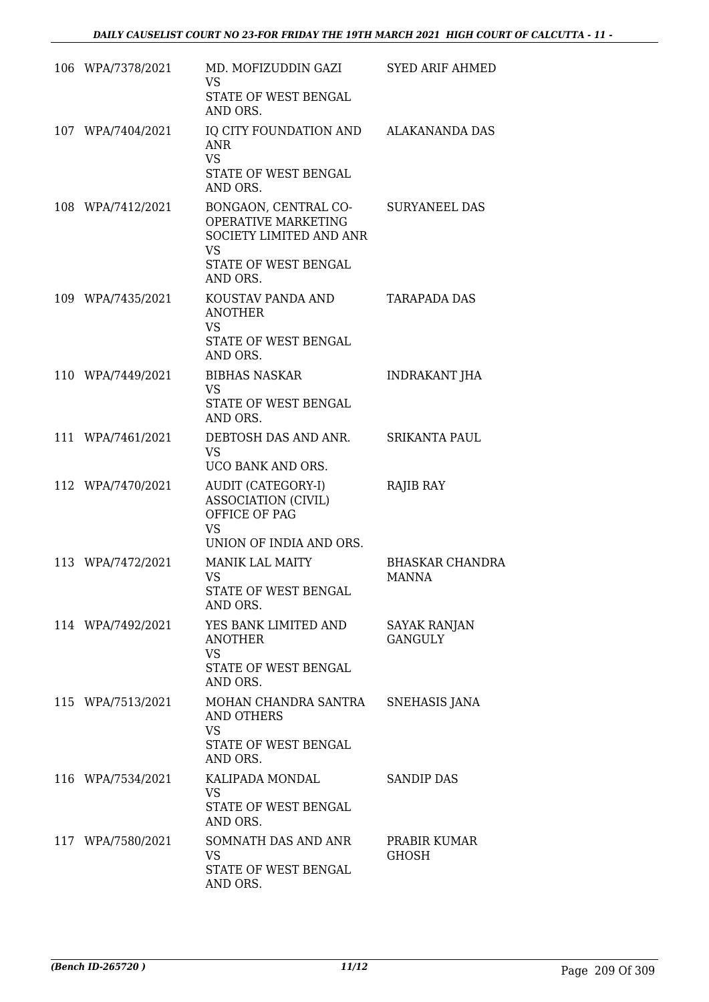| 106 WPA/7378/2021 | MD. MOFIZUDDIN GAZI<br><b>VS</b><br>STATE OF WEST BENGAL<br>AND ORS.                                                    | <b>SYED ARIF AHMED</b>                 |
|-------------------|-------------------------------------------------------------------------------------------------------------------------|----------------------------------------|
| 107 WPA/7404/2021 | IQ CITY FOUNDATION AND ALAKANANDA DAS<br><b>ANR</b><br><b>VS</b><br>STATE OF WEST BENGAL                                |                                        |
| 108 WPA/7412/2021 | AND ORS.<br>BONGAON, CENTRAL CO-<br>OPERATIVE MARKETING<br>SOCIETY LIMITED AND ANR<br><b>VS</b><br>STATE OF WEST BENGAL | <b>SURYANEEL DAS</b>                   |
| 109 WPA/7435/2021 | AND ORS.<br>KOUSTAV PANDA AND<br><b>ANOTHER</b><br><b>VS</b><br>STATE OF WEST BENGAL<br>AND ORS.                        | <b>TARAPADA DAS</b>                    |
| 110 WPA/7449/2021 | <b>BIBHAS NASKAR</b><br><b>VS</b><br>STATE OF WEST BENGAL<br>AND ORS.                                                   | <b>INDRAKANT JHA</b>                   |
| 111 WPA/7461/2021 | DEBTOSH DAS AND ANR.<br><b>VS</b><br>UCO BANK AND ORS.                                                                  | <b>SRIKANTA PAUL</b>                   |
| 112 WPA/7470/2021 | AUDIT (CATEGORY-I)<br><b>ASSOCIATION (CIVIL)</b><br>OFFICE OF PAG<br><b>VS</b><br>UNION OF INDIA AND ORS.               | RAJIB RAY                              |
| 113 WPA/7472/2021 | <b>MANIK LAL MAITY</b><br><b>VS</b><br>STATE OF WEST BENGAL<br>AND ORS.                                                 | <b>BHASKAR CHANDRA</b><br><b>MANNA</b> |
| 114 WPA/7492/2021 | YES BANK LIMITED AND<br><b>ANOTHER</b><br><b>VS</b><br>STATE OF WEST BENGAL<br>AND ORS.                                 | <b>SAYAK RANJAN</b><br><b>GANGULY</b>  |
| 115 WPA/7513/2021 | MOHAN CHANDRA SANTRA<br>AND OTHERS<br><b>VS</b><br>STATE OF WEST BENGAL<br>AND ORS.                                     | <b>SNEHASIS JANA</b>                   |
| 116 WPA/7534/2021 | KALIPADA MONDAL<br>VS.<br>STATE OF WEST BENGAL<br>AND ORS.                                                              | <b>SANDIP DAS</b>                      |
| 117 WPA/7580/2021 | SOMNATH DAS AND ANR<br><b>VS</b><br>STATE OF WEST BENGAL<br>AND ORS.                                                    | PRABIR KUMAR<br><b>GHOSH</b>           |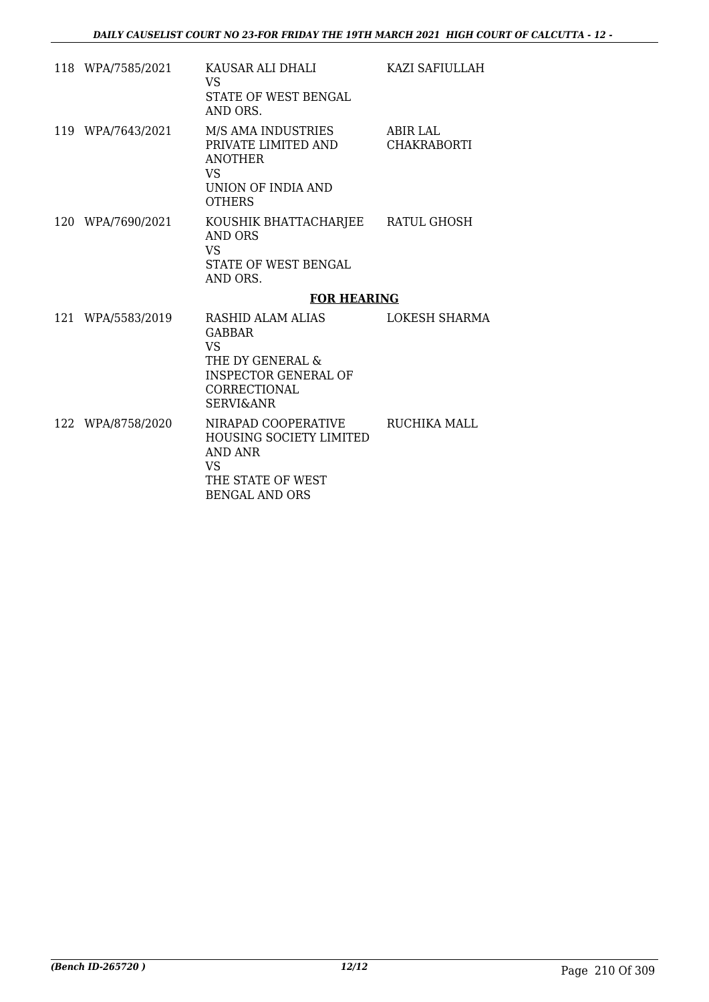| 118 WPA/7585/2021 | KAUSAR ALI DHALI<br>VS.<br>STATE OF WEST BENGAL<br>AND ORS.                                              | KAZI SAFIULLAH                 |
|-------------------|----------------------------------------------------------------------------------------------------------|--------------------------------|
| 119 WPA/7643/2021 | M/S AMA INDUSTRIES<br>PRIVATE LIMITED AND<br><b>ANOTHER</b><br>VS<br>UNION OF INDIA AND<br><b>OTHERS</b> | <b>ABIR LAL</b><br>CHAKRABORTI |
| 120 WPA/7690/2021 | KOUSHIK BHATTACHARJEE RATUL GHOSH<br>AND ORS<br>VS.<br>STATE OF WEST BENGAL<br>AND ORS.                  |                                |
|                   | <b>FOR HEARING</b>                                                                                       |                                |
| 121 WPA/5583/2019 | RASHID ALAM ALIAS<br><b>GABBAR</b>                                                                       | LOKESH SHARMA                  |
|                   | VS.<br>THE DY GENERAL &<br><b>INSPECTOR GENERAL OF</b><br>CORRECTIONAL<br><b>SERVI&amp;ANR</b>           |                                |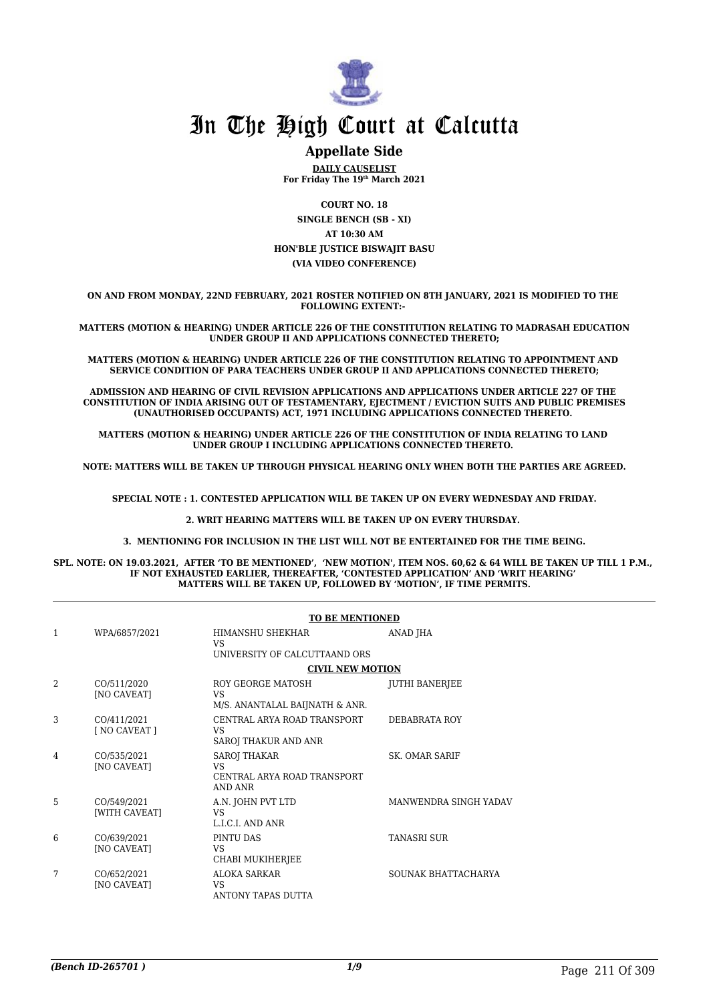

#### **Appellate Side**

**DAILY CAUSELIST For Friday The 19th March 2021**

**COURT NO. 18 SINGLE BENCH (SB - XI) AT 10:30 AM HON'BLE JUSTICE BISWAJIT BASU (VIA VIDEO CONFERENCE)**

**ON AND FROM MONDAY, 22ND FEBRUARY, 2021 ROSTER NOTIFIED ON 8TH JANUARY, 2021 IS MODIFIED TO THE FOLLOWING EXTENT:-** 

**MATTERS (MOTION & HEARING) UNDER ARTICLE 226 OF THE CONSTITUTION RELATING TO MADRASAH EDUCATION UNDER GROUP II AND APPLICATIONS CONNECTED THERETO;**

**MATTERS (MOTION & HEARING) UNDER ARTICLE 226 OF THE CONSTITUTION RELATING TO APPOINTMENT AND SERVICE CONDITION OF PARA TEACHERS UNDER GROUP II AND APPLICATIONS CONNECTED THERETO;**

**ADMISSION AND HEARING OF CIVIL REVISION APPLICATIONS AND APPLICATIONS UNDER ARTICLE 227 OF THE CONSTITUTION OF INDIA ARISING OUT OF TESTAMENTARY, EJECTMENT / EVICTION SUITS AND PUBLIC PREMISES (UNAUTHORISED OCCUPANTS) ACT, 1971 INCLUDING APPLICATIONS CONNECTED THERETO.** 

**MATTERS (MOTION & HEARING) UNDER ARTICLE 226 OF THE CONSTITUTION OF INDIA RELATING TO LAND UNDER GROUP I INCLUDING APPLICATIONS CONNECTED THERETO.** 

**NOTE: MATTERS WILL BE TAKEN UP THROUGH PHYSICAL HEARING ONLY WHEN BOTH THE PARTIES ARE AGREED.**

**SPECIAL NOTE : 1. CONTESTED APPLICATION WILL BE TAKEN UP ON EVERY WEDNESDAY AND FRIDAY.**

**2. WRIT HEARING MATTERS WILL BE TAKEN UP ON EVERY THURSDAY.** 

**3. MENTIONING FOR INCLUSION IN THE LIST WILL NOT BE ENTERTAINED FOR THE TIME BEING.**

**SPL. NOTE: ON 19.03.2021, AFTER 'TO BE MENTIONED', 'NEW MOTION', ITEM NOS. 60,62 & 64 WILL BE TAKEN UP TILL 1 P.M., IF NOT EXHAUSTED EARLIER, THEREAFTER, 'CONTESTED APPLICATION' AND 'WRIT HEARING' MATTERS WILL BE TAKEN UP, FOLLOWED BY 'MOTION', IF TIME PERMITS.**

|   |                                   | <b>TO BE MENTIONED</b>                                                            |                       |
|---|-----------------------------------|-----------------------------------------------------------------------------------|-----------------------|
| 1 | WPA/6857/2021                     | HIMANSHU SHEKHAR<br><b>VS</b><br>UNIVERSITY OF CALCUTTAAND ORS                    | ANAD JHA              |
|   |                                   | <b>CIVIL NEW MOTION</b>                                                           |                       |
| 2 | CO/511/2020<br>[NO CAVEAT]        | ROY GEORGE MATOSH<br>VS<br>M/S. ANANTALAL BAIJNATH & ANR.                         | JUTHI BANERJEE        |
| 3 | CO/411/2021<br>[ NO CAVEAT ]      | CENTRAL ARYA ROAD TRANSPORT<br>VS<br>SAROJ THAKUR AND ANR                         | DEBABRATA ROY         |
| 4 | CO/535/2021<br><b>[NO CAVEAT]</b> | <b>SAROJ THAKAR</b><br><b>VS</b><br>CENTRAL ARYA ROAD TRANSPORT<br><b>AND ANR</b> | <b>SK. OMAR SARIF</b> |
| 5 | CO/549/2021<br>[WITH CAVEAT]      | A.N. JOHN PVT LTD<br><b>VS</b><br>L.I.C.I. AND ANR                                | MANWENDRA SINGH YADAV |
| 6 | CO/639/2021<br><b>[NO CAVEAT]</b> | PINTU DAS<br><b>VS</b><br>CHABI MUKIHERJEE                                        | <b>TANASRI SUR</b>    |
| 7 | CO/652/2021<br><b>[NO CAVEAT]</b> | <b>ALOKA SARKAR</b><br>VS.<br>ANTONY TAPAS DUTTA                                  | SOUNAK BHATTACHARYA   |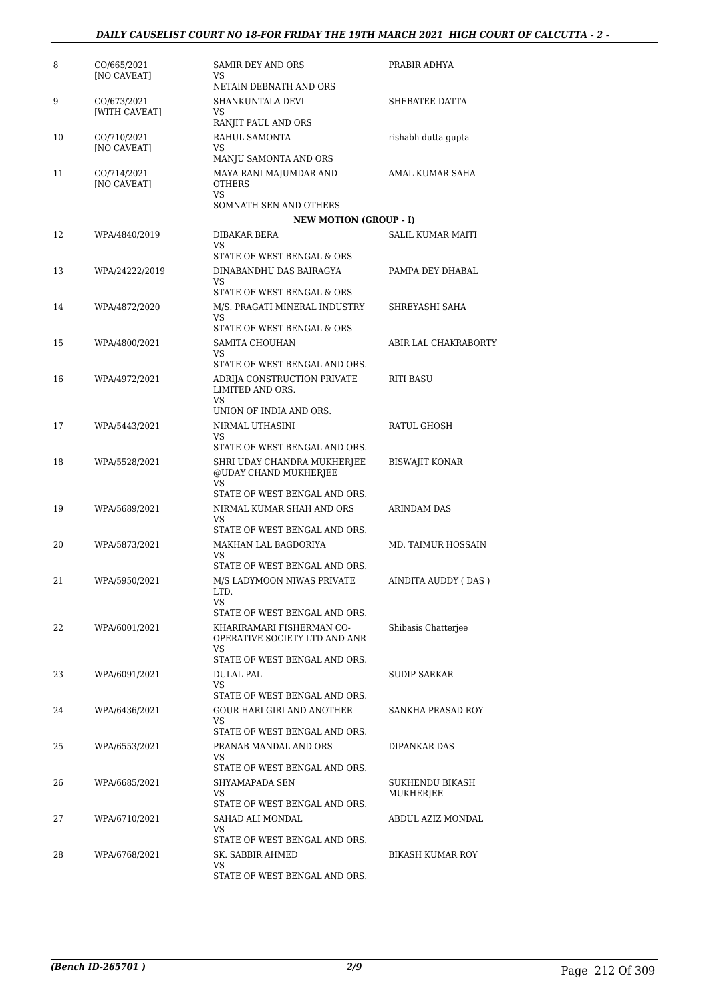| 8  | CO/665/2021<br>[NO CAVEAT]        | SAMIR DEY AND ORS<br>VS<br>NETAIN DEBNATH AND ORS                                                 | PRABIR ADHYA                 |
|----|-----------------------------------|---------------------------------------------------------------------------------------------------|------------------------------|
| 9  | CO/673/2021<br>[WITH CAVEAT]      | SHANKUNTALA DEVI<br>VS<br>RANJIT PAUL AND ORS                                                     | SHEBATEE DATTA               |
| 10 | CO/710/2021<br>[NO CAVEAT]        | RAHUL SAMONTA<br>VS<br>MANJU SAMONTA AND ORS                                                      | rishabh dutta gupta          |
| 11 | CO/714/2021<br><b>[NO CAVEAT]</b> | MAYA RANI MAJUMDAR AND<br><b>OTHERS</b><br><b>VS</b>                                              | AMAL KUMAR SAHA              |
|    |                                   | SOMNATH SEN AND OTHERS<br><b>NEW MOTION (GROUP - I)</b>                                           |                              |
| 12 | WPA/4840/2019                     | DIBAKAR BERA<br><b>VS</b>                                                                         | <b>SALIL KUMAR MAITI</b>     |
| 13 | WPA/24222/2019                    | STATE OF WEST BENGAL & ORS<br>DINABANDHU DAS BAIRAGYA<br>VS<br>STATE OF WEST BENGAL & ORS         | PAMPA DEY DHABAL             |
| 14 | WPA/4872/2020                     | M/S. PRAGATI MINERAL INDUSTRY<br><b>VS</b>                                                        | SHREYASHI SAHA               |
| 15 | WPA/4800/2021                     | STATE OF WEST BENGAL & ORS<br>SAMITA CHOUHAN<br><b>VS</b>                                         | ABIR LAL CHAKRABORTY         |
| 16 | WPA/4972/2021                     | STATE OF WEST BENGAL AND ORS.<br>ADRIJA CONSTRUCTION PRIVATE<br>LIMITED AND ORS.<br><b>VS</b>     | <b>RITI BASU</b>             |
| 17 | WPA/5443/2021                     | UNION OF INDIA AND ORS.<br>NIRMAL UTHASINI<br>VS<br>STATE OF WEST BENGAL AND ORS.                 | RATUL GHOSH                  |
| 18 | WPA/5528/2021                     | SHRI UDAY CHANDRA MUKHERJEE<br>@UDAY CHAND MUKHERJEE<br><b>VS</b>                                 | <b>BISWAJIT KONAR</b>        |
| 19 | WPA/5689/2021                     | STATE OF WEST BENGAL AND ORS.<br>NIRMAL KUMAR SHAH AND ORS<br>VS                                  | <b>ARINDAM DAS</b>           |
| 20 | WPA/5873/2021                     | STATE OF WEST BENGAL AND ORS.<br>MAKHAN LAL BAGDORIYA<br>VS<br>STATE OF WEST BENGAL AND ORS.      | <b>MD. TAIMUR HOSSAIN</b>    |
| 21 | WPA/5950/2021                     | M/S LADYMOON NIWAS PRIVATE<br>LTD.<br>VS                                                          | AINDITA AUDDY ( DAS )        |
| 22 | WPA/6001/2021                     | STATE OF WEST BENGAL AND ORS.<br>KHARIRAMARI FISHERMAN CO-<br>OPERATIVE SOCIETY LTD AND ANR<br>VS | Shibasis Chatterjee          |
| 23 | WPA/6091/2021                     | STATE OF WEST BENGAL AND ORS.<br>DULAL PAL<br>VS                                                  | <b>SUDIP SARKAR</b>          |
| 24 | WPA/6436/2021                     | STATE OF WEST BENGAL AND ORS.<br>GOUR HARI GIRI AND ANOTHER<br>VS                                 | SANKHA PRASAD ROY            |
| 25 | WPA/6553/2021                     | STATE OF WEST BENGAL AND ORS.<br>PRANAB MANDAL AND ORS<br>VS<br>STATE OF WEST BENGAL AND ORS.     | DIPANKAR DAS                 |
| 26 | WPA/6685/2021                     | SHYAMAPADA SEN<br><b>VS</b><br>STATE OF WEST BENGAL AND ORS.                                      | SUKHENDU BIKASH<br>MUKHERJEE |
| 27 | WPA/6710/2021                     | SAHAD ALI MONDAL<br>VS<br>STATE OF WEST BENGAL AND ORS.                                           | ABDUL AZIZ MONDAL            |
| 28 | WPA/6768/2021                     | SK. SABBIR AHMED<br>VS<br>STATE OF WEST BENGAL AND ORS.                                           | BIKASH KUMAR ROY             |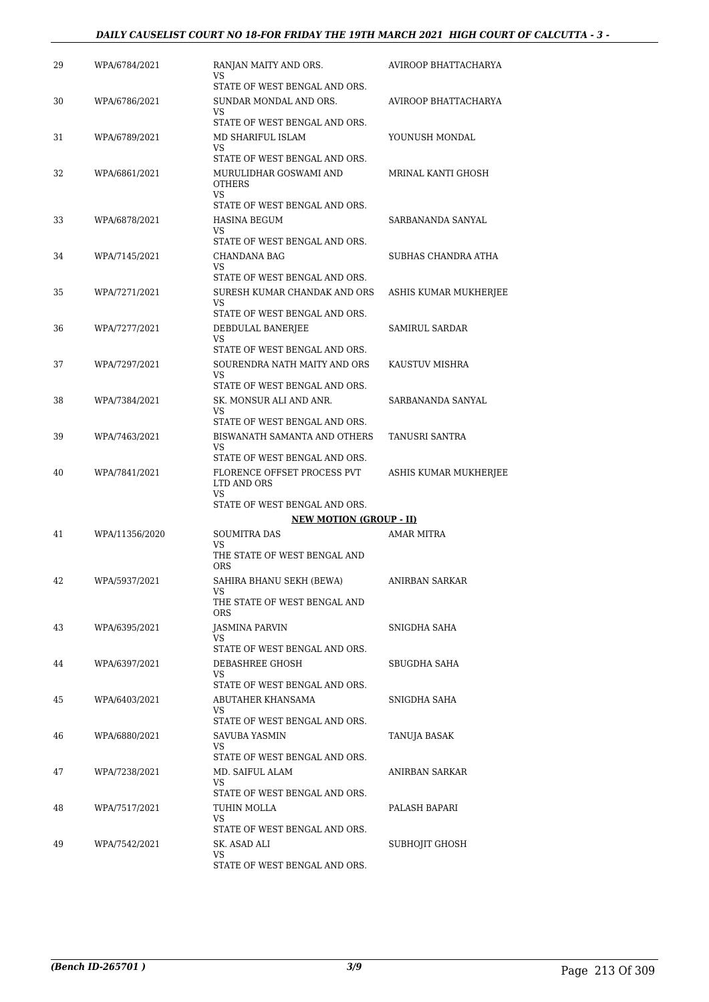#### *DAILY CAUSELIST COURT NO 18-FOR FRIDAY THE 19TH MARCH 2021 HIGH COURT OF CALCUTTA - 3 -*

| AVIROOP BHATTACHARYA<br>AVIROOP BHATTACHARYA<br>YOUNUSH MONDAL<br>MRINAL KANTI GHOSH<br>SARBANANDA SANYAL<br>SUBHAS CHANDRA ATHA<br>ASHIS KUMAR MUKHERJEE |
|-----------------------------------------------------------------------------------------------------------------------------------------------------------|
|                                                                                                                                                           |
|                                                                                                                                                           |
|                                                                                                                                                           |
|                                                                                                                                                           |
|                                                                                                                                                           |
|                                                                                                                                                           |
|                                                                                                                                                           |
| SAMIRUL SARDAR                                                                                                                                            |
| KAUSTUV MISHRA                                                                                                                                            |
| SARBANANDA SANYAL                                                                                                                                         |
| TANUSRI SANTRA                                                                                                                                            |
| ASHIS KUMAR MUKHERJEE                                                                                                                                     |
|                                                                                                                                                           |
|                                                                                                                                                           |
| <b>AMAR MITRA</b>                                                                                                                                         |
| ANIRBAN SARKAR                                                                                                                                            |
| SNIGDHA SAHA                                                                                                                                              |
| SBUGDHA SAHA                                                                                                                                              |
| SNIGDHA SAHA                                                                                                                                              |
| TANUJA BASAK                                                                                                                                              |
| ANIRBAN SARKAR                                                                                                                                            |
| PALASH BAPARI                                                                                                                                             |
| SUBHOJIT GHOSH                                                                                                                                            |
|                                                                                                                                                           |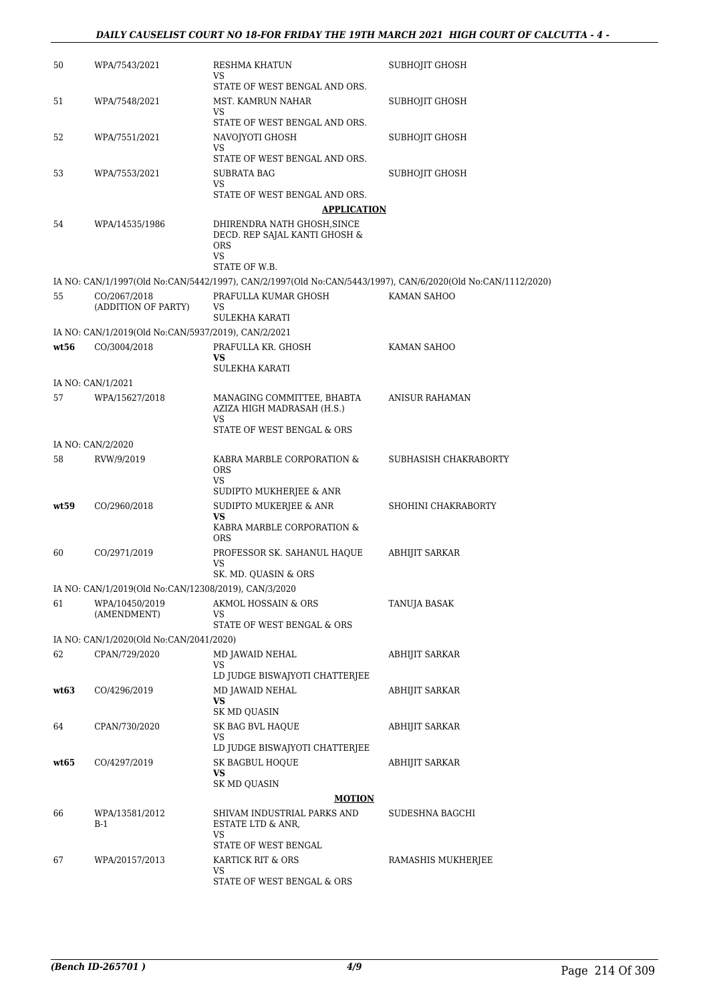| 50   | WPA/7543/2021                                        | RESHMA KHATUN<br>VS                                                                                         | <b>SUBHOJIT GHOSH</b> |
|------|------------------------------------------------------|-------------------------------------------------------------------------------------------------------------|-----------------------|
|      |                                                      | STATE OF WEST BENGAL AND ORS.                                                                               |                       |
| 51   | WPA/7548/2021                                        | MST. KAMRUN NAHAR<br>VS<br>STATE OF WEST BENGAL AND ORS.                                                    | SUBHOJIT GHOSH        |
| 52   | WPA/7551/2021                                        | NAVOJYOTI GHOSH                                                                                             | SUBHOJIT GHOSH        |
|      |                                                      | VS<br>STATE OF WEST BENGAL AND ORS.                                                                         |                       |
| 53   | WPA/7553/2021                                        | <b>SUBRATA BAG</b>                                                                                          | SUBHOJIT GHOSH        |
|      |                                                      | VS                                                                                                          |                       |
|      |                                                      | STATE OF WEST BENGAL AND ORS.                                                                               |                       |
|      |                                                      | <b>APPLICATION</b>                                                                                          |                       |
| 54   | WPA/14535/1986                                       | DHIRENDRA NATH GHOSH, SINCE<br>DECD. REP SAJAL KANTI GHOSH &<br><b>ORS</b><br><b>VS</b>                     |                       |
|      |                                                      | STATE OF W.B.                                                                                               |                       |
|      |                                                      | IA NO: CAN/1/1997(Old No:CAN/5442/1997), CAN/2/1997(Old No:CAN/5443/1997), CAN/6/2020(Old No:CAN/1112/2020) |                       |
| 55   | CO/2067/2018                                         | PRAFULLA KUMAR GHOSH                                                                                        | KAMAN SAHOO           |
|      | (ADDITION OF PARTY)                                  | VS<br>SULEKHA KARATI                                                                                        |                       |
|      | IA NO: CAN/1/2019(Old No:CAN/5937/2019), CAN/2/2021  |                                                                                                             |                       |
| wt56 | CO/3004/2018                                         | PRAFULLA KR. GHOSH                                                                                          | KAMAN SAHOO           |
|      |                                                      | <b>VS</b>                                                                                                   |                       |
|      |                                                      | <b>SULEKHA KARATI</b>                                                                                       |                       |
|      | IA NO: CAN/1/2021                                    |                                                                                                             |                       |
| 57   | WPA/15627/2018                                       | MANAGING COMMITTEE, BHABTA<br>AZIZA HIGH MADRASAH (H.S.)<br>VS                                              | ANISUR RAHAMAN        |
|      |                                                      | STATE OF WEST BENGAL & ORS                                                                                  |                       |
|      | IA NO: CAN/2/2020                                    |                                                                                                             |                       |
| 58   | RVW/9/2019                                           | KABRA MARBLE CORPORATION &<br><b>ORS</b><br><b>VS</b>                                                       | SUBHASISH CHAKRABORTY |
|      |                                                      | SUDIPTO MUKHERJEE & ANR                                                                                     |                       |
| wt59 | CO/2960/2018                                         | SUDIPTO MUKERJEE & ANR<br><b>VS</b>                                                                         | SHOHINI CHAKRABORTY   |
|      |                                                      | KABRA MARBLE CORPORATION &<br><b>ORS</b>                                                                    |                       |
| 60   | CO/2971/2019                                         | PROFESSOR SK. SAHANUL HAQUE                                                                                 | ABHIJIT SARKAR        |
|      |                                                      | VS<br>SK. MD. QUASIN & ORS                                                                                  |                       |
|      | IA NO: CAN/1/2019(Old No:CAN/12308/2019), CAN/3/2020 |                                                                                                             |                       |
| 61   | WPA/10450/2019                                       | AKMOL HOSSAIN & ORS                                                                                         | TANUJA BASAK          |
|      | (AMENDMENT)                                          | VS                                                                                                          |                       |
|      |                                                      | STATE OF WEST BENGAL & ORS                                                                                  |                       |
|      | IA NO: CAN/1/2020(Old No:CAN/2041/2020)              |                                                                                                             |                       |
| 62   | CPAN/729/2020                                        | MD JAWAID NEHAL<br>VS                                                                                       | <b>ABHIJIT SARKAR</b> |
|      |                                                      | LD JUDGE BISWAJYOTI CHATTERJEE                                                                              |                       |
| wt63 | CO/4296/2019                                         | MD JAWAID NEHAL                                                                                             | <b>ABHIJIT SARKAR</b> |
|      |                                                      | VS.<br>SK MD QUASIN                                                                                         |                       |
| 64   | CPAN/730/2020                                        | SK BAG BVL HAQUE                                                                                            | ABHIJIT SARKAR        |
|      |                                                      | VS<br>LD JUDGE BISWAJYOTI CHATTERJEE                                                                        |                       |
| wt65 | CO/4297/2019                                         | SK BAGBUL HOQUE                                                                                             | ABHIJIT SARKAR        |
|      |                                                      | <b>VS</b><br>SK MD QUASIN                                                                                   |                       |
|      |                                                      | <b>MOTION</b>                                                                                               |                       |
| 66   | WPA/13581/2012<br>B-1                                | SHIVAM INDUSTRIAL PARKS AND<br>ESTATE LTD & ANR,                                                            | SUDESHNA BAGCHI       |
|      |                                                      | VS<br>STATE OF WEST BENGAL                                                                                  |                       |
| 67   | WPA/20157/2013                                       | KARTICK RIT & ORS                                                                                           | RAMASHIS MUKHERJEE    |
|      |                                                      | VS.                                                                                                         |                       |
|      |                                                      | STATE OF WEST BENGAL & ORS                                                                                  |                       |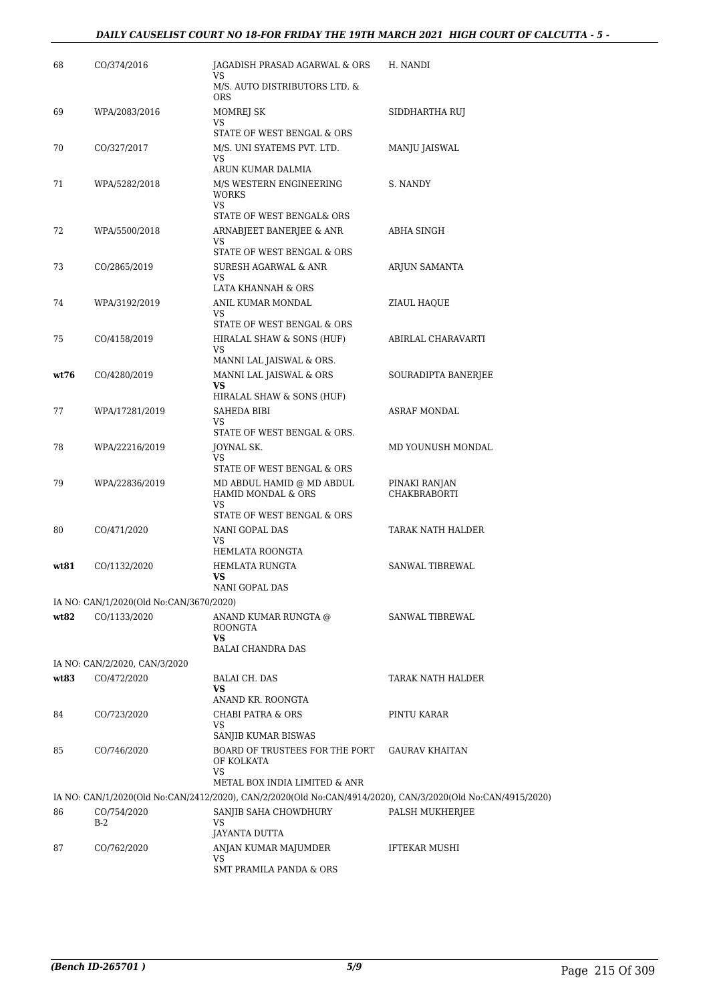#### *DAILY CAUSELIST COURT NO 18-FOR FRIDAY THE 19TH MARCH 2021 HIGH COURT OF CALCUTTA - 5 -*

| 68   | CO/374/2016                             | JAGADISH PRASAD AGARWAL & ORS<br>VS                                                                         | H. NANDI              |
|------|-----------------------------------------|-------------------------------------------------------------------------------------------------------------|-----------------------|
|      |                                         | M/S. AUTO DISTRIBUTORS LTD. &<br><b>ORS</b>                                                                 |                       |
| 69   | WPA/2083/2016                           | MOMREJ SK<br>VS.                                                                                            | SIDDHARTHA RUJ        |
| 70   | CO/327/2017                             | STATE OF WEST BENGAL & ORS<br>M/S. UNI SYATEMS PVT. LTD.                                                    | MANJU JAISWAL         |
|      |                                         | VS                                                                                                          |                       |
| 71   | WPA/5282/2018                           | ARUN KUMAR DALMIA<br>M/S WESTERN ENGINEERING                                                                | S. NANDY              |
|      |                                         | <b>WORKS</b><br>VS                                                                                          |                       |
|      |                                         | STATE OF WEST BENGAL& ORS                                                                                   |                       |
| 72   | WPA/5500/2018                           | ARNABJEET BANERJEE & ANR<br>VS                                                                              | ABHA SINGH            |
|      |                                         | STATE OF WEST BENGAL & ORS                                                                                  |                       |
| 73   | CO/2865/2019                            | SURESH AGARWAL & ANR<br><b>VS</b>                                                                           | ARJUN SAMANTA         |
|      |                                         | LATA KHANNAH & ORS                                                                                          |                       |
| 74   | WPA/3192/2019                           | ANIL KUMAR MONDAL<br><b>VS</b>                                                                              | ZIAUL HAQUE           |
|      |                                         | STATE OF WEST BENGAL & ORS                                                                                  |                       |
| 75   | CO/4158/2019                            | HIRALAL SHAW & SONS (HUF)                                                                                   | ABIRLAL CHARAVARTI    |
|      |                                         | <b>VS</b><br>MANNI LAL JAISWAL & ORS.                                                                       |                       |
| wt76 | CO/4280/2019                            | MANNI LAL JAISWAL & ORS                                                                                     | SOURADIPTA BANERJEE   |
|      |                                         | <b>VS</b><br>HIRALAL SHAW & SONS (HUF)                                                                      |                       |
| 77   | WPA/17281/2019                          | SAHEDA BIBI                                                                                                 | ASRAF MONDAL          |
|      |                                         | VS<br>STATE OF WEST BENGAL & ORS.                                                                           |                       |
| 78   | WPA/22216/2019                          | JOYNAL SK.                                                                                                  | MD YOUNUSH MONDAL     |
|      |                                         | <b>VS</b><br>STATE OF WEST BENGAL & ORS                                                                     |                       |
| 79   | WPA/22836/2019                          | MD ABDUL HAMID @ MD ABDUL                                                                                   | PINAKI RANJAN         |
|      |                                         | <b>HAMID MONDAL &amp; ORS</b><br>VS                                                                         | <b>CHAKBRABORTI</b>   |
|      |                                         | STATE OF WEST BENGAL & ORS                                                                                  |                       |
| 80   | CO/471/2020                             | NANI GOPAL DAS                                                                                              | TARAK NATH HALDER     |
|      |                                         | VS<br>HEMLATA ROONGTA                                                                                       |                       |
| wt81 | CO/1132/2020                            | HEMLATA RUNGTA                                                                                              | SANWAL TIBREWAL       |
|      |                                         | VS<br>NANI GOPAL DAS                                                                                        |                       |
|      | IA NO: CAN/1/2020(Old No:CAN/3670/2020) |                                                                                                             |                       |
| wt82 | CO/1133/2020                            | ANAND KUMAR RUNGTA @<br>ROONGTA                                                                             | SANWAL TIBREWAL       |
|      |                                         | VS.<br><b>BALAI CHANDRA DAS</b>                                                                             |                       |
|      | IA NO: CAN/2/2020, CAN/3/2020           |                                                                                                             |                       |
| wt83 | CO/472/2020                             | <b>BALAI CH. DAS</b>                                                                                        | TARAK NATH HALDER     |
|      |                                         | VS<br>ANAND KR. ROONGTA                                                                                     |                       |
| 84   | CO/723/2020                             | <b>CHABI PATRA &amp; ORS</b>                                                                                | PINTU KARAR           |
|      |                                         | VS<br>SANJIB KUMAR BISWAS                                                                                   |                       |
| 85   | CO/746/2020                             | BOARD OF TRUSTEES FOR THE PORT                                                                              | <b>GAURAV KHAITAN</b> |
|      |                                         | OF KOLKATA<br><b>VS</b>                                                                                     |                       |
|      |                                         | METAL BOX INDIA LIMITED & ANR                                                                               |                       |
|      |                                         | IA NO: CAN/1/2020(Old No:CAN/2412/2020), CAN/2/2020(Old No:CAN/4914/2020), CAN/3/2020(Old No:CAN/4915/2020) |                       |
| 86   | CO/754/2020<br>$B-2$                    | SANJIB SAHA CHOWDHURY<br>VS                                                                                 | PALSH MUKHERJEE       |
|      |                                         | <b>JAYANTA DUTTA</b>                                                                                        |                       |
| 87   | CO/762/2020                             | ANJAN KUMAR MAJUMDER<br>VS                                                                                  | <b>IFTEKAR MUSHI</b>  |
|      |                                         | SMT PRAMILA PANDA & ORS                                                                                     |                       |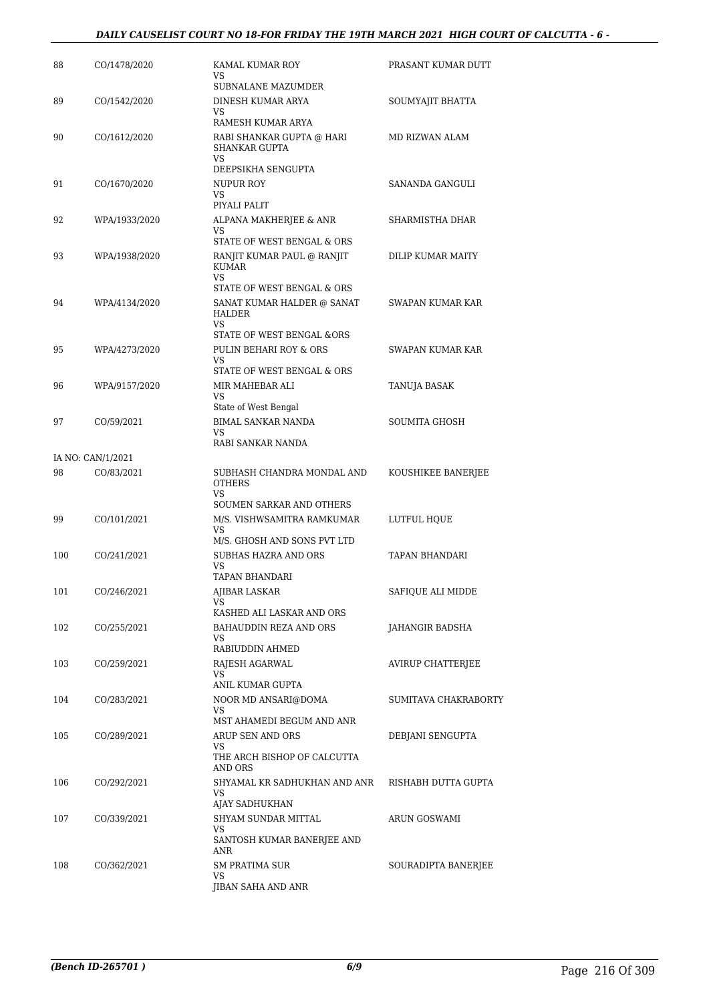| 88  | CO/1478/2020      | KAMAL KUMAR ROY<br><b>VS</b>                        | PRASANT KUMAR DUTT       |
|-----|-------------------|-----------------------------------------------------|--------------------------|
| 89  | CO/1542/2020      | SUBNALANE MAZUMDER<br>DINESH KUMAR ARYA             | SOUMYAJIT BHATTA         |
|     |                   | VS.<br>RAMESH KUMAR ARYA                            |                          |
| 90  | CO/1612/2020      | RABI SHANKAR GUPTA @ HARI<br><b>SHANKAR GUPTA</b>   | MD RIZWAN ALAM           |
|     |                   | VS.<br>DEEPSIKHA SENGUPTA                           |                          |
| 91  | CO/1670/2020      | NUPUR ROY                                           | SANANDA GANGULI          |
|     |                   | VS.                                                 |                          |
|     |                   | PIYALI PALIT                                        |                          |
| 92  | WPA/1933/2020     | ALPANA MAKHERJEE & ANR<br>VS                        | SHARMISTHA DHAR          |
|     |                   | STATE OF WEST BENGAL & ORS                          |                          |
| 93  | WPA/1938/2020     | RANJIT KUMAR PAUL @ RANJIT<br>KUMAR<br>VS.          | DILIP KUMAR MAITY        |
|     |                   | STATE OF WEST BENGAL & ORS                          |                          |
| 94  | WPA/4134/2020     | SANAT KUMAR HALDER @ SANAT<br><b>HALDER</b><br>VS.  | SWAPAN KUMAR KAR         |
|     |                   | STATE OF WEST BENGAL &ORS                           |                          |
| 95  | WPA/4273/2020     | PULIN BEHARI ROY & ORS<br>VS.                       | SWAPAN KUMAR KAR         |
|     |                   | STATE OF WEST BENGAL & ORS                          |                          |
| 96  | WPA/9157/2020     | MIR MAHEBAR ALI                                     | TANUJA BASAK             |
|     |                   | VS<br>State of West Bengal                          |                          |
| 97  | CO/59/2021        | <b>BIMAL SANKAR NANDA</b>                           | SOUMITA GHOSH            |
|     |                   | <b>VS</b><br>RABI SANKAR NANDA                      |                          |
|     | IA NO: CAN/1/2021 |                                                     |                          |
| 98  | CO/83/2021        | SUBHASH CHANDRA MONDAL AND                          | KOUSHIKEE BANERJEE       |
|     |                   | <b>OTHERS</b><br>VS.                                |                          |
|     |                   | SOUMEN SARKAR AND OTHERS                            |                          |
| 99  | CO/101/2021       | M/S. VISHWSAMITRA RAMKUMAR<br>VS.                   | LUTFUL HQUE              |
|     |                   | M/S. GHOSH AND SONS PVT LTD                         |                          |
| 100 | CO/241/2021       | SUBHAS HAZRA AND ORS<br>VS<br>TAPAN BHANDARI        | TAPAN BHANDARI           |
| 101 | CO/246/2021       | <b>AJIBAR LASKAR</b>                                | SAFIQUE ALI MIDDE        |
|     |                   | VS.                                                 |                          |
| 102 | CO/255/2021       | KASHED ALI LASKAR AND ORS<br>BAHAUDDIN REZA AND ORS | JAHANGIR BADSHA          |
|     |                   | VS                                                  |                          |
|     |                   | RABIUDDIN AHMED                                     |                          |
| 103 | CO/259/2021       | RAJESH AGARWAL<br>VS.                               | <b>AVIRUP CHATTERJEE</b> |
|     |                   | ANIL KUMAR GUPTA                                    |                          |
| 104 | CO/283/2021       | NOOR MD ANSARI@DOMA<br>VS                           | SUMITAVA CHAKRABORTY     |
|     |                   | MST AHAMEDI BEGUM AND ANR                           |                          |
| 105 | CO/289/2021       | ARUP SEN AND ORS                                    | DEBJANI SENGUPTA         |
|     |                   | VS<br>THE ARCH BISHOP OF CALCUTTA<br>AND ORS        |                          |
| 106 | CO/292/2021       | SHYAMAL KR SADHUKHAN AND ANR                        | RISHABH DUTTA GUPTA      |
|     |                   | <b>VS</b><br>AJAY SADHUKHAN                         |                          |
| 107 | CO/339/2021       | SHYAM SUNDAR MITTAL                                 | ARUN GOSWAMI             |
|     |                   | VS.                                                 |                          |
|     |                   | SANTOSH KUMAR BANERJEE AND<br>ANR                   |                          |
| 108 | CO/362/2021       | <b>SM PRATIMA SUR</b>                               | SOURADIPTA BANERJEE      |
|     |                   | VS<br>JIBAN SAHA AND ANR                            |                          |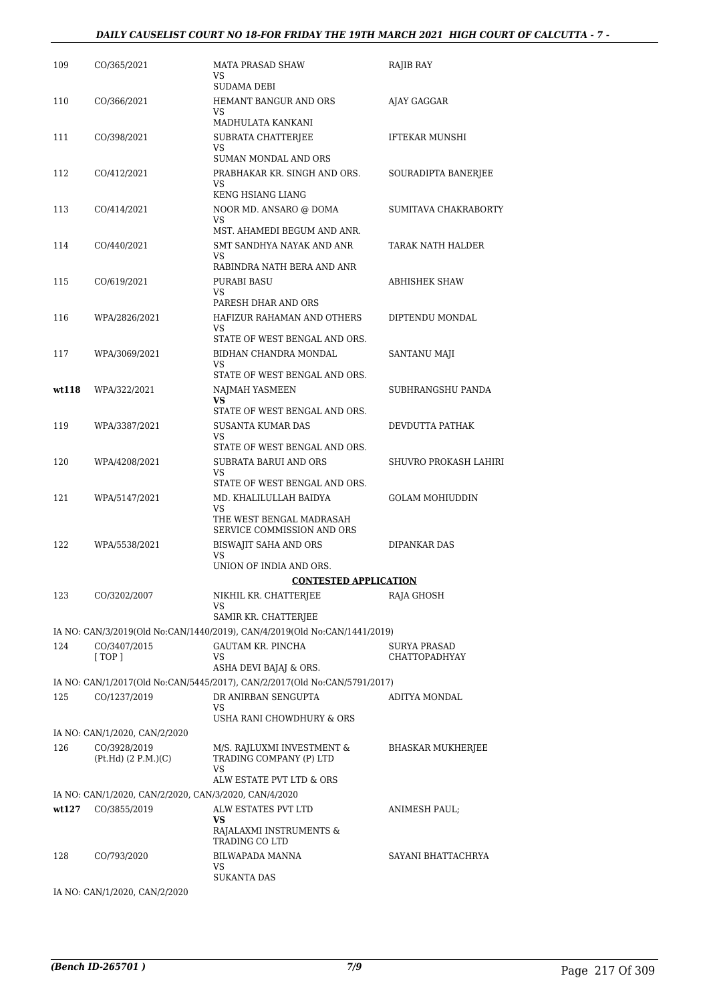#### *DAILY CAUSELIST COURT NO 18-FOR FRIDAY THE 19TH MARCH 2021 HIGH COURT OF CALCUTTA - 7 -*

| 109   | CO/365/2021                                                           | <b>MATA PRASAD SHAW</b><br>VS.<br>SUDAMA DEBI                                   | RAJIB RAY                            |
|-------|-----------------------------------------------------------------------|---------------------------------------------------------------------------------|--------------------------------------|
| 110   | CO/366/2021                                                           | HEMANT BANGUR AND ORS<br>VS.                                                    | AJAY GAGGAR                          |
| 111   | CO/398/2021                                                           | MADHULATA KANKANI<br>SUBRATA CHATTERJEE<br>VS                                   | <b>IFTEKAR MUNSHI</b>                |
| 112   | CO/412/2021                                                           | SUMAN MONDAL AND ORS<br>PRABHAKAR KR. SINGH AND ORS.<br>VS                      | SOURADIPTA BANERJEE                  |
| 113   | CO/414/2021                                                           | KENG HSIANG LIANG<br>NOOR MD. ANSARO @ DOMA<br><b>VS</b>                        | SUMITAVA CHAKRABORTY                 |
| 114   | CO/440/2021                                                           | MST. AHAMEDI BEGUM AND ANR.<br>SMT SANDHYA NAYAK AND ANR                        | TARAK NATH HALDER                    |
| 115   | CO/619/2021                                                           | VS.<br>RABINDRA NATH BERA AND ANR<br>PURABI BASU                                | ABHISHEK SHAW                        |
| 116   | WPA/2826/2021                                                         | VS<br>PARESH DHAR AND ORS<br>HAFIZUR RAHAMAN AND OTHERS                         | DIPTENDU MONDAL                      |
|       |                                                                       | VS<br>STATE OF WEST BENGAL AND ORS.                                             |                                      |
| 117   | WPA/3069/2021                                                         | BIDHAN CHANDRA MONDAL<br>VS<br>STATE OF WEST BENGAL AND ORS.                    | SANTANU MAJI                         |
| wt118 | WPA/322/2021                                                          | NAJMAH YASMEEN<br><b>VS</b>                                                     | SUBHRANGSHU PANDA                    |
| 119   | WPA/3387/2021                                                         | STATE OF WEST BENGAL AND ORS.<br>SUSANTA KUMAR DAS<br>VS.                       | DEVDUTTA PATHAK                      |
| 120   | WPA/4208/2021                                                         | STATE OF WEST BENGAL AND ORS.<br>SUBRATA BARUI AND ORS<br>VS.                   | SHUVRO PROKASH LAHIRI                |
| 121   | WPA/5147/2021                                                         | STATE OF WEST BENGAL AND ORS.<br>MD. KHALILULLAH BAIDYA<br>VS                   | GOLAM MOHIUDDIN                      |
| 122   | WPA/5538/2021                                                         | THE WEST BENGAL MADRASAH<br>SERVICE COMMISSION AND ORS<br>BISWAJIT SAHA AND ORS | DIPANKAR DAS                         |
|       |                                                                       | <b>VS</b><br>UNION OF INDIA AND ORS.                                            |                                      |
|       |                                                                       | <b>CONTESTED APPLICATION</b>                                                    |                                      |
| 123   | CO/3202/2007                                                          | NIKHIL KR. CHATTERJEE<br>VS<br>SAMIR KR. CHATTERJEE                             | RAJA GHOSH                           |
|       |                                                                       | IA NO: CAN/3/2019(Old No:CAN/1440/2019), CAN/4/2019(Old No:CAN/1441/2019)       |                                      |
|       |                                                                       |                                                                                 |                                      |
| 124   | CO/3407/2015<br>[TOP]                                                 | GAUTAM KR. PINCHA<br>VS                                                         | SURYA PRASAD<br><b>CHATTOPADHYAY</b> |
|       |                                                                       | ASHA DEVI BAJAJ & ORS.                                                          |                                      |
|       |                                                                       | IA NO: CAN/1/2017(Old No:CAN/5445/2017), CAN/2/2017(Old No:CAN/5791/2017)       |                                      |
| 125   | CO/1237/2019                                                          | DR ANIRBAN SENGUPTA<br><b>VS</b><br>USHA RANI CHOWDHURY & ORS                   | ADITYA MONDAL                        |
|       | IA NO: CAN/1/2020, CAN/2/2020                                         |                                                                                 |                                      |
| 126   | CO/3928/2019                                                          | M/S. RAJLUXMI INVESTMENT &                                                      | BHASKAR MUKHERJEE                    |
|       | (Pt.Hd) (2 P.M.)(C)                                                   | TRADING COMPANY (P) LTD<br>VS<br>ALW ESTATE PVT LTD & ORS                       |                                      |
|       |                                                                       |                                                                                 |                                      |
| wt127 | IA NO: CAN/1/2020, CAN/2/2020, CAN/3/2020, CAN/4/2020<br>CO/3855/2019 | ALW ESTATES PVT LTD                                                             | ANIMESH PAUL;                        |
|       |                                                                       | <b>VS</b><br>RAJALAXMI INSTRUMENTS &<br>TRADING CO LTD                          |                                      |
| 128   | CO/793/2020                                                           | BILWAPADA MANNA<br>VS<br><b>SUKANTA DAS</b>                                     | SAYANI BHATTACHRYA                   |
|       |                                                                       |                                                                                 |                                      |

IA NO: CAN/1/2020, CAN/2/2020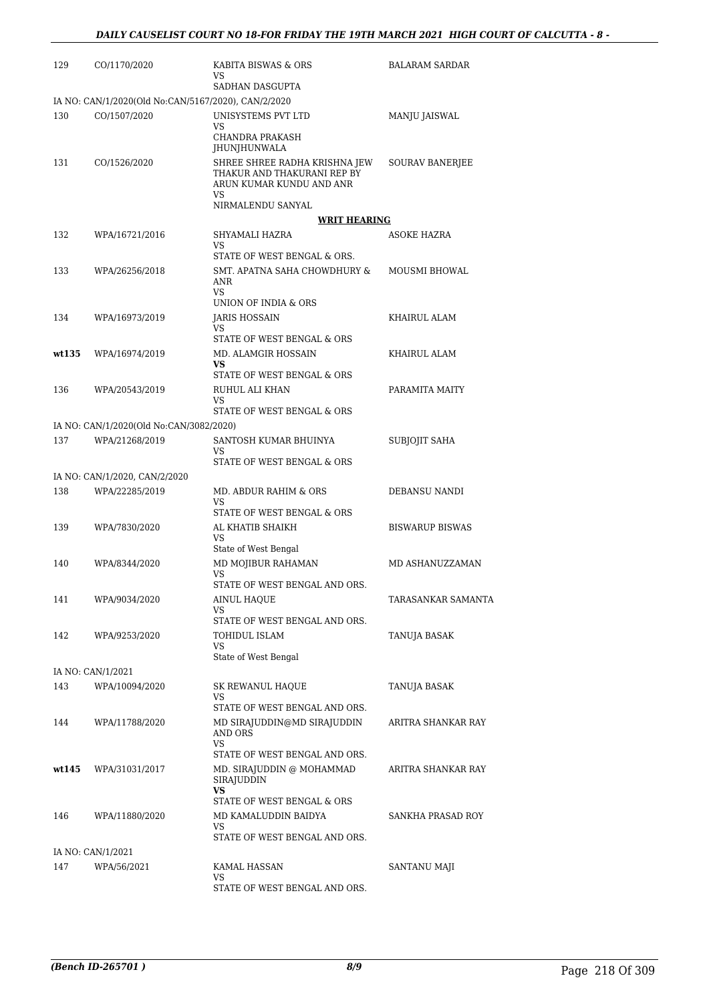| 129   | CO/1170/2020                                        | KABITA BISWAS & ORS<br>VS                                                                | <b>BALARAM SARDAR</b>  |
|-------|-----------------------------------------------------|------------------------------------------------------------------------------------------|------------------------|
|       |                                                     | SADHAN DASGUPTA                                                                          |                        |
|       | IA NO: CAN/1/2020(Old No:CAN/5167/2020), CAN/2/2020 |                                                                                          |                        |
| 130   | CO/1507/2020                                        | UNISYSTEMS PVT LTD<br><b>VS</b>                                                          | MANJU JAISWAL          |
|       |                                                     | CHANDRA PRAKASH<br>JHUNJHUNWALA                                                          |                        |
| 131   | CO/1526/2020                                        | SHREE SHREE RADHA KRISHNA JEW<br>THAKUR AND THAKURANI REP BY<br>ARUN KUMAR KUNDU AND ANR | <b>SOURAV BANERJEE</b> |
|       |                                                     | <b>VS</b><br>NIRMALENDU SANYAL                                                           |                        |
|       |                                                     | <b>WRIT HEARING</b>                                                                      |                        |
| 132   | WPA/16721/2016                                      | SHYAMALI HAZRA                                                                           | ASOKE HAZRA            |
|       |                                                     | <b>VS</b><br>STATE OF WEST BENGAL & ORS.                                                 |                        |
| 133   | WPA/26256/2018                                      | SMT. APATNA SAHA CHOWDHURY &<br>ANR<br><b>VS</b>                                         | <b>MOUSMI BHOWAL</b>   |
|       |                                                     | UNION OF INDIA & ORS                                                                     |                        |
| 134   | WPA/16973/2019                                      | <b>JARIS HOSSAIN</b><br><b>VS</b>                                                        | KHAIRUL ALAM           |
|       |                                                     | STATE OF WEST BENGAL & ORS                                                               |                        |
| wt135 | WPA/16974/2019                                      | MD. ALAMGIR HOSSAIN                                                                      | KHAIRUL ALAM           |
|       |                                                     | <b>VS</b><br>STATE OF WEST BENGAL & ORS                                                  |                        |
| 136   | WPA/20543/2019                                      | RUHUL ALI KHAN                                                                           | PARAMITA MAITY         |
|       |                                                     | VS                                                                                       |                        |
|       |                                                     | STATE OF WEST BENGAL & ORS                                                               |                        |
|       | IA NO: CAN/1/2020(Old No:CAN/3082/2020)             |                                                                                          |                        |
| 137   | WPA/21268/2019                                      | SANTOSH KUMAR BHUINYA<br>VS                                                              | SUBJOJIT SAHA          |
|       |                                                     | STATE OF WEST BENGAL & ORS                                                               |                        |
|       | IA NO: CAN/1/2020, CAN/2/2020                       |                                                                                          |                        |
| 138   | WPA/22285/2019                                      | MD. ABDUR RAHIM & ORS<br><b>VS</b>                                                       | DEBANSU NANDI          |
| 139   | WPA/7830/2020                                       | STATE OF WEST BENGAL & ORS<br>AL KHATIB SHAIKH                                           | <b>BISWARUP BISWAS</b> |
|       |                                                     | VS                                                                                       |                        |
|       |                                                     | State of West Bengal                                                                     |                        |
| 140   | WPA/8344/2020                                       | MD MOJIBUR RAHAMAN<br>VS                                                                 | MD ASHANUZZAMAN        |
|       |                                                     | STATE OF WEST BENGAL AND ORS.                                                            |                        |
| 141   | WPA/9034/2020                                       | <b>AINUL HAQUE</b>                                                                       | TARASANKAR SAMANTA     |
|       |                                                     | VS<br>STATE OF WEST BENGAL AND ORS.                                                      |                        |
| 142   | WPA/9253/2020                                       | TOHIDUL ISLAM                                                                            | TANUJA BASAK           |
|       |                                                     | VS                                                                                       |                        |
|       |                                                     | State of West Bengal                                                                     |                        |
|       | IA NO: CAN/1/2021                                   |                                                                                          |                        |
| 143   | WPA/10094/2020                                      | SK REWANUL HAQUE<br><b>VS</b>                                                            | TANUJA BASAK           |
|       |                                                     | STATE OF WEST BENGAL AND ORS.                                                            |                        |
| 144   | WPA/11788/2020                                      | MD SIRAJUDDIN@MD SIRAJUDDIN<br>AND ORS<br><b>VS</b>                                      | ARITRA SHANKAR RAY     |
|       |                                                     | STATE OF WEST BENGAL AND ORS.                                                            |                        |
| wt145 | WPA/31031/2017                                      | MD. SIRAJUDDIN @ MOHAMMAD<br>SIRAJUDDIN<br><b>VS</b>                                     | ARITRA SHANKAR RAY     |
|       |                                                     | STATE OF WEST BENGAL & ORS                                                               |                        |
| 146   | WPA/11880/2020                                      | MD KAMALUDDIN BAIDYA                                                                     | SANKHA PRASAD ROY      |
|       |                                                     | VS<br>STATE OF WEST BENGAL AND ORS.                                                      |                        |
|       | IA NO: CAN/1/2021                                   |                                                                                          |                        |
| 147   | WPA/56/2021                                         | KAMAL HASSAN                                                                             | SANTANU MAJI           |
|       |                                                     | VS                                                                                       |                        |
|       |                                                     | STATE OF WEST BENGAL AND ORS.                                                            |                        |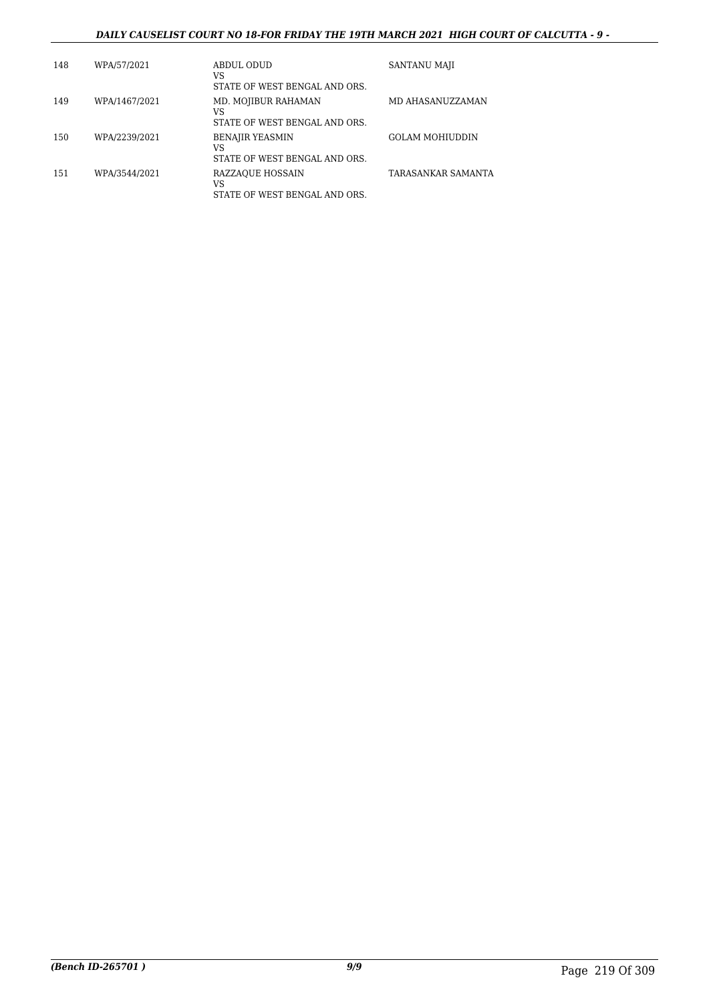### *DAILY CAUSELIST COURT NO 18-FOR FRIDAY THE 19TH MARCH 2021 HIGH COURT OF CALCUTTA - 9 -*

| 148 | WPA/57/2021   | ABDUL ODUD<br>VS<br>STATE OF WEST BENGAL AND ORS.             | SANTANU MAJI           |
|-----|---------------|---------------------------------------------------------------|------------------------|
| 149 | WPA/1467/2021 | MD. MOJIBUR RAHAMAN<br>VS<br>STATE OF WEST BENGAL AND ORS.    | MD AHASANUZZAMAN       |
| 150 | WPA/2239/2021 | <b>BENAJIR YEASMIN</b><br>VS<br>STATE OF WEST BENGAL AND ORS. | <b>GOLAM MOHIUDDIN</b> |
| 151 | WPA/3544/2021 | RAZZAQUE HOSSAIN<br>VS<br>STATE OF WEST BENGAL AND ORS.       | TARASANKAR SAMANTA     |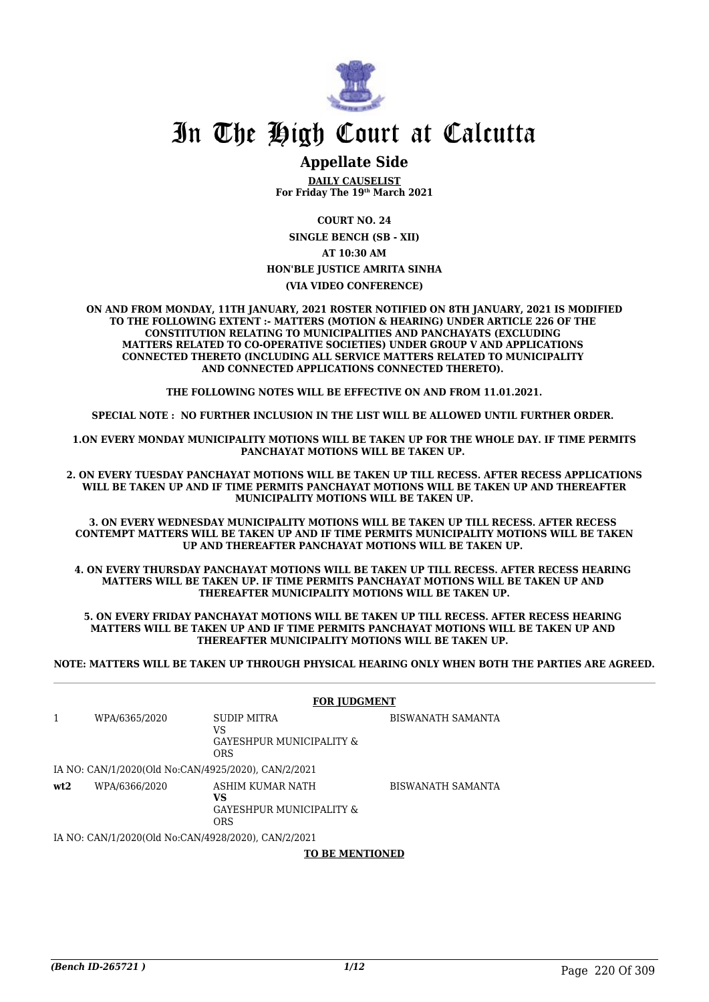

## In The High Court at Calcutta

### **Appellate Side**

**DAILY CAUSELIST For Friday The 19th March 2021**

**COURT NO. 24**

**SINGLE BENCH (SB - XII) AT 10:30 AM HON'BLE JUSTICE AMRITA SINHA (VIA VIDEO CONFERENCE)**

**ON AND FROM MONDAY, 11TH JANUARY, 2021 ROSTER NOTIFIED ON 8TH JANUARY, 2021 IS MODIFIED TO THE FOLLOWING EXTENT :- MATTERS (MOTION & HEARING) UNDER ARTICLE 226 OF THE CONSTITUTION RELATING TO MUNICIPALITIES AND PANCHAYATS (EXCLUDING MATTERS RELATED TO CO-OPERATIVE SOCIETIES) UNDER GROUP V AND APPLICATIONS CONNECTED THERETO (INCLUDING ALL SERVICE MATTERS RELATED TO MUNICIPALITY AND CONNECTED APPLICATIONS CONNECTED THERETO).** 

**THE FOLLOWING NOTES WILL BE EFFECTIVE ON AND FROM 11.01.2021.**

**SPECIAL NOTE : NO FURTHER INCLUSION IN THE LIST WILL BE ALLOWED UNTIL FURTHER ORDER.** 

**1.ON EVERY MONDAY MUNICIPALITY MOTIONS WILL BE TAKEN UP FOR THE WHOLE DAY. IF TIME PERMITS PANCHAYAT MOTIONS WILL BE TAKEN UP.** 

**2. ON EVERY TUESDAY PANCHAYAT MOTIONS WILL BE TAKEN UP TILL RECESS. AFTER RECESS APPLICATIONS WILL BE TAKEN UP AND IF TIME PERMITS PANCHAYAT MOTIONS WILL BE TAKEN UP AND THEREAFTER MUNICIPALITY MOTIONS WILL BE TAKEN UP.**

**3. ON EVERY WEDNESDAY MUNICIPALITY MOTIONS WILL BE TAKEN UP TILL RECESS. AFTER RECESS CONTEMPT MATTERS WILL BE TAKEN UP AND IF TIME PERMITS MUNICIPALITY MOTIONS WILL BE TAKEN UP AND THEREAFTER PANCHAYAT MOTIONS WILL BE TAKEN UP.** 

**4. ON EVERY THURSDAY PANCHAYAT MOTIONS WILL BE TAKEN UP TILL RECESS. AFTER RECESS HEARING MATTERS WILL BE TAKEN UP. IF TIME PERMITS PANCHAYAT MOTIONS WILL BE TAKEN UP AND THEREAFTER MUNICIPALITY MOTIONS WILL BE TAKEN UP.**

**5. ON EVERY FRIDAY PANCHAYAT MOTIONS WILL BE TAKEN UP TILL RECESS. AFTER RECESS HEARING MATTERS WILL BE TAKEN UP AND IF TIME PERMITS PANCHAYAT MOTIONS WILL BE TAKEN UP AND THEREAFTER MUNICIPALITY MOTIONS WILL BE TAKEN UP.** 

**NOTE: MATTERS WILL BE TAKEN UP THROUGH PHYSICAL HEARING ONLY WHEN BOTH THE PARTIES ARE AGREED.**

|     |               | <b>FOR JUDGMENT</b>                                              |                   |  |
|-----|---------------|------------------------------------------------------------------|-------------------|--|
|     | WPA/6365/2020 | SUDIP MITRA<br>VS<br>GAYESHPUR MUNICIPALITY &<br><b>ORS</b>      | BISWANATH SAMANTA |  |
|     |               | IA NO: CAN/1/2020(Old No:CAN/4925/2020), CAN/2/2021              |                   |  |
| wt2 | WPA/6366/2020 | ASHIM KUMAR NATH<br>VS<br>GAYESHPUR MUNICIPALITY &<br><b>ORS</b> | BISWANATH SAMANTA |  |
|     |               | IA NO: CANI1/2020(Old No:CANI4028/2020). CANI2/2021              |                   |  |

IA NO: CAN/1/2020(Old No:CAN/4928/2020), CAN/2/2021

**TO BE MENTIONED**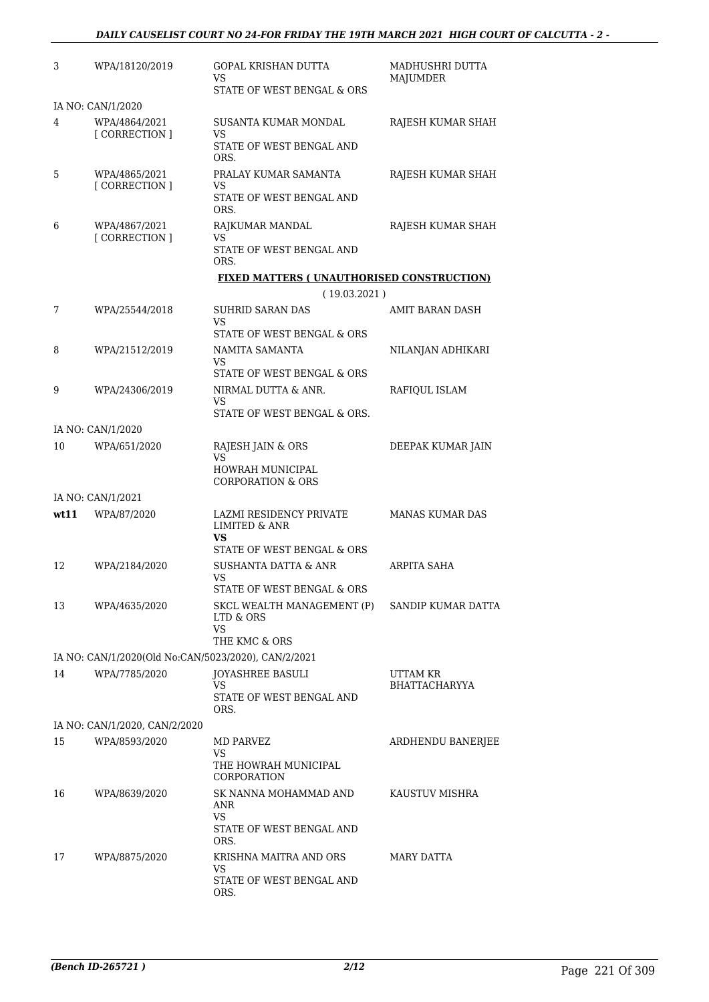| 3    | WPA/18120/2019                                      | <b>GOPAL KRISHAN DUTTA</b><br>VS<br>STATE OF WEST BENGAL & ORS                        | MADHUSHRI DUTTA<br><b>MAJUMDER</b> |
|------|-----------------------------------------------------|---------------------------------------------------------------------------------------|------------------------------------|
|      | IA NO: CAN/1/2020                                   |                                                                                       |                                    |
| 4    | WPA/4864/2021<br>[CORRECTION]                       | SUSANTA KUMAR MONDAL<br>VS<br>STATE OF WEST BENGAL AND                                | RAJESH KUMAR SHAH                  |
| 5    | WPA/4865/2021<br>[CORRECTION]                       | ORS.<br>PRALAY KUMAR SAMANTA<br>VS<br>STATE OF WEST BENGAL AND                        | RAJESH KUMAR SHAH                  |
| 6    | WPA/4867/2021<br>[ CORRECTION ]                     | ORS.<br>RAJKUMAR MANDAL<br>VS<br>STATE OF WEST BENGAL AND<br>ORS.                     | RAJESH KUMAR SHAH                  |
|      |                                                     | <b>FIXED MATTERS ( UNAUTHORISED CONSTRUCTION)</b><br>(19.03.2021)                     |                                    |
| 7    | WPA/25544/2018                                      | SUHRID SARAN DAS<br>VS                                                                | AMIT BARAN DASH                    |
| 8    | WPA/21512/2019                                      | STATE OF WEST BENGAL & ORS<br>NAMITA SAMANTA<br>VS                                    | NILANJAN ADHIKARI                  |
| 9    | WPA/24306/2019                                      | STATE OF WEST BENGAL & ORS<br>NIRMAL DUTTA & ANR.<br>VS                               | RAFIQUL ISLAM                      |
|      |                                                     | STATE OF WEST BENGAL & ORS.                                                           |                                    |
| 10   | IA NO: CAN/1/2020<br>WPA/651/2020                   | RAJESH JAIN & ORS                                                                     | DEEPAK KUMAR JAIN                  |
|      |                                                     | <b>VS</b><br><b>HOWRAH MUNICIPAL</b><br><b>CORPORATION &amp; ORS</b>                  |                                    |
|      | IA NO: CAN/1/2021                                   |                                                                                       |                                    |
| wt11 | WPA/87/2020                                         | LAZMI RESIDENCY PRIVATE<br><b>LIMITED &amp; ANR</b><br>VS                             | <b>MANAS KUMAR DAS</b>             |
| 12   | WPA/2184/2020                                       | STATE OF WEST BENGAL & ORS<br><b>SUSHANTA DATTA &amp; ANR</b><br>VS                   | ARPITA SAHA                        |
| 13   | WPA/4635/2020                                       | STATE OF WEST BENGAL & ORS<br>SKCL WEALTH MANAGEMENT (P)<br>LTD & ORS<br><b>VS</b>    | SANDIP KUMAR DATTA                 |
|      |                                                     | THE KMC & ORS                                                                         |                                    |
|      | IA NO: CAN/1/2020(Old No:CAN/5023/2020), CAN/2/2021 |                                                                                       |                                    |
| 14   | WPA/7785/2020                                       | <b>JOYASHREE BASULI</b><br>VS<br>STATE OF WEST BENGAL AND<br>ORS.                     | UTTAM KR<br><b>BHATTACHARYYA</b>   |
|      | IA NO: CAN/1/2020, CAN/2/2020                       |                                                                                       |                                    |
| 15   | WPA/8593/2020                                       | MD PARVEZ<br>VS.<br>THE HOWRAH MUNICIPAL                                              | ARDHENDU BANERJEE                  |
| 16   | WPA/8639/2020                                       | CORPORATION<br>SK NANNA MOHAMMAD AND<br>ANR<br>VS<br>STATE OF WEST BENGAL AND<br>ORS. | KAUSTUV MISHRA                     |
| 17   | WPA/8875/2020                                       | KRISHNA MAITRA AND ORS<br>VS<br>STATE OF WEST BENGAL AND<br>ORS.                      | MARY DATTA                         |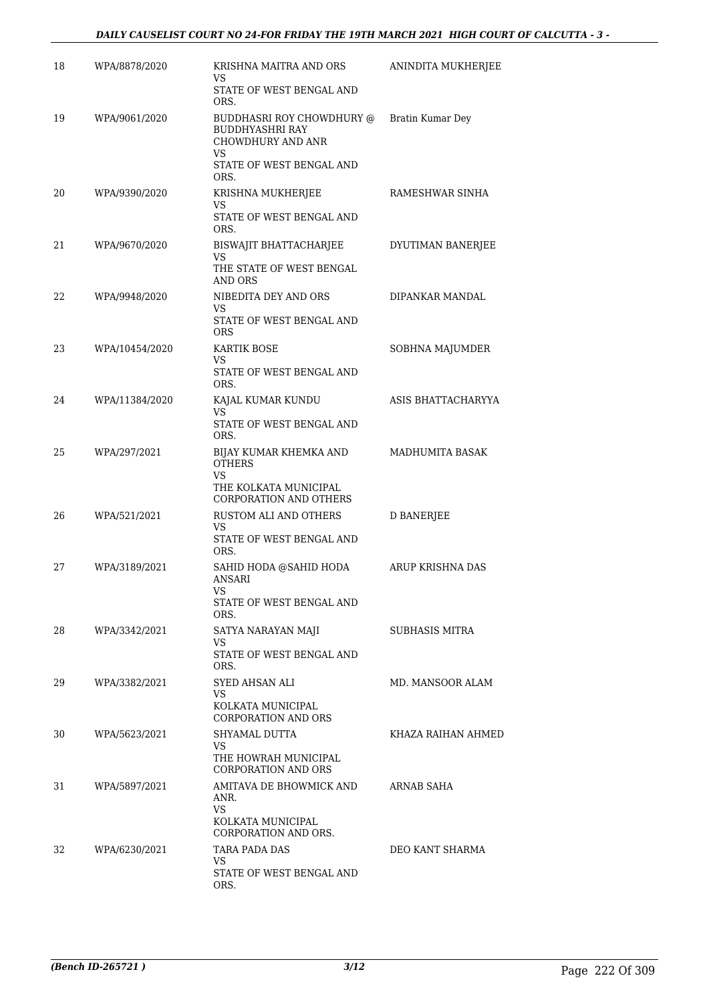| 18 | WPA/8878/2020  | KRISHNA MAITRA AND ORS<br>VS<br>STATE OF WEST BENGAL AND                                                                  | ANINDITA MUKHERJEE    |
|----|----------------|---------------------------------------------------------------------------------------------------------------------------|-----------------------|
| 19 | WPA/9061/2020  | ORS.<br>BUDDHASRI ROY CHOWDHURY @<br><b>BUDDHYASHRI RAY</b><br><b>CHOWDHURY AND ANR</b><br>VS<br>STATE OF WEST BENGAL AND | Bratin Kumar Dey      |
| 20 | WPA/9390/2020  | ORS.<br>KRISHNA MUKHERJEE<br>VS<br>STATE OF WEST BENGAL AND<br>ORS.                                                       | RAMESHWAR SINHA       |
| 21 | WPA/9670/2020  | BISWAJIT BHATTACHARJEE<br>VS<br>THE STATE OF WEST BENGAL<br>AND ORS                                                       | DYUTIMAN BANERJEE     |
| 22 | WPA/9948/2020  | NIBEDITA DEY AND ORS<br>VS<br>STATE OF WEST BENGAL AND                                                                    | DIPANKAR MANDAL       |
| 23 | WPA/10454/2020 | <b>ORS</b><br>KARTIK BOSE<br>VS<br>STATE OF WEST BENGAL AND<br>ORS.                                                       | SOBHNA MAJUMDER       |
| 24 | WPA/11384/2020 | KAJAL KUMAR KUNDU<br>VS.<br>STATE OF WEST BENGAL AND<br>ORS.                                                              | ASIS BHATTACHARYYA    |
| 25 | WPA/297/2021   | BIJAY KUMAR KHEMKA AND<br><b>OTHERS</b><br>VS.<br>THE KOLKATA MUNICIPAL<br><b>CORPORATION AND OTHERS</b>                  | MADHUMITA BASAK       |
| 26 | WPA/521/2021   | RUSTOM ALI AND OTHERS<br>VS<br>STATE OF WEST BENGAL AND<br>ORS.                                                           | <b>D BANERJEE</b>     |
| 27 | WPA/3189/2021  | SAHID HODA @SAHID HODA<br>ANSARI<br>STATE OF WEST BENGAL AND<br>ORS.                                                      | ARUP KRISHNA DAS      |
| 28 | WPA/3342/2021  | SATYA NARAYAN MAJI<br>VS<br>STATE OF WEST BENGAL AND<br>ORS.                                                              | <b>SUBHASIS MITRA</b> |
| 29 | WPA/3382/2021  | SYED AHSAN ALI<br>VS<br>KOLKATA MUNICIPAL<br>CORPORATION AND ORS                                                          | MD. MANSOOR ALAM      |
| 30 | WPA/5623/2021  | SHYAMAL DUTTA<br>VS.<br>THE HOWRAH MUNICIPAL<br><b>CORPORATION AND ORS</b>                                                | KHAZA RAIHAN AHMED    |
| 31 | WPA/5897/2021  | AMITAVA DE BHOWMICK AND<br>ANR.<br>VS.<br>KOLKATA MUNICIPAL<br>CORPORATION AND ORS.                                       | ARNAB SAHA            |
| 32 | WPA/6230/2021  | TARA PADA DAS<br>VS.<br>STATE OF WEST BENGAL AND<br>ORS.                                                                  | DEO KANT SHARMA       |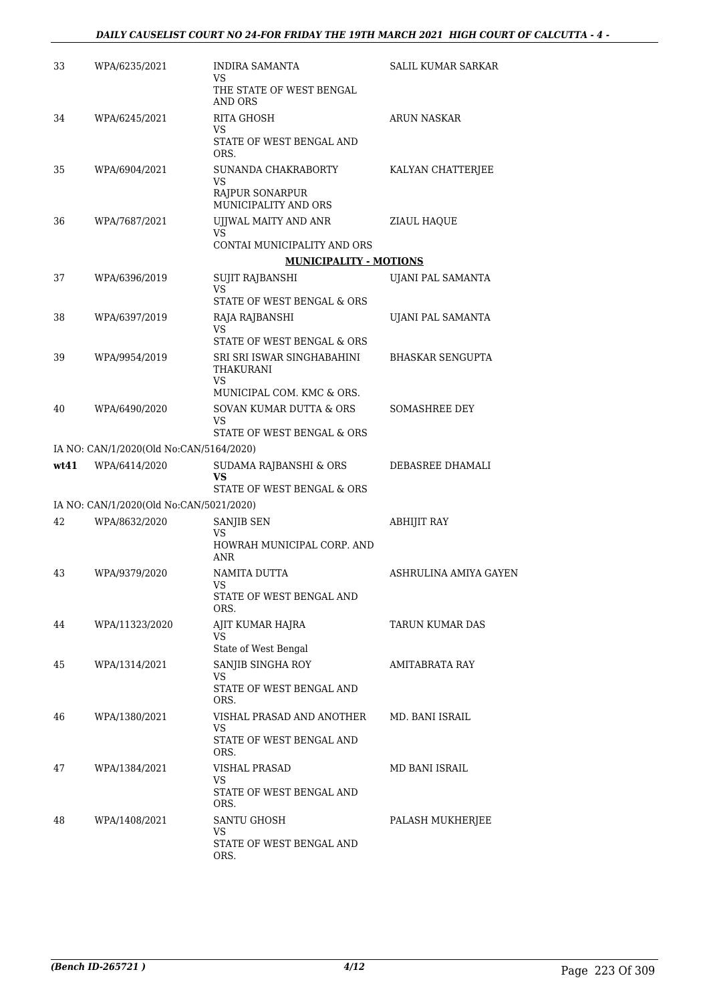| 33   | WPA/6235/2021                           | <b>INDIRA SAMANTA</b><br>VS                        | SALIL KUMAR SARKAR      |
|------|-----------------------------------------|----------------------------------------------------|-------------------------|
|      |                                         | THE STATE OF WEST BENGAL<br><b>AND ORS</b>         |                         |
| 34   | WPA/6245/2021                           | <b>RITA GHOSH</b><br>VS                            | ARUN NASKAR             |
|      |                                         | STATE OF WEST BENGAL AND<br>ORS.                   |                         |
| 35   | WPA/6904/2021                           | SUNANDA CHAKRABORTY<br>VS                          | KALYAN CHATTERJEE       |
|      |                                         | RAJPUR SONARPUR<br>MUNICIPALITY AND ORS            |                         |
| 36   | WPA/7687/2021                           | UJJWAL MAITY AND ANR<br>VS                         | ZIAUL HAQUE             |
|      |                                         | CONTAI MUNICIPALITY AND ORS                        |                         |
|      |                                         | <b>MUNICIPALITY - MOTIONS</b>                      |                         |
| 37   | WPA/6396/2019                           | SUJIT RAJBANSHI<br><b>VS</b>                       | UJANI PAL SAMANTA       |
|      |                                         | STATE OF WEST BENGAL & ORS                         |                         |
| 38   | WPA/6397/2019                           | RAJA RAJBANSHI<br>VS<br>STATE OF WEST BENGAL & ORS | UJANI PAL SAMANTA       |
|      |                                         |                                                    |                         |
| 39   | WPA/9954/2019                           | SRI SRI ISWAR SINGHABAHINI<br>THAKURANI<br>VS      | <b>BHASKAR SENGUPTA</b> |
|      |                                         | MUNICIPAL COM. KMC & ORS.                          |                         |
| 40   | WPA/6490/2020                           | SOVAN KUMAR DUTTA & ORS<br>VS                      | SOMASHREE DEY           |
|      |                                         | STATE OF WEST BENGAL & ORS                         |                         |
|      | IA NO: CAN/1/2020(Old No:CAN/5164/2020) |                                                    |                         |
| wt41 | WPA/6414/2020                           | SUDAMA RAJBANSHI & ORS<br>VS                       | DEBASREE DHAMALI        |
|      |                                         | STATE OF WEST BENGAL & ORS                         |                         |
|      | IA NO: CAN/1/2020(Old No:CAN/5021/2020) |                                                    |                         |
| 42   | WPA/8632/2020                           | SANJIB SEN                                         | <b>ABHIJIT RAY</b>      |
|      |                                         | <b>VS</b><br>HOWRAH MUNICIPAL CORP. AND<br>ANR     |                         |
| 43   | WPA/9379/2020                           | NAMITA DUTTA<br>VS                                 | ASHRULINA AMIYA GAYEN   |
|      |                                         | STATE OF WEST BENGAL AND<br>ORS.                   |                         |
| 44   | WPA/11323/2020                          | AJIT KUMAR HAJRA<br>VS                             | TARUN KUMAR DAS         |
|      |                                         | State of West Bengal                               |                         |
| 45   | WPA/1314/2021                           | SANJIB SINGHA ROY<br>VS                            | AMITABRATA RAY          |
|      |                                         | STATE OF WEST BENGAL AND<br>ORS.                   |                         |
| 46   | WPA/1380/2021                           | VISHAL PRASAD AND ANOTHER<br>VS                    | MD. BANI ISRAIL         |
|      |                                         | STATE OF WEST BENGAL AND<br>ORS.                   |                         |
| 47   | WPA/1384/2021                           | VISHAL PRASAD<br>VS                                | MD BANI ISRAIL          |
|      |                                         | STATE OF WEST BENGAL AND<br>ORS.                   |                         |
| 48   | WPA/1408/2021                           | SANTU GHOSH                                        | PALASH MUKHERJEE        |
|      |                                         | VS<br>STATE OF WEST BENGAL AND<br>ORS.             |                         |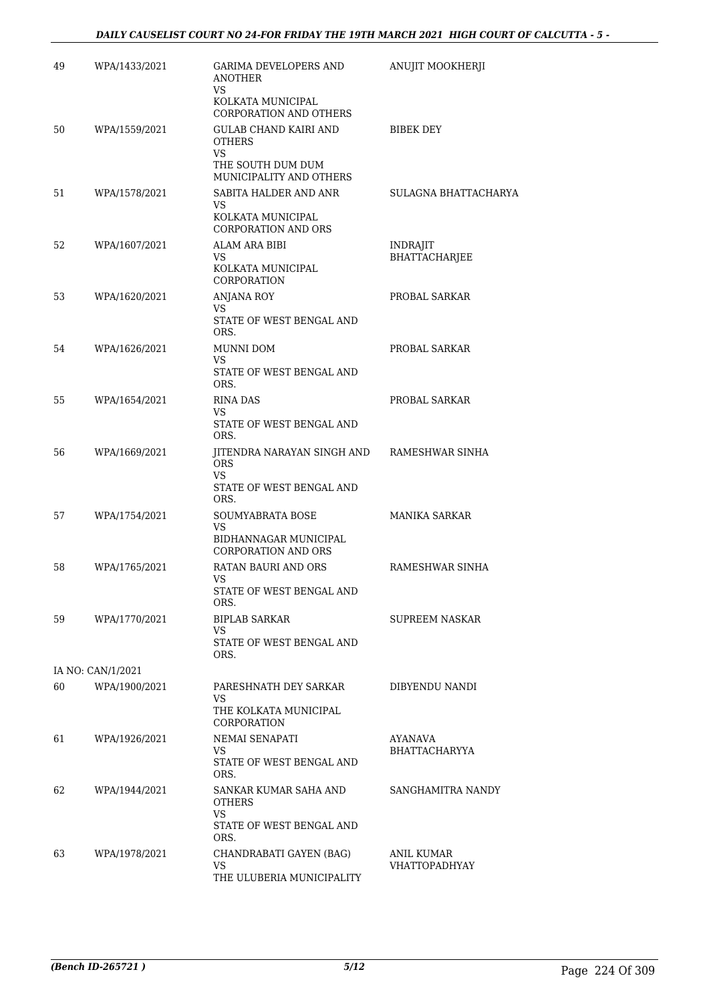| 49 | WPA/1433/2021     | <b>GARIMA DEVELOPERS AND</b><br><b>ANOTHER</b><br>VS                                | ANUJIT MOOKHERJI                        |
|----|-------------------|-------------------------------------------------------------------------------------|-----------------------------------------|
|    |                   | KOLKATA MUNICIPAL<br>CORPORATION AND OTHERS                                         |                                         |
| 50 | WPA/1559/2021     | <b>GULAB CHAND KAIRI AND</b><br><b>OTHERS</b><br>VS.<br>THE SOUTH DUM DUM           | <b>BIBEK DEY</b>                        |
|    |                   | MUNICIPALITY AND OTHERS                                                             |                                         |
| 51 | WPA/1578/2021     | SABITA HALDER AND ANR<br>VS.<br>KOLKATA MUNICIPAL<br><b>CORPORATION AND ORS</b>     | SULAGNA BHATTACHARYA                    |
| 52 | WPA/1607/2021     | ALAM ARA BIBI<br>VS<br>KOLKATA MUNICIPAL<br>CORPORATION                             | <b>INDRAJIT</b><br><b>BHATTACHARJEE</b> |
| 53 | WPA/1620/2021     | <b>ANJANA ROY</b><br>VS.<br>STATE OF WEST BENGAL AND<br>ORS.                        | PROBAL SARKAR                           |
| 54 | WPA/1626/2021     | MUNNI DOM<br>VS<br>STATE OF WEST BENGAL AND<br>ORS.                                 | PROBAL SARKAR                           |
| 55 | WPA/1654/2021     | <b>RINA DAS</b><br>VS<br>STATE OF WEST BENGAL AND<br>ORS.                           | PROBAL SARKAR                           |
| 56 | WPA/1669/2021     | JITENDRA NARAYAN SINGH AND<br><b>ORS</b><br>VS.<br>STATE OF WEST BENGAL AND<br>ORS. | RAMESHWAR SINHA                         |
| 57 | WPA/1754/2021     | SOUMYABRATA BOSE<br>VS.<br>BIDHANNAGAR MUNICIPAL<br>CORPORATION AND ORS             | <b>MANIKA SARKAR</b>                    |
| 58 | WPA/1765/2021     | RATAN BAURI AND ORS<br>VS<br>STATE OF WEST BENGAL AND<br>ORS.                       | RAMESHWAR SINHA                         |
| 59 | WPA/1770/2021     | BIPLAB SARKAR<br>VS.<br>STATE OF WEST BENGAL AND<br>ORS.                            | SUPREEM NASKAR                          |
|    | IA NO: CAN/1/2021 |                                                                                     |                                         |
| 60 | WPA/1900/2021     | PARESHNATH DEY SARKAR<br>VS.<br>THE KOLKATA MUNICIPAL<br>CORPORATION                | DIBYENDU NANDI                          |
| 61 | WPA/1926/2021     | NEMAI SENAPATI<br>VS<br>STATE OF WEST BENGAL AND<br>ORS.                            | AYANAVA<br><b>BHATTACHARYYA</b>         |
| 62 | WPA/1944/2021     | SANKAR KUMAR SAHA AND<br><b>OTHERS</b><br>VS.<br>STATE OF WEST BENGAL AND           | SANGHAMITRA NANDY                       |
| 63 | WPA/1978/2021     | ORS.<br>CHANDRABATI GAYEN (BAG)<br>VS.<br>THE ULUBERIA MUNICIPALITY                 | ANIL KUMAR<br><b>VHATTOPADHYAY</b>      |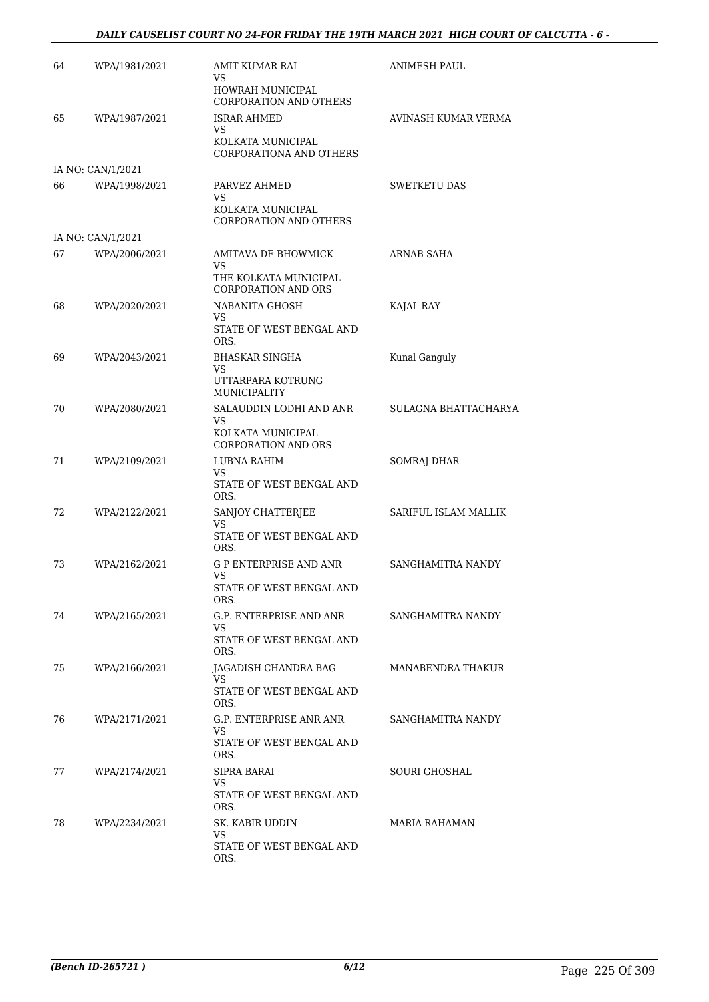### *DAILY CAUSELIST COURT NO 24-FOR FRIDAY THE 19TH MARCH 2021 HIGH COURT OF CALCUTTA - 6 -*

| 64 | WPA/1981/2021     | AMIT KUMAR RAI<br>VS.                               | ANIMESH PAUL         |
|----|-------------------|-----------------------------------------------------|----------------------|
|    |                   | HOWRAH MUNICIPAL<br><b>CORPORATION AND OTHERS</b>   |                      |
| 65 | WPA/1987/2021     | <b>ISRAR AHMED</b><br>VS.                           | AVINASH KUMAR VERMA  |
|    |                   | KOLKATA MUNICIPAL<br>CORPORATIONA AND OTHERS        |                      |
|    | IA NO: CAN/1/2021 |                                                     |                      |
| 66 | WPA/1998/2021     | PARVEZ AHMED<br>VS.                                 | <b>SWETKETU DAS</b>  |
|    |                   | KOLKATA MUNICIPAL<br><b>CORPORATION AND OTHERS</b>  |                      |
|    | IA NO: CAN/1/2021 |                                                     |                      |
| 67 | WPA/2006/2021     | AMITAVA DE BHOWMICK<br>VS.                          | ARNAB SAHA           |
|    |                   | THE KOLKATA MUNICIPAL<br><b>CORPORATION AND ORS</b> |                      |
| 68 | WPA/2020/2021     | NABANITA GHOSH<br>VS.                               | KAJAL RAY            |
|    |                   | STATE OF WEST BENGAL AND<br>ORS.                    |                      |
| 69 | WPA/2043/2021     | <b>BHASKAR SINGHA</b><br>VS                         | Kunal Ganguly        |
|    |                   | UTTARPARA KOTRUNG<br>MUNICIPALITY                   |                      |
| 70 | WPA/2080/2021     | SALAUDDIN LODHI AND ANR<br>VS.                      | SULAGNA BHATTACHARYA |
|    |                   | KOLKATA MUNICIPAL<br><b>CORPORATION AND ORS</b>     |                      |
| 71 | WPA/2109/2021     | LUBNA RAHIM<br>VS.                                  | <b>SOMRAJ DHAR</b>   |
|    |                   | STATE OF WEST BENGAL AND<br>ORS.                    |                      |
| 72 | WPA/2122/2021     | SANJOY CHATTERJEE<br>VS.                            | SARIFUL ISLAM MALLIK |
|    |                   | STATE OF WEST BENGAL AND<br>ORS.                    |                      |
| 73 | WPA/2162/2021     | <b>G P ENTERPRISE AND ANR</b><br>VS                 | SANGHAMITRA NANDY    |
|    |                   | STATE OF WEST BENGAL AND<br>ORS.                    |                      |
| 74 | WPA/2165/2021     | G.P. ENTERPRISE AND ANR<br>VS.                      | SANGHAMITRA NANDY    |
|    |                   | STATE OF WEST BENGAL AND<br>ORS.                    |                      |
| 75 | WPA/2166/2021     | JAGADISH CHANDRA BAG<br>VS.                         | MANABENDRA THAKUR    |
|    |                   | STATE OF WEST BENGAL AND<br>ORS.                    |                      |
| 76 | WPA/2171/2021     | G.P. ENTERPRISE ANR ANR<br>VS.                      | SANGHAMITRA NANDY    |
|    |                   | STATE OF WEST BENGAL AND<br>ORS.                    |                      |
| 77 | WPA/2174/2021     | SIPRA BARAI<br>VS.                                  | SOURI GHOSHAL        |
|    |                   | STATE OF WEST BENGAL AND<br>ORS.                    |                      |
| 78 | WPA/2234/2021     | SK. KABIR UDDIN<br>VS.                              | MARIA RAHAMAN        |
|    |                   | STATE OF WEST BENGAL AND<br>ORS.                    |                      |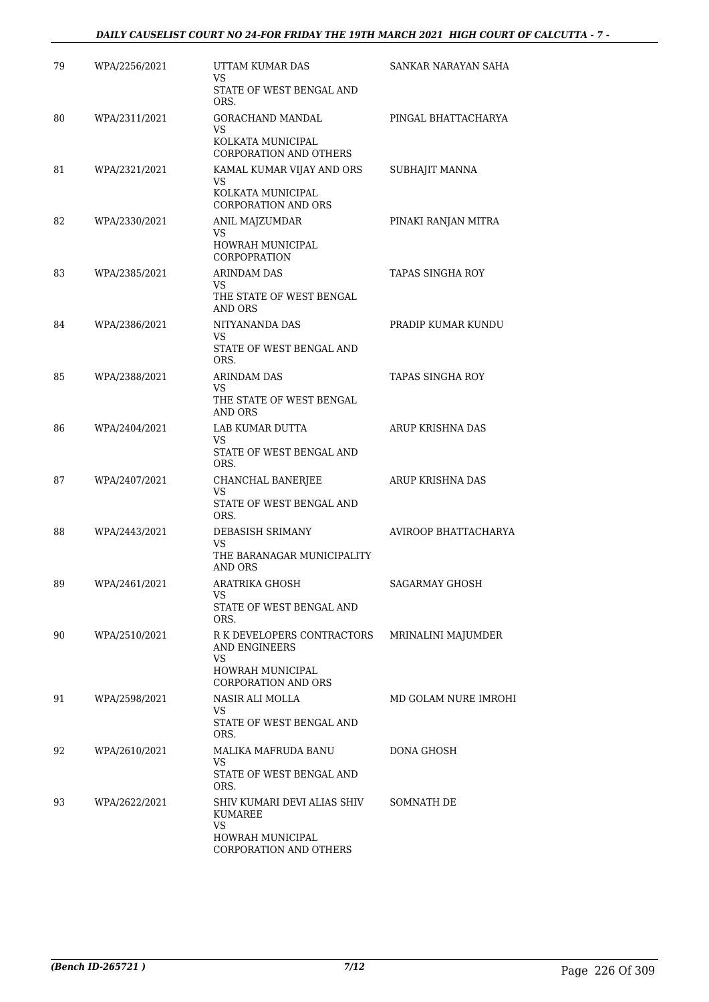| 79 | WPA/2256/2021 | UTTAM KUMAR DAS<br>VS                                                       | SANKAR NARAYAN SAHA     |
|----|---------------|-----------------------------------------------------------------------------|-------------------------|
|    |               | STATE OF WEST BENGAL AND<br>ORS.                                            |                         |
| 80 | WPA/2311/2021 | GORACHAND MANDAL<br>VS                                                      | PINGAL BHATTACHARYA     |
|    |               | KOLKATA MUNICIPAL<br><b>CORPORATION AND OTHERS</b>                          |                         |
| 81 | WPA/2321/2021 | KAMAL KUMAR VIJAY AND ORS<br>VS<br>KOLKATA MUNICIPAL<br>CORPORATION AND ORS | SUBHAJIT MANNA          |
| 82 | WPA/2330/2021 | ANIL MAJZUMDAR<br>VS                                                        | PINAKI RANJAN MITRA     |
|    |               | HOWRAH MUNICIPAL<br><b>CORPOPRATION</b>                                     |                         |
| 83 | WPA/2385/2021 | <b>ARINDAM DAS</b><br>VS                                                    | <b>TAPAS SINGHA ROY</b> |
|    |               | THE STATE OF WEST BENGAL<br>AND ORS                                         |                         |
| 84 | WPA/2386/2021 | NITYANANDA DAS<br>VS.                                                       | PRADIP KUMAR KUNDU      |
|    |               | STATE OF WEST BENGAL AND<br>ORS.                                            |                         |
| 85 | WPA/2388/2021 | ARINDAM DAS<br>VS.                                                          | TAPAS SINGHA ROY        |
|    |               | THE STATE OF WEST BENGAL<br>AND ORS                                         |                         |
| 86 | WPA/2404/2021 | LAB KUMAR DUTTA<br>VS                                                       | ARUP KRISHNA DAS        |
|    |               | STATE OF WEST BENGAL AND<br>ORS.                                            |                         |
| 87 | WPA/2407/2021 | CHANCHAL BANERJEE<br>VS                                                     | ARUP KRISHNA DAS        |
|    |               | STATE OF WEST BENGAL AND<br>ORS.                                            |                         |
| 88 | WPA/2443/2021 | DEBASISH SRIMANY<br>VS                                                      | AVIROOP BHATTACHARYA    |
|    |               | THE BARANAGAR MUNICIPALITY<br><b>AND ORS</b>                                |                         |
| 89 | WPA/2461/2021 | ARATRIKA GHOSH<br>VS                                                        | SAGARMAY GHOSH          |
|    |               | STATE OF WEST BENGAL AND<br>ORS.                                            |                         |
| 90 | WPA/2510/2021 | R K DEVELOPERS CONTRACTORS<br>AND ENGINEERS                                 | MRINALINI MAJUMDER      |
|    |               | VS<br>HOWRAH MUNICIPAL<br><b>CORPORATION AND ORS</b>                        |                         |
| 91 | WPA/2598/2021 | NASIR ALI MOLLA<br>VS.                                                      | MD GOLAM NURE IMROHI    |
|    |               | STATE OF WEST BENGAL AND<br>ORS.                                            |                         |
| 92 | WPA/2610/2021 | MALIKA MAFRUDA BANU<br>VS                                                   | DONA GHOSH              |
|    |               | STATE OF WEST BENGAL AND<br>ORS.                                            |                         |
| 93 | WPA/2622/2021 | SHIV KUMARI DEVI ALIAS SHIV<br>KUMAREE<br>VS.                               | SOMNATH DE              |
|    |               | HOWRAH MUNICIPAL<br>CORPORATION AND OTHERS                                  |                         |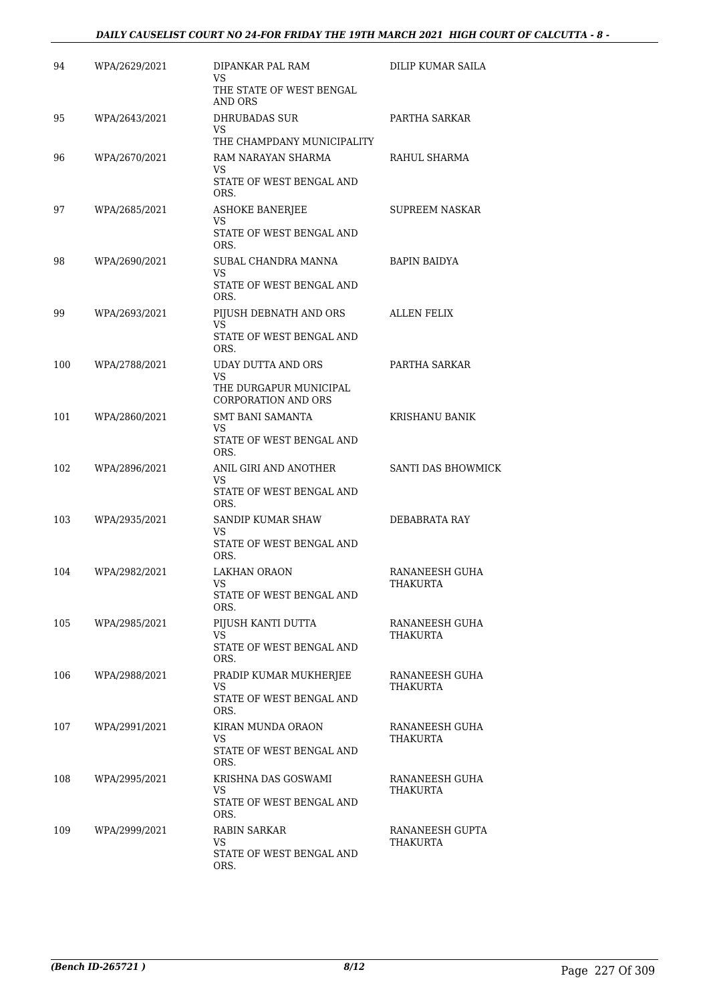### *DAILY CAUSELIST COURT NO 24-FOR FRIDAY THE 19TH MARCH 2021 HIGH COURT OF CALCUTTA - 8 -*

| 94  | WPA/2629/2021 | DIPANKAR PAL RAM<br>VS                               | DILIP KUMAR SAILA           |
|-----|---------------|------------------------------------------------------|-----------------------------|
|     |               | THE STATE OF WEST BENGAL<br>AND ORS                  |                             |
| 95  | WPA/2643/2021 | <b>DHRUBADAS SUR</b><br>VS                           | PARTHA SARKAR               |
|     |               | THE CHAMPDANY MUNICIPALITY                           |                             |
| 96  | WPA/2670/2021 | RAM NARAYAN SHARMA<br>VS                             | RAHUL SHARMA                |
|     |               | STATE OF WEST BENGAL AND<br>ORS.                     |                             |
| 97  | WPA/2685/2021 | <b>ASHOKE BANERIEE</b><br>VS                         | SUPREEM NASKAR              |
|     |               | STATE OF WEST BENGAL AND<br>ORS.                     |                             |
| 98  | WPA/2690/2021 | SUBAL CHANDRA MANNA<br>VS                            | <b>BAPIN BAIDYA</b>         |
|     |               | STATE OF WEST BENGAL AND<br>ORS.                     |                             |
| 99  | WPA/2693/2021 | PIJUSH DEBNATH AND ORS<br>VS                         | <b>ALLEN FELIX</b>          |
|     |               | STATE OF WEST BENGAL AND<br>ORS.                     |                             |
| 100 | WPA/2788/2021 | UDAY DUTTA AND ORS<br>VS                             | PARTHA SARKAR               |
|     |               | THE DURGAPUR MUNICIPAL<br><b>CORPORATION AND ORS</b> |                             |
| 101 | WPA/2860/2021 | <b>SMT BANI SAMANTA</b><br>VS                        | KRISHANU BANIK              |
|     |               | STATE OF WEST BENGAL AND<br>ORS.                     |                             |
| 102 | WPA/2896/2021 | ANIL GIRI AND ANOTHER<br>VS                          | <b>SANTI DAS BHOWMICK</b>   |
|     |               | STATE OF WEST BENGAL AND<br>ORS.                     |                             |
| 103 | WPA/2935/2021 | SANDIP KUMAR SHAW<br>VS                              | DEBABRATA RAY               |
|     |               | STATE OF WEST BENGAL AND<br>ORS.                     |                             |
| 104 | WPA/2982/2021 | <b>LAKHAN ORAON</b><br>VS                            | RANANEESH GUHA<br>THAKURTA  |
|     |               | STATE OF WEST BENGAL AND<br>ORS.                     |                             |
| 105 | WPA/2985/2021 | PIJUSH KANTI DUTTA<br>VS                             | RANANEESH GUHA<br>THAKURTA  |
|     |               | STATE OF WEST BENGAL AND<br>ORS.                     |                             |
| 106 | WPA/2988/2021 | PRADIP KUMAR MUKHERJEE<br>VS                         | RANANEESH GUHA<br>THAKURTA  |
|     |               | STATE OF WEST BENGAL AND<br>ORS.                     |                             |
| 107 | WPA/2991/2021 | KIRAN MUNDA ORAON<br>VS.                             | RANANEESH GUHA<br>THAKURTA  |
|     |               | STATE OF WEST BENGAL AND<br>ORS.                     |                             |
| 108 | WPA/2995/2021 | KRISHNA DAS GOSWAMI<br>VS                            | RANANEESH GUHA<br>THAKURTA  |
|     |               | STATE OF WEST BENGAL AND<br>ORS.                     |                             |
| 109 | WPA/2999/2021 | RABIN SARKAR<br>VS.                                  | RANANEESH GUPTA<br>THAKURTA |
|     |               | STATE OF WEST BENGAL AND<br>ORS.                     |                             |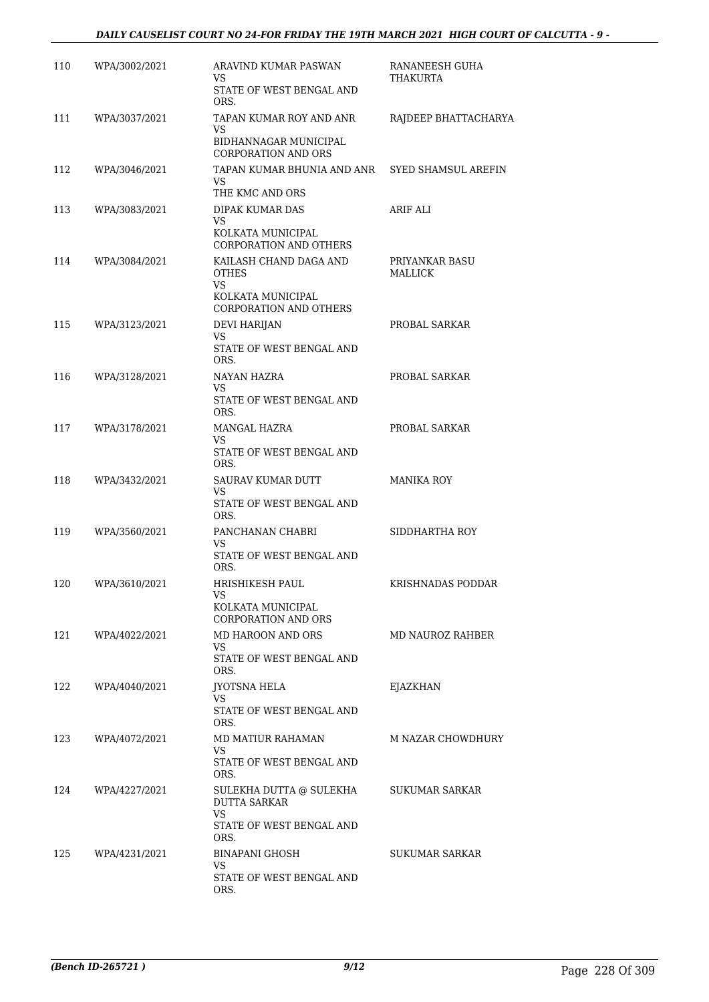| 110 | WPA/3002/2021 | ARAVIND KUMAR PASWAN<br>VS.<br>STATE OF WEST BENGAL AND                                     | RANANEESH GUHA<br>THAKURTA |
|-----|---------------|---------------------------------------------------------------------------------------------|----------------------------|
| 111 | WPA/3037/2021 | ORS.<br>TAPAN KUMAR ROY AND ANR                                                             | RAJDEEP BHATTACHARYA       |
|     |               | VS<br>BIDHANNAGAR MUNICIPAL<br><b>CORPORATION AND ORS</b>                                   |                            |
| 112 | WPA/3046/2021 | TAPAN KUMAR BHUNIA AND ANR SYED SHAMSUL AREFIN<br>VS.<br>THE KMC AND ORS                    |                            |
| 113 | WPA/3083/2021 | DIPAK KUMAR DAS<br><b>VS</b><br>KOLKATA MUNICIPAL<br>CORPORATION AND OTHERS                 | ARIF ALI                   |
| 114 | WPA/3084/2021 | KAILASH CHAND DAGA AND<br><b>OTHES</b><br>VS<br>KOLKATA MUNICIPAL<br>CORPORATION AND OTHERS | PRIYANKAR BASU<br>MALLICK  |
| 115 | WPA/3123/2021 | DEVI HARIJAN<br>VS                                                                          | PROBAL SARKAR              |
|     |               | STATE OF WEST BENGAL AND<br>ORS.                                                            |                            |
| 116 | WPA/3128/2021 | NAYAN HAZRA<br>VS.<br>STATE OF WEST BENGAL AND<br>ORS.                                      | PROBAL SARKAR              |
| 117 | WPA/3178/2021 | MANGAL HAZRA<br>VS                                                                          | PROBAL SARKAR              |
|     |               | STATE OF WEST BENGAL AND<br>ORS.                                                            |                            |
| 118 | WPA/3432/2021 | SAURAV KUMAR DUTT<br>VS                                                                     | <b>MANIKA ROY</b>          |
|     |               | STATE OF WEST BENGAL AND<br>ORS.                                                            |                            |
| 119 | WPA/3560/2021 | PANCHANAN CHABRI<br>VS<br>STATE OF WEST BENGAL AND<br>ORS.                                  | SIDDHARTHA ROY             |
| 120 | WPA/3610/2021 | HRISHIKESH PAUL<br>VS<br>KOLKATA MUNICIPAL                                                  | KRISHNADAS PODDAR          |
|     |               | <b>CORPORATION AND ORS</b>                                                                  |                            |
| 121 | WPA/4022/2021 | MD HAROON AND ORS<br>VS.<br>STATE OF WEST BENGAL AND                                        | MD NAUROZ RAHBER           |
| 122 | WPA/4040/2021 | ORS.<br>JYOTSNA HELA<br>VS.                                                                 | <b>EJAZKHAN</b>            |
|     |               | STATE OF WEST BENGAL AND<br>ORS.                                                            |                            |
| 123 | WPA/4072/2021 | MD MATIUR RAHAMAN<br>VS<br>STATE OF WEST BENGAL AND<br>ORS.                                 | M NAZAR CHOWDHURY          |
| 124 | WPA/4227/2021 | SULEKHA DUTTA @ SULEKHA<br><b>DUTTA SARKAR</b><br>VS.<br>STATE OF WEST BENGAL AND<br>ORS.   | SUKUMAR SARKAR             |
| 125 | WPA/4231/2021 | BINAPANI GHOSH<br>VS.<br>STATE OF WEST BENGAL AND<br>ORS.                                   | SUKUMAR SARKAR             |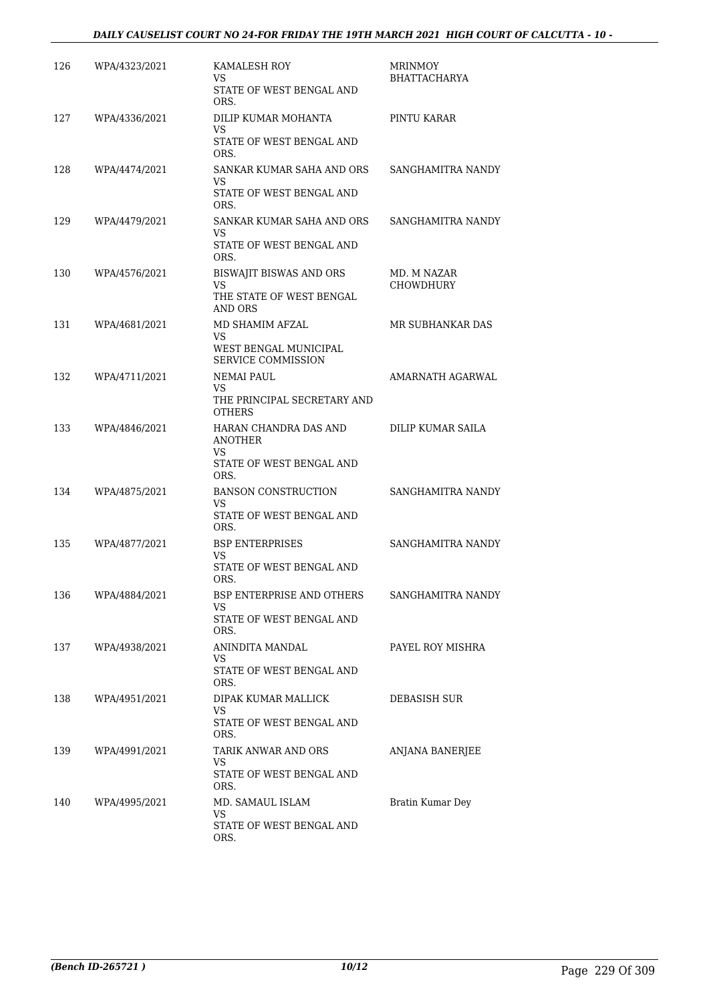### *DAILY CAUSELIST COURT NO 24-FOR FRIDAY THE 19TH MARCH 2021 HIGH COURT OF CALCUTTA - 10 -*

| 126 | WPA/4323/2021 | KAMALESH ROY<br>VS.<br>STATE OF WEST BENGAL AND<br>ORS.                                     | MRINMOY<br><b>BHATTACHARYA</b>  |
|-----|---------------|---------------------------------------------------------------------------------------------|---------------------------------|
| 127 | WPA/4336/2021 | DILIP KUMAR MOHANTA<br>VS<br>STATE OF WEST BENGAL AND<br>ORS.                               | PINTU KARAR                     |
| 128 | WPA/4474/2021 | SANKAR KUMAR SAHA AND ORS<br>VS.<br>STATE OF WEST BENGAL AND                                | SANGHAMITRA NANDY               |
| 129 | WPA/4479/2021 | ORS.<br>SANKAR KUMAR SAHA AND ORS<br>VS<br>STATE OF WEST BENGAL AND                         | SANGHAMITRA NANDY               |
| 130 | WPA/4576/2021 | ORS.<br>BISWAJIT BISWAS AND ORS<br>VS.<br>THE STATE OF WEST BENGAL                          | MD. M NAZAR<br><b>CHOWDHURY</b> |
| 131 | WPA/4681/2021 | AND ORS<br>MD SHAMIM AFZAL<br>VS.<br>WEST BENGAL MUNICIPAL                                  | MR SUBHANKAR DAS                |
| 132 | WPA/4711/2021 | <b>SERVICE COMMISSION</b><br><b>NEMAI PAUL</b><br>VS.<br>THE PRINCIPAL SECRETARY AND        | AMARNATH AGARWAL                |
| 133 | WPA/4846/2021 | <b>OTHERS</b><br>HARAN CHANDRA DAS AND<br><b>ANOTHER</b><br>VS.<br>STATE OF WEST BENGAL AND | DILIP KUMAR SAILA               |
| 134 | WPA/4875/2021 | ORS.<br><b>BANSON CONSTRUCTION</b><br>VS<br>STATE OF WEST BENGAL AND<br>ORS.                | SANGHAMITRA NANDY               |
| 135 | WPA/4877/2021 | <b>BSP ENTERPRISES</b><br>VS.<br>STATE OF WEST BENGAL AND                                   | SANGHAMITRA NANDY               |
| 136 | WPA/4884/2021 | ORS.<br>BSP ENTERPRISE AND OTHERS<br>VS.<br>STATE OF WEST BENGAL AND                        | SANGHAMITRA NANDY               |
| 137 | WPA/4938/2021 | ORS.<br>ANINDITA MANDAL<br>VS.<br>STATE OF WEST BENGAL AND                                  | PAYEL ROY MISHRA                |
| 138 | WPA/4951/2021 | ORS.<br>DIPAK KUMAR MALLICK<br>VS<br>STATE OF WEST BENGAL AND                               | DEBASISH SUR                    |
| 139 | WPA/4991/2021 | ORS.<br>TARIK ANWAR AND ORS<br>VS.<br>STATE OF WEST BENGAL AND                              | ANJANA BANERJEE                 |
| 140 | WPA/4995/2021 | ORS.<br>MD. SAMAUL ISLAM<br>VS.<br>STATE OF WEST BENGAL AND<br>ORS.                         | Bratin Kumar Dey                |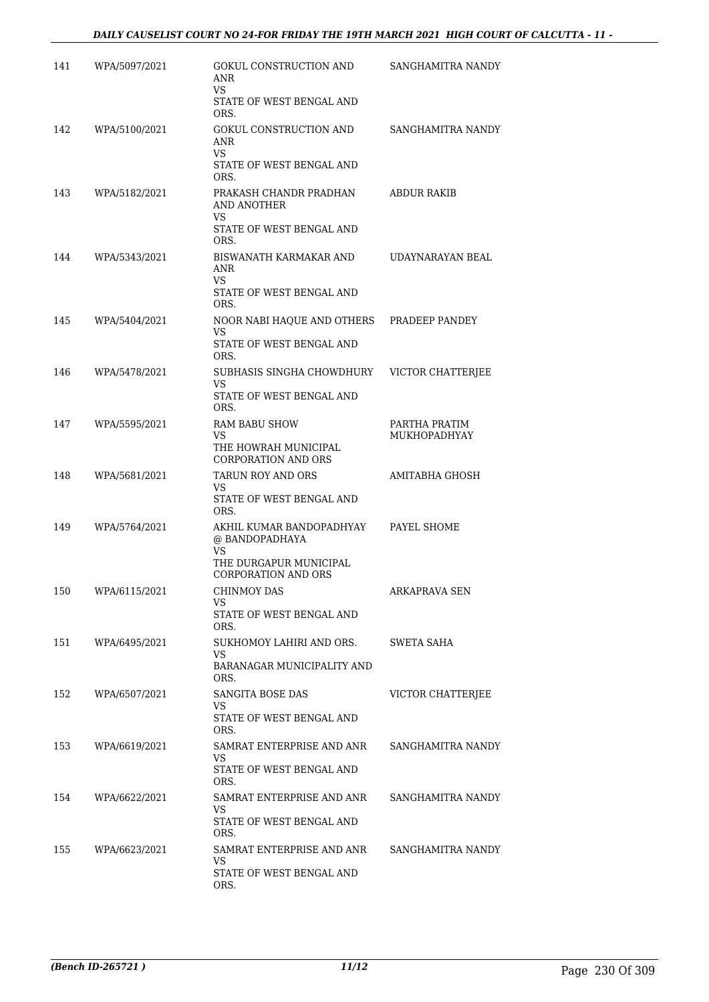| 141 | WPA/5097/2021 | GOKUL CONSTRUCTION AND<br>ANR<br><b>VS</b><br>STATE OF WEST BENGAL AND<br>ORS.                           | SANGHAMITRA NANDY             |
|-----|---------------|----------------------------------------------------------------------------------------------------------|-------------------------------|
| 142 | WPA/5100/2021 | GOKUL CONSTRUCTION AND<br>ANR<br>VS.<br>STATE OF WEST BENGAL AND<br>ORS.                                 | SANGHAMITRA NANDY             |
| 143 | WPA/5182/2021 | PRAKASH CHANDR PRADHAN<br>AND ANOTHER<br>VS<br>STATE OF WEST BENGAL AND<br>ORS.                          | ABDUR RAKIB                   |
| 144 | WPA/5343/2021 | BISWANATH KARMAKAR AND<br>ANR<br>VS<br>STATE OF WEST BENGAL AND<br>ORS.                                  | UDAYNARAYAN BEAL              |
| 145 | WPA/5404/2021 | NOOR NABI HAQUE AND OTHERS<br>VS<br>STATE OF WEST BENGAL AND<br>ORS.                                     | PRADEEP PANDEY                |
| 146 | WPA/5478/2021 | SUBHASIS SINGHA CHOWDHURY<br>VS<br>STATE OF WEST BENGAL AND<br>ORS.                                      | <b>VICTOR CHATTERIEE</b>      |
| 147 | WPA/5595/2021 | <b>RAM BABU SHOW</b><br>VS<br>THE HOWRAH MUNICIPAL<br>CORPORATION AND ORS                                | PARTHA PRATIM<br>MUKHOPADHYAY |
| 148 | WPA/5681/2021 | TARUN ROY AND ORS<br>VS<br>STATE OF WEST BENGAL AND<br>ORS.                                              | AMITABHA GHOSH                |
| 149 | WPA/5764/2021 | AKHIL KUMAR BANDOPADHYAY<br>@ BANDOPADHAYA<br>VS<br>THE DURGAPUR MUNICIPAL<br><b>CORPORATION AND ORS</b> | PAYEL SHOME                   |
| 150 | WPA/6115/2021 | CHINMOY DAS<br>VS<br>STATE OF WEST BENGAL AND<br>ORS.                                                    | ARKAPRAVA SEN                 |
| 151 | WPA/6495/2021 | SUKHOMOY LAHIRI AND ORS.<br>VS.<br>BARANAGAR MUNICIPALITY AND<br>ORS.                                    | SWETA SAHA                    |
| 152 | WPA/6507/2021 | SANGITA BOSE DAS<br>VS.<br>STATE OF WEST BENGAL AND<br>ORS.                                              | VICTOR CHATTERJEE             |
| 153 | WPA/6619/2021 | SAMRAT ENTERPRISE AND ANR<br>VS<br>STATE OF WEST BENGAL AND<br>ORS.                                      | SANGHAMITRA NANDY             |
| 154 | WPA/6622/2021 | SAMRAT ENTERPRISE AND ANR<br>VS<br>STATE OF WEST BENGAL AND<br>ORS.                                      | SANGHAMITRA NANDY             |
| 155 | WPA/6623/2021 | SAMRAT ENTERPRISE AND ANR<br>VS<br>STATE OF WEST BENGAL AND<br>ORS.                                      | SANGHAMITRA NANDY             |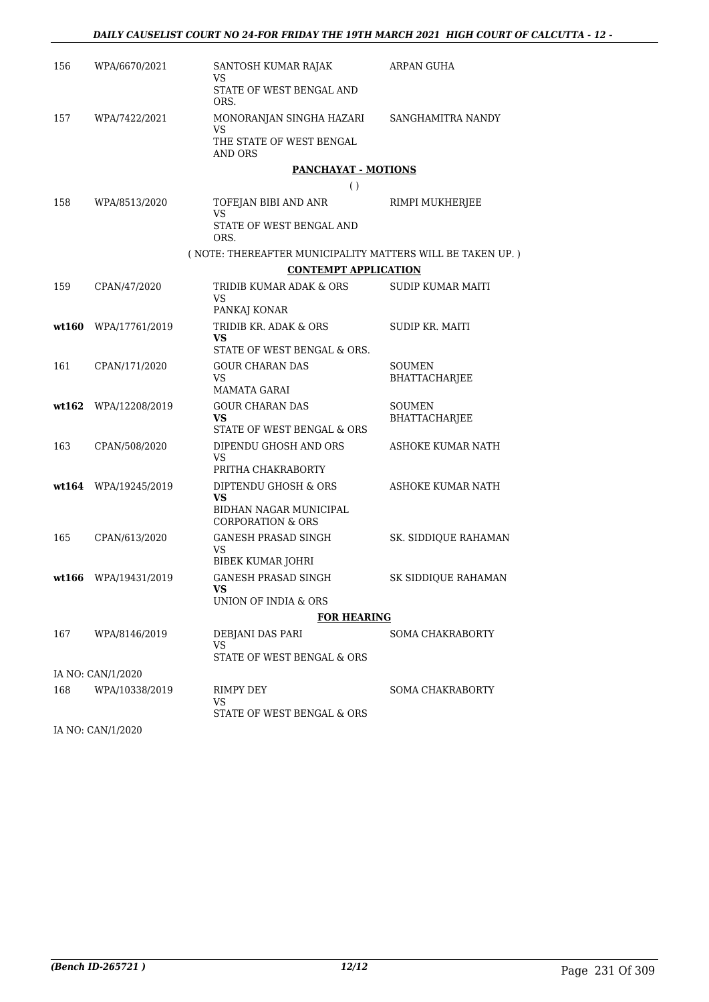| 156   | WPA/6670/2021          | SANTOSH KUMAR RAJAK<br>VS                                   | ARPAN GUHA              |
|-------|------------------------|-------------------------------------------------------------|-------------------------|
|       |                        | STATE OF WEST BENGAL AND<br>ORS.                            |                         |
| 157   | WPA/7422/2021          | MONORANJAN SINGHA HAZARI<br>VS                              | SANGHAMITRA NANDY       |
|       |                        | THE STATE OF WEST BENGAL<br><b>AND ORS</b>                  |                         |
|       |                        | PANCHAYAT - MOTIONS                                         |                         |
|       |                        | $\left( \ \right)$                                          |                         |
| 158   | WPA/8513/2020          | TOFEJAN BIBI AND ANR<br><b>VS</b>                           | RIMPI MUKHERJEE         |
|       |                        | STATE OF WEST BENGAL AND<br>ORS.                            |                         |
|       |                        | ( NOTE: THEREAFTER MUNICIPALITY MATTERS WILL BE TAKEN UP. ) |                         |
|       |                        | <b>CONTEMPT APPLICATION</b>                                 |                         |
| 159   | CPAN/47/2020           | TRIDIB KUMAR ADAK & ORS<br>VS                               | SUDIP KUMAR MAITI       |
| wt160 |                        | PANKAJ KONAR<br>TRIDIB KR. ADAK & ORS                       | SUDIP KR. MAITI         |
|       | WPA/17761/2019         | <b>VS</b><br>STATE OF WEST BENGAL & ORS.                    |                         |
| 161   | CPAN/171/2020          | <b>GOUR CHARAN DAS</b>                                      | SOUMEN                  |
|       |                        | VS.<br>MAMATA GARAI                                         | <b>BHATTACHARJEE</b>    |
|       | wt162 WPA/12208/2019   | <b>GOUR CHARAN DAS</b>                                      | SOUMEN                  |
|       |                        | VS.<br>STATE OF WEST BENGAL & ORS                           | BHATTACHARJEE           |
| 163   | CPAN/508/2020          | DIPENDU GHOSH AND ORS<br>VS                                 | ASHOKE KUMAR NATH       |
|       |                        | PRITHA CHAKRABORTY                                          |                         |
|       | $wt164$ WPA/19245/2019 | DIPTENDU GHOSH & ORS<br><b>VS</b>                           | ASHOKE KUMAR NATH       |
|       |                        | BIDHAN NAGAR MUNICIPAL<br><b>CORPORATION &amp; ORS</b>      |                         |
| 165   | CPAN/613/2020          | GANESH PRASAD SINGH                                         | SK. SIDDIOUE RAHAMAN    |
|       |                        | VS<br>BIBEK KUMAR JOHRI                                     |                         |
|       | wt166 WPA/19431/2019   | <b>GANESH PRASAD SINGH</b>                                  | SK SIDDIQUE RAHAMAN     |
|       |                        | VS<br>UNION OF INDIA & ORS                                  |                         |
|       |                        | <b>FOR HEARING</b>                                          |                         |
| 167   | WPA/8146/2019          | DEBJANI DAS PARI                                            | <b>SOMA CHAKRABORTY</b> |
|       |                        | VS<br>STATE OF WEST BENGAL & ORS                            |                         |
|       | IA NO: CAN/1/2020      |                                                             |                         |
| 168   | WPA/10338/2019         | RIMPY DEY                                                   | SOMA CHAKRABORTY        |
|       |                        | VS                                                          |                         |
|       |                        | STATE OF WEST BENGAL & ORS                                  |                         |

IA NO: CAN/1/2020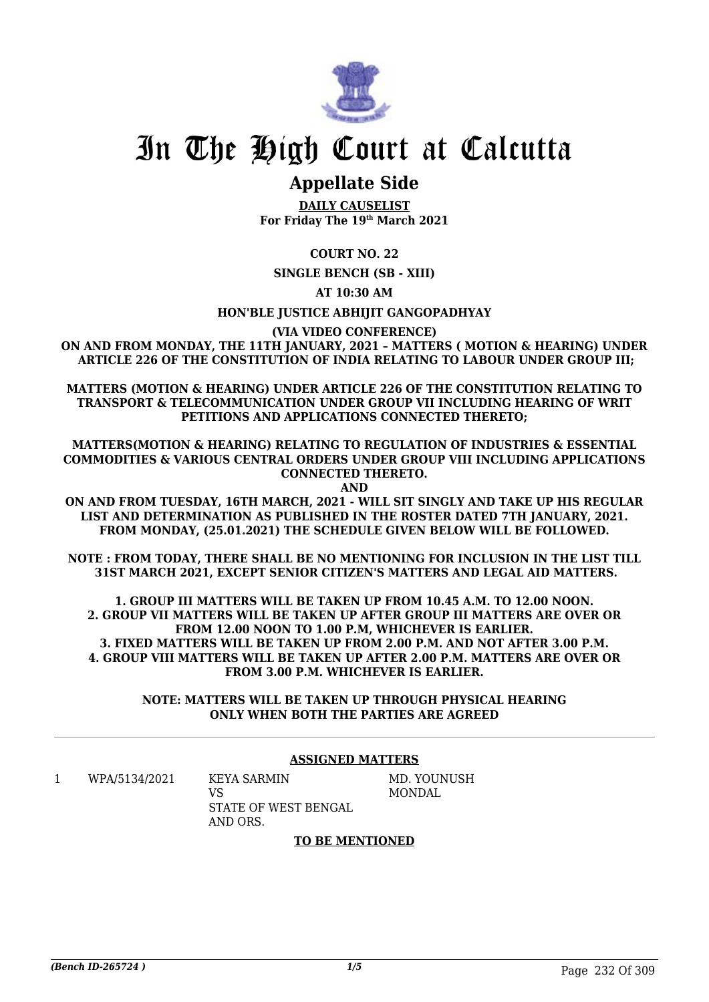

# In The High Court at Calcutta

### **Appellate Side**

**DAILY CAUSELIST For Friday The 19th March 2021**

**COURT NO. 22**

**SINGLE BENCH (SB - XIII)**

**AT 10:30 AM**

**HON'BLE JUSTICE ABHIJIT GANGOPADHYAY**

**(VIA VIDEO CONFERENCE)**

**ON AND FROM MONDAY, THE 11TH JANUARY, 2021 – MATTERS ( MOTION & HEARING) UNDER ARTICLE 226 OF THE CONSTITUTION OF INDIA RELATING TO LABOUR UNDER GROUP III;**

**MATTERS (MOTION & HEARING) UNDER ARTICLE 226 OF THE CONSTITUTION RELATING TO TRANSPORT & TELECOMMUNICATION UNDER GROUP VII INCLUDING HEARING OF WRIT PETITIONS AND APPLICATIONS CONNECTED THERETO;**

**MATTERS(MOTION & HEARING) RELATING TO REGULATION OF INDUSTRIES & ESSENTIAL COMMODITIES & VARIOUS CENTRAL ORDERS UNDER GROUP VIII INCLUDING APPLICATIONS CONNECTED THERETO. AND**

**ON AND FROM TUESDAY, 16TH MARCH, 2021 - WILL SIT SINGLY AND TAKE UP HIS REGULAR LIST AND DETERMINATION AS PUBLISHED IN THE ROSTER DATED 7TH JANUARY, 2021. FROM MONDAY, (25.01.2021) THE SCHEDULE GIVEN BELOW WILL BE FOLLOWED.**

**NOTE : FROM TODAY, THERE SHALL BE NO MENTIONING FOR INCLUSION IN THE LIST TILL 31ST MARCH 2021, EXCEPT SENIOR CITIZEN'S MATTERS AND LEGAL AID MATTERS.**

**1. GROUP III MATTERS WILL BE TAKEN UP FROM 10.45 A.M. TO 12.00 NOON. 2. GROUP VII MATTERS WILL BE TAKEN UP AFTER GROUP III MATTERS ARE OVER OR FROM 12.00 NOON TO 1.00 P.M, WHICHEVER IS EARLIER. 3. FIXED MATTERS WILL BE TAKEN UP FROM 2.00 P.M. AND NOT AFTER 3.00 P.M. 4. GROUP VIII MATTERS WILL BE TAKEN UP AFTER 2.00 P.M. MATTERS ARE OVER OR FROM 3.00 P.M. WHICHEVER IS EARLIER.**

> **NOTE: MATTERS WILL BE TAKEN UP THROUGH PHYSICAL HEARING ONLY WHEN BOTH THE PARTIES ARE AGREED**

### **ASSIGNED MATTERS**

1 WPA/5134/2021 KEYA SARMIN

 $V<sub>S</sub>$ STATE OF WEST BENGAL AND ORS.

MD. YOUNUSH MONDAL

### **TO BE MENTIONED**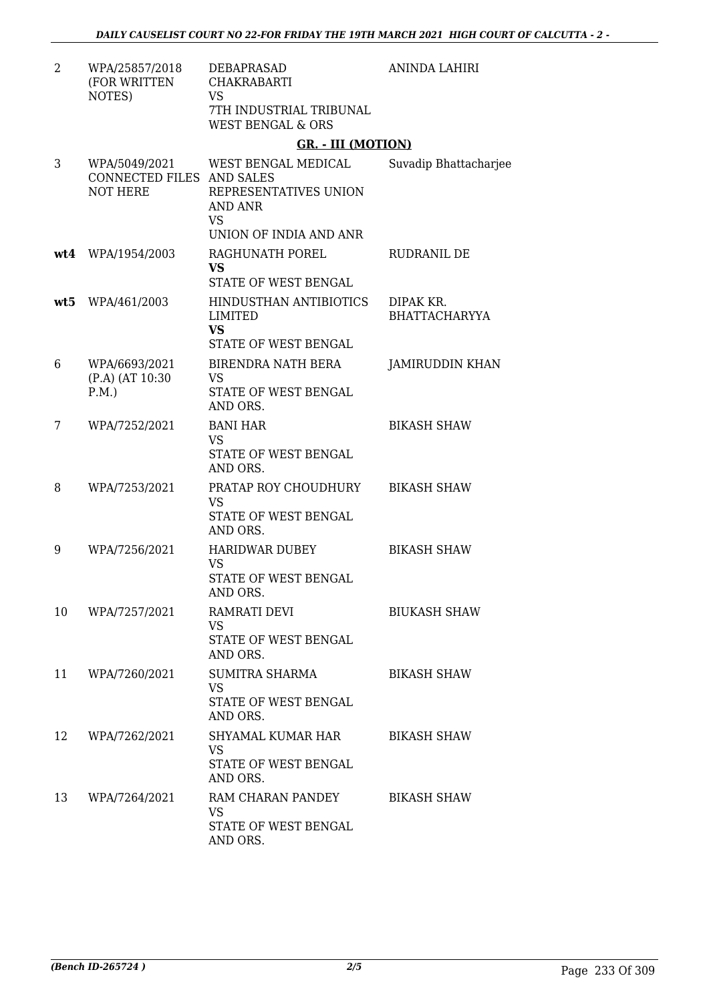| $\overline{2}$ | WPA/25857/2018<br>(FOR WRITTEN<br>NOTES)                      | DEBAPRASAD<br><b>CHAKRABARTI</b><br>VS<br>7TH INDUSTRIAL TRIBUNAL<br><b>WEST BENGAL &amp; ORS</b> | <b>ANINDA LAHIRI</b>              |
|----------------|---------------------------------------------------------------|---------------------------------------------------------------------------------------------------|-----------------------------------|
|                |                                                               | <b>GR. - III (MOTION)</b>                                                                         |                                   |
| 3              | WPA/5049/2021<br>CONNECTED FILES AND SALES<br><b>NOT HERE</b> | WEST BENGAL MEDICAL<br>REPRESENTATIVES UNION<br>AND ANR<br><b>VS</b>                              | Suvadip Bhattacharjee             |
|                |                                                               | UNION OF INDIA AND ANR                                                                            |                                   |
| wt4            | WPA/1954/2003                                                 | RAGHUNATH POREL<br>VS<br>STATE OF WEST BENGAL                                                     | RUDRANIL DE                       |
|                | wt5 WPA/461/2003                                              | HINDUSTHAN ANTIBIOTICS<br><b>LIMITED</b><br><b>VS</b><br>STATE OF WEST BENGAL                     | DIPAK KR.<br><b>BHATTACHARYYA</b> |
| 6              | WPA/6693/2021<br>(P.A) (AT 10:30<br>P.M.                      | <b>BIRENDRA NATH BERA</b><br><b>VS</b><br>STATE OF WEST BENGAL<br>AND ORS.                        | <b>JAMIRUDDIN KHAN</b>            |
| 7              | WPA/7252/2021                                                 | <b>BANI HAR</b><br><b>VS</b><br>STATE OF WEST BENGAL<br>AND ORS.                                  | <b>BIKASH SHAW</b>                |
| 8              | WPA/7253/2021                                                 | PRATAP ROY CHOUDHURY<br><b>VS</b><br>STATE OF WEST BENGAL<br>AND ORS.                             | <b>BIKASH SHAW</b>                |
| 9              | WPA/7256/2021                                                 | <b>HARIDWAR DUBEY</b><br><b>VS</b><br>STATE OF WEST BENGAL<br>AND ORS.                            | <b>BIKASH SHAW</b>                |
| 10             | WPA/7257/2021                                                 | RAMRATI DEVI<br><b>VS</b><br>STATE OF WEST BENGAL<br>AND ORS.                                     | <b>BIUKASH SHAW</b>               |
| 11             | WPA/7260/2021                                                 | SUMITRA SHARMA<br><b>VS</b><br>STATE OF WEST BENGAL<br>AND ORS.                                   | <b>BIKASH SHAW</b>                |
| 12             | WPA/7262/2021                                                 | SHYAMAL KUMAR HAR<br>VS<br>STATE OF WEST BENGAL<br>AND ORS.                                       | <b>BIKASH SHAW</b>                |
| 13             | WPA/7264/2021                                                 | RAM CHARAN PANDEY<br><b>VS</b><br>STATE OF WEST BENGAL<br>AND ORS.                                | <b>BIKASH SHAW</b>                |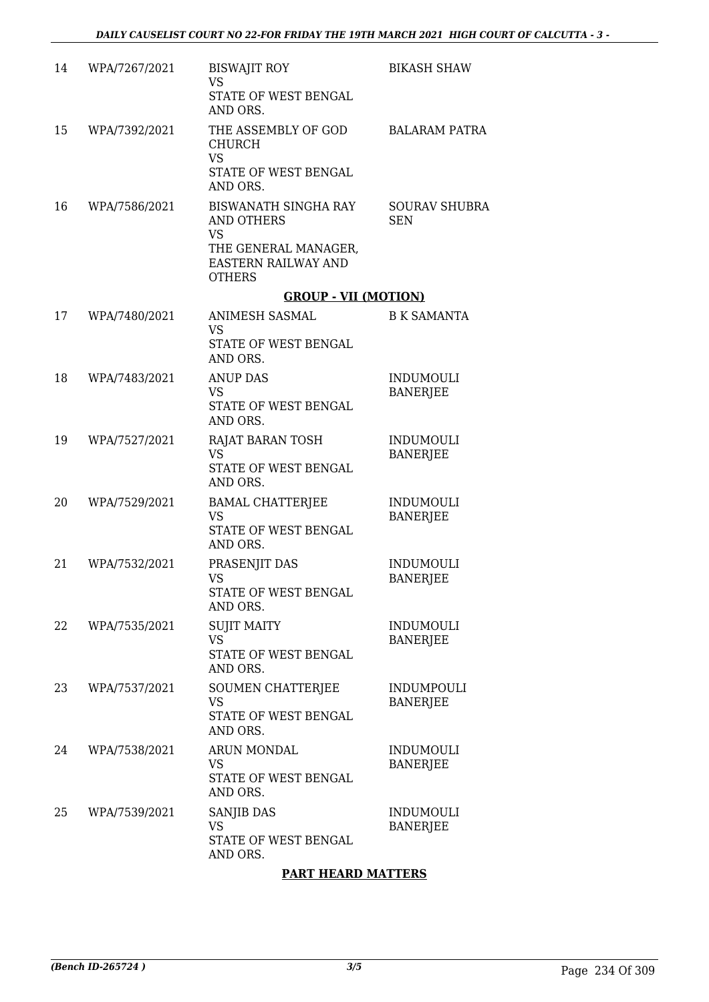| 14 | WPA/7267/2021 | <b>BISWAJIT ROY</b><br><b>VS</b><br>STATE OF WEST BENGAL<br>AND ORS.                                                   | <b>BIKASH SHAW</b>                   |
|----|---------------|------------------------------------------------------------------------------------------------------------------------|--------------------------------------|
| 15 | WPA/7392/2021 | THE ASSEMBLY OF GOD<br><b>CHURCH</b><br><b>VS</b><br>STATE OF WEST BENGAL<br>AND ORS.                                  | <b>BALARAM PATRA</b>                 |
| 16 | WPA/7586/2021 | <b>BISWANATH SINGHA RAY</b><br>AND OTHERS<br><b>VS</b><br>THE GENERAL MANAGER,<br>EASTERN RAILWAY AND<br><b>OTHERS</b> | <b>SOURAV SHUBRA</b><br><b>SEN</b>   |
|    |               | <b>GROUP - VII (MOTION)</b>                                                                                            |                                      |
| 17 | WPA/7480/2021 | <b>ANIMESH SASMAL</b><br>VS.<br>STATE OF WEST BENGAL<br>AND ORS.                                                       | <b>B K SAMANTA</b>                   |
| 18 | WPA/7483/2021 | <b>ANUP DAS</b><br>VS<br>STATE OF WEST BENGAL<br>AND ORS.                                                              | <b>INDUMOULI</b><br><b>BANERJEE</b>  |
| 19 | WPA/7527/2021 | RAJAT BARAN TOSH<br><b>VS</b><br>STATE OF WEST BENGAL<br>AND ORS.                                                      | <b>INDUMOULI</b><br><b>BANERJEE</b>  |
| 20 | WPA/7529/2021 | <b>BAMAL CHATTERJEE</b><br><b>VS</b><br>STATE OF WEST BENGAL<br>AND ORS.                                               | <b>INDUMOULI</b><br><b>BANERJEE</b>  |
| 21 | WPA/7532/2021 | PRASENJIT DAS<br><b>VS</b><br>STATE OF WEST BENGAL<br>AND ORS.                                                         | <b>INDUMOULI</b><br><b>BANERJEE</b>  |
| 22 | WPA/7535/2021 | <b>SUJIT MAITY</b><br><b>VS</b><br>STATE OF WEST BENGAL<br>AND ORS.                                                    | <b>INDUMOULI</b><br><b>BANERJEE</b>  |
| 23 | WPA/7537/2021 | SOUMEN CHATTERJEE<br>VS<br>STATE OF WEST BENGAL<br>AND ORS.                                                            | <b>INDUMPOULI</b><br><b>BANERJEE</b> |
| 24 | WPA/7538/2021 | ARUN MONDAL<br>VS.<br>STATE OF WEST BENGAL<br>AND ORS.                                                                 | <b>INDUMOULI</b><br><b>BANERJEE</b>  |
| 25 | WPA/7539/2021 | SANJIB DAS<br>VS<br>STATE OF WEST BENGAL<br>AND ORS.                                                                   | <b>INDUMOULI</b><br><b>BANERJEE</b>  |

### **PART HEARD MATTERS**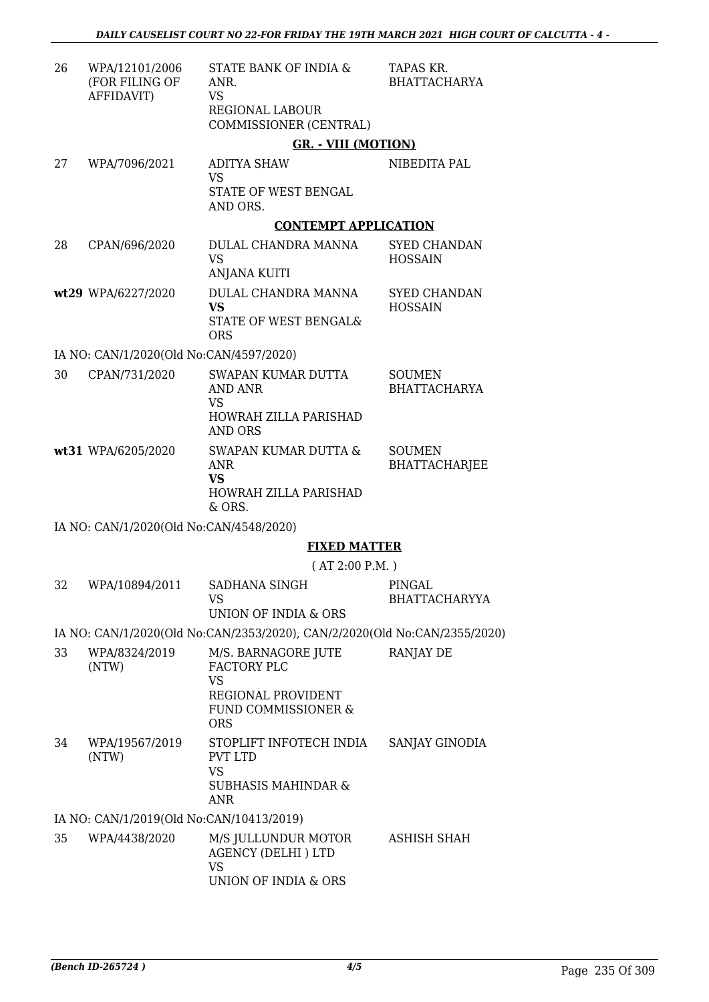| 26 | WPA/12101/2006<br>(FOR FILING OF<br>AFFIDAVIT) | STATE BANK OF INDIA &<br>ANR.<br>VS<br>REGIONAL LABOUR<br>COMMISSIONER (CENTRAL)      | TAPAS KR.<br><b>BHATTACHARYA</b>      |
|----|------------------------------------------------|---------------------------------------------------------------------------------------|---------------------------------------|
|    |                                                | <b>GR. - VIII (MOTION)</b>                                                            |                                       |
| 27 | WPA/7096/2021                                  | <b>ADITYA SHAW</b><br><b>VS</b>                                                       | NIBEDITA PAL                          |
|    |                                                | STATE OF WEST BENGAL<br>AND ORS.                                                      |                                       |
|    |                                                | <b>CONTEMPT APPLICATION</b>                                                           |                                       |
| 28 | CPAN/696/2020                                  | DULAL CHANDRA MANNA<br><b>VS</b><br><b>ANJANA KUITI</b>                               | <b>SYED CHANDAN</b><br><b>HOSSAIN</b> |
|    | wt29 WPA/6227/2020                             | DULAL CHANDRA MANNA<br><b>VS</b><br>STATE OF WEST BENGAL&<br><b>ORS</b>               | <b>SYED CHANDAN</b><br><b>HOSSAIN</b> |
|    | IA NO: CAN/1/2020(Old No:CAN/4597/2020)        |                                                                                       |                                       |
| 30 | CPAN/731/2020                                  | SWAPAN KUMAR DUTTA<br><b>AND ANR</b><br><b>VS</b>                                     | <b>SOUMEN</b><br><b>BHATTACHARYA</b>  |
|    |                                                | HOWRAH ZILLA PARISHAD<br><b>AND ORS</b>                                               |                                       |
|    | wt31 WPA/6205/2020                             | SWAPAN KUMAR DUTTA &<br><b>ANR</b><br><b>VS</b><br>HOWRAH ZILLA PARISHAD<br>& ORS.    | <b>SOUMEN</b><br><b>BHATTACHARJEE</b> |
|    | IA NO: CAN/1/2020(Old No:CAN/4548/2020)        |                                                                                       |                                       |
|    |                                                | <b>FIXED MATTER</b>                                                                   |                                       |
|    |                                                | (AT 2:00 P.M.)                                                                        |                                       |
| 32 | WPA/10894/2011                                 | <b>SADHANA SINGH</b><br><b>VS</b>                                                     | PINGAL<br><b>BHATTACHARYYA</b>        |
|    |                                                | UNION OF INDIA & ORS                                                                  |                                       |
|    |                                                | IA NO: CAN/1/2020(Old No:CAN/2353/2020), CAN/2/2020(Old No:CAN/2355/2020)             |                                       |
| 33 | WPA/8324/2019<br>(NTW)                         | M/S. BARNAGORE JUTE<br>FACTORY PLC<br><b>VS</b>                                       | <b>RANJAY DE</b>                      |
|    |                                                | REGIONAL PROVIDENT<br>FUND COMMISSIONER &<br><b>ORS</b>                               |                                       |
| 34 | WPA/19567/2019<br>(NTW)                        | STOPLIFT INFOTECH INDIA<br><b>PVT LTD</b><br><b>VS</b>                                | SANJAY GINODIA                        |
|    |                                                | <b>SUBHASIS MAHINDAR &amp;</b><br>ANR                                                 |                                       |
|    | IA NO: CAN/1/2019(Old No:CAN/10413/2019)       |                                                                                       |                                       |
| 35 | WPA/4438/2020                                  | M/S JULLUNDUR MOTOR<br><b>AGENCY (DELHI) LTD</b><br><b>VS</b><br>UNION OF INDIA & ORS | ASHISH SHAH                           |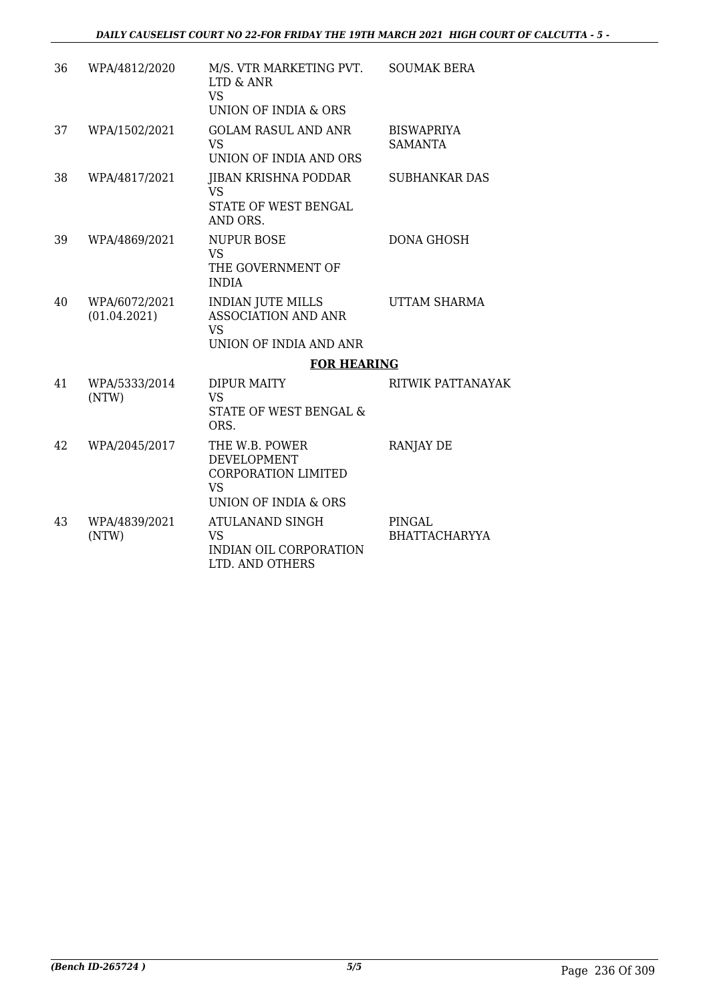| 36 | WPA/4812/2020                 | M/S. VTR MARKETING PVT.<br>LTD & ANR<br><b>VS</b><br>UNION OF INDIA & ORS                               | <b>SOUMAK BERA</b>                  |
|----|-------------------------------|---------------------------------------------------------------------------------------------------------|-------------------------------------|
| 37 | WPA/1502/2021                 | <b>GOLAM RASUL AND ANR</b><br><b>VS</b><br>UNION OF INDIA AND ORS                                       | <b>BISWAPRIYA</b><br><b>SAMANTA</b> |
| 38 | WPA/4817/2021                 | JIBAN KRISHNA PODDAR<br><b>VS</b><br>STATE OF WEST BENGAL<br>AND ORS.                                   | <b>SUBHANKAR DAS</b>                |
| 39 | WPA/4869/2021                 | <b>NUPUR BOSE</b><br><b>VS</b><br>THE GOVERNMENT OF<br><b>INDIA</b>                                     | <b>DONA GHOSH</b>                   |
| 40 | WPA/6072/2021<br>(01.04.2021) | <b>INDIAN JUTE MILLS</b><br><b>ASSOCIATION AND ANR</b><br><b>VS</b><br>UNION OF INDIA AND ANR           | UTTAM SHARMA                        |
|    |                               | <b>FOR HEARING</b>                                                                                      |                                     |
| 41 | WPA/5333/2014<br>(NTW)        | <b>DIPUR MAITY</b><br><b>VS</b><br>STATE OF WEST BENGAL &<br>ORS.                                       | RITWIK PATTANAYAK                   |
| 42 | WPA/2045/2017                 | THE W.B. POWER<br><b>DEVELOPMENT</b><br><b>CORPORATION LIMITED</b><br><b>VS</b><br>UNION OF INDIA & ORS | <b>RANJAY DE</b>                    |
| 43 | WPA/4839/2021<br>(NTW)        | ATULANAND SINGH<br><b>VS</b><br><b>INDIAN OIL CORPORATION</b><br>LTD. AND OTHERS                        | PINGAL<br><b>BHATTACHARYYA</b>      |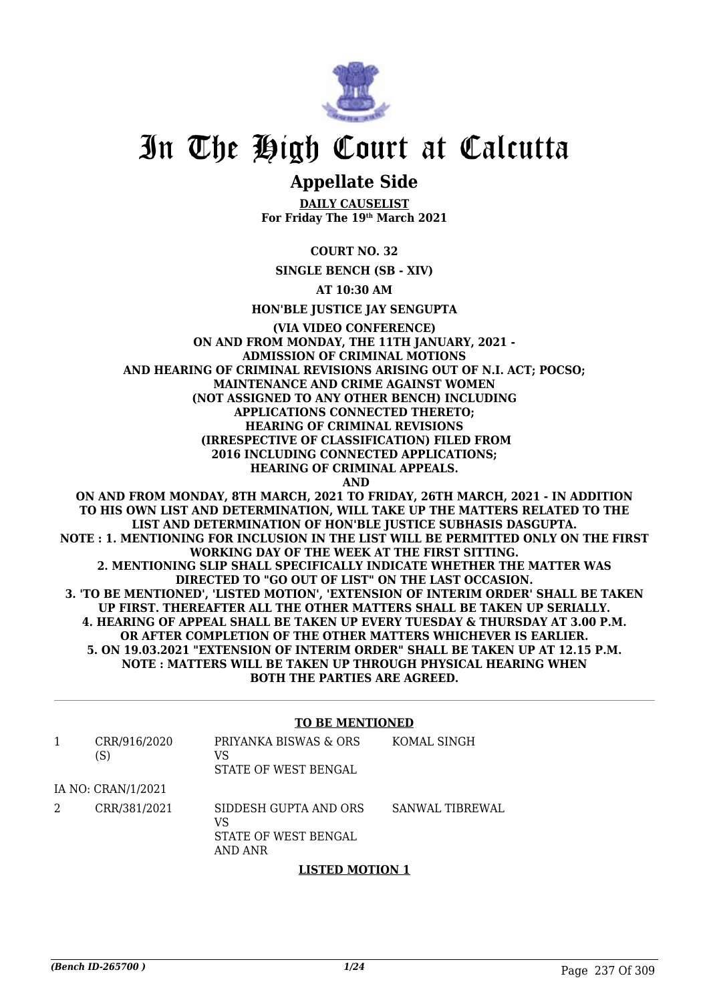

## In The High Court at Calcutta

### **Appellate Side**

**DAILY CAUSELIST For Friday The 19th March 2021**

**COURT NO. 32**

**SINGLE BENCH (SB - XIV)**

**AT 10:30 AM**

**HON'BLE JUSTICE JAY SENGUPTA**

**(VIA VIDEO CONFERENCE) ON AND FROM MONDAY, THE 11TH JANUARY, 2021 - ADMISSION OF CRIMINAL MOTIONS AND HEARING OF CRIMINAL REVISIONS ARISING OUT OF N.I. ACT; POCSO; MAINTENANCE AND CRIME AGAINST WOMEN (NOT ASSIGNED TO ANY OTHER BENCH) INCLUDING APPLICATIONS CONNECTED THERETO; HEARING OF CRIMINAL REVISIONS (IRRESPECTIVE OF CLASSIFICATION) FILED FROM 2016 INCLUDING CONNECTED APPLICATIONS; HEARING OF CRIMINAL APPEALS. AND ON AND FROM MONDAY, 8TH MARCH, 2021 TO FRIDAY, 26TH MARCH, 2021 - IN ADDITION**

**TO HIS OWN LIST AND DETERMINATION, WILL TAKE UP THE MATTERS RELATED TO THE LIST AND DETERMINATION OF HON'BLE JUSTICE SUBHASIS DASGUPTA. NOTE : 1. MENTIONING FOR INCLUSION IN THE LIST WILL BE PERMITTED ONLY ON THE FIRST WORKING DAY OF THE WEEK AT THE FIRST SITTING. 2. MENTIONING SLIP SHALL SPECIFICALLY INDICATE WHETHER THE MATTER WAS DIRECTED TO "GO OUT OF LIST" ON THE LAST OCCASION. 3. 'TO BE MENTIONED', 'LISTED MOTION', 'EXTENSION OF INTERIM ORDER' SHALL BE TAKEN UP FIRST. THEREAFTER ALL THE OTHER MATTERS SHALL BE TAKEN UP SERIALLY. 4. HEARING OF APPEAL SHALL BE TAKEN UP EVERY TUESDAY & THURSDAY AT 3.00 P.M. OR AFTER COMPLETION OF THE OTHER MATTERS WHICHEVER IS EARLIER. 5. ON 19.03.2021 "EXTENSION OF INTERIM ORDER" SHALL BE TAKEN UP AT 12.15 P.M. NOTE : MATTERS WILL BE TAKEN UP THROUGH PHYSICAL HEARING WHEN BOTH THE PARTIES ARE AGREED.**

### **TO BE MENTIONED**

|   | CRR/916/2020<br>(S) | PRIYANKA BISWAS & ORS<br>VS<br>STATE OF WEST BENGAL            | KOMAL SINGH     |
|---|---------------------|----------------------------------------------------------------|-----------------|
|   | IA NO: CRAN/1/2021  |                                                                |                 |
| 2 | CRR/381/2021        | SIDDESH GUPTA AND ORS<br>VS<br>STATE OF WEST BENGAL<br>AND ANR | SANWAL TIBREWAL |

### **LISTED MOTION 1**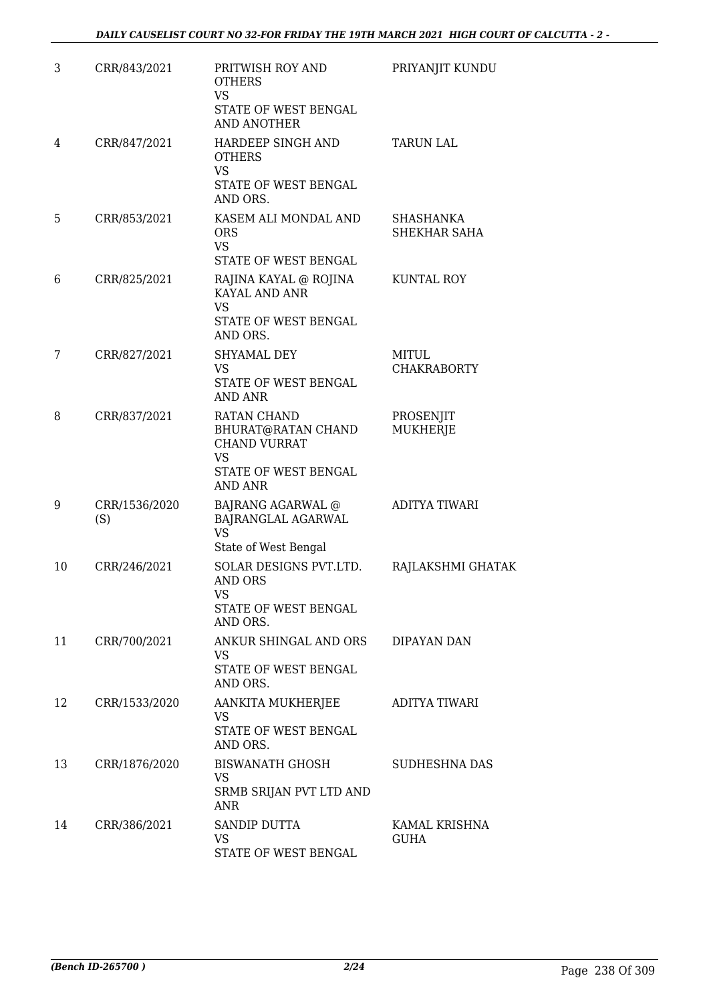| 3  | CRR/843/2021         | PRITWISH ROY AND<br><b>OTHERS</b><br><b>VS</b><br>STATE OF WEST BENGAL<br><b>AND ANOTHER</b>                    | PRIYANJIT KUNDU              |
|----|----------------------|-----------------------------------------------------------------------------------------------------------------|------------------------------|
| 4  | CRR/847/2021         | HARDEEP SINGH AND<br><b>OTHERS</b><br><b>VS</b><br>STATE OF WEST BENGAL<br>AND ORS.                             | <b>TARUN LAL</b>             |
| 5  | CRR/853/2021         | KASEM ALI MONDAL AND<br><b>ORS</b><br><b>VS</b><br>STATE OF WEST BENGAL                                         | SHASHANKA<br>SHEKHAR SAHA    |
| 6  | CRR/825/2021         | RAJINA KAYAL @ ROJINA<br>KAYAL AND ANR<br><b>VS</b><br>STATE OF WEST BENGAL<br>AND ORS.                         | KUNTAL ROY                   |
| 7  | CRR/827/2021         | <b>SHYAMAL DEY</b><br><b>VS</b><br>STATE OF WEST BENGAL<br><b>AND ANR</b>                                       | MITUL<br><b>CHAKRABORTY</b>  |
| 8  | CRR/837/2021         | <b>RATAN CHAND</b><br>BHURAT@RATAN CHAND<br><b>CHAND VURRAT</b><br>VS<br>STATE OF WEST BENGAL<br><b>AND ANR</b> | PROSENJIT<br>MUKHERJE        |
| 9  | CRR/1536/2020<br>(S) | <b>BAJRANG AGARWAL @</b><br>BAJRANGLAL AGARWAL<br><b>VS</b><br>State of West Bengal                             | ADITYA TIWARI                |
| 10 | CRR/246/2021         | SOLAR DESIGNS PVT.LTD.<br>AND ORS<br>VS<br>STATE OF WEST BENGAL<br>AND ORS.                                     | RAJLAKSHMI GHATAK            |
| 11 | CRR/700/2021         | ANKUR SHINGAL AND ORS<br><b>VS</b><br>STATE OF WEST BENGAL<br>AND ORS.                                          | DIPAYAN DAN                  |
| 12 | CRR/1533/2020        | AANKITA MUKHERJEE<br>VS<br>STATE OF WEST BENGAL<br>AND ORS.                                                     | ADITYA TIWARI                |
| 13 | CRR/1876/2020        | BISWANATH GHOSH<br>VS<br>SRMB SRIJAN PVT LTD AND<br>ANR                                                         | SUDHESHNA DAS                |
| 14 | CRR/386/2021         | SANDIP DUTTA<br><b>VS</b><br>STATE OF WEST BENGAL                                                               | KAMAL KRISHNA<br><b>GUHA</b> |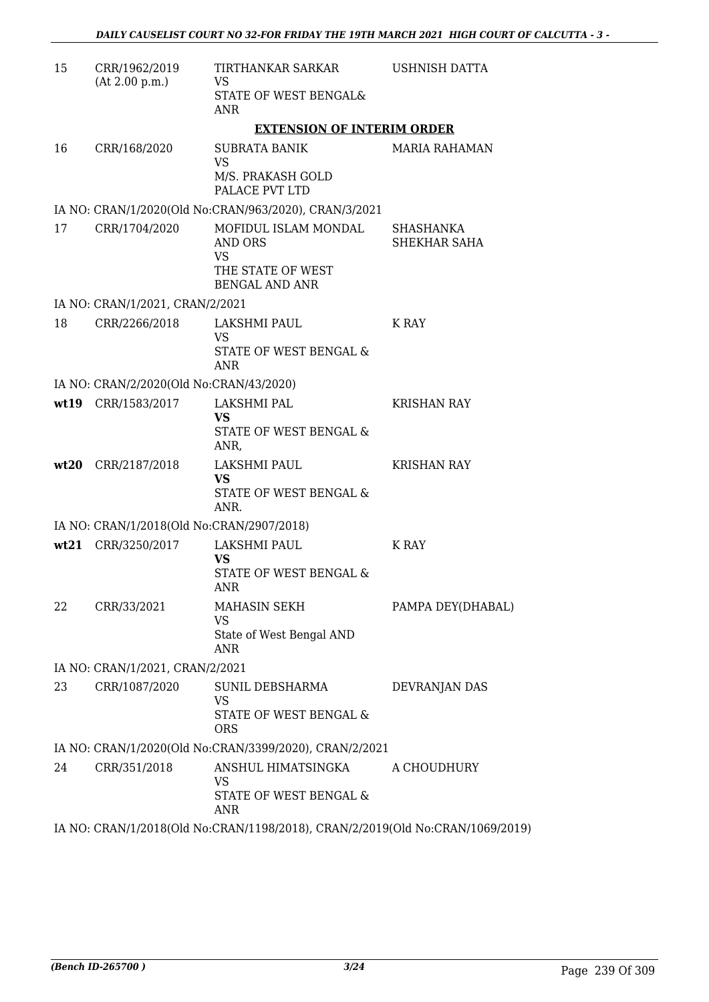| 15 | CRR/1962/2019                             | TIRTHANKAR SARKAR                                                                                                                                                                                                                                                                                                                                                                                                                                                                                                                                                                                                                                                                                                            | USHNISH DATTA             |
|----|-------------------------------------------|------------------------------------------------------------------------------------------------------------------------------------------------------------------------------------------------------------------------------------------------------------------------------------------------------------------------------------------------------------------------------------------------------------------------------------------------------------------------------------------------------------------------------------------------------------------------------------------------------------------------------------------------------------------------------------------------------------------------------|---------------------------|
|    | (At 2.00 p.m.)                            | VS<br>STATE OF WEST BENGAL&<br>ANR                                                                                                                                                                                                                                                                                                                                                                                                                                                                                                                                                                                                                                                                                           |                           |
|    |                                           | <b>EXTENSION OF INTERIM ORDER</b>                                                                                                                                                                                                                                                                                                                                                                                                                                                                                                                                                                                                                                                                                            |                           |
| 16 | CRR/168/2020                              | SUBRATA BANIK<br><b>VS</b>                                                                                                                                                                                                                                                                                                                                                                                                                                                                                                                                                                                                                                                                                                   | <b>MARIA RAHAMAN</b>      |
|    |                                           | M/S. PRAKASH GOLD<br>PALACE PVT LTD                                                                                                                                                                                                                                                                                                                                                                                                                                                                                                                                                                                                                                                                                          |                           |
|    |                                           | IA NO: CRAN/1/2020(Old No:CRAN/963/2020), CRAN/3/2021                                                                                                                                                                                                                                                                                                                                                                                                                                                                                                                                                                                                                                                                        |                           |
| 17 | CRR/1704/2020                             | MOFIDUL ISLAM MONDAL<br>AND ORS<br>VS<br>THE STATE OF WEST<br><b>BENGAL AND ANR</b>                                                                                                                                                                                                                                                                                                                                                                                                                                                                                                                                                                                                                                          | SHASHANKA<br>SHEKHAR SAHA |
|    | IA NO: CRAN/1/2021, CRAN/2/2021           |                                                                                                                                                                                                                                                                                                                                                                                                                                                                                                                                                                                                                                                                                                                              |                           |
| 18 | CRR/2266/2018                             | LAKSHMI PAUL<br>VS<br>STATE OF WEST BENGAL &<br><b>ANR</b>                                                                                                                                                                                                                                                                                                                                                                                                                                                                                                                                                                                                                                                                   | K RAY                     |
|    | IA NO: CRAN/2/2020(Old No:CRAN/43/2020)   |                                                                                                                                                                                                                                                                                                                                                                                                                                                                                                                                                                                                                                                                                                                              |                           |
|    | wt19 CRR/1583/2017                        | LAKSHMI PAL<br><b>VS</b><br>STATE OF WEST BENGAL &<br>ANR,                                                                                                                                                                                                                                                                                                                                                                                                                                                                                                                                                                                                                                                                   | <b>KRISHAN RAY</b>        |
|    | wt20 CRR/2187/2018                        | LAKSHMI PAUL<br><b>VS</b><br>STATE OF WEST BENGAL &<br>ANR.                                                                                                                                                                                                                                                                                                                                                                                                                                                                                                                                                                                                                                                                  | <b>KRISHAN RAY</b>        |
|    | IA NO: CRAN/1/2018(Old No:CRAN/2907/2018) |                                                                                                                                                                                                                                                                                                                                                                                                                                                                                                                                                                                                                                                                                                                              |                           |
|    | wt21 CRR/3250/2017                        | LAKSHMI PAUL<br><b>VS</b><br>STATE OF WEST BENGAL &<br>ANR                                                                                                                                                                                                                                                                                                                                                                                                                                                                                                                                                                                                                                                                   | K RAY                     |
| 22 | CRR/33/2021                               | <b>MAHASIN SEKH</b><br>VS<br>State of West Bengal AND                                                                                                                                                                                                                                                                                                                                                                                                                                                                                                                                                                                                                                                                        | PAMPA DEY(DHABAL)         |
|    |                                           | ANR                                                                                                                                                                                                                                                                                                                                                                                                                                                                                                                                                                                                                                                                                                                          |                           |
|    | IA NO: CRAN/1/2021, CRAN/2/2021           |                                                                                                                                                                                                                                                                                                                                                                                                                                                                                                                                                                                                                                                                                                                              |                           |
| 23 | CRR/1087/2020                             | SUNIL DEBSHARMA<br>VS<br>STATE OF WEST BENGAL &<br><b>ORS</b>                                                                                                                                                                                                                                                                                                                                                                                                                                                                                                                                                                                                                                                                | DEVRANJAN DAS             |
|    |                                           | IA NO: CRAN/1/2020(Old No:CRAN/3399/2020), CRAN/2/2021                                                                                                                                                                                                                                                                                                                                                                                                                                                                                                                                                                                                                                                                       |                           |
| 24 | CRR/351/2018                              | ANSHUL HIMATSINGKA<br>VS<br>STATE OF WEST BENGAL &                                                                                                                                                                                                                                                                                                                                                                                                                                                                                                                                                                                                                                                                           | A CHOUDHURY               |
|    |                                           | ANR<br>$\Lambda$ <sub>U</sub> $\Lambda$ <sub>U</sub> $\Lambda$ <sub>U</sub> $\Lambda$ <sub>U</sub> $\Lambda$ <sub>U</sub> $\Lambda$ <sub>U</sub> $\Lambda$ <sub>U</sub> $\Lambda$ U <sub>1</sub> $\Lambda$ <sub>U</sub> <sub>1</sub> $\Lambda$ <sub>U</sub> <sub>1</sub> $\Lambda$ <sub>U</sub> <sub>1</sub> $\Lambda$ <sub>U</sub> <sub>1</sub> $\Lambda$ <sub>U</sub> <sub>1</sub> $\Lambda$ <sub>U</sub> <sub>1</sub> $\Lambda$ <sub>U</sub> <sub>1</sub> $\Lambda$ <sub>U</sub> <sub>1</sub> $\Lambda$ <sub>U</sub> <sub>1</sub> $\Lambda$ <sub>U</sub> <sub>1</sub> $\Lambda$ <sub>U</sub> <sub>1</sub> $\Lambda$ <sub>U</sub> <sub>1</sub> $\Lambda$ <sub>U</sub> <sub>1</sub> $\Lambda$ <sub>U</sub> <sub>1</sub> $\$ |                           |

IA NO: CRAN/1/2018(Old No:CRAN/1198/2018), CRAN/2/2019(Old No:CRAN/1069/2019)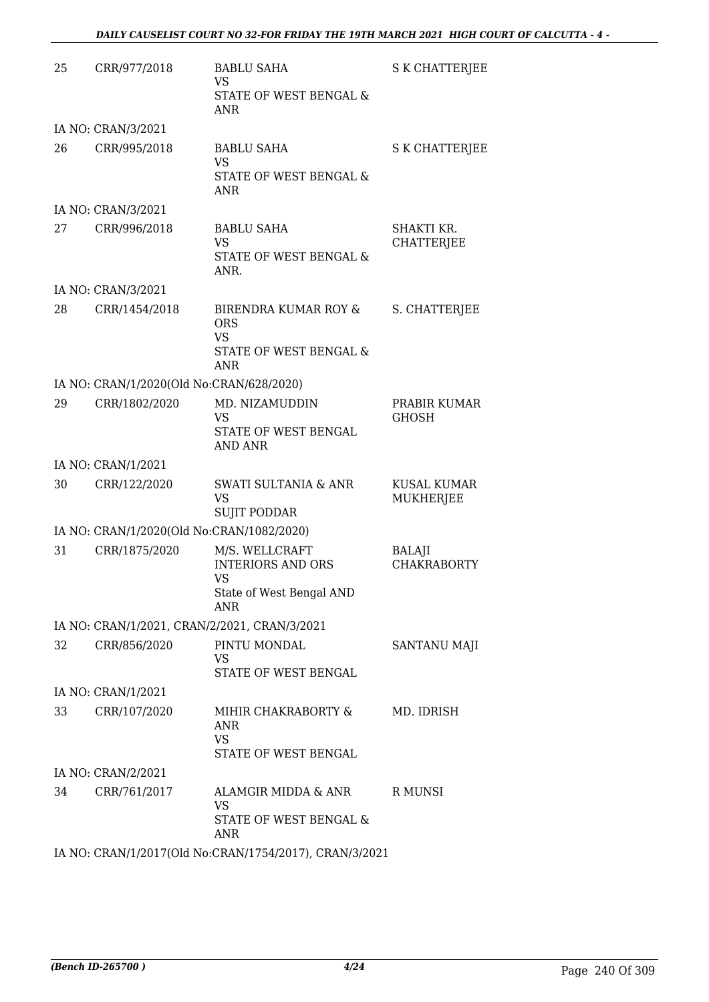| 25 | CRR/977/2018                                 | <b>BABLU SAHA</b><br><b>VS</b><br>STATE OF WEST BENGAL &<br>ANR                             | S K CHATTERJEE                  |
|----|----------------------------------------------|---------------------------------------------------------------------------------------------|---------------------------------|
|    | IA NO: CRAN/3/2021                           |                                                                                             |                                 |
| 26 | CRR/995/2018                                 | <b>BABLU SAHA</b><br><b>VS</b><br>STATE OF WEST BENGAL &<br>ANR                             | S K CHATTERJEE                  |
|    | IA NO: CRAN/3/2021                           |                                                                                             |                                 |
| 27 | CRR/996/2018                                 | <b>BABLU SAHA</b><br><b>VS</b><br>STATE OF WEST BENGAL &<br>ANR.                            | SHAKTI KR.<br><b>CHATTERJEE</b> |
|    | IA NO: CRAN/3/2021                           |                                                                                             |                                 |
| 28 | CRR/1454/2018                                | <b>BIRENDRA KUMAR ROY &amp;</b><br><b>ORS</b><br><b>VS</b><br>STATE OF WEST BENGAL &<br>ANR | S. CHATTERJEE                   |
|    | IA NO: CRAN/1/2020(Old No:CRAN/628/2020)     |                                                                                             |                                 |
| 29 | CRR/1802/2020                                | MD. NIZAMUDDIN<br><b>VS</b><br>STATE OF WEST BENGAL<br>AND ANR                              | PRABIR KUMAR<br><b>GHOSH</b>    |
|    | IA NO: CRAN/1/2021                           |                                                                                             |                                 |
| 30 | CRR/122/2020                                 | <b>SWATI SULTANIA &amp; ANR</b><br><b>VS</b><br><b>SUJIT PODDAR</b>                         | KUSAL KUMAR<br>MUKHERJEE        |
|    | IA NO: CRAN/1/2020(Old No:CRAN/1082/2020)    |                                                                                             |                                 |
| 31 | CRR/1875/2020                                | M/S. WELLCRAFT<br><b>INTERIORS AND ORS</b><br><b>VS</b><br>State of West Bengal AND<br>ANR  | BALAJI<br><b>CHAKRABORTY</b>    |
|    | IA NO: CRAN/1/2021, CRAN/2/2021, CRAN/3/2021 |                                                                                             |                                 |
| 32 | CRR/856/2020                                 | PINTU MONDAL<br><b>VS</b><br>STATE OF WEST BENGAL                                           | SANTANU MAJI                    |
|    | IA NO: CRAN/1/2021                           |                                                                                             |                                 |
| 33 | CRR/107/2020                                 | MIHIR CHAKRABORTY &<br>ANR<br><b>VS</b><br>STATE OF WEST BENGAL                             | MD. IDRISH                      |
|    | IA NO: CRAN/2/2021                           |                                                                                             |                                 |
| 34 | CRR/761/2017                                 | ALAMGIR MIDDA & ANR<br>VS<br>STATE OF WEST BENGAL &<br><b>ANR</b>                           | R MUNSI                         |
|    |                                              |                                                                                             |                                 |

IA NO: CRAN/1/2017(Old No:CRAN/1754/2017), CRAN/3/2021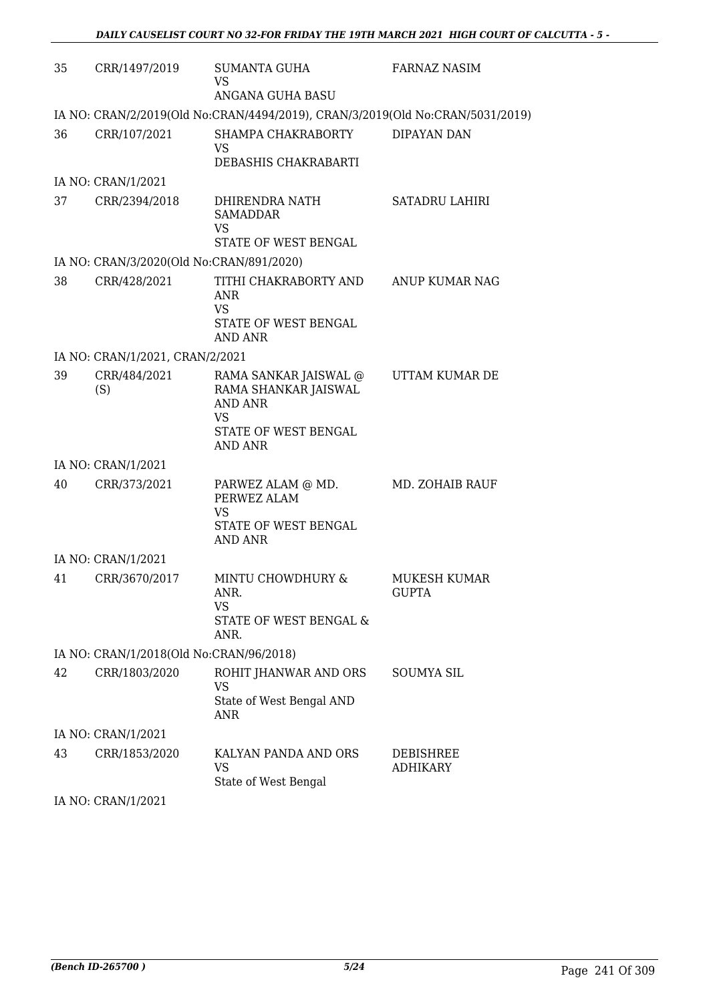| 35 | CRR/1497/2019                            | SUMANTA GUHA<br><b>VS</b>                                                                                       | FARNAZ NASIM                 |
|----|------------------------------------------|-----------------------------------------------------------------------------------------------------------------|------------------------------|
|    |                                          | ANGANA GUHA BASU<br>IA NO: CRAN/2/2019(Old No:CRAN/4494/2019), CRAN/3/2019(Old No:CRAN/5031/2019)               |                              |
| 36 | CRR/107/2021                             | SHAMPA CHAKRABORTY                                                                                              | <b>DIPAYAN DAN</b>           |
|    |                                          | VS<br>DEBASHIS CHAKRABARTI                                                                                      |                              |
|    | IA NO: CRAN/1/2021                       |                                                                                                                 |                              |
| 37 | CRR/2394/2018                            | DHIRENDRA NATH<br><b>SAMADDAR</b><br>VS<br>STATE OF WEST BENGAL                                                 | SATADRU LAHIRI               |
|    | IA NO: CRAN/3/2020(Old No:CRAN/891/2020) |                                                                                                                 |                              |
| 38 | CRR/428/2021                             | TITHI CHAKRABORTY AND                                                                                           | ANUP KUMAR NAG               |
|    |                                          | <b>ANR</b><br><b>VS</b><br>STATE OF WEST BENGAL<br><b>AND ANR</b>                                               |                              |
|    | IA NO: CRAN/1/2021, CRAN/2/2021          |                                                                                                                 |                              |
| 39 | CRR/484/2021<br>(S)                      | RAMA SANKAR JAISWAL @<br>RAMA SHANKAR JAISWAL<br>AND ANR<br><b>VS</b><br>STATE OF WEST BENGAL<br><b>AND ANR</b> | UTTAM KUMAR DE               |
|    | IA NO: CRAN/1/2021                       |                                                                                                                 |                              |
| 40 | CRR/373/2021                             | PARWEZ ALAM @ MD.<br>PERWEZ ALAM<br><b>VS</b><br>STATE OF WEST BENGAL<br>AND ANR                                | MD. ZOHAIB RAUF              |
|    | IA NO: CRAN/1/2021                       |                                                                                                                 |                              |
| 41 | CRR/3670/2017                            | MINTU CHOWDHURY &<br>ANR.<br>VS<br>STATE OF WEST BENGAL &<br>ANR.                                               | MUKESH KUMAR<br><b>GUPTA</b> |
|    | IA NO: CRAN/1/2018(Old No:CRAN/96/2018)  |                                                                                                                 |                              |
| 42 | CRR/1803/2020                            | ROHIT JHANWAR AND ORS<br><b>VS</b><br>State of West Bengal AND<br>ANR                                           | SOUMYA SIL                   |
|    | IA NO: CRAN/1/2021                       |                                                                                                                 |                              |
| 43 | CRR/1853/2020                            | KALYAN PANDA AND ORS<br><b>VS</b><br>State of West Bengal                                                       | DEBISHREE<br><b>ADHIKARY</b> |
|    | $IA$ $N0$ . CDANI/1/2021                 |                                                                                                                 |                              |

IA NO: CRAN/1/2021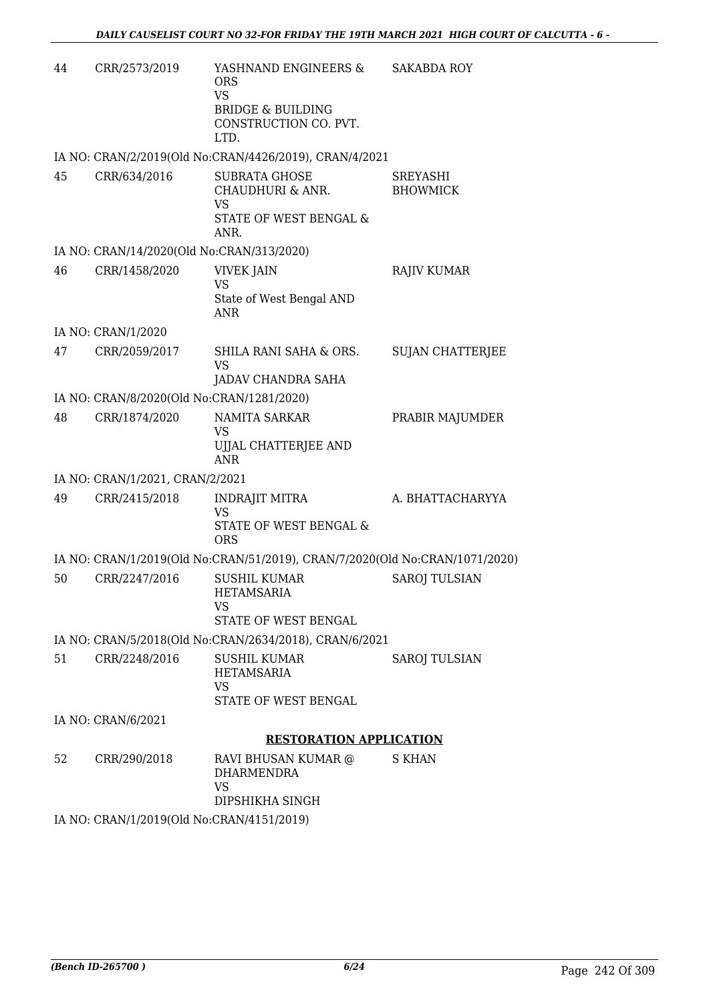| 44 | CRR/2573/2019                             | YASHNAND ENGINEERS &<br><b>ORS</b><br><b>VS</b>                                         | <b>SAKABDA ROY</b>                 |
|----|-------------------------------------------|-----------------------------------------------------------------------------------------|------------------------------------|
|    |                                           | <b>BRIDGE &amp; BUILDING</b><br>CONSTRUCTION CO. PVT.<br>LTD.                           |                                    |
|    |                                           | IA NO: CRAN/2/2019(Old No:CRAN/4426/2019), CRAN/4/2021                                  |                                    |
| 45 | CRR/634/2016                              | <b>SUBRATA GHOSE</b><br>CHAUDHURI & ANR.<br><b>VS</b><br>STATE OF WEST BENGAL &<br>ANR. | <b>SREYASHI</b><br><b>BHOWMICK</b> |
|    | IA NO: CRAN/14/2020(Old No:CRAN/313/2020) |                                                                                         |                                    |
| 46 | CRR/1458/2020                             | <b>VIVEK JAIN</b><br><b>VS</b><br>State of West Bengal AND<br><b>ANR</b>                | <b>RAJIV KUMAR</b>                 |
|    | IA NO: CRAN/1/2020                        |                                                                                         |                                    |
| 47 | CRR/2059/2017                             | SHILA RANI SAHA & ORS.<br><b>VS</b><br>JADAV CHANDRA SAHA                               | <b>SUJAN CHATTERJEE</b>            |
|    | IA NO: CRAN/8/2020(Old No:CRAN/1281/2020) |                                                                                         |                                    |
| 48 | CRR/1874/2020                             | <b>NAMITA SARKAR</b><br>VS<br>UJJAL CHATTERJEE AND<br><b>ANR</b>                        | PRABIR MAJUMDER                    |
|    | IA NO: CRAN/1/2021, CRAN/2/2021           |                                                                                         |                                    |
| 49 | CRR/2415/2018                             | <b>INDRAJIT MITRA</b><br><b>VS</b><br>STATE OF WEST BENGAL &<br><b>ORS</b>              | A. BHATTACHARYYA                   |
|    |                                           | IA NO: CRAN/1/2019(Old No:CRAN/51/2019), CRAN/7/2020(Old No:CRAN/1071/2020)             |                                    |
| 50 | CRR/2247/2016                             | <b>SUSHIL KUMAR</b><br><b>HETAMSARIA</b><br>VS<br>STATE OF WEST BENGAL                  | <b>SAROJ TULSIAN</b>               |
|    |                                           | IA NO: CRAN/5/2018(Old No:CRAN/2634/2018), CRAN/6/2021                                  |                                    |
| 51 | CRR/2248/2016                             | <b>SUSHIL KUMAR</b><br><b>HETAMSARIA</b><br><b>VS</b><br>STATE OF WEST BENGAL           | SAROJ TULSIAN                      |
|    | IA NO: CRAN/6/2021                        |                                                                                         |                                    |
|    |                                           | <b>RESTORATION APPLICATION</b>                                                          |                                    |
| 52 | CRR/290/2018                              | RAVI BHUSAN KUMAR @<br><b>DHARMENDRA</b><br><b>VS</b><br>DIPSHIKHA SINGH                | <b>S KHAN</b>                      |
|    | IA NO: CRAN/1/2019(Old No:CRAN/4151/2019) |                                                                                         |                                    |
|    |                                           |                                                                                         |                                    |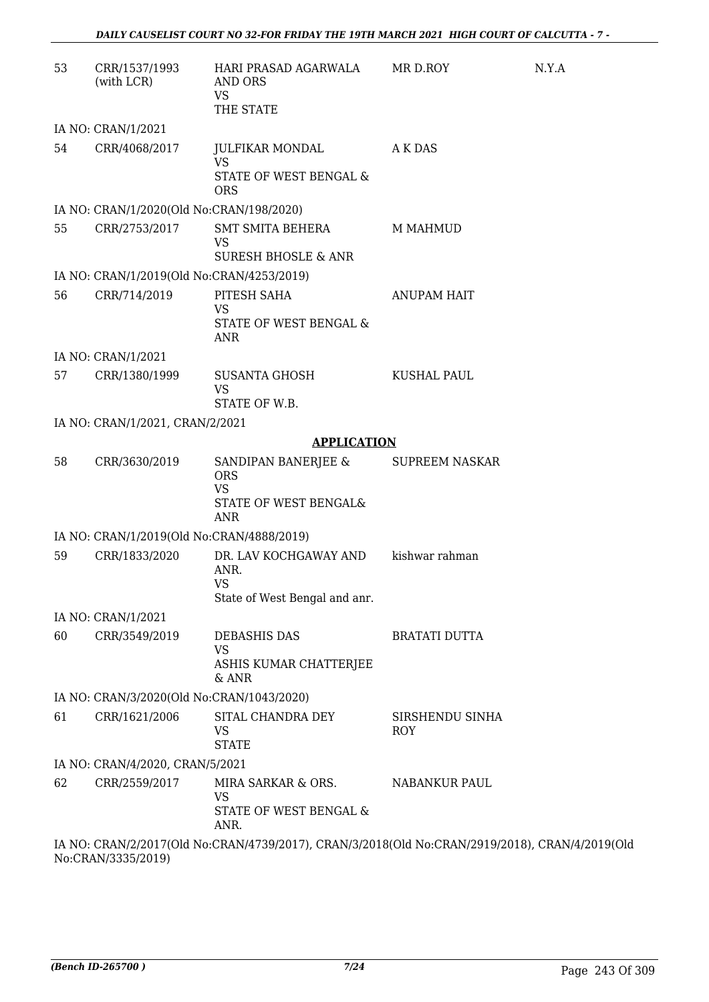| 53 | CRR/1537/1993<br>(with LCR)               | HARI PRASAD AGARWALA<br>AND ORS<br><b>VS</b><br>THE STATE                                      | MR D.ROY                      | N.Y.A |
|----|-------------------------------------------|------------------------------------------------------------------------------------------------|-------------------------------|-------|
|    | IA NO: CRAN/1/2021                        |                                                                                                |                               |       |
| 54 | CRR/4068/2017                             | JULFIKAR MONDAL<br><b>VS</b><br>STATE OF WEST BENGAL &<br><b>ORS</b>                           | A K DAS                       |       |
|    | IA NO: CRAN/1/2020(Old No:CRAN/198/2020)  |                                                                                                |                               |       |
| 55 | CRR/2753/2017                             | SMT SMITA BEHERA<br><b>VS</b><br><b>SURESH BHOSLE &amp; ANR</b>                                | M MAHMUD                      |       |
|    | IA NO: CRAN/1/2019(Old No:CRAN/4253/2019) |                                                                                                |                               |       |
| 56 | CRR/714/2019                              | PITESH SAHA<br><b>VS</b><br>STATE OF WEST BENGAL &<br>ANR                                      | <b>ANUPAM HAIT</b>            |       |
|    | IA NO: CRAN/1/2021                        |                                                                                                |                               |       |
| 57 | CRR/1380/1999                             | <b>SUSANTA GHOSH</b><br><b>VS</b><br>STATE OF W.B.                                             | <b>KUSHAL PAUL</b>            |       |
|    | IA NO: CRAN/1/2021, CRAN/2/2021           |                                                                                                |                               |       |
|    |                                           | <b>APPLICATION</b>                                                                             |                               |       |
| 58 | CRR/3630/2019                             | SANDIPAN BANERJEE &<br><b>ORS</b><br><b>VS</b><br>STATE OF WEST BENGAL&<br>ANR                 | <b>SUPREEM NASKAR</b>         |       |
|    | IA NO: CRAN/1/2019(Old No:CRAN/4888/2019) |                                                                                                |                               |       |
| 59 | CRR/1833/2020                             | DR. LAV KOCHGAWAY AND<br>ANR.<br><b>VS</b><br>State of West Bengal and anr.                    | kishwar rahman                |       |
|    | IA NO: CRAN/1/2021                        |                                                                                                |                               |       |
| 60 | CRR/3549/2019                             | <b>DEBASHIS DAS</b><br><b>VS</b><br>ASHIS KUMAR CHATTERJEE<br>& ANR                            | <b>BRATATI DUTTA</b>          |       |
|    | IA NO: CRAN/3/2020(Old No:CRAN/1043/2020) |                                                                                                |                               |       |
| 61 | CRR/1621/2006                             | SITAL CHANDRA DEY<br>VS<br><b>STATE</b>                                                        | SIRSHENDU SINHA<br><b>ROY</b> |       |
|    | IA NO: CRAN/4/2020, CRAN/5/2021           |                                                                                                |                               |       |
| 62 | CRR/2559/2017                             | MIRA SARKAR & ORS.<br><b>VS</b><br>STATE OF WEST BENGAL &<br>ANR.                              | <b>NABANKUR PAUL</b>          |       |
|    |                                           | IA NO: CRAN/2/2017(Old No:CRAN/4739/2017), CRAN/3/2018(Old No:CRAN/2919/2018), CRAN/4/2019(Old |                               |       |

No:CRAN/3335/2019)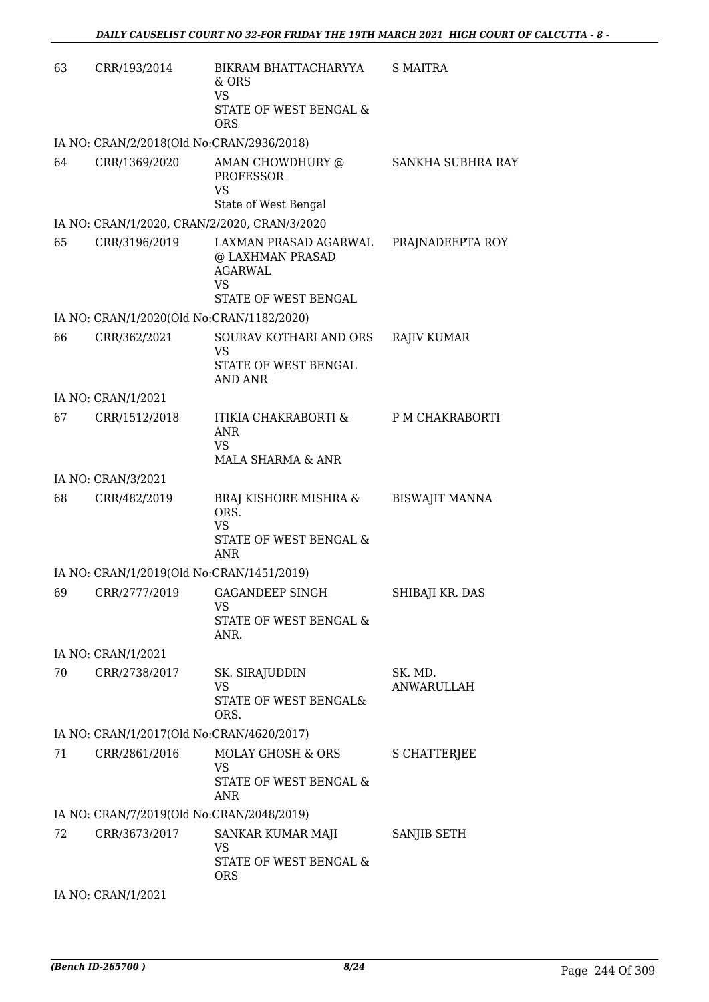| 63 | CRR/193/2014                              | BIKRAM BHATTACHARYYA<br>& ORS<br><b>VS</b>                                                | <b>S MAITRA</b>       |
|----|-------------------------------------------|-------------------------------------------------------------------------------------------|-----------------------|
|    |                                           | STATE OF WEST BENGAL &<br><b>ORS</b>                                                      |                       |
|    | IA NO: CRAN/2/2018(Old No:CRAN/2936/2018) |                                                                                           |                       |
| 64 | CRR/1369/2020                             | AMAN CHOWDHURY @<br>PROFESSOR<br><b>VS</b><br>State of West Bengal                        | SANKHA SUBHRA RAY     |
|    |                                           | IA NO: CRAN/1/2020, CRAN/2/2020, CRAN/3/2020                                              |                       |
| 65 | CRR/3196/2019                             | LAXMAN PRASAD AGARWAL PRAJNADEEPTA ROY<br>@ LAXHMAN PRASAD<br><b>AGARWAL</b><br><b>VS</b> |                       |
|    |                                           | STATE OF WEST BENGAL                                                                      |                       |
|    | IA NO: CRAN/1/2020(Old No:CRAN/1182/2020) |                                                                                           |                       |
| 66 | CRR/362/2021                              | SOURAV KOTHARI AND ORS<br><b>VS</b><br>STATE OF WEST BENGAL<br><b>AND ANR</b>             | <b>RAJIV KUMAR</b>    |
|    | IA NO: CRAN/1/2021                        |                                                                                           |                       |
| 67 | CRR/1512/2018                             | ITIKIA CHAKRABORTI & P M CHAKRABORTI<br><b>ANR</b><br><b>VS</b><br>MALA SHARMA & ANR      |                       |
|    | IA NO: CRAN/3/2021                        |                                                                                           |                       |
| 68 | CRR/482/2019                              | BRAJ KISHORE MISHRA &<br>ORS.<br><b>VS</b><br>STATE OF WEST BENGAL &<br><b>ANR</b>        | BISWAJIT MANNA        |
|    | IA NO: CRAN/1/2019(Old No:CRAN/1451/2019) |                                                                                           |                       |
|    |                                           | 69 CRR/2777/2019 GAGANDEEP SINGH<br>VS<br>STATE OF WEST BENGAL &<br>ANR.                  | SHIBAJI KR. DAS       |
|    | IA NO: CRAN/1/2021                        |                                                                                           |                       |
| 70 | CRR/2738/2017                             | SK. SIRAJUDDIN<br><b>VS</b><br>STATE OF WEST BENGAL&<br>ORS.                              | SK. MD.<br>ANWARULLAH |
|    | IA NO: CRAN/1/2017(Old No:CRAN/4620/2017) |                                                                                           |                       |
| 71 | CRR/2861/2016                             | MOLAY GHOSH & ORS<br>VS<br>STATE OF WEST BENGAL &<br><b>ANR</b>                           | S CHATTERJEE          |
|    | IA NO: CRAN/7/2019(Old No:CRAN/2048/2019) |                                                                                           |                       |
| 72 | CRR/3673/2017                             | SANKAR KUMAR MAJI<br>VS<br>STATE OF WEST BENGAL &                                         | SANJIB SETH           |
|    |                                           | <b>ORS</b>                                                                                |                       |
|    | IA NO: CRAN/1/2021                        |                                                                                           |                       |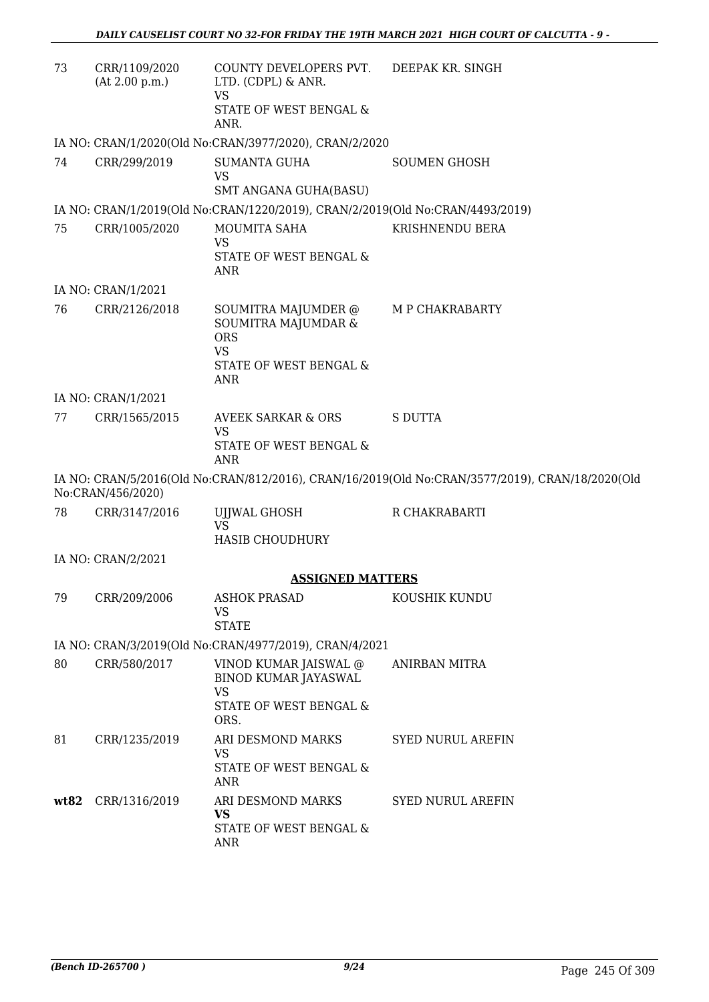| 73   | CRR/1109/2020<br>(At 2.00 p.m.) | COUNTY DEVELOPERS PVT. DEEPAK KR. SINGH<br>LTD. (CDPL) & ANR.<br><b>VS</b>                             |                                                                                                 |
|------|---------------------------------|--------------------------------------------------------------------------------------------------------|-------------------------------------------------------------------------------------------------|
|      |                                 | STATE OF WEST BENGAL &<br>ANR.                                                                         |                                                                                                 |
|      |                                 | IA NO: CRAN/1/2020(Old No:CRAN/3977/2020), CRAN/2/2020                                                 |                                                                                                 |
| 74   | CRR/299/2019                    | <b>SUMANTA GUHA</b><br><b>VS</b><br>SMT ANGANA GUHA(BASU)                                              | <b>SOUMEN GHOSH</b>                                                                             |
|      |                                 | IA NO: CRAN/1/2019(Old No:CRAN/1220/2019), CRAN/2/2019(Old No:CRAN/4493/2019)                          |                                                                                                 |
| 75   | CRR/1005/2020                   | MOUMITA SAHA<br>VS<br>STATE OF WEST BENGAL &<br><b>ANR</b>                                             | KRISHNENDU BERA                                                                                 |
|      | IA NO: CRAN/1/2021              |                                                                                                        |                                                                                                 |
| 76   | CRR/2126/2018                   | SOUMITRA MAJUMDER @<br>SOUMITRA MAJUMDAR &<br><b>ORS</b><br><b>VS</b><br>STATE OF WEST BENGAL &<br>ANR | M P CHAKRABARTY                                                                                 |
|      | IA NO: CRAN/1/2021              |                                                                                                        |                                                                                                 |
| 77   | CRR/1565/2015                   | <b>AVEEK SARKAR &amp; ORS</b><br><b>VS</b>                                                             | <b>S DUTTA</b>                                                                                  |
|      |                                 | STATE OF WEST BENGAL &<br><b>ANR</b>                                                                   |                                                                                                 |
|      | No:CRAN/456/2020)               |                                                                                                        | IA NO: CRAN/5/2016(Old No:CRAN/812/2016), CRAN/16/2019(Old No:CRAN/3577/2019), CRAN/18/2020(Old |
| 78   | CRR/3147/2016                   | UJJWAL GHOSH<br>VS<br>HASIB CHOUDHURY                                                                  | R CHAKRABARTI                                                                                   |
|      | IA NO: CRAN/2/2021              |                                                                                                        |                                                                                                 |
|      |                                 | <b>ASSIGNED MATTERS</b>                                                                                |                                                                                                 |
| 79   | CRR/209/2006                    | <b>ASHOK PRASAD</b><br>VS<br><b>STATE</b>                                                              | KOUSHIK KUNDU                                                                                   |
|      |                                 | IA NO: CRAN/3/2019(Old No:CRAN/4977/2019), CRAN/4/2021                                                 |                                                                                                 |
| 80   | CRR/580/2017                    | VINOD KUMAR JAISWAL @<br><b>BINOD KUMAR JAYASWAL</b><br>VS<br>STATE OF WEST BENGAL &<br>ORS.           | ANIRBAN MITRA                                                                                   |
| 81   | CRR/1235/2019                   | ARI DESMOND MARKS<br><b>VS</b><br>STATE OF WEST BENGAL &<br><b>ANR</b>                                 | <b>SYED NURUL AREFIN</b>                                                                        |
| wt82 | CRR/1316/2019                   | ARI DESMOND MARKS<br><b>VS</b><br>STATE OF WEST BENGAL &<br><b>ANR</b>                                 | <b>SYED NURUL AREFIN</b>                                                                        |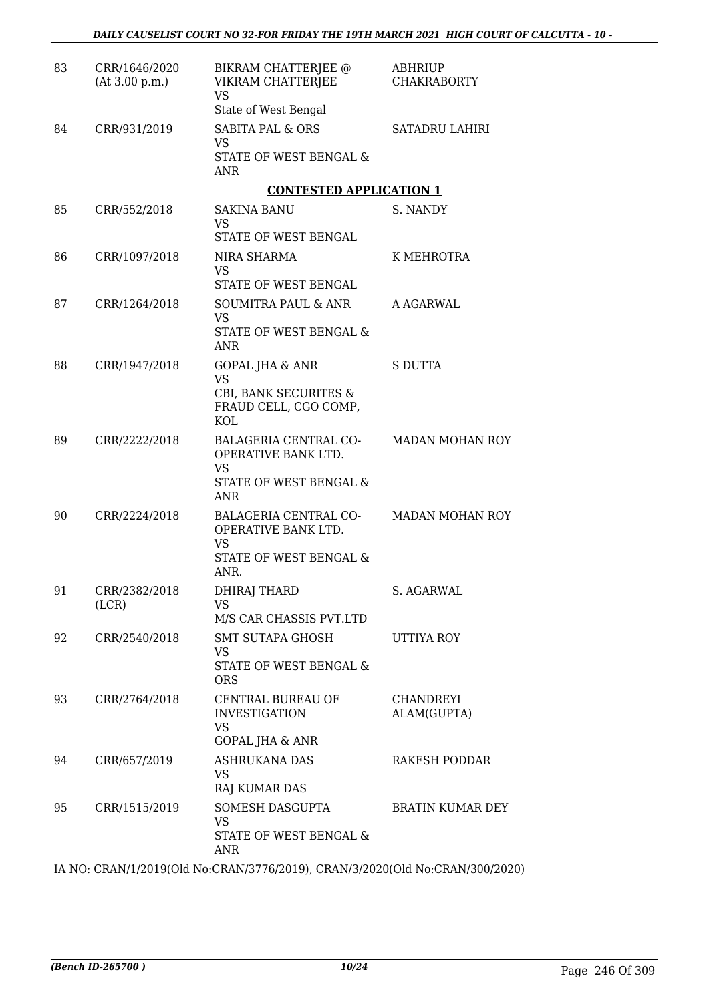| 83 | CRR/1646/2020<br>(At 3.00 p.m.) | BIKRAM CHATTERJEE @<br>VIKRAM CHATTERJEE<br><b>VS</b><br>State of West Bengal                     | <b>ABHRIUP</b><br><b>CHAKRABORTY</b> |
|----|---------------------------------|---------------------------------------------------------------------------------------------------|--------------------------------------|
| 84 | CRR/931/2019                    | <b>SABITA PAL &amp; ORS</b><br><b>VS</b><br>STATE OF WEST BENGAL &<br>ANR                         | <b>SATADRU LAHIRI</b>                |
|    |                                 | <b>CONTESTED APPLICATION 1</b>                                                                    |                                      |
| 85 | CRR/552/2018                    | <b>SAKINA BANU</b><br><b>VS</b>                                                                   | S. NANDY                             |
| 86 | CRR/1097/2018                   | STATE OF WEST BENGAL<br>NIRA SHARMA<br>VS                                                         | K MEHROTRA                           |
| 87 | CRR/1264/2018                   | STATE OF WEST BENGAL<br>SOUMITRA PAUL & ANR<br>VS.<br>STATE OF WEST BENGAL &<br>ANR               | A AGARWAL                            |
| 88 | CRR/1947/2018                   | <b>GOPAL JHA &amp; ANR</b><br>VS<br>CBI, BANK SECURITES &<br>FRAUD CELL, CGO COMP,<br><b>KOL</b>  | <b>S DUTTA</b>                       |
| 89 | CRR/2222/2018                   | BALAGERIA CENTRAL CO-<br>OPERATIVE BANK LTD.<br><b>VS</b><br>STATE OF WEST BENGAL &<br><b>ANR</b> | <b>MADAN MOHAN ROY</b>               |
| 90 | CRR/2224/2018                   | BALAGERIA CENTRAL CO-<br>OPERATIVE BANK LTD.<br>VS<br>STATE OF WEST BENGAL &<br>ANR.              | <b>MADAN MOHAN ROY</b>               |
| 91 | CRR/2382/2018<br>(LCR)          | DHIRAJ THARD<br>VS<br>M/S CAR CHASSIS PVT.LTD                                                     | S. AGARWAL                           |
| 92 | CRR/2540/2018                   | SMT SUTAPA GHOSH<br><b>VS</b><br><b>STATE OF WEST BENGAL &amp;</b><br><b>ORS</b>                  | UTTIYA ROY                           |
| 93 | CRR/2764/2018                   | CENTRAL BUREAU OF<br><b>INVESTIGATION</b><br><b>VS</b><br><b>GOPAL JHA &amp; ANR</b>              | CHANDREYI<br>ALAM(GUPTA)             |
| 94 | CRR/657/2019                    | ASHRUKANA DAS<br>VS.<br>RAJ KUMAR DAS                                                             | RAKESH PODDAR                        |
| 95 | CRR/1515/2019                   | SOMESH DASGUPTA<br><b>VS</b><br>STATE OF WEST BENGAL &<br><b>ANR</b>                              | <b>BRATIN KUMAR DEY</b>              |

IA NO: CRAN/1/2019(Old No:CRAN/3776/2019), CRAN/3/2020(Old No:CRAN/300/2020)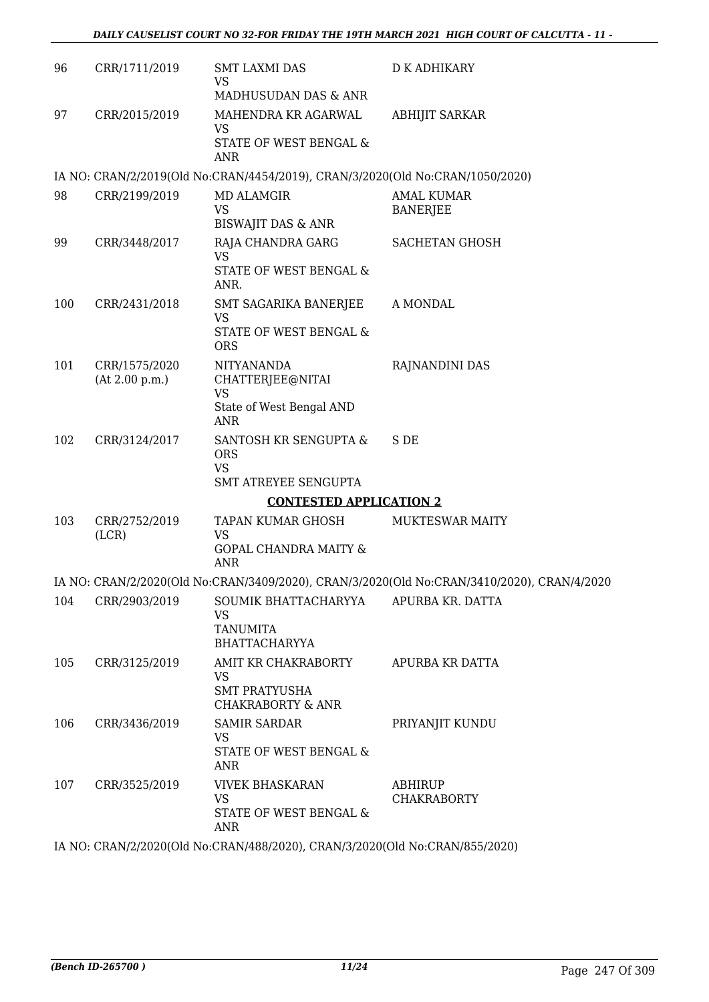| 96  | CRR/1711/2019                   | <b>SMT LAXMI DAS</b><br><b>VS</b><br>MADHUSUDAN DAS & ANR                             | D K ADHIKARY                                                                               |
|-----|---------------------------------|---------------------------------------------------------------------------------------|--------------------------------------------------------------------------------------------|
| 97  | CRR/2015/2019                   | MAHENDRA KR AGARWAL<br>VS<br>STATE OF WEST BENGAL &<br><b>ANR</b>                     | <b>ABHIJIT SARKAR</b>                                                                      |
|     |                                 | IA NO: CRAN/2/2019(Old No:CRAN/4454/2019), CRAN/3/2020(Old No:CRAN/1050/2020)         |                                                                                            |
| 98  | CRR/2199/2019                   | <b>MD ALAMGIR</b><br><b>VS</b><br><b>BISWAJIT DAS &amp; ANR</b>                       | <b>AMAL KUMAR</b><br><b>BANERJEE</b>                                                       |
| 99  | CRR/3448/2017                   | RAJA CHANDRA GARG<br><b>VS</b><br>STATE OF WEST BENGAL &<br>ANR.                      | <b>SACHETAN GHOSH</b>                                                                      |
| 100 | CRR/2431/2018                   | SMT SAGARIKA BANERJEE<br><b>VS</b><br>STATE OF WEST BENGAL &<br><b>ORS</b>            | A MONDAL                                                                                   |
| 101 | CRR/1575/2020<br>(At 2.00 p.m.) | NITYANANDA<br>CHATTERJEE@NITAI<br><b>VS</b><br>State of West Bengal AND<br><b>ANR</b> | RAJNANDINI DAS                                                                             |
| 102 | CRR/3124/2017                   | SANTOSH KR SENGUPTA &<br><b>ORS</b><br><b>VS</b><br>SMT ATREYEE SENGUPTA              | S DE                                                                                       |
|     |                                 | <b>CONTESTED APPLICATION 2</b>                                                        |                                                                                            |
| 103 | CRR/2752/2019<br>(LCR)          | TAPAN KUMAR GHOSH<br>VS<br>GOPAL CHANDRA MAITY &<br><b>ANR</b>                        | MUKTESWAR MAITY                                                                            |
|     |                                 |                                                                                       | IA NO: CRAN/2/2020(Old No:CRAN/3409/2020), CRAN/3/2020(Old No:CRAN/3410/2020), CRAN/4/2020 |
| 104 | CRR/2903/2019                   | SOUMIK BHATTACHARYYA<br>VS<br><b>TANUMITA</b><br><b>BHATTACHARYYA</b>                 | APURBA KR. DATTA                                                                           |
| 105 | CRR/3125/2019                   | AMIT KR CHAKRABORTY<br>VS<br><b>SMT PRATYUSHA</b><br><b>CHAKRABORTY &amp; ANR</b>     | APURBA KR DATTA                                                                            |
| 106 | CRR/3436/2019                   | <b>SAMIR SARDAR</b><br><b>VS</b><br>STATE OF WEST BENGAL &<br><b>ANR</b>              | PRIYANJIT KUNDU                                                                            |
| 107 | CRR/3525/2019                   | <b>VIVEK BHASKARAN</b><br>VS<br>STATE OF WEST BENGAL &<br>ANR                         | ABHIRUP<br><b>CHAKRABORTY</b>                                                              |
|     |                                 | IA NO CRANICOORCOLENIA ORANIZOO (2020). CRANICIO (2020) ALA CRANICEE (2020)           |                                                                                            |

IA NO: CRAN/2/2020(Old No:CRAN/488/2020), CRAN/3/2020(Old No:CRAN/855/2020)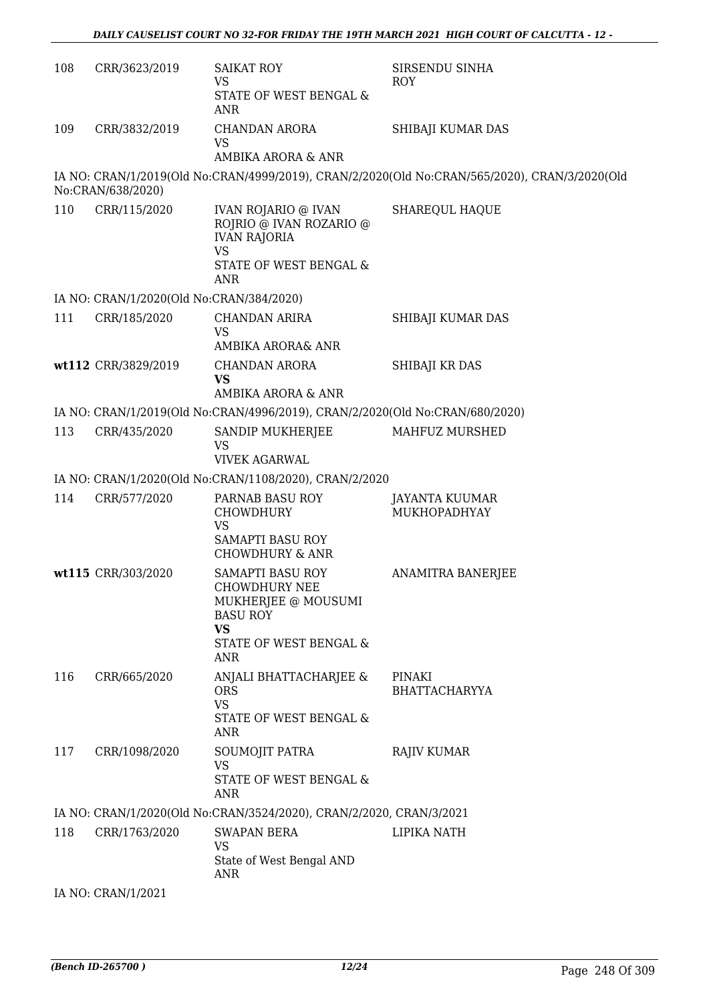| 108 | CRR/3623/2019                            | <b>SAIKAT ROY</b><br><b>VS</b><br>STATE OF WEST BENGAL &<br>ANR                                                                         | SIRSENDU SINHA<br>ROY                                                                         |
|-----|------------------------------------------|-----------------------------------------------------------------------------------------------------------------------------------------|-----------------------------------------------------------------------------------------------|
| 109 | CRR/3832/2019                            | <b>CHANDAN ARORA</b><br><b>VS</b><br><b>AMBIKA ARORA &amp; ANR</b>                                                                      | SHIBAJI KUMAR DAS                                                                             |
|     |                                          |                                                                                                                                         |                                                                                               |
|     | No:CRAN/638/2020)                        |                                                                                                                                         | IA NO: CRAN/1/2019(Old No:CRAN/4999/2019), CRAN/2/2020(Old No:CRAN/565/2020), CRAN/3/2020(Old |
| 110 | CRR/115/2020                             | <b>IVAN ROJARIO @ IVAN</b><br>ROJRIO @ IVAN ROZARIO @<br><b>IVAN RAJORIA</b><br><b>VS</b><br>STATE OF WEST BENGAL &<br>ANR              | <b>SHAREQUL HAQUE</b>                                                                         |
|     | IA NO: CRAN/1/2020(Old No:CRAN/384/2020) |                                                                                                                                         |                                                                                               |
| 111 | CRR/185/2020                             | <b>CHANDAN ARIRA</b><br><b>VS</b>                                                                                                       | SHIBAJI KUMAR DAS                                                                             |
|     |                                          | AMBIKA ARORA& ANR                                                                                                                       |                                                                                               |
|     | wt112 CRR/3829/2019                      | CHANDAN ARORA<br><b>VS</b><br>AMBIKA ARORA & ANR                                                                                        | SHIBAJI KR DAS                                                                                |
|     |                                          | IA NO: CRAN/1/2019(Old No:CRAN/4996/2019), CRAN/2/2020(Old No:CRAN/680/2020)                                                            |                                                                                               |
| 113 | CRR/435/2020                             | SANDIP MUKHERJEE                                                                                                                        | MAHFUZ MURSHED                                                                                |
|     |                                          | <b>VS</b><br><b>VIVEK AGARWAL</b>                                                                                                       |                                                                                               |
|     |                                          | IA NO: CRAN/1/2020(Old No:CRAN/1108/2020), CRAN/2/2020                                                                                  |                                                                                               |
| 114 | CRR/577/2020                             | PARNAB BASU ROY<br><b>CHOWDHURY</b><br><b>VS</b><br><b>SAMAPTI BASU ROY</b>                                                             | <b>JAYANTA KUUMAR</b><br>MUKHOPADHYAY                                                         |
|     |                                          | <b>CHOWDHURY &amp; ANR</b>                                                                                                              |                                                                                               |
|     | wt115 CRR/303/2020                       | <b>SAMAPTI BASU ROY</b><br><b>CHOWDHURY NEE</b><br>MUKHERJEE @ MOUSUMI<br><b>BASU ROY</b><br><b>VS</b><br>STATE OF WEST BENGAL &<br>ANR | ANAMITRA BANERJEE                                                                             |
| 116 | CRR/665/2020                             | ANJALI BHATTACHARJEE &<br><b>ORS</b><br><b>VS</b><br>STATE OF WEST BENGAL &                                                             | PINAKI<br><b>BHATTACHARYYA</b>                                                                |
|     |                                          | ANR                                                                                                                                     |                                                                                               |
| 117 | CRR/1098/2020                            | SOUMOJIT PATRA<br><b>VS</b><br>STATE OF WEST BENGAL &<br>ANR                                                                            | <b>RAJIV KUMAR</b>                                                                            |
|     |                                          | IA NO: CRAN/1/2020(Old No:CRAN/3524/2020), CRAN/2/2020, CRAN/3/2021                                                                     |                                                                                               |
| 118 | CRR/1763/2020                            | <b>SWAPAN BERA</b><br><b>VS</b>                                                                                                         | LIPIKA NATH                                                                                   |
|     |                                          | State of West Bengal AND<br>ANR                                                                                                         |                                                                                               |
|     | IA NO: CRAN/1/2021                       |                                                                                                                                         |                                                                                               |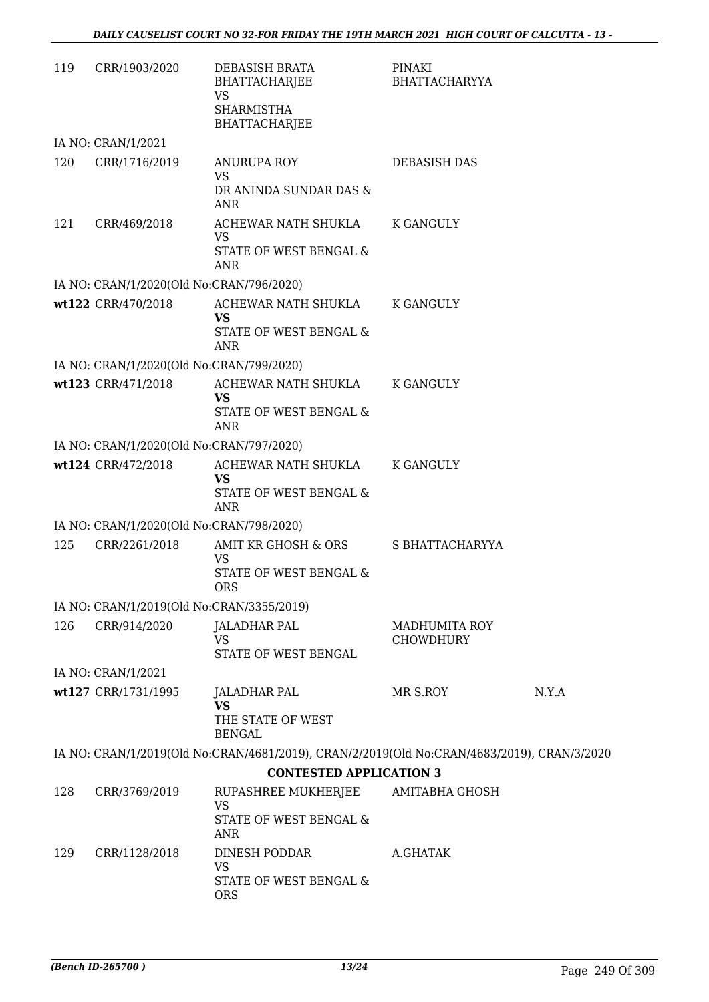| 119 | CRR/1903/2020                             | DEBASISH BRATA<br>BHATTACHARJEE<br><b>VS</b><br><b>SHARMISTHA</b><br>BHATTACHARJEE         | PINAKI<br><b>BHATTACHARYYA</b>    |       |
|-----|-------------------------------------------|--------------------------------------------------------------------------------------------|-----------------------------------|-------|
|     | IA NO: CRAN/1/2021                        |                                                                                            |                                   |       |
| 120 | CRR/1716/2019                             | <b>ANURUPA ROY</b><br><b>VS</b><br>DR ANINDA SUNDAR DAS &<br><b>ANR</b>                    | DEBASISH DAS                      |       |
| 121 | CRR/469/2018                              | ACHEWAR NATH SHUKLA<br><b>VS</b><br>STATE OF WEST BENGAL &<br><b>ANR</b>                   | <b>K GANGULY</b>                  |       |
|     | IA NO: CRAN/1/2020(Old No:CRAN/796/2020)  |                                                                                            |                                   |       |
|     | wt122 CRR/470/2018                        | ACHEWAR NATH SHUKLA<br><b>VS</b><br>STATE OF WEST BENGAL &<br>ANR                          | K GANGULY                         |       |
|     | IA NO: CRAN/1/2020(Old No:CRAN/799/2020)  |                                                                                            |                                   |       |
|     | wt123 CRR/471/2018                        | ACHEWAR NATH SHUKLA<br><b>VS</b><br>STATE OF WEST BENGAL &<br>ANR                          | K GANGULY                         |       |
|     | IA NO: CRAN/1/2020(Old No:CRAN/797/2020)  |                                                                                            |                                   |       |
|     | wt124 CRR/472/2018                        | ACHEWAR NATH SHUKLA<br><b>VS</b><br>STATE OF WEST BENGAL &<br><b>ANR</b>                   | <b>K GANGULY</b>                  |       |
|     | IA NO: CRAN/1/2020(Old No:CRAN/798/2020)  |                                                                                            |                                   |       |
| 125 | CRR/2261/2018                             | AMIT KR GHOSH & ORS<br><b>VS</b><br>STATE OF WEST BENGAL &<br><b>ORS</b>                   | S BHATTACHARYYA                   |       |
|     | IA NO: CRAN/1/2019(Old No:CRAN/3355/2019) |                                                                                            |                                   |       |
| 126 | CRR/914/2020                              | <b>JALADHAR PAL</b><br><b>VS</b><br>STATE OF WEST BENGAL                                   | MADHUMITA ROY<br><b>CHOWDHURY</b> |       |
|     | IA NO: CRAN/1/2021                        |                                                                                            |                                   |       |
|     | wt127 CRR/1731/1995                       | JALADHAR PAL<br><b>VS</b><br>THE STATE OF WEST<br><b>BENGAL</b>                            | MR S.ROY                          | N.Y.A |
|     |                                           | IA NO: CRAN/1/2019(Old No:CRAN/4681/2019), CRAN/2/2019(Old No:CRAN/4683/2019), CRAN/3/2020 |                                   |       |
|     |                                           | <b>CONTESTED APPLICATION 3</b>                                                             |                                   |       |
| 128 | CRR/3769/2019                             | RUPASHREE MUKHERJEE<br>VS<br>STATE OF WEST BENGAL &<br>ANR                                 | <b>AMITABHA GHOSH</b>             |       |
| 129 | CRR/1128/2018                             | DINESH PODDAR<br>VS<br>STATE OF WEST BENGAL &<br><b>ORS</b>                                | A.GHATAK                          |       |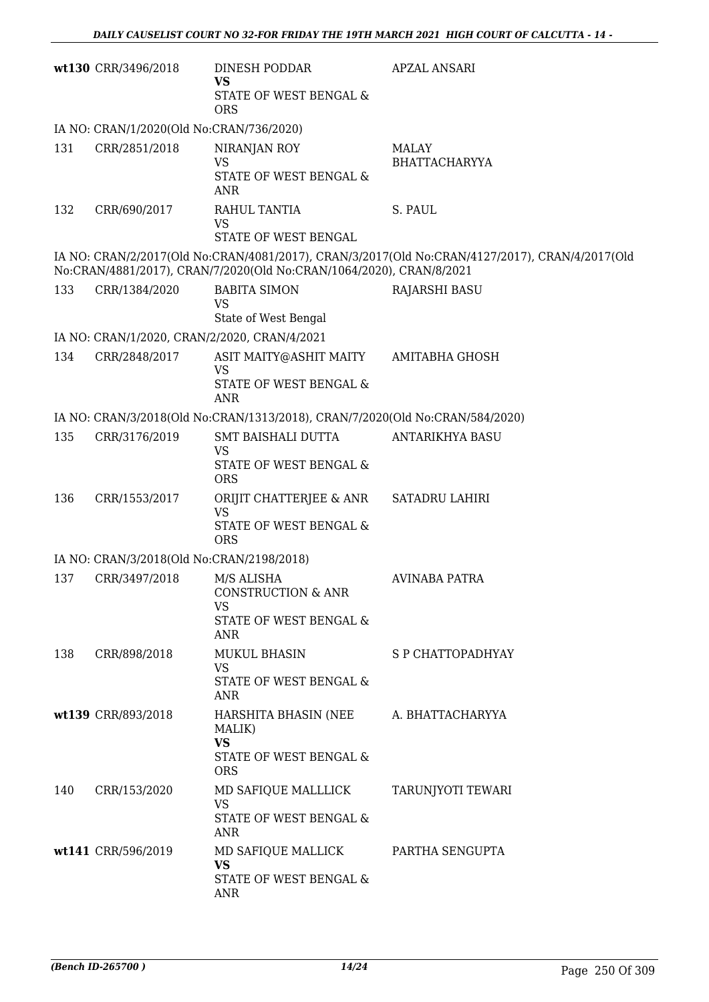|     | wt130 CRR/3496/2018                          | DINESH PODDAR<br><b>VS</b><br>STATE OF WEST BENGAL &<br><b>ORS</b>                        | <b>APZAL ANSARI</b>                                                                            |
|-----|----------------------------------------------|-------------------------------------------------------------------------------------------|------------------------------------------------------------------------------------------------|
|     | IA NO: CRAN/1/2020(Old No:CRAN/736/2020)     |                                                                                           |                                                                                                |
| 131 | CRR/2851/2018                                | NIRANJAN ROY<br><b>VS</b><br>STATE OF WEST BENGAL &<br>ANR                                | <b>MALAY</b><br><b>BHATTACHARYYA</b>                                                           |
| 132 | CRR/690/2017                                 | RAHUL TANTIA<br>VS<br>STATE OF WEST BENGAL                                                | S. PAUL                                                                                        |
|     |                                              | No:CRAN/4881/2017), CRAN/7/2020(Old No:CRAN/1064/2020), CRAN/8/2021                       | IA NO: CRAN/2/2017(Old No:CRAN/4081/2017), CRAN/3/2017(Old No:CRAN/4127/2017), CRAN/4/2017(Old |
| 133 | CRR/1384/2020                                | <b>BABITA SIMON</b><br><b>VS</b><br>State of West Bengal                                  | <b>RAJARSHI BASU</b>                                                                           |
|     | IA NO: CRAN/1/2020, CRAN/2/2020, CRAN/4/2021 |                                                                                           |                                                                                                |
| 134 | CRR/2848/2017                                | ASIT MAITY@ASHIT MAITY<br><b>VS</b><br>STATE OF WEST BENGAL &<br><b>ANR</b>               | AMITABHA GHOSH                                                                                 |
|     |                                              | IA NO: CRAN/3/2018(Old No:CRAN/1313/2018), CRAN/7/2020(Old No:CRAN/584/2020)              |                                                                                                |
| 135 | CRR/3176/2019                                | SMT BAISHALI DUTTA                                                                        | <b>ANTARIKHYA BASU</b>                                                                         |
|     |                                              | <b>VS</b><br>STATE OF WEST BENGAL &<br><b>ORS</b>                                         |                                                                                                |
| 136 | CRR/1553/2017                                | ORIJIT CHATTERJEE & ANR<br><b>VS</b><br><b>STATE OF WEST BENGAL &amp;</b><br><b>ORS</b>   | <b>SATADRU LAHIRI</b>                                                                          |
|     | IA NO: CRAN/3/2018(Old No:CRAN/2198/2018)    |                                                                                           |                                                                                                |
| 137 | CRR/3497/2018                                | M/S ALISHA<br><b>CONSTRUCTION &amp; ANR</b><br>VS<br>STATE OF WEST BENGAL &<br><b>ANR</b> | <b>AVINABA PATRA</b>                                                                           |
| 138 | CRR/898/2018                                 | MUKUL BHASIN<br><b>VS</b><br>STATE OF WEST BENGAL &<br>ANR                                | S P CHATTOPADHYAY                                                                              |
|     | wt139 CRR/893/2018                           | HARSHITA BHASIN (NEE<br>MALIK)<br><b>VS</b><br>STATE OF WEST BENGAL &<br><b>ORS</b>       | A. BHATTACHARYYA                                                                               |
| 140 | CRR/153/2020                                 | MD SAFIQUE MALLLICK<br><b>VS</b><br>STATE OF WEST BENGAL &<br>ANR                         | TARUNJYOTI TEWARI                                                                              |
|     | wt141 CRR/596/2019                           | MD SAFIQUE MALLICK<br><b>VS</b><br>STATE OF WEST BENGAL &<br>ANR                          | PARTHA SENGUPTA                                                                                |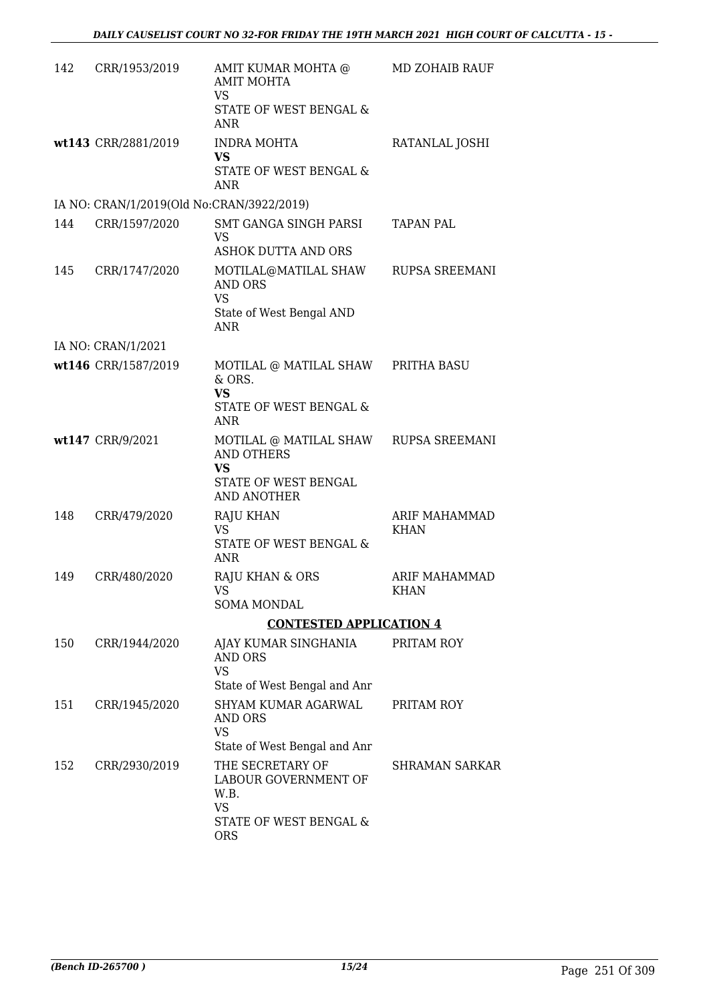| 142 | CRR/1953/2019                             | AMIT KUMAR MOHTA @<br><b>AMIT MOHTA</b><br><b>VS</b><br>STATE OF WEST BENGAL &<br><b>ANR</b>                | MD ZOHAIB RAUF               |
|-----|-------------------------------------------|-------------------------------------------------------------------------------------------------------------|------------------------------|
|     | wt143 CRR/2881/2019                       | <b>INDRA MOHTA</b><br>VS<br>STATE OF WEST BENGAL &                                                          | RATANLAL JOSHI               |
|     | IA NO: CRAN/1/2019(Old No:CRAN/3922/2019) | <b>ANR</b>                                                                                                  |                              |
| 144 | CRR/1597/2020                             | SMT GANGA SINGH PARSI                                                                                       | TAPAN PAL                    |
|     |                                           | VS<br>ASHOK DUTTA AND ORS                                                                                   |                              |
| 145 | CRR/1747/2020                             | MOTILAL@MATILAL SHAW<br><b>AND ORS</b><br><b>VS</b>                                                         | <b>RUPSA SREEMANI</b>        |
|     |                                           | State of West Bengal AND<br><b>ANR</b>                                                                      |                              |
|     | IA NO: CRAN/1/2021                        |                                                                                                             |                              |
|     | wt146 CRR/1587/2019                       | MOTILAL @ MATILAL SHAW PRITHA BASU<br>& ORS.<br><b>VS</b><br>STATE OF WEST BENGAL &                         |                              |
|     |                                           | <b>ANR</b>                                                                                                  |                              |
|     | wt147 CRR/9/2021                          | MOTILAL @ MATILAL SHAW<br><b>AND OTHERS</b><br><b>VS</b><br>STATE OF WEST BENGAL<br><b>AND ANOTHER</b>      | <b>RUPSA SREEMANI</b>        |
| 148 | CRR/479/2020                              | <b>RAJU KHAN</b><br><b>VS</b><br>STATE OF WEST BENGAL &<br><b>ANR</b>                                       | ARIF MAHAMMAD<br><b>KHAN</b> |
| 149 | CRR/480/2020                              | RAJU KHAN & ORS<br>VS —<br><b>SOMA MONDAL</b>                                                               | <b>ARIF MAHAMMAD</b><br>KHAN |
|     |                                           | <b>CONTESTED APPLICATION 4</b>                                                                              |                              |
| 150 | CRR/1944/2020                             | AJAY KUMAR SINGHANIA<br><b>AND ORS</b><br><b>VS</b>                                                         | PRITAM ROY                   |
| 151 | CRR/1945/2020                             | State of West Bengal and Anr<br>SHYAM KUMAR AGARWAL<br>AND ORS<br><b>VS</b><br>State of West Bengal and Anr | PRITAM ROY                   |
| 152 | CRR/2930/2019                             | THE SECRETARY OF<br>LABOUR GOVERNMENT OF<br>W.B.<br><b>VS</b><br>STATE OF WEST BENGAL &<br><b>ORS</b>       | SHRAMAN SARKAR               |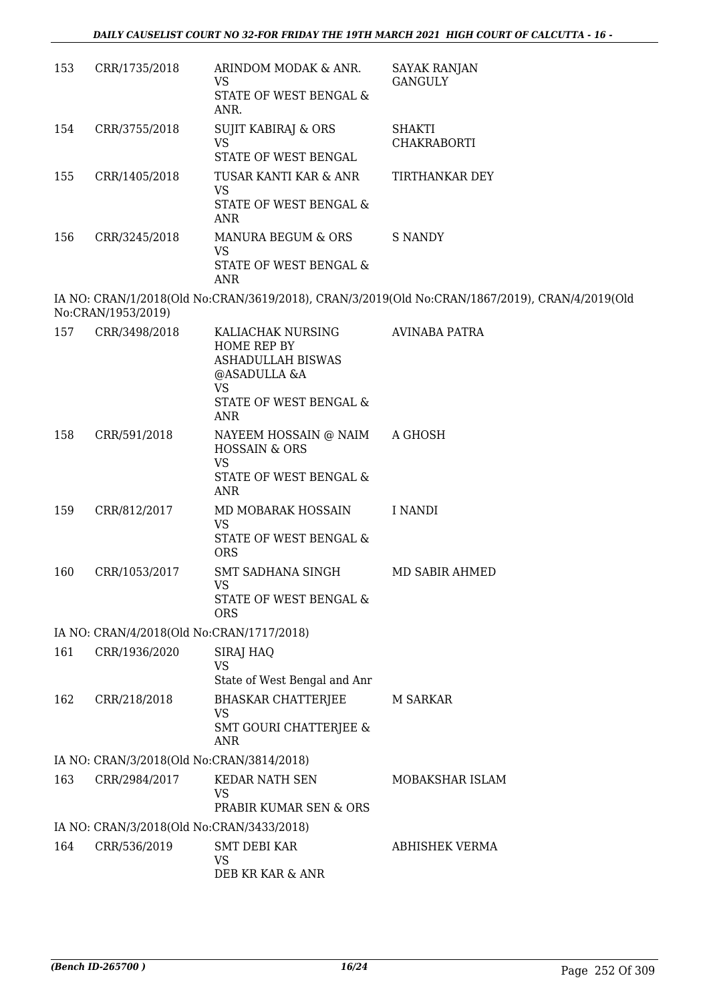| 153 | CRR/1735/2018                             | ARINDOM MODAK & ANR.<br>VS<br>STATE OF WEST BENGAL &<br>ANR.                                                                      | <b>SAYAK RANJAN</b><br><b>GANGULY</b>                                                          |
|-----|-------------------------------------------|-----------------------------------------------------------------------------------------------------------------------------------|------------------------------------------------------------------------------------------------|
| 154 | CRR/3755/2018                             | SUJIT KABIRAJ & ORS<br><b>VS</b><br>STATE OF WEST BENGAL                                                                          | <b>SHAKTI</b><br><b>CHAKRABORTI</b>                                                            |
| 155 | CRR/1405/2018                             | TUSAR KANTI KAR & ANR<br>VS<br>STATE OF WEST BENGAL &<br><b>ANR</b>                                                               | TIRTHANKAR DEY                                                                                 |
| 156 | CRR/3245/2018                             | MANURA BEGUM & ORS<br><b>VS</b><br>STATE OF WEST BENGAL &<br><b>ANR</b>                                                           | <b>S NANDY</b>                                                                                 |
|     | No:CRAN/1953/2019)                        |                                                                                                                                   | IA NO: CRAN/1/2018(Old No:CRAN/3619/2018), CRAN/3/2019(Old No:CRAN/1867/2019), CRAN/4/2019(Old |
| 157 | CRR/3498/2018                             | KALIACHAK NURSING<br>HOME REP BY<br><b>ASHADULLAH BISWAS</b><br>@ASADULLA &A<br><b>VS</b><br>STATE OF WEST BENGAL &<br><b>ANR</b> | <b>AVINABA PATRA</b>                                                                           |
| 158 | CRR/591/2018                              | NAYEEM HOSSAIN @ NAIM<br><b>HOSSAIN &amp; ORS</b><br><b>VS</b><br>STATE OF WEST BENGAL &<br>ANR                                   | A GHOSH                                                                                        |
| 159 | CRR/812/2017                              | MD MOBARAK HOSSAIN<br><b>VS</b><br>STATE OF WEST BENGAL &<br><b>ORS</b>                                                           | I NANDI                                                                                        |
| 160 | CRR/1053/2017                             | SMT SADHANA SINGH<br><b>VS</b><br>STATE OF WEST BENGAL &<br><b>ORS</b>                                                            | MD SABIR AHMED                                                                                 |
|     | IA NO: CRAN/4/2018(Old No:CRAN/1717/2018) |                                                                                                                                   |                                                                                                |
| 161 | CRR/1936/2020                             | SIRAJ HAQ<br><b>VS</b><br>State of West Bengal and Anr                                                                            |                                                                                                |
| 162 | CRR/218/2018                              | <b>BHASKAR CHATTERJEE</b><br><b>VS</b><br><b>SMT GOURI CHATTERJEE &amp;</b><br>ANR                                                | <b>M SARKAR</b>                                                                                |
|     | IA NO: CRAN/3/2018(Old No:CRAN/3814/2018) |                                                                                                                                   |                                                                                                |
| 163 | CRR/2984/2017                             | KEDAR NATH SEN<br><b>VS</b><br>PRABIR KUMAR SEN & ORS                                                                             | MOBAKSHAR ISLAM                                                                                |
|     | IA NO: CRAN/3/2018(Old No:CRAN/3433/2018) |                                                                                                                                   |                                                                                                |
| 164 | CRR/536/2019                              | <b>SMT DEBI KAR</b><br><b>VS</b><br>DEB KR KAR & ANR                                                                              | <b>ABHISHEK VERMA</b>                                                                          |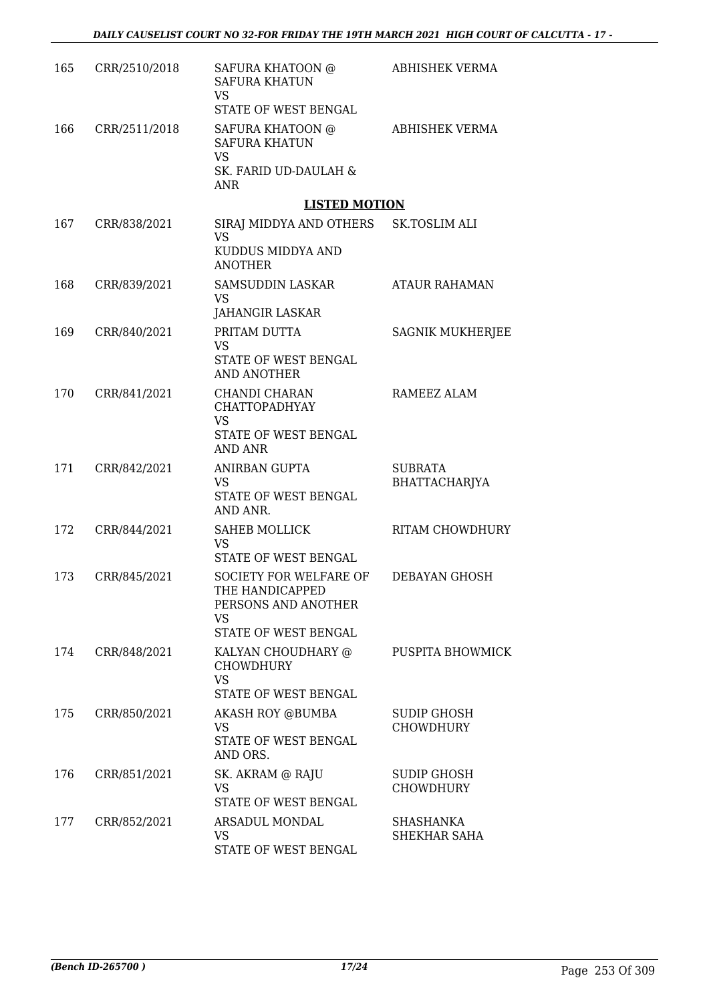| 165 | CRR/2510/2018 | SAFURA KHATOON @<br><b>SAFURA KHATUN</b><br>VS<br>STATE OF WEST BENGAL                          | <b>ABHISHEK VERMA</b>                  |
|-----|---------------|-------------------------------------------------------------------------------------------------|----------------------------------------|
| 166 | CRR/2511/2018 | SAFURA KHATOON @<br><b>SAFURA KHATUN</b><br><b>VS</b><br>SK. FARID UD-DAULAH &                  | ABHISHEK VERMA                         |
|     |               | <b>ANR</b>                                                                                      |                                        |
|     |               | <b>LISTED MOTION</b>                                                                            |                                        |
| 167 | CRR/838/2021  | SIRAJ MIDDYA AND OTHERS<br><b>VS</b><br>KUDDUS MIDDYA AND<br><b>ANOTHER</b>                     | SK.TOSLIM ALI                          |
| 168 | CRR/839/2021  | SAMSUDDIN LASKAR<br>VS<br>JAHANGIR LASKAR                                                       | <b>ATAUR RAHAMAN</b>                   |
| 169 | CRR/840/2021  | PRITAM DUTTA<br><b>VS</b><br>STATE OF WEST BENGAL<br><b>AND ANOTHER</b>                         | <b>SAGNIK MUKHERJEE</b>                |
| 170 | CRR/841/2021  | CHANDI CHARAN<br><b>CHATTOPADHYAY</b><br><b>VS</b><br>STATE OF WEST BENGAL                      | RAMEEZ ALAM                            |
|     |               | <b>AND ANR</b>                                                                                  |                                        |
| 171 | CRR/842/2021  | ANIRBAN GUPTA<br><b>VS</b><br>STATE OF WEST BENGAL<br>AND ANR.                                  | <b>SUBRATA</b><br>BHATTACHARJYA        |
| 172 | CRR/844/2021  | <b>SAHEB MOLLICK</b><br>VS<br>STATE OF WEST BENGAL                                              | RITAM CHOWDHURY                        |
| 173 | CRR/845/2021  | SOCIETY FOR WELFARE OF<br>THE HANDICAPPED<br>PERSONS AND ANOTHER<br>VS.<br>STATE OF WEST BENGAL | DEBAYAN GHOSH                          |
| 174 | CRR/848/2021  | KALYAN CHOUDHARY @<br><b>CHOWDHURY</b><br><b>VS</b><br>STATE OF WEST BENGAL                     | PUSPITA BHOWMICK                       |
| 175 | CRR/850/2021  | AKASH ROY @BUMBA<br>VS<br>STATE OF WEST BENGAL<br>AND ORS.                                      | <b>SUDIP GHOSH</b><br><b>CHOWDHURY</b> |
| 176 | CRR/851/2021  | SK. AKRAM @ RAJU<br>VS<br>STATE OF WEST BENGAL                                                  | <b>SUDIP GHOSH</b><br><b>CHOWDHURY</b> |
| 177 | CRR/852/2021  | ARSADUL MONDAL<br>VS<br>STATE OF WEST BENGAL                                                    | SHASHANKA<br>SHEKHAR SAHA              |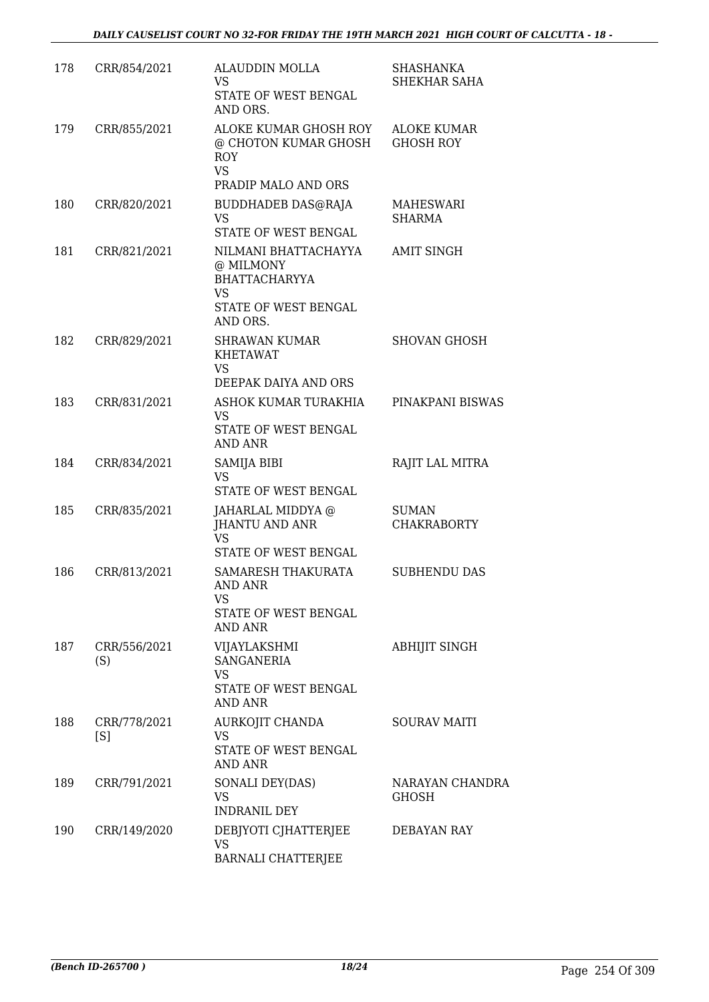| 178 | CRR/854/2021        | <b>ALAUDDIN MOLLA</b><br>VS.<br>STATE OF WEST BENGAL<br>AND ORS.                                           | <b>SHASHANKA</b><br>SHEKHAR SAHA       |
|-----|---------------------|------------------------------------------------------------------------------------------------------------|----------------------------------------|
| 179 | CRR/855/2021        | ALOKE KUMAR GHOSH ROY<br>@ CHOTON KUMAR GHOSH<br>ROY<br><b>VS</b><br>PRADIP MALO AND ORS                   | <b>ALOKE KUMAR</b><br><b>GHOSH ROY</b> |
| 180 | CRR/820/2021        | <b>BUDDHADEB DAS@RAJA</b><br><b>VS</b><br>STATE OF WEST BENGAL                                             | MAHESWARI<br><b>SHARMA</b>             |
| 181 | CRR/821/2021        | NILMANI BHATTACHAYYA<br>@ MILMONY<br><b>BHATTACHARYYA</b><br><b>VS</b><br>STATE OF WEST BENGAL<br>AND ORS. | <b>AMIT SINGH</b>                      |
| 182 | CRR/829/2021        | <b>SHRAWAN KUMAR</b><br><b>KHETAWAT</b><br>VS<br>DEEPAK DAIYA AND ORS                                      | SHOVAN GHOSH                           |
| 183 | CRR/831/2021        | ASHOK KUMAR TURAKHIA<br><b>VS</b><br>STATE OF WEST BENGAL<br><b>AND ANR</b>                                | PINAKPANI BISWAS                       |
| 184 | CRR/834/2021        | SAMIJA BIBI<br><b>VS</b><br>STATE OF WEST BENGAL                                                           | RAJIT LAL MITRA                        |
| 185 | CRR/835/2021        | JAHARLAL MIDDYA @<br><b>JHANTU AND ANR</b><br><b>VS</b><br>STATE OF WEST BENGAL                            | SUMAN<br><b>CHAKRABORTY</b>            |
| 186 | CRR/813/2021        | SAMARESH THAKURATA<br>AND ANR<br>VS<br>STATE OF WEST BENGAL<br><b>AND ANR</b>                              | <b>SUBHENDU DAS</b>                    |
| 187 | CRR/556/2021<br>(S) | VIJAYLAKSHMI<br>SANGANERIA<br><b>VS</b><br>STATE OF WEST BENGAL<br>AND ANR                                 | <b>ABHIJIT SINGH</b>                   |
| 188 | CRR/778/2021<br>[S] | AURKOJIT CHANDA<br><b>VS</b><br>STATE OF WEST BENGAL<br>AND ANR                                            | <b>SOURAV MAITI</b>                    |
| 189 | CRR/791/2021        | SONALI DEY(DAS)<br><b>VS</b><br><b>INDRANIL DEY</b>                                                        | NARAYAN CHANDRA<br><b>GHOSH</b>        |
| 190 | CRR/149/2020        | DEBJYOTI CJHATTERJEE<br><b>VS</b><br><b>BARNALI CHATTERJEE</b>                                             | DEBAYAN RAY                            |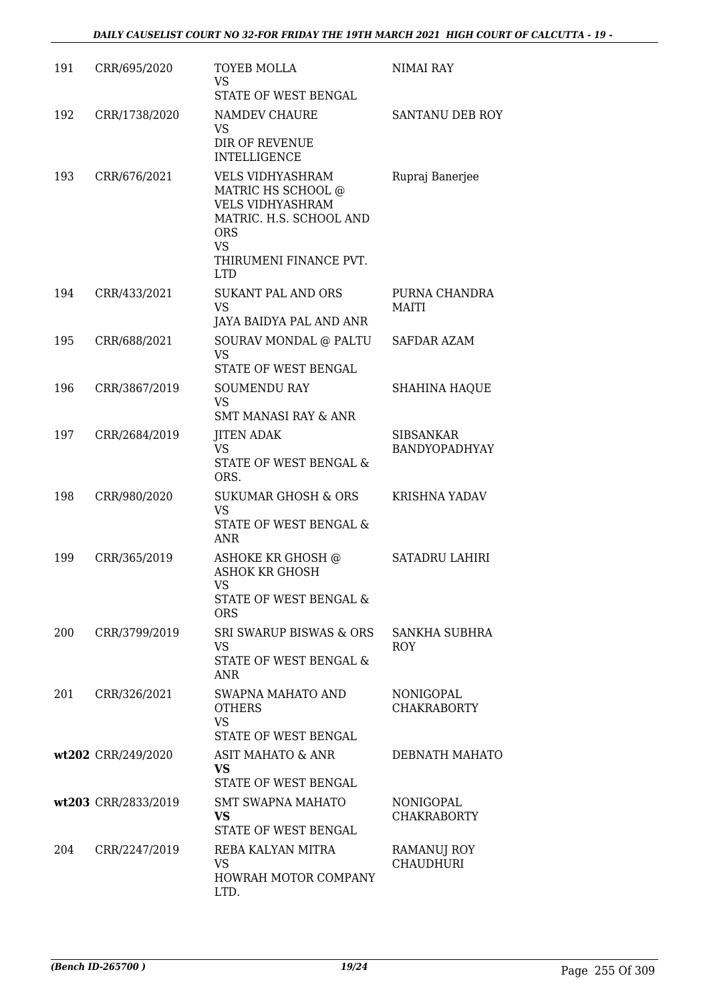| 191 | CRR/695/2020        | <b>TOYEB MOLLA</b><br><b>VS</b><br>STATE OF WEST BENGAL                                                                                                                | NIMAI RAY                         |
|-----|---------------------|------------------------------------------------------------------------------------------------------------------------------------------------------------------------|-----------------------------------|
| 192 | CRR/1738/2020       | NAMDEV CHAURE<br>VS<br><b>DIR OF REVENUE</b><br><b>INTELLIGENCE</b>                                                                                                    | <b>SANTANU DEB ROY</b>            |
| 193 | CRR/676/2021        | <b>VELS VIDHYASHRAM</b><br>MATRIC HS SCHOOL @<br><b>VELS VIDHYASHRAM</b><br>MATRIC. H.S. SCHOOL AND<br><b>ORS</b><br><b>VS</b><br>THIRUMENI FINANCE PVT.<br><b>LTD</b> | Rupraj Banerjee                   |
| 194 | CRR/433/2021        | <b>SUKANT PAL AND ORS</b><br><b>VS</b><br>JAYA BAIDYA PAL AND ANR                                                                                                      | PURNA CHANDRA<br>MAITI            |
| 195 | CRR/688/2021        | SOURAV MONDAL @ PALTU<br><b>VS</b><br>STATE OF WEST BENGAL                                                                                                             | <b>SAFDAR AZAM</b>                |
| 196 | CRR/3867/2019       | <b>SOUMENDU RAY</b><br><b>VS</b><br><b>SMT MANASI RAY &amp; ANR</b>                                                                                                    | <b>SHAHINA HAQUE</b>              |
| 197 | CRR/2684/2019       | <b>JITEN ADAK</b><br><b>VS</b><br>STATE OF WEST BENGAL &<br>ORS.                                                                                                       | <b>SIBSANKAR</b><br>BANDYOPADHYAY |
| 198 | CRR/980/2020        | <b>SUKUMAR GHOSH &amp; ORS</b><br><b>VS</b><br>STATE OF WEST BENGAL &<br><b>ANR</b>                                                                                    | <b>KRISHNA YADAV</b>              |
| 199 | CRR/365/2019        | ASHOKE KR GHOSH @<br><b>ASHOK KR GHOSH</b><br>VS<br>STATE OF WEST BENGAL &<br><b>ORS</b>                                                                               | SATADRU LAHIRI                    |
| 200 | CRR/3799/2019       | <b>SRI SWARUP BISWAS &amp; ORS</b><br>VS.<br><b>STATE OF WEST BENGAL &amp;</b><br><b>ANR</b>                                                                           | SANKHA SUBHRA<br><b>ROY</b>       |
| 201 | CRR/326/2021        | SWAPNA MAHATO AND<br><b>OTHERS</b><br><b>VS</b><br>STATE OF WEST BENGAL                                                                                                | NONIGOPAL<br><b>CHAKRABORTY</b>   |
|     | wt202 CRR/249/2020  | ASIT MAHATO & ANR<br><b>VS</b><br>STATE OF WEST BENGAL                                                                                                                 | DEBNATH MAHATO                    |
|     | wt203 CRR/2833/2019 | <b>SMT SWAPNA MAHATO</b><br><b>VS</b><br>STATE OF WEST BENGAL                                                                                                          | NONIGOPAL<br><b>CHAKRABORTY</b>   |
| 204 | CRR/2247/2019       | REBA KALYAN MITRA<br>VS<br>HOWRAH MOTOR COMPANY<br>LTD.                                                                                                                | RAMANUJ ROY<br><b>CHAUDHURI</b>   |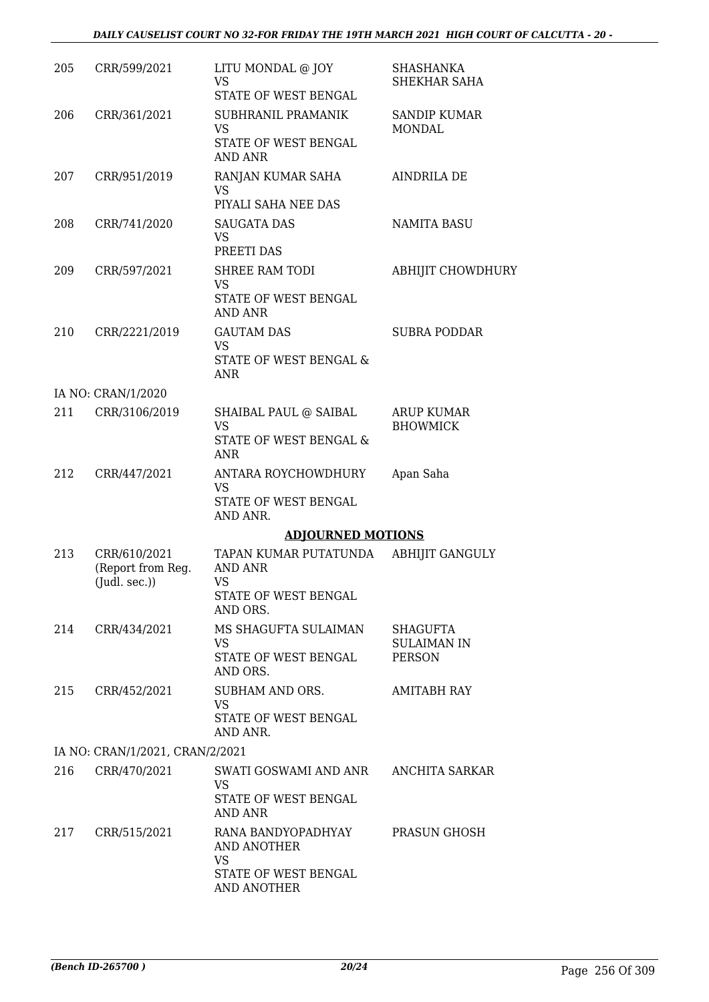| 205 | CRR/599/2021                                             | LITU MONDAL @ JOY<br><b>VS</b><br>STATE OF WEST BENGAL                                | <b>SHASHANKA</b><br>SHEKHAR SAHA                |
|-----|----------------------------------------------------------|---------------------------------------------------------------------------------------|-------------------------------------------------|
| 206 | CRR/361/2021                                             | SUBHRANIL PRAMANIK<br>VS<br>STATE OF WEST BENGAL<br>AND ANR                           | <b>SANDIP KUMAR</b><br><b>MONDAL</b>            |
| 207 | CRR/951/2019                                             | RANJAN KUMAR SAHA<br><b>VS</b><br>PIYALI SAHA NEE DAS                                 | AINDRILA DE                                     |
| 208 | CRR/741/2020                                             | SAUGATA DAS<br><b>VS</b><br>PREETI DAS                                                | <b>NAMITA BASU</b>                              |
| 209 | CRR/597/2021                                             | <b>SHREE RAM TODI</b><br>VS<br>STATE OF WEST BENGAL<br>AND ANR                        | <b>ABHIJIT CHOWDHURY</b>                        |
| 210 | CRR/2221/2019                                            | <b>GAUTAM DAS</b><br><b>VS</b><br>STATE OF WEST BENGAL &<br><b>ANR</b>                | <b>SUBRA PODDAR</b>                             |
|     | IA NO: CRAN/1/2020                                       |                                                                                       |                                                 |
| 211 | CRR/3106/2019                                            | SHAIBAL PAUL @ SAIBAL<br><b>VS</b><br>STATE OF WEST BENGAL &<br>ANR                   | ARUP KUMAR<br><b>BHOWMICK</b>                   |
| 212 | CRR/447/2021                                             | ANTARA ROYCHOWDHURY<br><b>VS</b><br>STATE OF WEST BENGAL<br>AND ANR.                  | Apan Saha                                       |
|     |                                                          | <b>ADJOURNED MOTIONS</b>                                                              |                                                 |
| 213 | CRR/610/2021<br>(Report from Reg.<br>$($ Judl. sec. $))$ | TAPAN KUMAR PUTATUNDA<br>AND ANR<br><b>VS</b><br>STATE OF WEST BENGAL<br>AND ORS.     | <b>ABHIJIT GANGULY</b>                          |
| 214 | CRR/434/2021                                             | MS SHAGUFTA SULAIMAN<br>VS.<br>STATE OF WEST BENGAL<br>AND ORS.                       | SHAGUFTA<br><b>SULAIMAN IN</b><br><b>PERSON</b> |
| 215 | CRR/452/2021                                             | SUBHAM AND ORS.<br><b>VS</b><br>STATE OF WEST BENGAL<br>AND ANR.                      | AMITABH RAY                                     |
|     | IA NO: CRAN/1/2021, CRAN/2/2021                          |                                                                                       |                                                 |
| 216 | CRR/470/2021                                             | SWATI GOSWAMI AND ANR ANCHITA SARKAR<br><b>VS</b><br>STATE OF WEST BENGAL<br>AND ANR  |                                                 |
| 217 | CRR/515/2021                                             | RANA BANDYOPADHYAY<br>AND ANOTHER<br><b>VS</b><br>STATE OF WEST BENGAL<br>AND ANOTHER | PRASUN GHOSH                                    |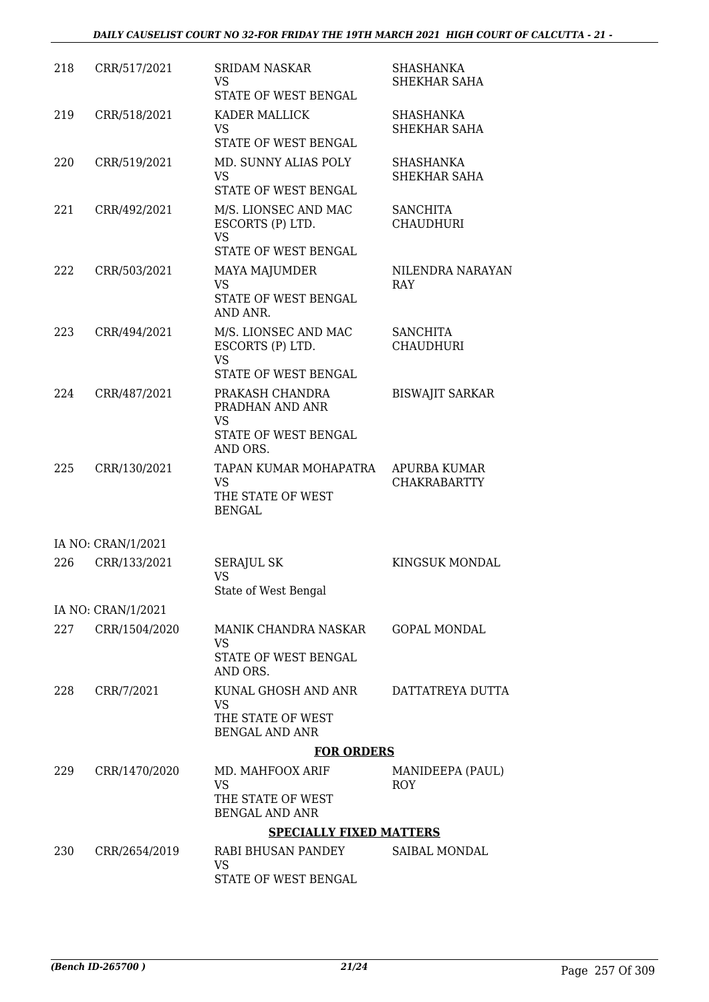| 218 | CRR/517/2021       | <b>SRIDAM NASKAR</b>                                                          | SHASHANKA                           |
|-----|--------------------|-------------------------------------------------------------------------------|-------------------------------------|
|     |                    | VS<br>STATE OF WEST BENGAL                                                    | SHEKHAR SAHA                        |
| 219 | CRR/518/2021       | KADER MALLICK<br><b>VS</b><br>STATE OF WEST BENGAL                            | <b>SHASHANKA</b><br>SHEKHAR SAHA    |
| 220 | CRR/519/2021       | MD. SUNNY ALIAS POLY<br><b>VS</b><br>STATE OF WEST BENGAL                     | SHASHANKA<br>SHEKHAR SAHA           |
| 221 | CRR/492/2021       | M/S. LIONSEC AND MAC<br>ESCORTS (P) LTD.<br><b>VS</b><br>STATE OF WEST BENGAL | <b>SANCHITA</b><br><b>CHAUDHURI</b> |
| 222 | CRR/503/2021       | <b>MAYA MAJUMDER</b><br><b>VS</b><br>STATE OF WEST BENGAL<br>AND ANR.         | NILENDRA NARAYAN<br>RAY             |
| 223 | CRR/494/2021       | M/S. LIONSEC AND MAC<br>ESCORTS (P) LTD.<br><b>VS</b><br>STATE OF WEST BENGAL | <b>SANCHITA</b><br><b>CHAUDHURI</b> |
| 224 | CRR/487/2021       | PRAKASH CHANDRA<br>PRADHAN AND ANR<br>VS<br>STATE OF WEST BENGAL<br>AND ORS.  | <b>BISWAJIT SARKAR</b>              |
| 225 | CRR/130/2021       | TAPAN KUMAR MOHAPATRA<br><b>VS</b><br>THE STATE OF WEST<br><b>BENGAL</b>      | APURBA KUMAR<br><b>CHAKRABARTTY</b> |
|     | IA NO: CRAN/1/2021 |                                                                               |                                     |
| 226 | CRR/133/2021       | <b>SERAJUL SK</b><br>VS<br>State of West Bengal                               | KINGSUK MONDAL                      |
|     | IA NO: CRAN/1/2021 |                                                                               |                                     |
| 227 | CRR/1504/2020      | MANIK CHANDRA NASKAR<br>VS<br>STATE OF WEST BENGAL<br>AND ORS.                | GOPAL MONDAL                        |
| 228 | CRR/7/2021         | KUNAL GHOSH AND ANR<br>VS<br>THE STATE OF WEST<br><b>BENGAL AND ANR</b>       | DATTATREYA DUTTA                    |
|     |                    | <b>FOR ORDERS</b>                                                             |                                     |
| 229 | CRR/1470/2020      | MD. MAHFOOX ARIF<br>VS<br>THE STATE OF WEST<br><b>BENGAL AND ANR</b>          | MANIDEEPA (PAUL)<br><b>ROY</b>      |
|     |                    | <b>SPECIALLY FIXED MATTERS</b>                                                |                                     |
| 230 | CRR/2654/2019      | RABI BHUSAN PANDEY<br><b>VS</b><br>STATE OF WEST BENGAL                       | SAIBAL MONDAL                       |
|     |                    |                                                                               |                                     |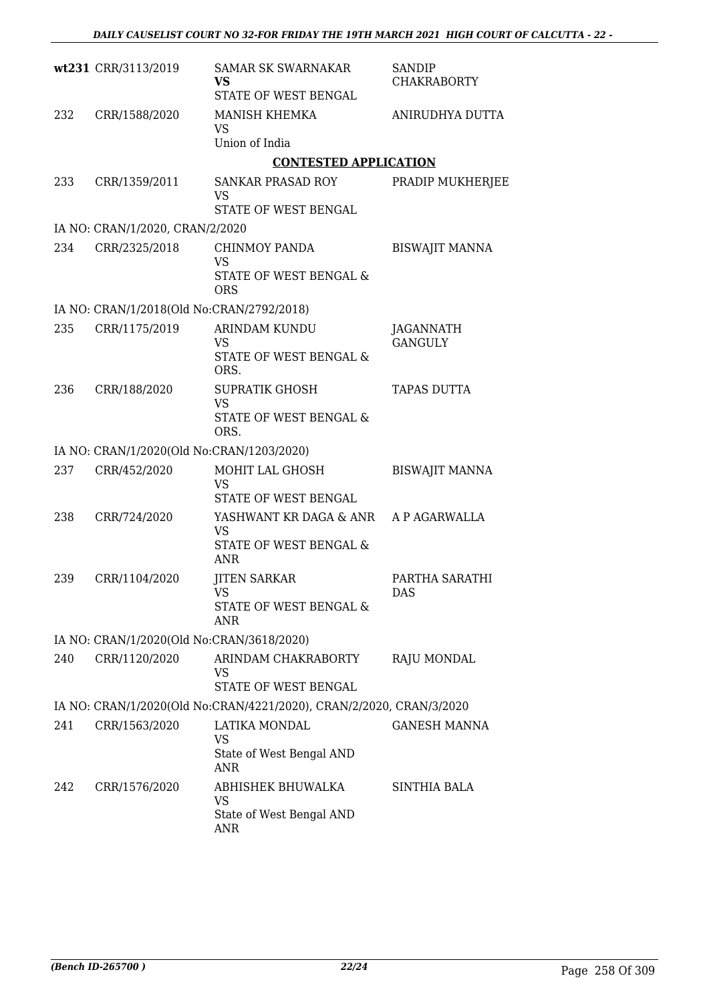|     | wt231 CRR/3113/2019                       | <b>SAMAR SK SWARNAKAR</b><br><b>VS</b><br>STATE OF WEST BENGAL      | SANDIP<br><b>CHAKRABORTY</b> |
|-----|-------------------------------------------|---------------------------------------------------------------------|------------------------------|
| 232 | CRR/1588/2020                             | MANISH KHEMKA<br>VS<br>Union of India                               | ANIRUDHYA DUTTA              |
|     |                                           | <b>CONTESTED APPLICATION</b>                                        |                              |
| 233 | CRR/1359/2011                             | SANKAR PRASAD ROY<br>VS                                             | PRADIP MUKHERJEE             |
|     |                                           | STATE OF WEST BENGAL                                                |                              |
|     | IA NO: CRAN/1/2020, CRAN/2/2020           |                                                                     |                              |
| 234 | CRR/2325/2018                             | <b>CHINMOY PANDA</b><br><b>VS</b><br>STATE OF WEST BENGAL &         | <b>BISWAJIT MANNA</b>        |
|     | IA NO: CRAN/1/2018(Old No:CRAN/2792/2018) | <b>ORS</b>                                                          |                              |
| 235 | CRR/1175/2019                             | <b>ARINDAM KUNDU</b><br>VS<br><b>STATE OF WEST BENGAL &amp;</b>     | JAGANNATH<br><b>GANGULY</b>  |
|     |                                           | ORS.                                                                |                              |
| 236 | CRR/188/2020                              | <b>SUPRATIK GHOSH</b><br><b>VS</b><br>STATE OF WEST BENGAL &        | <b>TAPAS DUTTA</b>           |
|     |                                           | ORS.                                                                |                              |
|     | IA NO: CRAN/1/2020(Old No:CRAN/1203/2020) |                                                                     |                              |
| 237 | CRR/452/2020                              | MOHIT LAL GHOSH<br>VS<br>STATE OF WEST BENGAL                       | <b>BISWAJIT MANNA</b>        |
| 238 | CRR/724/2020                              | YASHWANT KR DAGA & ANR                                              | A P AGARWALLA                |
|     |                                           | <b>VS</b><br>STATE OF WEST BENGAL &<br><b>ANR</b>                   |                              |
| 239 | CRR/1104/2020                             | <b>JITEN SARKAR</b><br>VS                                           | PARTHA SARATHI<br>DAS        |
|     |                                           | STATE OF WEST BENGAL &<br>ANR                                       |                              |
|     | IA NO: CRAN/1/2020(Old No:CRAN/3618/2020) |                                                                     |                              |
| 240 | CRR/1120/2020                             | ARINDAM CHAKRABORTY<br>VS                                           | RAJU MONDAL                  |
|     |                                           | STATE OF WEST BENGAL                                                |                              |
|     |                                           | IA NO: CRAN/1/2020(Old No:CRAN/4221/2020), CRAN/2/2020, CRAN/3/2020 |                              |
| 241 | CRR/1563/2020                             | LATIKA MONDAL<br>VS<br>State of West Bengal AND                     | <b>GANESH MANNA</b>          |
|     |                                           | ANR                                                                 |                              |
| 242 | CRR/1576/2020                             | ABHISHEK BHUWALKA<br>VS                                             | SINTHIA BALA                 |
|     |                                           | State of West Bengal AND<br>ANR                                     |                              |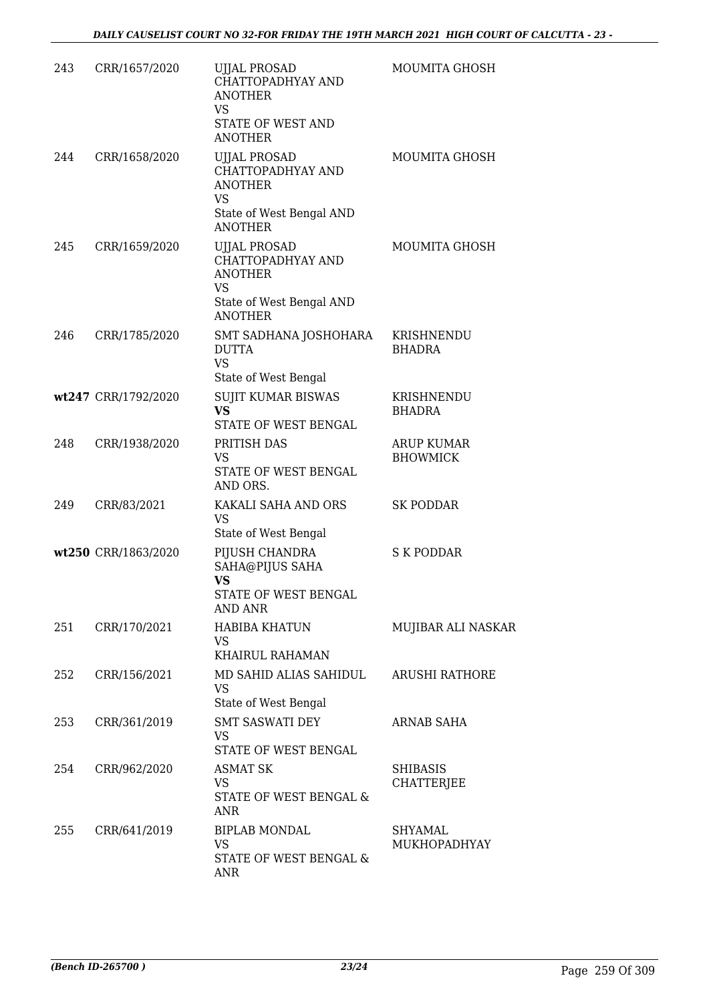| 243 | CRR/1657/2020       | <b>UJJAL PROSAD</b><br>CHATTOPADHYAY AND<br><b>ANOTHER</b><br>VS<br>STATE OF WEST AND<br><b>ANOTHER</b>        | MOUMITA GHOSH                        |
|-----|---------------------|----------------------------------------------------------------------------------------------------------------|--------------------------------------|
| 244 | CRR/1658/2020       | <b>UJJAL PROSAD</b><br>CHATTOPADHYAY AND<br><b>ANOTHER</b><br>VS<br>State of West Bengal AND<br><b>ANOTHER</b> | MOUMITA GHOSH                        |
| 245 | CRR/1659/2020       | <b>UJJAL PROSAD</b><br>CHATTOPADHYAY AND<br><b>ANOTHER</b><br>VS<br>State of West Bengal AND<br><b>ANOTHER</b> | MOUMITA GHOSH                        |
| 246 | CRR/1785/2020       | SMT SADHANA JOSHOHARA<br><b>DUTTA</b><br><b>VS</b><br>State of West Bengal                                     | KRISHNENDU<br><b>BHADRA</b>          |
|     | wt247 CRR/1792/2020 | SUJIT KUMAR BISWAS<br>VS<br>STATE OF WEST BENGAL                                                               | KRISHNENDU<br><b>BHADRA</b>          |
| 248 | CRR/1938/2020       | PRITISH DAS<br>VS<br>STATE OF WEST BENGAL<br>AND ORS.                                                          | ARUP KUMAR<br><b>BHOWMICK</b>        |
| 249 | CRR/83/2021         | KAKALI SAHA AND ORS<br><b>VS</b><br>State of West Bengal                                                       | <b>SK PODDAR</b>                     |
|     | wt250 CRR/1863/2020 | PIJUSH CHANDRA<br>SAHA@PIJUS SAHA<br>VS<br>STATE OF WEST BENGAL<br>AND ANR                                     | <b>S K PODDAR</b>                    |
| 251 | CRR/170/2021        | <b>HABIBA KHATUN</b><br>VS.<br>KHAIRUL RAHAMAN                                                                 | MUJIBAR ALI NASKAR                   |
| 252 | CRR/156/2021        | MD SAHID ALIAS SAHIDUL<br><b>VS</b><br>State of West Bengal                                                    | <b>ARUSHI RATHORE</b>                |
| 253 | CRR/361/2019        | <b>SMT SASWATI DEY</b><br>VS<br>STATE OF WEST BENGAL                                                           | ARNAB SAHA                           |
| 254 | CRR/962/2020        | <b>ASMAT SK</b><br><b>VS</b><br>STATE OF WEST BENGAL &<br>ANR                                                  | <b>SHIBASIS</b><br><b>CHATTERJEE</b> |
| 255 | CRR/641/2019        | <b>BIPLAB MONDAL</b><br><b>VS</b><br>STATE OF WEST BENGAL &<br><b>ANR</b>                                      | SHYAMAL<br>MUKHOPADHYAY              |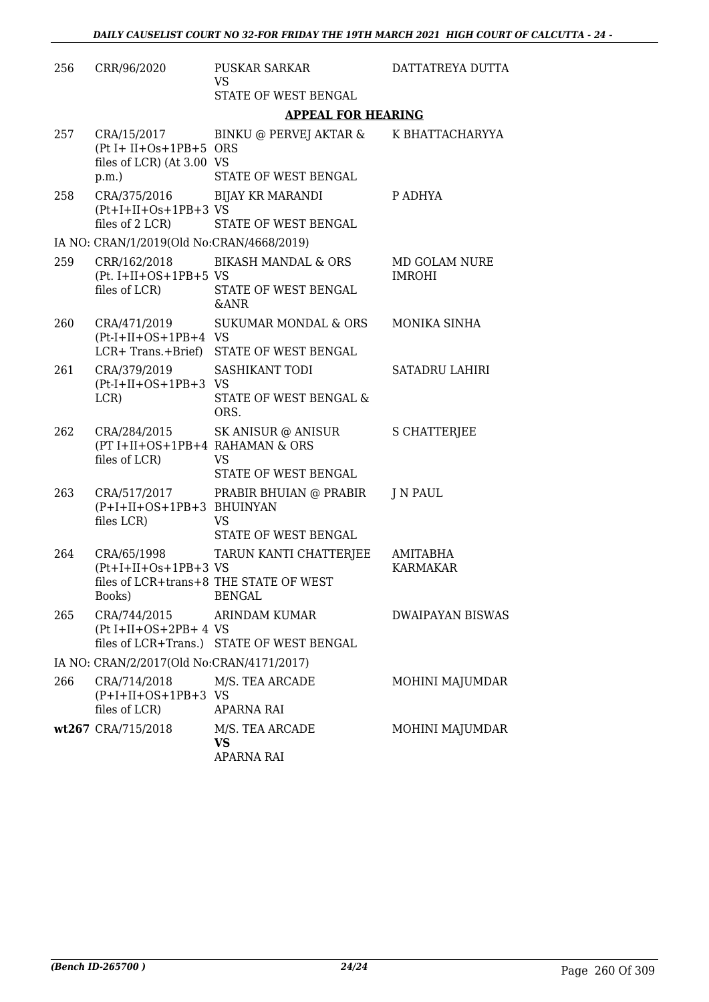| 256 | CRR/96/2020                                                                              | PUSKAR SARKAR<br><b>VS</b>                                                        | DATTATREYA DUTTA               |
|-----|------------------------------------------------------------------------------------------|-----------------------------------------------------------------------------------|--------------------------------|
|     |                                                                                          | STATE OF WEST BENGAL                                                              |                                |
|     |                                                                                          | <b>APPEAL FOR HEARING</b>                                                         |                                |
| 257 | CRA/15/2017<br>$(Pt I + II + Os + 1PB + 5 ORS)$<br>files of LCR) (At 3.00 VS<br>$p.m.$ ) | BINKU @ PERVEJ AKTAR &<br>STATE OF WEST BENGAL                                    | K BHATTACHARYYA                |
| 258 | CRA/375/2016<br>$(Pt+I+II+Os+1PB+3VS)$<br>files of 2 LCR)                                | <b>BIJAY KR MARANDI</b><br>STATE OF WEST BENGAL                                   | P ADHYA                        |
|     | IA NO: CRAN/1/2019(Old No:CRAN/4668/2019)                                                |                                                                                   |                                |
| 259 | $(Pt. I+II+OS+1PB+5 VS)$<br>files of LCR)                                                | CRR/162/2018 BIKASH MANDAL & ORS<br>STATE OF WEST BENGAL<br><b>&amp;ANR</b>       | MD GOLAM NURE<br><b>IMROHI</b> |
| 260 | CRA/471/2019<br>$(Pt-I+II+OS+1PB+4$ VS                                                   | SUKUMAR MONDAL & ORS<br>LCR+ Trans.+Brief) STATE OF WEST BENGAL                   | MONIKA SINHA                   |
| 261 | CRA/379/2019<br>$(Pt-I+II+OS+1PB+3$ VS<br>LCR)                                           | SASHIKANT TODI<br>STATE OF WEST BENGAL &<br>ORS.                                  | SATADRU LAHIRI                 |
| 262 | (PT I+II+OS+1PB+4 RAHAMAN & ORS<br>files of LCR)                                         | CRA/284/2015 SK ANISUR @ ANISUR<br><b>VS</b><br>STATE OF WEST BENGAL              | <b>S CHATTERJEE</b>            |
| 263 | CRA/517/2017<br>(P+I+II+OS+1PB+3 BHUINYAN<br>files LCR)                                  | PRABIR BHUIAN @ PRABIR<br><b>VS</b><br>STATE OF WEST BENGAL                       | J N PAUL                       |
| 264 | CRA/65/1998<br>$(Pt+I+II+Os+1PB+3VS)$<br>Books)                                          | TARUN KANTI CHATTERJEE<br>files of LCR+trans+8 THE STATE OF WEST<br><b>BENGAL</b> | AMITABHA<br><b>KARMAKAR</b>    |
| 265 | CRA/744/2015<br>$(Pt I+II+OS+2PB+4VS)$                                                   | ARINDAM KUMAR<br>files of LCR+Trans.) STATE OF WEST BENGAL                        | <b>DWAIPAYAN BISWAS</b>        |
|     | IA NO: CRAN/2/2017(Old No:CRAN/4171/2017)                                                |                                                                                   |                                |
| 266 | CRA/714/2018<br>$(P+I+II+OS+1PB+3$ VS<br>files of LCR)                                   | M/S. TEA ARCADE<br><b>APARNA RAI</b>                                              | MOHINI MAJUMDAR                |
|     | wt267 CRA/715/2018                                                                       | M/S. TEA ARCADE<br>VS<br>APARNA RAI                                               | MOHINI MAJUMDAR                |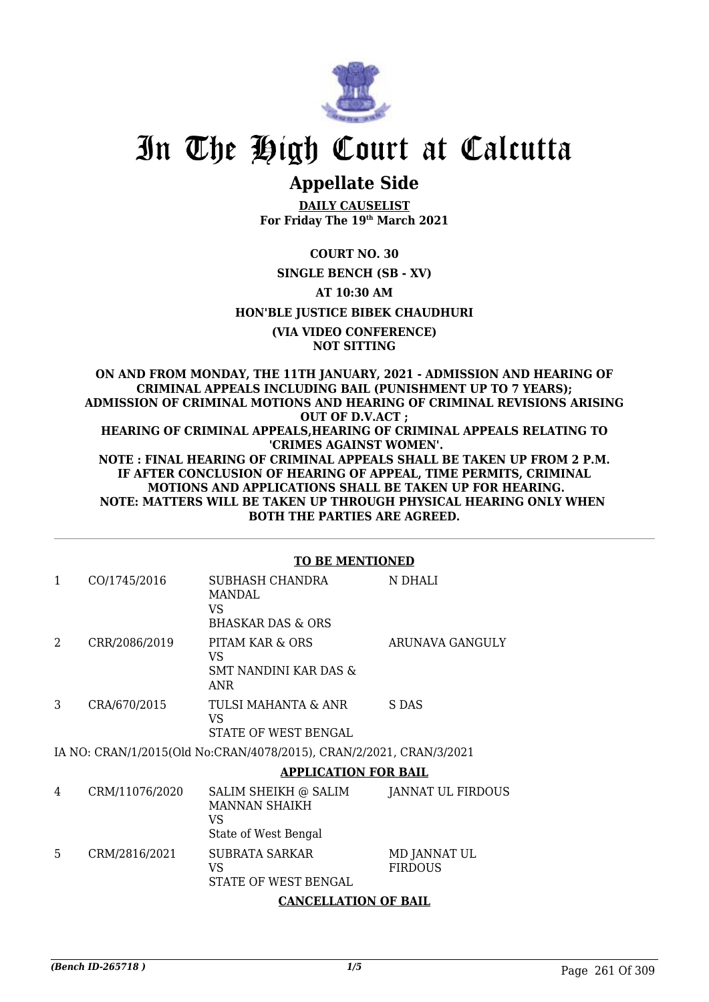

# **Appellate Side**

**DAILY CAUSELIST For Friday The 19th March 2021**

# **COURT NO. 30**

## **SINGLE BENCH (SB - XV)**

# **AT 10:30 AM**

## **HON'BLE JUSTICE BIBEK CHAUDHURI**

**(VIA VIDEO CONFERENCE) NOT SITTING**

**ON AND FROM MONDAY, THE 11TH JANUARY, 2021 - ADMISSION AND HEARING OF CRIMINAL APPEALS INCLUDING BAIL (PUNISHMENT UP TO 7 YEARS); ADMISSION OF CRIMINAL MOTIONS AND HEARING OF CRIMINAL REVISIONS ARISING OUT OF D.V.ACT ; HEARING OF CRIMINAL APPEALS,HEARING OF CRIMINAL APPEALS RELATING TO 'CRIMES AGAINST WOMEN'. NOTE : FINAL HEARING OF CRIMINAL APPEALS SHALL BE TAKEN UP FROM 2 P.M. IF AFTER CONCLUSION OF HEARING OF APPEAL, TIME PERMITS, CRIMINAL MOTIONS AND APPLICATIONS SHALL BE TAKEN UP FOR HEARING. NOTE: MATTERS WILL BE TAKEN UP THROUGH PHYSICAL HEARING ONLY WHEN BOTH THE PARTIES ARE AGREED.**

### **TO BE MENTIONED**

|   | CO/1745/2016  | SUBHASH CHANDRA<br>MANDAL<br>VS<br>BHASKAR DAS & ORS                       | N DHALI         |
|---|---------------|----------------------------------------------------------------------------|-----------------|
| 2 | CRR/2086/2019 | PITAM KAR & ORS<br>VS<br>SMT NANDINI KAR DAS &<br>ANR                      | ARUNAVA GANGULY |
| 3 | CRA/670/2015  | TULSI MAHANTA & ANR<br>VS<br>STATE OF WEST BENGAL                          | S DAS           |
|   |               | IA NIO LODANIH 1904 ELOLLAI LODANIH 0 TO 1904 ENLODO 1909 OD 1 NIJO 1909 1 |                 |

IA NO: CRAN/1/2015(Old No:CRAN/4078/2015), CRAN/2/2021, CRAN/3/2021

### **APPLICATION FOR BAIL**

| 4 | CRM/11076/2020 | SALIM SHEIKH @ SALIM<br><b>MANNAN SHAIKH</b><br>VS<br>State of West Bengal | JANNAT UL FIRDOUS              |
|---|----------------|----------------------------------------------------------------------------|--------------------------------|
| 5 | CRM/2816/2021  | <b>SUBRATA SARKAR</b><br>VS<br>STATE OF WEST BENGAL                        | MD JANNAT UL<br><b>FIRDOUS</b> |

# **CANCELLATION OF BAIL**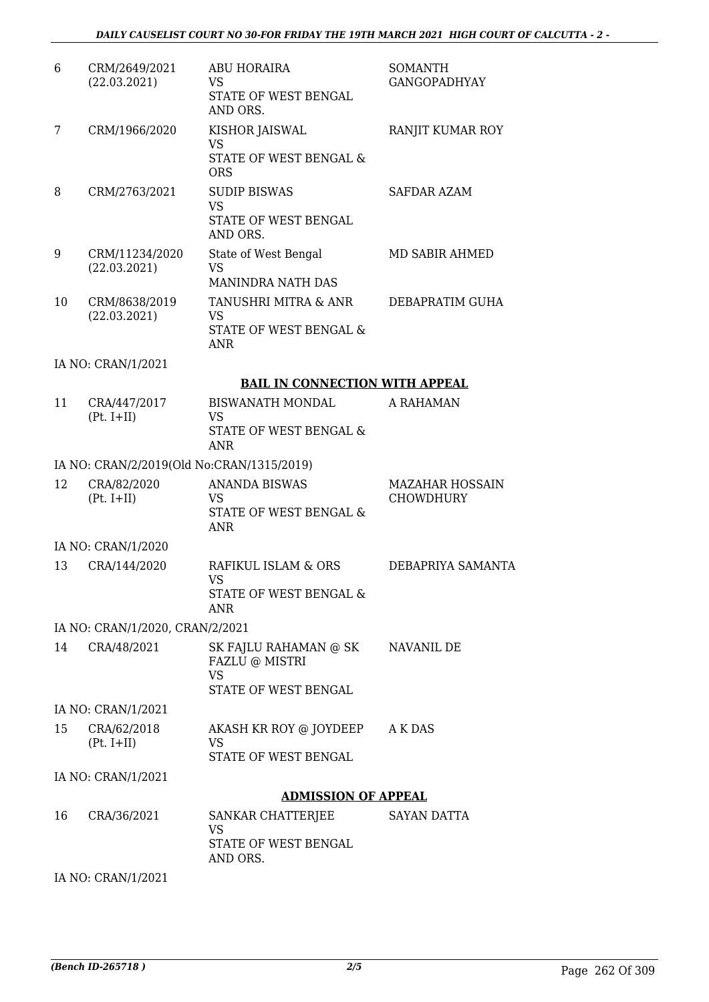| 6  | CRM/2649/2021<br>(22.03.2021)             | <b>ABU HORAIRA</b><br><b>VS</b>                                               | <b>SOMANTH</b><br><b>GANGOPADHYAY</b>      |
|----|-------------------------------------------|-------------------------------------------------------------------------------|--------------------------------------------|
|    |                                           | <b>STATE OF WEST BENGAL</b><br>AND ORS.                                       |                                            |
| 7  | CRM/1966/2020                             | KISHOR JAISWAL<br><b>VS</b>                                                   | RANJIT KUMAR ROY                           |
|    |                                           | STATE OF WEST BENGAL &<br><b>ORS</b>                                          |                                            |
| 8  | CRM/2763/2021                             | <b>SUDIP BISWAS</b><br><b>VS</b>                                              | SAFDAR AZAM                                |
|    |                                           | STATE OF WEST BENGAL<br>AND ORS.                                              |                                            |
| 9  | CRM/11234/2020<br>(22.03.2021)            | State of West Bengal<br><b>VS</b>                                             | MD SABIR AHMED                             |
|    |                                           | MANINDRA NATH DAS                                                             |                                            |
| 10 | CRM/8638/2019<br>(22.03.2021)             | TANUSHRI MITRA & ANR<br><b>VS</b>                                             | DEBAPRATIM GUHA                            |
|    |                                           | <b>STATE OF WEST BENGAL &amp;</b><br><b>ANR</b>                               |                                            |
|    | IA NO: CRAN/1/2021                        |                                                                               |                                            |
|    |                                           | <b>BAIL IN CONNECTION WITH APPEAL</b>                                         |                                            |
| 11 | CRA/447/2017<br>$(Pt. I+II)$              | <b>BISWANATH MONDAL</b><br>VS                                                 | A RAHAMAN                                  |
|    |                                           | STATE OF WEST BENGAL &<br><b>ANR</b>                                          |                                            |
|    | IA NO: CRAN/2/2019(Old No:CRAN/1315/2019) |                                                                               |                                            |
| 12 | CRA/82/2020<br>$(Pt. I+II)$               | <b>ANANDA BISWAS</b><br>VS<br><b>STATE OF WEST BENGAL &amp;</b><br><b>ANR</b> | <b>MAZAHAR HOSSAIN</b><br><b>CHOWDHURY</b> |
|    | IA NO: CRAN/1/2020                        |                                                                               |                                            |
| 13 | CRA/144/2020                              | RAFIKUL ISLAM & ORS                                                           | DEBAPRIYA SAMANTA                          |
|    |                                           | VS<br>STATE OF WEST BENGAL &<br>ANR                                           |                                            |
|    | IA NO: CRAN/1/2020, CRAN/2/2021           |                                                                               |                                            |
| 14 | CRA/48/2021                               | SK FAJLU RAHAMAN @ SK<br>FAZLU @ MISTRI<br><b>VS</b>                          | NAVANIL DE                                 |
|    |                                           | STATE OF WEST BENGAL                                                          |                                            |
|    | IA NO: CRAN/1/2021                        |                                                                               |                                            |
| 15 | CRA/62/2018<br>$(Pt. I+II)$               | AKASH KR ROY @ JOYDEEP<br>VS                                                  | A K DAS                                    |
|    |                                           | STATE OF WEST BENGAL                                                          |                                            |
|    | IA NO: CRAN/1/2021                        |                                                                               |                                            |
|    |                                           | <b>ADMISSION OF APPEAL</b>                                                    |                                            |
| 16 | CRA/36/2021                               | SANKAR CHATTERJEE<br><b>VS</b>                                                | SAYAN DATTA                                |
|    |                                           | STATE OF WEST BENGAL<br>AND ORS.                                              |                                            |

IA NO: CRAN/1/2021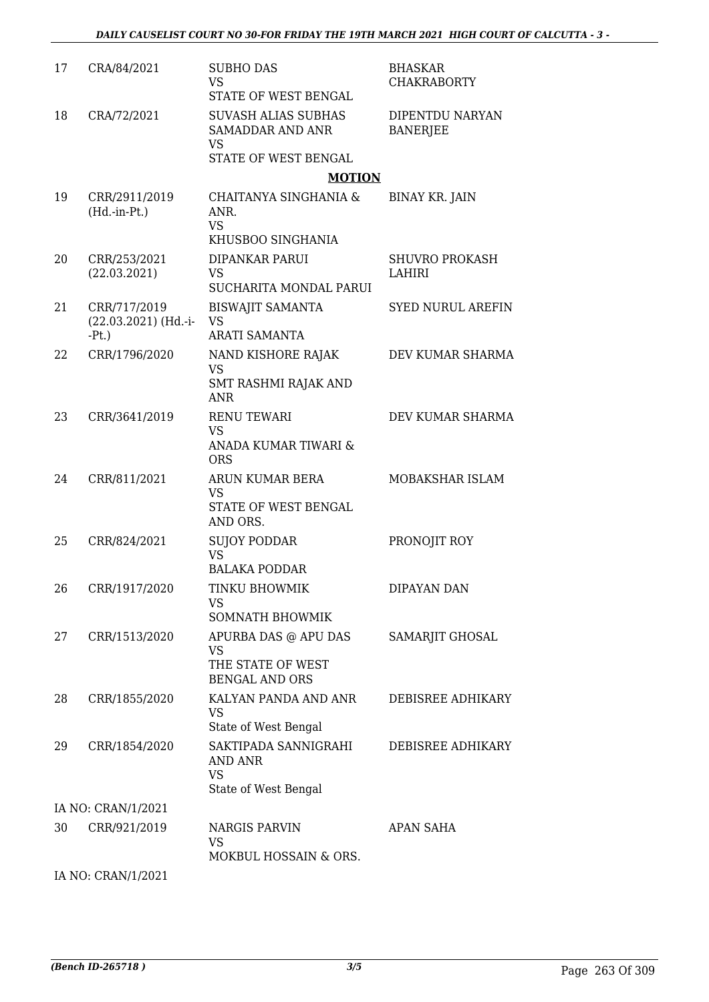| 17 | CRA/84/2021                                        | <b>SUBHO DAS</b><br><b>VS</b><br>STATE OF WEST BENGAL                                      | <b>BHASKAR</b><br><b>CHAKRABORTY</b> |
|----|----------------------------------------------------|--------------------------------------------------------------------------------------------|--------------------------------------|
| 18 | CRA/72/2021                                        | <b>SUVASH ALIAS SUBHAS</b><br><b>SAMADDAR AND ANR</b><br><b>VS</b><br>STATE OF WEST BENGAL | DIPENTDU NARYAN<br><b>BANERJEE</b>   |
|    |                                                    | <b>MOTION</b>                                                                              |                                      |
| 19 | CRR/2911/2019<br>$(Hd.-in-Pt.)$                    | CHAITANYA SINGHANIA &<br>ANR.<br><b>VS</b>                                                 | <b>BINAY KR. JAIN</b>                |
|    |                                                    | KHUSBOO SINGHANIA                                                                          |                                      |
| 20 | CRR/253/2021<br>(22.03.2021)                       | <b>DIPANKAR PARUI</b><br><b>VS</b><br>SUCHARITA MONDAL PARUI                               | <b>SHUVRO PROKASH</b><br>LAHIRI      |
| 21 | CRR/717/2019<br>$(22.03.2021)$ (Hd.-i-<br>$-Pt.$ ) | <b>BISWAJIT SAMANTA</b><br><b>VS</b><br><b>ARATI SAMANTA</b>                               | <b>SYED NURUL AREFIN</b>             |
| 22 | CRR/1796/2020                                      | NAND KISHORE RAJAK<br><b>VS</b><br>SMT RASHMI RAJAK AND                                    | DEV KUMAR SHARMA                     |
| 23 | CRR/3641/2019                                      | <b>ANR</b><br><b>RENU TEWARI</b>                                                           | DEV KUMAR SHARMA                     |
|    |                                                    | <b>VS</b>                                                                                  |                                      |
|    |                                                    | ANADA KUMAR TIWARI &<br><b>ORS</b>                                                         |                                      |
| 24 | CRR/811/2021                                       | ARUN KUMAR BERA<br><b>VS</b><br>STATE OF WEST BENGAL                                       | MOBAKSHAR ISLAM                      |
|    |                                                    | AND ORS.                                                                                   |                                      |
| 25 | CRR/824/2021                                       | <b>SUJOY PODDAR</b><br><b>VS</b>                                                           | PRONOJIT ROY                         |
|    |                                                    | <b>BALAKA PODDAR</b>                                                                       |                                      |
| 26 | CRR/1917/2020                                      | TINKU BHOWMIK<br>VS<br><b>SOMNATH BHOWMIK</b>                                              | DIPAYAN DAN                          |
| 27 | CRR/1513/2020                                      | APURBA DAS @ APU DAS                                                                       | SAMARJIT GHOSAL                      |
|    |                                                    | <b>VS</b><br>THE STATE OF WEST<br><b>BENGAL AND ORS</b>                                    |                                      |
| 28 | CRR/1855/2020                                      | KALYAN PANDA AND ANR<br><b>VS</b>                                                          | DEBISREE ADHIKARY                    |
|    |                                                    | State of West Bengal                                                                       |                                      |
| 29 | CRR/1854/2020                                      | SAKTIPADA SANNIGRAHI<br>AND ANR<br><b>VS</b>                                               | DEBISREE ADHIKARY                    |
|    |                                                    | State of West Bengal                                                                       |                                      |
|    | IA NO: CRAN/1/2021                                 |                                                                                            |                                      |
| 30 | CRR/921/2019                                       | <b>NARGIS PARVIN</b><br><b>VS</b><br>MOKBUL HOSSAIN & ORS.                                 | <b>APAN SAHA</b>                     |
|    | IA NO: CRAN/1/2021                                 |                                                                                            |                                      |

*(Bench ID-265718 ) 3/5* Page 263 Of 309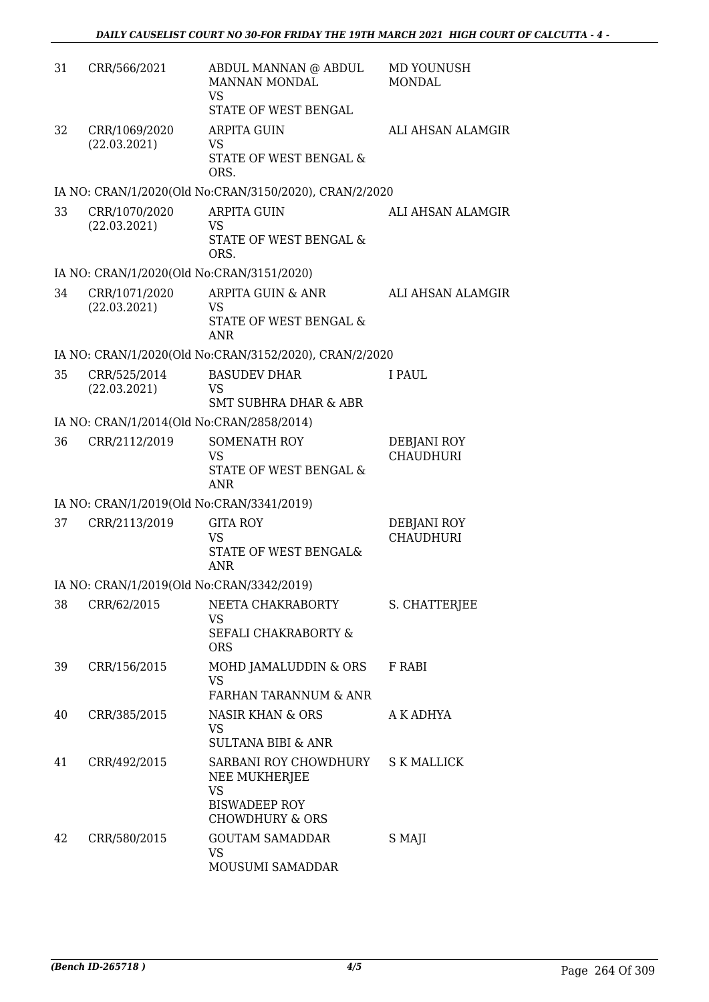| 31 | CRR/566/2021                              | ABDUL MANNAN @ ABDUL<br>MANNAN MONDAL<br><b>VS</b><br>STATE OF WEST BENGAL                                | MD YOUNUSH<br><b>MONDAL</b>     |
|----|-------------------------------------------|-----------------------------------------------------------------------------------------------------------|---------------------------------|
| 32 | CRR/1069/2020<br>(22.03.2021)             | <b>ARPITA GUIN</b><br><b>VS</b><br>STATE OF WEST BENGAL &<br>ORS.                                         | ALI AHSAN ALAMGIR               |
|    |                                           | IA NO: CRAN/1/2020(Old No:CRAN/3150/2020), CRAN/2/2020                                                    |                                 |
| 33 | CRR/1070/2020<br>(22.03.2021)             | <b>ARPITA GUIN</b><br>VS<br>STATE OF WEST BENGAL &<br>ORS.                                                | ALI AHSAN ALAMGIR               |
|    | IA NO: CRAN/1/2020(Old No:CRAN/3151/2020) |                                                                                                           |                                 |
| 34 | CRR/1071/2020<br>(22.03.2021)             | ARPITA GUIN & ANR<br><b>VS</b><br>STATE OF WEST BENGAL &<br><b>ANR</b>                                    | ALI AHSAN ALAMGIR               |
|    |                                           | IA NO: CRAN/1/2020(Old No:CRAN/3152/2020), CRAN/2/2020                                                    |                                 |
| 35 | CRR/525/2014<br>(22.03.2021)              | <b>BASUDEV DHAR</b><br>VS<br><b>SMT SUBHRA DHAR &amp; ABR</b>                                             | I PAUL                          |
|    | IA NO: CRAN/1/2014(Old No:CRAN/2858/2014) |                                                                                                           |                                 |
| 36 | CRR/2112/2019                             | <b>SOMENATH ROY</b><br><b>VS</b><br>STATE OF WEST BENGAL &<br><b>ANR</b>                                  | DEBJANI ROY<br><b>CHAUDHURI</b> |
|    | IA NO: CRAN/1/2019(Old No:CRAN/3341/2019) |                                                                                                           |                                 |
| 37 | CRR/2113/2019                             | <b>GITA ROY</b><br><b>VS</b><br>STATE OF WEST BENGAL&<br><b>ANR</b>                                       | DEBJANI ROY<br><b>CHAUDHURI</b> |
|    | IA NO: CRAN/1/2019(Old No:CRAN/3342/2019) |                                                                                                           |                                 |
| 38 | CRR/62/2015                               | NEETA CHAKRABORTY<br>VS.<br>SEFALI CHAKRABORTY &<br><b>ORS</b>                                            | S. CHATTERJEE                   |
| 39 | CRR/156/2015                              | MOHD JAMALUDDIN & ORS<br>VS<br>FARHAN TARANNUM & ANR                                                      | F RABI                          |
| 40 | CRR/385/2015                              | NASIR KHAN & ORS<br><b>VS</b><br><b>SULTANA BIBI &amp; ANR</b>                                            | A K ADHYA                       |
| 41 | CRR/492/2015                              | SARBANI ROY CHOWDHURY<br>NEE MUKHERJEE<br><b>VS</b><br><b>BISWADEEP ROY</b><br><b>CHOWDHURY &amp; ORS</b> | <b>S K MALLICK</b>              |
| 42 | CRR/580/2015                              | <b>GOUTAM SAMADDAR</b><br>VS<br>MOUSUMI SAMADDAR                                                          | S MAJI                          |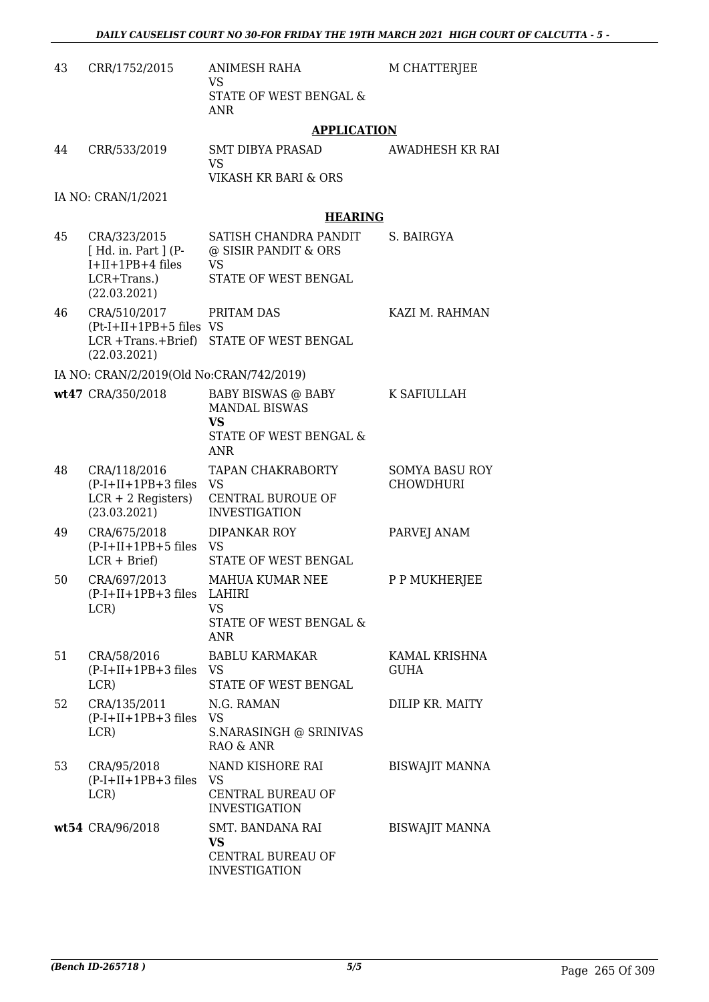| 43 | CRR/1752/2015                                                                           | ANIMESH RAHA<br><b>VS</b>                                                                       | M CHATTERJEE                              |
|----|-----------------------------------------------------------------------------------------|-------------------------------------------------------------------------------------------------|-------------------------------------------|
|    |                                                                                         | STATE OF WEST BENGAL &<br><b>ANR</b>                                                            |                                           |
|    |                                                                                         | <b>APPLICATION</b>                                                                              |                                           |
| 44 | CRR/533/2019                                                                            | SMT DIBYA PRASAD<br><b>VS</b><br>VIKASH KR BARI & ORS                                           | AWADHESH KR RAI                           |
|    | IA NO: CRAN/1/2021                                                                      |                                                                                                 |                                           |
|    |                                                                                         | <b>HEARING</b>                                                                                  |                                           |
| 45 | CRA/323/2015<br>[ Hd. in. Part ] (P-<br>I+II+1PB+4 files<br>LCR+Trans.)<br>(22.03.2021) | SATISH CHANDRA PANDIT<br>@ SISIR PANDIT & ORS<br>VS<br>STATE OF WEST BENGAL                     | S. BAIRGYA                                |
| 46 | CRA/510/2017<br>$(Pt-I+II+1PB+5$ files VS<br>(22.03.2021)                               | PRITAM DAS<br>LCR +Trans.+Brief) STATE OF WEST BENGAL                                           | KAZI M. RAHMAN                            |
|    | IA NO: CRAN/2/2019(Old No:CRAN/742/2019)                                                |                                                                                                 |                                           |
|    | wt47 CRA/350/2018                                                                       | <b>BABY BISWAS @ BABY</b><br><b>MANDAL BISWAS</b><br>VS<br>STATE OF WEST BENGAL &<br><b>ANR</b> | K SAFIULLAH                               |
| 48 | CRA/118/2016<br>$(P-I+II+1PB+3$ files VS<br>$LCR + 2$ Registers)<br>(23.03.2021)        | TAPAN CHAKRABORTY<br>CENTRAL BUROUE OF<br><b>INVESTIGATION</b>                                  | <b>SOMYA BASU ROY</b><br><b>CHOWDHURI</b> |
| 49 | CRA/675/2018<br>$(P-I+II+1PB+5$ files VS<br>$LCR + Brief$                               | DIPANKAR ROY<br>STATE OF WEST BENGAL                                                            | PARVEJ ANAM                               |
| 50 | CRA/697/2013<br>(P-I+II+1PB+3 files LAHIRI<br>LCR)                                      | MAHUA KUMAR NEE<br><b>VS</b><br>STATE OF WEST BENGAL &<br><b>ANR</b>                            | P P MUKHERJEE                             |
| 51 | CRA/58/2016<br>$(P-I+II+1PB+3$ files $VS$<br>LCR)                                       | <b>BABLU KARMAKAR</b><br>STATE OF WEST BENGAL                                                   | KAMAL KRISHNA<br><b>GUHA</b>              |
| 52 | CRA/135/2011<br>$(P-I+II+1PB+3$ files VS<br>LCR)                                        | N.G. RAMAN<br>S.NARASINGH @ SRINIVAS<br>RAO & ANR                                               | DILIP KR. MAITY                           |
| 53 | CRA/95/2018<br>$(P-I+II+1PB+3$ files VS<br>LCR)                                         | NAND KISHORE RAI<br>CENTRAL BUREAU OF<br><b>INVESTIGATION</b>                                   | <b>BISWAJIT MANNA</b>                     |
|    | wt54 CRA/96/2018                                                                        | SMT. BANDANA RAI<br>VS<br>CENTRAL BUREAU OF<br><b>INVESTIGATION</b>                             | <b>BISWAJIT MANNA</b>                     |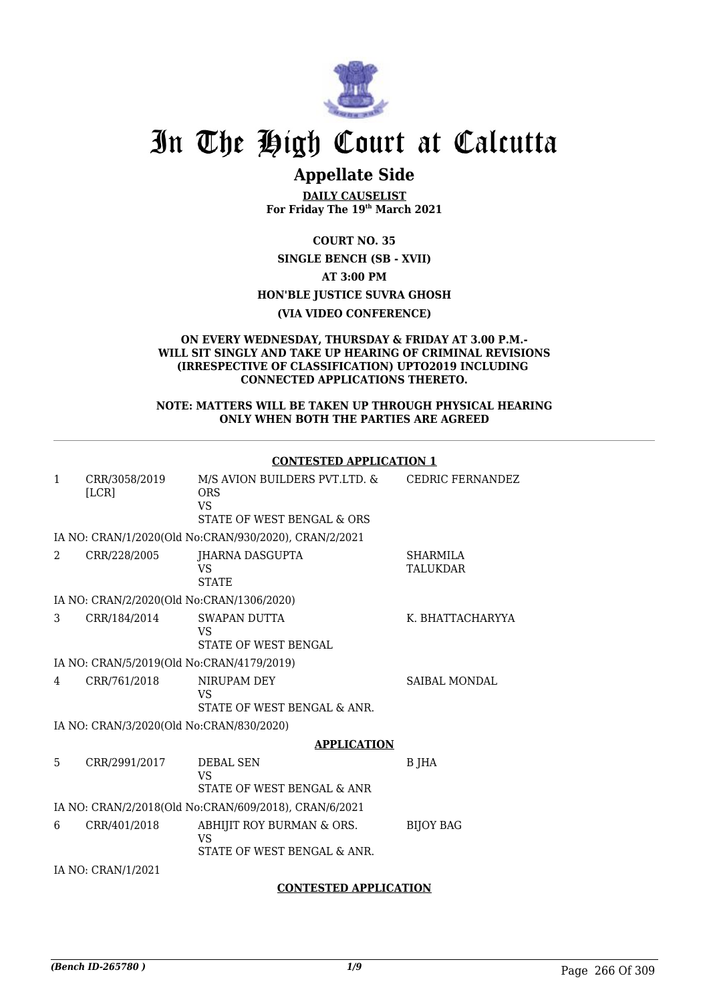

# **Appellate Side**

**DAILY CAUSELIST For Friday The 19th March 2021**

**COURT NO. 35**

**SINGLE BENCH (SB - XVII) AT 3:00 PM**

**HON'BLE JUSTICE SUVRA GHOSH**

**(VIA VIDEO CONFERENCE)**

#### **ON EVERY WEDNESDAY, THURSDAY & FRIDAY AT 3.00 P.M.- WILL SIT SINGLY AND TAKE UP HEARING OF CRIMINAL REVISIONS (IRRESPECTIVE OF CLASSIFICATION) UPTO2019 INCLUDING CONNECTED APPLICATIONS THERETO.**

#### **NOTE: MATTERS WILL BE TAKEN UP THROUGH PHYSICAL HEARING ONLY WHEN BOTH THE PARTIES ARE AGREED**

|              |                                           | <b>CONTESTED APPLICATION 1</b>                                                         |                                    |
|--------------|-------------------------------------------|----------------------------------------------------------------------------------------|------------------------------------|
| $\mathbf{1}$ | CRR/3058/2019<br>[LCR]                    | M/S AVION BUILDERS PVT.LTD. &<br><b>ORS</b><br><b>VS</b><br>STATE OF WEST BENGAL & ORS | CEDRIC FERNANDEZ                   |
|              |                                           | IA NO: CRAN/1/2020(Old No:CRAN/930/2020), CRAN/2/2021                                  |                                    |
| 2            | CRR/228/2005                              | JHARNA DASGUPTA<br>VS<br><b>STATE</b>                                                  | <b>SHARMILA</b><br><b>TALUKDAR</b> |
|              | IA NO: CRAN/2/2020(Old No:CRAN/1306/2020) |                                                                                        |                                    |
| 3            | CRR/184/2014                              | <b>SWAPAN DUTTA</b><br><b>VS</b><br>STATE OF WEST BENGAL                               | K. BHATTACHARYYA                   |
|              | IA NO: CRAN/5/2019(Old No:CRAN/4179/2019) |                                                                                        |                                    |
| 4            | CRR/761/2018                              | NIRUPAM DEY<br>VS<br>STATE OF WEST BENGAL & ANR.                                       | <b>SAIBAL MONDAL</b>               |
|              | IA NO: CRAN/3/2020(Old No:CRAN/830/2020)  |                                                                                        |                                    |
|              |                                           | <b>APPLICATION</b>                                                                     |                                    |
| 5.           | CRR/2991/2017                             | <b>DEBAL SEN</b><br><b>VS</b><br>STATE OF WEST BENGAL & ANR                            | B JHA                              |
|              |                                           | IA NO: CRAN/2/2018(Old No:CRAN/609/2018), CRAN/6/2021                                  |                                    |
| 6            | CRR/401/2018                              | ABHIJIT ROY BURMAN & ORS.<br><b>VS</b><br>STATE OF WEST BENGAL & ANR.                  | <b>BIJOY BAG</b>                   |
|              | IA NO: CRAN/1/2021                        |                                                                                        |                                    |
|              |                                           | <b>CONTESTED APPLICATION</b>                                                           |                                    |

#### **CONTESTED APPLICATION 1**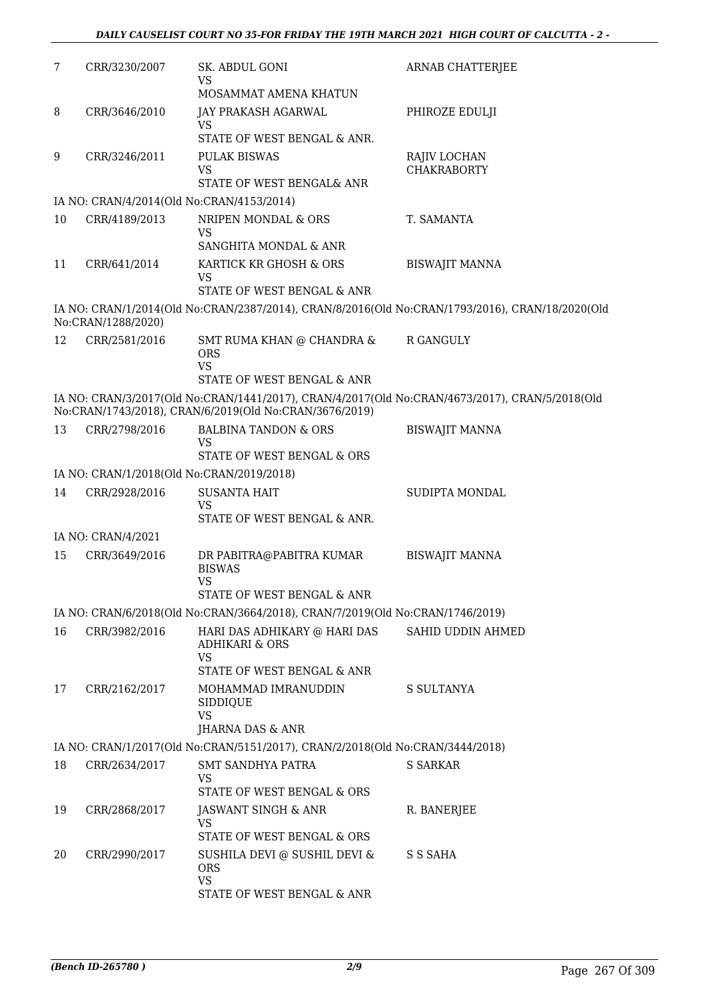| 7  | CRR/3230/2007      | SK. ABDUL GONI<br><b>VS</b>                                                                               | ARNAB CHATTERJEE                                                                                |
|----|--------------------|-----------------------------------------------------------------------------------------------------------|-------------------------------------------------------------------------------------------------|
| 8  | CRR/3646/2010      | MOSAMMAT AMENA KHATUN<br>JAY PRAKASH AGARWAL                                                              | PHIROZE EDULJI                                                                                  |
|    |                    | <b>VS</b><br>STATE OF WEST BENGAL & ANR.                                                                  |                                                                                                 |
| 9  | CRR/3246/2011      | <b>PULAK BISWAS</b>                                                                                       | RAJIV LOCHAN                                                                                    |
|    |                    | VS                                                                                                        | <b>CHAKRABORTY</b>                                                                              |
|    |                    | STATE OF WEST BENGAL& ANR                                                                                 |                                                                                                 |
|    |                    | IA NO: CRAN/4/2014(Old No:CRAN/4153/2014)                                                                 |                                                                                                 |
| 10 | CRR/4189/2013      | NRIPEN MONDAL & ORS<br><b>VS</b>                                                                          | T. SAMANTA                                                                                      |
| 11 |                    | SANGHITA MONDAL & ANR<br>KARTICK KR GHOSH & ORS                                                           |                                                                                                 |
|    | CRR/641/2014       | VS                                                                                                        | <b>BISWAJIT MANNA</b>                                                                           |
|    |                    | STATE OF WEST BENGAL & ANR                                                                                |                                                                                                 |
|    | No:CRAN/1288/2020) |                                                                                                           | IA NO: CRAN/1/2014(Old No:CRAN/2387/2014), CRAN/8/2016(Old No:CRAN/1793/2016), CRAN/18/2020(Old |
| 12 | CRR/2581/2016      | SMT RUMA KHAN @ CHANDRA &<br><b>ORS</b><br><b>VS</b>                                                      | R GANGULY                                                                                       |
|    |                    | STATE OF WEST BENGAL & ANR                                                                                |                                                                                                 |
|    |                    | No:CRAN/1743/2018), CRAN/6/2019(Old No:CRAN/3676/2019)                                                    | IA NO: CRAN/3/2017(Old No:CRAN/1441/2017), CRAN/4/2017(Old No:CRAN/4673/2017), CRAN/5/2018(Old  |
| 13 | CRR/2798/2016      | <b>BALBINA TANDON &amp; ORS</b>                                                                           | <b>BISWAJIT MANNA</b>                                                                           |
|    |                    | <b>VS</b><br>STATE OF WEST BENGAL & ORS                                                                   |                                                                                                 |
|    |                    | IA NO: CRAN/1/2018(Old No:CRAN/2019/2018)                                                                 |                                                                                                 |
| 14 | CRR/2928/2016      | <b>SUSANTA HAIT</b>                                                                                       | SUDIPTA MONDAL                                                                                  |
|    |                    | VS<br>STATE OF WEST BENGAL & ANR.                                                                         |                                                                                                 |
|    | IA NO: CRAN/4/2021 |                                                                                                           |                                                                                                 |
| 15 | CRR/3649/2016      | DR PABITRA@PABITRA KUMAR<br><b>BISWAS</b>                                                                 | <b>BISWAJIT MANNA</b>                                                                           |
|    |                    | <b>VS</b><br>STATE OF WEST BENGAL & ANR                                                                   |                                                                                                 |
|    |                    | IA NO: CRAN/6/2018(Old No:CRAN/3664/2018), CRAN/7/2019(Old No:CRAN/1746/2019)                             |                                                                                                 |
| 16 | CRR/3982/2016      | HARI DAS ADHIKARY @ HARI DAS<br><b>ADHIKARI &amp; ORS</b>                                                 | SAHID UDDIN AHMED                                                                               |
|    |                    | <b>VS</b><br>STATE OF WEST BENGAL & ANR                                                                   |                                                                                                 |
| 17 | CRR/2162/2017      | MOHAMMAD IMRANUDDIN<br>SIDDIQUE<br><b>VS</b>                                                              | S SULTANYA                                                                                      |
|    |                    | JHARNA DAS & ANR                                                                                          |                                                                                                 |
| 18 | CRR/2634/2017      | IA NO: CRAN/1/2017(Old No:CRAN/5151/2017), CRAN/2/2018(Old No:CRAN/3444/2018)<br><b>SMT SANDHYA PATRA</b> | S SARKAR                                                                                        |
|    |                    | <b>VS</b><br>STATE OF WEST BENGAL & ORS                                                                   |                                                                                                 |
| 19 | CRR/2868/2017      | JASWANT SINGH & ANR                                                                                       | R. BANERJEE                                                                                     |
|    |                    | VS                                                                                                        |                                                                                                 |
|    |                    | STATE OF WEST BENGAL & ORS                                                                                |                                                                                                 |
| 20 | CRR/2990/2017      | SUSHILA DEVI @ SUSHIL DEVI &<br><b>ORS</b><br><b>VS</b>                                                   | S S SAHA                                                                                        |
|    |                    | STATE OF WEST BENGAL & ANR                                                                                |                                                                                                 |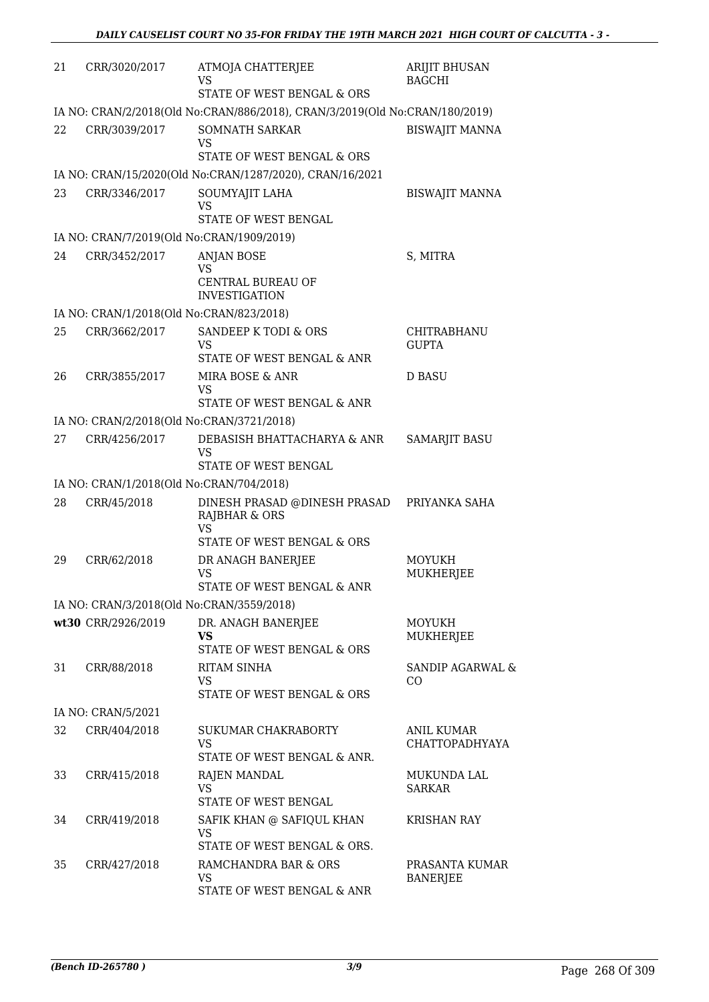| 21 | CRR/3020/2017                             | ATMOJA CHATTERJEE<br>VS<br>STATE OF WEST BENGAL & ORS                       | <b>ARIJIT BHUSAN</b><br><b>BAGCHI</b> |
|----|-------------------------------------------|-----------------------------------------------------------------------------|---------------------------------------|
|    |                                           | IA NO: CRAN/2/2018(Old No:CRAN/886/2018), CRAN/3/2019(Old No:CRAN/180/2019) |                                       |
| 22 | CRR/3039/2017                             | SOMNATH SARKAR<br><b>VS</b><br>STATE OF WEST BENGAL & ORS                   | <b>BISWAJIT MANNA</b>                 |
|    |                                           | IA NO: CRAN/15/2020(Old No:CRAN/1287/2020), CRAN/16/2021                    |                                       |
| 23 | CRR/3346/2017                             | SOUMYAJIT LAHA<br><b>VS</b><br>STATE OF WEST BENGAL                         | <b>BISWAJIT MANNA</b>                 |
|    | IA NO: CRAN/7/2019(Old No:CRAN/1909/2019) |                                                                             |                                       |
| 24 | CRR/3452/2017                             | <b>ANJAN BOSE</b><br><b>VS</b><br>CENTRAL BUREAU OF<br><b>INVESTIGATION</b> | S, MITRA                              |
|    | IA NO: CRAN/1/2018(Old No:CRAN/823/2018)  |                                                                             |                                       |
| 25 | CRR/3662/2017                             | SANDEEP K TODI & ORS<br><b>VS</b><br>STATE OF WEST BENGAL & ANR             | <b>CHITRABHANU</b><br><b>GUPTA</b>    |
| 26 | CRR/3855/2017                             | MIRA BOSE & ANR<br>VS<br>STATE OF WEST BENGAL & ANR                         | <b>D BASU</b>                         |
|    | IA NO: CRAN/2/2018(Old No:CRAN/3721/2018) |                                                                             |                                       |
| 27 | CRR/4256/2017                             | DEBASISH BHATTACHARYA & ANR<br><b>VS</b><br>STATE OF WEST BENGAL            | <b>SAMARJIT BASU</b>                  |
|    | IA NO: CRAN/1/2018(Old No:CRAN/704/2018)  |                                                                             |                                       |
| 28 | CRR/45/2018                               | DINESH PRASAD @DINESH PRASAD<br>RAJBHAR & ORS<br><b>VS</b>                  | PRIYANKA SAHA                         |
|    |                                           | STATE OF WEST BENGAL & ORS                                                  |                                       |
| 29 | CRR/62/2018                               | DR ANAGH BANERJEE<br>VS<br>STATE OF WEST BENGAL & ANR                       | MOYUKH<br>MUKHERJEE                   |
|    | IA NO: CRAN/3/2018(Old No:CRAN/3559/2018) |                                                                             |                                       |
|    | wt30 CRR/2926/2019                        | DR. ANAGH BANERJEE<br><b>VS</b><br>STATE OF WEST BENGAL & ORS               | <b>MOYUKH</b><br><b>MUKHERJEE</b>     |
| 31 | CRR/88/2018                               | RITAM SINHA<br>VS<br>STATE OF WEST BENGAL & ORS                             | SANDIP AGARWAL &<br>CO                |
|    | IA NO: CRAN/5/2021                        |                                                                             |                                       |
| 32 | CRR/404/2018                              | SUKUMAR CHAKRABORTY<br><b>VS</b><br>STATE OF WEST BENGAL & ANR.             | ANIL KUMAR<br>CHATTOPADHYAYA          |
| 33 | CRR/415/2018                              | RAJEN MANDAL<br>VS<br>STATE OF WEST BENGAL                                  | MUKUNDA LAL<br><b>SARKAR</b>          |
| 34 | CRR/419/2018                              | SAFIK KHAN @ SAFIQUL KHAN<br>VS<br>STATE OF WEST BENGAL & ORS.              | <b>KRISHAN RAY</b>                    |
| 35 | CRR/427/2018                              | RAMCHANDRA BAR & ORS<br><b>VS</b><br>STATE OF WEST BENGAL & ANR             | PRASANTA KUMAR<br><b>BANERJEE</b>     |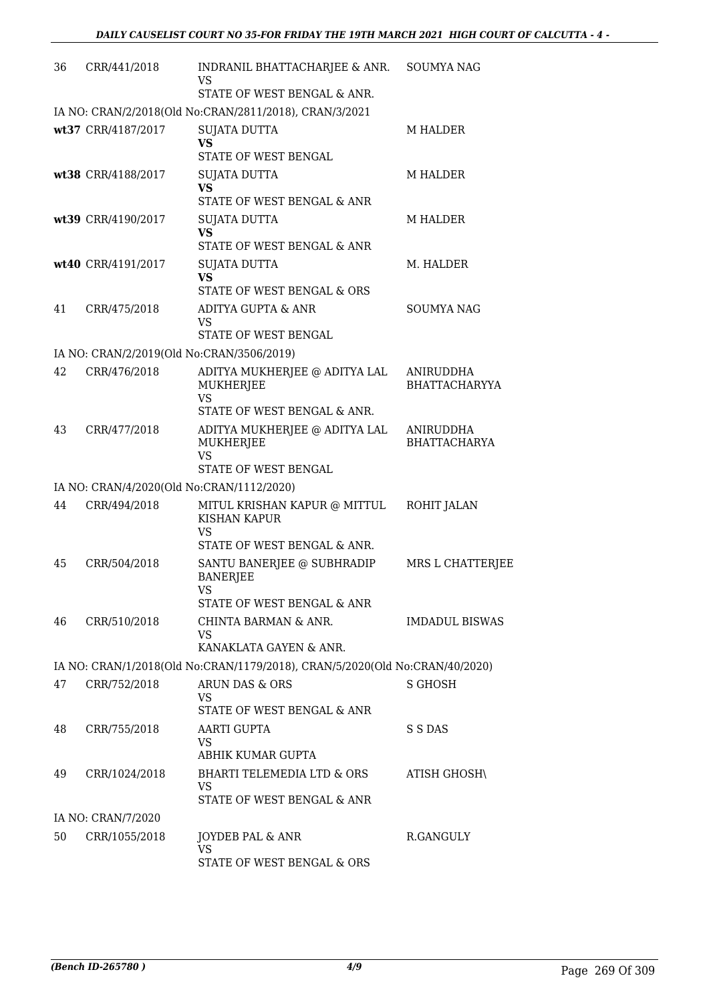| 36 | CRR/441/2018                              | INDRANIL BHATTACHARJEE & ANR.<br>VS                                                                                | <b>SOUMYA NAG</b>                 |
|----|-------------------------------------------|--------------------------------------------------------------------------------------------------------------------|-----------------------------------|
|    |                                           | STATE OF WEST BENGAL & ANR.                                                                                        |                                   |
|    |                                           | IA NO: CRAN/2/2018(Old No:CRAN/2811/2018), CRAN/3/2021                                                             |                                   |
|    | wt37 CRR/4187/2017                        | <b>SUJATA DUTTA</b><br>VS<br>STATE OF WEST BENGAL                                                                  | M HALDER                          |
|    | wt38 CRR/4188/2017                        | <b>SUJATA DUTTA</b><br><b>VS</b><br>STATE OF WEST BENGAL & ANR                                                     | <b>M HALDER</b>                   |
|    | wt39 CRR/4190/2017                        | SUJATA DUTTA<br><b>VS</b><br>STATE OF WEST BENGAL & ANR                                                            | <b>M HALDER</b>                   |
|    | wt40 CRR/4191/2017                        | SUJATA DUTTA<br><b>VS</b><br>STATE OF WEST BENGAL & ORS                                                            | M. HALDER                         |
| 41 | CRR/475/2018                              | ADITYA GUPTA & ANR<br>VS<br>STATE OF WEST BENGAL                                                                   | <b>SOUMYA NAG</b>                 |
|    | IA NO: CRAN/2/2019(Old No:CRAN/3506/2019) |                                                                                                                    |                                   |
| 42 | CRR/476/2018                              | ADITYA MUKHERJEE @ ADITYA LAL<br>MUKHERJEE<br><b>VS</b><br>STATE OF WEST BENGAL & ANR.                             | ANIRUDDHA<br><b>BHATTACHARYYA</b> |
| 43 | CRR/477/2018                              | ADITYA MUKHERJEE @ ADITYA LAL<br><b>MUKHERJEE</b><br><b>VS</b><br>STATE OF WEST BENGAL                             | ANIRUDDHA<br><b>BHATTACHARYA</b>  |
|    | IA NO: CRAN/4/2020(Old No:CRAN/1112/2020) |                                                                                                                    |                                   |
| 44 | CRR/494/2018                              | MITUL KRISHAN KAPUR @ MITTUL<br>KISHAN KAPUR<br>VS                                                                 | ROHIT JALAN                       |
| 45 | CRR/504/2018                              | STATE OF WEST BENGAL & ANR.<br>SANTU BANERJEE @ SUBHRADIP<br><b>BANERJEE</b><br>VS —<br>STATE OF WEST BENGAL & ANR | MRS L CHATTERJEE                  |
| 46 | CRR/510/2018                              | CHINTA BARMAN & ANR.<br>VS<br>KANAKLATA GAYEN & ANR.                                                               | <b>IMDADUL BISWAS</b>             |
|    |                                           | IA NO: CRAN/1/2018(Old No:CRAN/1179/2018), CRAN/5/2020(Old No:CRAN/40/2020)                                        |                                   |
| 47 | CRR/752/2018                              | ARUN DAS & ORS<br>VS                                                                                               | S GHOSH                           |
| 48 | CRR/755/2018                              | STATE OF WEST BENGAL & ANR<br>AARTI GUPTA<br>VS<br>ABHIK KUMAR GUPTA                                               | S S DAS                           |
| 49 | CRR/1024/2018                             | BHARTI TELEMEDIA LTD & ORS<br>VS<br>STATE OF WEST BENGAL & ANR                                                     | ATISH GHOSH\                      |
|    | IA NO: CRAN/7/2020                        |                                                                                                                    |                                   |
| 50 | CRR/1055/2018                             | JOYDEB PAL & ANR<br>VS                                                                                             | R.GANGULY                         |
|    |                                           | STATE OF WEST BENGAL & ORS                                                                                         |                                   |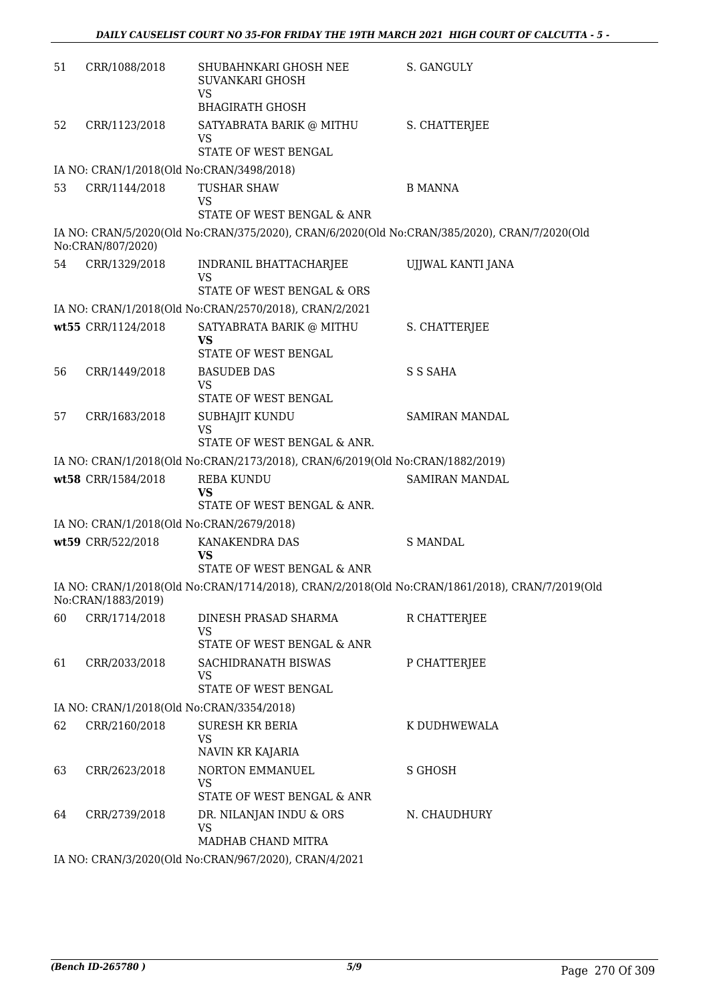| 51 | CRR/1088/2018      | SHUBAHNKARI GHOSH NEE<br>SUVANKARI GHOSH<br><b>VS</b>                                        | S. GANGULY                                                                                     |
|----|--------------------|----------------------------------------------------------------------------------------------|------------------------------------------------------------------------------------------------|
|    |                    | <b>BHAGIRATH GHOSH</b>                                                                       |                                                                                                |
| 52 | CRR/1123/2018      | SATYABRATA BARIK @ MITHU<br>VS                                                               | S. CHATTERJEE                                                                                  |
|    |                    | STATE OF WEST BENGAL                                                                         |                                                                                                |
|    |                    | IA NO: CRAN/1/2018(Old No:CRAN/3498/2018)                                                    |                                                                                                |
| 53 | CRR/1144/2018      | <b>TUSHAR SHAW</b><br><b>VS</b><br>STATE OF WEST BENGAL & ANR                                | <b>B MANNA</b>                                                                                 |
|    |                    | IA NO: CRAN/5/2020(Old No:CRAN/375/2020), CRAN/6/2020(Old No:CRAN/385/2020), CRAN/7/2020(Old |                                                                                                |
|    | No:CRAN/807/2020)  |                                                                                              |                                                                                                |
| 54 | CRR/1329/2018      | INDRANIL BHATTACHARJEE<br><b>VS</b>                                                          | UJJWAL KANTI JANA                                                                              |
|    |                    | STATE OF WEST BENGAL & ORS                                                                   |                                                                                                |
|    |                    | IA NO: CRAN/1/2018(Old No:CRAN/2570/2018), CRAN/2/2021                                       |                                                                                                |
|    | wt55 CRR/1124/2018 | SATYABRATA BARIK @ MITHU<br><b>VS</b>                                                        | S. CHATTERJEE                                                                                  |
|    |                    | STATE OF WEST BENGAL                                                                         |                                                                                                |
| 56 | CRR/1449/2018      | <b>BASUDEB DAS</b>                                                                           | S S SAHA                                                                                       |
|    |                    | <b>VS</b><br>STATE OF WEST BENGAL                                                            |                                                                                                |
| 57 | CRR/1683/2018      | SUBHAJIT KUNDU<br><b>VS</b>                                                                  | SAMIRAN MANDAL                                                                                 |
|    |                    | STATE OF WEST BENGAL & ANR.                                                                  |                                                                                                |
|    |                    | IA NO: CRAN/1/2018(Old No:CRAN/2173/2018), CRAN/6/2019(Old No:CRAN/1882/2019)                |                                                                                                |
|    | wt58 CRR/1584/2018 | <b>REBA KUNDU</b><br><b>VS</b><br>STATE OF WEST BENGAL & ANR.                                | SAMIRAN MANDAL                                                                                 |
|    |                    | IA NO: CRAN/1/2018(Old No:CRAN/2679/2018)                                                    |                                                                                                |
|    | wt59 CRR/522/2018  | KANAKENDRA DAS                                                                               | <b>S MANDAL</b>                                                                                |
|    |                    | VS<br>STATE OF WEST BENGAL & ANR                                                             |                                                                                                |
|    |                    |                                                                                              | IA NO: CRAN/1/2018(Old No:CRAN/1714/2018), CRAN/2/2018(Old No:CRAN/1861/2018), CRAN/7/2019(Old |
|    | No:CRAN/1883/2019) |                                                                                              |                                                                                                |
| 60 | CRR/1714/2018      | DINESH PRASAD SHARMA<br>VS                                                                   | R CHATTERJEE                                                                                   |
|    |                    | STATE OF WEST BENGAL & ANR                                                                   |                                                                                                |
| 61 | CRR/2033/2018      | SACHIDRANATH BISWAS<br>VS                                                                    | P CHATTERJEE                                                                                   |
|    |                    | STATE OF WEST BENGAL                                                                         |                                                                                                |
|    |                    | IA NO: CRAN/1/2018(Old No:CRAN/3354/2018)                                                    |                                                                                                |
| 62 | CRR/2160/2018      | <b>SURESH KR BERIA</b><br><b>VS</b>                                                          | K DUDHWEWALA                                                                                   |
| 63 |                    | NAVIN KR KAJARIA<br>NORTON EMMANUEL                                                          |                                                                                                |
|    | CRR/2623/2018      | <b>VS</b><br>STATE OF WEST BENGAL & ANR                                                      | S GHOSH                                                                                        |
| 64 | CRR/2739/2018      | DR. NILANJAN INDU & ORS<br><b>VS</b>                                                         | N. CHAUDHURY                                                                                   |
|    |                    | MADHAB CHAND MITRA                                                                           |                                                                                                |
|    |                    | IA NO CRANISCOROCOLENIC CRANICCZIOOOD CRANIAIOOS                                             |                                                                                                |

IA NO: CRAN/3/2020(Old No:CRAN/967/2020), CRAN/4/2021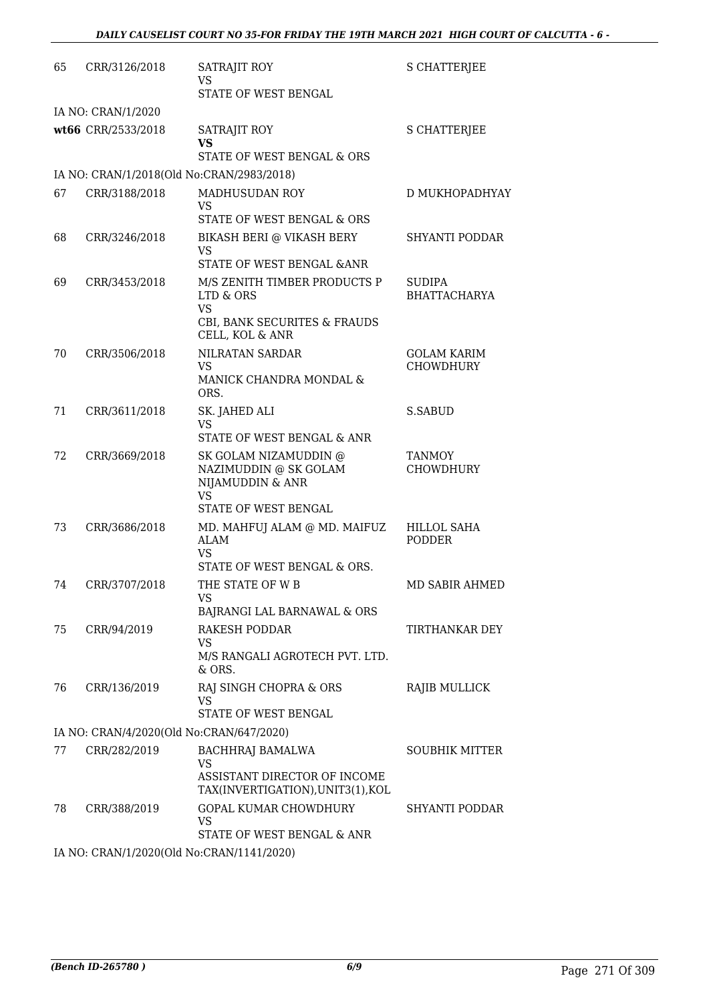| 65 | CRR/3126/2018                             | SATRAJIT ROY<br>VS                                                                                        | S CHATTERJEE                         |
|----|-------------------------------------------|-----------------------------------------------------------------------------------------------------------|--------------------------------------|
|    | IA NO: CRAN/1/2020                        | STATE OF WEST BENGAL                                                                                      |                                      |
|    | wt66 CRR/2533/2018                        | SATRAJIT ROY<br><b>VS</b>                                                                                 | <b>S CHATTERJEE</b>                  |
|    |                                           | STATE OF WEST BENGAL & ORS                                                                                |                                      |
|    | IA NO: CRAN/1/2018(Old No:CRAN/2983/2018) |                                                                                                           |                                      |
| 67 | CRR/3188/2018                             | MADHUSUDAN ROY<br>VS<br>STATE OF WEST BENGAL & ORS                                                        | D MUKHOPADHYAY                       |
| 68 | CRR/3246/2018                             | BIKASH BERI @ VIKASH BERY<br><b>VS</b>                                                                    | SHYANTI PODDAR                       |
|    |                                           | STATE OF WEST BENGAL & ANR                                                                                |                                      |
| 69 | CRR/3453/2018                             | M/S ZENITH TIMBER PRODUCTS P<br>LTD & ORS<br><b>VS</b><br>CBI, BANK SECURITES & FRAUDS<br>CELL, KOL & ANR | <b>SUDIPA</b><br><b>BHATTACHARYA</b> |
| 70 | CRR/3506/2018                             | NILRATAN SARDAR<br><b>VS</b><br>MANICK CHANDRA MONDAL &<br>ORS.                                           | <b>GOLAM KARIM</b><br>CHOWDHURY      |
| 71 | CRR/3611/2018                             | SK. JAHED ALI<br><b>VS</b><br>STATE OF WEST BENGAL & ANR                                                  | S.SABUD                              |
| 72 | CRR/3669/2018                             | SK GOLAM NIZAMUDDIN @<br>NAZIMUDDIN @ SK GOLAM<br>NIJAMUDDIN & ANR<br><b>VS</b><br>STATE OF WEST BENGAL   | <b>TANMOY</b><br>CHOWDHURY           |
| 73 | CRR/3686/2018                             | MD. MAHFUJ ALAM @ MD. MAIFUZ<br><b>ALAM</b><br><b>VS</b>                                                  | <b>HILLOL SAHA</b><br>PODDER         |
| 74 | CRR/3707/2018                             | STATE OF WEST BENGAL & ORS.<br>THE STATE OF W B<br>VS                                                     | MD SABIR AHMED                       |
|    |                                           | BAJRANGI LAL BARNAWAL & ORS                                                                               |                                      |
| 75 | CRR/94/2019                               | <b>RAKESH PODDAR</b><br><b>VS</b><br>M/S RANGALI AGROTECH PVT. LTD.<br>$&$ ORS.                           | TIRTHANKAR DEY                       |
| 76 | CRR/136/2019                              | RAJ SINGH CHOPRA & ORS<br><b>VS</b><br>STATE OF WEST BENGAL                                               | <b>RAJIB MULLICK</b>                 |
|    | IA NO: CRAN/4/2020(Old No:CRAN/647/2020)  |                                                                                                           |                                      |
| 77 | CRR/282/2019                              | BACHHRAJ BAMALWA<br><b>VS</b><br>ASSISTANT DIRECTOR OF INCOME<br>TAX(INVERTIGATION), UNIT3(1), KOL        | <b>SOUBHIK MITTER</b>                |
| 78 | CRR/388/2019                              | GOPAL KUMAR CHOWDHURY<br><b>VS</b><br>STATE OF WEST BENGAL & ANR                                          | SHYANTI PODDAR                       |
|    | IA NO: CRAN/1/2020(Old No:CRAN/1141/2020) |                                                                                                           |                                      |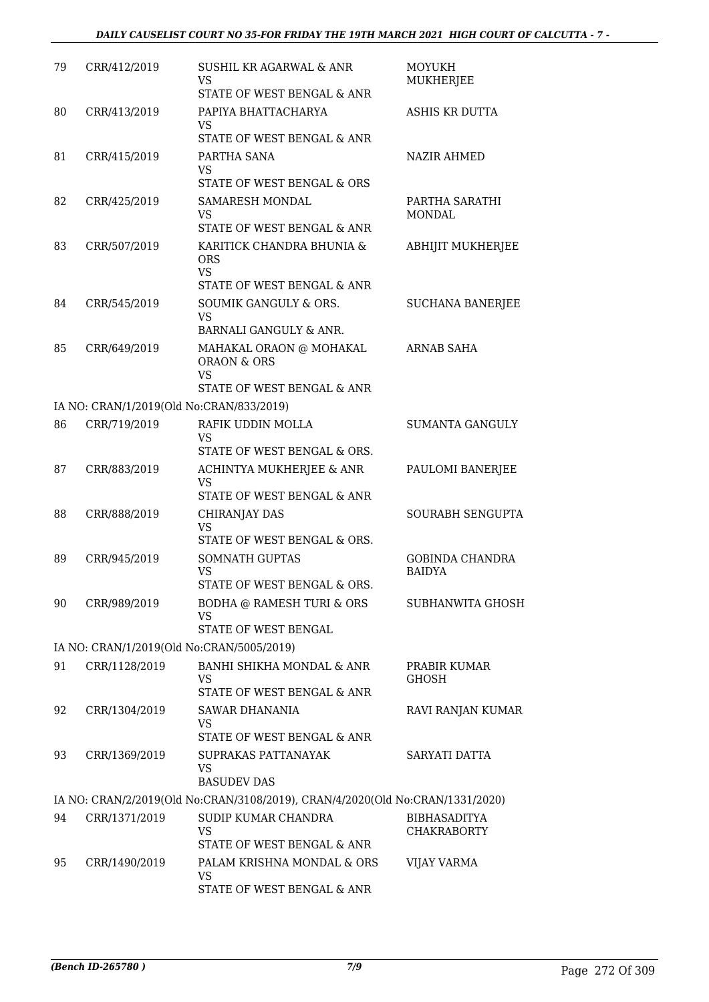| 79 | CRR/412/2019                              | SUSHIL KR AGARWAL & ANR<br>VS<br>STATE OF WEST BENGAL & ANR                                                            | <b>MOYUKH</b><br>MUKHERJEE                |
|----|-------------------------------------------|------------------------------------------------------------------------------------------------------------------------|-------------------------------------------|
| 80 | CRR/413/2019                              | PAPIYA BHATTACHARYA<br><b>VS</b>                                                                                       | ASHIS KR DUTTA                            |
| 81 | CRR/415/2019                              | STATE OF WEST BENGAL & ANR<br>PARTHA SANA<br><b>VS</b><br>STATE OF WEST BENGAL & ORS                                   | <b>NAZIR AHMED</b>                        |
| 82 | CRR/425/2019                              | <b>SAMARESH MONDAL</b><br><b>VS</b>                                                                                    | PARTHA SARATHI<br><b>MONDAL</b>           |
| 83 | CRR/507/2019                              | STATE OF WEST BENGAL & ANR<br>KARITICK CHANDRA BHUNIA &<br><b>ORS</b><br><b>VS</b><br>STATE OF WEST BENGAL & ANR       | <b>ABHIJIT MUKHERJEE</b>                  |
| 84 | CRR/545/2019                              | SOUMIK GANGULY & ORS.<br><b>VS</b>                                                                                     | <b>SUCHANA BANERJEE</b>                   |
| 85 | CRR/649/2019                              | BARNALI GANGULY & ANR.<br>MAHAKAL ORAON @ MOHAKAL<br><b>ORAON &amp; ORS</b><br><b>VS</b><br>STATE OF WEST BENGAL & ANR | <b>ARNAB SAHA</b>                         |
|    | IA NO: CRAN/1/2019(Old No:CRAN/833/2019)  |                                                                                                                        |                                           |
| 86 | CRR/719/2019                              | RAFIK UDDIN MOLLA<br><b>VS</b>                                                                                         | <b>SUMANTA GANGULY</b>                    |
| 87 | CRR/883/2019                              | STATE OF WEST BENGAL & ORS.<br>ACHINTYA MUKHERJEE & ANR<br><b>VS</b><br>STATE OF WEST BENGAL & ANR                     | PAULOMI BANERJEE                          |
| 88 | CRR/888/2019                              | CHIRANJAY DAS<br><b>VS</b>                                                                                             | SOURABH SENGUPTA                          |
| 89 | CRR/945/2019                              | STATE OF WEST BENGAL & ORS.<br><b>SOMNATH GUPTAS</b><br><b>VS</b><br>STATE OF WEST BENGAL & ORS.                       | <b>GOBINDA CHANDRA</b><br><b>BAIDYA</b>   |
| 90 | CRR/989/2019                              | BODHA @ RAMESH TURI & ORS<br><b>VS</b><br>STATE OF WEST BENGAL                                                         | SUBHANWITA GHOSH                          |
|    | IA NO: CRAN/1/2019(Old No:CRAN/5005/2019) |                                                                                                                        |                                           |
| 91 | CRR/1128/2019                             | BANHI SHIKHA MONDAL & ANR<br><b>VS</b><br>STATE OF WEST BENGAL & ANR                                                   | PRABIR KUMAR<br><b>GHOSH</b>              |
| 92 | CRR/1304/2019                             | <b>SAWAR DHANANIA</b><br><b>VS</b><br>STATE OF WEST BENGAL & ANR                                                       | RAVI RANJAN KUMAR                         |
| 93 | CRR/1369/2019                             | SUPRAKAS PATTANAYAK<br><b>VS</b><br><b>BASUDEV DAS</b>                                                                 | SARYATI DATTA                             |
|    |                                           | IA NO: CRAN/2/2019(Old No:CRAN/3108/2019), CRAN/4/2020(Old No:CRAN/1331/2020)                                          |                                           |
| 94 | CRR/1371/2019                             | SUDIP KUMAR CHANDRA<br><b>VS</b><br>STATE OF WEST BENGAL & ANR                                                         | <b>BIBHASADITYA</b><br><b>CHAKRABORTY</b> |
| 95 | CRR/1490/2019                             | PALAM KRISHNA MONDAL & ORS<br>VS<br>STATE OF WEST BENGAL & ANR                                                         | <b>VIJAY VARMA</b>                        |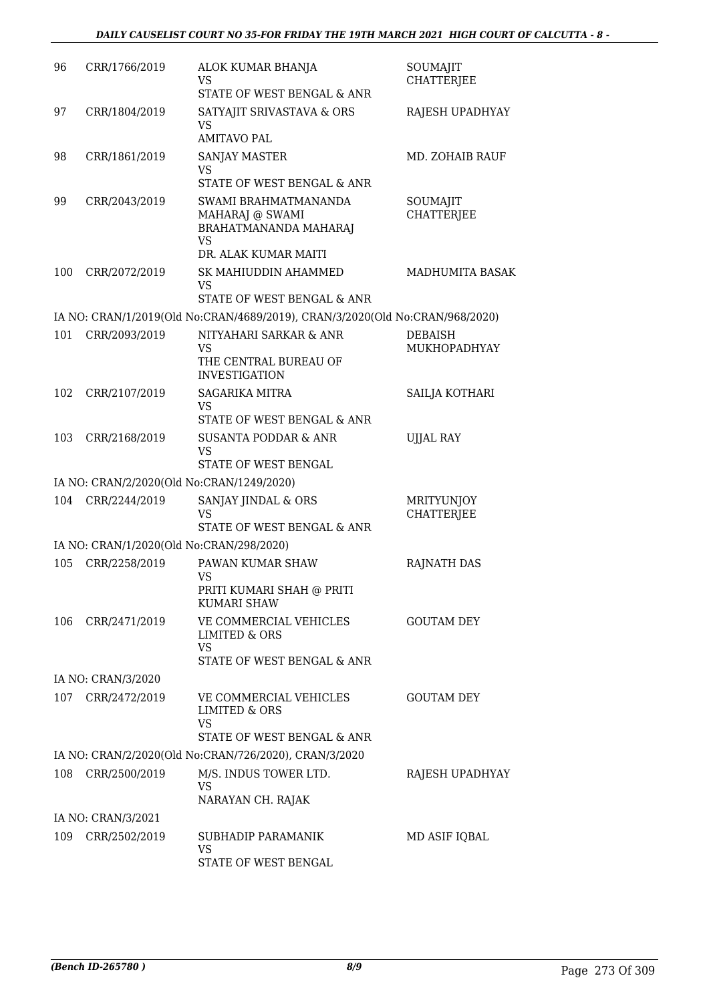| 96<br>CRR/1766/2019<br>ALOK KUMAR BHANJA<br>SOUMAJIT<br><b>CHATTERJEE</b><br>VS<br>STATE OF WEST BENGAL & ANR<br>SATYAJIT SRIVASTAVA & ORS<br>97<br>CRR/1804/2019<br>RAJESH UPADHYAY<br><b>VS</b><br><b>AMITAVO PAL</b><br>CRR/1861/2019<br>98<br><b>SANJAY MASTER</b><br>MD. ZOHAIB RAUF<br>VS<br>STATE OF WEST BENGAL & ANR<br>99<br>CRR/2043/2019<br>SWAMI BRAHMATMANANDA<br>SOUMAJIT<br><b>CHATTERJEE</b><br>MAHARAJ @ SWAMI<br>BRAHATMANANDA MAHARAJ<br><b>VS</b><br>DR. ALAK KUMAR MAITI<br>CRR/2072/2019<br>100<br>SK MAHIUDDIN AHAMMED<br>MADHUMITA BASAK<br><b>VS</b><br>STATE OF WEST BENGAL & ANR<br>IA NO: CRAN/1/2019(Old No:CRAN/4689/2019), CRAN/3/2020(Old No:CRAN/968/2020)<br>101<br>CRR/2093/2019<br>NITYAHARI SARKAR & ANR<br><b>DEBAISH</b><br>VS<br>MUKHOPADHYAY<br>THE CENTRAL BUREAU OF<br><b>INVESTIGATION</b><br>CRR/2107/2019<br>SAILJA KOTHARI<br>102<br><b>SAGARIKA MITRA</b><br><b>VS</b><br>STATE OF WEST BENGAL & ANR<br>103<br>CRR/2168/2019<br><b>SUSANTA PODDAR &amp; ANR</b><br><b>UJJAL RAY</b><br><b>VS</b><br>STATE OF WEST BENGAL<br>IA NO: CRAN/2/2020(Old No:CRAN/1249/2020)<br>104<br>CRR/2244/2019<br>SANJAY JINDAL & ORS<br>MRITYUNJOY<br>VS<br><b>CHATTERJEE</b><br>STATE OF WEST BENGAL & ANR<br>IA NO: CRAN/1/2020(Old No:CRAN/298/2020)<br>CRR/2258/2019<br>PAWAN KUMAR SHAW<br>105<br><b>RAJNATH DAS</b> |  |
|------------------------------------------------------------------------------------------------------------------------------------------------------------------------------------------------------------------------------------------------------------------------------------------------------------------------------------------------------------------------------------------------------------------------------------------------------------------------------------------------------------------------------------------------------------------------------------------------------------------------------------------------------------------------------------------------------------------------------------------------------------------------------------------------------------------------------------------------------------------------------------------------------------------------------------------------------------------------------------------------------------------------------------------------------------------------------------------------------------------------------------------------------------------------------------------------------------------------------------------------------------------------------------------------------------------------------------------------------------|--|
|                                                                                                                                                                                                                                                                                                                                                                                                                                                                                                                                                                                                                                                                                                                                                                                                                                                                                                                                                                                                                                                                                                                                                                                                                                                                                                                                                            |  |
|                                                                                                                                                                                                                                                                                                                                                                                                                                                                                                                                                                                                                                                                                                                                                                                                                                                                                                                                                                                                                                                                                                                                                                                                                                                                                                                                                            |  |
|                                                                                                                                                                                                                                                                                                                                                                                                                                                                                                                                                                                                                                                                                                                                                                                                                                                                                                                                                                                                                                                                                                                                                                                                                                                                                                                                                            |  |
|                                                                                                                                                                                                                                                                                                                                                                                                                                                                                                                                                                                                                                                                                                                                                                                                                                                                                                                                                                                                                                                                                                                                                                                                                                                                                                                                                            |  |
|                                                                                                                                                                                                                                                                                                                                                                                                                                                                                                                                                                                                                                                                                                                                                                                                                                                                                                                                                                                                                                                                                                                                                                                                                                                                                                                                                            |  |
|                                                                                                                                                                                                                                                                                                                                                                                                                                                                                                                                                                                                                                                                                                                                                                                                                                                                                                                                                                                                                                                                                                                                                                                                                                                                                                                                                            |  |
|                                                                                                                                                                                                                                                                                                                                                                                                                                                                                                                                                                                                                                                                                                                                                                                                                                                                                                                                                                                                                                                                                                                                                                                                                                                                                                                                                            |  |
|                                                                                                                                                                                                                                                                                                                                                                                                                                                                                                                                                                                                                                                                                                                                                                                                                                                                                                                                                                                                                                                                                                                                                                                                                                                                                                                                                            |  |
|                                                                                                                                                                                                                                                                                                                                                                                                                                                                                                                                                                                                                                                                                                                                                                                                                                                                                                                                                                                                                                                                                                                                                                                                                                                                                                                                                            |  |
|                                                                                                                                                                                                                                                                                                                                                                                                                                                                                                                                                                                                                                                                                                                                                                                                                                                                                                                                                                                                                                                                                                                                                                                                                                                                                                                                                            |  |
|                                                                                                                                                                                                                                                                                                                                                                                                                                                                                                                                                                                                                                                                                                                                                                                                                                                                                                                                                                                                                                                                                                                                                                                                                                                                                                                                                            |  |
|                                                                                                                                                                                                                                                                                                                                                                                                                                                                                                                                                                                                                                                                                                                                                                                                                                                                                                                                                                                                                                                                                                                                                                                                                                                                                                                                                            |  |
|                                                                                                                                                                                                                                                                                                                                                                                                                                                                                                                                                                                                                                                                                                                                                                                                                                                                                                                                                                                                                                                                                                                                                                                                                                                                                                                                                            |  |
| VS<br>PRITI KUMARI SHAH @ PRITI<br>KUMARI SHAW                                                                                                                                                                                                                                                                                                                                                                                                                                                                                                                                                                                                                                                                                                                                                                                                                                                                                                                                                                                                                                                                                                                                                                                                                                                                                                             |  |
| 106<br>CRR/2471/2019<br>VE COMMERCIAL VEHICLES<br><b>GOUTAM DEY</b><br>LIMITED & ORS<br>VS<br>STATE OF WEST BENGAL & ANR                                                                                                                                                                                                                                                                                                                                                                                                                                                                                                                                                                                                                                                                                                                                                                                                                                                                                                                                                                                                                                                                                                                                                                                                                                   |  |
| IA NO: CRAN/3/2020                                                                                                                                                                                                                                                                                                                                                                                                                                                                                                                                                                                                                                                                                                                                                                                                                                                                                                                                                                                                                                                                                                                                                                                                                                                                                                                                         |  |
| 107<br>CRR/2472/2019<br>VE COMMERCIAL VEHICLES<br><b>GOUTAM DEY</b><br>LIMITED & ORS<br><b>VS</b><br>STATE OF WEST BENGAL & ANR                                                                                                                                                                                                                                                                                                                                                                                                                                                                                                                                                                                                                                                                                                                                                                                                                                                                                                                                                                                                                                                                                                                                                                                                                            |  |
| IA NO: CRAN/2/2020(Old No:CRAN/726/2020), CRAN/3/2020                                                                                                                                                                                                                                                                                                                                                                                                                                                                                                                                                                                                                                                                                                                                                                                                                                                                                                                                                                                                                                                                                                                                                                                                                                                                                                      |  |
| 108<br>CRR/2500/2019<br>M/S. INDUS TOWER LTD.<br>RAJESH UPADHYAY<br>VS<br>NARAYAN CH. RAJAK                                                                                                                                                                                                                                                                                                                                                                                                                                                                                                                                                                                                                                                                                                                                                                                                                                                                                                                                                                                                                                                                                                                                                                                                                                                                |  |
| IA NO: CRAN/3/2021                                                                                                                                                                                                                                                                                                                                                                                                                                                                                                                                                                                                                                                                                                                                                                                                                                                                                                                                                                                                                                                                                                                                                                                                                                                                                                                                         |  |
| 109<br>CRR/2502/2019<br>SUBHADIP PARAMANIK<br>MD ASIF IQBAL<br><b>VS</b><br>STATE OF WEST BENGAL                                                                                                                                                                                                                                                                                                                                                                                                                                                                                                                                                                                                                                                                                                                                                                                                                                                                                                                                                                                                                                                                                                                                                                                                                                                           |  |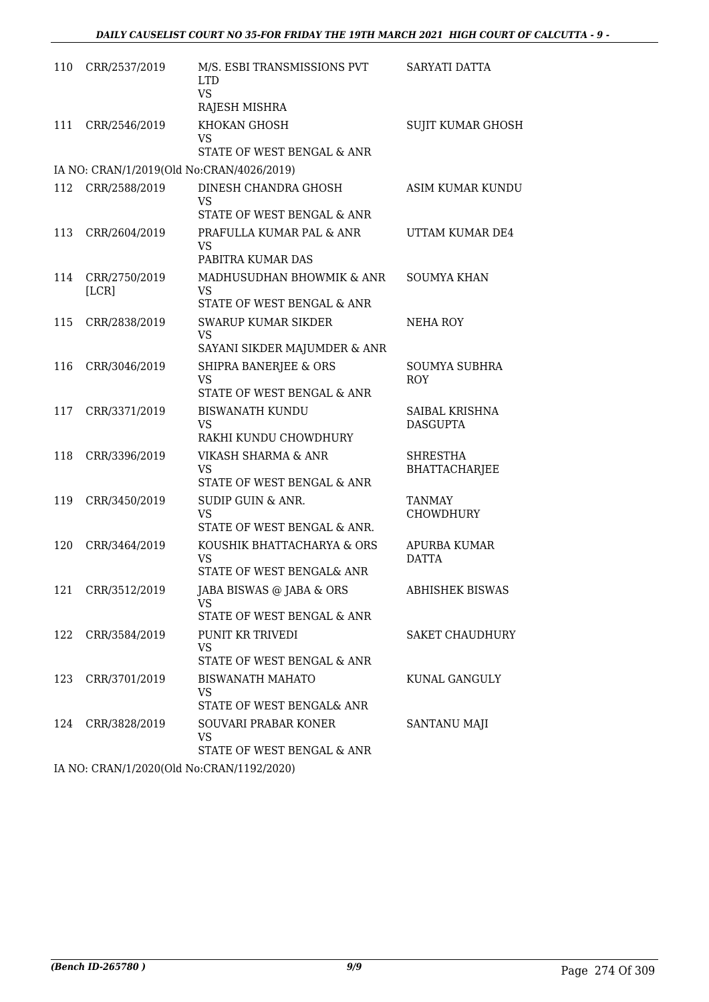| 110 | CRR/2537/2019          | M/S. ESBI TRANSMISSIONS PVT<br><b>LTD</b><br><b>VS</b>               | SARYATI DATTA                           |
|-----|------------------------|----------------------------------------------------------------------|-----------------------------------------|
|     |                        | RAJESH MISHRA                                                        |                                         |
| 111 | CRR/2546/2019          | KHOKAN GHOSH<br>VS                                                   | <b>SUJIT KUMAR GHOSH</b>                |
|     |                        | STATE OF WEST BENGAL & ANR                                           |                                         |
|     |                        | IA NO: CRAN/1/2019(Old No:CRAN/4026/2019)                            |                                         |
| 112 | CRR/2588/2019          | DINESH CHANDRA GHOSH<br>VS                                           | ASIM KUMAR KUNDU                        |
|     |                        | STATE OF WEST BENGAL & ANR                                           |                                         |
| 113 | CRR/2604/2019          | PRAFULLA KUMAR PAL & ANR<br><b>VS</b>                                | UTTAM KUMAR DE4                         |
|     |                        | PABITRA KUMAR DAS                                                    |                                         |
| 114 | CRR/2750/2019<br>[LCR] | MADHUSUDHAN BHOWMIK & ANR<br><b>VS</b><br>STATE OF WEST BENGAL & ANR | <b>SOUMYA KHAN</b>                      |
| 115 |                        | <b>SWARUP KUMAR SIKDER</b>                                           |                                         |
|     | CRR/2838/2019          | <b>VS</b><br>SAYANI SIKDER MAJUMDER & ANR                            | NEHA ROY                                |
| 116 | CRR/3046/2019          | <b>SHIPRA BANERJEE &amp; ORS</b>                                     | <b>SOUMYA SUBHRA</b>                    |
|     |                        | <b>VS</b><br>STATE OF WEST BENGAL & ANR                              | ROY                                     |
| 117 | CRR/3371/2019          | <b>BISWANATH KUNDU</b><br><b>VS</b>                                  | SAIBAL KRISHNA<br><b>DASGUPTA</b>       |
|     |                        | RAKHI KUNDU CHOWDHURY                                                |                                         |
| 118 | CRR/3396/2019          | VIKASH SHARMA & ANR<br><b>VS</b><br>STATE OF WEST BENGAL & ANR       | <b>SHRESTHA</b><br><b>BHATTACHARJEE</b> |
| 119 | CRR/3450/2019          | SUDIP GUIN & ANR.                                                    | <b>TANMAY</b>                           |
|     |                        | VS<br>STATE OF WEST BENGAL & ANR.                                    | CHOWDHURY                               |
| 120 | CRR/3464/2019          | KOUSHIK BHATTACHARYA & ORS                                           | APURBA KUMAR                            |
|     |                        | VS<br>STATE OF WEST BENGAL& ANR                                      | <b>DATTA</b>                            |
|     | 121 CRR/3512/2019      | JABA BISWAS @ JABA & ORS<br>VS                                       | <b>ABHISHEK BISWAS</b>                  |
|     |                        | STATE OF WEST BENGAL & ANR                                           |                                         |
| 122 | CRR/3584/2019          | PUNIT KR TRIVEDI<br><b>VS</b>                                        | <b>SAKET CHAUDHURY</b>                  |
|     |                        | STATE OF WEST BENGAL & ANR                                           |                                         |
| 123 | CRR/3701/2019          | <b>BISWANATH MAHATO</b><br>VS                                        | KUNAL GANGULY                           |
|     |                        | STATE OF WEST BENGAL& ANR                                            |                                         |
| 124 | CRR/3828/2019          | SOUVARI PRABAR KONER<br>VS<br>STATE OF WEST BENGAL & ANR             | SANTANU MAJI                            |
|     |                        |                                                                      |                                         |

IA NO: CRAN/1/2020(Old No:CRAN/1192/2020)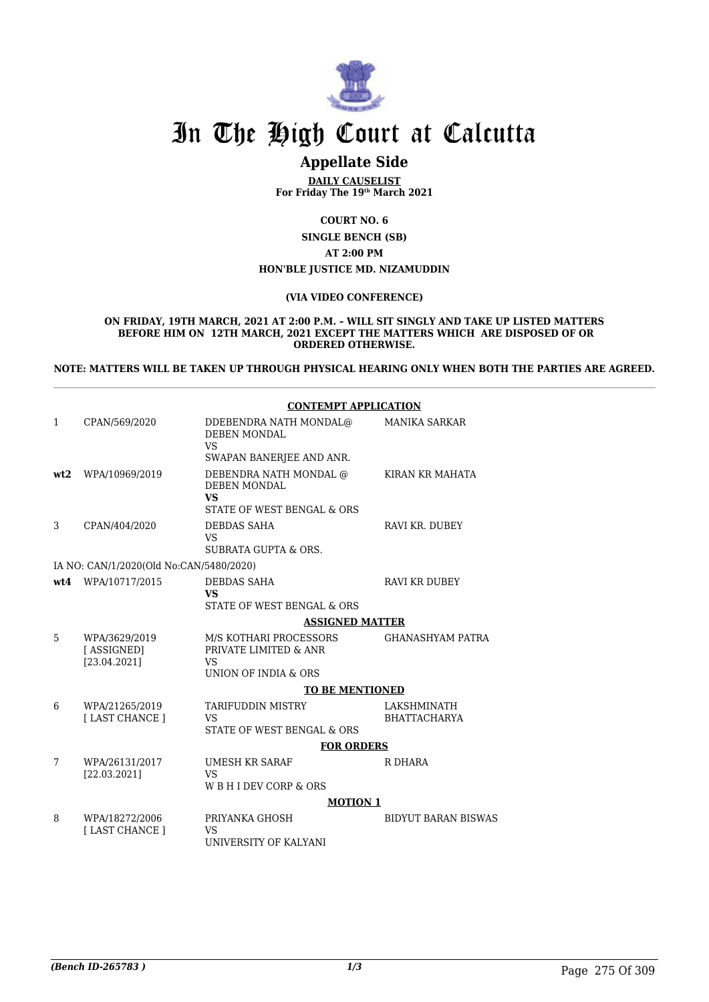

# **Appellate Side**

**DAILY CAUSELIST For Friday The 19th March 2021**

**COURT NO. 6**

**SINGLE BENCH (SB) AT 2:00 PM HON'BLE JUSTICE MD. NIZAMUDDIN**

#### **(VIA VIDEO CONFERENCE)**

**ON FRIDAY, 19TH MARCH, 2021 AT 2:00 P.M. – WILL SIT SINGLY AND TAKE UP LISTED MATTERS BEFORE HIM ON 12TH MARCH, 2021 EXCEPT THE MATTERS WHICH ARE DISPOSED OF OR ORDERED OTHERWISE.** 

**NOTE: MATTERS WILL BE TAKEN UP THROUGH PHYSICAL HEARING ONLY WHEN BOTH THE PARTIES ARE AGREED.**

|      |                                             | <b>CONTEMPT APPLICATION</b>                                                              |                                    |
|------|---------------------------------------------|------------------------------------------------------------------------------------------|------------------------------------|
| 1    | CPAN/569/2020                               | DDEBENDRA NATH MONDAL@<br>DEBEN MONDAL<br><b>VS</b><br>SWAPAN BANERJEE AND ANR.          | <b>MANIKA SARKAR</b>               |
| wt2  | WPA/10969/2019                              | DEBENDRA NATH MONDAL @<br><b>DEBEN MONDAL</b><br><b>VS</b><br>STATE OF WEST BENGAL & ORS | KIRAN KR MAHATA                    |
| 3    | CPAN/404/2020                               | DEBDAS SAHA<br>VS.<br>SUBRATA GUPTA & ORS.                                               | RAVI KR. DUBEY                     |
|      | IA NO: CAN/1/2020(Old No:CAN/5480/2020)     |                                                                                          |                                    |
| wt.4 | WPA/10717/2015                              | DEBDAS SAHA<br><b>VS</b>                                                                 | <b>RAVI KR DUBEY</b>               |
|      |                                             | STATE OF WEST BENGAL & ORS<br><b>ASSIGNED MATTER</b>                                     |                                    |
|      |                                             |                                                                                          |                                    |
| 5.   | WPA/3629/2019<br>[ASSIGNED]<br>[23.04.2021] | M/S KOTHARI PROCESSORS<br>PRIVATE LIMITED & ANR<br><b>VS</b><br>UNION OF INDIA & ORS     | <b>GHANASHYAM PATRA</b>            |
|      |                                             | <b>TO BE MENTIONED</b>                                                                   |                                    |
| 6    | WPA/21265/2019<br>[ LAST CHANCE ]           | <b>TARIFUDDIN MISTRY</b><br><b>VS</b><br>STATE OF WEST BENGAL & ORS                      | LAKSHMINATH<br><b>BHATTACHARYA</b> |
|      |                                             | <b>FOR ORDERS</b>                                                                        |                                    |
| 7    | WPA/26131/2017<br>[22.03.2021]              | <b>UMESH KR SARAF</b><br><b>VS</b><br>W B H I DEV CORP & ORS                             | R DHARA                            |
|      |                                             | <b>MOTION 1</b>                                                                          |                                    |
| 8    | WPA/18272/2006<br>[ LAST CHANCE ]           | PRIYANKA GHOSH<br>VS<br>UNIVERSITY OF KALYANI                                            | <b>BIDYUT BARAN BISWAS</b>         |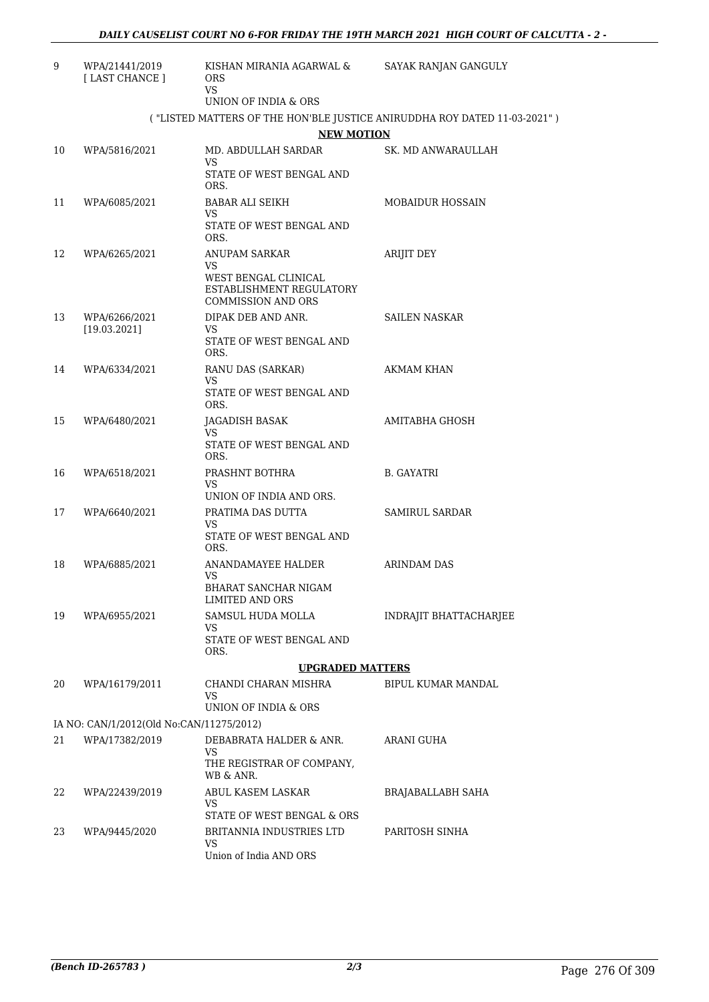| 9  | WPA/21441/2019<br>[LAST CHANCE ]         | KISHAN MIRANIA AGARWAL &<br><b>ORS</b><br>VS.                                                               | SAYAK RANJAN GANGULY                                                     |
|----|------------------------------------------|-------------------------------------------------------------------------------------------------------------|--------------------------------------------------------------------------|
|    |                                          | UNION OF INDIA & ORS                                                                                        |                                                                          |
|    |                                          |                                                                                                             | ("LISTED MATTERS OF THE HON'BLE JUSTICE ANIRUDDHA ROY DATED 11-03-2021") |
|    |                                          | <b>NEW MOTION</b>                                                                                           |                                                                          |
| 10 | WPA/5816/2021                            | MD. ABDULLAH SARDAR<br>VS.                                                                                  | SK. MD ANWARAULLAH                                                       |
|    |                                          | STATE OF WEST BENGAL AND<br>ORS.                                                                            |                                                                          |
| 11 | WPA/6085/2021                            | <b>BABAR ALI SEIKH</b><br>VS.                                                                               | <b>MOBAIDUR HOSSAIN</b>                                                  |
|    |                                          | STATE OF WEST BENGAL AND<br>ORS.                                                                            |                                                                          |
| 12 | WPA/6265/2021                            | ANUPAM SARKAR<br><b>VS</b><br>WEST BENGAL CLINICAL<br>ESTABLISHMENT REGULATORY<br><b>COMMISSION AND ORS</b> | ARIJIT DEY                                                               |
| 13 | WPA/6266/2021                            | DIPAK DEB AND ANR.                                                                                          | <b>SAILEN NASKAR</b>                                                     |
|    | [19.03.2021]                             | VS<br>STATE OF WEST BENGAL AND<br>ORS.                                                                      |                                                                          |
| 14 | WPA/6334/2021                            | RANU DAS (SARKAR)                                                                                           | <b>AKMAM KHAN</b>                                                        |
|    |                                          | VS.<br>STATE OF WEST BENGAL AND<br>ORS.                                                                     |                                                                          |
| 15 | WPA/6480/2021                            | JAGADISH BASAK                                                                                              | AMITABHA GHOSH                                                           |
|    |                                          | VS.<br>STATE OF WEST BENGAL AND<br>ORS.                                                                     |                                                                          |
| 16 | WPA/6518/2021                            | PRASHNT BOTHRA<br>VS.                                                                                       | B. GAYATRI                                                               |
|    |                                          | UNION OF INDIA AND ORS.                                                                                     |                                                                          |
| 17 | WPA/6640/2021                            | PRATIMA DAS DUTTA<br>VS.                                                                                    | SAMIRUL SARDAR                                                           |
|    |                                          | STATE OF WEST BENGAL AND<br>ORS.                                                                            |                                                                          |
| 18 | WPA/6885/2021                            | ANANDAMAYEE HALDER<br>VS.                                                                                   | ARINDAM DAS                                                              |
|    |                                          | BHARAT SANCHAR NIGAM<br><b>LIMITED AND ORS</b>                                                              |                                                                          |
| 19 | WPA/6955/2021                            | SAMSUL HUDA MOLLA                                                                                           | INDRAJIT BHATTACHARJEE                                                   |
|    |                                          | VS<br>STATE OF WEST BENGAL AND<br>ORS.                                                                      |                                                                          |
|    |                                          | <b>UPGRADED MATTERS</b>                                                                                     |                                                                          |
| 20 | WPA/16179/2011                           | CHANDI CHARAN MISHRA<br>VS                                                                                  | BIPUL KUMAR MANDAL                                                       |
|    |                                          | UNION OF INDIA & ORS                                                                                        |                                                                          |
|    | IA NO: CAN/1/2012(Old No:CAN/11275/2012) |                                                                                                             |                                                                          |
| 21 | WPA/17382/2019                           | DEBABRATA HALDER & ANR.<br>VS<br>THE REGISTRAR OF COMPANY,                                                  | ARANI GUHA                                                               |
|    |                                          | WB & ANR.                                                                                                   |                                                                          |
| 22 | WPA/22439/2019                           | ABUL KASEM LASKAR<br>VS.<br>STATE OF WEST BENGAL & ORS                                                      | BRAJABALLABH SAHA                                                        |
| 23 | WPA/9445/2020                            | BRITANNIA INDUSTRIES LTD                                                                                    | PARITOSH SINHA                                                           |
|    |                                          | <b>VS</b><br>Union of India AND ORS                                                                         |                                                                          |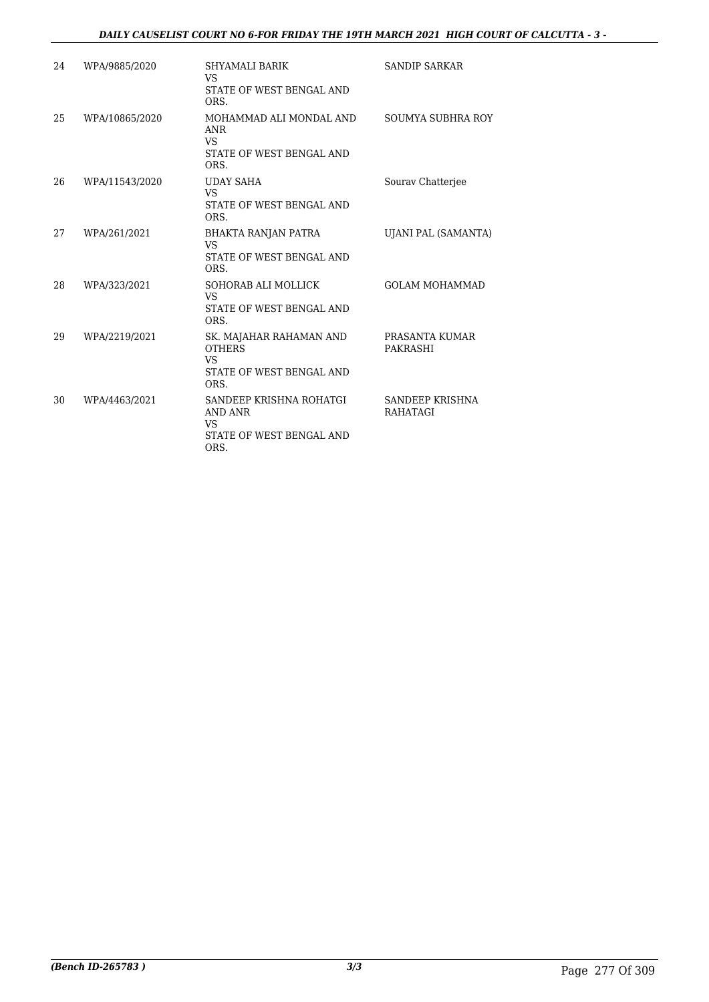## *DAILY CAUSELIST COURT NO 6-FOR FRIDAY THE 19TH MARCH 2021 HIGH COURT OF CALCUTTA - 3 -*

| 24 | WPA/9885/2020  | SHYAMALI BARIK<br>VS<br>STATE OF WEST BENGAL AND                                           | <b>SANDIP SARKAR</b>               |
|----|----------------|--------------------------------------------------------------------------------------------|------------------------------------|
| 25 | WPA/10865/2020 | ORS.<br>MOHAMMAD ALI MONDAL AND<br>ANR<br><b>VS</b><br>STATE OF WEST BENGAL AND<br>ORS.    | SOUMYA SUBHRA ROY                  |
| 26 | WPA/11543/2020 | <b>UDAY SAHA</b><br><b>VS</b><br>STATE OF WEST BENGAL AND<br>ORS.                          | Sourav Chatterjee                  |
| 27 | WPA/261/2021   | BHAKTA RANJAN PATRA<br>VS<br>STATE OF WEST BENGAL AND<br>ORS.                              | UJANI PAL (SAMANTA)                |
| 28 | WPA/323/2021   | SOHORAB ALI MOLLICK<br><b>VS</b><br>STATE OF WEST BENGAL AND<br>ORS.                       | <b>GOLAM MOHAMMAD</b>              |
| 29 | WPA/2219/2021  | SK. MAJAHAR RAHAMAN AND<br><b>OTHERS</b><br><b>VS</b><br>STATE OF WEST BENGAL AND<br>ORS.  | PRASANTA KUMAR<br>PAKRASHI         |
| 30 | WPA/4463/2021  | SANDEEP KRISHNA ROHATGI<br><b>AND ANR</b><br><b>VS</b><br>STATE OF WEST BENGAL AND<br>ORS. | SANDEEP KRISHNA<br><b>RAHATAGI</b> |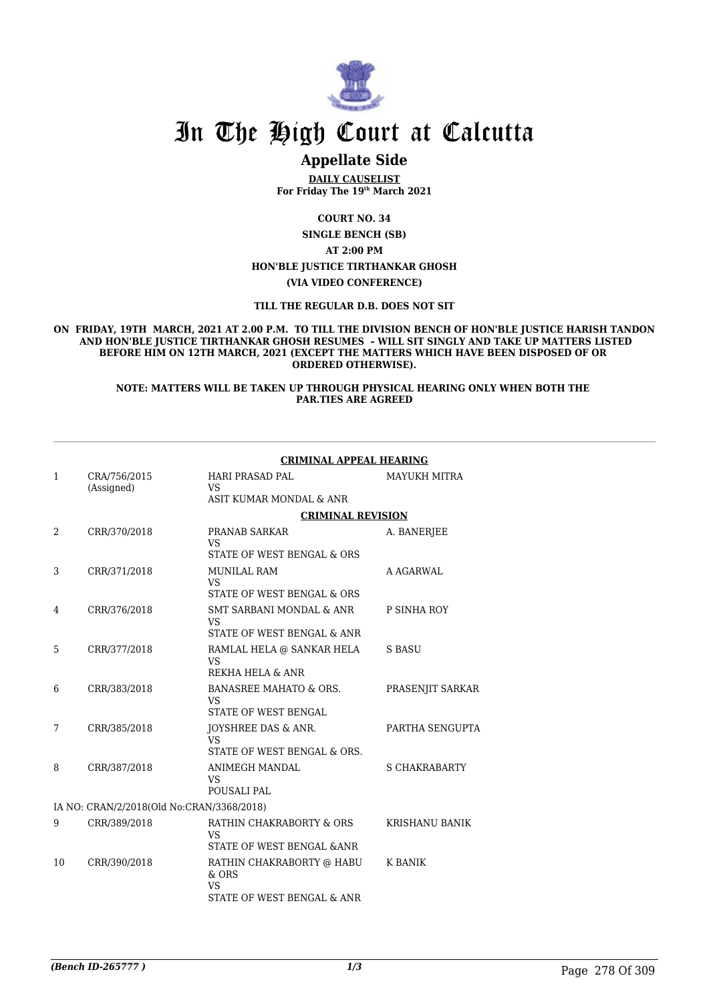

# **Appellate Side**

**DAILY CAUSELIST For Friday The 19th March 2021**

**COURT NO. 34 SINGLE BENCH (SB) AT 2:00 PM HON'BLE JUSTICE TIRTHANKAR GHOSH (VIA VIDEO CONFERENCE)**

**TILL THE REGULAR D.B. DOES NOT SIT**

**ON FRIDAY, 19TH MARCH, 2021 AT 2.00 P.M. TO TILL THE DIVISION BENCH OF HON'BLE JUSTICE HARISH TANDON AND HON'BLE JUSTICE TIRTHANKAR GHOSH RESUMES – WILL SIT SINGLY AND TAKE UP MATTERS LISTED BEFORE HIM ON 12TH MARCH, 2021 (EXCEPT THE MATTERS WHICH HAVE BEEN DISPOSED OF OR ORDERED OTHERWISE).**

#### **NOTE: MATTERS WILL BE TAKEN UP THROUGH PHYSICAL HEARING ONLY WHEN BOTH THE PAR.TIES ARE AGREED**

|              |                                           | <b>CRIMINAL APPEAL HEARING</b>                                                  |                       |  |
|--------------|-------------------------------------------|---------------------------------------------------------------------------------|-----------------------|--|
| $\mathbf{1}$ | CRA/756/2015<br>(Assigned)                | <b>HARI PRASAD PAL</b><br>VS<br>ASIT KUMAR MONDAL & ANR                         | <b>MAYUKH MITRA</b>   |  |
|              |                                           |                                                                                 |                       |  |
|              |                                           | <b>CRIMINAL REVISION</b>                                                        |                       |  |
| 2            | CRR/370/2018                              | PRANAB SARKAR<br><b>VS</b>                                                      | A. BANERJEE           |  |
|              |                                           | STATE OF WEST BENGAL & ORS                                                      |                       |  |
| 3            | CRR/371/2018                              | <b>MUNILAL RAM</b><br><b>VS</b>                                                 | A AGARWAL             |  |
|              |                                           | STATE OF WEST BENGAL & ORS                                                      |                       |  |
| 4            | CRR/376/2018                              | SMT SARBANI MONDAL & ANR<br><b>VS</b>                                           | P SINHA ROY           |  |
|              |                                           | STATE OF WEST BENGAL & ANR                                                      |                       |  |
| 5.           | CRR/377/2018                              | RAMLAL HELA @ SANKAR HELA<br><b>VS</b><br>REKHA HELA & ANR                      | <b>S BASU</b>         |  |
|              |                                           |                                                                                 |                       |  |
| 6            | CRR/383/2018                              | <b>BANASREE MAHATO &amp; ORS.</b><br><b>VS</b><br><b>STATE OF WEST BENGAL</b>   | PRASENJIT SARKAR      |  |
|              |                                           |                                                                                 |                       |  |
| 7            | CRR/385/2018                              | JOYSHREE DAS & ANR.<br>VS                                                       | PARTHA SENGUPTA       |  |
|              |                                           | STATE OF WEST BENGAL & ORS.                                                     |                       |  |
| 8            | CRR/387/2018                              | <b>ANIMEGH MANDAL</b><br><b>VS</b>                                              | <b>S CHAKRABARTY</b>  |  |
|              |                                           | POUSALI PAL                                                                     |                       |  |
|              | IA NO: CRAN/2/2018(Old No:CRAN/3368/2018) |                                                                                 |                       |  |
| 9            | CRR/389/2018                              | RATHIN CHAKRABORTY & ORS<br><b>VS</b><br>STATE OF WEST BENGAL & ANR             | <b>KRISHANU BANIK</b> |  |
|              |                                           |                                                                                 |                       |  |
| 10           | CRR/390/2018                              | RATHIN CHAKRABORTY @ HABU<br>$&$ ORS<br><b>VS</b><br>STATE OF WEST BENGAL & ANR | K BANIK               |  |
|              |                                           |                                                                                 |                       |  |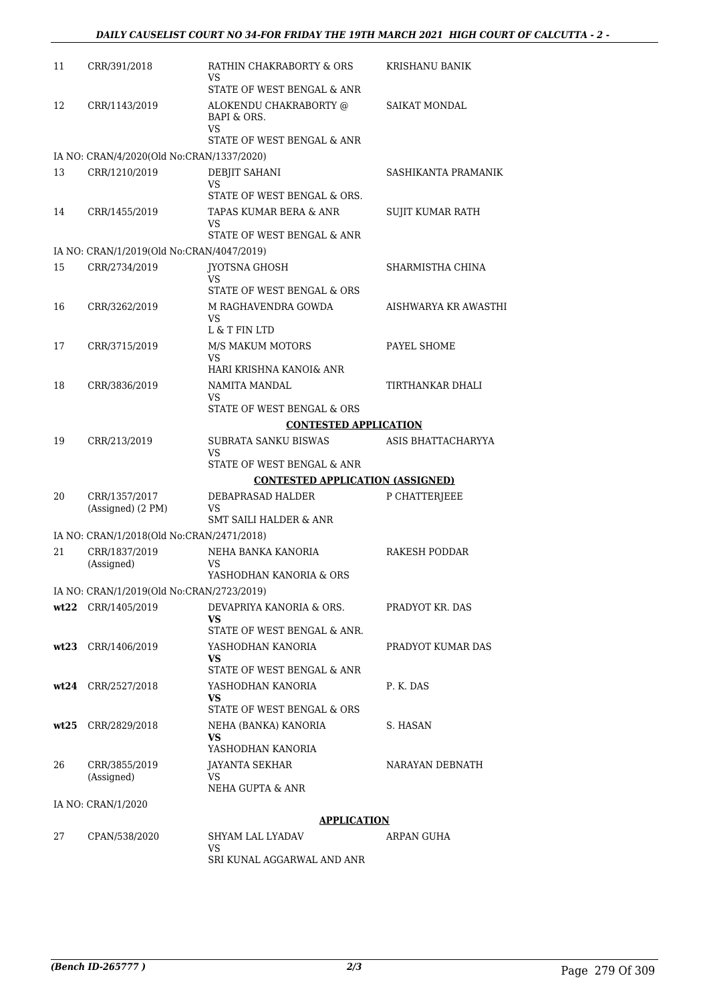| 11 | CRR/391/2018                              | RATHIN CHAKRABORTY & ORS<br>VS                           | KRISHANU BANIK       |
|----|-------------------------------------------|----------------------------------------------------------|----------------------|
|    |                                           | STATE OF WEST BENGAL & ANR                               |                      |
| 12 | CRR/1143/2019                             | ALOKENDU CHAKRABORTY @<br>BAPI & ORS.<br>VS              | SAIKAT MONDAL        |
|    |                                           | STATE OF WEST BENGAL & ANR                               |                      |
|    | IA NO: CRAN/4/2020(Old No:CRAN/1337/2020) |                                                          |                      |
| 13 | CRR/1210/2019                             | <b>DEBJIT SAHANI</b>                                     | SASHIKANTA PRAMANIK  |
|    |                                           | VS<br>STATE OF WEST BENGAL & ORS.                        |                      |
| 14 | CRR/1455/2019                             | TAPAS KUMAR BERA & ANR                                   |                      |
|    |                                           | VS<br>STATE OF WEST BENGAL & ANR                         | SUJIT KUMAR RATH     |
|    | IA NO: CRAN/1/2019(Old No:CRAN/4047/2019) |                                                          |                      |
| 15 | CRR/2734/2019                             | <b>JYOTSNA GHOSH</b>                                     | SHARMISTHA CHINA     |
|    |                                           | VS<br>STATE OF WEST BENGAL & ORS                         |                      |
| 16 | CRR/3262/2019                             | M RAGHAVENDRA GOWDA<br>VS                                | AISHWARYA KR AWASTHI |
|    |                                           | L & T FIN LTD                                            |                      |
| 17 | CRR/3715/2019                             | <b>M/S MAKUM MOTORS</b><br>VS                            | PAYEL SHOME          |
|    |                                           | HARI KRISHNA KANOI& ANR                                  |                      |
| 18 | CRR/3836/2019                             | NAMITA MANDAL<br>VS                                      | TIRTHANKAR DHALI     |
|    |                                           | STATE OF WEST BENGAL & ORS                               |                      |
|    |                                           | <b>CONTESTED APPLICATION</b>                             |                      |
| 19 | CRR/213/2019                              | SUBRATA SANKU BISWAS<br>VS<br>STATE OF WEST BENGAL & ANR | ASIS BHATTACHARYYA   |
|    |                                           | <b>CONTESTED APPLICATION (ASSIGNED)</b>                  |                      |
| 20 | CRR/1357/2017                             | DEBAPRASAD HALDER                                        | P CHATTERJEEE        |
|    | (Assigned) (2 PM)                         | VS<br>SMT SAILI HALDER & ANR                             |                      |
|    |                                           |                                                          |                      |
|    | IA NO: CRAN/1/2018(Old No:CRAN/2471/2018) |                                                          |                      |
| 21 | CRR/1837/2019<br>(Assigned)               | NEHA BANKA KANORIA<br>VS<br>YASHODHAN KANORIA & ORS      | RAKESH PODDAR        |
|    | IA NO: CRAN/1/2019(Old No:CRAN/2723/2019) |                                                          |                      |
|    | wt22 CRR/1405/2019                        | DEVAPRIYA KANORIA & ORS.                                 | PRADYOT KR. DAS      |
|    |                                           | VS<br>STATE OF WEST BENGAL & ANR.                        |                      |
|    | wt23 CRR/1406/2019                        | YASHODHAN KANORIA                                        | PRADYOT KUMAR DAS    |
|    |                                           | VS.                                                      |                      |
|    |                                           | STATE OF WEST BENGAL & ANR                               |                      |
|    | wt24 CRR/2527/2018                        | YASHODHAN KANORIA<br>VS<br>STATE OF WEST BENGAL & ORS    | P. K. DAS            |
|    |                                           |                                                          | S. HASAN             |
|    | wt25 CRR/2829/2018                        | NEHA (BANKA) KANORIA<br>VS<br>YASHODHAN KANORIA          |                      |
| 26 | CRR/3855/2019                             | JAYANTA SEKHAR                                           | NARAYAN DEBNATH      |
|    | (Assigned)                                | VS<br>NEHA GUPTA & ANR                                   |                      |
|    | IA NO: CRAN/1/2020                        |                                                          |                      |
|    |                                           | <b>APPLICATION</b>                                       |                      |
| 27 | CPAN/538/2020                             | SHYAM LAL LYADAV                                         | ARPAN GUHA           |
|    |                                           | VS                                                       |                      |
|    |                                           | SRI KUNAL AGGARWAL AND ANR                               |                      |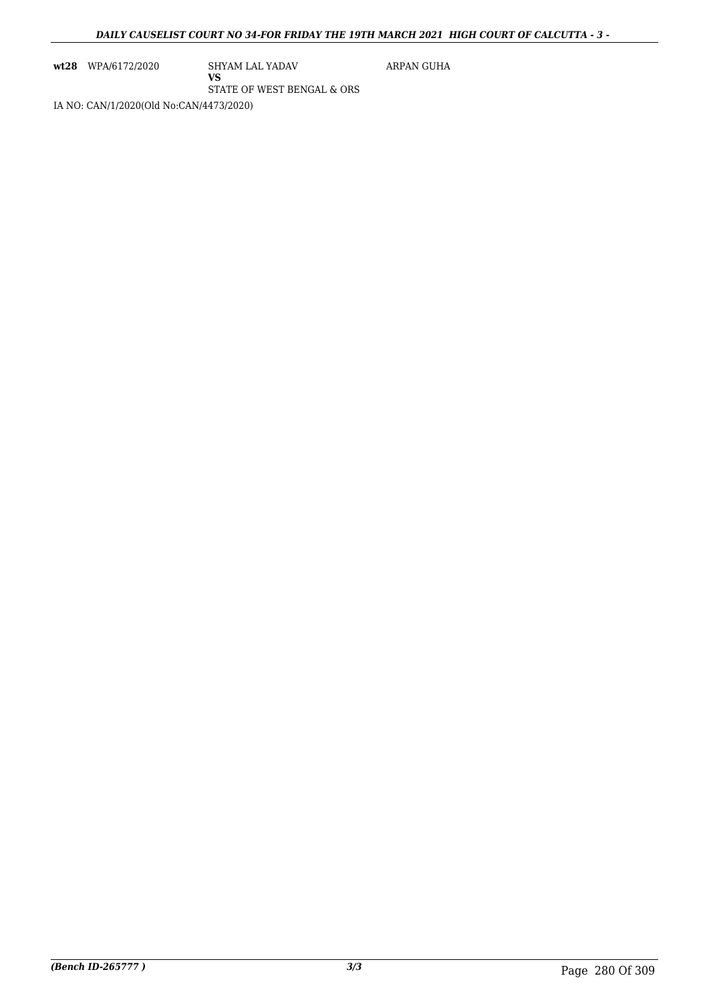**wt28** WPA/6172/2020 SHYAM LAL YADAV

**VS**

ARPAN GUHA

STATE OF WEST BENGAL & ORS

IA NO: CAN/1/2020(Old No:CAN/4473/2020)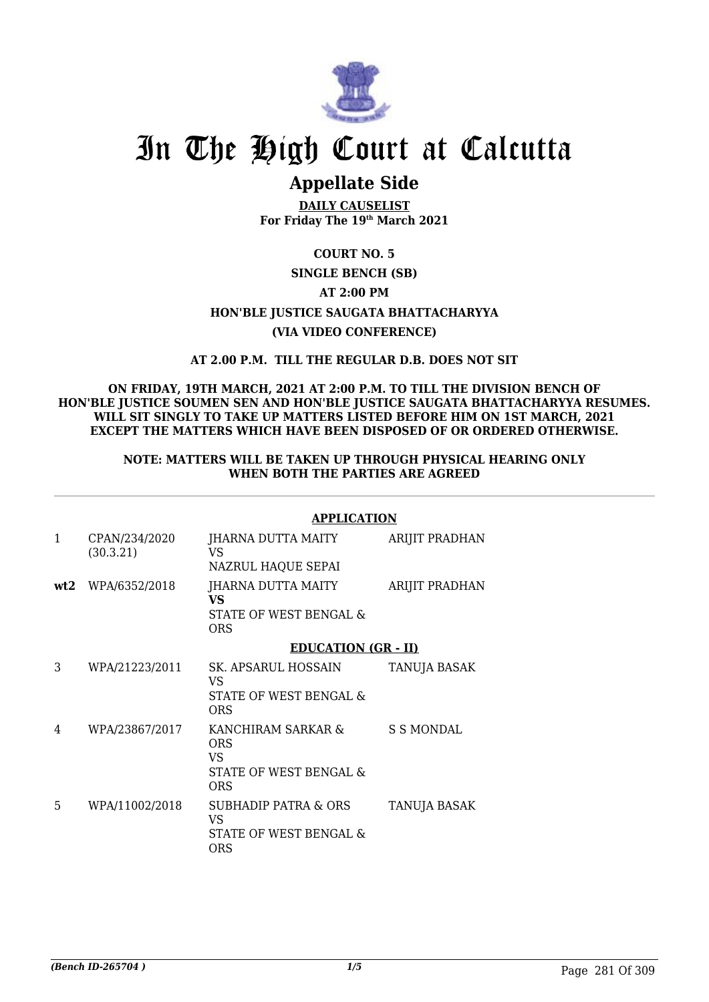

# **Appellate Side**

**DAILY CAUSELIST For Friday The 19th March 2021**

# **COURT NO. 5**

# **SINGLE BENCH (SB) AT 2:00 PM**

# **HON'BLE JUSTICE SAUGATA BHATTACHARYYA**

# **(VIA VIDEO CONFERENCE)**

# **AT 2.00 P.M. TILL THE REGULAR D.B. DOES NOT SIT**

### **ON FRIDAY, 19TH MARCH, 2021 AT 2:00 P.M. TO TILL THE DIVISION BENCH OF HON'BLE JUSTICE SOUMEN SEN AND HON'BLE JUSTICE SAUGATA BHATTACHARYYA RESUMES. WILL SIT SINGLY TO TAKE UP MATTERS LISTED BEFORE HIM ON 1ST MARCH, 2021 EXCEPT THE MATTERS WHICH HAVE BEEN DISPOSED OF OR ORDERED OTHERWISE.**

### **NOTE: MATTERS WILL BE TAKEN UP THROUGH PHYSICAL HEARING ONLY WHEN BOTH THE PARTIES ARE AGREED**

# **APPLICATION**

| 1   | CPAN/234/2020<br>(30.3.21) | JHARNA DUTTA MAITY<br>VS<br>NAZRUL HAQUE SEPAI                               | ARIJIT PRADHAN      |
|-----|----------------------------|------------------------------------------------------------------------------|---------------------|
| wt2 | WPA/6352/2018              | JHARNA DUTTA MAITY<br><b>VS</b><br>STATE OF WEST BENGAL &<br>ORS             | ARIJIT PRADHAN      |
|     |                            | <b>EDUCATION (GR - II)</b>                                                   |                     |
| 3   | WPA/21223/2011             | SK. APSARUL HOSSAIN<br>VS<br><b>STATE OF WEST BENGAL &amp;</b><br><b>ORS</b> | <b>TANUJA BASAK</b> |
| 4   | WPA/23867/2017             | KANCHIRAM SARKAR &<br><b>ORS</b><br>VS.<br>STATE OF WEST BENGAL &<br>ORS     | S S MONDAL          |
| 5   | WPA/11002/2018             | SUBHADIP PATRA & ORS<br>VS<br>STATE OF WEST BENGAL &<br>ORS                  | <b>TANUJA BASAK</b> |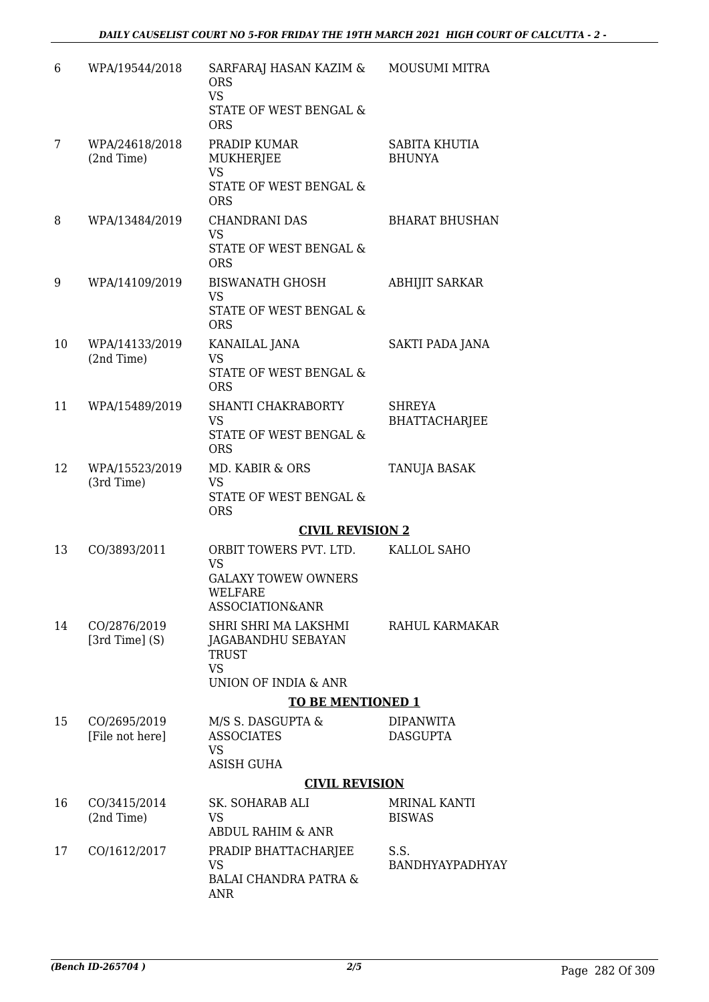| 6  | WPA/19544/2018                      | SARFARAJ HASAN KAZIM &<br><b>ORS</b><br><b>VS</b><br>STATE OF WEST BENGAL &<br><b>ORS</b>       | <b>MOUSUMI MITRA</b>                  |
|----|-------------------------------------|-------------------------------------------------------------------------------------------------|---------------------------------------|
| 7  | WPA/24618/2018<br>(2nd Time)        | PRADIP KUMAR<br>MUKHERJEE<br><b>VS</b><br>STATE OF WEST BENGAL &<br><b>ORS</b>                  | SABITA KHUTIA<br><b>BHUNYA</b>        |
| 8  | WPA/13484/2019                      | <b>CHANDRANI DAS</b><br>VS<br>STATE OF WEST BENGAL &<br><b>ORS</b>                              | <b>BHARAT BHUSHAN</b>                 |
| 9  | WPA/14109/2019                      | <b>BISWANATH GHOSH</b><br><b>VS</b><br>STATE OF WEST BENGAL &<br><b>ORS</b>                     | <b>ABHIJIT SARKAR</b>                 |
| 10 | WPA/14133/2019<br>(2nd Time)        | KANAILAL JANA<br><b>VS</b><br>STATE OF WEST BENGAL &<br><b>ORS</b>                              | SAKTI PADA JANA                       |
| 11 | WPA/15489/2019                      | SHANTI CHAKRABORTY<br><b>VS</b><br>STATE OF WEST BENGAL &<br><b>ORS</b>                         | <b>SHREYA</b><br><b>BHATTACHARJEE</b> |
| 12 | WPA/15523/2019<br>(3rd Time)        | MD. KABIR & ORS<br><b>VS</b><br>STATE OF WEST BENGAL &<br><b>ORS</b>                            | TANUJA BASAK                          |
|    |                                     | <b>CIVIL REVISION 2</b>                                                                         |                                       |
| 13 | CO/3893/2011                        | ORBIT TOWERS PVT. LTD.<br><b>VS</b><br><b>GALAXY TOWEW OWNERS</b><br>WELFARE<br>ASSOCIATION&ANR | KALLOL SAHO                           |
| 14 | CO/2876/2019<br>[ $3rd$ Time] $(S)$ | SHRI SHRI MA LAKSHMI<br>JAGABANDHU SEBAYAN<br><b>TRUST</b><br><b>VS</b><br>UNION OF INDIA & ANR | RAHUL KARMAKAR                        |
|    |                                     | <b>TO BE MENTIONED 1</b>                                                                        |                                       |
| 15 | CO/2695/2019                        | M/S S. DASGUPTA &                                                                               | <b>DIPANWITA</b>                      |
|    | [File not here]                     | <b>ASSOCIATES</b><br><b>VS</b><br><b>ASISH GUHA</b>                                             | <b>DASGUPTA</b>                       |
|    |                                     | <b>CIVIL REVISION</b>                                                                           |                                       |
| 16 | CO/3415/2014<br>(2nd Time)          | SK. SOHARAB ALI<br><b>VS</b><br><b>ABDUL RAHIM &amp; ANR</b>                                    | MRINAL KANTI<br><b>BISWAS</b>         |
| 17 | CO/1612/2017                        | PRADIP BHATTACHARJEE<br><b>VS</b><br><b>BALAI CHANDRA PATRA &amp;</b><br><b>ANR</b>             | S.S.<br>BANDHYAYPADHYAY               |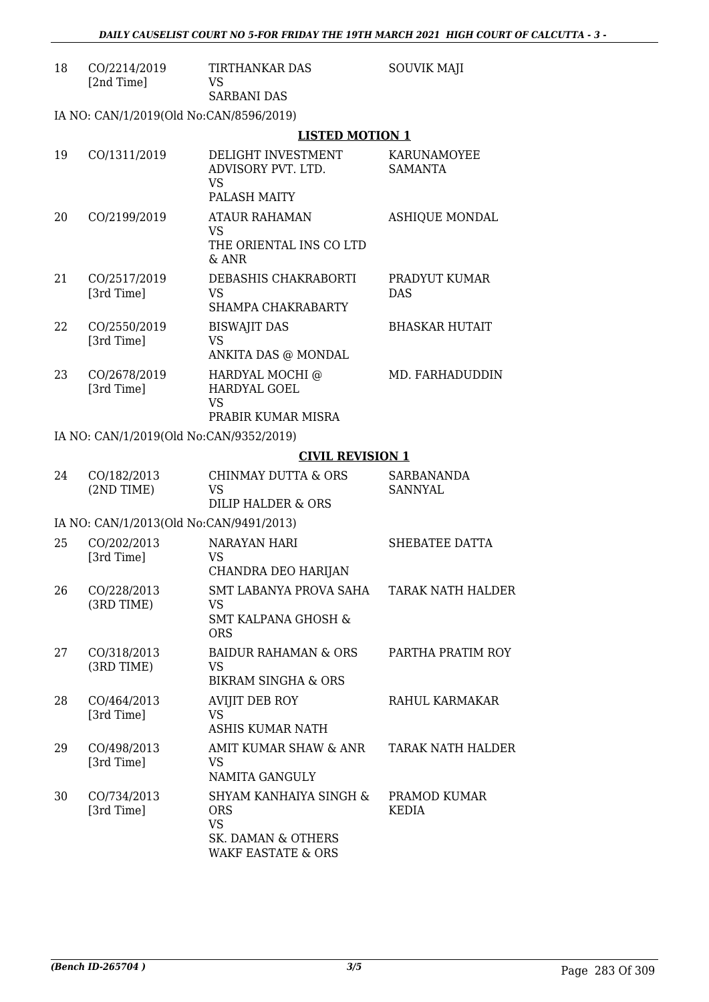| 18 | CO/2214/2019<br>[2nd Time]              | <b>TIRTHANKAR DAS</b><br><b>VS</b>                                                  | <b>SOUVIK MAJI</b>            |
|----|-----------------------------------------|-------------------------------------------------------------------------------------|-------------------------------|
|    |                                         | <b>SARBANI DAS</b>                                                                  |                               |
|    | IA NO: CAN/1/2019(Old No:CAN/8596/2019) |                                                                                     |                               |
|    |                                         | <b>LISTED MOTION 1</b>                                                              |                               |
| 19 | CO/1311/2019                            | DELIGHT INVESTMENT<br>ADVISORY PVT. LTD.<br><b>VS</b><br><b>PALASH MAITY</b>        | KARUNAMOYEE<br><b>SAMANTA</b> |
| 20 | CO/2199/2019                            | <b>ATAUR RAHAMAN</b><br><b>VS</b><br>THE ORIENTAL INS CO LTD<br>$&$ ANR             | <b>ASHIQUE MONDAL</b>         |
| 21 | CO/2517/2019<br>[3rd Time]              | DEBASHIS CHAKRABORTI<br><b>VS</b><br>SHAMPA CHAKRABARTY                             | PRADYUT KUMAR<br><b>DAS</b>   |
| 22 | CO/2550/2019<br>[3rd Time]              | <b>BISWAJIT DAS</b><br><b>VS</b><br>ANKITA DAS @ MONDAL                             | <b>BHASKAR HUTAIT</b>         |
| 23 | CO/2678/2019<br>[3rd Time]              | HARDYAL MOCHI @<br>HARDYAL GOEL<br><b>VS</b><br>PRABIR KUMAR MISRA                  | MD. FARHADUDDIN               |
|    | IA NO: CAN/1/2019(Old No:CAN/9352/2019) |                                                                                     |                               |
|    |                                         | <b>CIVIL REVISION 1</b>                                                             |                               |
| 24 | CO/182/2013<br>(2ND TIME)               | <b>CHINMAY DUTTA &amp; ORS</b><br><b>VS</b><br>DILIP HALDER & ORS                   | SARBANANDA<br>SANNYAL         |
|    | IA NO: CAN/1/2013(Old No:CAN/9491/2013) |                                                                                     |                               |
| 25 | CO/202/2013<br>[3rd Time]               | <b>NARAYAN HARI</b><br>VS<br>CHANDRA DEO HARIJAN                                    | SHEBATEE DATTA                |
| 26 | CO/228/2013<br>(3RD TIME)               | SMT LABANYA PROVA SAHA<br><b>VS</b><br><b>SMT KALPANA GHOSH &amp;</b><br><b>ORS</b> | <b>TARAK NATH HALDER</b>      |
| 27 | CO/318/2013<br>(3RD TIME)               | <b>BAIDUR RAHAMAN &amp; ORS</b><br><b>VS</b><br><b>BIKRAM SINGHA &amp; ORS</b>      | PARTHA PRATIM ROY             |
| 28 | CO/464/2013<br>[3rd Time]               | <b>AVIJIT DEB ROY</b><br><b>VS</b><br><b>ASHIS KUMAR NATH</b>                       | RAHUL KARMAKAR                |
| 29 | CO/498/2013<br>[3rd Time]               | AMIT KUMAR SHAW & ANR<br><b>VS</b><br>NAMITA GANGULY                                | TARAK NATH HALDER             |
| 30 | CO/734/2013<br>[3rd Time]               | SHYAM KANHAIYA SINGH &<br><b>ORS</b><br><b>VS</b><br>SK. DAMAN & OTHERS             | PRAMOD KUMAR<br><b>KEDIA</b>  |

WAKF EASTATE & ORS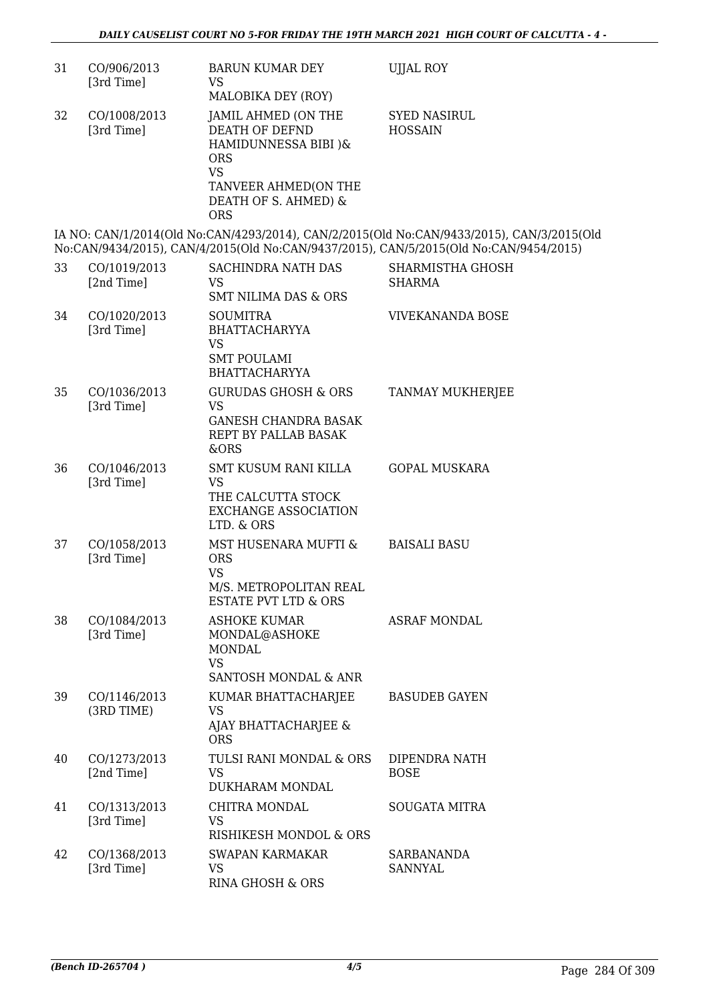| 31 | CO/906/2013<br>[3rd Time]  | <b>BARUN KUMAR DEY</b><br><b>VS</b><br>MALOBIKA DEY (ROY)                                                                                                     | <b>UJJAL ROY</b>                                                                                                                                                                   |
|----|----------------------------|---------------------------------------------------------------------------------------------------------------------------------------------------------------|------------------------------------------------------------------------------------------------------------------------------------------------------------------------------------|
| 32 | CO/1008/2013<br>[3rd Time] | JAMIL AHMED (ON THE<br><b>DEATH OF DEFND</b><br>HAMIDUNNESSA BIBI )&<br><b>ORS</b><br><b>VS</b><br>TANVEER AHMED(ON THE<br>DEATH OF S. AHMED) &<br><b>ORS</b> | <b>SYED NASIRUL</b><br><b>HOSSAIN</b>                                                                                                                                              |
|    |                            |                                                                                                                                                               | IA NO: CAN/1/2014(Old No:CAN/4293/2014), CAN/2/2015(Old No:CAN/9433/2015), CAN/3/2015(Old<br>No:CAN/9434/2015), CAN/4/2015(Old No:CAN/9437/2015), CAN/5/2015(Old No:CAN/9454/2015) |
| 33 | CO/1019/2013<br>[2nd Time] | <b>SACHINDRA NATH DAS</b><br>VS<br><b>SMT NILIMA DAS &amp; ORS</b>                                                                                            | SHARMISTHA GHOSH<br><b>SHARMA</b>                                                                                                                                                  |
| 34 | CO/1020/2013<br>[3rd Time] | <b>SOUMITRA</b><br><b>BHATTACHARYYA</b><br><b>VS</b><br><b>SMT POULAMI</b><br><b>BHATTACHARYYA</b>                                                            | <b>VIVEKANANDA BOSE</b>                                                                                                                                                            |
| 35 | CO/1036/2013<br>[3rd Time] | <b>GURUDAS GHOSH &amp; ORS</b><br><b>VS</b><br><b>GANESH CHANDRA BASAK</b><br>REPT BY PALLAB BASAK<br>&ORS                                                    | TANMAY MUKHERJEE                                                                                                                                                                   |
| 36 | CO/1046/2013<br>[3rd Time] | SMT KUSUM RANI KILLA<br><b>VS</b><br>THE CALCUTTA STOCK<br><b>EXCHANGE ASSOCIATION</b><br>LTD. & ORS                                                          | <b>GOPAL MUSKARA</b>                                                                                                                                                               |
| 37 | CO/1058/2013<br>[3rd Time] | MST HUSENARA MUFTI &<br><b>ORS</b><br><b>VS</b><br>M/S. METROPOLITAN REAL<br><b>ESTATE PVT LTD &amp; ORS</b>                                                  | <b>BAISALI BASU</b>                                                                                                                                                                |
| 38 | CO/1084/2013<br>[3rd Time] | <b>ASHOKE KUMAR</b><br>MONDAL@ASHOKE<br><b>MONDAL</b><br><b>VS</b><br>SANTOSH MONDAL & ANR                                                                    | <b>ASRAF MONDAL</b>                                                                                                                                                                |
| 39 | CO/1146/2013<br>(3RD TIME) | KUMAR BHATTACHARJEE<br><b>VS</b><br>AJAY BHATTACHARJEE &<br><b>ORS</b>                                                                                        | <b>BASUDEB GAYEN</b>                                                                                                                                                               |
| 40 | CO/1273/2013<br>[2nd Time] | TULSI RANI MONDAL & ORS<br><b>VS</b><br>DUKHARAM MONDAL                                                                                                       | DIPENDRA NATH<br><b>BOSE</b>                                                                                                                                                       |
| 41 | CO/1313/2013<br>[3rd Time] | CHITRA MONDAL<br><b>VS</b><br>RISHIKESH MONDOL & ORS                                                                                                          | <b>SOUGATA MITRA</b>                                                                                                                                                               |
| 42 | CO/1368/2013<br>[3rd Time] | <b>SWAPAN KARMAKAR</b><br><b>VS</b><br>RINA GHOSH & ORS                                                                                                       | <b>SARBANANDA</b><br><b>SANNYAL</b>                                                                                                                                                |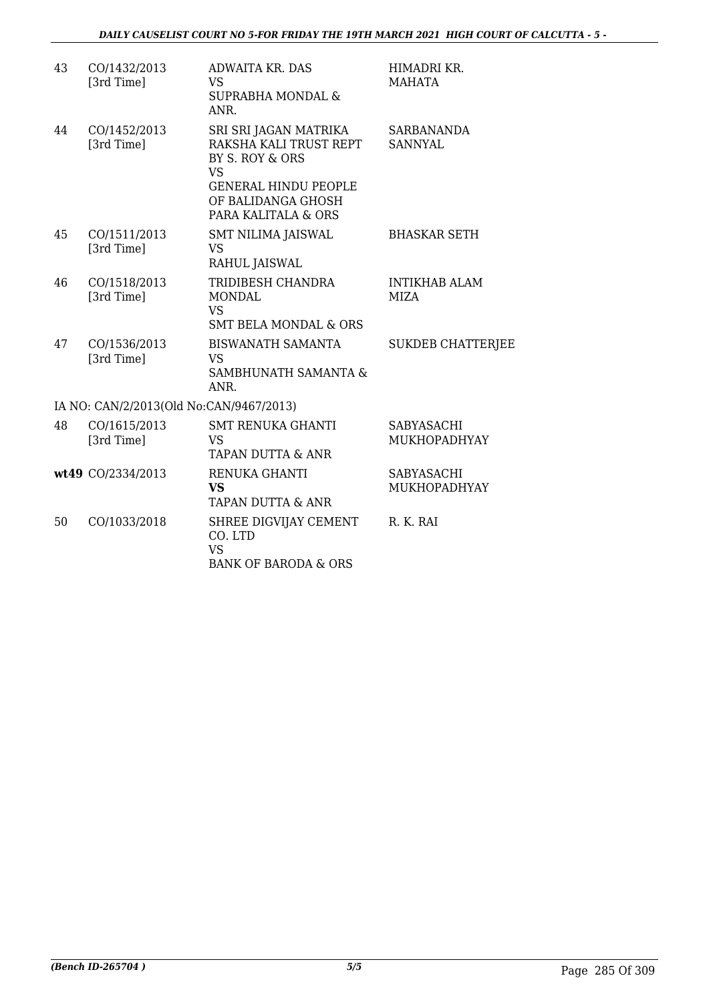| 43 | CO/1432/2013<br>[3rd Time]              | <b>ADWAITA KR. DAS</b><br><b>VS</b><br><b>SUPRABHA MONDAL &amp;</b><br>ANR.                                                                                 | HIMADRI KR.<br><b>MAHATA</b>             |
|----|-----------------------------------------|-------------------------------------------------------------------------------------------------------------------------------------------------------------|------------------------------------------|
| 44 | CO/1452/2013<br>[3rd Time]              | SRI SRI JAGAN MATRIKA<br>RAKSHA KALI TRUST REPT<br>BY S. ROY & ORS<br><b>VS</b><br><b>GENERAL HINDU PEOPLE</b><br>OF BALIDANGA GHOSH<br>PARA KALITALA & ORS | <b>SARBANANDA</b><br><b>SANNYAL</b>      |
| 45 | CO/1511/2013<br>[3rd Time]              | <b>SMT NILIMA JAISWAL</b><br>VS<br>RAHUL JAISWAL                                                                                                            | <b>BHASKAR SETH</b>                      |
| 46 | CO/1518/2013<br>[3rd Time]              | TRIDIBESH CHANDRA<br><b>MONDAL</b><br><b>VS</b><br><b>SMT BELA MONDAL &amp; ORS</b>                                                                         | <b>INTIKHAB ALAM</b><br>MIZA             |
| 47 | CO/1536/2013<br>[3rd Time]              | <b>BISWANATH SAMANTA</b><br>VS<br>SAMBHUNATH SAMANTA &<br>ANR.                                                                                              | <b>SUKDEB CHATTERJEE</b>                 |
|    | IA NO: CAN/2/2013(Old No:CAN/9467/2013) |                                                                                                                                                             |                                          |
| 48 | CO/1615/2013<br>[3rd Time]              | <b>SMT RENUKA GHANTI</b><br><b>VS</b><br>TAPAN DUTTA & ANR                                                                                                  | SABYASACHI<br>MUKHOPADHYAY               |
|    | wt49 CO/2334/2013                       | RENUKA GHANTI<br><b>VS</b><br>TAPAN DUTTA & ANR                                                                                                             | <b>SABYASACHI</b><br><b>MUKHOPADHYAY</b> |
| 50 | CO/1033/2018                            | SHREE DIGVIJAY CEMENT<br>CO. LTD<br><b>VS</b><br><b>BANK OF BARODA &amp; ORS</b>                                                                            | R. K. RAI                                |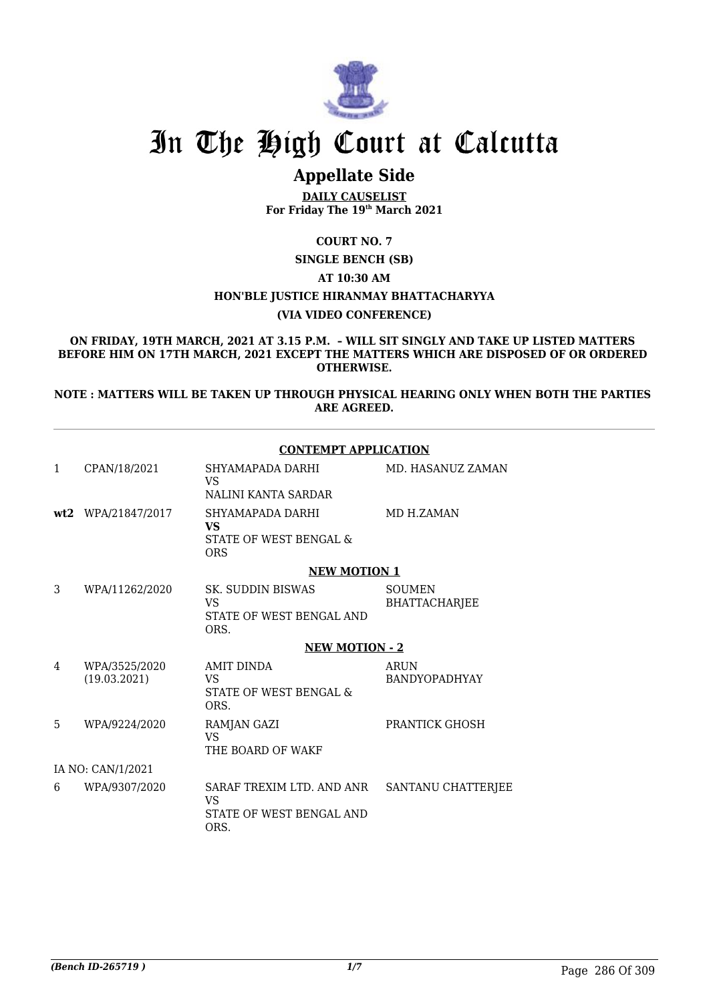

# **Appellate Side**

**DAILY CAUSELIST For Friday The 19th March 2021**

**COURT NO. 7**

**SINGLE BENCH (SB)**

#### **AT 10:30 AM**

# **HON'BLE JUSTICE HIRANMAY BHATTACHARYYA**

### **(VIA VIDEO CONFERENCE)**

**ON FRIDAY, 19TH MARCH, 2021 AT 3.15 P.M. – WILL SIT SINGLY AND TAKE UP LISTED MATTERS BEFORE HIM ON 17TH MARCH, 2021 EXCEPT THE MATTERS WHICH ARE DISPOSED OF OR ORDERED OTHERWISE.**

**NOTE : MATTERS WILL BE TAKEN UP THROUGH PHYSICAL HEARING ONLY WHEN BOTH THE PARTIES ARE AGREED.**

#### **CONTEMPT APPLICATION**

| $\mathbf{1}$      | CPAN/18/2021                  | SHYAMAPADA DARHI<br>VS.<br>NALINI KANTA SARDAR                                   | MD. HASANUZ ZAMAN              |  |
|-------------------|-------------------------------|----------------------------------------------------------------------------------|--------------------------------|--|
|                   | wt2 WPA/21847/2017            | SHYAMAPADA DARHI<br><b>VS</b><br><b>STATE OF WEST BENGAL &amp;</b><br><b>ORS</b> | MD H.ZAMAN                     |  |
|                   |                               | <b>NEW MOTION 1</b>                                                              |                                |  |
| 3                 | WPA/11262/2020                | SK. SUDDIN BISWAS<br>VS<br>STATE OF WEST BENGAL AND<br>ORS.                      | <b>SOUMEN</b><br>BHATTACHARJEE |  |
|                   |                               | <b>NEW MOTION - 2</b>                                                            |                                |  |
| 4                 | WPA/3525/2020<br>(19.03.2021) | <b>AMIT DINDA</b><br>VS<br>STATE OF WEST BENGAL &<br>ORS.                        | ARUN<br><b>BANDYOPADHYAY</b>   |  |
| 5                 | WPA/9224/2020                 | RAMJAN GAZI<br>VS.<br>THE BOARD OF WAKF                                          | PRANTICK GHOSH                 |  |
| IA NO: CAN/1/2021 |                               |                                                                                  |                                |  |
| 6                 | WPA/9307/2020                 | SARAF TREXIM LTD. AND ANR<br>VS.<br>STATE OF WEST BENGAL AND<br>ORS.             | SANTANU CHATTERJEE             |  |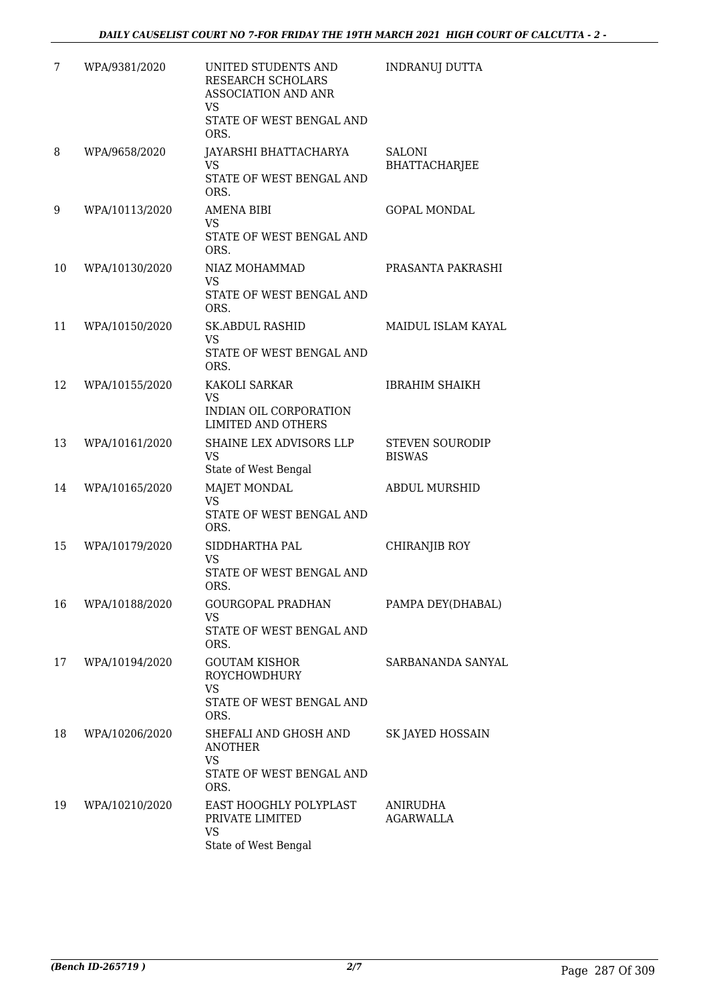| 7  | WPA/9381/2020  | UNITED STUDENTS AND<br>RESEARCH SCHOLARS<br>ASSOCIATION AND ANR<br><b>VS</b><br>STATE OF WEST BENGAL AND | <b>INDRANUJ DUTTA</b>                   |
|----|----------------|----------------------------------------------------------------------------------------------------------|-----------------------------------------|
| 8  | WPA/9658/2020  | ORS.<br>JAYARSHI BHATTACHARYA<br><b>VS</b><br>STATE OF WEST BENGAL AND                                   | SALONI<br><b>BHATTACHARJEE</b>          |
|    |                | ORS.                                                                                                     |                                         |
| 9  | WPA/10113/2020 | <b>AMENA BIBI</b><br><b>VS</b><br>STATE OF WEST BENGAL AND<br>ORS.                                       | <b>GOPAL MONDAL</b>                     |
| 10 | WPA/10130/2020 | NIAZ MOHAMMAD<br><b>VS</b><br>STATE OF WEST BENGAL AND<br>ORS.                                           | PRASANTA PAKRASHI                       |
| 11 | WPA/10150/2020 | <b>SK.ABDUL RASHID</b><br><b>VS</b><br>STATE OF WEST BENGAL AND<br>ORS.                                  | MAIDUL ISLAM KAYAL                      |
| 12 | WPA/10155/2020 | KAKOLI SARKAR<br><b>VS</b><br>INDIAN OIL CORPORATION<br><b>LIMITED AND OTHERS</b>                        | <b>IBRAHIM SHAIKH</b>                   |
| 13 | WPA/10161/2020 | SHAINE LEX ADVISORS LLP<br><b>VS</b><br>State of West Bengal                                             | <b>STEVEN SOURODIP</b><br><b>BISWAS</b> |
| 14 | WPA/10165/2020 | <b>MAJET MONDAL</b><br><b>VS</b><br>STATE OF WEST BENGAL AND<br>ORS.                                     | <b>ABDUL MURSHID</b>                    |
| 15 | WPA/10179/2020 | SIDDHARTHA PAL<br><b>VS</b><br>STATE OF WEST BENGAL AND<br>ORS.                                          | CHIRANJIB ROY                           |
| 16 | WPA/10188/2020 | GOURGOPAL PRADHAN<br><b>VS</b><br>STATE OF WEST BENGAL AND<br>ORS.                                       | PAMPA DEY(DHABAL)                       |
| 17 | WPA/10194/2020 | <b>GOUTAM KISHOR</b><br><b>ROYCHOWDHURY</b><br><b>VS</b><br>STATE OF WEST BENGAL AND<br>ORS.             | SARBANANDA SANYAL                       |
| 18 | WPA/10206/2020 | SHEFALI AND GHOSH AND<br><b>ANOTHER</b><br><b>VS</b><br>STATE OF WEST BENGAL AND<br>ORS.                 | SK JAYED HOSSAIN                        |
| 19 | WPA/10210/2020 | EAST HOOGHLY POLYPLAST<br>PRIVATE LIMITED<br><b>VS</b><br>State of West Bengal                           | ANIRUDHA<br>AGARWALLA                   |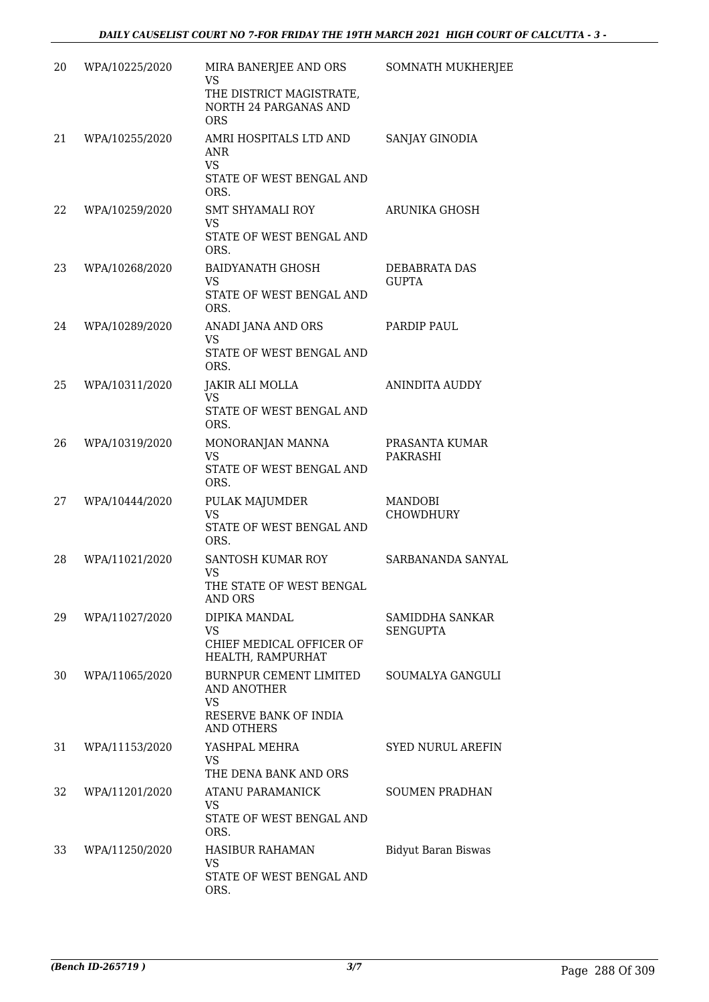| 20 | WPA/10225/2020 | MIRA BANERJEE AND ORS<br><b>VS</b><br>THE DISTRICT MAGISTRATE,<br><b>NORTH 24 PARGANAS AND</b><br><b>ORS</b> | <b>SOMNATH MUKHERJEE</b>      |
|----|----------------|--------------------------------------------------------------------------------------------------------------|-------------------------------|
| 21 | WPA/10255/2020 | AMRI HOSPITALS LTD AND<br><b>ANR</b><br><b>VS</b><br>STATE OF WEST BENGAL AND<br>ORS.                        | SANJAY GINODIA                |
| 22 | WPA/10259/2020 | SMT SHYAMALI ROY<br><b>VS</b><br>STATE OF WEST BENGAL AND<br>ORS.                                            | ARUNIKA GHOSH                 |
| 23 | WPA/10268/2020 | <b>BAIDYANATH GHOSH</b><br><b>VS</b><br>STATE OF WEST BENGAL AND<br>ORS.                                     | DEBABRATA DAS<br><b>GUPTA</b> |
| 24 | WPA/10289/2020 | ANADI JANA AND ORS<br><b>VS</b><br>STATE OF WEST BENGAL AND<br>ORS.                                          | PARDIP PAUL                   |
| 25 | WPA/10311/2020 | JAKIR ALI MOLLA<br>VS<br>STATE OF WEST BENGAL AND<br>ORS.                                                    | ANINDITA AUDDY                |
| 26 | WPA/10319/2020 | MONORANJAN MANNA<br><b>VS</b><br>STATE OF WEST BENGAL AND<br>ORS.                                            | PRASANTA KUMAR<br>PAKRASHI    |
| 27 | WPA/10444/2020 | PULAK MAJUMDER<br><b>VS</b><br>STATE OF WEST BENGAL AND<br>ORS.                                              | MANDOBI<br>CHOWDHURY          |
| 28 | WPA/11021/2020 | SANTOSH KUMAR ROY<br><b>VS</b><br>THE STATE OF WEST BENGAL<br><b>AND ORS</b>                                 | SARBANANDA SANYAL             |
| 29 | WPA/11027/2020 | DIPIKA MANDAL<br><b>VS</b><br>CHIEF MEDICAL OFFICER OF<br>HEALTH, RAMPURHAT                                  | SAMIDDHA SANKAR<br>SENGUPTA   |
| 30 | WPA/11065/2020 | BURNPUR CEMENT LIMITED<br>AND ANOTHER<br><b>VS</b><br>RESERVE BANK OF INDIA<br><b>AND OTHERS</b>             | SOUMALYA GANGULI              |
| 31 | WPA/11153/2020 | YASHPAL MEHRA<br><b>VS</b><br>THE DENA BANK AND ORS                                                          | SYED NURUL AREFIN             |
| 32 | WPA/11201/2020 | ATANU PARAMANICK<br>VS<br>STATE OF WEST BENGAL AND<br>ORS.                                                   | <b>SOUMEN PRADHAN</b>         |
| 33 | WPA/11250/2020 | <b>HASIBUR RAHAMAN</b><br><b>VS</b><br>STATE OF WEST BENGAL AND<br>ORS.                                      | <b>Bidyut Baran Biswas</b>    |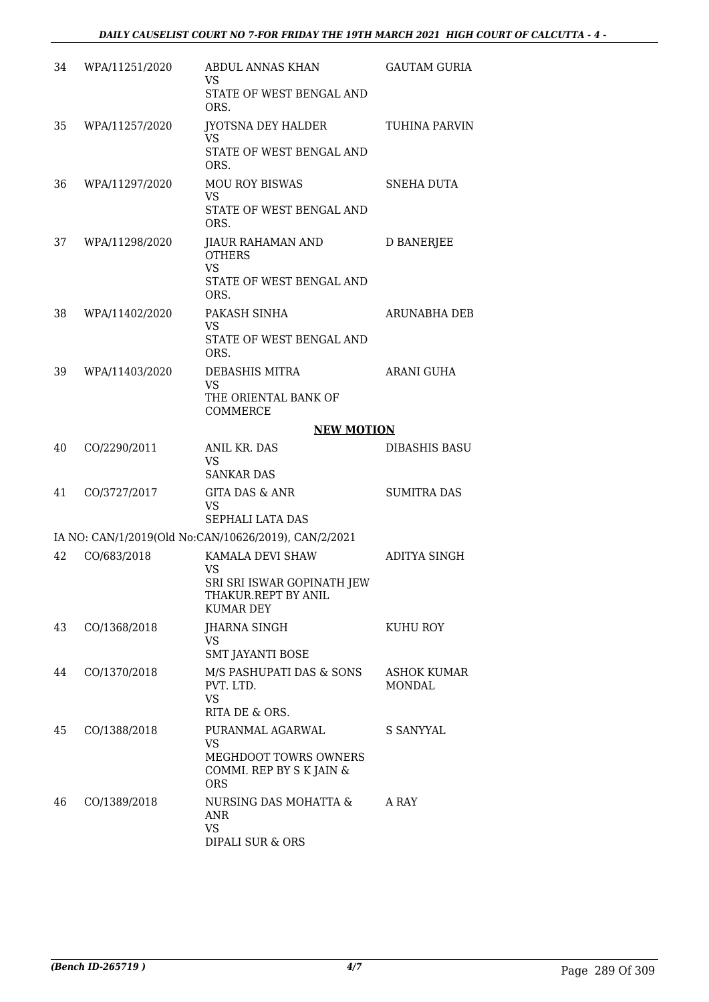| 34 | WPA/11251/2020 | ABDUL ANNAS KHAN<br>VS                                                | <b>GAUTAM GURIA</b>   |
|----|----------------|-----------------------------------------------------------------------|-----------------------|
|    |                | STATE OF WEST BENGAL AND<br>ORS.                                      |                       |
| 35 | WPA/11257/2020 | JYOTSNA DEY HALDER<br>VS.                                             | TUHINA PARVIN         |
|    |                | STATE OF WEST BENGAL AND<br>ORS.                                      |                       |
| 36 | WPA/11297/2020 | <b>MOU ROY BISWAS</b><br><b>VS</b>                                    | SNEHA DUTA            |
|    |                | STATE OF WEST BENGAL AND<br>ORS.                                      |                       |
| 37 | WPA/11298/2020 | JIAUR RAHAMAN AND<br><b>OTHERS</b><br><b>VS</b>                       | D BANERJEE            |
|    |                | STATE OF WEST BENGAL AND<br>ORS.                                      |                       |
| 38 | WPA/11402/2020 | PAKASH SINHA<br>VS                                                    | ARUNABHA DEB          |
|    |                | STATE OF WEST BENGAL AND<br>ORS.                                      |                       |
| 39 | WPA/11403/2020 | DEBASHIS MITRA<br>VS                                                  | ARANI GUHA            |
|    |                | THE ORIENTAL BANK OF<br>COMMERCE                                      |                       |
|    |                | <b>NEW MOTION</b>                                                     |                       |
| 40 | CO/2290/2011   | ANIL KR. DAS<br><b>VS</b>                                             | <b>DIBASHIS BASU</b>  |
|    |                | <b>SANKAR DAS</b>                                                     |                       |
| 41 | CO/3727/2017   | GITA DAS & ANR<br>VS                                                  | <b>SUMITRA DAS</b>    |
|    |                | <b>SEPHALI LATA DAS</b>                                               |                       |
|    |                | IA NO: CAN/1/2019(Old No:CAN/10626/2019), CAN/2/2021                  |                       |
| 42 | CO/683/2018    | KAMALA DEVI SHAW<br>VS                                                | ADITYA SINGH          |
|    |                | SRI SRI ISWAR GOPINATH JEW<br>THAKUR.REPT BY ANIL<br><b>KUMAR DEY</b> |                       |
| 43 | CO/1368/2018   | <b>JHARNA SINGH</b><br><b>VS</b>                                      | KUHU ROY              |
|    |                | <b>SMT JAYANTI BOSE</b>                                               |                       |
| 44 | CO/1370/2018   | M/S PASHUPATI DAS & SONS<br>PVT. LTD.<br><b>VS</b>                    | ASHOK KUMAR<br>MONDAL |
|    |                | RITA DE & ORS.                                                        |                       |
| 45 | CO/1388/2018   | PURANMAL AGARWAL<br><b>VS</b>                                         | S SANYYAL             |
|    |                | MEGHDOOT TOWRS OWNERS<br>COMMI. REP BY S K JAIN &<br><b>ORS</b>       |                       |
| 46 | CO/1389/2018   | NURSING DAS MOHATTA &<br>ANR                                          | A RAY                 |
|    |                | <b>VS</b><br>DIPALI SUR & ORS                                         |                       |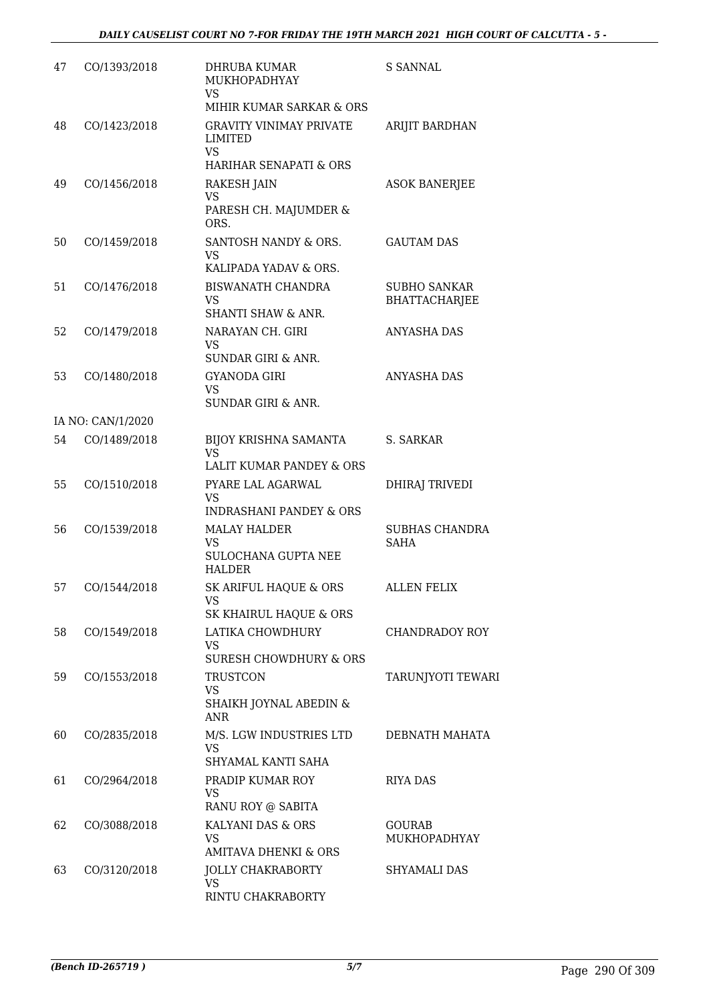| 47 | CO/1393/2018      | DHRUBA KUMAR<br>MUKHOPADHYAY<br><b>VS</b>                                        | <b>S SANNAL</b>                             |
|----|-------------------|----------------------------------------------------------------------------------|---------------------------------------------|
|    |                   | MIHIR KUMAR SARKAR & ORS                                                         |                                             |
| 48 | CO/1423/2018      | <b>GRAVITY VINIMAY PRIVATE</b><br>LIMITED<br><b>VS</b><br>HARIHAR SENAPATI & ORS | ARIJIT BARDHAN                              |
| 49 | CO/1456/2018      | <b>RAKESH JAIN</b>                                                               | <b>ASOK BANERJEE</b>                        |
|    |                   | <b>VS</b><br>PARESH CH. MAJUMDER &<br>ORS.                                       |                                             |
| 50 | CO/1459/2018      | SANTOSH NANDY & ORS.<br><b>VS</b><br>KALIPADA YADAV & ORS.                       | <b>GAUTAM DAS</b>                           |
| 51 | CO/1476/2018      | <b>BISWANATH CHANDRA</b><br><b>VS</b><br><b>SHANTI SHAW &amp; ANR.</b>           | <b>SUBHO SANKAR</b><br><b>BHATTACHARJEE</b> |
| 52 | CO/1479/2018      | NARAYAN CH. GIRI<br><b>VS</b><br>SUNDAR GIRI & ANR.                              | <b>ANYASHA DAS</b>                          |
| 53 | CO/1480/2018      | <b>GYANODA GIRI</b><br>VS.<br>SUNDAR GIRI & ANR.                                 | <b>ANYASHA DAS</b>                          |
|    | IA NO: CAN/1/2020 |                                                                                  |                                             |
| 54 | CO/1489/2018      | BIJOY KRISHNA SAMANTA<br>VS.<br>LALIT KUMAR PANDEY & ORS                         | S. SARKAR                                   |
| 55 | CO/1510/2018      | PYARE LAL AGARWAL<br><b>VS</b><br><b>INDRASHANI PANDEY &amp; ORS</b>             | DHIRAJ TRIVEDI                              |
| 56 | CO/1539/2018      | <b>MALAY HALDER</b><br><b>VS</b><br>SULOCHANA GUPTA NEE<br><b>HALDER</b>         | SUBHAS CHANDRA<br>SAHA                      |
| 57 | CO/1544/2018      | SK ARIFUL HAQUE & ORS<br>VS<br>SK KHAIRUL HAQUE & ORS                            | <b>ALLEN FELIX</b>                          |
| 58 | CO/1549/2018      | LATIKA CHOWDHURY<br>VS<br>SURESH CHOWDHURY & ORS                                 | CHANDRADOY ROY                              |
| 59 | CO/1553/2018      | TRUSTCON<br><b>VS</b><br>SHAIKH JOYNAL ABEDIN &<br><b>ANR</b>                    | TARUNJYOTI TEWARI                           |
| 60 | CO/2835/2018      | M/S. LGW INDUSTRIES LTD<br><b>VS</b><br>SHYAMAL KANTI SAHA                       | DEBNATH MAHATA                              |
| 61 | CO/2964/2018      | PRADIP KUMAR ROY<br>VS<br>RANU ROY @ SABITA                                      | <b>RIYA DAS</b>                             |
| 62 | CO/3088/2018      | KALYANI DAS & ORS<br>VS<br><b>AMITAVA DHENKI &amp; ORS</b>                       | <b>GOURAB</b><br>MUKHOPADHYAY               |
| 63 | CO/3120/2018      | <b>JOLLY CHAKRABORTY</b><br><b>VS</b><br>RINTU CHAKRABORTY                       | SHYAMALI DAS                                |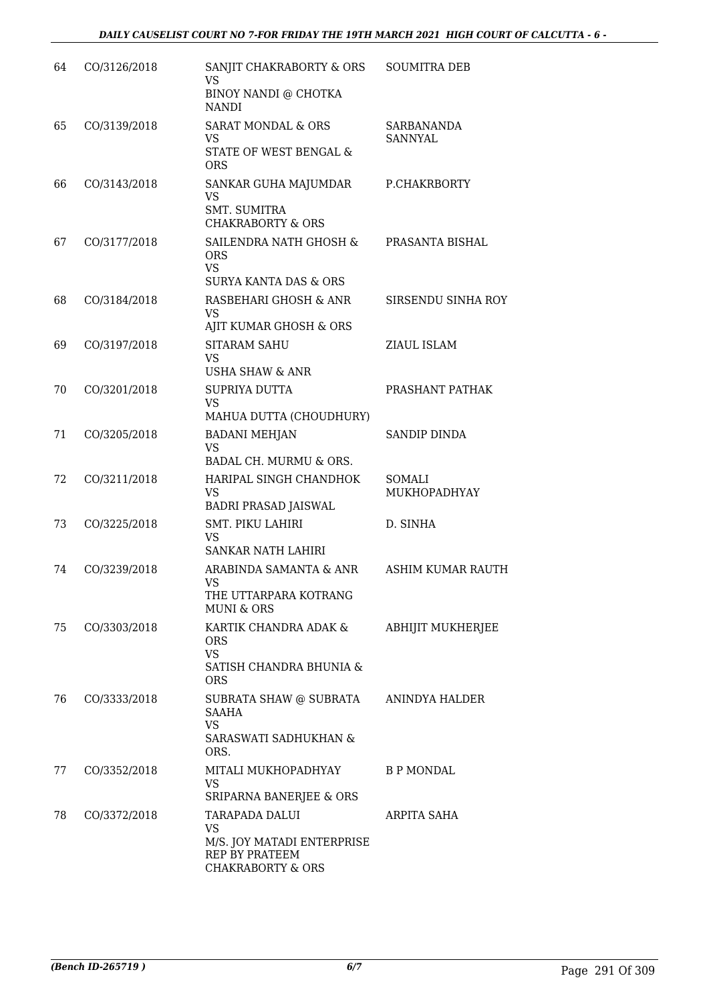| 64 | CO/3126/2018 | SANJIT CHAKRABORTY & ORS<br><b>VS</b><br>BINOY NANDI @ CHOTKA<br><b>NANDI</b>                               | <b>SOUMITRA DEB</b>                 |
|----|--------------|-------------------------------------------------------------------------------------------------------------|-------------------------------------|
| 65 | CO/3139/2018 | <b>SARAT MONDAL &amp; ORS</b><br><b>VS</b><br>STATE OF WEST BENGAL &<br><b>ORS</b>                          | <b>SARBANANDA</b><br><b>SANNYAL</b> |
| 66 | CO/3143/2018 | SANKAR GUHA MAJUMDAR<br><b>VS</b><br><b>SMT. SUMITRA</b><br><b>CHAKRABORTY &amp; ORS</b>                    | P.CHAKRBORTY                        |
| 67 | CO/3177/2018 | SAILENDRA NATH GHOSH &<br><b>ORS</b><br><b>VS</b><br><b>SURYA KANTA DAS &amp; ORS</b>                       | PRASANTA BISHAL                     |
| 68 | CO/3184/2018 | RASBEHARI GHOSH & ANR<br>VS<br>AJIT KUMAR GHOSH & ORS                                                       | SIRSENDU SINHA ROY                  |
| 69 | CO/3197/2018 | <b>SITARAM SAHU</b><br><b>VS</b><br><b>USHA SHAW &amp; ANR</b>                                              | ZIAUL ISLAM                         |
| 70 | CO/3201/2018 | SUPRIYA DUTTA<br>VS<br>MAHUA DUTTA (CHOUDHURY)                                                              | PRASHANT PATHAK                     |
| 71 | CO/3205/2018 | <b>BADANI MEHJAN</b><br><b>VS</b><br>BADAL CH. MURMU & ORS.                                                 | SANDIP DINDA                        |
| 72 | CO/3211/2018 | HARIPAL SINGH CHANDHOK<br><b>VS</b><br><b>BADRI PRASAD JAISWAL</b>                                          | SOMALI<br>MUKHOPADHYAY              |
| 73 | CO/3225/2018 | SMT. PIKU LAHIRI<br><b>VS</b><br>SANKAR NATH LAHIRI                                                         | D. SINHA                            |
| 74 | CO/3239/2018 | ARABINDA SAMANTA & ANR<br>VS<br>THE UTTARPARA KOTRANG<br><b>MUNI &amp; ORS</b>                              | <b>ASHIM KUMAR RAUTH</b>            |
| 75 | CO/3303/2018 | KARTIK CHANDRA ADAK &<br><b>ORS</b><br><b>VS</b><br>SATISH CHANDRA BHUNIA &                                 | <b>ABHIJIT MUKHERJEE</b>            |
| 76 | CO/3333/2018 | <b>ORS</b><br>SUBRATA SHAW @ SUBRATA<br>SAAHA<br><b>VS</b><br>SARASWATI SADHUKHAN &<br>ORS.                 | ANINDYA HALDER                      |
| 77 | CO/3352/2018 | MITALI MUKHOPADHYAY<br><b>VS</b><br>SRIPARNA BANERJEE & ORS                                                 | <b>B P MONDAL</b>                   |
| 78 | CO/3372/2018 | TARAPADA DALUI<br><b>VS</b><br>M/S. JOY MATADI ENTERPRISE<br>REP BY PRATEEM<br><b>CHAKRABORTY &amp; ORS</b> | ARPITA SAHA                         |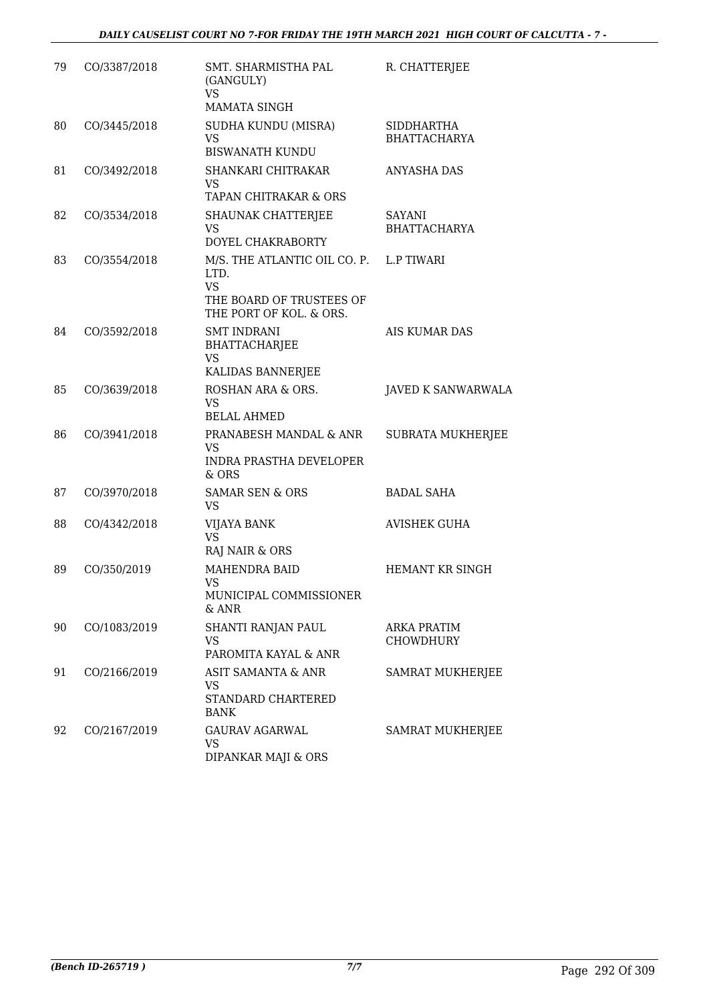| 79 | CO/3387/2018 | SMT. SHARMISTHA PAL<br>(GANGULY)<br>VS<br><b>MAMATA SINGH</b>                                            | R. CHATTERJEE                            |
|----|--------------|----------------------------------------------------------------------------------------------------------|------------------------------------------|
| 80 | CO/3445/2018 | SUDHA KUNDU (MISRA)<br><b>VS</b><br><b>BISWANATH KUNDU</b>                                               | <b>SIDDHARTHA</b><br><b>BHATTACHARYA</b> |
| 81 | CO/3492/2018 | SHANKARI CHITRAKAR<br><b>VS</b><br>TAPAN CHITRAKAR & ORS                                                 | ANYASHA DAS                              |
| 82 | CO/3534/2018 | SHAUNAK CHATTERJEE<br><b>VS</b><br>DOYEL CHAKRABORTY                                                     | SAYANI<br><b>BHATTACHARYA</b>            |
| 83 | CO/3554/2018 | M/S. THE ATLANTIC OIL CO. P.<br>LTD.<br><b>VS</b><br>THE BOARD OF TRUSTEES OF<br>THE PORT OF KOL. & ORS. | <b>L.P TIWARI</b>                        |
| 84 | CO/3592/2018 | <b>SMT INDRANI</b><br>BHATTACHARJEE<br><b>VS</b><br>KALIDAS BANNERJEE                                    | <b>AIS KUMAR DAS</b>                     |
| 85 | CO/3639/2018 | ROSHAN ARA & ORS.<br>VS<br><b>BELAL AHMED</b>                                                            | <b>JAVED K SANWARWALA</b>                |
| 86 | CO/3941/2018 | PRANABESH MANDAL & ANR<br><b>VS</b><br><b>INDRA PRASTHA DEVELOPER</b><br>& ORS                           | SUBRATA MUKHERJEE                        |
| 87 | CO/3970/2018 | <b>SAMAR SEN &amp; ORS</b><br>VS.                                                                        | <b>BADAL SAHA</b>                        |
| 88 | CO/4342/2018 | VIJAYA BANK<br><b>VS</b><br>RAJ NAIR & ORS                                                               | <b>AVISHEK GUHA</b>                      |
| 89 | CO/350/2019  | <b>MAHENDRA BAID</b><br>VS<br>MUNICIPAL COMMISSIONER<br>& ANR                                            | HEMANT KR SINGH                          |
| 90 | CO/1083/2019 | SHANTI RANJAN PAUL<br><b>VS</b><br>PAROMITA KAYAL & ANR                                                  | ARKA PRATIM<br>CHOWDHURY                 |
| 91 | CO/2166/2019 | ASIT SAMANTA & ANR<br>VS<br>STANDARD CHARTERED<br>BANK                                                   | <b>SAMRAT MUKHERJEE</b>                  |
| 92 | CO/2167/2019 | <b>GAURAV AGARWAL</b><br><b>VS</b><br>DIPANKAR MAJI & ORS                                                | <b>SAMRAT MUKHERJEE</b>                  |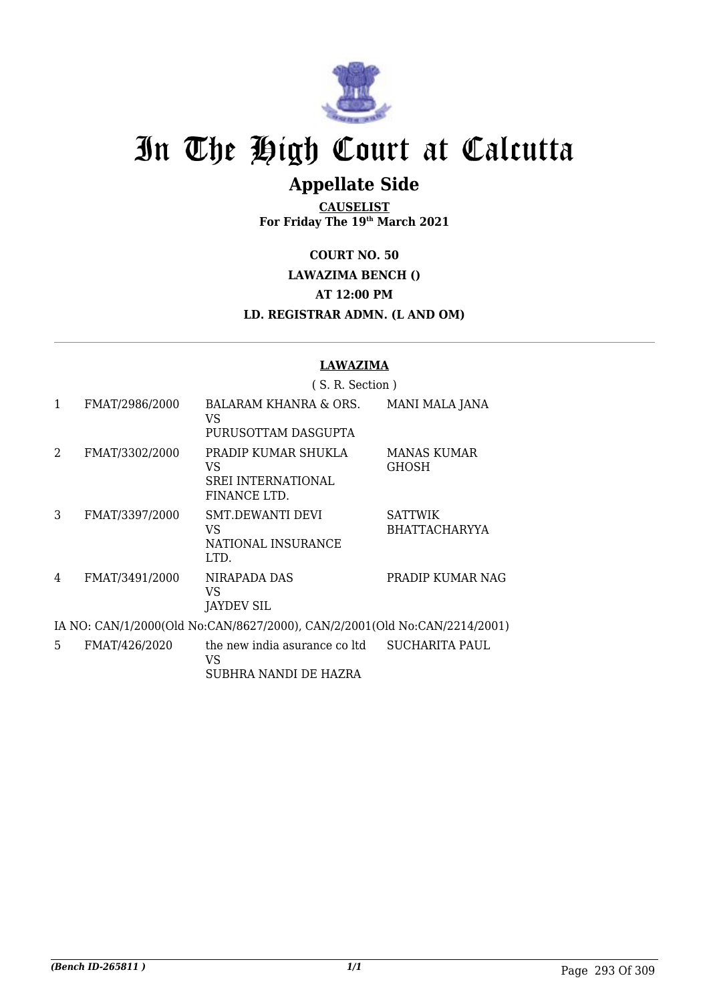

# In The High Court at Calcutta

## **Appellate Side**

**CAUSELIST For Friday The 19th March 2021**

**COURT NO. 50**

**LAWAZIMA BENCH ()**

**AT 12:00 PM**

**LD. REGISTRAR ADMN. (L AND OM)**

## **LAWAZIMA**

|               |                | (S. R. Section)                                                           |                                        |
|---------------|----------------|---------------------------------------------------------------------------|----------------------------------------|
| 1             | FMAT/2986/2000 | BALARAM KHANRA & ORS.<br>VS<br>PURUSOTTAM DASGUPTA                        | <b>MANI MALA JANA</b>                  |
| $\mathcal{L}$ | FMAT/3302/2000 | PRADIP KUMAR SHUKLA<br>VS<br><b>SREI INTERNATIONAL</b><br>FINANCE LTD.    | <b>MANAS KUMAR</b><br>GHOSH            |
| 3             | FMAT/3397/2000 | <b>SMT.DEWANTI DEVI</b><br>VS<br>NATIONAL INSURANCE<br>LTD.               | <b>SATTWIK</b><br><b>BHATTACHARYYA</b> |
| 4             | FMAT/3491/2000 | NIRAPADA DAS<br>VS<br>JAYDEV SIL                                          | PRADIP KUMAR NAG                       |
|               |                | IA NO: CAN/1/2000(Old No:CAN/8627/2000), CAN/2/2001(Old No:CAN/2214/2001) |                                        |
| 5             | FMAT/426/2020  | the new india asurance coltd                                              | SUCHARITA PAUL                         |

VS SUBHRA NANDI DE HAZRA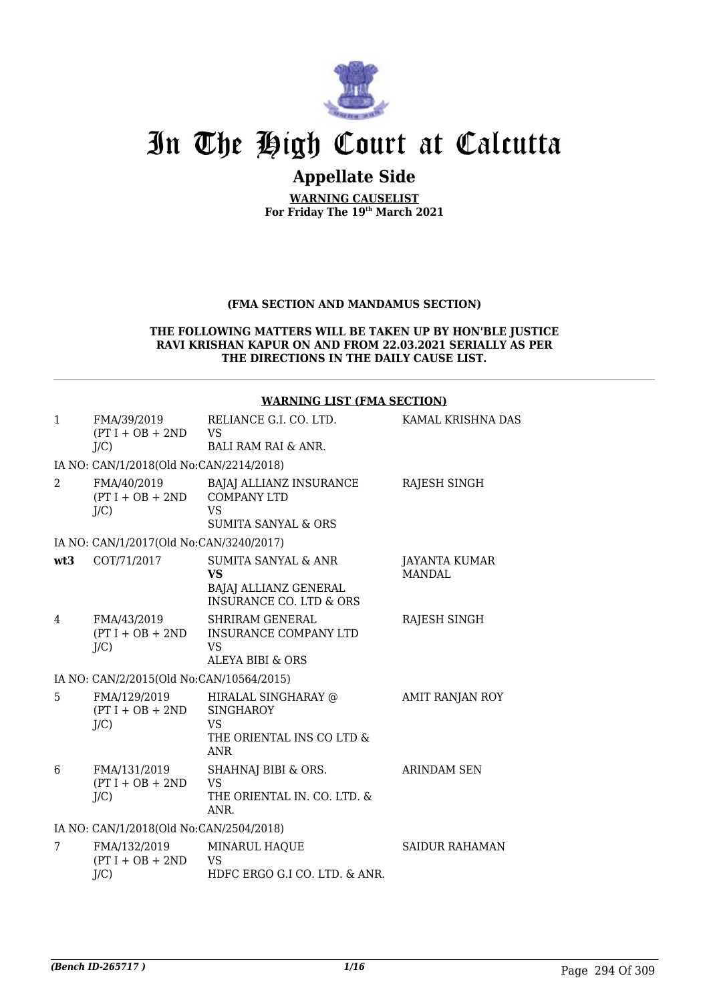

## In The High Court at Calcutta

## **Appellate Side**

**WARNING CAUSELIST For Friday The 19th March 2021**

### **(FMA SECTION AND MANDAMUS SECTION)**

#### **THE FOLLOWING MATTERS WILL BE TAKEN UP BY HON'BLE JUSTICE RAVI KRISHAN KAPUR ON AND FROM 22.03.2021 SERIALLY AS PER THE DIRECTIONS IN THE DAILY CAUSE LIST.**

|              |                                                 | <b>WARNING LIST (FMA SECTION)</b>                                                                            |                                |
|--------------|-------------------------------------------------|--------------------------------------------------------------------------------------------------------------|--------------------------------|
| $\mathbf{1}$ | FMA/39/2019<br>$(PT I + OB + 2ND$ VS<br>$J/C$ ) | RELIANCE G.I. CO. LTD.<br><b>BALI RAM RAI &amp; ANR.</b>                                                     | KAMAL KRISHNA DAS              |
|              |                                                 |                                                                                                              |                                |
|              | IA NO: CAN/1/2018(Old No:CAN/2214/2018)         |                                                                                                              |                                |
| 2            | FMA/40/2019<br>$(PT I + OB + 2ND$<br>J/C        | BAJAJ ALLIANZ INSURANCE<br><b>COMPANY LTD</b><br><b>VS</b><br><b>SUMITA SANYAL &amp; ORS</b>                 | RAJESH SINGH                   |
|              | IA NO: CAN/1/2017(Old No:CAN/3240/2017)         |                                                                                                              |                                |
| wt3          | COT/71/2017                                     | SUMITA SANYAL & ANR<br><b>VS</b><br><b>BAJAJ ALLIANZ GENERAL</b><br><b>INSURANCE CO. LTD &amp; ORS</b>       | JAYANTA KUMAR<br><b>MANDAL</b> |
| 4            | FMA/43/2019<br>J/C                              | <b>SHRIRAM GENERAL</b><br>(PT I + OB + 2ND INSURANCE COMPANY LTD<br><b>VS</b><br><b>ALEYA BIBI &amp; ORS</b> | RAJESH SINGH                   |
|              | IA NO: CAN/2/2015(Old No:CAN/10564/2015)        |                                                                                                              |                                |
| 5            | FMA/129/2019<br>$(PT I + OB + 2ND$<br>J/C       | HIRALAL SINGHARAY @<br><b>SINGHAROY</b><br><b>VS</b><br>THE ORIENTAL INS CO LTD &<br><b>ANR</b>              | AMIT RANJAN ROY                |
| 6            | FMA/131/2019<br>$(PT I + OB + 2ND$<br>J/C       | SHAHNAJ BIBI & ORS.<br><b>VS</b><br>THE ORIENTAL IN. CO. LTD. &<br>ANR.                                      | <b>ARINDAM SEN</b>             |
|              | IA NO: CAN/1/2018(Old No:CAN/2504/2018)         |                                                                                                              |                                |
| 7            | FMA/132/2019<br>$(PT I + OB + 2ND$<br>J/C       | MINARUL HAQUE<br>VS<br>HDFC ERGO G.I CO. LTD. & ANR.                                                         | <b>SAIDUR RAHAMAN</b>          |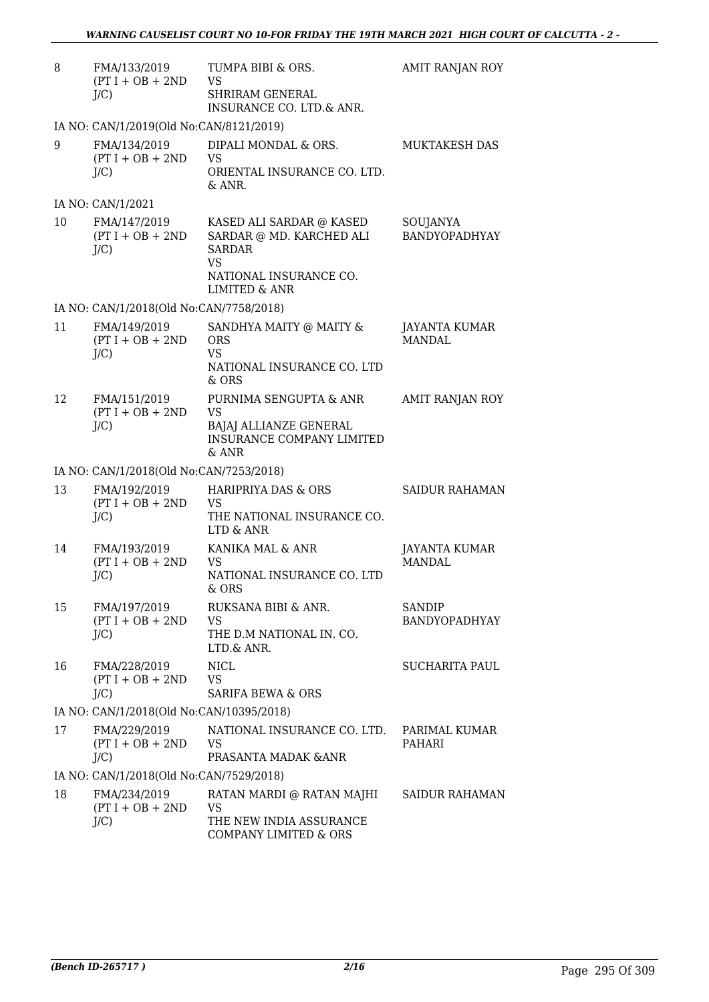| 8  | FMA/133/2019<br>$(PT I + OB + 2ND$<br>$J/C$ ) | TUMPA BIBI & ORS.<br><b>VS</b><br><b>SHRIRAM GENERAL</b><br>INSURANCE CO. LTD.& ANR.                                          | AMIT RANJAN ROY                       |
|----|-----------------------------------------------|-------------------------------------------------------------------------------------------------------------------------------|---------------------------------------|
|    | IA NO: CAN/1/2019(Old No:CAN/8121/2019)       |                                                                                                                               |                                       |
| 9  | FMA/134/2019<br>$(PT I + OB + 2ND$<br>$J/C$ ) | DIPALI MONDAL & ORS.<br><b>VS</b><br>ORIENTAL INSURANCE CO. LTD.<br>& ANR.                                                    | MUKTAKESH DAS                         |
|    | IA NO: CAN/1/2021                             |                                                                                                                               |                                       |
| 10 | FMA/147/2019<br>$(PT I + OB + 2ND$<br>$J/C$ ) | KASED ALI SARDAR @ KASED<br>SARDAR @ MD. KARCHED ALI<br><b>SARDAR</b><br><b>VS</b><br>NATIONAL INSURANCE CO.<br>LIMITED & ANR | SOUJANYA<br><b>BANDYOPADHYAY</b>      |
|    | IA NO: CAN/1/2018(Old No:CAN/7758/2018)       |                                                                                                                               |                                       |
| 11 | FMA/149/2019<br>$(PT I + OB + 2ND$<br>$J/C$ ) | SANDHYA MAITY @ MAITY &<br><b>ORS</b><br><b>VS</b><br>NATIONAL INSURANCE CO. LTD<br>& ORS                                     | <b>JAYANTA KUMAR</b><br><b>MANDAL</b> |
| 12 | FMA/151/2019<br>$(PT I + OB + 2ND$<br>$J/C$ ) | PURNIMA SENGUPTA & ANR<br><b>VS</b><br>BAJAJ ALLIANZE GENERAL<br><b>INSURANCE COMPANY LIMITED</b><br>$&$ ANR                  | <b>AMIT RANJAN ROY</b>                |
|    | IA NO: CAN/1/2018(Old No:CAN/7253/2018)       |                                                                                                                               |                                       |
| 13 | FMA/192/2019<br>$(PT I + OB + 2ND$<br>$J/C$ ) | <b>HARIPRIYA DAS &amp; ORS</b><br><b>VS</b><br>THE NATIONAL INSURANCE CO.<br>LTD & ANR                                        | <b>SAIDUR RAHAMAN</b>                 |
| 14 | FMA/193/2019<br>$(PT I + OB + 2ND$<br>$J/C$ ) | KANIKA MAL & ANR<br>VS.<br>NATIONAL INSURANCE CO. LTD<br>$&$ ORS                                                              | <b>JAYANTA KUMAR</b><br><b>MANDAL</b> |
| 15 | FMA/197/2019<br>$(PT I + OB + 2ND$<br>$J/C$ ) | RUKSANA BIBI & ANR.<br>VS<br>THE D.M NATIONAL IN. CO.<br>LTD.& ANR.                                                           | SANDIP<br>BANDYOPADHYAY               |
| 16 | FMA/228/2019<br>$(PT I + OB + 2ND$<br>$J/C$ ) | <b>NICL</b><br><b>VS</b><br><b>SARIFA BEWA &amp; ORS</b>                                                                      | <b>SUCHARITA PAUL</b>                 |
|    | IA NO: CAN/1/2018(Old No:CAN/10395/2018)      |                                                                                                                               |                                       |
| 17 | FMA/229/2019<br>$(PT I + OB + 2ND$<br>$J/C$ ) | NATIONAL INSURANCE CO. LTD.<br>VS<br>PRASANTA MADAK & ANR                                                                     | PARIMAL KUMAR<br>PAHARI               |
|    | IA NO: CAN/1/2018(Old No:CAN/7529/2018)       |                                                                                                                               |                                       |
| 18 | FMA/234/2019<br>$(PT I + OB + 2ND$<br>$J/C$ ) | RATAN MARDI @ RATAN MAJHI<br>VS<br>THE NEW INDIA ASSURANCE<br>COMPANY LIMITED & ORS                                           | <b>SAIDUR RAHAMAN</b>                 |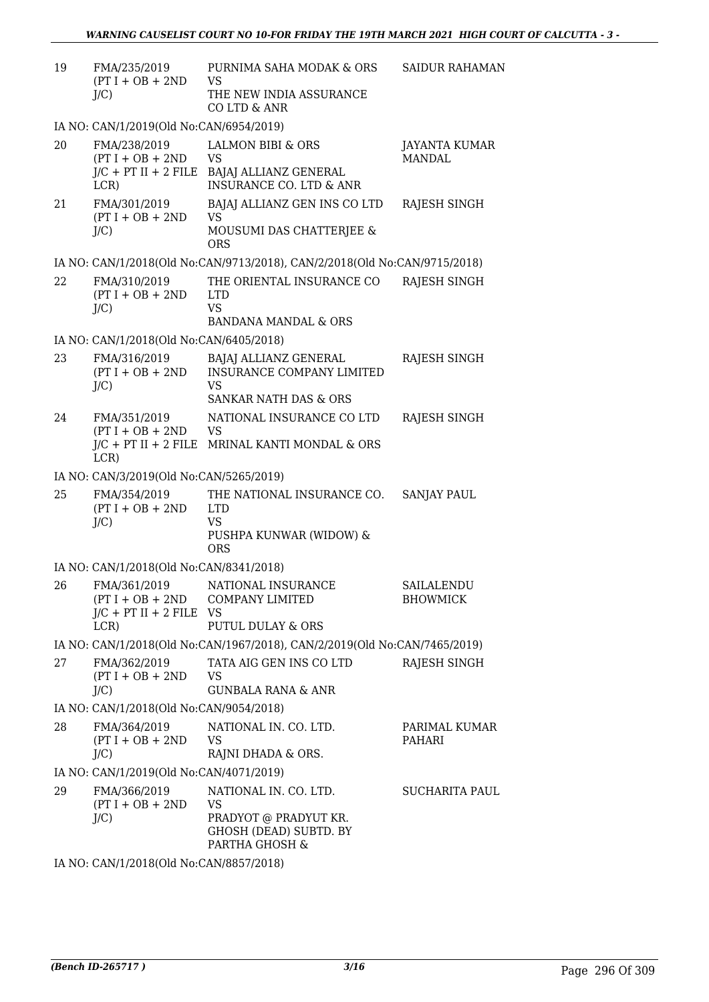| 19 | FMA/235/2019<br>$(PT I + OB + 2ND$<br>$J/C$ )                        | PURNIMA SAHA MODAK & ORS<br><b>VS</b><br>THE NEW INDIA ASSURANCE<br>CO LTD & ANR                                  | <b>SAIDUR RAHAMAN</b>                 |
|----|----------------------------------------------------------------------|-------------------------------------------------------------------------------------------------------------------|---------------------------------------|
|    | IA NO: CAN/1/2019(Old No:CAN/6954/2019)                              |                                                                                                                   |                                       |
| 20 | FMA/238/2019<br>$(PT I + OB + 2ND$<br>$J/C$ + PT II + 2 FILE<br>LCR) | <b>LALMON BIBI &amp; ORS</b><br><b>VS</b><br>BAJAJ ALLIANZ GENERAL<br><b>INSURANCE CO. LTD &amp; ANR</b>          | <b>JAYANTA KUMAR</b><br><b>MANDAL</b> |
| 21 | FMA/301/2019<br>$(PT I + OB + 2ND$<br>$J/C$ )                        | BAJAJ ALLIANZ GEN INS CO LTD<br><b>VS</b><br>MOUSUMI DAS CHATTERJEE &<br><b>ORS</b>                               | RAJESH SINGH                          |
|    |                                                                      | IA NO: CAN/1/2018(Old No:CAN/9713/2018), CAN/2/2018(Old No:CAN/9715/2018)                                         |                                       |
| 22 | FMA/310/2019<br>$(PT I + OB + 2ND$<br>$J/C$ )                        | THE ORIENTAL INSURANCE CO<br><b>LTD</b><br><b>VS</b><br><b>BANDANA MANDAL &amp; ORS</b>                           | RAJESH SINGH                          |
|    | IA NO: CAN/1/2018(Old No:CAN/6405/2018)                              |                                                                                                                   |                                       |
| 23 | FMA/316/2019<br>$(PT I + OB + 2ND$<br>J/C                            | <b>BAJAJ ALLIANZ GENERAL</b><br><b>INSURANCE COMPANY LIMITED</b><br><b>VS</b><br><b>SANKAR NATH DAS &amp; ORS</b> | RAJESH SINGH                          |
|    |                                                                      |                                                                                                                   |                                       |
| 24 | FMA/351/2019<br>$(PT I + OB + 2ND$<br>LCR)                           | NATIONAL INSURANCE CO LTD<br><b>VS</b><br>$J/C$ + PT II + 2 FILE MRINAL KANTI MONDAL & ORS                        | RAJESH SINGH                          |
|    | IA NO: CAN/3/2019(Old No:CAN/5265/2019)                              |                                                                                                                   |                                       |
| 25 | FMA/354/2019<br>$(PT I + OB + 2ND$<br>$J/C$ )                        | THE NATIONAL INSURANCE CO.<br><b>LTD</b><br><b>VS</b><br>PUSHPA KUNWAR (WIDOW) &<br><b>ORS</b>                    | <b>SANJAY PAUL</b>                    |
|    | IA NO: CAN/1/2018(Old No:CAN/8341/2018)                              |                                                                                                                   |                                       |
| 26 | FMA/361/2019<br>$(PT I + OB + 2ND$<br>$J/C$ + PT II + 2 FILE<br>LCR) | NATIONAL INSURANCE<br><b>COMPANY LIMITED</b><br>- VS<br><b>PUTUL DULAY &amp; ORS</b>                              | SAILALENDU<br><b>BHOWMICK</b>         |
|    |                                                                      | IA NO: CAN/1/2018(Old No:CAN/1967/2018), CAN/2/2019(Old No:CAN/7465/2019)                                         |                                       |
| 27 | FMA/362/2019<br>$(PT I + OB + 2ND$<br>$J/C$ )                        | TATA AIG GEN INS CO LTD<br><b>VS</b><br>GUNBALA RANA & ANR                                                        | RAJESH SINGH                          |
|    | IA NO: CAN/1/2018(Old No:CAN/9054/2018)                              |                                                                                                                   |                                       |
| 28 | FMA/364/2019<br>$(PT I + OB + 2ND$<br>$J/C$ )                        | NATIONAL IN. CO. LTD.<br><b>VS</b><br>RAJNI DHADA & ORS.                                                          | PARIMAL KUMAR<br>PAHARI               |
|    | IA NO: CAN/1/2019(Old No:CAN/4071/2019)                              |                                                                                                                   |                                       |
| 29 | FMA/366/2019<br>$(PT I + OB + 2ND$<br>$J/C$ )                        | NATIONAL IN. CO. LTD.<br><b>VS</b><br>PRADYOT @ PRADYUT KR.<br>GHOSH (DEAD) SUBTD. BY<br>PARTHA GHOSH &           | SUCHARITA PAUL                        |

IA NO: CAN/1/2018(Old No:CAN/8857/2018)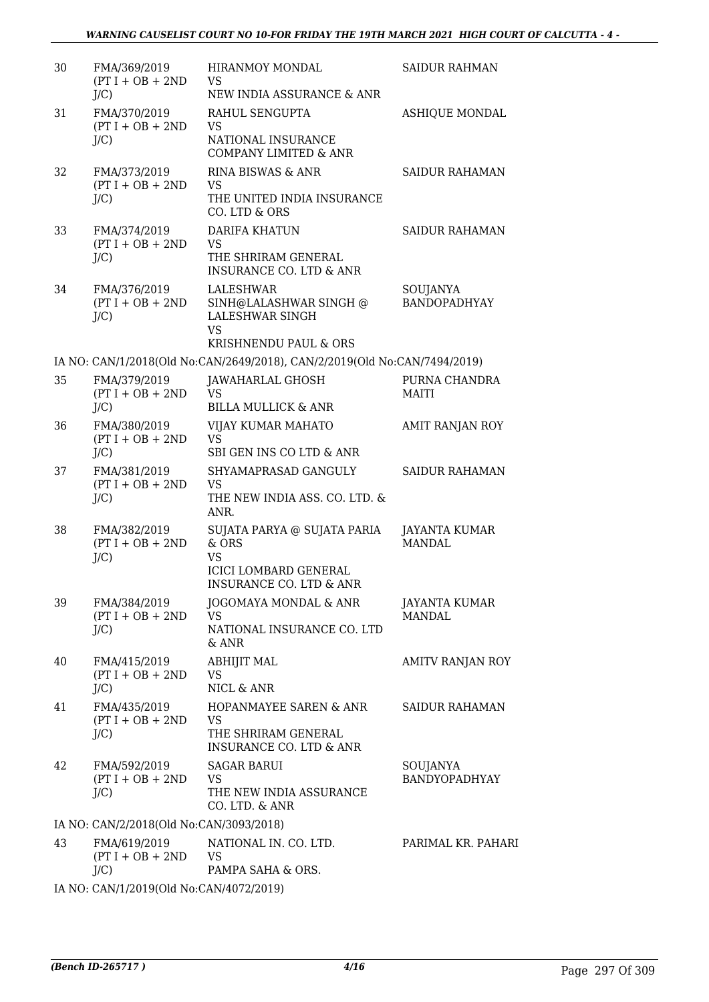| 30 | FMA/369/2019<br>$(PT I + OB + 2ND$<br>$J/C$ ) | <b>HIRANMOY MONDAL</b><br>VS<br>NEW INDIA ASSURANCE & ANR                                                    | <b>SAIDUR RAHMAN</b>                  |
|----|-----------------------------------------------|--------------------------------------------------------------------------------------------------------------|---------------------------------------|
| 31 | FMA/370/2019<br>$(PT I + OB + 2ND$<br>J/C     | RAHUL SENGUPTA<br><b>VS</b><br>NATIONAL INSURANCE<br><b>COMPANY LIMITED &amp; ANR</b>                        | <b>ASHIQUE MONDAL</b>                 |
| 32 | FMA/373/2019<br>$(PT I + OB + 2ND$<br>$J/C$ ) | RINA BISWAS & ANR<br>VS<br>THE UNITED INDIA INSURANCE<br>CO. LTD & ORS                                       | <b>SAIDUR RAHAMAN</b>                 |
| 33 | FMA/374/2019<br>$(PT I + OB + 2ND$<br>$J/C$ ) | <b>DARIFA KHATUN</b><br><b>VS</b><br>THE SHRIRAM GENERAL<br><b>INSURANCE CO. LTD &amp; ANR</b>               | <b>SAIDUR RAHAMAN</b>                 |
| 34 | FMA/376/2019<br>$(PT I + OB + 2ND$<br>$J/C$ ) | <b>LALESHWAR</b><br>SINH@LALASHWAR SINGH @<br><b>LALESHWAR SINGH</b><br><b>VS</b>                            | SOUJANYA<br><b>BANDOPADHYAY</b>       |
|    |                                               | KRISHNENDU PAUL & ORS                                                                                        |                                       |
| 35 | FMA/379/2019                                  | IA NO: CAN/1/2018(Old No:CAN/2649/2018), CAN/2/2019(Old No:CAN/7494/2019)                                    | PURNA CHANDRA                         |
|    | $(PT I + OB + 2ND$<br>$J/C$ )                 | JAWAHARLAL GHOSH<br><b>VS</b><br><b>BILLA MULLICK &amp; ANR</b>                                              | <b>MAITI</b>                          |
| 36 | FMA/380/2019<br>$(PT I + OB + 2ND$<br>J/C     | VIJAY KUMAR MAHATO<br><b>VS</b><br>SBI GEN INS CO LTD & ANR                                                  | AMIT RANJAN ROY                       |
| 37 | FMA/381/2019<br>$(PT I + OB + 2ND$<br>J/C     | SHYAMAPRASAD GANGULY<br><b>VS</b><br>THE NEW INDIA ASS. CO. LTD. &<br>ANR.                                   | <b>SAIDUR RAHAMAN</b>                 |
| 38 | FMA/382/2019<br>$(PT I + OB + 2ND$<br>$J/C$ ) | SUJATA PARYA @ SUJATA PARIA<br>& ORS<br><b>VS</b><br><b>ICICI LOMBARD GENERAL</b><br>INSURANCE CO. LTD & ANR | <b>JAYANTA KUMAR</b><br><b>MANDAL</b> |
| 39 | FMA/384/2019<br>$(PT I + OB + 2ND$<br>$J/C$ ) | JOGOMAYA MONDAL & ANR<br><b>VS</b><br>NATIONAL INSURANCE CO. LTD<br>$&$ ANR                                  | JAYANTA KUMAR<br>MANDAL               |
| 40 | FMA/415/2019<br>$(PT I + OB + 2ND$<br>$J/C$ ) | <b>ABHIJIT MAL</b><br><b>VS</b><br>NICL & ANR                                                                | <b>AMITV RANJAN ROY</b>               |
| 41 | FMA/435/2019<br>$(PT I + OB + 2ND$<br>$J/C$ ) | HOPANMAYEE SAREN & ANR<br><b>VS</b><br>THE SHRIRAM GENERAL<br><b>INSURANCE CO. LTD &amp; ANR</b>             | <b>SAIDUR RAHAMAN</b>                 |
| 42 | FMA/592/2019<br>$(PT I + OB + 2ND$<br>$J/C$ ) | <b>SAGAR BARUI</b><br><b>VS</b><br>THE NEW INDIA ASSURANCE<br>CO. LTD. & ANR                                 | SOUJANYA<br><b>BANDYOPADHYAY</b>      |
|    | IA NO: CAN/2/2018(Old No:CAN/3093/2018)       |                                                                                                              |                                       |
| 43 | FMA/619/2019<br>$(PT I + OB + 2ND$<br>$J/C$ ) | NATIONAL IN. CO. LTD.<br>VS<br>PAMPA SAHA & ORS.                                                             | PARIMAL KR. PAHARI                    |
|    |                                               |                                                                                                              |                                       |

IA NO: CAN/1/2019(Old No:CAN/4072/2019)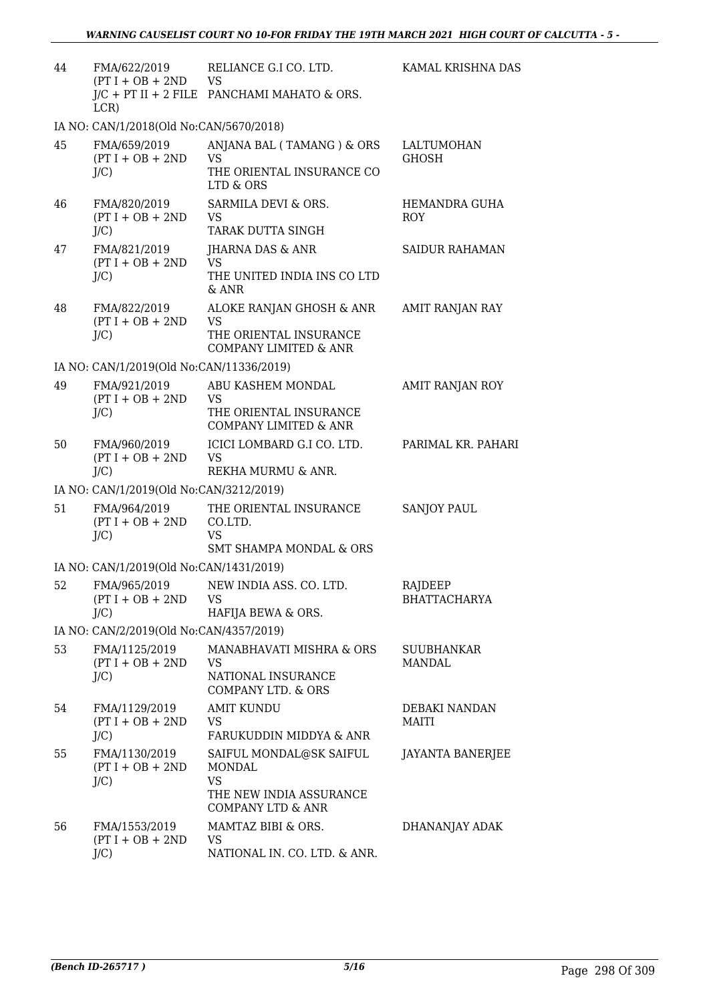| 44 | FMA/622/2019<br>$(PT I + OB + 2ND$ VS<br>LCR)  | RELIANCE G.I CO. LTD.<br>J/C + PT II + 2 FILE PANCHAMI MAHATO & ORS.                                      | KAMAL KRISHNA DAS                  |
|----|------------------------------------------------|-----------------------------------------------------------------------------------------------------------|------------------------------------|
|    | IA NO: CAN/1/2018(Old No:CAN/5670/2018)        |                                                                                                           |                                    |
| 45 | FMA/659/2019<br>$(PT I + OB + 2ND$<br>$J/C$ )  | ANJANA BAL (TAMANG ) & ORS<br><b>VS</b><br>THE ORIENTAL INSURANCE CO<br>LTD & ORS                         | LALTUMOHAN<br><b>GHOSH</b>         |
| 46 | FMA/820/2019<br>$(PT I + OB + 2ND$<br>$J/C$ )  | SARMILA DEVI & ORS.<br><b>VS</b><br>TARAK DUTTA SINGH                                                     | HEMANDRA GUHA<br><b>ROY</b>        |
| 47 | FMA/821/2019<br>$(PT I + OB + 2ND$<br>$J/C$ )  | JHARNA DAS & ANR<br><b>VS</b><br>THE UNITED INDIA INS CO LTD<br>$&$ ANR                                   | <b>SAIDUR RAHAMAN</b>              |
| 48 | FMA/822/2019<br>$(PT I + OB + 2ND$<br>$J/C$ )  | ALOKE RANJAN GHOSH & ANR<br><b>VS</b><br>THE ORIENTAL INSURANCE<br><b>COMPANY LIMITED &amp; ANR</b>       | AMIT RANJAN RAY                    |
|    | IA NO: CAN/1/2019(Old No:CAN/11336/2019)       |                                                                                                           |                                    |
| 49 | FMA/921/2019<br>$(PT I + OB + 2ND$<br>$J/C$ )  | ABU KASHEM MONDAL<br><b>VS</b><br>THE ORIENTAL INSURANCE<br><b>COMPANY LIMITED &amp; ANR</b>              | AMIT RANJAN ROY                    |
| 50 | FMA/960/2019<br>$(PT I + OB + 2ND$<br>$J/C$ )  | ICICI LOMBARD G.I CO. LTD.<br><b>VS</b><br>REKHA MURMU & ANR.                                             | PARIMAL KR. PAHARI                 |
|    | IA NO: CAN/1/2019(Old No:CAN/3212/2019)        |                                                                                                           |                                    |
| 51 | FMA/964/2019<br>$(PT I + OB + 2ND$<br>$J/C$ )  | THE ORIENTAL INSURANCE<br>CO.LTD.<br><b>VS</b><br><b>SMT SHAMPA MONDAL &amp; ORS</b>                      | <b>SANJOY PAUL</b>                 |
|    | IA NO: CAN/1/2019(Old No:CAN/1431/2019)        |                                                                                                           |                                    |
| 52 | FMA/965/2019<br>$(PT I + OB + 2ND$<br>$J/C$ )  | NEW INDIA ASS. CO. LTD.<br><b>VS</b><br>HAFIJA BEWA & ORS.                                                | RAJDEEP<br><b>BHATTACHARYA</b>     |
|    | IA NO: CAN/2/2019(Old No:CAN/4357/2019)        |                                                                                                           |                                    |
| 53 | FMA/1125/2019<br>$(PT I + OB + 2ND$<br>$J/C$ ) | MANABHAVATI MISHRA & ORS<br><b>VS</b><br>NATIONAL INSURANCE<br>COMPANY LTD. & ORS                         | <b>SUUBHANKAR</b><br><b>MANDAL</b> |
| 54 | FMA/1129/2019<br>$(PT I + OB + 2ND$<br>$J/C$ ) | <b>AMIT KUNDU</b><br><b>VS</b><br>FARUKUDDIN MIDDYA & ANR                                                 | DEBAKI NANDAN<br>MAITI             |
| 55 | FMA/1130/2019<br>$(PT I + OB + 2ND$<br>$J/C$ ) | SAIFUL MONDAL@SK SAIFUL<br>MONDAL<br><b>VS</b><br>THE NEW INDIA ASSURANCE<br><b>COMPANY LTD &amp; ANR</b> | <b>JAYANTA BANERJEE</b>            |
| 56 | FMA/1553/2019<br>$(PT I + OB + 2ND$<br>$J/C$ ) | MAMTAZ BIBI & ORS.<br><b>VS</b><br>NATIONAL IN. CO. LTD. & ANR.                                           | DHANANJAY ADAK                     |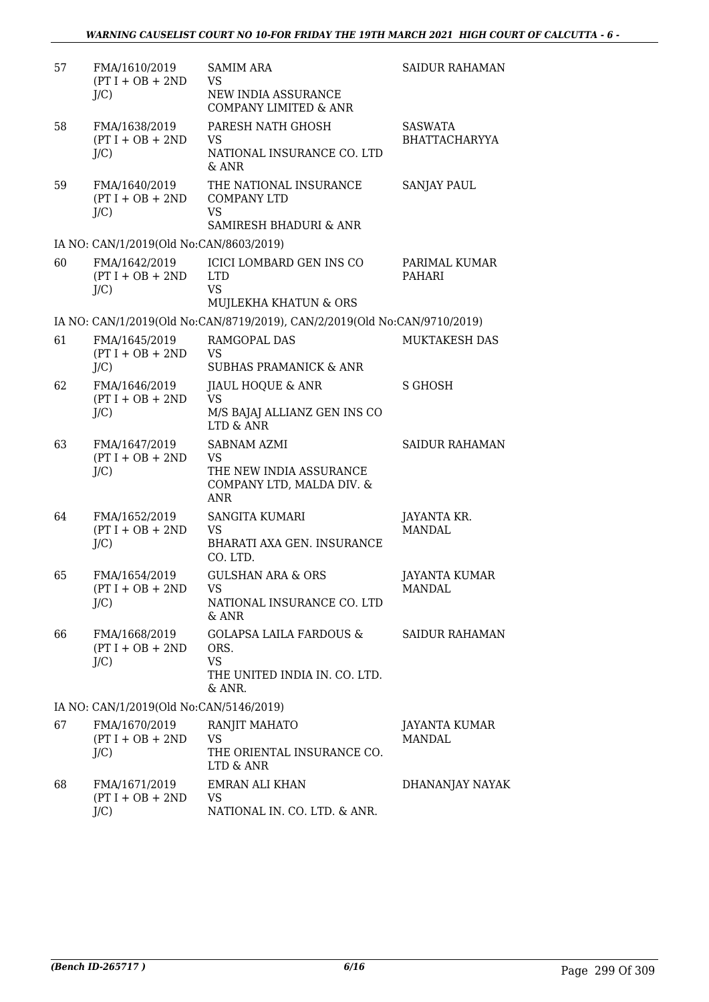| 57 | FMA/1610/2019<br>$(PT I + OB + 2ND$<br>$J/C$ ) | <b>SAMIM ARA</b><br><b>VS</b><br>NEW INDIA ASSURANCE<br><b>COMPANY LIMITED &amp; ANR</b>              | SAIDUR RAHAMAN                         |
|----|------------------------------------------------|-------------------------------------------------------------------------------------------------------|----------------------------------------|
| 58 | FMA/1638/2019<br>$(PT I + OB + 2ND$<br>$J/C$ ) | PARESH NATH GHOSH<br>VS<br>NATIONAL INSURANCE CO. LTD<br>& ANR                                        | <b>SASWATA</b><br><b>BHATTACHARYYA</b> |
| 59 | FMA/1640/2019<br>$(PT I + OB + 2ND$<br>$J/C$ ) | THE NATIONAL INSURANCE<br><b>COMPANY LTD</b><br><b>VS</b><br>SAMIRESH BHADURI & ANR                   | <b>SANJAY PAUL</b>                     |
|    | IA NO: CAN/1/2019(Old No:CAN/8603/2019)        |                                                                                                       |                                        |
| 60 | FMA/1642/2019<br>$(PT I + OB + 2ND$<br>$J/C$ ) | ICICI LOMBARD GEN INS CO<br><b>LTD</b><br><b>VS</b><br>MUJLEKHA KHATUN & ORS                          | PARIMAL KUMAR<br>PAHARI                |
|    |                                                | IA NO: CAN/1/2019(Old No:CAN/8719/2019), CAN/2/2019(Old No:CAN/9710/2019)                             |                                        |
| 61 | FMA/1645/2019<br>$(PT I + OB + 2ND$<br>$J/C$ ) | RAMGOPAL DAS<br>VS<br><b>SUBHAS PRAMANICK &amp; ANR</b>                                               | MUKTAKESH DAS                          |
| 62 | FMA/1646/2019<br>$(PT I + OB + 2ND$<br>$J/C$ ) | <b>JIAUL HOQUE &amp; ANR</b><br><b>VS</b><br>M/S BAJAJ ALLIANZ GEN INS CO<br>LTD & ANR                | S GHOSH                                |
| 63 | FMA/1647/2019<br>$(PT I + OB + 2ND$<br>$J/C$ ) | <b>SABNAM AZMI</b><br><b>VS</b><br>THE NEW INDIA ASSURANCE<br>COMPANY LTD, MALDA DIV. &<br><b>ANR</b> | <b>SAIDUR RAHAMAN</b>                  |
| 64 | FMA/1652/2019<br>$(PT I + OB + 2ND$<br>$J/C$ ) | <b>SANGITA KUMARI</b><br><b>VS</b><br><b>BHARATI AXA GEN. INSURANCE</b><br>CO. LTD.                   | JAYANTA KR.<br><b>MANDAL</b>           |
| 65 | FMA/1654/2019<br>$(PT I + OB + 2ND$<br>$J/C$ ) | <b>GULSHAN ARA &amp; ORS</b><br>VS<br>NATIONAL INSURANCE CO. LTD<br>& ANR                             | <b>JAYANTA KUMAR</b><br>MANDAL         |
| 66 | FMA/1668/2019<br>$(PT I + OB + 2ND$<br>$J/C$ ) | <b>GOLAPSA LAILA FARDOUS &amp;</b><br>ORS.<br><b>VS</b><br>THE UNITED INDIA IN. CO. LTD.<br>& ANR.    | SAIDUR RAHAMAN                         |
|    | IA NO: CAN/1/2019(Old No:CAN/5146/2019)        |                                                                                                       |                                        |
| 67 | FMA/1670/2019<br>$(PT I + OB + 2ND$<br>$J/C$ ) | RANJIT MAHATO<br><b>VS</b><br>THE ORIENTAL INSURANCE CO.<br>LTD & ANR                                 | JAYANTA KUMAR<br><b>MANDAL</b>         |
| 68 | FMA/1671/2019<br>$(PT I + OB + 2ND$<br>$J/C$ ) | <b>EMRAN ALI KHAN</b><br><b>VS</b><br>NATIONAL IN. CO. LTD. & ANR.                                    | DHANANJAY NAYAK                        |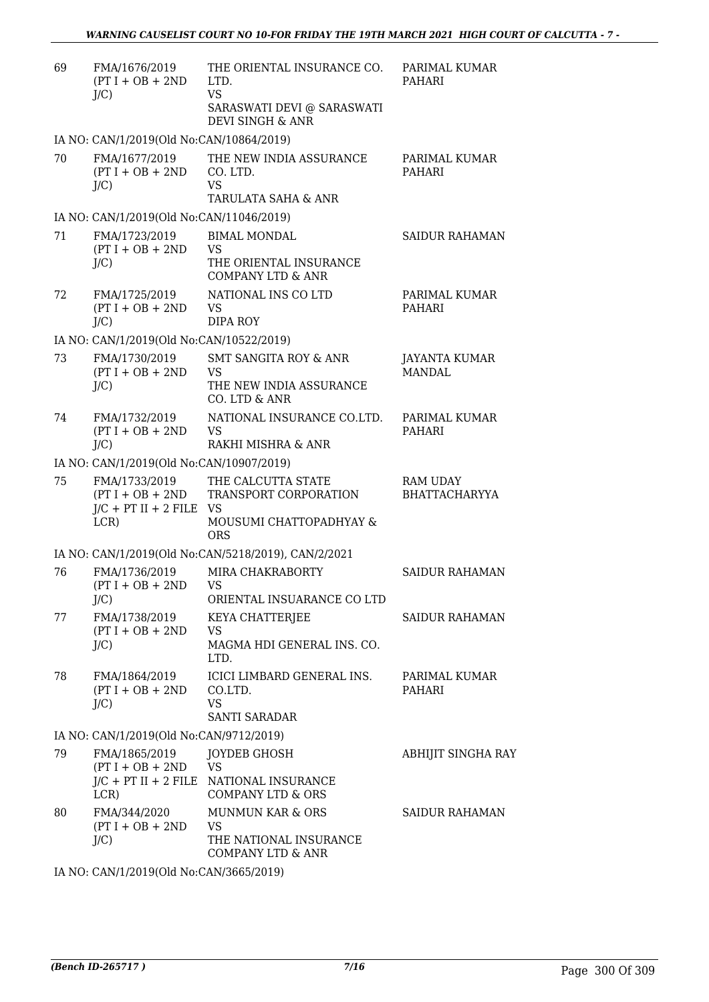| 69 | FMA/1676/2019<br>$(PT I + OB + 2ND$<br>$J/C$ )                        | THE ORIENTAL INSURANCE CO.<br>LTD.<br><b>VS</b><br>SARASWATI DEVI @ SARASWATI<br>DEVI SINGH & ANR  | PARIMAL KUMAR<br>PAHARI                 |
|----|-----------------------------------------------------------------------|----------------------------------------------------------------------------------------------------|-----------------------------------------|
|    | IA NO: CAN/1/2019(Old No:CAN/10864/2019)                              |                                                                                                    |                                         |
| 70 | FMA/1677/2019<br>$(PT I + OB + 2ND$<br>$J/C$ )                        | THE NEW INDIA ASSURANCE<br>CO. LTD.<br><b>VS</b><br>TARULATA SAHA & ANR                            | PARIMAL KUMAR<br>PAHARI                 |
|    | IA NO: CAN/1/2019(Old No:CAN/11046/2019)                              |                                                                                                    |                                         |
| 71 | FMA/1723/2019<br>$(PT I + OB + 2ND$<br>$J/C$ )                        | <b>BIMAL MONDAL</b><br><b>VS</b><br>THE ORIENTAL INSURANCE<br><b>COMPANY LTD &amp; ANR</b>         | <b>SAIDUR RAHAMAN</b>                   |
| 72 | FMA/1725/2019<br>$(PT I + OB + 2ND$<br>$J/C$ )                        | NATIONAL INS CO LTD<br><b>VS</b><br>DIPA ROY                                                       | PARIMAL KUMAR<br>PAHARI                 |
|    | IA NO: CAN/1/2019(Old No:CAN/10522/2019)                              |                                                                                                    |                                         |
| 73 | FMA/1730/2019<br>$(PT I + OB + 2ND$<br>$J/C$ )                        | <b>SMT SANGITA ROY &amp; ANR</b><br><b>VS</b><br>THE NEW INDIA ASSURANCE<br>CO. LTD & ANR          | JAYANTA KUMAR<br><b>MANDAL</b>          |
| 74 | FMA/1732/2019<br>$(PT I + OB + 2ND$<br>J/C                            | NATIONAL INSURANCE CO.LTD.<br><b>VS</b><br>RAKHI MISHRA & ANR                                      | PARIMAL KUMAR<br><b>PAHARI</b>          |
|    | IA NO: CAN/1/2019(Old No:CAN/10907/2019)                              |                                                                                                    |                                         |
| 75 | FMA/1733/2019<br>$(PT I + OB + 2ND$<br>$J/C$ + PT II + 2 FILE<br>LCR) | THE CALCUTTA STATE<br>TRANSPORT CORPORATION<br>- VS<br>MOUSUMI CHATTOPADHYAY &<br><b>ORS</b>       | <b>RAM UDAY</b><br><b>BHATTACHARYYA</b> |
|    |                                                                       | IA NO: CAN/1/2019(Old No:CAN/5218/2019), CAN/2/2021                                                |                                         |
| 76 | FMA/1736/2019<br>$(PT I + OB + 2ND$<br>$J/C$ )                        | MIRA CHAKRABORTY<br><b>VS</b><br>ORIENTAL INSUARANCE CO LTD                                        | <b>SAIDUR RAHAMAN</b>                   |
| 77 | FMA/1738/2019<br>$(PT I + OB + 2ND$<br>$J/C$ )                        | <b>KEYA CHATTERJEE</b><br><b>VS</b><br>MAGMA HDI GENERAL INS. CO.<br>LTD.                          | <b>SAIDUR RAHAMAN</b>                   |
| 78 | FMA/1864/2019<br>$(PT I + OB + 2ND$<br>$J/C$ )                        | ICICI LIMBARD GENERAL INS.<br>CO.LTD.<br><b>VS</b><br><b>SANTI SARADAR</b>                         | PARIMAL KUMAR<br>PAHARI                 |
|    | IA NO: CAN/1/2019(Old No:CAN/9712/2019)                               |                                                                                                    |                                         |
| 79 | FMA/1865/2019<br>$(PT I + OB + 2ND$ VS<br>LCR)                        | JOYDEB GHOSH<br>J/C + PT II + 2 FILE NATIONAL INSURANCE<br><b>COMPANY LTD &amp; ORS</b>            | ABHIJIT SINGHA RAY                      |
| 80 | FMA/344/2020<br>$(PT I + OB + 2ND$<br>$J/C$ )                         | <b>MUNMUN KAR &amp; ORS</b><br><b>VS</b><br>THE NATIONAL INSURANCE<br><b>COMPANY LTD &amp; ANR</b> | <b>SAIDUR RAHAMAN</b>                   |
|    | IA NO: CAN/1/2019(Old No:CAN/3665/2019)                               |                                                                                                    |                                         |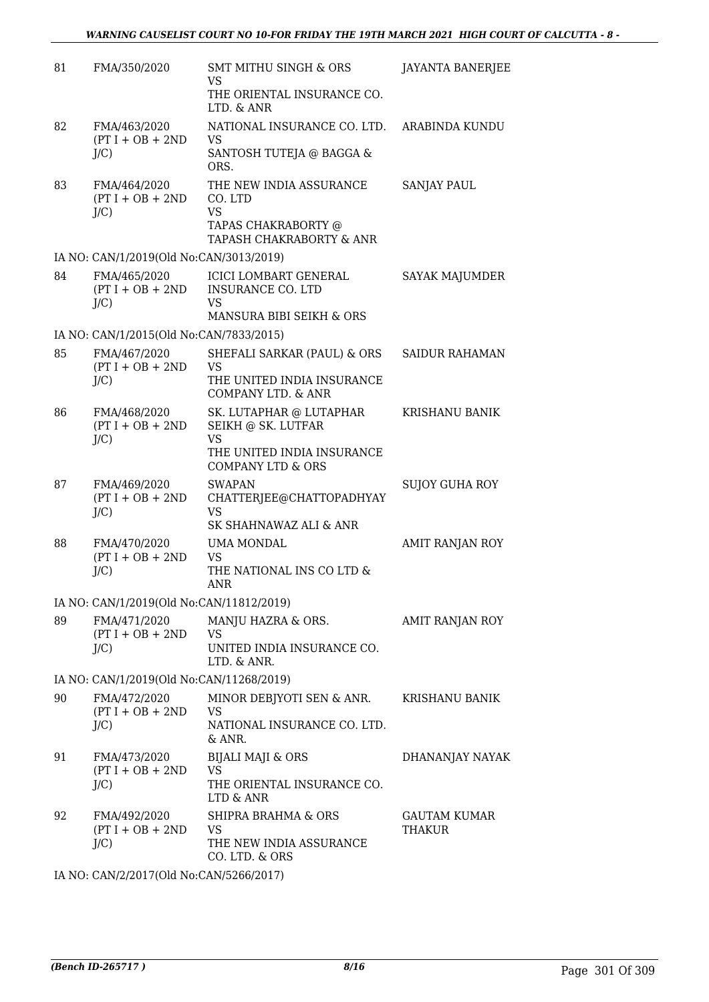| 81     | FMA/350/2020                                  | <b>SMT MITHU SINGH &amp; ORS</b><br><b>VS</b><br>THE ORIENTAL INSURANCE CO.<br>LTD. & ANR                                | <b>JAYANTA BANERJEE</b>              |
|--------|-----------------------------------------------|--------------------------------------------------------------------------------------------------------------------------|--------------------------------------|
| 82     | FMA/463/2020<br>$(PT I + OB + 2ND$<br>$J/C$ ) | NATIONAL INSURANCE CO. LTD.<br>VS<br>SANTOSH TUTEJA @ BAGGA &<br>ORS.                                                    | ARABINDA KUNDU                       |
| 83     | FMA/464/2020<br>$(PT I + OB + 2ND$<br>J/C     | THE NEW INDIA ASSURANCE<br>CO. LTD<br><b>VS</b><br>TAPAS CHAKRABORTY @<br>TAPASH CHAKRABORTY & ANR                       | <b>SANJAY PAUL</b>                   |
|        | IA NO: CAN/1/2019(Old No:CAN/3013/2019)       |                                                                                                                          |                                      |
| 84     | FMA/465/2020<br>$(PT I + OB + 2ND$<br>$J/C$ ) | <b>ICICI LOMBART GENERAL</b><br><b>INSURANCE CO. LTD</b><br><b>VS</b><br>MANSURA BIBI SEIKH & ORS                        | SAYAK MAJUMDER                       |
|        | IA NO: CAN/1/2015(Old No:CAN/7833/2015)       |                                                                                                                          |                                      |
| 85     | FMA/467/2020<br>$(PT I + OB + 2ND$<br>$J/C$ ) | SHEFALI SARKAR (PAUL) & ORS<br><b>VS</b><br>THE UNITED INDIA INSURANCE<br><b>COMPANY LTD. &amp; ANR</b>                  | <b>SAIDUR RAHAMAN</b>                |
| 86     | FMA/468/2020<br>$(PT I + OB + 2ND$<br>$J/C$ ) | SK. LUTAPHAR @ LUTAPHAR<br>SEIKH @ SK. LUTFAR<br><b>VS</b><br>THE UNITED INDIA INSURANCE<br><b>COMPANY LTD &amp; ORS</b> | KRISHANU BANIK                       |
| 87     | FMA/469/2020<br>$(PT I + OB + 2ND$<br>J/C     | <b>SWAPAN</b><br>CHATTERJEE@CHATTOPADHYAY<br><b>VS</b><br>SK SHAHNAWAZ ALI & ANR                                         | <b>SUJOY GUHA ROY</b>                |
| 88     | FMA/470/2020<br>$(PT I + OB + 2ND$<br>$J/C$ ) | <b>UMA MONDAL</b><br><b>VS</b><br>THE NATIONAL INS CO LTD &<br><b>ANR</b>                                                | AMIT RANJAN ROY                      |
|        | IA NO: CAN/1/2019(Old No:CAN/11812/2019)      |                                                                                                                          |                                      |
| 89     | FMA/471/2020<br>$(PT I + OB + 2ND$<br>J/C     | MANJU HAZRA & ORS.<br>VS<br>UNITED INDIA INSURANCE CO.<br>LTD. & ANR.                                                    | AMIT RANJAN ROY                      |
|        | IA NO: CAN/1/2019(Old No:CAN/11268/2019)      |                                                                                                                          |                                      |
| 90     | FMA/472/2020<br>$(PT I + OB + 2ND$<br>J/C     | MINOR DEBJYOTI SEN & ANR.<br><b>VS</b><br>NATIONAL INSURANCE CO. LTD.<br>& ANR.                                          | KRISHANU BANIK                       |
| 91     | FMA/473/2020<br>$(PT I + OB + 2ND$<br>$J/C$ ) | <b>BIJALI MAJI &amp; ORS</b><br><b>VS</b><br>THE ORIENTAL INSURANCE CO.<br>LTD & ANR                                     | DHANANJAY NAYAK                      |
| 92     | FMA/492/2020<br>$(PT I + OB + 2ND$<br>$J/C$ ) | SHIPRA BRAHMA & ORS<br>VS.<br>THE NEW INDIA ASSURANCE<br>CO. LTD. & ORS                                                  | <b>GAUTAM KUMAR</b><br><b>THAKUR</b> |
| TA NTO | $M/2017(0)$ and $M_2$ $C$ and $T/202(2017)$   |                                                                                                                          |                                      |

IA NO: CAN/2/2017(Old No:CAN/5266/2017)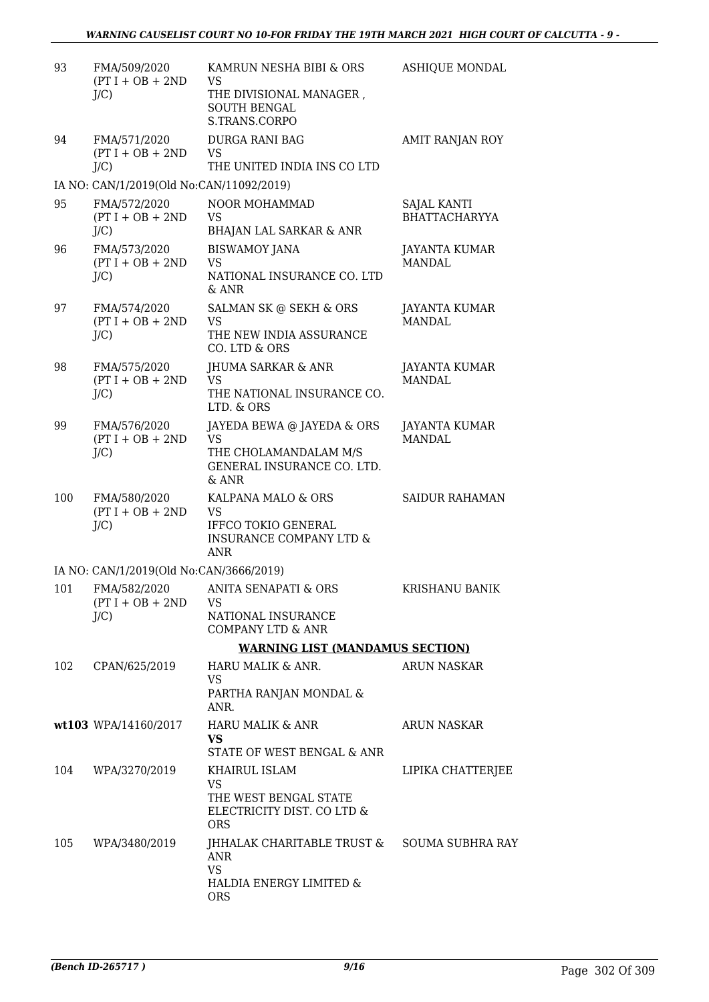| 93  | FMA/509/2020<br>$(PT I + OB + 2ND$<br>$J/C$ ) | KAMRUN NESHA BIBI & ORS<br><b>VS</b><br>THE DIVISIONAL MANAGER,<br><b>SOUTH BENGAL</b><br>S.TRANS.CORPO    | <b>ASHIQUE MONDAL</b>                      |
|-----|-----------------------------------------------|------------------------------------------------------------------------------------------------------------|--------------------------------------------|
| 94  | FMA/571/2020<br>$(PT I + OB + 2ND$<br>$J/C$ ) | <b>DURGA RANI BAG</b><br><b>VS</b><br>THE UNITED INDIA INS CO LTD                                          | AMIT RANJAN ROY                            |
|     | IA NO: CAN/1/2019(Old No:CAN/11092/2019)      |                                                                                                            |                                            |
| 95  | FMA/572/2020<br>$(PT I + OB + 2ND$<br>J/C     | NOOR MOHAMMAD<br><b>VS</b><br><b>BHAJAN LAL SARKAR &amp; ANR</b>                                           | <b>SAJAL KANTI</b><br><b>BHATTACHARYYA</b> |
| 96  | FMA/573/2020<br>$(PT I + OB + 2ND$<br>J/C     | <b>BISWAMOY JANA</b><br><b>VS</b><br>NATIONAL INSURANCE CO. LTD<br>$&$ ANR                                 | JAYANTA KUMAR<br><b>MANDAL</b>             |
| 97  | FMA/574/2020<br>$(PT I + OB + 2ND$<br>$J/C$ ) | SALMAN SK @ SEKH & ORS<br><b>VS</b><br>THE NEW INDIA ASSURANCE<br>CO. LTD & ORS                            | JAYANTA KUMAR<br>MANDAL.                   |
| 98  | FMA/575/2020<br>$(PT I + OB + 2ND$<br>$J/C$ ) | <b>JHUMA SARKAR &amp; ANR</b><br><b>VS</b><br>THE NATIONAL INSURANCE CO.<br>LTD. & ORS                     | JAYANTA KUMAR<br><b>MANDAL</b>             |
| 99  | FMA/576/2020<br>$(PT I + OB + 2ND$<br>$J/C$ ) | JAYEDA BEWA @ JAYEDA & ORS<br><b>VS</b><br>THE CHOLAMANDALAM M/S<br>GENERAL INSURANCE CO. LTD.<br>& ANR    | <b>JAYANTA KUMAR</b><br><b>MANDAL</b>      |
| 100 | FMA/580/2020<br>$(PT I + OB + 2ND$<br>$J/C$ ) | KALPANA MALO & ORS<br><b>VS</b><br>IFFCO TOKIO GENERAL<br><b>INSURANCE COMPANY LTD &amp;</b><br><b>ANR</b> | <b>SAIDUR RAHAMAN</b>                      |
|     | IA NO: CAN/1/2019(Old No:CAN/3666/2019)       |                                                                                                            |                                            |
| 101 | FMA/582/2020<br>$(PT I + OB + 2ND$<br>$J/C$ ) | <b>ANITA SENAPATI &amp; ORS</b><br>VS<br>NATIONAL INSURANCE<br><b>COMPANY LTD &amp; ANR</b>                | KRISHANU BANIK                             |
|     |                                               | <b>WARNING LIST (MANDAMUS SECTION)</b>                                                                     |                                            |
| 102 | CPAN/625/2019                                 | HARU MALIK & ANR.<br>VS<br>PARTHA RANJAN MONDAL &<br>ANR.                                                  | <b>ARUN NASKAR</b>                         |
|     | wt103 WPA/14160/2017                          | HARU MALIK & ANR<br><b>VS</b><br>STATE OF WEST BENGAL & ANR                                                | ARUN NASKAR                                |
| 104 | WPA/3270/2019                                 | KHAIRUL ISLAM<br><b>VS</b><br>THE WEST BENGAL STATE<br>ELECTRICITY DIST. CO LTD &<br><b>ORS</b>            | LIPIKA CHATTERJEE                          |
| 105 | WPA/3480/2019                                 | JHHALAK CHARITABLE TRUST & SOUMA SUBHRA RAY<br>ANR<br><b>VS</b><br>HALDIA ENERGY LIMITED &<br><b>ORS</b>   |                                            |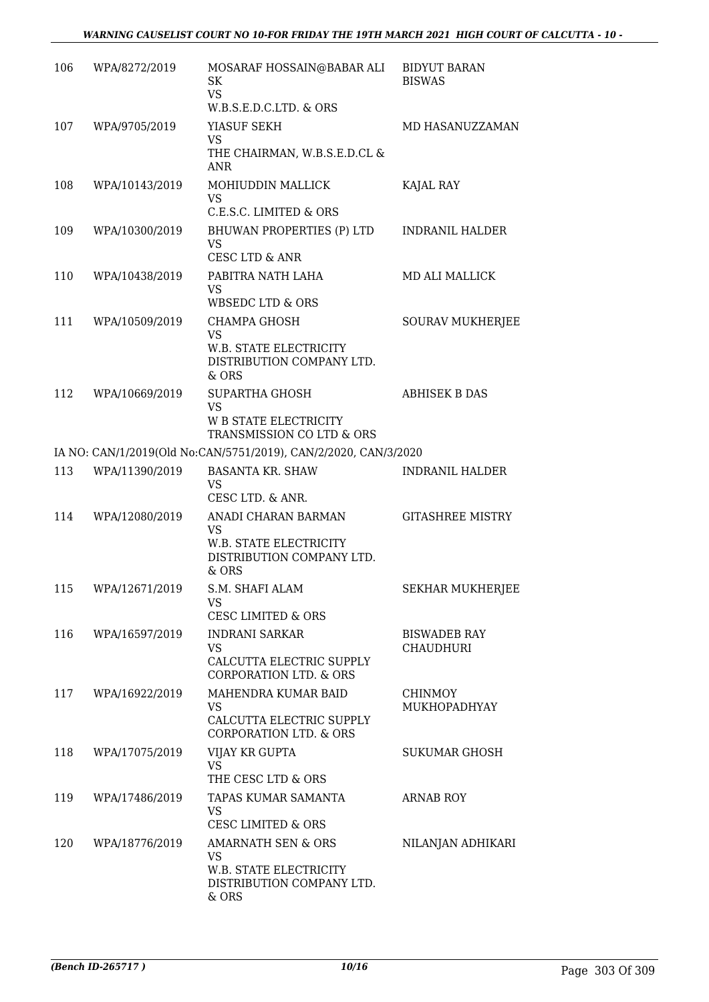## *WARNING CAUSELIST COURT NO 10-FOR FRIDAY THE 19TH MARCH 2021 HIGH COURT OF CALCUTTA - 10 -*

| 106 | WPA/8272/2019  | MOSARAF HOSSAIN@BABAR ALI<br><b>SK</b><br><b>VS</b><br>W.B.S.E.D.C.LTD. & ORS                       | <b>BIDYUT BARAN</b><br><b>BISWAS</b>    |
|-----|----------------|-----------------------------------------------------------------------------------------------------|-----------------------------------------|
| 107 | WPA/9705/2019  | YIASUF SEKH<br><b>VS</b><br>THE CHAIRMAN, W.B.S.E.D.CL &<br><b>ANR</b>                              | MD HASANUZZAMAN                         |
| 108 | WPA/10143/2019 | MOHIUDDIN MALLICK<br><b>VS</b><br>C.E.S.C. LIMITED & ORS                                            | KAJAL RAY                               |
| 109 | WPA/10300/2019 | BHUWAN PROPERTIES (P) LTD<br><b>VS</b><br><b>CESC LTD &amp; ANR</b>                                 | <b>INDRANIL HALDER</b>                  |
| 110 | WPA/10438/2019 | PABITRA NATH LAHA<br><b>VS</b><br><b>WBSEDC LTD &amp; ORS</b>                                       | MD ALI MALLICK                          |
| 111 | WPA/10509/2019 | CHAMPA GHOSH<br><b>VS</b><br>W.B. STATE ELECTRICITY                                                 | <b>SOURAV MUKHERJEE</b>                 |
| 112 |                | DISTRIBUTION COMPANY LTD.<br>& ORS                                                                  | <b>ABHISEK B DAS</b>                    |
|     | WPA/10669/2019 | <b>SUPARTHA GHOSH</b><br><b>VS</b><br><b>W B STATE ELECTRICITY</b><br>TRANSMISSION CO LTD & ORS     |                                         |
|     |                | IA NO: CAN/1/2019(Old No:CAN/5751/2019), CAN/2/2020, CAN/3/2020                                     |                                         |
| 113 | WPA/11390/2019 | <b>BASANTA KR. SHAW</b><br><b>VS</b><br>CESC LTD. & ANR.                                            | <b>INDRANIL HALDER</b>                  |
| 114 | WPA/12080/2019 | ANADI CHARAN BARMAN<br>VS<br>W.B. STATE ELECTRICITY<br>DISTRIBUTION COMPANY LTD.<br>& ORS           | <b>GITASHREE MISTRY</b>                 |
| 115 | WPA/12671/2019 | S.M. SHAFI ALAM<br>VS.<br><b>CESC LIMITED &amp; ORS</b>                                             | SEKHAR MUKHERJEE                        |
| 116 | WPA/16597/2019 | <b>INDRANI SARKAR</b><br><b>VS</b><br>CALCUTTA ELECTRIC SUPPLY<br><b>CORPORATION LTD. &amp; ORS</b> | <b>BISWADEB RAY</b><br><b>CHAUDHURI</b> |
| 117 | WPA/16922/2019 | MAHENDRA KUMAR BAID<br><b>VS</b><br>CALCUTTA ELECTRIC SUPPLY<br><b>CORPORATION LTD. &amp; ORS</b>   | <b>CHINMOY</b><br>MUKHOPADHYAY          |
| 118 | WPA/17075/2019 | VIJAY KR GUPTA<br><b>VS</b><br>THE CESC LTD & ORS                                                   | <b>SUKUMAR GHOSH</b>                    |
| 119 | WPA/17486/2019 | TAPAS KUMAR SAMANTA<br><b>VS</b><br><b>CESC LIMITED &amp; ORS</b>                                   | <b>ARNAB ROY</b>                        |
| 120 | WPA/18776/2019 | AMARNATH SEN & ORS<br><b>VS</b><br>W.B. STATE ELECTRICITY<br>DISTRIBUTION COMPANY LTD.<br>$&$ ORS   | NILANJAN ADHIKARI                       |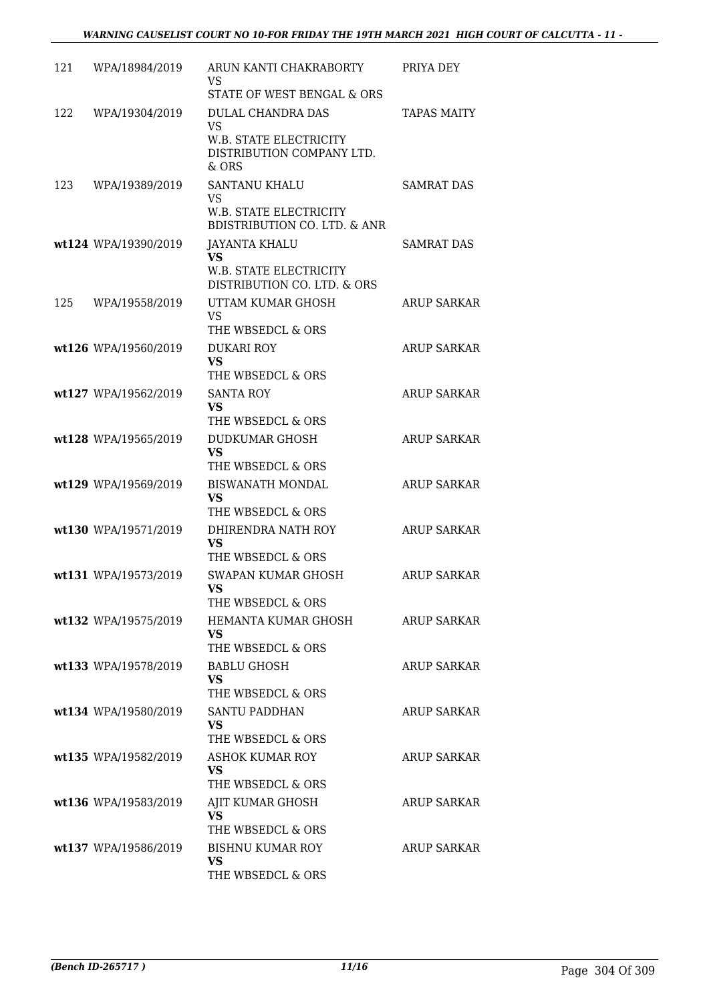| 121 | WPA/18984/2019       | ARUN KANTI CHAKRABORTY<br>VS.<br>STATE OF WEST BENGAL & ORS                                            | PRIYA DEY          |
|-----|----------------------|--------------------------------------------------------------------------------------------------------|--------------------|
| 122 | WPA/19304/2019       | <b>DULAL CHANDRA DAS</b><br>VS.<br><b>W.B. STATE ELECTRICITY</b><br>DISTRIBUTION COMPANY LTD.<br>& ORS | <b>TAPAS MAITY</b> |
| 123 | WPA/19389/2019       | SANTANU KHALU<br><b>VS</b><br>W.B. STATE ELECTRICITY<br><b>BDISTRIBUTION CO. LTD. &amp; ANR</b>        | <b>SAMRAT DAS</b>  |
|     | wt124 WPA/19390/2019 | JAYANTA KHALU<br><b>VS</b><br>W.B. STATE ELECTRICITY<br>DISTRIBUTION CO. LTD. & ORS                    | <b>SAMRAT DAS</b>  |
| 125 | WPA/19558/2019       | UTTAM KUMAR GHOSH<br><b>VS</b><br>THE WBSEDCL & ORS                                                    | <b>ARUP SARKAR</b> |
|     | wt126 WPA/19560/2019 | <b>DUKARI ROY</b><br><b>VS</b><br>THE WBSEDCL & ORS                                                    | <b>ARUP SARKAR</b> |
|     | wt127 WPA/19562/2019 | <b>SANTA ROY</b><br><b>VS</b><br>THE WBSEDCL & ORS                                                     | <b>ARUP SARKAR</b> |
|     | wt128 WPA/19565/2019 | DUDKUMAR GHOSH<br><b>VS</b><br>THE WBSEDCL & ORS                                                       | <b>ARUP SARKAR</b> |
|     | wt129 WPA/19569/2019 | <b>BISWANATH MONDAL</b><br><b>VS</b><br>THE WBSEDCL & ORS                                              | <b>ARUP SARKAR</b> |
|     | wt130 WPA/19571/2019 | DHIRENDRA NATH ROY<br><b>VS</b><br>THE WBSEDCL & ORS                                                   | <b>ARUP SARKAR</b> |
|     | wt131 WPA/19573/2019 | <b>SWAPAN KUMAR GHOSH</b><br>VS.<br>THE WBSEDCL & ORS                                                  | <b>ARUP SARKAR</b> |
|     | wt132 WPA/19575/2019 | HEMANTA KUMAR GHOSH<br>VS.<br>THE WBSEDCL & ORS                                                        | <b>ARUP SARKAR</b> |
|     | wt133 WPA/19578/2019 | <b>BABLU GHOSH</b><br><b>VS</b><br>THE WBSEDCL & ORS                                                   | <b>ARUP SARKAR</b> |
|     | wt134 WPA/19580/2019 | <b>SANTU PADDHAN</b><br><b>VS</b><br>THE WBSEDCL & ORS                                                 | ARUP SARKAR        |
|     | wt135 WPA/19582/2019 | ASHOK KUMAR ROY<br><b>VS</b><br>THE WBSEDCL & ORS                                                      | ARUP SARKAR        |
|     | wt136 WPA/19583/2019 | AJIT KUMAR GHOSH<br><b>VS</b><br>THE WBSEDCL & ORS                                                     | ARUP SARKAR        |
|     | wt137 WPA/19586/2019 | <b>BISHNU KUMAR ROY</b><br><b>VS</b><br>THE WBSEDCL & ORS                                              | ARUP SARKAR        |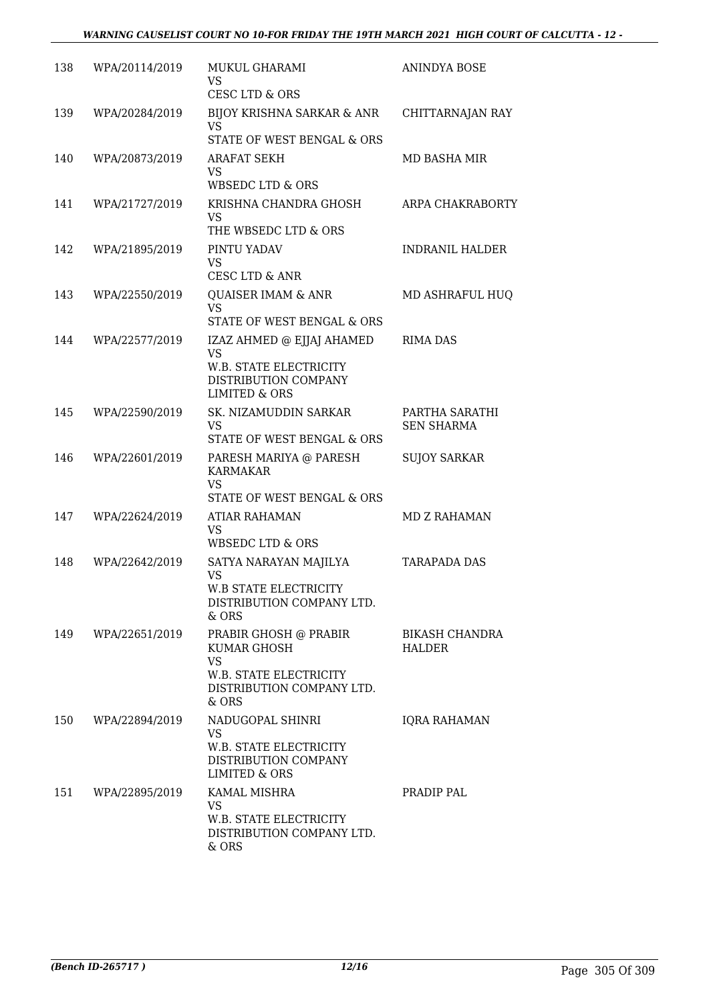| 138 | WPA/20114/2019 | MUKUL GHARAMI<br>VS<br><b>CESC LTD &amp; ORS</b>                                                                     | ANINDYA BOSE                        |
|-----|----------------|----------------------------------------------------------------------------------------------------------------------|-------------------------------------|
| 139 | WPA/20284/2019 | <b>BIJOY KRISHNA SARKAR &amp; ANR</b><br><b>VS</b><br>STATE OF WEST BENGAL & ORS                                     | CHITTARNAJAN RAY                    |
| 140 | WPA/20873/2019 | <b>ARAFAT SEKH</b><br>VS<br><b>WBSEDC LTD &amp; ORS</b>                                                              | MD BASHA MIR                        |
| 141 | WPA/21727/2019 | KRISHNA CHANDRA GHOSH<br><b>VS</b><br>THE WBSEDC LTD & ORS                                                           | ARPA CHAKRABORTY                    |
| 142 | WPA/21895/2019 | PINTU YADAV<br><b>VS</b><br>CESC LTD & ANR                                                                           | <b>INDRANIL HALDER</b>              |
| 143 | WPA/22550/2019 | <b>QUAISER IMAM &amp; ANR</b><br><b>VS</b><br>STATE OF WEST BENGAL & ORS                                             | MD ASHRAFUL HUQ                     |
| 144 | WPA/22577/2019 | IZAZ AHMED @ EJJAJ AHAMED<br><b>VS</b><br>W.B. STATE ELECTRICITY<br>DISTRIBUTION COMPANY<br><b>LIMITED &amp; ORS</b> | <b>RIMA DAS</b>                     |
| 145 | WPA/22590/2019 | SK. NIZAMUDDIN SARKAR<br><b>VS</b><br>STATE OF WEST BENGAL & ORS                                                     | PARTHA SARATHI<br><b>SEN SHARMA</b> |
| 146 | WPA/22601/2019 | PARESH MARIYA @ PARESH<br><b>KARMAKAR</b><br><b>VS</b><br>STATE OF WEST BENGAL & ORS                                 | <b>SUJOY SARKAR</b>                 |
| 147 | WPA/22624/2019 | <b>ATIAR RAHAMAN</b><br>VS<br><b>WBSEDC LTD &amp; ORS</b>                                                            | <b>MD Z RAHAMAN</b>                 |
| 148 | WPA/22642/2019 | SATYA NARAYAN MAJILYA<br>VS<br>W.B STATE ELECTRICITY<br>DISTRIBUTION COMPANY LTD.<br>& ORS                           | <b>TARAPADA DAS</b>                 |
| 149 | WPA/22651/2019 | PRABIR GHOSH @ PRABIR<br>KUMAR GHOSH<br><b>VS</b><br>W.B. STATE ELECTRICITY<br>DISTRIBUTION COMPANY LTD.<br>& ORS    | <b>BIKASH CHANDRA</b><br>HALDER     |
| 150 | WPA/22894/2019 | NADUGOPAL SHINRI<br><b>VS</b><br>W.B. STATE ELECTRICITY<br>DISTRIBUTION COMPANY<br>LIMITED & ORS                     | <b>IQRA RAHAMAN</b>                 |
| 151 | WPA/22895/2019 | KAMAL MISHRA<br><b>VS</b><br>W.B. STATE ELECTRICITY<br>DISTRIBUTION COMPANY LTD.<br>$&$ ORS                          | PRADIP PAL                          |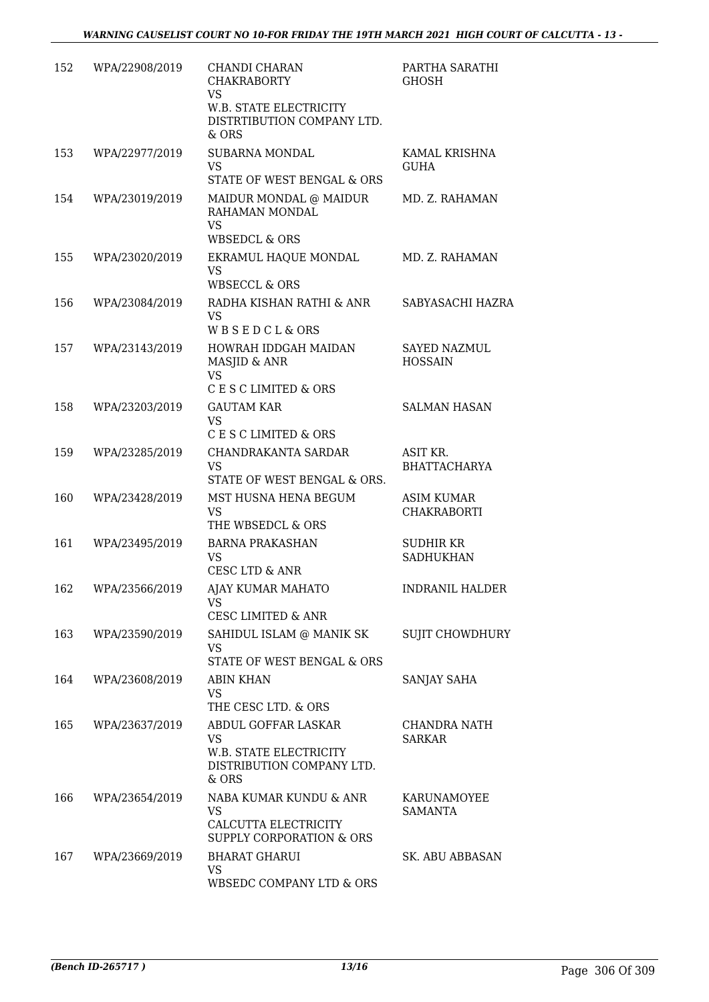| 152 | WPA/22908/2019 | CHANDI CHARAN<br><b>CHAKRABORTY</b><br><b>VS</b><br>W.B. STATE ELECTRICITY<br>DISTRTIBUTION COMPANY LTD. | PARTHA SARATHI<br><b>GHOSH</b>          |
|-----|----------------|----------------------------------------------------------------------------------------------------------|-----------------------------------------|
| 153 | WPA/22977/2019 | & ORS<br>SUBARNA MONDAL<br><b>VS</b><br>STATE OF WEST BENGAL & ORS                                       | KAMAL KRISHNA<br><b>GUHA</b>            |
| 154 | WPA/23019/2019 | MAIDUR MONDAL @ MAIDUR<br>RAHAMAN MONDAL<br><b>VS</b><br><b>WBSEDCL &amp; ORS</b>                        | MD. Z. RAHAMAN                          |
| 155 | WPA/23020/2019 | EKRAMUL HAQUE MONDAL<br><b>VS</b><br><b>WBSECCL &amp; ORS</b>                                            | MD. Z. RAHAMAN                          |
| 156 | WPA/23084/2019 | RADHA KISHAN RATHI & ANR<br><b>VS</b><br>WBSEDCL&ORS                                                     | SABYASACHI HAZRA                        |
| 157 | WPA/23143/2019 | HOWRAH IDDGAH MAIDAN<br>MASJID & ANR<br><b>VS</b><br>C E S C LIMITED & ORS                               | <b>SAYED NAZMUL</b><br><b>HOSSAIN</b>   |
| 158 | WPA/23203/2019 | <b>GAUTAM KAR</b><br><b>VS</b><br>C E S C LIMITED & ORS                                                  | <b>SALMAN HASAN</b>                     |
| 159 | WPA/23285/2019 | CHANDRAKANTA SARDAR<br><b>VS</b><br>STATE OF WEST BENGAL & ORS.                                          | ASIT KR.<br><b>BHATTACHARYA</b>         |
| 160 | WPA/23428/2019 | MST HUSNA HENA BEGUM<br><b>VS</b><br>THE WBSEDCL & ORS                                                   | <b>ASIM KUMAR</b><br><b>CHAKRABORTI</b> |
| 161 | WPA/23495/2019 | <b>BARNA PRAKASHAN</b><br><b>VS</b><br>CESC LTD & ANR                                                    | SUDHIR KR<br><b>SADHUKHAN</b>           |
| 162 | WPA/23566/2019 | AJAY KUMAR MAHATO<br>VS<br><b>CESC LIMITED &amp; ANR</b>                                                 | <b>INDRANIL HALDER</b>                  |
| 163 | WPA/23590/2019 | SAHIDUL ISLAM @ MANIK SK<br><b>VS</b><br>STATE OF WEST BENGAL & ORS                                      | <b>SUJIT CHOWDHURY</b>                  |
| 164 | WPA/23608/2019 | <b>ABIN KHAN</b><br><b>VS</b><br>THE CESC LTD. & ORS                                                     | SANJAY SAHA                             |
| 165 | WPA/23637/2019 | ABDUL GOFFAR LASKAR<br><b>VS</b><br>W.B. STATE ELECTRICITY<br>DISTRIBUTION COMPANY LTD.<br>& ORS         | CHANDRA NATH<br><b>SARKAR</b>           |
| 166 | WPA/23654/2019 | NABA KUMAR KUNDU & ANR<br><b>VS</b><br>CALCUTTA ELECTRICITY<br><b>SUPPLY CORPORATION &amp; ORS</b>       | KARUNAMOYEE<br><b>SAMANTA</b>           |
| 167 | WPA/23669/2019 | <b>BHARAT GHARUI</b><br>VS<br>WBSEDC COMPANY LTD & ORS                                                   | SK. ABU ABBASAN                         |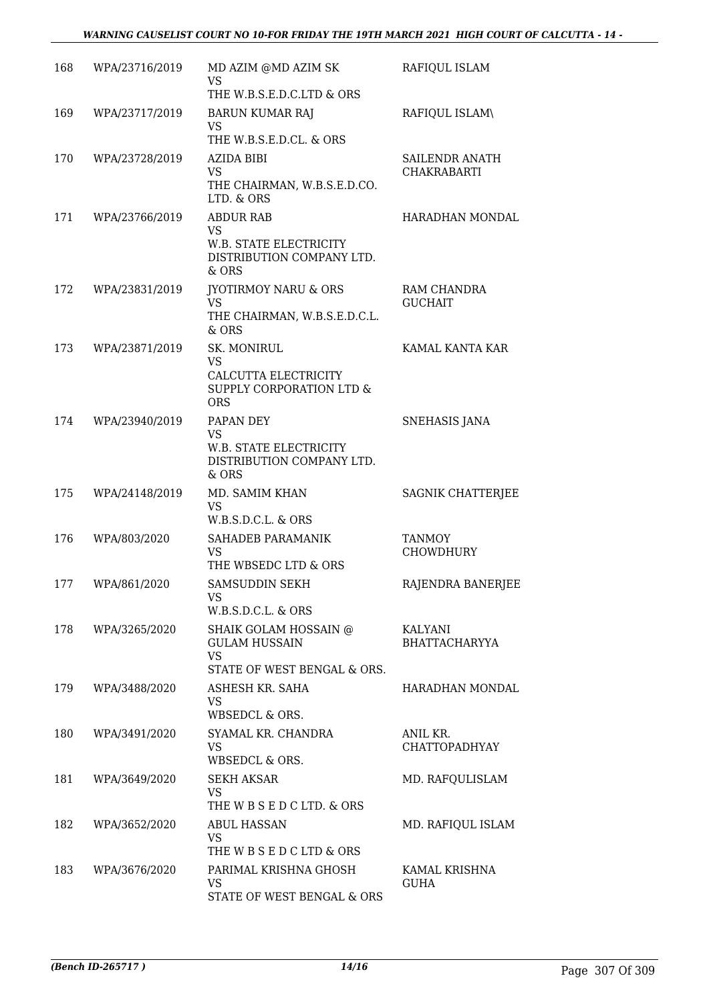### *WARNING CAUSELIST COURT NO 10-FOR FRIDAY THE 19TH MARCH 2021 HIGH COURT OF CALCUTTA - 14 -*

| 168 | WPA/23716/2019 | MD AZIM @MD AZIM SK<br><b>VS</b><br>THE W.B.S.E.D.C.LTD & ORS                            | RAFIQUL ISLAM                        |
|-----|----------------|------------------------------------------------------------------------------------------|--------------------------------------|
| 169 | WPA/23717/2019 | <b>BARUN KUMAR RAJ</b><br><b>VS</b>                                                      | RAFIQUL ISLAM\                       |
|     |                | THE W.B.S.E.D.CL. & ORS                                                                  |                                      |
| 170 | WPA/23728/2019 | AZIDA BIBI<br><b>VS</b><br>THE CHAIRMAN, W.B.S.E.D.CO.<br>LTD. & ORS                     | SAILENDR ANATH<br><b>CHAKRABARTI</b> |
| 171 | WPA/23766/2019 | <b>ABDUR RAB</b>                                                                         | HARADHAN MONDAL                      |
|     |                | <b>VS</b><br>W.B. STATE ELECTRICITY<br>DISTRIBUTION COMPANY LTD.<br>& ORS                |                                      |
| 172 | WPA/23831/2019 | <b>IYOTIRMOY NARU &amp; ORS</b>                                                          | RAM CHANDRA                          |
|     |                | <b>VS</b><br>THE CHAIRMAN, W.B.S.E.D.C.L.<br>$&$ ORS                                     | <b>GUCHAIT</b>                       |
| 173 | WPA/23871/2019 | SK. MONIRUL                                                                              | KAMAL KANTA KAR                      |
|     |                | <b>VS</b><br>CALCUTTA ELECTRICITY<br>SUPPLY CORPORATION LTD &<br><b>ORS</b>              |                                      |
| 174 | WPA/23940/2019 | PAPAN DEY<br><b>VS</b><br>W.B. STATE ELECTRICITY<br>DISTRIBUTION COMPANY LTD.<br>$&$ ORS | <b>SNEHASIS JANA</b>                 |
| 175 | WPA/24148/2019 | MD. SAMIM KHAN<br>VS<br>W.B.S.D.C.L. & ORS                                               | SAGNIK CHATTERJEE                    |
| 176 | WPA/803/2020   | SAHADEB PARAMANIK<br><b>VS</b><br>THE WBSEDC LTD & ORS                                   | <b>TANMOY</b><br><b>CHOWDHURY</b>    |
| 177 | WPA/861/2020   | SAMSUDDIN SEKH<br><b>VS</b>                                                              | RAJENDRA BANERJEE                    |
| 178 | WPA/3265/2020  | W.B.S.D.C.L. & ORS<br>SHAIK GOLAM HOSSAIN @                                              | KALYANI                              |
|     |                | <b>GULAM HUSSAIN</b><br><b>VS</b>                                                        | <b>BHATTACHARYYA</b>                 |
|     |                | STATE OF WEST BENGAL & ORS.                                                              |                                      |
| 179 | WPA/3488/2020  | ASHESH KR. SAHA<br>VS<br>WBSEDCL & ORS.                                                  | HARADHAN MONDAL                      |
| 180 | WPA/3491/2020  | SYAMAL KR. CHANDRA<br><b>VS</b><br>WBSEDCL & ORS.                                        | ANIL KR.<br><b>CHATTOPADHYAY</b>     |
| 181 | WPA/3649/2020  | <b>SEKH AKSAR</b><br><b>VS</b><br>THE W B S E D C LTD. & ORS                             | MD. RAFQULISLAM                      |
| 182 | WPA/3652/2020  | <b>ABUL HASSAN</b><br><b>VS</b><br>THE W B S E D C LTD & ORS                             | MD. RAFIQUL ISLAM                    |
| 183 | WPA/3676/2020  | PARIMAL KRISHNA GHOSH<br><b>VS</b><br>STATE OF WEST BENGAL & ORS                         | KAMAL KRISHNA<br><b>GUHA</b>         |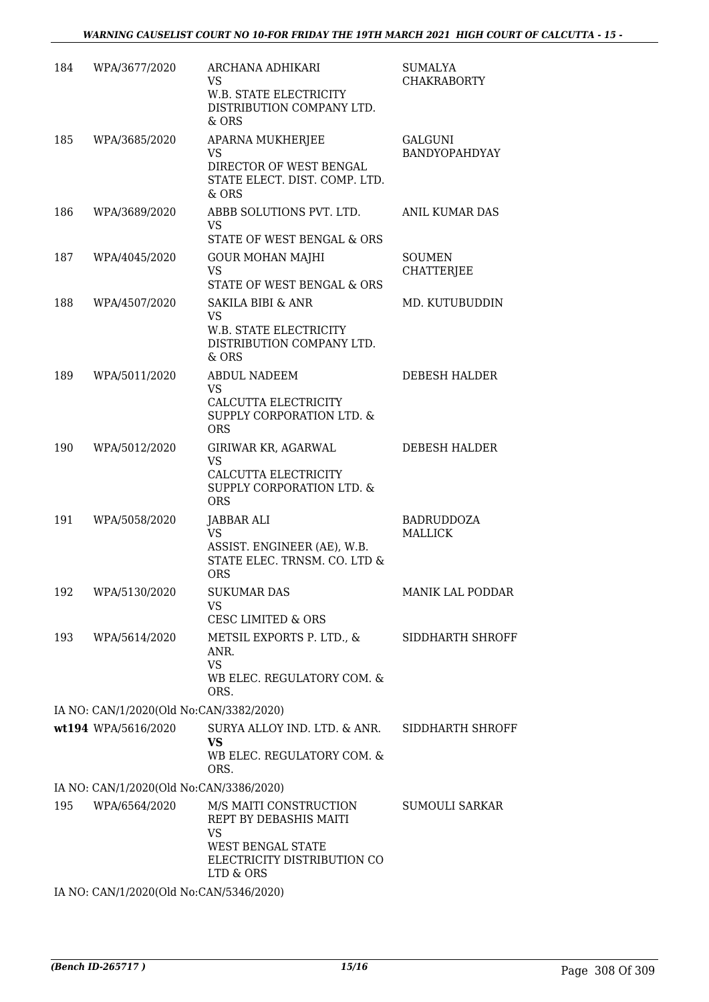| 184 | WPA/3677/2020                           | ARCHANA ADHIKARI<br><b>VS</b><br>W.B. STATE ELECTRICITY<br>DISTRIBUTION COMPANY LTD.<br>& ORS                                         | SUMALYA<br><b>CHAKRABORTY</b>       |
|-----|-----------------------------------------|---------------------------------------------------------------------------------------------------------------------------------------|-------------------------------------|
| 185 | WPA/3685/2020                           | APARNA MUKHERJEE<br><b>VS</b><br>DIRECTOR OF WEST BENGAL<br>STATE ELECT. DIST. COMP. LTD.<br>& ORS                                    | <b>GALGUNI</b><br>BANDYOPAHDYAY     |
| 186 | WPA/3689/2020                           | ABBB SOLUTIONS PVT. LTD.<br>VS.<br>STATE OF WEST BENGAL & ORS                                                                         | ANIL KUMAR DAS                      |
| 187 | WPA/4045/2020                           | <b>GOUR MOHAN MAJHI</b><br><b>VS</b><br>STATE OF WEST BENGAL & ORS                                                                    | <b>SOUMEN</b><br><b>CHATTERJEE</b>  |
| 188 | WPA/4507/2020                           | <b>SAKILA BIBI &amp; ANR</b><br><b>VS</b><br>W.B. STATE ELECTRICITY<br>DISTRIBUTION COMPANY LTD.<br>& ORS                             | MD. KUTUBUDDIN                      |
| 189 | WPA/5011/2020                           | <b>ABDUL NADEEM</b><br><b>VS</b><br>CALCUTTA ELECTRICITY<br><b>SUPPLY CORPORATION LTD. &amp;</b><br><b>ORS</b>                        | DEBESH HALDER                       |
| 190 | WPA/5012/2020                           | GIRIWAR KR, AGARWAL<br><b>VS</b><br>CALCUTTA ELECTRICITY<br><b>SUPPLY CORPORATION LTD. &amp;</b><br><b>ORS</b>                        | <b>DEBESH HALDER</b>                |
| 191 | WPA/5058/2020                           | JABBAR ALI<br><b>VS</b><br>ASSIST. ENGINEER (AE), W.B.<br>STATE ELEC. TRNSM. CO. LTD &<br><b>ORS</b>                                  | <b>BADRUDDOZA</b><br><b>MALLICK</b> |
|     | 192 WPA/5130/2020                       | <b>SUKUMAR DAS</b><br>VS<br><b>CESC LIMITED &amp; ORS</b>                                                                             | MANIK LAL PODDAR                    |
| 193 | WPA/5614/2020                           | METSIL EXPORTS P. LTD., &<br>ANR.<br><b>VS</b><br>WB ELEC. REGULATORY COM. &<br>ORS.                                                  | SIDDHARTH SHROFF                    |
|     | IA NO: CAN/1/2020(Old No:CAN/3382/2020) |                                                                                                                                       |                                     |
|     | wt194 WPA/5616/2020                     | SURYA ALLOY IND. LTD. & ANR.<br><b>VS</b><br>WB ELEC. REGULATORY COM. &<br>ORS.                                                       | SIDDHARTH SHROFF                    |
|     | IA NO: CAN/1/2020(Old No:CAN/3386/2020) |                                                                                                                                       |                                     |
| 195 | WPA/6564/2020                           | M/S MAITI CONSTRUCTION<br>REPT BY DEBASHIS MAITI<br><b>VS</b><br><b>WEST BENGAL STATE</b><br>ELECTRICITY DISTRIBUTION CO<br>LTD & ORS | SUMOULI SARKAR                      |
|     | IA NO: CAN/1/2020(Old No:CAN/5346/2020) |                                                                                                                                       |                                     |
|     |                                         |                                                                                                                                       |                                     |

*(Bench ID-265717 ) 15/16* Page 308 Of 309